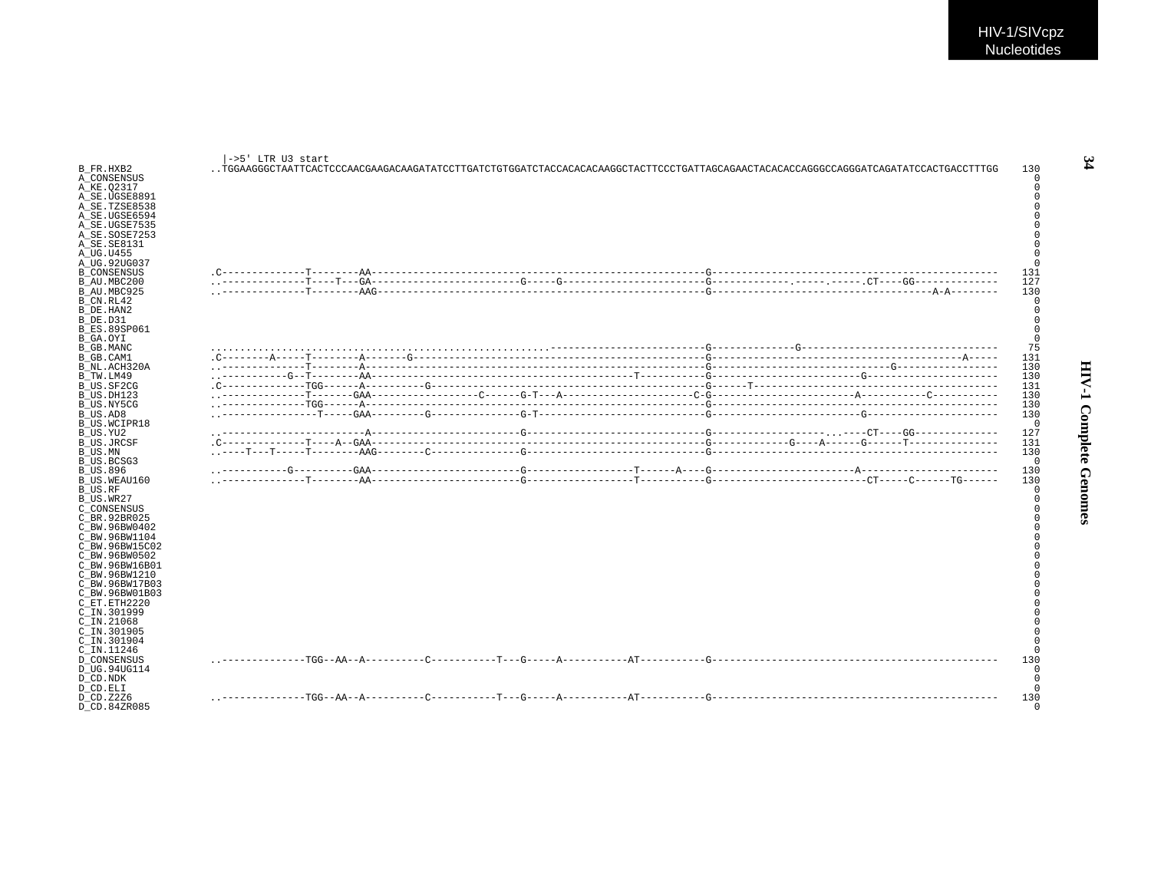| B FR.HXB2<br>A CONSENSUS<br>A KE.02317<br>A SE.UGSE8891                                      | l->5' LTR U3 start |  | .TGGAAGGGCTAATTCACTCCCAACGAAGACAAGATATCCTTGATCTGGATCTACAACAAGGCTACTTCCCTGATTAGCAGAACTACACACGAGGCCAGGGATCAGATATCCACTGACCTTGG | 130<br>$\Omega$<br>$\Omega$ |
|----------------------------------------------------------------------------------------------|--------------------|--|-----------------------------------------------------------------------------------------------------------------------------|-----------------------------|
| A SE.TZSE8538<br>A SE.UGSE6594<br>A SE.UGSE7535<br>A SE.SOSE7253<br>A_SE.SE8131<br>A UG.U455 |                    |  |                                                                                                                             |                             |
| A UG.92UG037                                                                                 |                    |  |                                                                                                                             |                             |
| <b>B</b> CONSENSUS                                                                           |                    |  |                                                                                                                             | 131                         |
| B AU.MBC200                                                                                  |                    |  |                                                                                                                             | 127                         |
| B AU.MBC925<br>B CN.RL42                                                                     |                    |  |                                                                                                                             | 130<br>$\Omega$             |
| B DE.HAN2                                                                                    |                    |  |                                                                                                                             | $\Omega$                    |
| B DE.D31                                                                                     |                    |  |                                                                                                                             |                             |
| <b>B ES.89SP061</b>                                                                          |                    |  |                                                                                                                             |                             |
| B GA.OYI                                                                                     |                    |  |                                                                                                                             | $\Omega$                    |
| B GB.MANC                                                                                    |                    |  |                                                                                                                             | 75                          |
| B GB.CAM1                                                                                    |                    |  |                                                                                                                             | 131                         |
| B NL.ACH320A<br>B TW.LM49                                                                    |                    |  |                                                                                                                             | 130<br>130                  |
| B US.SF2CG                                                                                   |                    |  |                                                                                                                             | 131                         |
| B US.DH123                                                                                   |                    |  |                                                                                                                             | 130                         |
| B US.NY5CG                                                                                   |                    |  |                                                                                                                             | 130                         |
| B US.AD8                                                                                     |                    |  |                                                                                                                             | 130                         |
| B US.WCIPR18                                                                                 |                    |  |                                                                                                                             | $\mathbf 0$                 |
| B US.YU2                                                                                     |                    |  |                                                                                                                             | 127                         |
| <b>B US.JRCSF</b>                                                                            |                    |  |                                                                                                                             | 131                         |
| B US.MN<br>B US.BCSG3                                                                        |                    |  |                                                                                                                             | 130<br>$\Omega$             |
| B US.896                                                                                     |                    |  |                                                                                                                             | 130                         |
| B US.WEAU160                                                                                 |                    |  |                                                                                                                             | 130                         |
| B US.RF                                                                                      |                    |  |                                                                                                                             | $\Omega$                    |
| B US.WR27                                                                                    |                    |  |                                                                                                                             |                             |
| C CONSENSUS                                                                                  |                    |  |                                                                                                                             |                             |
| C BR. 92BR025                                                                                |                    |  |                                                                                                                             |                             |
| C BW.96BW0402<br>C BW.96BW1104                                                               |                    |  |                                                                                                                             |                             |
| C BW.96BW15C02                                                                               |                    |  |                                                                                                                             |                             |
| C BW.96BW0502                                                                                |                    |  |                                                                                                                             |                             |
| C BW.96BW16B01                                                                               |                    |  |                                                                                                                             |                             |
| C BW.96BW1210                                                                                |                    |  |                                                                                                                             |                             |
| C BW.96BW17B03                                                                               |                    |  |                                                                                                                             |                             |
| C BW.96BW01B03                                                                               |                    |  |                                                                                                                             |                             |
| C ET.ETH2220                                                                                 |                    |  |                                                                                                                             |                             |
| C IN.301999<br>$C$ IN. 21068                                                                 |                    |  |                                                                                                                             |                             |
| C_IN.301905                                                                                  |                    |  |                                                                                                                             |                             |
| C IN.301904                                                                                  |                    |  |                                                                                                                             |                             |
| C_IN.11246                                                                                   |                    |  |                                                                                                                             |                             |
| <b>D CONSENSUS</b>                                                                           |                    |  |                                                                                                                             | 130                         |
| D UG.94UG114                                                                                 |                    |  |                                                                                                                             | $\cap$                      |
| D CD.NDK                                                                                     |                    |  |                                                                                                                             |                             |
| D CD.ELI                                                                                     |                    |  |                                                                                                                             | $\cap$                      |
| D CD.Z2Z6<br>D CD.84ZR085                                                                    |                    |  |                                                                                                                             | 130<br>$\Omega$             |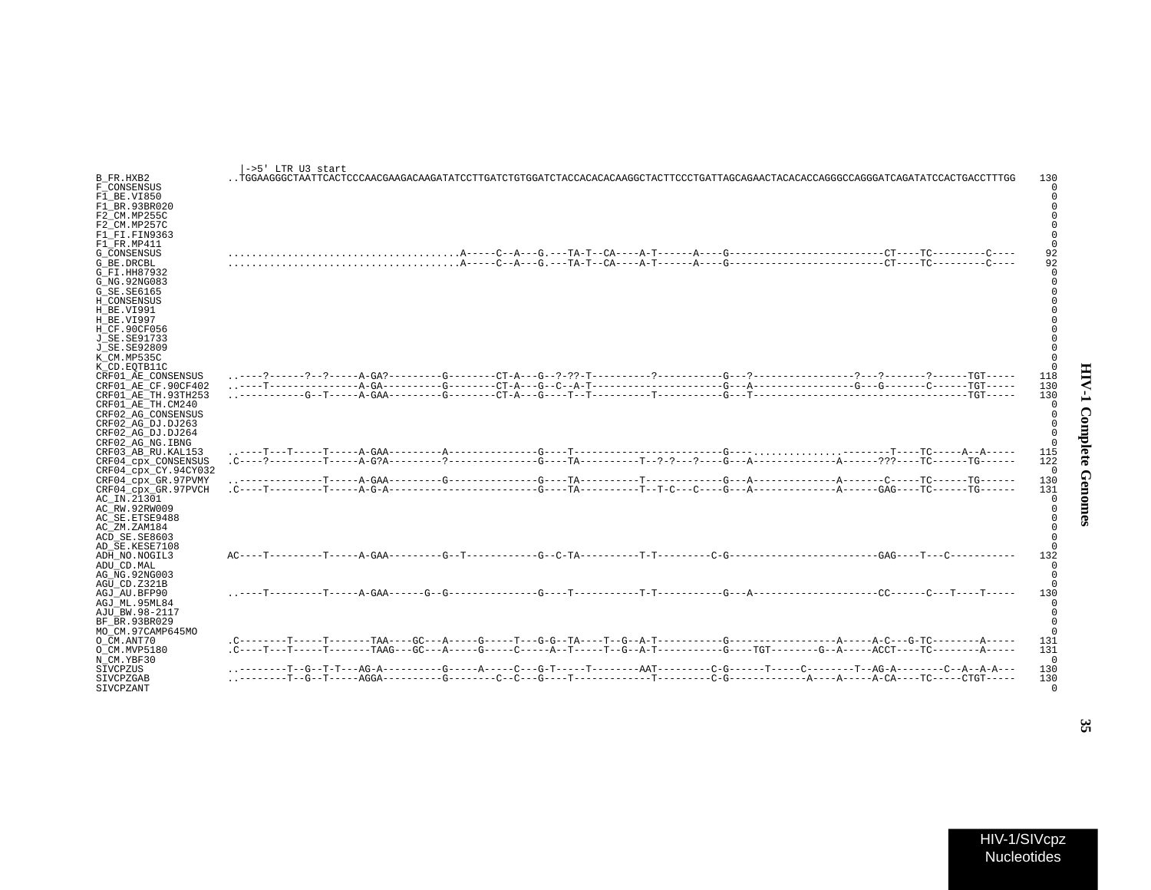| ļ           |  |
|-------------|--|
| ì<br>Š<br>ì |  |
| i<br>ļ      |  |

| B_FR.HXB2<br>F CONSENSUS                                                                                                                                                                                            | ->5' LTR U3 start<br>PGGAAGGCTAATTCACTOACAAGAAGAAGATTCTCTGTGATCTAAGAAAGAAGCTACTCTCTGTGTTCCCTGATTTCCCTGATTACAGAAGCTACAGGCCAGGGCTAATT |  |  |  |  |  |  | 130               |
|---------------------------------------------------------------------------------------------------------------------------------------------------------------------------------------------------------------------|-------------------------------------------------------------------------------------------------------------------------------------|--|--|--|--|--|--|-------------------|
| F1 BE.VI850<br>F1 BR.93BR020<br>F2 CM.MP255C<br>F2 CM.MP257C<br>F1_FI.FIN9363<br>F1 FR.MP411<br>G CONSENSUS<br>G BE.DRCBL<br>G FI.HH87932<br>G NG.92NG083<br>G SE.SE6165<br>H CONSENSUS<br>H BE.VI991<br>H BE.VI997 |                                                                                                                                     |  |  |  |  |  |  |                   |
| H CF.90CF056<br>J SE.SE91733<br>J SE.SE92809<br>K CM.MP535C<br>K CD.EOTB11C<br>CRF01 AE CONSENSUS<br>CRF01 AE CF.90CF402<br>CRF01 AE TH.93TH253<br>CRF01 AE TH.CM240<br>CRF02 AG CONSENSUS<br>CRF02 AG DJ.DJ263     |                                                                                                                                     |  |  |  |  |  |  | 118<br>130<br>130 |
| CRF02 AG DJ.DJ264<br>CRF02 AG NG.IBNG<br>CRF03 AB RU.KAL153<br>CRF04 cpx CONSENSUS<br>CRF04_cpx_CY.94CY032<br>CRF04_cpx_GR.97PVMY                                                                                   |                                                                                                                                     |  |  |  |  |  |  | 115<br>122<br>130 |
| CRF04 cpx GR.97PVCH<br>AC IN.21301<br>AC RW.92RW009<br>AC SE.ETSE9488<br>AC ZM.ZAM184<br>ACD SE.SE8603<br>AD SE.KESE7108                                                                                            |                                                                                                                                     |  |  |  |  |  |  | 131               |
| ADH NO.NOGIL3<br>ADU CD.MAL<br>AG NG.92NG003<br>AGU CD.Z321B                                                                                                                                                        |                                                                                                                                     |  |  |  |  |  |  | 132               |
| AGJ AU BFP90<br>AGJ ML.95ML84<br>AJU BW.98-2117<br>BF BR.93BR029<br>MO CM.97CAMP645MO                                                                                                                               |                                                                                                                                     |  |  |  |  |  |  | 130               |
| O CM.ANT70<br>O CM.MVP5180                                                                                                                                                                                          |                                                                                                                                     |  |  |  |  |  |  | 131<br>131        |
| N CM.YBF30<br>SIVCPZUS                                                                                                                                                                                              | --------T--G--T-T---AG-A----------G-----A-----C---G-T-----T-------AAT---------C-G------T---C--------T--AG-A--------C--A--A-A---     |  |  |  |  |  |  | 130               |
| SIVCPZGAB                                                                                                                                                                                                           |                                                                                                                                     |  |  |  |  |  |  | 130               |

SIVCPZANT 0

HIV-1/SIVcpz Nucleotides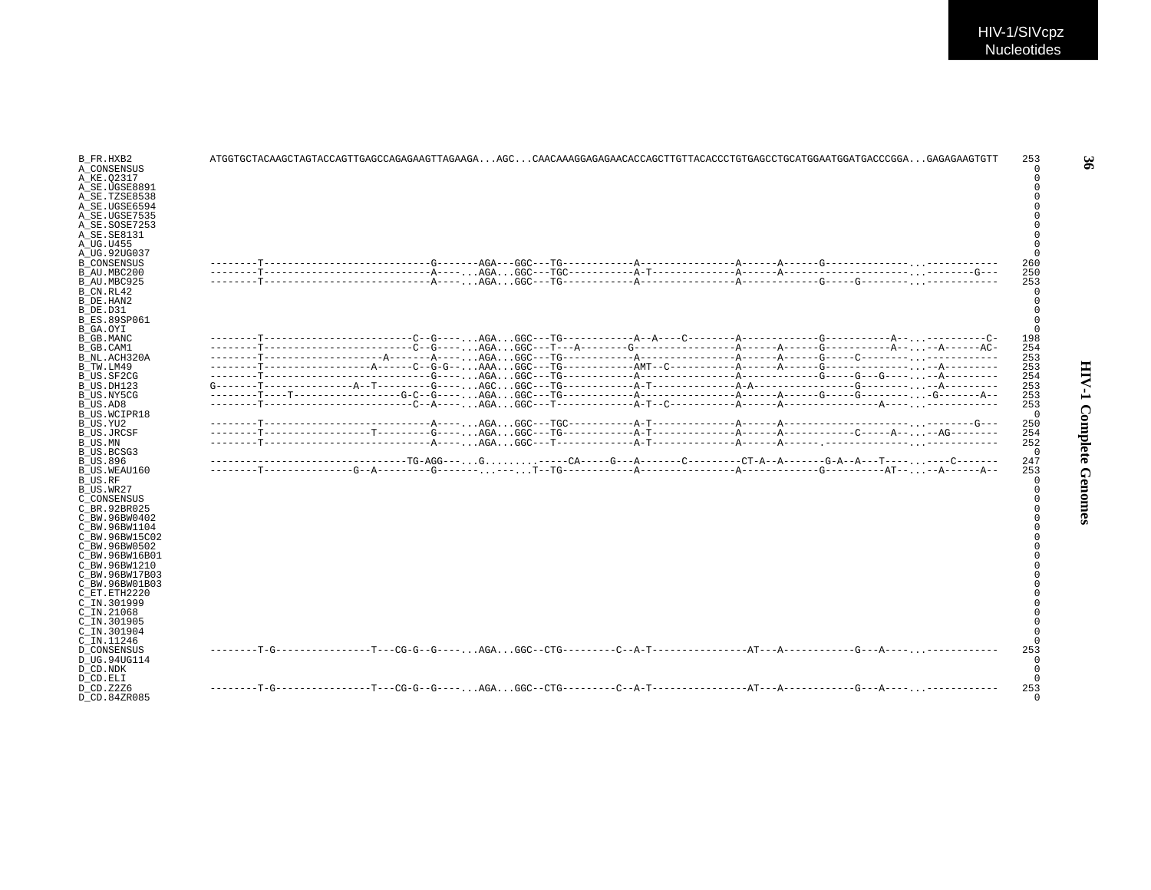| B FR.HXB2<br>A CONSENSUS        |  |                                                                                                                  |  |  |  |  | 253<br>$\Omega$ |
|---------------------------------|--|------------------------------------------------------------------------------------------------------------------|--|--|--|--|-----------------|
| A KE.02317                      |  |                                                                                                                  |  |  |  |  |                 |
| A SE.UGSE8891                   |  |                                                                                                                  |  |  |  |  |                 |
| A SE.TZSE8538                   |  |                                                                                                                  |  |  |  |  |                 |
| A SE.UGSE6594                   |  |                                                                                                                  |  |  |  |  |                 |
| A SE.UGSE7535                   |  |                                                                                                                  |  |  |  |  |                 |
| A SE.SOSE7253                   |  |                                                                                                                  |  |  |  |  |                 |
| A SE. SE8131                    |  |                                                                                                                  |  |  |  |  |                 |
| A UG.U455                       |  |                                                                                                                  |  |  |  |  |                 |
| A UG.92UG037                    |  |                                                                                                                  |  |  |  |  |                 |
| <b>B CONSENSUS</b>              |  |                                                                                                                  |  |  |  |  | 260             |
| B AU.MBC200                     |  |                                                                                                                  |  |  |  |  | 250             |
| B AU.MBC925                     |  |                                                                                                                  |  |  |  |  | 253             |
| B CN.RL42                       |  |                                                                                                                  |  |  |  |  |                 |
| B DE.HAN2                       |  |                                                                                                                  |  |  |  |  |                 |
| B DE.D31                        |  |                                                                                                                  |  |  |  |  |                 |
| <b>B ES.89SP061</b>             |  |                                                                                                                  |  |  |  |  |                 |
| B GA.OYI                        |  |                                                                                                                  |  |  |  |  |                 |
| B GB.MANC                       |  |                                                                                                                  |  |  |  |  | 198             |
| B GB.CAM1                       |  |                                                                                                                  |  |  |  |  | 254             |
| B NL.ACH320A                    |  |                                                                                                                  |  |  |  |  | 253             |
| B TW.LM49                       |  |                                                                                                                  |  |  |  |  | 253             |
| B US.SF2CG                      |  |                                                                                                                  |  |  |  |  | 254<br>253      |
| B US.DH123                      |  |                                                                                                                  |  |  |  |  | 253             |
| B US.NY5CG<br>B US.AD8          |  |                                                                                                                  |  |  |  |  | 253             |
| B US.WCIPR18                    |  |                                                                                                                  |  |  |  |  | $^{\circ}$      |
| B US.YU2                        |  |                                                                                                                  |  |  |  |  | 250             |
| <b>B US.JRCSF</b>               |  |                                                                                                                  |  |  |  |  | 254             |
| B US.MN                         |  |                                                                                                                  |  |  |  |  | 252             |
| B US.BCSG3                      |  |                                                                                                                  |  |  |  |  | $\mathbf 0$     |
| <b>B US.896</b>                 |  | -------------------------------TG-AGG---G-----CA----G---A--------C-------CT-A--A------G-A--A---T--------C------- |  |  |  |  | 247             |
| B US.WEAU160                    |  |                                                                                                                  |  |  |  |  | 253             |
| B_US.RF                         |  |                                                                                                                  |  |  |  |  | $\Omega$        |
| B US.WR27                       |  |                                                                                                                  |  |  |  |  |                 |
| C CONSENSUS                     |  |                                                                                                                  |  |  |  |  |                 |
| C BR. 92BR025                   |  |                                                                                                                  |  |  |  |  |                 |
| C BW.96BW0402                   |  |                                                                                                                  |  |  |  |  |                 |
| C BW.96BW1104                   |  |                                                                                                                  |  |  |  |  |                 |
| C BW.96BW15C02                  |  |                                                                                                                  |  |  |  |  |                 |
| C BW.96BW0502                   |  |                                                                                                                  |  |  |  |  |                 |
| C BW.96BW16B01<br>C BW.96BW1210 |  |                                                                                                                  |  |  |  |  |                 |
| C BW.96BW17B03                  |  |                                                                                                                  |  |  |  |  |                 |
| C BW.96BW01B03                  |  |                                                                                                                  |  |  |  |  |                 |
| C ET.ETH2220                    |  |                                                                                                                  |  |  |  |  |                 |
| C IN.301999                     |  |                                                                                                                  |  |  |  |  |                 |
| $C$ IN. 21068                   |  |                                                                                                                  |  |  |  |  |                 |
| C IN.301905                     |  |                                                                                                                  |  |  |  |  |                 |
| C IN.301904                     |  |                                                                                                                  |  |  |  |  |                 |
| C IN.11246                      |  |                                                                                                                  |  |  |  |  |                 |
| D CONSENSUS                     |  |                                                                                                                  |  |  |  |  | 253             |
| D UG.94UG114                    |  |                                                                                                                  |  |  |  |  | $\Omega$        |
| D CD.NDK                        |  |                                                                                                                  |  |  |  |  | $\Omega$        |
| D CD.ELI                        |  |                                                                                                                  |  |  |  |  | $\Omega$        |
| D CD. Z2Z6                      |  |                                                                                                                  |  |  |  |  | 253             |
| D CD.84ZR085                    |  |                                                                                                                  |  |  |  |  | n               |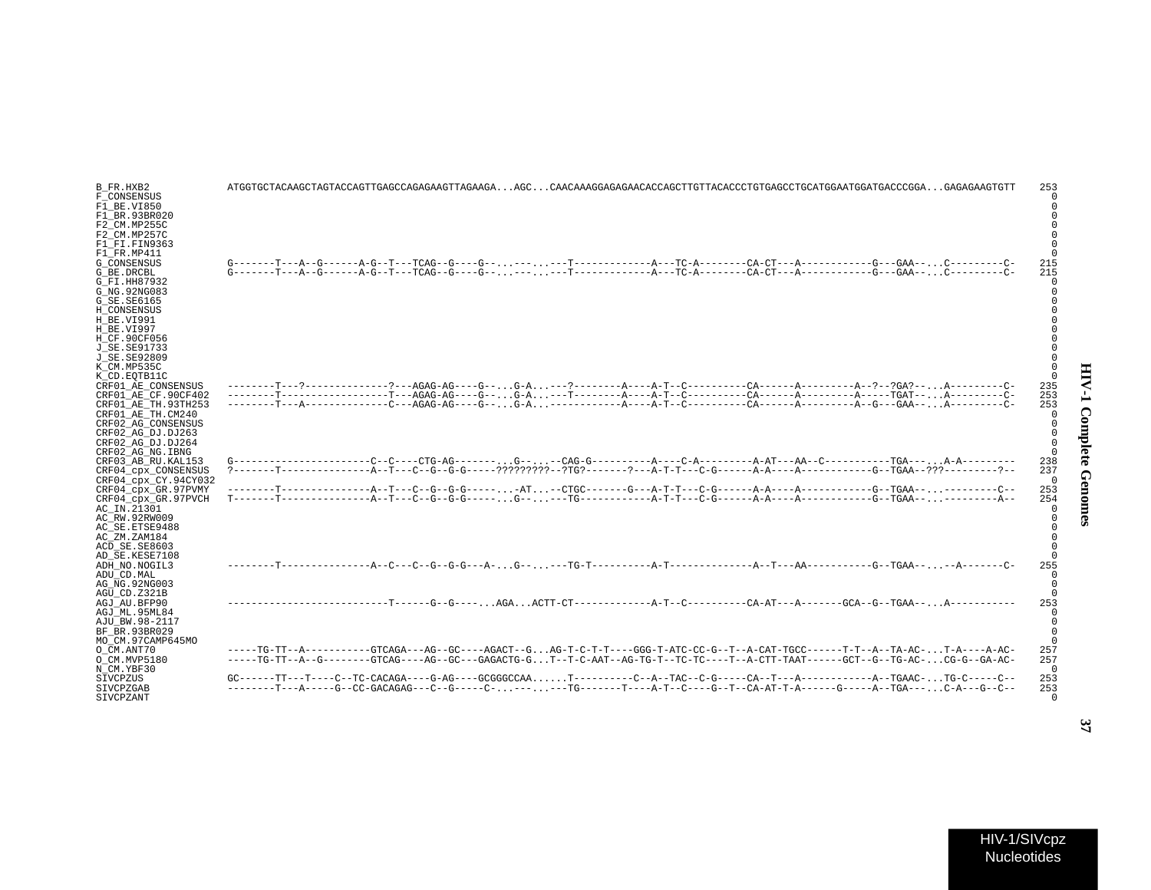| B FR.HXB2<br>F CONSENSUS | 253                                                                                                                                                                                                                                                                                                                                                                                                                                    |
|--------------------------|----------------------------------------------------------------------------------------------------------------------------------------------------------------------------------------------------------------------------------------------------------------------------------------------------------------------------------------------------------------------------------------------------------------------------------------|
| F1 BE.VI850              |                                                                                                                                                                                                                                                                                                                                                                                                                                        |
| F1 BR.93BR020            |                                                                                                                                                                                                                                                                                                                                                                                                                                        |
| F2 CM.MP255C             |                                                                                                                                                                                                                                                                                                                                                                                                                                        |
| F2 CM.MP257C             |                                                                                                                                                                                                                                                                                                                                                                                                                                        |
| F1 FI.FIN9363            |                                                                                                                                                                                                                                                                                                                                                                                                                                        |
| F1 FR.MP411              |                                                                                                                                                                                                                                                                                                                                                                                                                                        |
| G CONSENSUS              | 215                                                                                                                                                                                                                                                                                                                                                                                                                                    |
| G BE.DRCBL               | $G------T---A-G------A-G---T---TCAG--G---G---G---G---T---T---A---TC-A------CA-CT---A---G---G---G---GAA---C---A--G---A---A--G---A---A--G---A---A--G---A---A--G---A---A--G---A---A--G---A---A--G---A---A--G---A---A--G---A---A--G---A---A--G---A---A--G---A---A--G---A---A--G---A---A--G---A---A--G---A---A--G---A---A--G---A---A--G---A---A--G---A---A--G---A---A--G---A---A--G---A---A--G---A---A--G---A---A--G---A---A--G---A$<br>215 |
|                          |                                                                                                                                                                                                                                                                                                                                                                                                                                        |
| G FI.HH87932             |                                                                                                                                                                                                                                                                                                                                                                                                                                        |
| G NG.92NG083             |                                                                                                                                                                                                                                                                                                                                                                                                                                        |
| G SE.SE6165              |                                                                                                                                                                                                                                                                                                                                                                                                                                        |
| H CONSENSUS              |                                                                                                                                                                                                                                                                                                                                                                                                                                        |
| H BE.VI991               |                                                                                                                                                                                                                                                                                                                                                                                                                                        |
| H BE.VI997               |                                                                                                                                                                                                                                                                                                                                                                                                                                        |
| H CF.90CF056             |                                                                                                                                                                                                                                                                                                                                                                                                                                        |
| J SE.SE91733             |                                                                                                                                                                                                                                                                                                                                                                                                                                        |
| J SE.SE92809             |                                                                                                                                                                                                                                                                                                                                                                                                                                        |
| K CM.MP535C              |                                                                                                                                                                                                                                                                                                                                                                                                                                        |
| K CD.EOTB11C             |                                                                                                                                                                                                                                                                                                                                                                                                                                        |
| CRF01 AE CONSENSUS       | 235                                                                                                                                                                                                                                                                                                                                                                                                                                    |
| CRF01 AE CF.90CF402      | 253                                                                                                                                                                                                                                                                                                                                                                                                                                    |
| CRF01 AE TH.93TH253      | 253                                                                                                                                                                                                                                                                                                                                                                                                                                    |
| CRF01 AE TH.CM240        |                                                                                                                                                                                                                                                                                                                                                                                                                                        |
| CRF02 AG CONSENSUS       |                                                                                                                                                                                                                                                                                                                                                                                                                                        |
| CRF02 AG DJ.DJ263        |                                                                                                                                                                                                                                                                                                                                                                                                                                        |
| CRF02 AG DJ.DJ264        |                                                                                                                                                                                                                                                                                                                                                                                                                                        |
| CRF02 AG NG.IBNG         |                                                                                                                                                                                                                                                                                                                                                                                                                                        |
| CRF03 AB RU.KAL153       | 238                                                                                                                                                                                                                                                                                                                                                                                                                                    |
| CRF04 cpx CONSENSUS      | 237                                                                                                                                                                                                                                                                                                                                                                                                                                    |
| CRF04_cpx_CY.94CY032     |                                                                                                                                                                                                                                                                                                                                                                                                                                        |
| CRF04 cpx GR.97PVMY      | 253                                                                                                                                                                                                                                                                                                                                                                                                                                    |
| CRF04_cpx_GR.97PVCH      | 254                                                                                                                                                                                                                                                                                                                                                                                                                                    |
| AC IN.21301              |                                                                                                                                                                                                                                                                                                                                                                                                                                        |
| AC RW.92RW009            |                                                                                                                                                                                                                                                                                                                                                                                                                                        |
| AC SE.ETSE9488           |                                                                                                                                                                                                                                                                                                                                                                                                                                        |
| AC ZM.ZAM184             |                                                                                                                                                                                                                                                                                                                                                                                                                                        |
| ACD SE.SE8603            |                                                                                                                                                                                                                                                                                                                                                                                                                                        |
| AD SE.KESE7108           |                                                                                                                                                                                                                                                                                                                                                                                                                                        |
| ADH NO.NOGIL3            | 255                                                                                                                                                                                                                                                                                                                                                                                                                                    |
| ADU CD.MAL               |                                                                                                                                                                                                                                                                                                                                                                                                                                        |
| AG NG.92NG003            |                                                                                                                                                                                                                                                                                                                                                                                                                                        |
| AGU_CD.Z321B             |                                                                                                                                                                                                                                                                                                                                                                                                                                        |
|                          | 253                                                                                                                                                                                                                                                                                                                                                                                                                                    |
| AGJ AU.BFP90             |                                                                                                                                                                                                                                                                                                                                                                                                                                        |
| AGJ ML.95ML84            |                                                                                                                                                                                                                                                                                                                                                                                                                                        |
| AJU BW.98-2117           |                                                                                                                                                                                                                                                                                                                                                                                                                                        |
| BF BR.93BR029            |                                                                                                                                                                                                                                                                                                                                                                                                                                        |
| MO CM.97CAMP645MO        |                                                                                                                                                                                                                                                                                                                                                                                                                                        |
| O CM.ANT70               | -----TG-TT--A----------GTCAGA---AG--GC----AGACT--GAG-T-C-T-T----GGG-T-ATC-CC-G--T--A-CAT-TGCC------T-T--A--TA-AC-T-A----A-AC-<br>257                                                                                                                                                                                                                                                                                                   |
| O CM.MVP5180             | -----TG-TT--A--G-------GTCAG----AG--GC---GAGACTG-GT--T-C-AAT--AG-TG-T--TC----T--A-CTT-TAAT------GCT--G--TG-AC-CG-G--GA-AC-<br>257                                                                                                                                                                                                                                                                                                      |
| N CM.YBF30               |                                                                                                                                                                                                                                                                                                                                                                                                                                        |
| SIVCPZUS                 | $GC----TT---TC---TC-CACAGA----G-AG---GCGGGGCCAA. T-------C-A--TAC--C-G----CA--T---A----A-------A--TGAAC- TG-C----C--$<br>253                                                                                                                                                                                                                                                                                                           |
| SIVCPZGAB                | --------T---A-----G--CC-GACAGAG---C--G------C------TG-------T----A-T--C---T--CA-AT-T-A-----G-----A--TGA---C-A---G--C--<br>253                                                                                                                                                                                                                                                                                                          |

SIVCPZANT 0

Nucleotides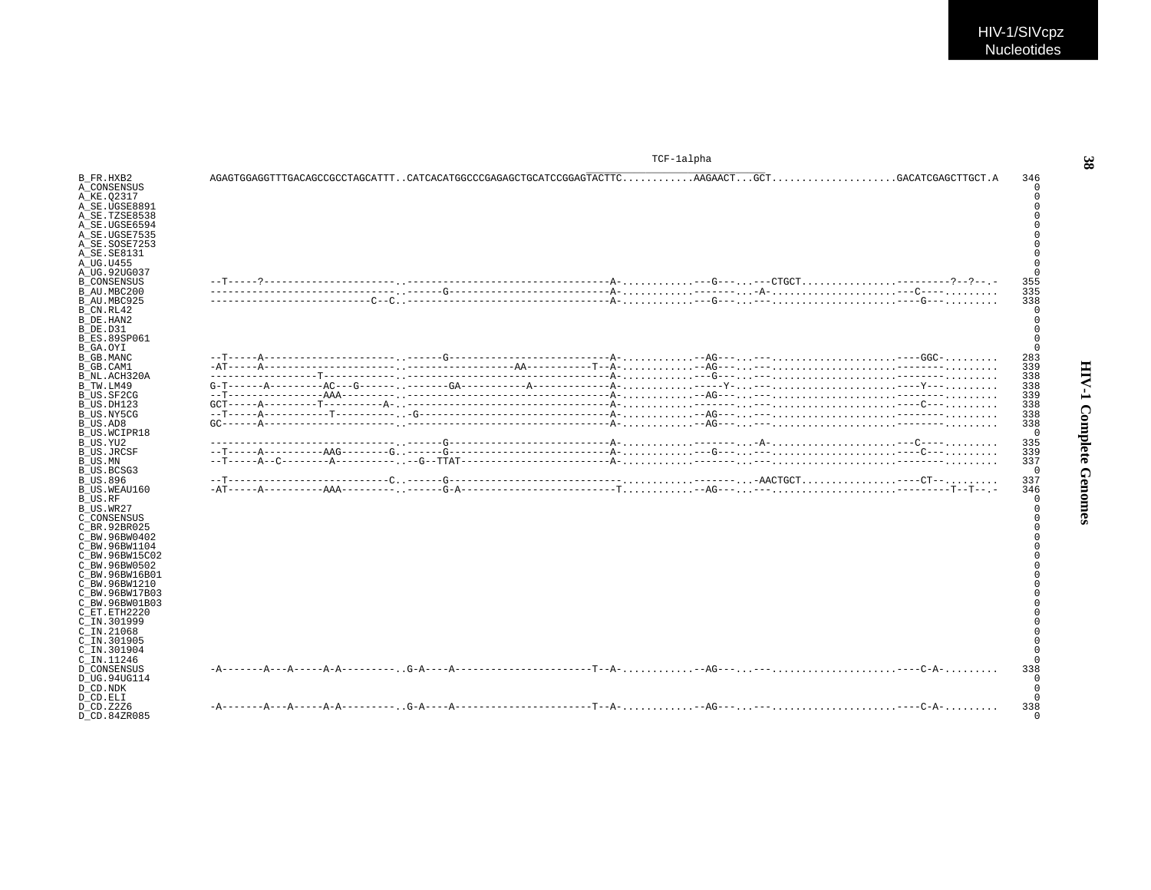|                                                                                                                                                                                                                                                                                                              | TCF-lalpha                                         |                   |
|--------------------------------------------------------------------------------------------------------------------------------------------------------------------------------------------------------------------------------------------------------------------------------------------------------------|----------------------------------------------------|-------------------|
| B FR.HXB2<br>A CONSENSUS<br>A KE.02317<br>A SE.UGSE8891<br>A SE.TZSE8538<br>A SE.UGSE6594<br>A SE.UGSE7535<br>A SE.SOSE7253<br>A SE.SE8131<br>A UG.U455                                                                                                                                                      |                                                    | 346               |
| A UG.92UG037                                                                                                                                                                                                                                                                                                 |                                                    |                   |
| <b>B</b> CONSENSUS<br>B AU.MBC200<br>B AU.MBC925<br>B_CN.RL42<br>B DE.HAN2                                                                                                                                                                                                                                   |                                                    | 355<br>335<br>338 |
| B DE.D31<br><b>B ES.89SP061</b><br>B GA.OYI                                                                                                                                                                                                                                                                  |                                                    |                   |
| B GB.MANC                                                                                                                                                                                                                                                                                                    |                                                    | 283               |
| B GB.CAM1                                                                                                                                                                                                                                                                                                    |                                                    | 339               |
| B NL.ACH320A                                                                                                                                                                                                                                                                                                 |                                                    | 338               |
| B TW.LM49                                                                                                                                                                                                                                                                                                    |                                                    | 338               |
| B US.SF2CG                                                                                                                                                                                                                                                                                                   |                                                    | 339               |
| B US.DH123                                                                                                                                                                                                                                                                                                   |                                                    | 338               |
| B US.NY5CG                                                                                                                                                                                                                                                                                                   |                                                    | 338               |
| B US.AD8<br>B US.WCIPR18                                                                                                                                                                                                                                                                                     |                                                    | 338<br>$\Omega$   |
| B US.YU2                                                                                                                                                                                                                                                                                                     |                                                    | 335               |
| B US.JRCSF                                                                                                                                                                                                                                                                                                   |                                                    | 339               |
| B US.MN                                                                                                                                                                                                                                                                                                      |                                                    | 337               |
| B US.BCSG3<br><b>B US.896</b>                                                                                                                                                                                                                                                                                |                                                    | $\Omega$<br>337   |
|                                                                                                                                                                                                                                                                                                              |                                                    |                   |
| B US.WEAU160<br>B US.RF<br>B US.WR27<br>C CONSENSUS<br>C BR. 92BR025<br>C BW.96BW0402<br>C BW.96BW1104<br>C BW.96BW15C02<br>C BW.96BW0502<br>C BW.96BW16B01<br>C BW.96BW1210<br>C BW.96BW17B03<br>C BW.96BW01B03<br>C ET.ETH2220<br>C IN.301999<br>$C$ IN. 21068<br>C IN.301905<br>C_IN.301904<br>C IN.11246 | $-AT^{---}$ $-2---2AA^{---}-2---$ , $---G-A^{---}$ | 346<br>338        |
| <b>D CONSENSUS</b><br>D UG.94UG114<br>D CD.NDK<br>D CD.ELI<br>D CD. Z2Z6                                                                                                                                                                                                                                     |                                                    | 338               |
| D CD.84ZR085                                                                                                                                                                                                                                                                                                 |                                                    |                   |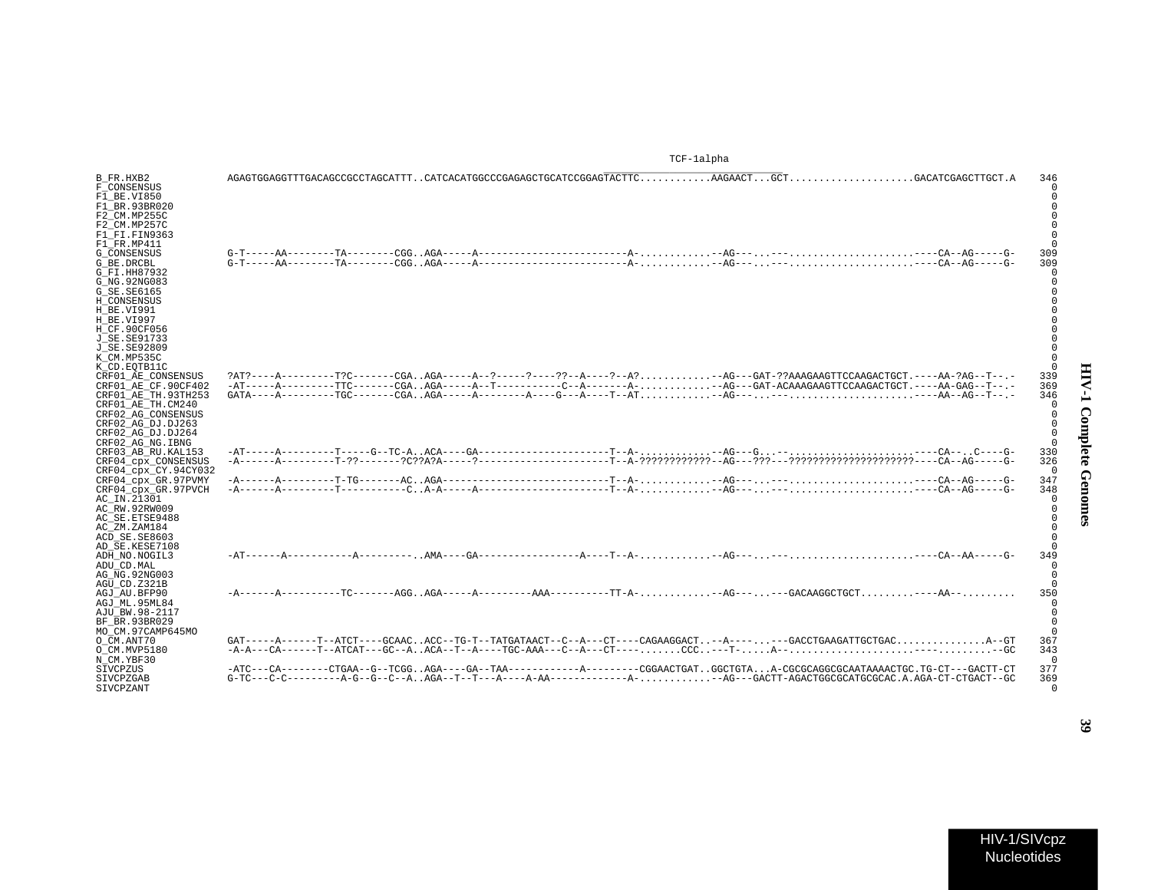|                                                                                                                                                               | TCF-lalpha                                                                                                                 |                        |
|---------------------------------------------------------------------------------------------------------------------------------------------------------------|----------------------------------------------------------------------------------------------------------------------------|------------------------|
| B FR.HXB2<br>F CONSENSUS<br>F1_BE.VI850<br>F1 BR.93BR020<br>F2 CM.MP255C                                                                                      |                                                                                                                            | 346                    |
| F2 CM.MP257C<br>F1 FI.FIN9363<br>F1 FR.MP411<br><b>G CONSENSUS</b><br>G BE.DRCBL<br>G FI.HH87932<br>G NG. 92NG083<br>G_SE.SE6165<br>H CONSENSUS<br>H BE.VI991 |                                                                                                                            | 309<br>309             |
| H BE.VI997<br>H CF.90CF056<br>J SE. SE91733<br>J_SE.SE92809<br>K CM.MP535C<br>K CD.EOTB11C<br>CRF01 AE CONSENSUS                                              |                                                                                                                            | 339                    |
| CRF01 AE CF.90CF402<br>CRF01 AE TH.93TH253<br>CRF01 AE TH.CM240<br>CRF02 AG CONSENSUS<br>CRF02 AG DJ.DJ263<br>CRF02 AG DJ.DJ264<br>CRF02 AG NG. IBNG          |                                                                                                                            | 369<br>346<br>$\Omega$ |
| CRF03 AB RU. KAL153<br>CRF04 cpx CONSENSUS<br>CRF04 cpx CY.94CY032                                                                                            |                                                                                                                            | 330<br>326<br>$\Omega$ |
| CRF04 cpx GR.97PVMY<br>CRF04_cpx_GR.97PVCH<br>AC IN.21301<br>AC RW.92RW009<br>AC SE. ETSE9488<br>AC ZM.ZAM184<br>ACD SE.SE8603                                |                                                                                                                            | 347<br>348<br>$\Omega$ |
| AD SE.KESE7108<br>ADH NO. NOGIL3<br>ADU CD. MAL<br>AG NG. 92NG003<br>AGU CD.Z321B                                                                             |                                                                                                                            | 349                    |
| AGJ AU.BFP90<br>AGJ ML.95ML84<br>AJU BW.98-2117<br>BF BR.93BR029<br>MO CM.97CAMP645MO                                                                         |                                                                                                                            | 350                    |
| O CM.ANT70<br>O CM.MVP5180<br>N CM.YBF30                                                                                                                      | GAT-----A------T--ATCT----GCAACACC--TG-T--TATGATAACT--C--A---CT----CAGAAGGACT--A-------GACCTGAAGATTGCTGACA--GT             | 367<br>343<br>$\Omega$ |
| SIVCPZUS<br><b>STVCPZGAB</b><br>SIVCPZANT                                                                                                                     | -ATC---CA--------CTGAA--G--TCGGAGA----GA--TAA----------A--------CGGAACTGATGGCTGTAA-CGCGCAGGCGCAATAAAACTGC.TG-CT---GACTT-CT | 377<br>369<br>$\Omega$ |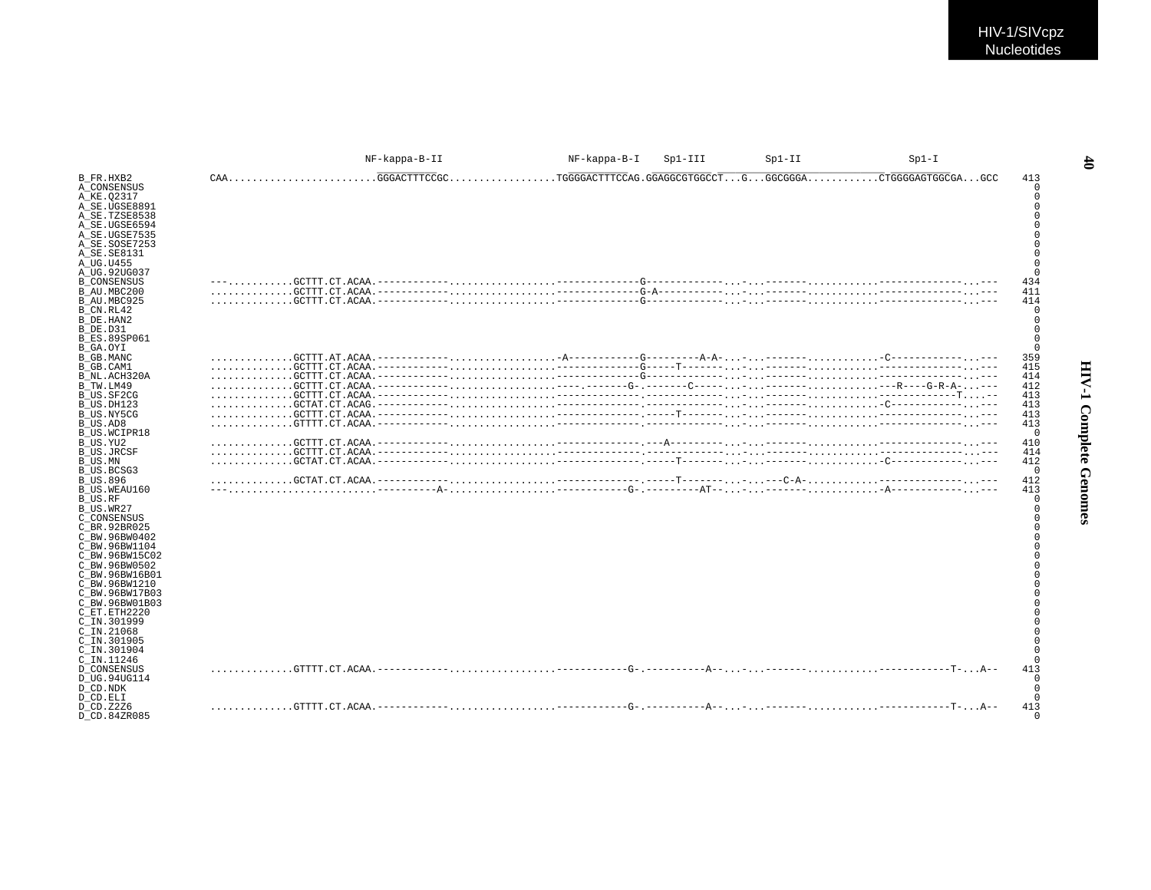|                                                                                                                                                                                                                                                                                          |                           | NF-kappa-B-II | NF-kappa-B-I | $Spl-III$ | $Sp1-II$ | $Sp1-I$            |                                                                                                                                                                                                                                  |
|------------------------------------------------------------------------------------------------------------------------------------------------------------------------------------------------------------------------------------------------------------------------------------------|---------------------------|---------------|--------------|-----------|----------|--------------------|----------------------------------------------------------------------------------------------------------------------------------------------------------------------------------------------------------------------------------|
| B FR.HXB2<br>A CONSENSUS<br>A KE.02317<br>A SE.UGSE8891<br>A_SE.TZSE8538<br>A SE.UGSE6594<br>A SE.UGSE7535<br>A SE.SOSE7253<br>A SE.SE8131<br>A UG.U455<br>A UG.92UG037                                                                                                                  | CAAGGGACTTTCCGC           |               |              |           |          | .CTGGGGAGTGGCGAGCC | 413<br>0<br>$\mathbf 0$<br>$\Omega$<br>$\mathbf 0$<br>$\Omega$<br>$\mathbf 0$<br>$\Omega$<br>$\Omega$<br>$\Omega$<br>$\Omega$                                                                                                    |
| <b>B CONSENSUS</b><br>B AU.MBC200<br>B AU.MBC925<br>B CN.RL42<br>B DE.HAN2<br>B DE.D31<br><b>B ES.89SP061</b><br>B GA.OYI                                                                                                                                                                |                           |               |              |           |          |                    | 434<br>411<br>414<br>0<br>$\mathbf 0$<br>$\mathbf 0$<br>$\mathbf 0$<br>$\mathbf 0$                                                                                                                                               |
| B GB.MANC<br>B GB.CAM1<br>B NL.ACH320A<br>B_TW.LM49<br>B US.SF2CG                                                                                                                                                                                                                        |                           |               |              |           |          |                    | 359<br>415<br>414<br>412<br>413                                                                                                                                                                                                  |
| B US.DH123<br>B US.NY5CG<br>B_US.AD8<br>B US.WCIPR18<br>B US.YU2                                                                                                                                                                                                                         |                           |               |              |           |          |                    | 413<br>413<br>413<br>$\overline{0}$<br>410                                                                                                                                                                                       |
| <b>B US.JRCSF</b><br>B US.MN<br>B US.BCSG3<br><b>B US.896</b><br>B US.WEAU160                                                                                                                                                                                                            |                           |               |              |           |          |                    | 414<br>412<br>$\overline{0}$<br>412<br>413                                                                                                                                                                                       |
| B US.RF<br>B US.WR27<br>C CONSENSUS<br>C BR.92BR025<br>C BW.96BW0402<br>C BW.96BW1104<br>C BW.96BW15C02<br>C BW.96BW0502<br>C BW.96BW16B01<br>C BW.96BW1210<br>C BW.96BW17B03<br>C BW.96BW01B03<br>C ET.ETH2220<br>C IN.301999<br>C IN.21068<br>C IN.301905<br>C IN.301904<br>C IN.11246 |                           |               |              |           |          |                    | $\mathbf 0$<br>$\mathbf 0$<br>$\mathbf 0$<br>$\Omega$<br>$\Omega$<br>$\Omega$<br>$\Omega$<br>$\Omega$<br>$\Omega$<br>$\mathbf 0$<br>$\Omega$<br>$\Omega$<br>$\Omega$<br>$\Omega$<br>$\Omega$<br>$\Omega$<br>$\Omega$<br>$\Omega$ |
| <b>D CONSENSUS</b><br>D UG.94UG114<br>D CD.NDK<br>D CD.ELI                                                                                                                                                                                                                               |                           |               |              |           |          |                    | 413<br>$\mathbf 0$<br>$\mathbf 0$<br>$\Omega$                                                                                                                                                                                    |
| D CD. Z2Z6<br>D CD.84ZR085                                                                                                                                                                                                                                                               | GTTTT.CT.ACAA.----------- |               |              |           |          |                    | 413<br>$\cap$                                                                                                                                                                                                                    |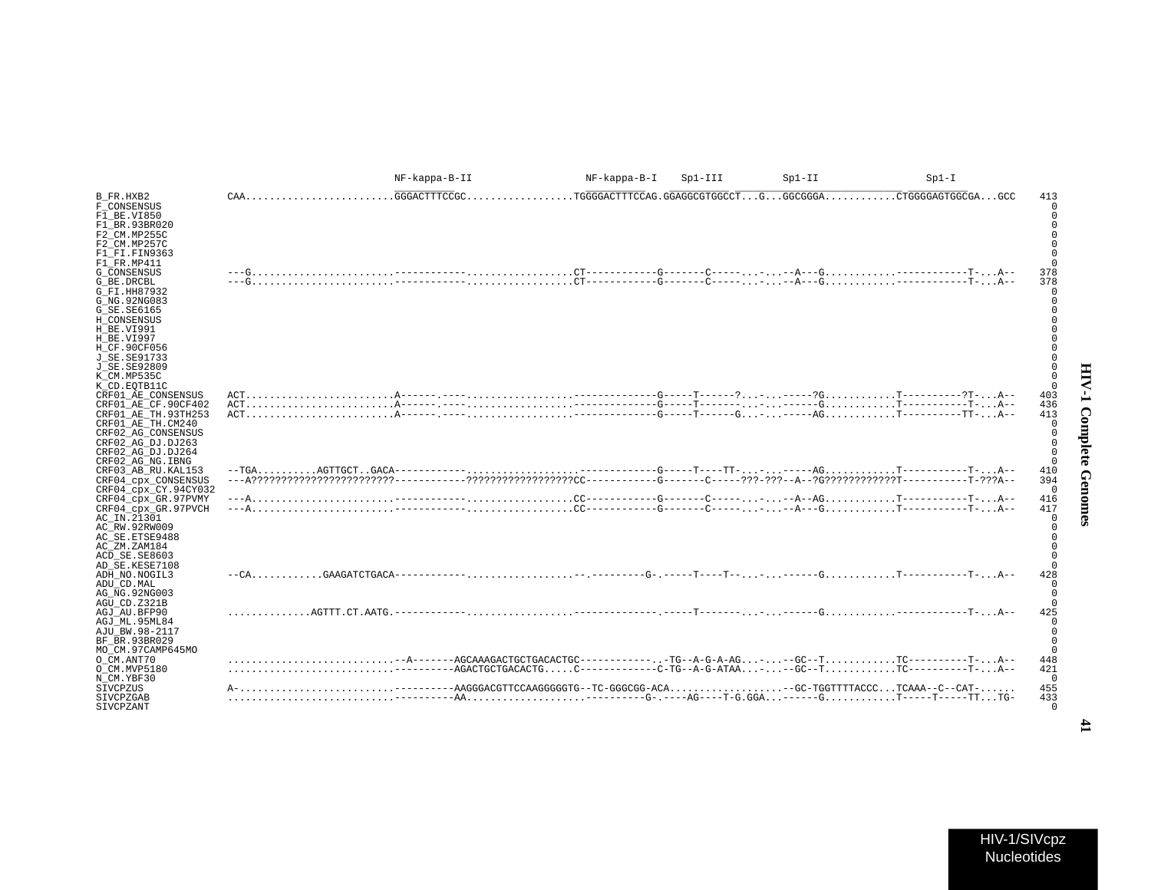|                                                                                                                                                                                                                 |                           | NF-kappa-B-II                                                            | NF-kappa-B-I | $Sp1-III$ | $Sp1-II$ | $Sp1-I$                                                                                                                                      |                                                |
|-----------------------------------------------------------------------------------------------------------------------------------------------------------------------------------------------------------------|---------------------------|--------------------------------------------------------------------------|--------------|-----------|----------|----------------------------------------------------------------------------------------------------------------------------------------------|------------------------------------------------|
| B FR.HXB2<br>F CONSENSUS<br>F1 BE.VI850                                                                                                                                                                         | $CAA$                     | .GGGACTTTCCGC                                                            |              |           |          |                                                                                                                                              | 413                                            |
| F1 BR.93BR020<br>F2 CM.MP255C<br>F2 CM.MP257C<br>F1 FI.FIN9363<br>F1 FR.MP411<br><b>G CONSENSUS</b><br>G BE.DRCBL<br>G FI.HH87932<br>G NG. 92NG083<br>G SE. SE6165<br>H CONSENSUS<br>H BE.VI991<br>H BE.VI997   |                           |                                                                          |              |           |          |                                                                                                                                              | 378<br>378                                     |
| H CF.90CF056<br>J SE. SE91733<br>J SE.SE92809<br>K CM.MP535C<br>K CD.EOTB11C<br>CRF01 AE CONSENSUS<br>CRF01 AE CF.90CF402<br>CRF01 AE TH.93TH253<br>CRF01_AE_TH.CM240<br>CRF02 AG CONSENSUS                     |                           |                                                                          |              |           |          |                                                                                                                                              | 403<br>436<br>413<br>$\cap$                    |
| CRF02 AG DJ.DJ263<br>CRF02 AG DJ.DJ264<br>CRF02 AG NG. IBNG<br>CRF03 AB RU. KAL153<br>CRF04_cpx_CONSENSUS<br>CRF04 cpx CY.94CY032<br>CRF04_cpx_GR.97PVMY<br>CRF04 cpx GR.97PVCH<br>AC IN.21301<br>AC RW.92RW009 |                           |                                                                          |              |           |          |                                                                                                                                              | 410<br>394<br>$\Omega$<br>416<br>417<br>$\cap$ |
| AC SE. ETSE9488<br>AC ZM.ZAM184<br>ACD SE.SE8603<br>AD SE.KESE7108<br>ADH NO. NOGIL3<br>ADU CD. MAL<br>AG NG. 92NG003<br>AGU CD.Z321B                                                                           |                           |                                                                          |              |           |          |                                                                                                                                              | 428                                            |
| AGJ AU.BFP90<br>AGJ ML.95ML84<br>AJU BW.98-2117<br>BF BR.93BR029<br>MO CM.97CAMP645MO<br>O CM.ANT70<br>O CM.MVP5180<br>N CM.YBF30<br>SIVCPZUS                                                                   | AGTTT.CT.AATG.----------- |                                                                          |              |           |          | -AGACTGCTGACACTGC-----------C-TG--A-G-ATAA---GC--TTC----------T-A--<br>----AAGGGACGTTCCAAGGGGGTG--TC-GGGCGG-ACA-GC-TGGTTTTACCCTCAAA--C--CAT- | 425<br>448<br>421<br>$\Omega$<br>455           |
| SIVCPZGAB<br>SIVCPZANT                                                                                                                                                                                          |                           | $\ldots\ldots\ldots\ldots\ldots\ldots\ldots\ldots\ldots\ldots\text{A}\\$ |              |           |          |                                                                                                                                              | 433<br>$\Omega$                                |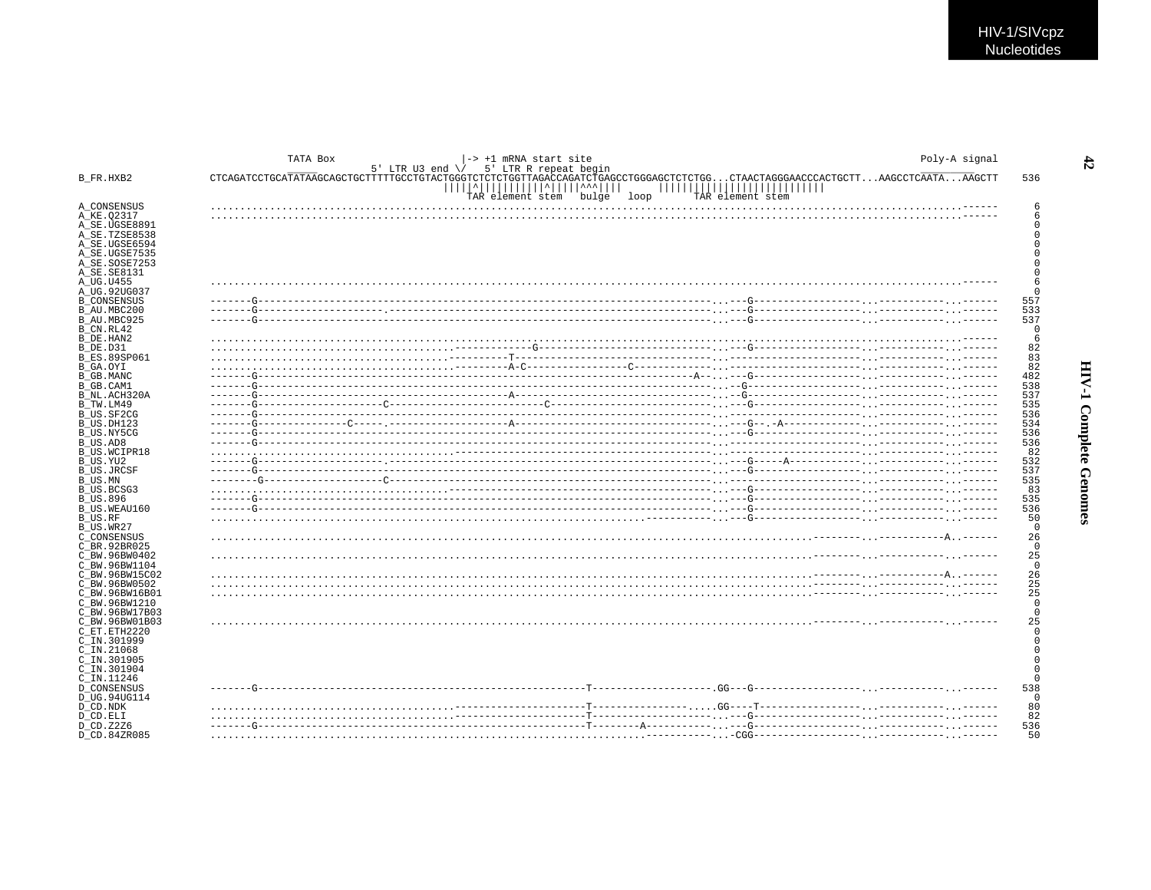|                                 | TATA Box<br>-> +1 mRNA start site<br>5' LTR U3 end $\sqrt{ }$ 5' LTR R repeat begin                                                                    |                                                                                               | Poly-A signal        |
|---------------------------------|--------------------------------------------------------------------------------------------------------------------------------------------------------|-----------------------------------------------------------------------------------------------|----------------------|
| B FR.HXB2                       | CTCAGATCCTGCATATAAGCAGCTGCTTTTTGCCTGTACTGGGTCTCTCTGGTTAGACCAGATCTGAGCCTGGGAGCTCTCTGG<br><u> ^                 ^^</u>     <br>bulge<br>TAR element stem | .CTAACTAGGGAACCCACTGCTTAAGCCTCAATAAAGCTT<br>,,,,,,,,,,,,,,,,,,,,,<br>loop<br>TAR element stem | 536                  |
| A CONSENSUS                     |                                                                                                                                                        |                                                                                               | 6                    |
| A KE.02317                      |                                                                                                                                                        |                                                                                               | 6                    |
| A SE.UGSE8891                   |                                                                                                                                                        |                                                                                               | O                    |
| A_SE.TZSE8538                   |                                                                                                                                                        |                                                                                               | O                    |
| A SE.UGSE6594<br>A SE.UGSE7535  |                                                                                                                                                        |                                                                                               | U                    |
| A SE.SOSE7253                   |                                                                                                                                                        |                                                                                               |                      |
| A SE.SE8131                     |                                                                                                                                                        |                                                                                               | $\Omega$             |
| A UG.U455                       |                                                                                                                                                        |                                                                                               | 6                    |
| A UG.92UG037                    |                                                                                                                                                        |                                                                                               | $\cap$               |
| <b>B CONSENSUS</b>              | $- - - -$                                                                                                                                              |                                                                                               | 557                  |
| B AU.MBC200<br>B AU.MBC925      |                                                                                                                                                        |                                                                                               | 533<br>537           |
| B CN.RL42                       |                                                                                                                                                        |                                                                                               | 0                    |
| B DE.HAN2                       |                                                                                                                                                        |                                                                                               | 6                    |
| B DE.D31                        |                                                                                                                                                        |                                                                                               | 82                   |
| <b>B ES.89SP061</b>             |                                                                                                                                                        |                                                                                               | 83                   |
| B GA.OYI                        |                                                                                                                                                        |                                                                                               | 82                   |
| B GB.MANC                       |                                                                                                                                                        |                                                                                               | 482                  |
| B GB.CAM1<br>B NL.ACH320A       |                                                                                                                                                        |                                                                                               | 538<br>537           |
| B TW.LM49                       |                                                                                                                                                        |                                                                                               | 535                  |
| B US.SF2CG                      | $- - - - -$                                                                                                                                            |                                                                                               | 536                  |
| B US.DH123                      |                                                                                                                                                        |                                                                                               | 534                  |
| B US.NY5CG                      |                                                                                                                                                        |                                                                                               | 536                  |
| B US.AD8                        |                                                                                                                                                        |                                                                                               | 536                  |
| <b>B US.WCIPR18</b>             |                                                                                                                                                        |                                                                                               | 82                   |
| B US.YU2<br><b>B US.JRCSF</b>   |                                                                                                                                                        |                                                                                               | 532<br>537           |
| B US.MN                         |                                                                                                                                                        |                                                                                               | 535                  |
| B US.BCSG3                      |                                                                                                                                                        |                                                                                               | 83                   |
| B US.896                        |                                                                                                                                                        |                                                                                               | 535                  |
| B US.WEAU160                    |                                                                                                                                                        |                                                                                               | 536                  |
| B US.RF<br>B US.WR27            |                                                                                                                                                        |                                                                                               | 50<br>$\Omega$       |
| C CONSENSUS                     |                                                                                                                                                        |                                                                                               | 26                   |
| C BR.92BR025                    |                                                                                                                                                        |                                                                                               | $\overline{0}$       |
| C BW.96BW0402                   |                                                                                                                                                        |                                                                                               | 25                   |
| C BW.96BW1104                   |                                                                                                                                                        |                                                                                               | $\overline{0}$       |
| C BW.96BW15C02                  |                                                                                                                                                        |                                                                                               | 26                   |
| C BW.96BW0502                   |                                                                                                                                                        |                                                                                               | 25<br>25             |
| C BW.96BW16B01<br>C BW.96BW1210 |                                                                                                                                                        |                                                                                               | $\overline{0}$       |
| C BW.96BW17B03                  |                                                                                                                                                        |                                                                                               | $\mathbf 0$          |
| C BW.96BW01B03                  |                                                                                                                                                        |                                                                                               | 25                   |
| C ET.ETH2220                    |                                                                                                                                                        |                                                                                               | $\Omega$             |
| C IN.301999                     |                                                                                                                                                        |                                                                                               | $\Omega$             |
| $C$ IN. 21068                   |                                                                                                                                                        |                                                                                               | $\Omega$<br>$\Omega$ |
| C IN.301905<br>$C$ IN.301904    |                                                                                                                                                        |                                                                                               | $\Omega$             |
| C IN.11246                      |                                                                                                                                                        |                                                                                               | $\Omega$             |
| <b>D CONSENSUS</b>              |                                                                                                                                                        |                                                                                               | 538                  |
| D UG.94UG114                    |                                                                                                                                                        |                                                                                               | $\overline{0}$       |
| D CD.NDK                        |                                                                                                                                                        |                                                                                               | 80                   |
| D CD.ELI                        |                                                                                                                                                        |                                                                                               | 82                   |
| D CD.Z2Z6<br>D CD.84ZR085       |                                                                                                                                                        |                                                                                               | 536<br>50            |
|                                 |                                                                                                                                                        |                                                                                               |                      |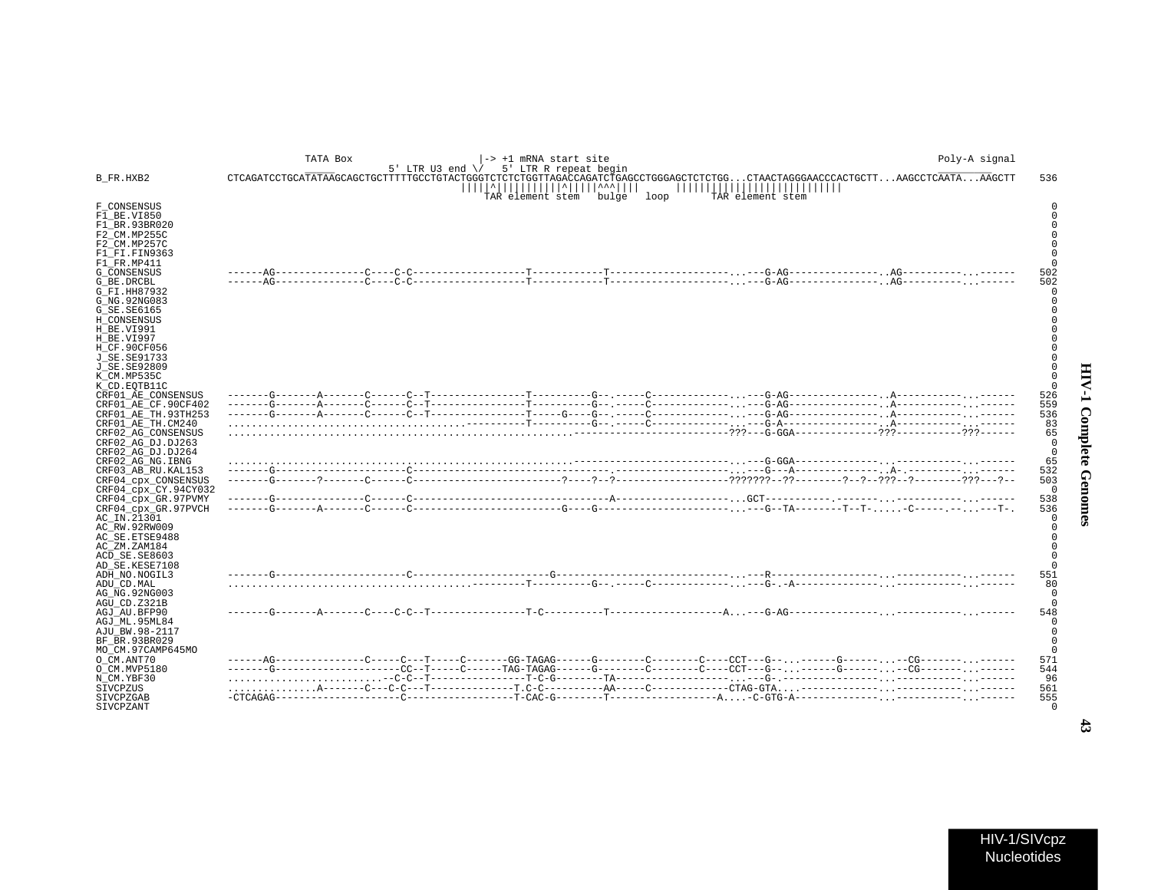|                                                                                                                                                                                                       | TATA Box | 5' LTR U3 end $\sqrt{ }$ 5' LTR R repeat begin | -> +1 mRNA start site             |  |                        |                                                                                                                             | Poly-A signal |                 |
|-------------------------------------------------------------------------------------------------------------------------------------------------------------------------------------------------------|----------|------------------------------------------------|-----------------------------------|--|------------------------|-----------------------------------------------------------------------------------------------------------------------------|---------------|-----------------|
| B_FR.HXB2                                                                                                                                                                                             |          |                                                | <u> ^           ^     ^^^    </u> |  | ,,,,,,,,,,,,,,,,,,,,,, | CTCAGATCCTGCATATAAGCAGCTGCTTTTTGCCTGTACTGGGTCTCTCTGGTTAGACCAGATCTGAGCCTGGGAGCTCTCTGGCTAACTAGGGAACCCACTGCTTAAGCCTCAATAAAGCTT |               | 536             |
| F CONSENSUS<br>F1 BE.VI850<br>F1 BR.93BR020<br>F2 CM.MP255C<br>F2 CM.MP257C<br>F1 FI.FIN9363<br>F1 FR.MP411                                                                                           |          |                                                | TAR element stem bulge loop       |  | TAR element stem       |                                                                                                                             |               |                 |
| G CONSENSUS<br>G BE.DRCBL<br>G FI.HH87932<br>G NG. 92NG083<br>G_SE.SE6165<br>H CONSENSUS<br>H BE.VI991<br>H BE.VI997<br>H CF.90CF056<br>J SE. SE91733<br>J SE. SE92809<br>K CM.MP535C<br>K CD.EOTB11C |          |                                                |                                   |  |                        |                                                                                                                             |               | 502<br>502      |
| CRF01 AE CONSENSUS                                                                                                                                                                                    |          |                                                |                                   |  |                        |                                                                                                                             |               | 526             |
| CRF01 AE CF.90CF402<br>CRF01 AE TH.93TH253                                                                                                                                                            |          |                                                |                                   |  |                        |                                                                                                                             |               | 559<br>536      |
| CRF01_AE_TH.CM240                                                                                                                                                                                     |          |                                                |                                   |  |                        |                                                                                                                             |               | 83              |
| CRF02 AG CONSENSUS                                                                                                                                                                                    |          |                                                |                                   |  |                        |                                                                                                                             |               | 65              |
| CRF02 AG DJ.DJ263<br>CRF02 AG DJ.DJ264                                                                                                                                                                |          |                                                |                                   |  |                        |                                                                                                                             |               | $\Omega$        |
| CRF02_AG_NG.IBNG                                                                                                                                                                                      |          |                                                |                                   |  |                        |                                                                                                                             |               | 65              |
| CRF03 AB RU. KAL153                                                                                                                                                                                   |          |                                                |                                   |  |                        |                                                                                                                             |               | 532             |
| CRF04_cpx_CONSENSUS<br>CRF04_cpx_CY.94CY032                                                                                                                                                           |          |                                                |                                   |  |                        |                                                                                                                             |               | 503<br>$\Omega$ |
| CRF04_cpx_GR.97PVMY                                                                                                                                                                                   |          |                                                |                                   |  |                        |                                                                                                                             |               | 538<br>536      |
| CRF04 cpx GR.97PVCH<br>AC IN.21301<br>AC RW.92RW009<br>AC SE. ETSE9488<br>AC ZM.ZAM184<br>ACD SE.SE8603                                                                                               |          |                                                |                                   |  |                        |                                                                                                                             |               |                 |
| AD SE.KESE7108                                                                                                                                                                                        |          |                                                |                                   |  |                        |                                                                                                                             |               |                 |
| ADH NO.NOGIL3                                                                                                                                                                                         |          |                                                |                                   |  |                        |                                                                                                                             |               | 551             |
| ADU CD.MAL<br>AG NG. 92NG003<br>AGU CD.Z321B                                                                                                                                                          |          |                                                |                                   |  |                        |                                                                                                                             |               | 80              |
| AGJ AU.BFP90                                                                                                                                                                                          |          |                                                |                                   |  |                        |                                                                                                                             |               | 548             |
| AGJ ML.95ML84<br>AJU BW.98-2117<br>BF BR.93BR029<br>MO CM.97CAMP645MO                                                                                                                                 |          |                                                |                                   |  |                        |                                                                                                                             |               |                 |
| O CM.ANT70                                                                                                                                                                                            |          |                                                |                                   |  |                        |                                                                                                                             |               | 571             |
| O CM.MVP5180                                                                                                                                                                                          |          |                                                |                                   |  |                        | ------G-----------------CC--T-----C------TAG-TAGAG------G--------C-----C----G--------G-------CG------------                 |               | 544             |
| N CM.YBF30                                                                                                                                                                                            |          |                                                |                                   |  |                        |                                                                                                                             |               | 96              |
| SIVCPZUS                                                                                                                                                                                              |          |                                                |                                   |  |                        |                                                                                                                             |               | 561             |
| SIVCPZGAB<br>SIVCPZANT                                                                                                                                                                                |          |                                                |                                   |  |                        |                                                                                                                             |               | 555             |

HIV-1/SIVcpz Nucleotides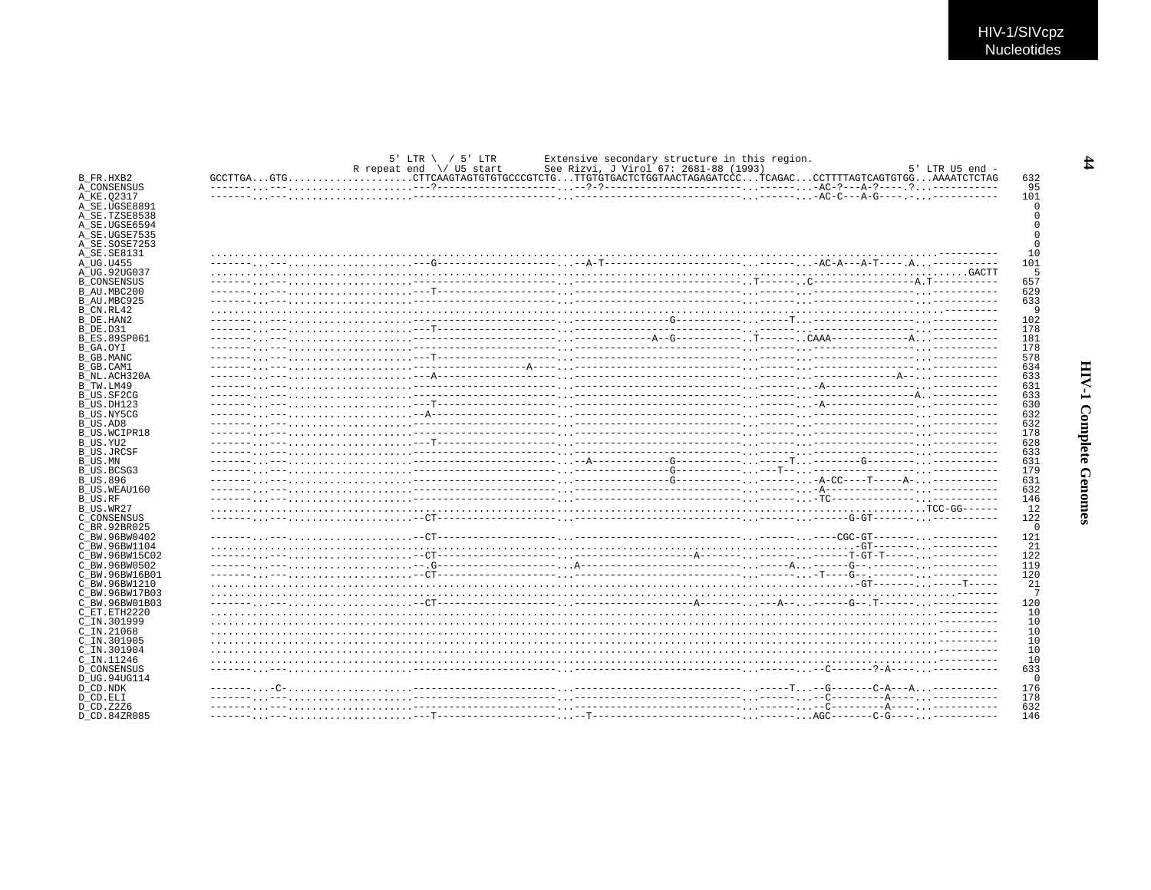|                     | $5'$ LTR \ / $5'$ LTR<br>Extensive secondary structure in this region.<br>R repeat end $\setminus$ U5 start<br>See Rizvi, J Virol 67: 2681-88 (1993) |  | $5'$ LTR U5 end $-$ |
|---------------------|------------------------------------------------------------------------------------------------------------------------------------------------------|--|---------------------|
| B FR.HXB2           | GCCTTGAGTGCTTCAAGTAGTGTGTGCCCGTCTGTTGTGTGACTCTGGTAACTAGAGATCCCTCAGACCCTTTTAGTCAGTGTGGAAAATCTCTAG                                                     |  | 632                 |
| A_CONSENSUS         |                                                                                                                                                      |  | 95                  |
| A KE.02317          |                                                                                                                                                      |  | 101                 |
| A SE.UGSE8891       |                                                                                                                                                      |  |                     |
| A SE.TZSE8538       |                                                                                                                                                      |  |                     |
| A SE.UGSE6594       |                                                                                                                                                      |  |                     |
| A SE.UGSE7535       |                                                                                                                                                      |  |                     |
| A SE.SOSE7253       |                                                                                                                                                      |  |                     |
| A SE.SE8131         |                                                                                                                                                      |  | 10                  |
| A UG.U455           |                                                                                                                                                      |  | 101                 |
| A UG.92UG037        |                                                                                                                                                      |  | -5                  |
| <b>B CONSENSUS</b>  |                                                                                                                                                      |  | 657                 |
| B AU.MBC200         |                                                                                                                                                      |  | 629                 |
| B AU.MBC925         |                                                                                                                                                      |  | 633                 |
| B CN.RL42           |                                                                                                                                                      |  | <sub>9</sub>        |
| B DE.HAN2           |                                                                                                                                                      |  | 102                 |
| B DE.D31            |                                                                                                                                                      |  | 178                 |
| <b>B ES.89SP061</b> |                                                                                                                                                      |  | 181                 |
| B GA.OYI            |                                                                                                                                                      |  | 178                 |
| B GB.MANC           |                                                                                                                                                      |  | 578                 |
| B GB.CAM1           |                                                                                                                                                      |  | 634                 |
|                     |                                                                                                                                                      |  | 633                 |
| B NL.ACH320A        |                                                                                                                                                      |  | 631                 |
| B TW.LM49           |                                                                                                                                                      |  |                     |
| B US.SF2CG          |                                                                                                                                                      |  | 633                 |
| B US.DH123          |                                                                                                                                                      |  | 630                 |
| B US.NY5CG          |                                                                                                                                                      |  | 632                 |
| B US.AD8            |                                                                                                                                                      |  | 632                 |
| <b>B US.WCIPR18</b> |                                                                                                                                                      |  | 178                 |
| B US.YU2            |                                                                                                                                                      |  | 628                 |
| B US.JRCSF          |                                                                                                                                                      |  | 633                 |
| B US.MN             |                                                                                                                                                      |  | 631                 |
| B US.BCSG3          |                                                                                                                                                      |  | 179                 |
| B US.896            |                                                                                                                                                      |  | 631                 |
| B US.WEAU160        |                                                                                                                                                      |  | 632                 |
| B US.RF             |                                                                                                                                                      |  | 146                 |
| B US.WR27           |                                                                                                                                                      |  | 12                  |
| C CONSENSUS         |                                                                                                                                                      |  | 122                 |
| C BR.92BR025        |                                                                                                                                                      |  | $\cap$              |
| C BW.96BW0402       |                                                                                                                                                      |  | 121                 |
| C BW.96BW1104       |                                                                                                                                                      |  | 21                  |
| C BW.96BW15C02      |                                                                                                                                                      |  | 122                 |
| C BW.96BW0502       |                                                                                                                                                      |  | 119                 |
| C BW.96BW16B01      |                                                                                                                                                      |  | 120                 |
| C BW 96BW1210       |                                                                                                                                                      |  | 21                  |
|                     |                                                                                                                                                      |  | 7                   |
| C BW.96BW17B03      |                                                                                                                                                      |  |                     |
| C BW.96BW01B03      |                                                                                                                                                      |  | 120                 |
| C ET. ETH2220       |                                                                                                                                                      |  | 10                  |
| C IN.301999         |                                                                                                                                                      |  | 10                  |
| C IN.21068          |                                                                                                                                                      |  | 10                  |
| C IN.301905         |                                                                                                                                                      |  | 10                  |
| C IN.301904         |                                                                                                                                                      |  | 10                  |
| C IN.11246          |                                                                                                                                                      |  | 10                  |
| D CONSENSUS         |                                                                                                                                                      |  | 633                 |
| D UG.94UG114        |                                                                                                                                                      |  | $\Omega$            |
| D CD.NDK            |                                                                                                                                                      |  | 176                 |
| D CD.ELI            |                                                                                                                                                      |  | 178                 |
| D CD.Z2Z6           |                                                                                                                                                      |  | 632                 |
| D CD.84ZR085        |                                                                                                                                                      |  | 146                 |
|                     |                                                                                                                                                      |  |                     |

 $\frac{4}{4}$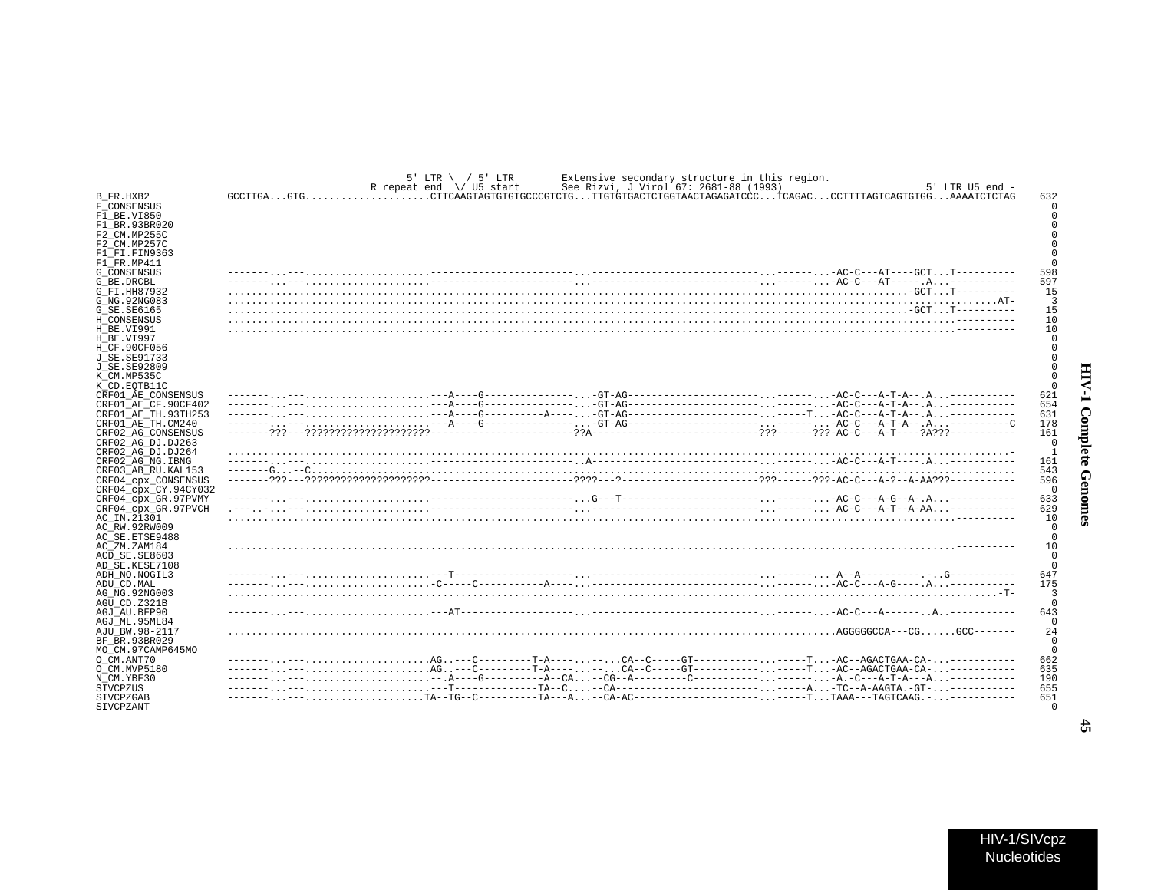| Ė                            |  |
|------------------------------|--|
| ١<br>$\frac{1}{2}$<br>ة<br>م |  |
| ì<br>٦                       |  |

|                      | $5'$ LTR \ / $5'$ LTR<br>R repeat end \/ U5 start                                              | Extensive secondary structure in this region.<br>See Rizvi, J Virol 67: 2681-88 (1993) | $5'$ LTR U5 end - |
|----------------------|------------------------------------------------------------------------------------------------|----------------------------------------------------------------------------------------|-------------------|
| B FR.HXB2            | GCCTTGAGTGCTTCAAGTAGTGTGCCCGTCTGTTGTGTGACTCTGGTAACTAGAGATCCCTCAGACCCTTTTAGTCAGTGTGGAAAATCTCTAG |                                                                                        | 632               |
| F CONSENSUS          |                                                                                                |                                                                                        |                   |
| F1 BE.VI850          |                                                                                                |                                                                                        |                   |
| F1 BR.93BR020        |                                                                                                |                                                                                        |                   |
|                      |                                                                                                |                                                                                        |                   |
| F2 CM.MP255C         |                                                                                                |                                                                                        |                   |
| F2 CM.MP257C         |                                                                                                |                                                                                        |                   |
| F1 FI.FIN9363        |                                                                                                |                                                                                        |                   |
| F1 FR.MP411          |                                                                                                |                                                                                        |                   |
| <b>G CONSENSUS</b>   |                                                                                                |                                                                                        | 598               |
| G BE.DRCBL           |                                                                                                |                                                                                        | 597               |
| G FI.HH87932         |                                                                                                |                                                                                        | 15                |
| G NG. 92NG083        |                                                                                                |                                                                                        | -3                |
| G SE. SE6165         |                                                                                                |                                                                                        | 15                |
| H CONSENSUS          |                                                                                                |                                                                                        | 10                |
| H BE.VI991           |                                                                                                |                                                                                        | 10                |
| H BE.VI997           |                                                                                                |                                                                                        | $\Omega$          |
| H CF.90CF056         |                                                                                                |                                                                                        |                   |
| J SE. SE91733        |                                                                                                |                                                                                        |                   |
| J SE. SE92809        |                                                                                                |                                                                                        |                   |
| K CM.MP535C          |                                                                                                |                                                                                        |                   |
| K CD. EOTB11C        |                                                                                                |                                                                                        |                   |
| CRF01 AE CONSENSUS   |                                                                                                |                                                                                        | 621               |
| CRF01 AE CF.90CF402  |                                                                                                |                                                                                        | 654               |
| CRF01 AE TH.93TH253  |                                                                                                |                                                                                        | 631               |
| CRF01 AE TH.CM240    |                                                                                                |                                                                                        | 178               |
| CRF02 AG CONSENSUS   |                                                                                                |                                                                                        | 161               |
| CRF02 AG DJ.DJ263    |                                                                                                |                                                                                        | $^{\circ}$        |
| CRF02 AG DJ.DJ264    |                                                                                                |                                                                                        | $\overline{1}$    |
| CRF02 AG NG. IBNG    |                                                                                                |                                                                                        | 161               |
| CRF03 AB RU. KAL153  |                                                                                                |                                                                                        | 543               |
| CRF04 cpx CONSENSUS  |                                                                                                |                                                                                        | 596               |
|                      |                                                                                                |                                                                                        | $\sqrt{ }$        |
| CRF04 cpx CY.94CY032 |                                                                                                |                                                                                        | 633               |
| CRF04 cpx GR.97PVMY  |                                                                                                |                                                                                        |                   |
| CRF04 cpx GR.97PVCH  |                                                                                                |                                                                                        | 629               |
| AC IN.21301          |                                                                                                |                                                                                        | 10                |
| AC RW.92RW009        |                                                                                                |                                                                                        | $\Omega$          |
| AC SE. ETSE9488      |                                                                                                |                                                                                        | $\Omega$          |
| AC ZM.ZAM184         |                                                                                                |                                                                                        | 10                |
| ACD SE.SE8603        |                                                                                                |                                                                                        | $\Omega$          |
| AD SE.KESE7108       |                                                                                                |                                                                                        | $\Omega$          |
| ADH NO.NOGIL3        |                                                                                                |                                                                                        | 647               |
| ADU CD.MAL           |                                                                                                |                                                                                        | 175               |
| AG NG. 92NG003       |                                                                                                |                                                                                        | ्र                |
| AGU CD.Z321B         |                                                                                                |                                                                                        | $\sqrt{ }$        |
| AGJ AU.BFP90         |                                                                                                |                                                                                        | 643               |
| AGJ ML.95ML84        |                                                                                                |                                                                                        | $\Omega$          |
| AJU BW.98-2117       |                                                                                                |                                                                                        | 24                |
| BF BR.93BR029        |                                                                                                |                                                                                        | $\Omega$          |
| MO CM.97CAMP645MO    |                                                                                                |                                                                                        | $\mathbf 0$       |
| O CM.ANT70           | ----------AG--C--------T-A----CA--C-----GT-------------T-AC--AGACTGAA-CA-----------            |                                                                                        | 662               |
| O_CM.MVP5180         | ----------AG---C---------T-A----CA--C-----GT---------------T-AC--AGACTGAA-CA-                  |                                                                                        | 635               |
| N CM.YBF30           |                                                                                                |                                                                                        | 190               |
| SIVCPZUS             |                                                                                                |                                                                                        | 655               |
| SIVCPZGAB            |                                                                                                |                                                                                        | 651               |
| SIVCPZANT            |                                                                                                |                                                                                        | $\overline{0}$    |

 $\frac{4}{5}$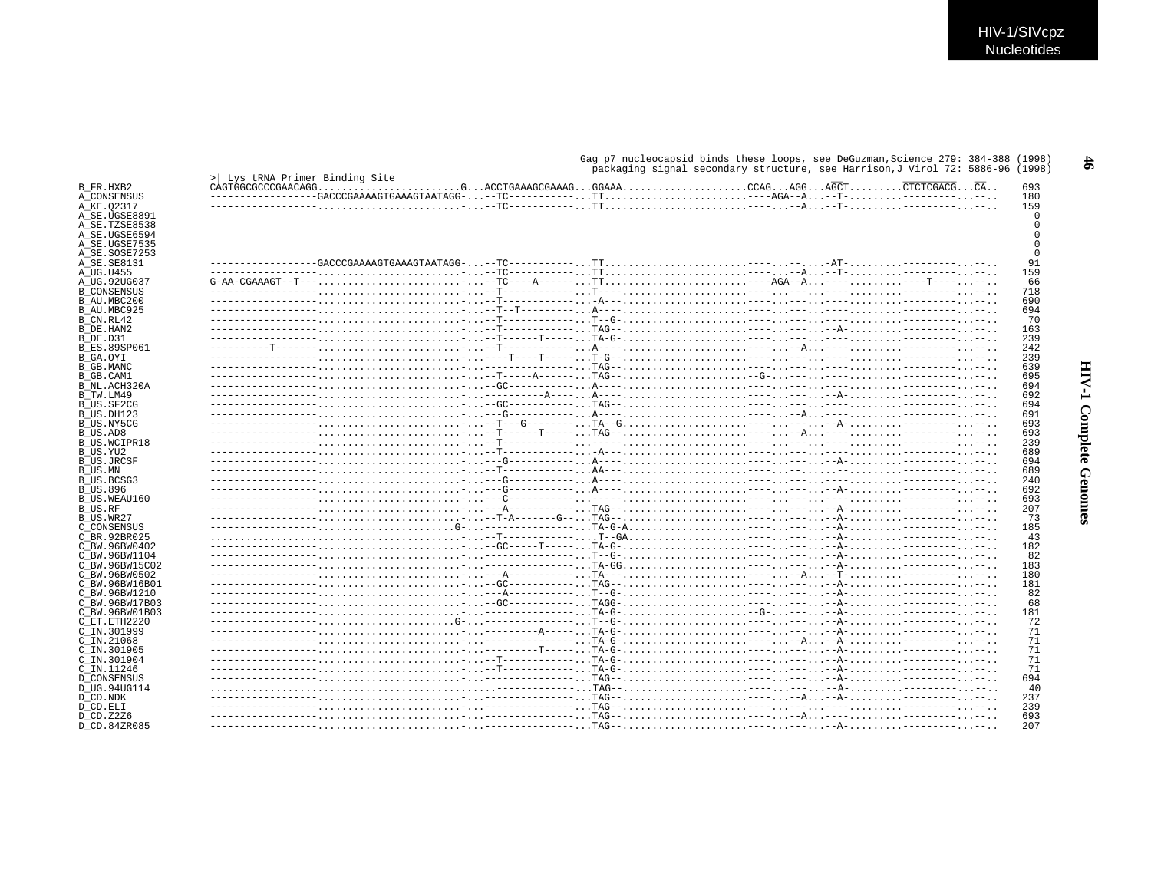Gag p7 nucleocapsid binds these loops, see DeGuzman, Science 279: 384-388 (1998)  $998)$ 

|                                    |                                |                                                                            | packaging signal secondary structure, see Harrison, J Virol 72: 5886-96 (1998 |  |            |
|------------------------------------|--------------------------------|----------------------------------------------------------------------------|-------------------------------------------------------------------------------|--|------------|
| B FR.HXB2                          | > Ivs tRNA Primer Binding Site |                                                                            |                                                                               |  | 693        |
| A CONSENSUS                        |                                | $---------GACCCGAAAAGTGAAAGTAAATAGG---TC---------TT---AGA--A--T----------$ |                                                                               |  | 180        |
| A KE.02317                         |                                |                                                                            |                                                                               |  | 159        |
| A SE.UGSE8891                      |                                |                                                                            |                                                                               |  |            |
| A SE.TZSE8538                      |                                |                                                                            |                                                                               |  |            |
| A SE.UGSE6594                      |                                |                                                                            |                                                                               |  |            |
| A SE.UGSE7535                      |                                |                                                                            |                                                                               |  |            |
| A SE.SOSE7253                      |                                |                                                                            |                                                                               |  |            |
| A_SE.SE8131                        |                                |                                                                            |                                                                               |  | 91         |
| A UG.U455                          |                                |                                                                            |                                                                               |  | 159<br>66  |
| A UG.92UG037<br><b>B CONSENSUS</b> |                                |                                                                            |                                                                               |  | 718        |
| B AU.MBC200                        |                                |                                                                            |                                                                               |  | 690        |
| B AU.MBC925                        |                                |                                                                            |                                                                               |  | 694        |
| B CN.RL42                          |                                |                                                                            |                                                                               |  | 70         |
| B DE.HAN2                          |                                |                                                                            |                                                                               |  | 163        |
| B DE.D31                           |                                |                                                                            |                                                                               |  | 239        |
| <b>B ES.89SP061</b>                |                                |                                                                            |                                                                               |  | 242        |
| B GA.OYI                           |                                |                                                                            |                                                                               |  | 239        |
| B GB.MANC                          |                                |                                                                            |                                                                               |  | 639        |
| B GB.CAM1                          |                                |                                                                            |                                                                               |  | 695        |
| B NL.ACH320A                       |                                |                                                                            |                                                                               |  | 694        |
| B TW.LM49                          |                                |                                                                            |                                                                               |  | 692        |
| B US.SF2CG                         |                                |                                                                            |                                                                               |  | 694        |
| B US.DH123                         |                                |                                                                            |                                                                               |  | 691        |
| B US.NY5CG                         |                                |                                                                            |                                                                               |  | 693        |
| B US.AD8                           |                                |                                                                            |                                                                               |  | 693<br>239 |
| B US.WCIPR18<br>B US.YU2           |                                |                                                                            |                                                                               |  | 689        |
| <b>B US.JRCSF</b>                  |                                |                                                                            |                                                                               |  | 694        |
| B US.MN                            |                                |                                                                            |                                                                               |  | 689        |
| B US.BCSG3                         |                                |                                                                            |                                                                               |  | 240        |
| <b>B US.896</b>                    |                                |                                                                            |                                                                               |  | 692        |
| B US.WEAU160                       |                                |                                                                            |                                                                               |  | 693        |
| B US.RF                            |                                |                                                                            |                                                                               |  | 207        |
| B US.WR27                          |                                |                                                                            |                                                                               |  | 73         |
| C CONSENSUS                        |                                |                                                                            |                                                                               |  | 185        |
| C BR.92BR025                       |                                |                                                                            |                                                                               |  | 43         |
| C BW.96BW0402                      |                                |                                                                            |                                                                               |  | 182        |
| C BW.96BW1104                      |                                |                                                                            |                                                                               |  | 82         |
| C BW.96BW15C02<br>C BW.96BW0502    |                                |                                                                            |                                                                               |  | 183<br>180 |
| C BW.96BW16B01                     |                                |                                                                            |                                                                               |  | 181        |
| C BW.96BW1210                      |                                |                                                                            |                                                                               |  | 82         |
| C BW.96BW17B03                     |                                |                                                                            |                                                                               |  | 68         |
| C BW.96BW01B03                     |                                |                                                                            |                                                                               |  | 181        |
| C ET. ETH2220                      |                                |                                                                            |                                                                               |  | 72         |
| C IN.301999                        |                                |                                                                            |                                                                               |  | 71         |
| $C$ IN. 21068                      |                                |                                                                            |                                                                               |  | 71         |
| C IN.301905                        |                                |                                                                            |                                                                               |  | 71         |
| C IN.301904                        |                                |                                                                            |                                                                               |  | 71         |
| C IN.11246                         |                                |                                                                            |                                                                               |  | 71         |
| <b>D CONSENSUS</b>                 |                                |                                                                            |                                                                               |  | 694        |
| D UG.94UG114                       |                                |                                                                            |                                                                               |  | 40         |
| D CD.NDK                           |                                |                                                                            |                                                                               |  | 237<br>239 |
| D CD.ELI<br>D CD. Z2Z6             |                                |                                                                            |                                                                               |  | 693        |
| D CD.84ZR085                       |                                |                                                                            |                                                                               |  | 207        |
|                                    |                                |                                                                            |                                                                               |  |            |

 $\frac{4}{5}$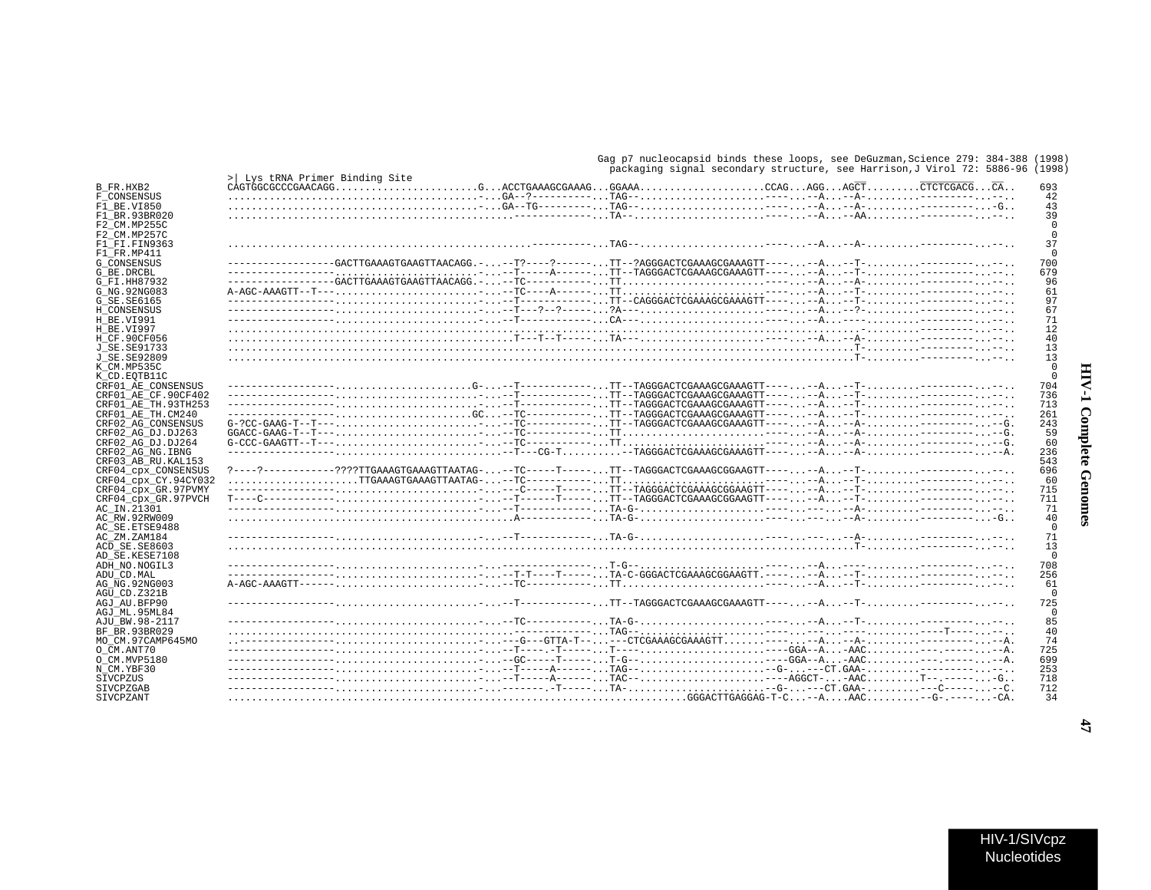## HIV-1 Complete Genomes

| HIV-1/SIVcpz       |
|--------------------|
| <b>Nucleotides</b> |

|  | Gag p7 nucleocapsid binds these loops, see DeGuzman, Science 279: 384-388 (1998) |  |
|--|----------------------------------------------------------------------------------|--|
|  | packaging signal secondary structure, see Harrison, J Virol 72: 5886-96 (1998)   |  |

|                               |                                                                                                                                                                                                                                                            | packaging signal secondary structure, see harrison,o virol 72. | \エンジC                      |
|-------------------------------|------------------------------------------------------------------------------------------------------------------------------------------------------------------------------------------------------------------------------------------------------------|----------------------------------------------------------------|----------------------------|
| B FR.HXB2                     | > Lys tRNA Primer Binding Site                                                                                                                                                                                                                             |                                                                | 693                        |
| F CONSENSUS                   |                                                                                                                                                                                                                                                            |                                                                | 42                         |
| F1 BE.VI850                   |                                                                                                                                                                                                                                                            |                                                                | 43                         |
| F1 BR.93BR020                 |                                                                                                                                                                                                                                                            |                                                                | 39                         |
| F2 CM.MP255C                  |                                                                                                                                                                                                                                                            |                                                                | $\Omega$<br>$\overline{0}$ |
| F2 CM.MP257C<br>F1 FI.FIN9363 |                                                                                                                                                                                                                                                            |                                                                | 37                         |
| F1 FR.MP411                   |                                                                                                                                                                                                                                                            |                                                                | $\Omega$                   |
| G CONSENSUS                   | ----------------GACTTGAAAGTGAAGTTAACAGG.---T?----?-----TT--?AGGGACTCGAAAGCGAAAGTT------A--T------------.                                                                                                                                                   |                                                                | 700                        |
| G BE.DRCBL                    |                                                                                                                                                                                                                                                            |                                                                | 679                        |
| G FI.HH87932                  | $---------GACTIGAAGTTGAAGTGAAGTTAACAGG. ---TC---------TT-------A--A----A-------$                                                                                                                                                                           |                                                                | 96                         |
| G NG. 92NG083                 |                                                                                                                                                                                                                                                            |                                                                | 61                         |
| G SE. SE6165                  |                                                                                                                                                                                                                                                            |                                                                | 97                         |
| H CONSENSUS                   |                                                                                                                                                                                                                                                            |                                                                | 67                         |
| H BE.VI991                    |                                                                                                                                                                                                                                                            |                                                                | 71                         |
| H BE.VI997                    |                                                                                                                                                                                                                                                            |                                                                | 12                         |
| H CF.90CF056                  |                                                                                                                                                                                                                                                            |                                                                | 40                         |
| J SE. SE91733                 |                                                                                                                                                                                                                                                            |                                                                | 13                         |
| J SE. SE92809                 |                                                                                                                                                                                                                                                            |                                                                | 13                         |
| K CM.MP535C                   |                                                                                                                                                                                                                                                            |                                                                | $\Omega$                   |
|                               |                                                                                                                                                                                                                                                            |                                                                | $\overline{0}$             |
| K CD.EOTB11C                  |                                                                                                                                                                                                                                                            |                                                                |                            |
| CRF01 AE CONSENSUS            |                                                                                                                                                                                                                                                            |                                                                | 704                        |
| CRF01 AE CF.90CF402           |                                                                                                                                                                                                                                                            |                                                                | 736                        |
| CRF01 AE TH.93TH253           |                                                                                                                                                                                                                                                            |                                                                | 713                        |
| CRF01 AE TH.CM240             | $-\texttt{---}--\texttt{---}--\texttt{---},\dots,\dots,\dots,\dots,\texttt{GC},\dots-\texttt{TC---}--\texttt{---}--\dots,\texttt{TT--TAGGGACTCGAAAGCGAAAGTT---},\dots,\texttt{--A},\dots,\texttt{-T-},\dots,\dots,\texttt{-----},\dots,\texttt{---},\dots$ |                                                                | 261                        |
| CRF02 AG CONSENSUS            |                                                                                                                                                                                                                                                            |                                                                | 243                        |
| CRF02 AG DJ.DJ263             |                                                                                                                                                                                                                                                            |                                                                | 59                         |
| CRF02 AG DJ.DJ264             |                                                                                                                                                                                                                                                            |                                                                | 60                         |
| CRF02 AG NG. IBNG             |                                                                                                                                                                                                                                                            |                                                                | 236                        |
| CRF03 AB RU. KAL153           |                                                                                                                                                                                                                                                            |                                                                | 543                        |
| CRF04 CPX CONSENSUS           | ?----?-----------????TTGAAAGTGAAAGTTAATAG---TC-----T-----TT--TAGGGACTCGAAAGCGGAAGTT------A--T------------.                                                                                                                                                 |                                                                | 696                        |
| CRF04_cpx_CY.94CY032          |                                                                                                                                                                                                                                                            |                                                                | 60                         |
| CRF04 cpx GR.97PVMY           |                                                                                                                                                                                                                                                            |                                                                | 715                        |
| CRF04 cpx GR.97PVCH           | $T^{---C------------}, \ldots, \ldots, \ldots, \ldots, \ldots, \ldots, -1, \ldots, -T^{-----}-T^{---}-1$ TT--TAGGGACTCGAAAGCGGAAGTT------A--T------------                                                                                                  |                                                                | 711                        |
| AC IN.21301                   |                                                                                                                                                                                                                                                            |                                                                | 71                         |
| AC RW.92RW009                 |                                                                                                                                                                                                                                                            |                                                                | 40                         |
| AC SE. ETSE9488               |                                                                                                                                                                                                                                                            |                                                                | $\overline{0}$             |
| AC ZM.ZAM184                  |                                                                                                                                                                                                                                                            |                                                                | 71                         |
|                               |                                                                                                                                                                                                                                                            |                                                                | 13                         |
| ACD SE.SE8603                 |                                                                                                                                                                                                                                                            |                                                                | $\overline{0}$             |
| AD SE.KESE7108                |                                                                                                                                                                                                                                                            |                                                                |                            |
| ADH NO.NOGIL3                 |                                                                                                                                                                                                                                                            |                                                                | 708                        |
| ADU CD.MAL                    |                                                                                                                                                                                                                                                            |                                                                | 256                        |
| AG NG. 92NG003                |                                                                                                                                                                                                                                                            |                                                                | 61                         |
| AGU CD.Z321B                  |                                                                                                                                                                                                                                                            |                                                                | $\Omega$                   |
| AGJ AU.BFP90                  |                                                                                                                                                                                                                                                            |                                                                | 725                        |
| AGJ ML.95ML84                 |                                                                                                                                                                                                                                                            |                                                                | $\Omega$                   |
| AJU BW.98-2117                |                                                                                                                                                                                                                                                            |                                                                | 85                         |
| BF BR.93BR029                 |                                                                                                                                                                                                                                                            |                                                                | 40                         |
| MO CM.97CAMP645MO             | $\ldots$ ---------------, $\ldots\ldots\ldots\ldots\ldots\ldots\ldots\ldots$ ----G---GTTA-T-- $\ldots\ldots\text{--CTCGAAAGCGAAAGTT}\ldots\ldots\ldots\text{--A}\ldots\text{--A}\ldots\ldots\ldots\ldots\text{--1}\ldots\ldots\text{-A}$                   |                                                                | 74                         |
| O CM.ANT70                    |                                                                                                                                                                                                                                                            |                                                                | 725                        |
| O CM.MVP5180                  |                                                                                                                                                                                                                                                            |                                                                | 699                        |
| N CM.YBF30                    |                                                                                                                                                                                                                                                            |                                                                | 253                        |
| SIVCPZUS                      |                                                                                                                                                                                                                                                            |                                                                | 718                        |
| SIVCPZGAB                     |                                                                                                                                                                                                                                                            |                                                                | 712                        |
| SIVCPZANT                     |                                                                                                                                                                                                                                                            |                                                                | 34                         |
|                               |                                                                                                                                                                                                                                                            |                                                                |                            |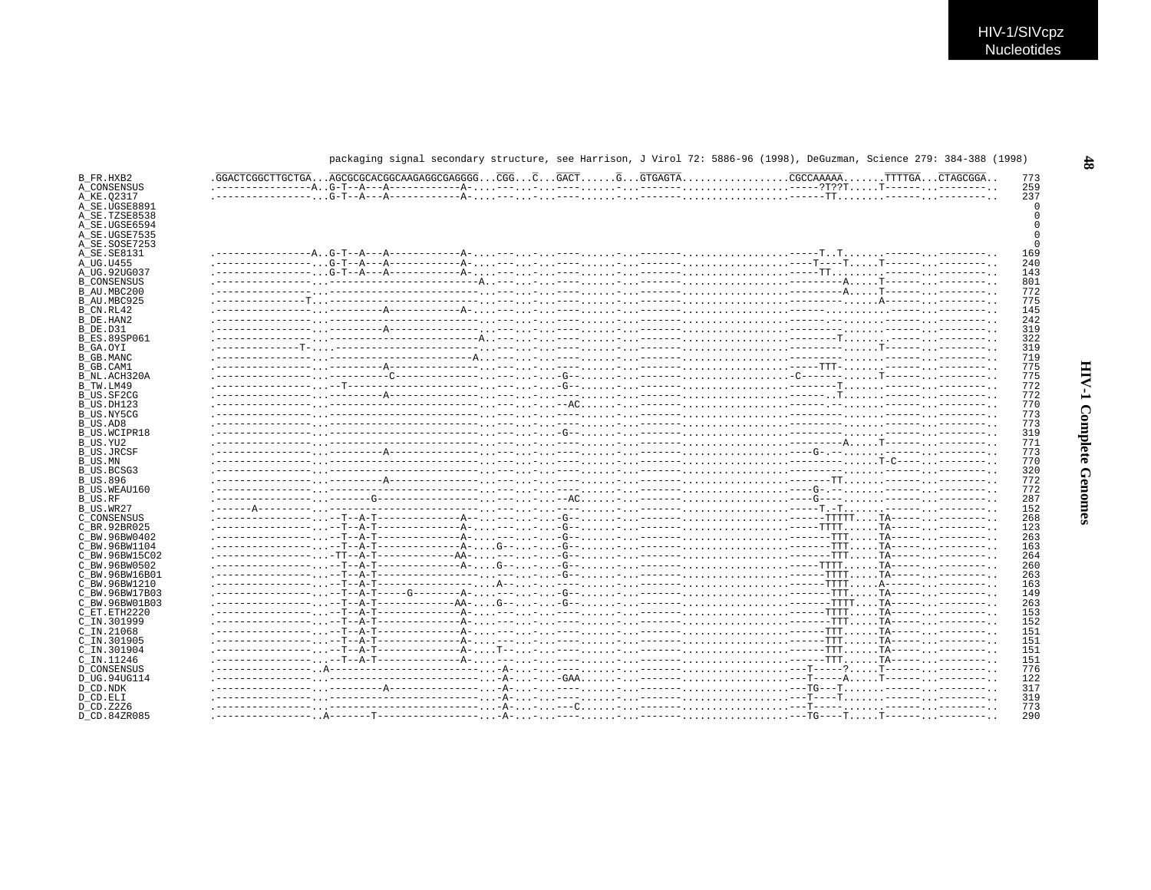| B FR.HXB2           |  |  |  |  | 773 |
|---------------------|--|--|--|--|-----|
| A CONSENSUS         |  |  |  |  | 259 |
| A KE.02317          |  |  |  |  | 237 |
| A_SE.UGSE8891       |  |  |  |  |     |
| A SE.TZSE8538       |  |  |  |  |     |
| A SE.UGSE6594       |  |  |  |  |     |
| A SE.UGSE7535       |  |  |  |  |     |
| A SE.SOSE7253       |  |  |  |  |     |
| A SE.SE8131         |  |  |  |  | 169 |
| A UG.U455           |  |  |  |  | 240 |
| A UG.92UG037        |  |  |  |  | 143 |
| <b>B CONSENSUS</b>  |  |  |  |  | 801 |
| B AU.MBC200         |  |  |  |  | 772 |
| B AU.MBC925         |  |  |  |  | 775 |
| B CN.RL42           |  |  |  |  | 145 |
| B DE.HAN2           |  |  |  |  | 242 |
| B DE.D31            |  |  |  |  | 319 |
| <b>B ES.89SP061</b> |  |  |  |  | 322 |
| B_GA.OYI            |  |  |  |  | 319 |
| B GB.MANC           |  |  |  |  | 719 |
| B GB.CAM1           |  |  |  |  | 775 |
| B_NL.ACH320A        |  |  |  |  | 775 |
| B_TW.LM49           |  |  |  |  | 772 |
| B US.SF2CG          |  |  |  |  | 772 |
| B US.DH123          |  |  |  |  | 770 |
| B US.NY5CG          |  |  |  |  | 773 |
| B US.AD8            |  |  |  |  | 773 |
| B US.WCIPR18        |  |  |  |  | 319 |
| B US.YU2            |  |  |  |  | 771 |
| <b>B US.JRCSF</b>   |  |  |  |  | 773 |
| B US.MN             |  |  |  |  | 770 |
| B US.BCSG3          |  |  |  |  | 320 |
| <b>B US.896</b>     |  |  |  |  | 772 |
| B_US.WEAU160        |  |  |  |  | 772 |
| B US.RF             |  |  |  |  | 287 |
| B US.WR27           |  |  |  |  | 152 |
| C CONSENSUS         |  |  |  |  | 268 |
| C BR.92BR025        |  |  |  |  | 123 |
| C BW.96BW0402       |  |  |  |  | 263 |
| C BW.96BW1104       |  |  |  |  | 163 |
| C BW.96BW15C02      |  |  |  |  | 264 |
| C BW.96BW0502       |  |  |  |  | 260 |
| C BW.96BW16B01      |  |  |  |  | 263 |
| C BW.96BW1210       |  |  |  |  | 163 |
| C BW.96BW17B03      |  |  |  |  | 149 |
| C BW.96BW01B03      |  |  |  |  | 263 |
| C ET. ETH2220       |  |  |  |  | 153 |
| C IN.301999         |  |  |  |  | 152 |
| C_IN.21068          |  |  |  |  | 151 |
| C IN.301905         |  |  |  |  | 151 |
| C IN.301904         |  |  |  |  | 151 |
| C IN.11246          |  |  |  |  | 151 |
| D CONSENSUS         |  |  |  |  | 776 |
| D UG.94UG114        |  |  |  |  | 122 |
| D CD.NDK            |  |  |  |  | 317 |
| D CD.ELI            |  |  |  |  | 319 |
| D CD. Z2Z6          |  |  |  |  | 773 |
| D CD.84ZR085        |  |  |  |  | 290 |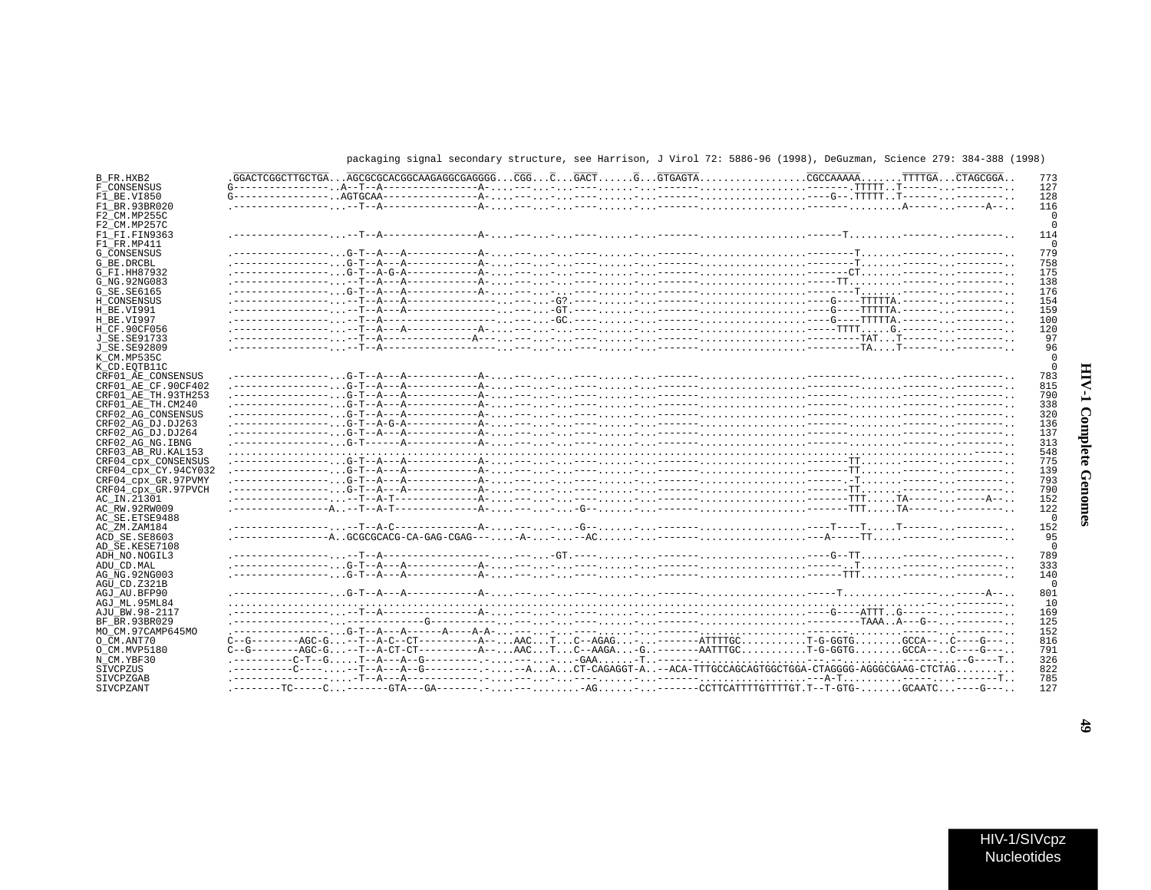## packaging signal secondary structure, see Harrison, J Virol 72: 5886-96 (1998), DeGuzman, Science 279: 384-388 (1998)

| B FR.HXB2            |                                                                                                                    |  |  |  |  |  |  | 773      |
|----------------------|--------------------------------------------------------------------------------------------------------------------|--|--|--|--|--|--|----------|
| F CONSENSUS          |                                                                                                                    |  |  |  |  |  |  | 127      |
| F1 BE.VI850          |                                                                                                                    |  |  |  |  |  |  | 128      |
| F1 BR.93BR020        |                                                                                                                    |  |  |  |  |  |  | 116      |
| F2 CM.MP255C         |                                                                                                                    |  |  |  |  |  |  |          |
| F2 CM.MP257C         |                                                                                                                    |  |  |  |  |  |  |          |
| F1 FI.FIN9363        |                                                                                                                    |  |  |  |  |  |  | 114      |
| F1 FR.MP411          |                                                                                                                    |  |  |  |  |  |  | $\Omega$ |
|                      |                                                                                                                    |  |  |  |  |  |  | 779      |
| <b>G CONSENSUS</b>   |                                                                                                                    |  |  |  |  |  |  |          |
| G BE.DRCBL           |                                                                                                                    |  |  |  |  |  |  | 758      |
| G FI.HH87932         |                                                                                                                    |  |  |  |  |  |  | 175      |
| G NG. 92NG083        |                                                                                                                    |  |  |  |  |  |  | 138      |
| G SE. SE6165         |                                                                                                                    |  |  |  |  |  |  | 176      |
| H CONSENSUS          |                                                                                                                    |  |  |  |  |  |  | 154      |
| H BE.VI991           |                                                                                                                    |  |  |  |  |  |  | 159      |
| H BE.VI997           |                                                                                                                    |  |  |  |  |  |  | 100      |
| H CF.90CF056         |                                                                                                                    |  |  |  |  |  |  | 120      |
| J SE. SE91733        |                                                                                                                    |  |  |  |  |  |  | 97       |
| J SE.SE92809         |                                                                                                                    |  |  |  |  |  |  | 96       |
| K CM.MP535C          |                                                                                                                    |  |  |  |  |  |  |          |
| K CD.EOTB11C         |                                                                                                                    |  |  |  |  |  |  |          |
| CRF01 AE CONSENSUS   |                                                                                                                    |  |  |  |  |  |  | 783      |
| CRF01_AE_CF.90CF402  |                                                                                                                    |  |  |  |  |  |  | 815      |
| CRF01 AE TH. 93TH253 |                                                                                                                    |  |  |  |  |  |  | 790      |
| CRF01 AE TH.CM240    |                                                                                                                    |  |  |  |  |  |  | 338      |
| CRF02 AG CONSENSUS   |                                                                                                                    |  |  |  |  |  |  | 320      |
|                      |                                                                                                                    |  |  |  |  |  |  |          |
| CRF02_AG_DJ.DJ263    |                                                                                                                    |  |  |  |  |  |  | 136      |
| CRF02 AG DJ.DJ264    |                                                                                                                    |  |  |  |  |  |  | 137      |
| CRF02 AG NG. IBNG    |                                                                                                                    |  |  |  |  |  |  | 313      |
| CRF03 AB RU. KAL153  |                                                                                                                    |  |  |  |  |  |  | 548      |
| CRF04_cpx_CONSENSUS  |                                                                                                                    |  |  |  |  |  |  | 775      |
| CRF04_cpx_CY.94CY032 |                                                                                                                    |  |  |  |  |  |  | 139      |
| CRF04 cpx GR.97PVMY  |                                                                                                                    |  |  |  |  |  |  | 793      |
| CRF04 cpx GR.97PVCH  |                                                                                                                    |  |  |  |  |  |  | 790      |
| AC IN.21301          |                                                                                                                    |  |  |  |  |  |  | 152      |
| AC RW.92RW009        |                                                                                                                    |  |  |  |  |  |  | 122      |
| AC SE.ETSE9488       |                                                                                                                    |  |  |  |  |  |  | $\Omega$ |
| AC ZM.ZAM184         |                                                                                                                    |  |  |  |  |  |  | 152      |
| ACD SE.SE8603        |                                                                                                                    |  |  |  |  |  |  | 95       |
| AD SE.KESE7108       |                                                                                                                    |  |  |  |  |  |  | $\Omega$ |
| ADH NO. NOGIL3       |                                                                                                                    |  |  |  |  |  |  | 789      |
| ADU CD.MAL           |                                                                                                                    |  |  |  |  |  |  | 333      |
| AG NG. 92NG003       |                                                                                                                    |  |  |  |  |  |  | 140      |
| AGU CD.Z321B         |                                                                                                                    |  |  |  |  |  |  | $\cap$   |
| AGJ AU.BFP90         |                                                                                                                    |  |  |  |  |  |  | 801      |
|                      |                                                                                                                    |  |  |  |  |  |  |          |
| AGJ ML.95ML84        |                                                                                                                    |  |  |  |  |  |  | 10       |
| AJU BW.98-2117       |                                                                                                                    |  |  |  |  |  |  | 169      |
| BF BR. 93BR029       |                                                                                                                    |  |  |  |  |  |  | 125      |
| MO CM.97CAMP645MO    |                                                                                                                    |  |  |  |  |  |  | 152      |
| O CM.ANT70           | $C-G------AGC-G--T-A-C--CT------A--AACTC--AGAG---TTTTGCT-G-GGTGGCCA-CA--C---G---C--$                               |  |  |  |  |  |  | 816      |
| O CM.MVP5180         | $C-G------AGC-G. -T--A-CT-CT-------------A--. AAC. T. C--AAGA. -G. . -----AATTTGC. T-G-GGTG. GCCA--. . C----G---.$ |  |  |  |  |  |  | 791      |
| N CM.YBF30           |                                                                                                                    |  |  |  |  |  |  | 326      |
| SIVCPZUS             | .---------C-----T--A--G------------AACT-CAGAGGT-A--ACA-TTTGCCAGCAGTGGCTGGA-CTAGGGG-AGGGCGAAG-CTCTAG                |  |  |  |  |  |  | 822      |
| <b>STVCPZGAB</b>     |                                                                                                                    |  |  |  |  |  |  | 785      |
| SIVCPZANT            |                                                                                                                    |  |  |  |  |  |  | 127      |

 $\ddot{6}$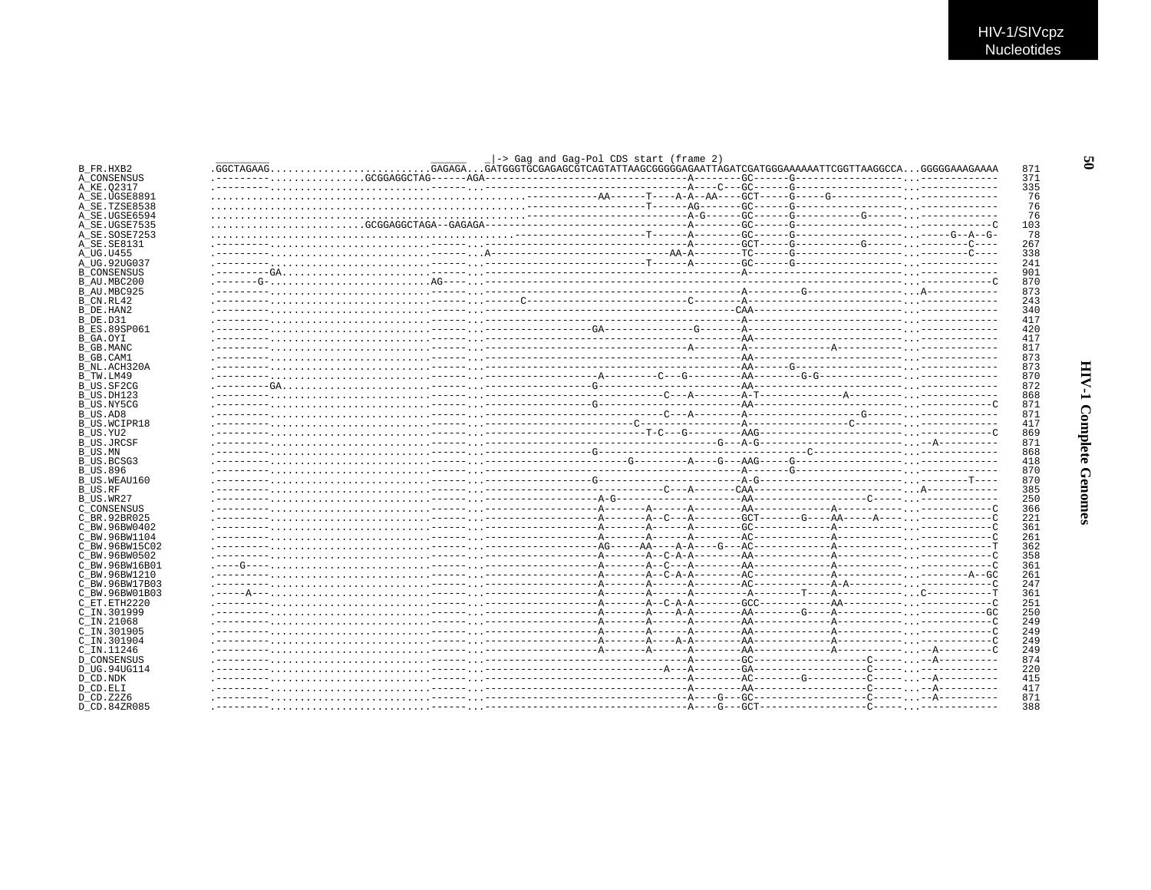|                                 | -> Gag and Gag-Pol CDS start (frame 2) |  |            |
|---------------------------------|----------------------------------------|--|------------|
| B_FR.HXB2                       |                                        |  | 871        |
| A CONSENSUS                     |                                        |  | 371        |
| A KE.02317                      |                                        |  | 335        |
| A SE.UGSE8891                   |                                        |  | 76         |
| A SE.TZSE8538                   |                                        |  | 76         |
| A SE.UGSE6594                   |                                        |  | 76         |
| A SE.UGSE7535                   |                                        |  | 103<br>78  |
| A SE.SOSE7253<br>A SE.SE8131    |                                        |  | 267        |
| A UG.U455                       |                                        |  | 338        |
| A UG.92UG037                    |                                        |  | 241        |
| <b>B CONSENSUS</b>              |                                        |  | 901        |
| B AU.MBC200                     |                                        |  | 870        |
| B AU.MBC925                     |                                        |  | 873        |
| B CN.RL42                       |                                        |  | 243        |
| B DE.HAN2                       |                                        |  | 340        |
| B DE.D31                        |                                        |  | 417        |
| <b>B ES.89SP061</b>             |                                        |  | 420        |
| B GA.OYI                        |                                        |  | 417        |
| B GB.MANC                       |                                        |  | 817        |
| B GB.CAM1                       |                                        |  | 873        |
| B NL.ACH320A                    |                                        |  | 873        |
| B_TW.LM49                       |                                        |  | 870        |
| B US.SF2CG                      |                                        |  | 872        |
| B US.DH123                      |                                        |  | 868        |
| B US.NY5CG                      |                                        |  | 871<br>871 |
| B US.AD8<br><b>B US.WCIPR18</b> |                                        |  | 417        |
| B US.YU2                        |                                        |  | 869        |
| B US.JRCSF                      |                                        |  | 871        |
| B US.MN                         |                                        |  | 868        |
| B US.BCSG3                      |                                        |  | 418        |
| <b>B US.896</b>                 |                                        |  | 870        |
| B US.WEAU160                    |                                        |  | 870        |
| B US.RF                         |                                        |  | 385        |
| B US.WR27                       |                                        |  | 250        |
| C CONSENSUS                     |                                        |  | 366        |
| C BR. 92BR025                   |                                        |  | 221        |
| C BW.96BW0402                   |                                        |  | 361        |
| C BW.96BW1104                   |                                        |  | 261        |
| C BW.96BW15C02                  |                                        |  | 362        |
| C BW.96BW0502                   |                                        |  | 358        |
| C BW.96BW16B01                  |                                        |  | 361        |
| C BW.96BW1210                   |                                        |  | 261        |
| C BW.96BW17B03                  |                                        |  | 247<br>361 |
| C BW.96BW01B03                  |                                        |  | 251        |
| C ET.ETH2220<br>C IN.301999     |                                        |  | 250        |
| $C$ IN. 21068                   |                                        |  | 249        |
| C IN.301905                     |                                        |  | 249        |
| C IN.301904                     |                                        |  | 249        |
| C IN.11246                      |                                        |  | 249        |
| <b>D CONSENSUS</b>              |                                        |  | 874        |
| D UG.94UG114                    |                                        |  | 220        |
| D CD.NDK                        |                                        |  | 415        |
| D CD.ELI                        |                                        |  | 417        |
| D CD.Z2Z6                       |                                        |  | 871        |
| D CD.84ZR085                    |                                        |  | 388        |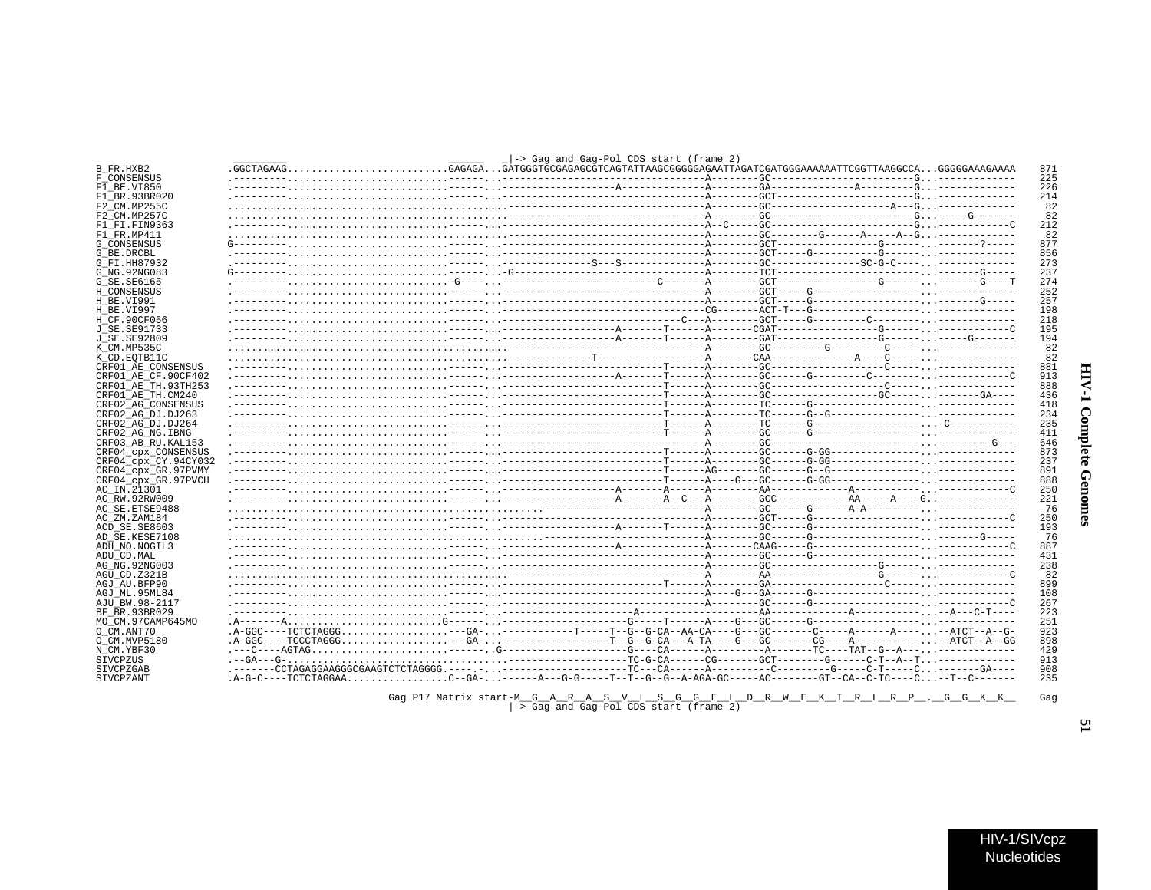| ľ                |  |
|------------------|--|
| ί<br>ì<br>١<br>i |  |
| ì<br>i           |  |

 $\blacksquare$ 

|  | $\rightarrow$ Gag and Gag-Pol CDS start (frame 2) | .------CCTAGAGGAAGGCCGAAGTCTCTAGGGG.----.----------------TC--CA-----A--------C-------G-----C-T----C------GA---<br>.A-G-C----TCTCTAGGAAC--GA-------A---G-G-----T--T--G--G--A-AGA-GC-----AC--------GT--CA--C-TC----C-T--C-------<br>Gaq P17 Matrix start-M G A R A S V L S G G E L D R W E K I R L R P . G G K K |
|--|---------------------------------------------------|----------------------------------------------------------------------------------------------------------------------------------------------------------------------------------------------------------------------------------------------------------------------------------------------------------------|

- -> Gag and Gag-Pol CDS start (frame 2)

 $\mathbb{R}$ Gag and Gag-Pol CDS start (frame 2)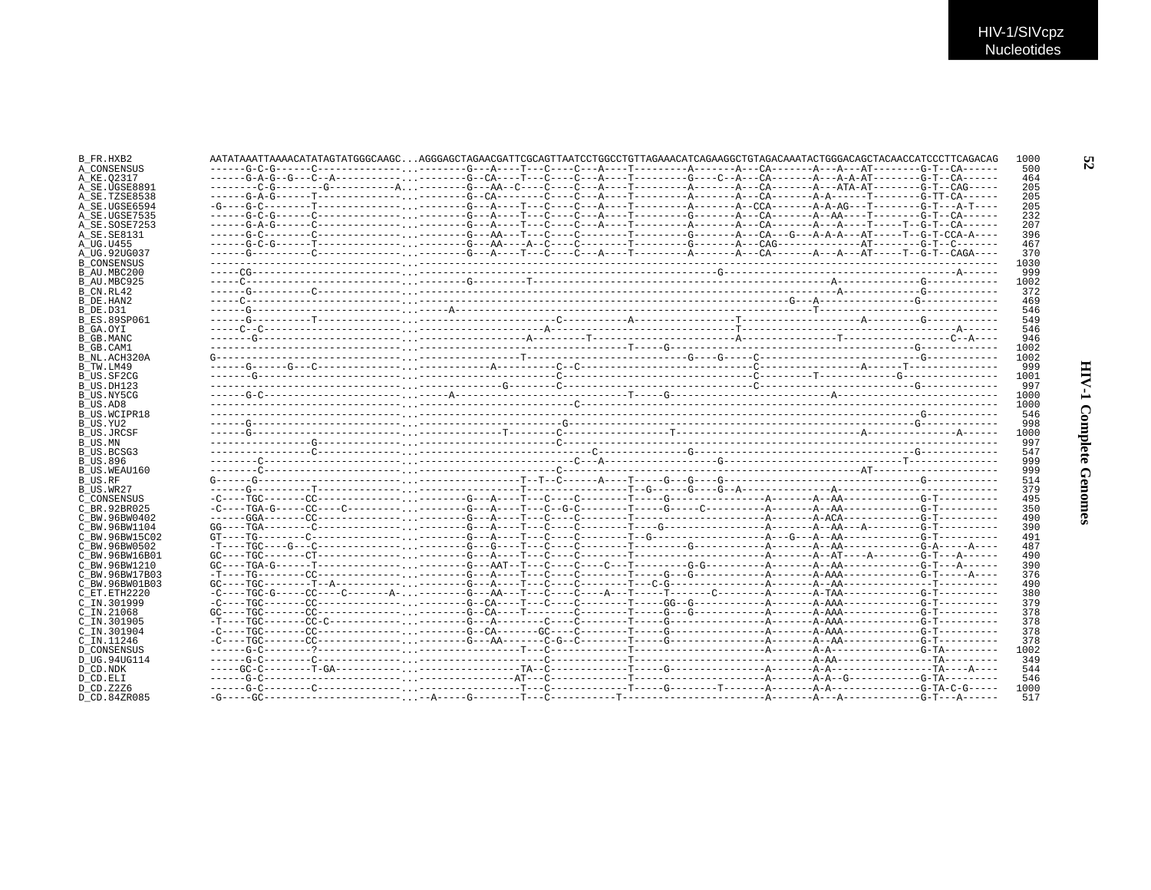| B FR.HXB2                 | AATATAAATTAAAACATATAGTATAGGCAAGCAGGGAGCTAGAACGATTCGCAGTTAATCCTGGCCTGTTAGAAACATCAGAAGGCTGTAGACAAATACTGGGACAGCTACAACCATCCCTTCAGACAG |  | 1000         |
|---------------------------|-----------------------------------------------------------------------------------------------------------------------------------|--|--------------|
| A CONSENSUS               |                                                                                                                                   |  | 500          |
| A KE.02317                |                                                                                                                                   |  | 464          |
| A SE.UGSE8891             |                                                                                                                                   |  | 205          |
| A_SE.TZSE8538             |                                                                                                                                   |  | 205          |
| A SE.UGSE6594             |                                                                                                                                   |  | 205          |
| A SE.UGSE7535             |                                                                                                                                   |  | 232          |
| A SE.SOSE7253             |                                                                                                                                   |  | 207          |
| A SE.SE8131               |                                                                                                                                   |  | 396          |
| A UG.U455                 |                                                                                                                                   |  | 467          |
| A UG.92UG037              |                                                                                                                                   |  | 370          |
| <b>B CONSENSUS</b>        |                                                                                                                                   |  | 1030         |
| B AU.MBC200               |                                                                                                                                   |  | 999          |
| B AU.MBC925               |                                                                                                                                   |  | 1002         |
| B_CN.RL42                 |                                                                                                                                   |  | 372          |
| B DE.HAN2                 |                                                                                                                                   |  | 469          |
| B DE.D31                  |                                                                                                                                   |  | 546          |
| <b>B ES.89SP061</b>       |                                                                                                                                   |  | 549          |
| B GA.OYI                  |                                                                                                                                   |  | 546          |
| B GB.MANC                 |                                                                                                                                   |  | 946          |
| B GB.CAM1                 |                                                                                                                                   |  | 1002<br>1002 |
| B NL.ACH320A<br>B TW.LM49 |                                                                                                                                   |  | 999          |
|                           |                                                                                                                                   |  | 1001         |
| B US.SF2CG<br>B_US.DH123  |                                                                                                                                   |  | 997          |
| B US.NY5CG                |                                                                                                                                   |  | 1000         |
| B US.AD8                  |                                                                                                                                   |  | 1000         |
| B US.WCIPR18              |                                                                                                                                   |  | 546          |
| B US.YU2                  |                                                                                                                                   |  | 998          |
| B US.JRCSF                |                                                                                                                                   |  | 1000         |
| B US.MN                   |                                                                                                                                   |  | 997          |
| B US.BCSG3                |                                                                                                                                   |  | 547          |
| <b>B_US.896</b>           |                                                                                                                                   |  | 999          |
| B US.WEAU160              |                                                                                                                                   |  | 999          |
| B US.RF                   |                                                                                                                                   |  | 514          |
| B US.WR27                 |                                                                                                                                   |  | 379          |
| C CONSENSUS               |                                                                                                                                   |  | 495          |
| C BR. 92BR025             |                                                                                                                                   |  | 350          |
| C BW.96BW0402             |                                                                                                                                   |  | 490          |
| C BW.96BW1104             |                                                                                                                                   |  | 390          |
| C BW.96BW15C02            |                                                                                                                                   |  | 491          |
| C BW.96BW0502             |                                                                                                                                   |  | 487          |
| C BW.96BW16B01            |                                                                                                                                   |  | 490          |
| C BW.96BW1210             |                                                                                                                                   |  | 390          |
| C BW.96BW17B03            |                                                                                                                                   |  | 376          |
| C BW.96BW01B03            |                                                                                                                                   |  | 490          |
| C_ET.ETH2220              |                                                                                                                                   |  | 380          |
| C IN.301999               |                                                                                                                                   |  | 379          |
| $C$ IN. 21068             |                                                                                                                                   |  | 378          |
| C IN.301905               |                                                                                                                                   |  | 378          |
| $C$ IN.301904             |                                                                                                                                   |  | 378          |
| C IN.11246                |                                                                                                                                   |  | 378          |
| <b>D CONSENSUS</b>        |                                                                                                                                   |  | 1002         |
| D UG.94UG114              |                                                                                                                                   |  | 349          |
| D CD.NDK                  |                                                                                                                                   |  | 544          |
| D CD.ELI                  |                                                                                                                                   |  | 546          |
| D CD.Z2Z6                 |                                                                                                                                   |  | 1000         |
| D CD.84ZR085              |                                                                                                                                   |  | 517          |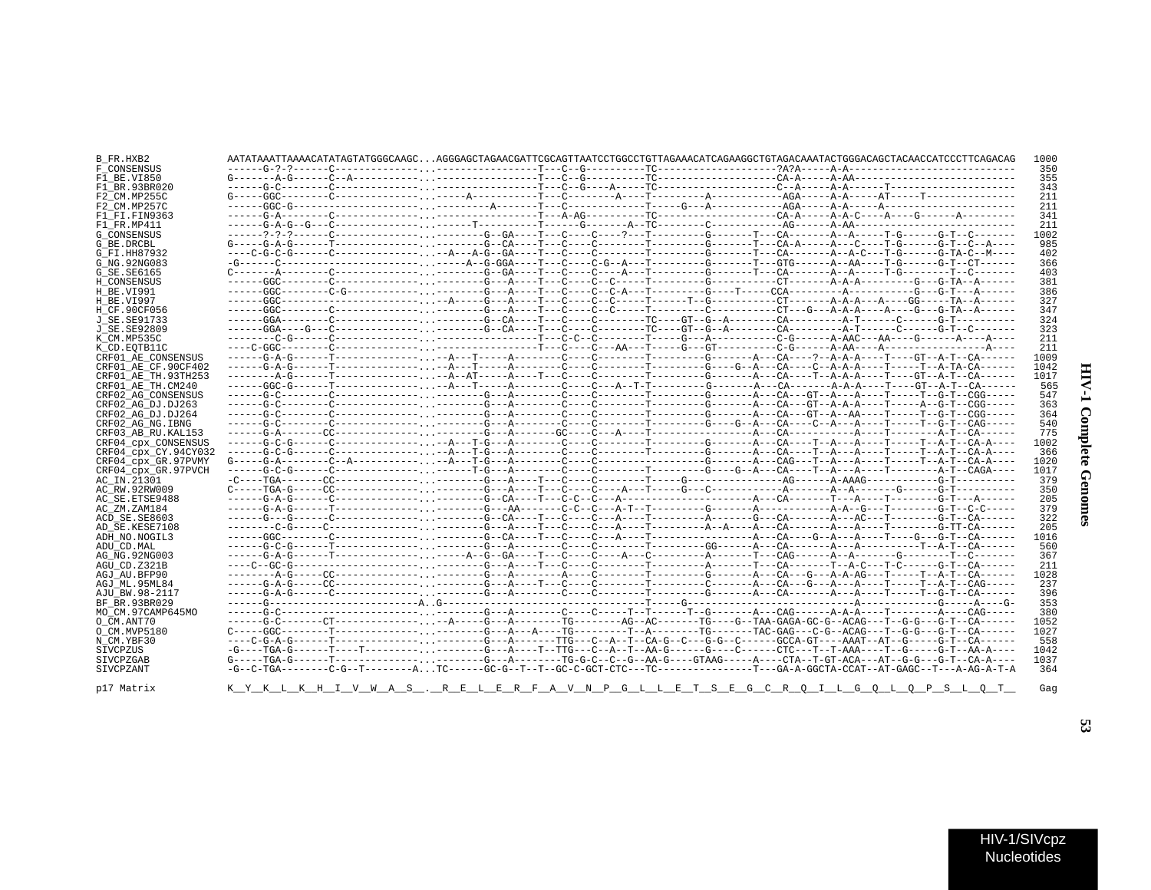| B FR.HXB2            |  | AATATAAATTAAAACATATAGTATGGGCAAGCAGGGAGCTAGAACGATTCGCAGTTAATCCTGGCCTGTTAGAAACATCAGAAGGCTGTAGACAAATACTGGGACAGCTACAACCATCCCTTCAGACAG  |  |  |  | 1000 |
|----------------------|--|------------------------------------------------------------------------------------------------------------------------------------|--|--|--|------|
| F CONSENSUS          |  |                                                                                                                                    |  |  |  | 350  |
| F1 BE.VI850          |  |                                                                                                                                    |  |  |  | 355  |
| F1 BR.93BR020        |  |                                                                                                                                    |  |  |  | 343  |
| F2 CM.MP255C         |  |                                                                                                                                    |  |  |  | 211  |
| F2 CM.MP257C         |  |                                                                                                                                    |  |  |  | 211  |
| F1 FI.FIN9363        |  |                                                                                                                                    |  |  |  | 341  |
| F1 FR.MP411          |  |                                                                                                                                    |  |  |  | 211  |
| G CONSENSUS          |  |                                                                                                                                    |  |  |  | 1002 |
| G BE.DRCBL           |  | G-----G-A-G------T-------------.--------G--CA----T---C----------T-------G-------T---CA-A-----A---C----T-G------G-T--C--A----       |  |  |  | 985  |
| G FI.HH87932         |  |                                                                                                                                    |  |  |  | 402  |
| G NG. 92NG083        |  | -G------C---------------------.-----A--G-GGA----T---C-G--A---T-------G-------T---GTG------A--AA----T-G------G-T--CT------          |  |  |  | 366  |
| G SE. SE6165         |  | C-------A--------C-------------.--------G--GA----T---C----A---T--------G-------T---CA-------A--A-----T-G-------T--C-------         |  |  |  | 403  |
| H CONSENSUS          |  |                                                                                                                                    |  |  |  | 381  |
| H BE.VI991           |  |                                                                                                                                    |  |  |  | 386  |
| H BE.VI997           |  |                                                                                                                                    |  |  |  | 327  |
|                      |  |                                                                                                                                    |  |  |  | 347  |
| H CF.90CF056         |  |                                                                                                                                    |  |  |  |      |
| J SE.SE91733         |  |                                                                                                                                    |  |  |  | 324  |
| J SE.SE92809         |  |                                                                                                                                    |  |  |  | 323  |
| K CM.MP535C          |  |                                                                                                                                    |  |  |  | 211  |
| K CD.EOTB11C         |  |                                                                                                                                    |  |  |  | 211  |
| CRF01 AE CONSENSUS   |  | -----G-A-G------T-------------.--A---T-----A--------C-------T-------G------A---CA----?--A-A-A----T----GT--A-T--CA------            |  |  |  | 1009 |
| CRF01_AE_CF.90CF402  |  |                                                                                                                                    |  |  |  | 1042 |
| CRF01 AE TH.93TH253  |  | --------A-G------T-------------.--A--AT-----A----T---C--------T-------G-------A---CA----T--A-A-A----T----GT--A-T--CA------         |  |  |  | 1017 |
| CRF01_AE_TH.CM240    |  | -----GGC-G------T-------------.--A---T-----A--------C---A--T-T--------G-------A-A-------A-A-A----T----GT--A-T--CA------            |  |  |  | 565  |
| CRF02 AG CONSENSUS   |  |                                                                                                                                    |  |  |  | 547  |
| CRF02 AG DJ.DJ263    |  |                                                                                                                                    |  |  |  | 363  |
| CRF02 AG DJ.DJ264    |  |                                                                                                                                    |  |  |  | 364  |
| CRF02_AG_NG.IBNG     |  |                                                                                                                                    |  |  |  | 540  |
| CRF03 AB RU. KAL153  |  |                                                                                                                                    |  |  |  | 775  |
| CRF04_cpx_CONSENSUS  |  | -----G-C-G------C-------------.--A---T-G---A-------C-------T--------G------A---CA----T--A----T-----T-----T--A-T--CA-A----          |  |  |  | 1002 |
| CRF04 cpx CY.94CY032 |  |                                                                                                                                    |  |  |  | 366  |
| CRF04 cpx GR.97PVMY  |  |                                                                                                                                    |  |  |  | 1020 |
| CRF04 cpx GR.97PVCH  |  |                                                                                                                                    |  |  |  | 1017 |
|                      |  |                                                                                                                                    |  |  |  | 379  |
| AC IN.21301          |  |                                                                                                                                    |  |  |  |      |
| AC RW.92RW009        |  |                                                                                                                                    |  |  |  | 350  |
| AC_SE.ETSE9488       |  |                                                                                                                                    |  |  |  | 205  |
| AC ZM.ZAM184         |  |                                                                                                                                    |  |  |  | 379  |
| ACD SE.SE8603        |  | -----G--G------C--------------.-------G--CA----T---C---A----T--------A------G---CA-------A---AC---T--------G-T--CA------           |  |  |  | 322  |
| AD SE.KESE7108       |  |                                                                                                                                    |  |  |  | 205  |
| ADH NO.NOGIL3        |  |                                                                                                                                    |  |  |  | 1016 |
| ADU CD.MAL           |  |                                                                                                                                    |  |  |  | 560  |
| AG NG. 92NG003       |  |                                                                                                                                    |  |  |  | 367  |
| AGU CD.Z321B         |  |                                                                                                                                    |  |  |  | 211  |
| AGJ AU BFP90         |  | --------A-G-----CC--------------.--------G---A--------A----C--------T--------G-------A---CA---G---A-A-AG---T-----T--A-T--CA------- |  |  |  | 1028 |
| AGJ ML.95ML84        |  | -----G-A-G-----CC---------------------G---A----T---C-----------T------C-------A---CA---G---A---A---T---T--A-T--CAG-----            |  |  |  | 237  |
| AJU BW.98-2117       |  |                                                                                                                                    |  |  |  | 396  |
| BF BR.93BR029        |  |                                                                                                                                    |  |  |  | 353  |
| MO CM.97CAMP645MO    |  |                                                                                                                                    |  |  |  | 380  |
| O CM.ANT70           |  | ------G-C-------CT----------------A-----G---A--------TG-------AG--AC-------TG---G--TAA-GAGA-GC-G--ACAG---T--G-G---G-T--CA------    |  |  |  | 1052 |
| O CM.MVP5180         |  |                                                                                                                                    |  |  |  | 1027 |
| N_CM.YBF30           |  | ----C-G-A-G------T--------------.--------G---A-------TTG---C--A--T--CA-G--C----G-G--C-----GCCA-GT----AAAT--AT--G-----G-T--CA------ |  |  |  | 558  |
| SIVCPZUS             |  |                                                                                                                                    |  |  |  | 1042 |
|                      |  | -G----TGA-G------T-----T----------------G---A----TTG---C--A--T--AA-G------G----CTC---T--T-AAA----T--G----G-T--AA-A----             |  |  |  |      |
| SIVCPZGAB            |  | G-----TGA-G------T--------------------G---A-------TG-G-C--C--G--AA-G----GTAAG-----A----CTA--T-GT-ACA---AT--G-G---G-T--CA-A----     |  |  |  | 1037 |
| SIVCPZANT            |  |                                                                                                                                    |  |  |  | 364  |

<u>RELERFAVNPGLLETSEGCRQILGQLDPSLQT</u>

 $K\underbrace{\quad \ }K\underbrace{\quad \ }L\underbrace{\quad \ }K\underbrace{\quad \ }H\underbrace{\quad \ }I\underbrace{\quad \ }V\underbrace{\quad \ }M\underbrace{\quad \ }A\underbrace{\quad \ }S\underbrace{\quad \ }.$ 

Gag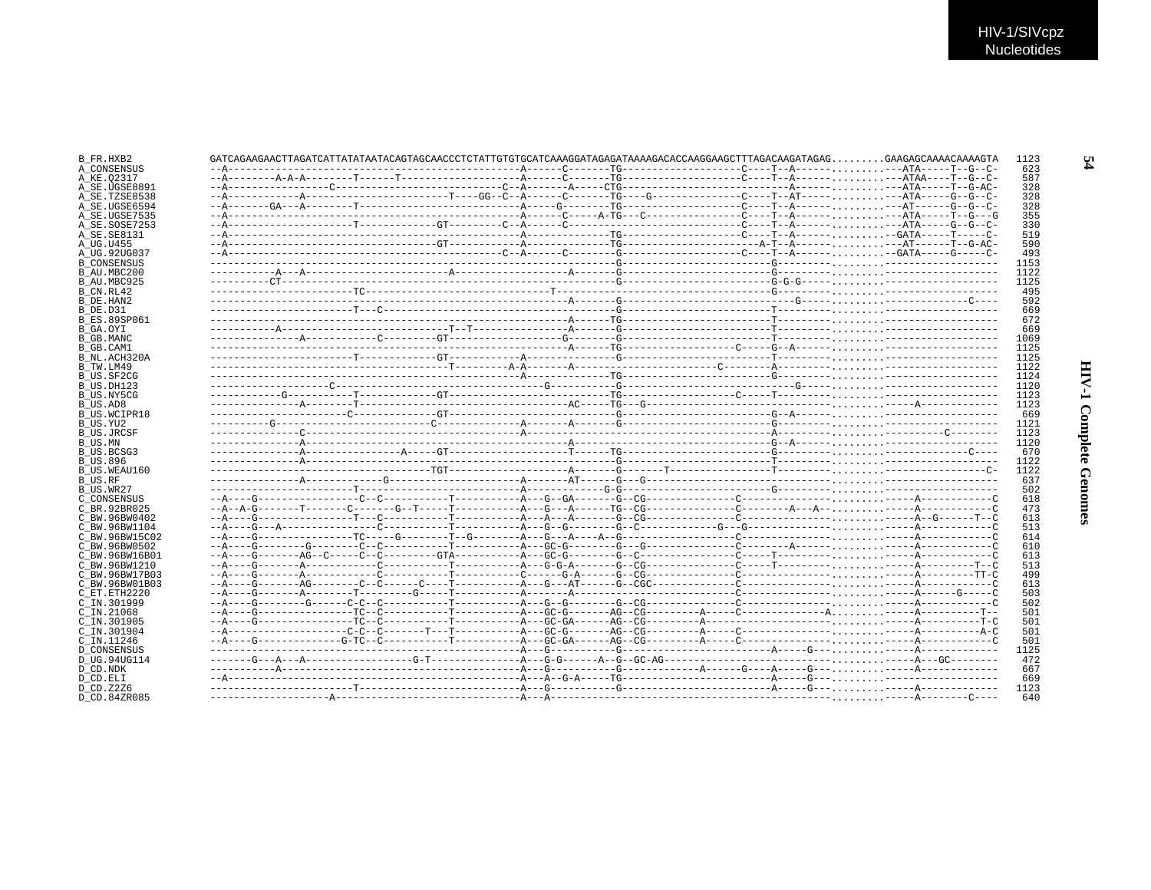|                     | $GATCAGAAGAGCTTAGATCATTATATATATAATACAGTAGCACCCTCTATTGTGTGCATCAAAGGATAGAGATAAAGACACCAAGGAAGCTTTAGACAAGATAGGG GAGAGGCAAAGACAAAGTA$ |  |  |  |
|---------------------|----------------------------------------------------------------------------------------------------------------------------------|--|--|--|
| A CONSENSUS         |                                                                                                                                  |  |  |  |
| A KE.02317          |                                                                                                                                  |  |  |  |
| A SE.UGSE8891       |                                                                                                                                  |  |  |  |
| A SE.TZSE8538       |                                                                                                                                  |  |  |  |
| A SE.UGSE6594       |                                                                                                                                  |  |  |  |
|                     |                                                                                                                                  |  |  |  |
| A SE.UGSE7535       |                                                                                                                                  |  |  |  |
| A SE.SOSE7253       |                                                                                                                                  |  |  |  |
| A SE.SE8131         |                                                                                                                                  |  |  |  |
|                     |                                                                                                                                  |  |  |  |
| A UG.92UG037        |                                                                                                                                  |  |  |  |
| <b>B CONSENSUS</b>  |                                                                                                                                  |  |  |  |
| B AU.MBC200         |                                                                                                                                  |  |  |  |
|                     |                                                                                                                                  |  |  |  |
| B AU.MBC925         |                                                                                                                                  |  |  |  |
|                     |                                                                                                                                  |  |  |  |
|                     |                                                                                                                                  |  |  |  |
|                     |                                                                                                                                  |  |  |  |
| <b>B ES.89SP061</b> |                                                                                                                                  |  |  |  |
|                     |                                                                                                                                  |  |  |  |
|                     |                                                                                                                                  |  |  |  |
|                     |                                                                                                                                  |  |  |  |
|                     |                                                                                                                                  |  |  |  |
| B NL.ACH320A        |                                                                                                                                  |  |  |  |
|                     |                                                                                                                                  |  |  |  |
| B US.SF2CG          |                                                                                                                                  |  |  |  |
|                     |                                                                                                                                  |  |  |  |
|                     |                                                                                                                                  |  |  |  |
| B US.NY5CG          |                                                                                                                                  |  |  |  |
|                     |                                                                                                                                  |  |  |  |
| B US.WCIPR18        |                                                                                                                                  |  |  |  |
|                     |                                                                                                                                  |  |  |  |
| B US.JRCSF          |                                                                                                                                  |  |  |  |
|                     |                                                                                                                                  |  |  |  |
|                     |                                                                                                                                  |  |  |  |
| B US.BCSG3          |                                                                                                                                  |  |  |  |
|                     |                                                                                                                                  |  |  |  |
| B US.WEAU160        |                                                                                                                                  |  |  |  |
|                     |                                                                                                                                  |  |  |  |
|                     |                                                                                                                                  |  |  |  |
| C CONSENSUS         |                                                                                                                                  |  |  |  |
| C BR.92BR025        |                                                                                                                                  |  |  |  |
|                     |                                                                                                                                  |  |  |  |
| C BW.96BW0402       |                                                                                                                                  |  |  |  |
| C BW.96BW1104       |                                                                                                                                  |  |  |  |
| C BW.96BW15C02      |                                                                                                                                  |  |  |  |
| C BW.96BW0502       |                                                                                                                                  |  |  |  |
| C BW.96BW16B01      |                                                                                                                                  |  |  |  |
| C BW.96BW1210       |                                                                                                                                  |  |  |  |
|                     |                                                                                                                                  |  |  |  |
| C BW.96BW17B03      |                                                                                                                                  |  |  |  |
| C BW.96BW01B03      |                                                                                                                                  |  |  |  |
| C ET. ETH2220       |                                                                                                                                  |  |  |  |
| C IN.301999         |                                                                                                                                  |  |  |  |
|                     |                                                                                                                                  |  |  |  |
|                     |                                                                                                                                  |  |  |  |
| $C$ IN. $21068$     |                                                                                                                                  |  |  |  |
| C IN.301905         |                                                                                                                                  |  |  |  |
| C_IN.301904         |                                                                                                                                  |  |  |  |
| C IN.11246          |                                                                                                                                  |  |  |  |
| D CONSENSUS         |                                                                                                                                  |  |  |  |
|                     |                                                                                                                                  |  |  |  |
| D UG.94UG114        |                                                                                                                                  |  |  |  |
|                     |                                                                                                                                  |  |  |  |
|                     |                                                                                                                                  |  |  |  |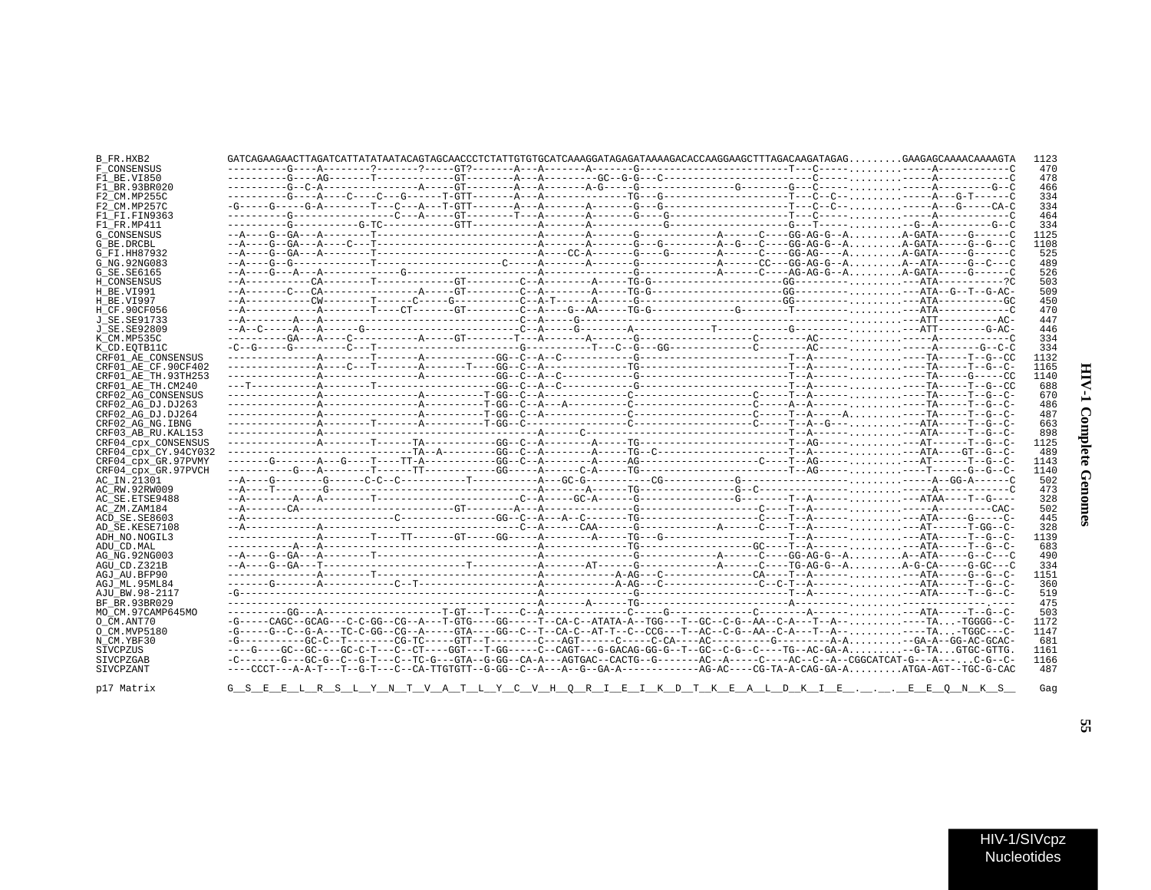| I                  |  |
|--------------------|--|
| $\frac{1}{2}$<br>ć |  |
| i                  |  |

| B_FR.HXB2            |                                                                                                                                |  |  |  |  |  |  | 1123 |
|----------------------|--------------------------------------------------------------------------------------------------------------------------------|--|--|--|--|--|--|------|
| F CONSENSUS          |                                                                                                                                |  |  |  |  |  |  | 470  |
| F1 BE.VI850          |                                                                                                                                |  |  |  |  |  |  | 478  |
| F1 BR.93BR020        |                                                                                                                                |  |  |  |  |  |  | 466  |
| F2 CM.MP255C         |                                                                                                                                |  |  |  |  |  |  | 334  |
| F2 CM.MP257C         |                                                                                                                                |  |  |  |  |  |  | 334  |
| F1 FI.FIN9363        |                                                                                                                                |  |  |  |  |  |  | 464  |
| F1 FR.MP411          |                                                                                                                                |  |  |  |  |  |  | 334  |
| G CONSENSUS          |                                                                                                                                |  |  |  |  |  |  | 1125 |
| G BE.DRCBL           |                                                                                                                                |  |  |  |  |  |  | 1108 |
| G FI.HH87932         |                                                                                                                                |  |  |  |  |  |  | 525  |
| G NG. 92NG083        |                                                                                                                                |  |  |  |  |  |  | 489  |
| G SE.SE6165          |                                                                                                                                |  |  |  |  |  |  | 526  |
| H CONSENSUS          |                                                                                                                                |  |  |  |  |  |  | 503  |
| H BE.VI991           |                                                                                                                                |  |  |  |  |  |  | 509  |
| H BE.VI997           |                                                                                                                                |  |  |  |  |  |  | 450  |
| H CF.90CF056         |                                                                                                                                |  |  |  |  |  |  | 470  |
| J SE. SE91733        |                                                                                                                                |  |  |  |  |  |  | 447  |
| J SE.SE92809         |                                                                                                                                |  |  |  |  |  |  | 446  |
| K CM.MP535C          |                                                                                                                                |  |  |  |  |  |  | 334  |
| K CD.EOTB11C         |                                                                                                                                |  |  |  |  |  |  | 334  |
| CRF01 AE CONSENSUS   |                                                                                                                                |  |  |  |  |  |  | 1132 |
| CRF01 AE CF.90CF402  |                                                                                                                                |  |  |  |  |  |  | 1165 |
| CRF01 AE TH.93TH253  |                                                                                                                                |  |  |  |  |  |  | 1140 |
| CRF01 AE TH.CM240    |                                                                                                                                |  |  |  |  |  |  | 688  |
| CRF02 AG CONSENSUS   |                                                                                                                                |  |  |  |  |  |  | 670  |
| CRF02 AG DJ.DJ263    |                                                                                                                                |  |  |  |  |  |  | 486  |
| CRF02 AG DJ.DJ264    |                                                                                                                                |  |  |  |  |  |  | 487  |
| CRF02 AG NG. IBNG    |                                                                                                                                |  |  |  |  |  |  | 663  |
| CRF03 AB RU. KAL153  |                                                                                                                                |  |  |  |  |  |  | 898  |
| CRF04_cpx_CONSENSUS  |                                                                                                                                |  |  |  |  |  |  | 1125 |
| CRF04 cpx CY.94CY032 |                                                                                                                                |  |  |  |  |  |  | 489  |
| CRF04 cpx GR.97PVMY  |                                                                                                                                |  |  |  |  |  |  | 1143 |
| CRF04 cpx GR.97PVCH  |                                                                                                                                |  |  |  |  |  |  | 1140 |
| AC IN.21301          |                                                                                                                                |  |  |  |  |  |  | 502  |
| AC RW.92RW009        |                                                                                                                                |  |  |  |  |  |  | 473  |
| AC SE. ETSE9488      |                                                                                                                                |  |  |  |  |  |  | 328  |
| AC ZM.ZAM184         |                                                                                                                                |  |  |  |  |  |  | 502  |
| ACD SE.SE8603        |                                                                                                                                |  |  |  |  |  |  | 445  |
| AD SE.KESE7108       |                                                                                                                                |  |  |  |  |  |  | 328  |
| ADH_NO.NOGIL3        |                                                                                                                                |  |  |  |  |  |  | 1139 |
| ADU CD.MAL           |                                                                                                                                |  |  |  |  |  |  | 683  |
| AG NG. 92NG003       |                                                                                                                                |  |  |  |  |  |  | 490  |
| AGU CD.Z321B         |                                                                                                                                |  |  |  |  |  |  | 334  |
| AGJ AU.BFP90         |                                                                                                                                |  |  |  |  |  |  | 1151 |
| AGJ ML.95ML84        |                                                                                                                                |  |  |  |  |  |  | 360  |
| AJU BW.98-2117       |                                                                                                                                |  |  |  |  |  |  | 519  |
| BF BR.93BR029        |                                                                                                                                |  |  |  |  |  |  | 475  |
| MO CM.97CAMP645MO    |                                                                                                                                |  |  |  |  |  |  | 503  |
| O CM.ANT70           | -G-----CAGC--GCAG---C-C-GG--CG--A---T-GTG----GG-----T--CA-C--ATATA-A--TGG---T--GC--C-G--AA--C-A---T--A------TA-TGGGG--C        |  |  |  |  |  |  | 1172 |
| O CM.MVP5180         | -G-----G--C--G-A---TC-C-GG--CG--A-----GTA----GG--C--T--CA-C--AT-T--C--CCG---T--AC--C-G--AA--C-A---T-A------TA-TGGC---C-        |  |  |  |  |  |  | 1147 |
| N CM.YBF30           |                                                                                                                                |  |  |  |  |  |  | 681  |
| SIVCPZUS             | ----G----GC--GC----GC-C-T---C--CT----GGT---T-GG-----C--CAGT---G-GACAG-GG-G--T--GC--C-G--C----TG--AC-GA-A-G-TAGTGC-GTTG.        |  |  |  |  |  |  | 1161 |
| SIVCPZGAB            | -C-------G--GC-G--C--G-T---C--TC-G---GTA--G-GG--CA-A---AGTGAC--CACTG--G-------AC--A-----C---AC--C--A--CGGCATCAT-G---A---C-G--C |  |  |  |  |  |  | 1166 |
| SIVCPZANT            |                                                                                                                                |  |  |  |  |  |  | 487  |
| p17 Matrix           | <u>GSEELRSLYNTVATLYCVHORIEIKDTKEALDKIEEEONKS</u>                                                                               |  |  |  |  |  |  | Gaq  |

p17

SS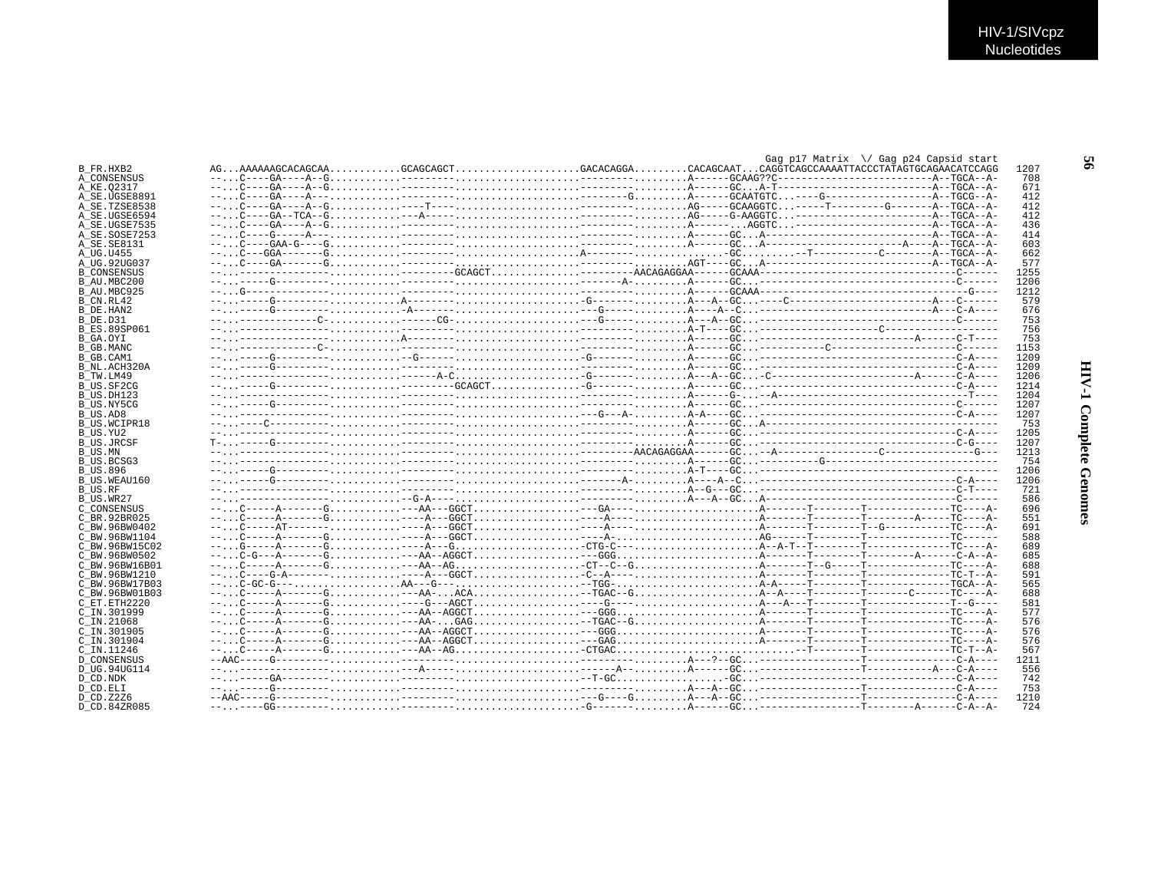|                            |  |  |  |  |  |  |  | Gag p17 Matrix \/ Gag p24 Capsid start |             |
|----------------------------|--|--|--|--|--|--|--|----------------------------------------|-------------|
| B FR.HXB2                  |  |  |  |  |  |  |  |                                        | 1207        |
| A CONSENSUS                |  |  |  |  |  |  |  |                                        | 708         |
| A KE.02317                 |  |  |  |  |  |  |  |                                        | 671         |
| A SE.UGSE8891              |  |  |  |  |  |  |  |                                        | 412         |
| A SE.TZSE8538              |  |  |  |  |  |  |  |                                        | 412         |
| A SE.UGSE6594              |  |  |  |  |  |  |  |                                        | 412         |
| A SE.UGSE7535              |  |  |  |  |  |  |  |                                        | 436         |
|                            |  |  |  |  |  |  |  |                                        | 414         |
| A SE.SOSE7253              |  |  |  |  |  |  |  |                                        |             |
| A_SE.SE8131                |  |  |  |  |  |  |  |                                        | 603         |
| A UG.U455                  |  |  |  |  |  |  |  |                                        | 662         |
| A UG.92UG037               |  |  |  |  |  |  |  |                                        | 577         |
| <b>B CONSENSUS</b>         |  |  |  |  |  |  |  |                                        | 1255        |
| B AU.MBC200                |  |  |  |  |  |  |  |                                        | 1206        |
| B AU.MBC925                |  |  |  |  |  |  |  |                                        | 1212        |
| B CN.RL42                  |  |  |  |  |  |  |  |                                        | 579         |
| B_DE.HAN2                  |  |  |  |  |  |  |  |                                        | 676         |
| <b>B DE D31</b>            |  |  |  |  |  |  |  |                                        | 753         |
| B ES.89SP061               |  |  |  |  |  |  |  |                                        | 756         |
|                            |  |  |  |  |  |  |  |                                        | 753         |
| B GA.OYI                   |  |  |  |  |  |  |  |                                        | 1153        |
| B GB.MANC                  |  |  |  |  |  |  |  |                                        |             |
| B GB.CAM1                  |  |  |  |  |  |  |  |                                        | 1209        |
| B NL.ACH320A               |  |  |  |  |  |  |  |                                        | 1209        |
| B TW.LM49                  |  |  |  |  |  |  |  |                                        | 1206        |
| B US.SF2CG                 |  |  |  |  |  |  |  |                                        | 1214        |
| B US.DH123                 |  |  |  |  |  |  |  |                                        | 1204        |
| B US.NY5CG                 |  |  |  |  |  |  |  |                                        | 1207        |
| B US.AD8                   |  |  |  |  |  |  |  |                                        | 1207        |
| <b>B US.WCIPR18</b>        |  |  |  |  |  |  |  |                                        | 753         |
| B US.YU2                   |  |  |  |  |  |  |  |                                        | 1205        |
|                            |  |  |  |  |  |  |  |                                        |             |
|                            |  |  |  |  |  |  |  |                                        |             |
| <b>B US.JRCSF</b>          |  |  |  |  |  |  |  |                                        | 1207        |
| B US.MN                    |  |  |  |  |  |  |  |                                        | 1213        |
| B US.BCSG3                 |  |  |  |  |  |  |  |                                        | 754         |
| <b>B US.896</b>            |  |  |  |  |  |  |  |                                        | 1206        |
| B US.WEAU160               |  |  |  |  |  |  |  |                                        | 1206        |
| B US.RF                    |  |  |  |  |  |  |  |                                        | 721         |
| B US.WR27                  |  |  |  |  |  |  |  |                                        | 586         |
| C CONSENSUS                |  |  |  |  |  |  |  |                                        | 696         |
| C BR. 92BR025              |  |  |  |  |  |  |  |                                        | 551         |
|                            |  |  |  |  |  |  |  |                                        |             |
| C BW.96BW0402              |  |  |  |  |  |  |  |                                        | 691         |
| C BW.96BW1104              |  |  |  |  |  |  |  |                                        | 588         |
| C BW.96BW15C02             |  |  |  |  |  |  |  |                                        | 689         |
| C BW.96BW0502              |  |  |  |  |  |  |  |                                        | 685         |
| C BW. 96BW16B01            |  |  |  |  |  |  |  |                                        | 688         |
| C BW.96BW1210              |  |  |  |  |  |  |  |                                        | 591         |
| C BW.96BW17B03             |  |  |  |  |  |  |  |                                        | 565         |
| C BW.96BW01B03             |  |  |  |  |  |  |  |                                        | 688         |
| C ET. ETH2220              |  |  |  |  |  |  |  |                                        | 581         |
| C IN.301999                |  |  |  |  |  |  |  |                                        | 577         |
| $C$ IN. 21068              |  |  |  |  |  |  |  |                                        | 576         |
| C IN.301905                |  |  |  |  |  |  |  |                                        | 576         |
|                            |  |  |  |  |  |  |  |                                        | 576         |
| C IN.301904                |  |  |  |  |  |  |  |                                        |             |
| C IN.11246                 |  |  |  |  |  |  |  |                                        | 567         |
| <b>D CONSENSUS</b>         |  |  |  |  |  |  |  |                                        | 1211        |
| D UG.94UG114               |  |  |  |  |  |  |  |                                        | 556         |
| D CD.NDK                   |  |  |  |  |  |  |  |                                        | 742         |
| D CD.ELI                   |  |  |  |  |  |  |  |                                        | 753         |
| D CD. Z2Z6<br>D CD.84ZR085 |  |  |  |  |  |  |  |                                        | 1210<br>724 |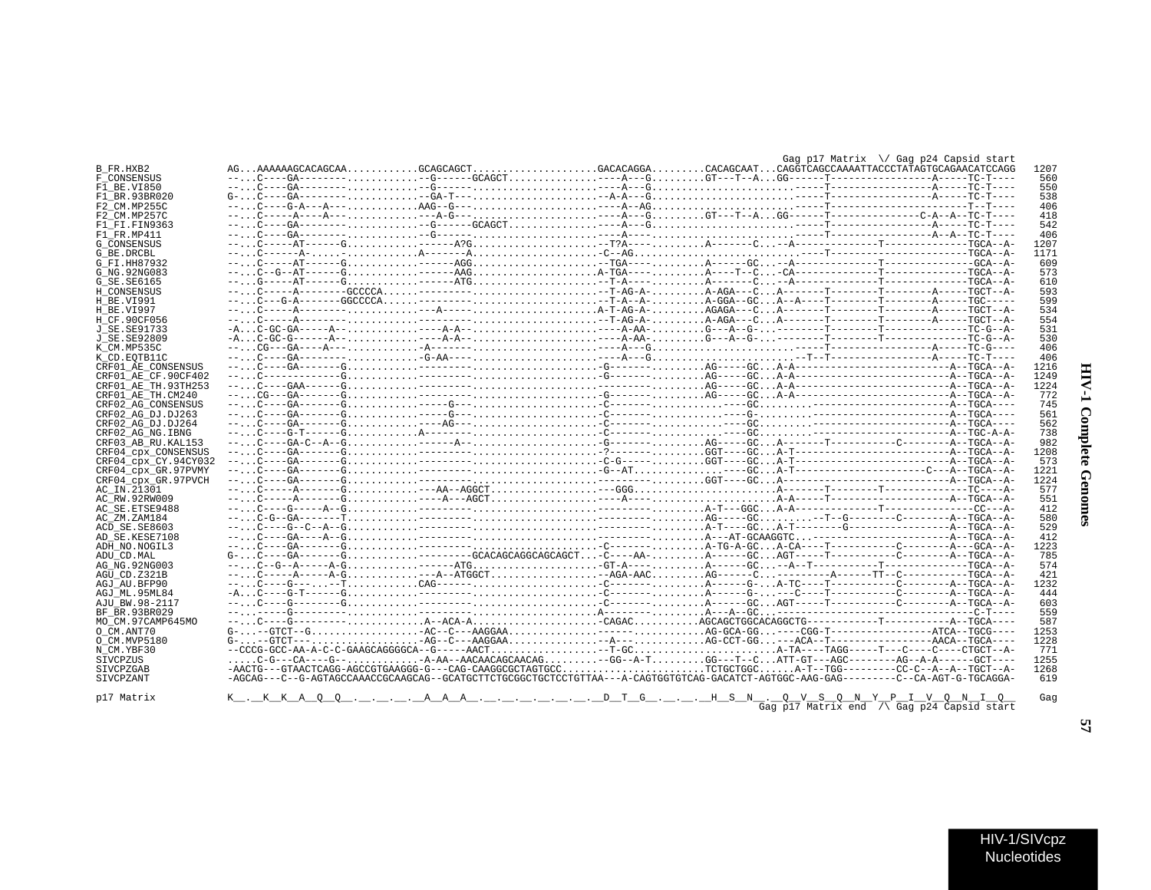| ľ<br>I           |  |
|------------------|--|
| Ś<br>J<br>ŗ<br>ĭ |  |
| i<br>ì           |  |

 $\blacksquare$ 

|                      |          |                                                                                                                                                                                                  |  | Gag p17 Matrix \/ Gag p24 Capsid start |      |
|----------------------|----------|--------------------------------------------------------------------------------------------------------------------------------------------------------------------------------------------------|--|----------------------------------------|------|
| B FR.HXB2            |          |                                                                                                                                                                                                  |  |                                        | 1207 |
| <b>F CONSENSUS</b>   |          |                                                                                                                                                                                                  |  |                                        | 560  |
| F1 BE.VI850          |          |                                                                                                                                                                                                  |  |                                        | 550  |
| F1 BR.93BR020        |          |                                                                                                                                                                                                  |  |                                        | 538  |
| F2 CM.MP255C         |          |                                                                                                                                                                                                  |  |                                        | 406  |
|                      |          |                                                                                                                                                                                                  |  |                                        | 418  |
| F2 CM.MP257C         |          |                                                                                                                                                                                                  |  |                                        | 542  |
| F1 FI.FIN9363        |          |                                                                                                                                                                                                  |  |                                        |      |
| F1 FR.MP411          |          |                                                                                                                                                                                                  |  |                                        | 406  |
| G CONSENSUS          |          |                                                                                                                                                                                                  |  |                                        | 1207 |
| G BE.DRCBL           |          |                                                                                                                                                                                                  |  |                                        | 1171 |
| G FI.HH87932         |          |                                                                                                                                                                                                  |  |                                        | 609  |
| G NG. 92NG083        |          |                                                                                                                                                                                                  |  |                                        | 573  |
| G SE. SE6165         |          |                                                                                                                                                                                                  |  |                                        | 610  |
| H CONSENSUS          |          |                                                                                                                                                                                                  |  |                                        | 593  |
| H BE.VI991           |          |                                                                                                                                                                                                  |  |                                        | 599  |
| H BE.VI997           |          |                                                                                                                                                                                                  |  |                                        | 534  |
| H CF.90CF056         |          |                                                                                                                                                                                                  |  |                                        | 554  |
| J SE. SE91733        |          |                                                                                                                                                                                                  |  |                                        | 531  |
| J SE. SE92809        |          |                                                                                                                                                                                                  |  |                                        | 530  |
| K CM.MP535C          |          |                                                                                                                                                                                                  |  |                                        | 406  |
| K CD. EOTB11C        |          |                                                                                                                                                                                                  |  |                                        | 406  |
| CRF01 AE CONSENSUS   |          |                                                                                                                                                                                                  |  |                                        | 1216 |
| CRF01 AE CF.90CF402  |          |                                                                                                                                                                                                  |  |                                        | 1249 |
| CRF01 AE TH.93TH253  |          |                                                                                                                                                                                                  |  |                                        | 1224 |
| CRF01 AE TH.CM240    |          |                                                                                                                                                                                                  |  |                                        | 772  |
| CRF02 AG CONSENSUS   |          |                                                                                                                                                                                                  |  |                                        | 745  |
| CRF02 AG DJ.DJ263    |          |                                                                                                                                                                                                  |  |                                        | 561  |
| CRF02 AG DJ.DJ264    |          |                                                                                                                                                                                                  |  |                                        | 562  |
|                      |          |                                                                                                                                                                                                  |  |                                        |      |
| CRF02 AG NG. IBNG    |          |                                                                                                                                                                                                  |  |                                        | 738  |
| CRF03 AB RU. KAL153  |          |                                                                                                                                                                                                  |  |                                        | 982  |
| CRF04 CDX CONSENSUS  |          |                                                                                                                                                                                                  |  |                                        | 1208 |
| CRF04 cpx CY.94CY032 |          |                                                                                                                                                                                                  |  |                                        | 573  |
| CRF04 cpx GR.97PVMY  |          |                                                                                                                                                                                                  |  |                                        | 1221 |
| CRF04 cpx GR.97PVCH  |          |                                                                                                                                                                                                  |  |                                        | 1224 |
| AC_IN.21301          |          |                                                                                                                                                                                                  |  |                                        | 577  |
| AC RW.92RW009        |          |                                                                                                                                                                                                  |  |                                        | 551  |
| AC SE. ETSE9488      |          |                                                                                                                                                                                                  |  |                                        | 412  |
| AC ZM.ZAM184         |          |                                                                                                                                                                                                  |  |                                        | 580  |
| ACD SE.SE8603        |          |                                                                                                                                                                                                  |  |                                        | 529  |
| AD SE.KESE7108       |          |                                                                                                                                                                                                  |  |                                        | 412  |
| ADH NO. NOGIL3       |          |                                                                                                                                                                                                  |  |                                        | 1223 |
| ADU CD.MAL           |          | $G C---GA-----G$ --------GCACAGCAGCAGCAGCAGCT-C----AA-A-----GCAGT-----T----------------------A--TGCA--A-                                                                                         |  |                                        | 785  |
| AG NG. 92NG003       |          | $-c_1, c-c-d-r-2-c+3$                                                                                                                                                                            |  |                                        | 574  |
| AGU CD.Z321B         |          |                                                                                                                                                                                                  |  |                                        | 421  |
| AGJ AU.BFP90         |          |                                                                                                                                                                                                  |  |                                        | 1232 |
| AGJ ML.95ML84        |          |                                                                                                                                                                                                  |  |                                        | 444  |
| AJU BW.98-2117       |          |                                                                                                                                                                                                  |  |                                        | 603  |
| BF BR. 93BR029       |          |                                                                                                                                                                                                  |  |                                        | 559  |
| MO CM.97CAMP645MO    |          |                                                                                                                                                                                                  |  |                                        | 587  |
| O CM.ANT70           |          |                                                                                                                                                                                                  |  |                                        | 1253 |
| O CM. MVP5180        |          |                                                                                                                                                                                                  |  |                                        | 1228 |
| N CM.YBF30           |          |                                                                                                                                                                                                  |  |                                        | 771  |
| SIVCPZUS             |          | $\ldots \ldots$ C-G---CA----G-- $\ldots \ldots \ldots$ -A-AA--AACAACAGCAACAG $\ldots \ldots \ldots -$ GG--A-T $\ldots \ldots \ldots$ GG---T--C $\ldots$ ATT-GT---AGC--------AG--A-A------GCT---- |  |                                        | 1255 |
| <b>STVCPZGAB</b>     |          | -AACTG---GTAACTCAGG-AGCCGTGAAGGG-G---CAG-CAAGGCGCTAGTGCCTCTGCTGGCA-T--TGG--------CC-C--A--TGCT--A-                                                                                               |  |                                        | 1268 |
| SIVCPZANT            |          | -AGCAG---C--G-AGTAGCCAAACCGCAAGCAG--GCATGCTTCTGCGGCTGCTCCTGTTAA---A-CAGTGGTGTCAG-GACATCT-AGTGGC-AAG-GAG--------C--CA-AGT-G-TGCAGGA-                                                              |  |                                        | 619  |
|                      |          |                                                                                                                                                                                                  |  |                                        |      |
| p17 Matrix           | K.KKA OO |                                                                                                                                                                                                  |  |                                        | Gag  |
|                      |          |                                                                                                                                                                                                  |  |                                        |      |

 $A = S = N$ .  $Q = V = S - Q = N - Y - Y - 1 - V - Q = N - 1 - Q - Q$ <br>Gag p17 Matrix end  $\sqrt{G}$  Gag p24 Capsid start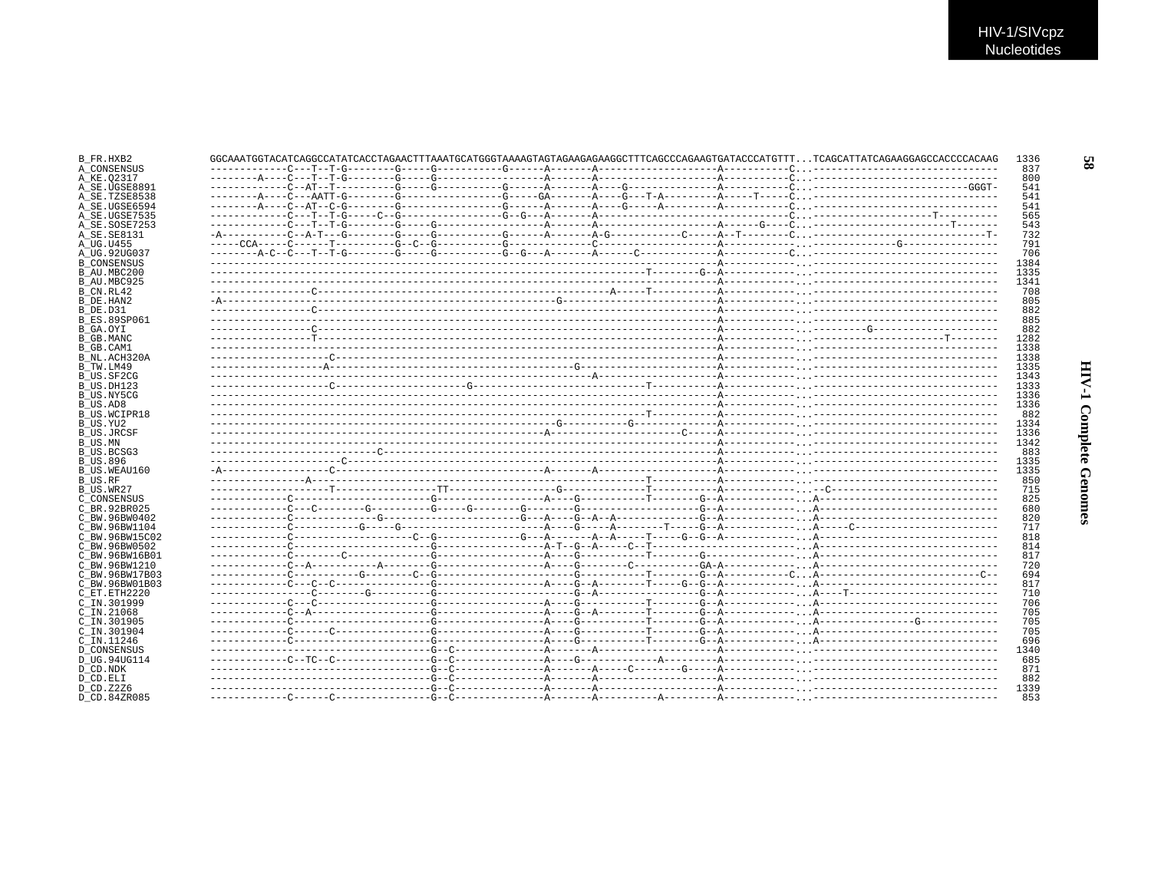| GGCAAATGGTACATCAGGCCATATCACCTAGAACTTTAAATGCATGGGTAAAAGTAGTAGAAGAGAAGGCTTTCAGCCCAGAAGTGATACCCATGTTTTCAGCATTATCAGAAGGAGCCACCCCACAAG |  |  |  |  |
|-----------------------------------------------------------------------------------------------------------------------------------|--|--|--|--|
|                                                                                                                                   |  |  |  |  |
|                                                                                                                                   |  |  |  |  |
|                                                                                                                                   |  |  |  |  |
|                                                                                                                                   |  |  |  |  |
|                                                                                                                                   |  |  |  |  |
|                                                                                                                                   |  |  |  |  |
|                                                                                                                                   |  |  |  |  |
|                                                                                                                                   |  |  |  |  |
|                                                                                                                                   |  |  |  |  |
|                                                                                                                                   |  |  |  |  |
|                                                                                                                                   |  |  |  |  |
|                                                                                                                                   |  |  |  |  |
|                                                                                                                                   |  |  |  |  |
|                                                                                                                                   |  |  |  |  |
|                                                                                                                                   |  |  |  |  |
|                                                                                                                                   |  |  |  |  |
|                                                                                                                                   |  |  |  |  |
|                                                                                                                                   |  |  |  |  |
|                                                                                                                                   |  |  |  |  |
|                                                                                                                                   |  |  |  |  |
|                                                                                                                                   |  |  |  |  |
|                                                                                                                                   |  |  |  |  |
|                                                                                                                                   |  |  |  |  |
|                                                                                                                                   |  |  |  |  |
|                                                                                                                                   |  |  |  |  |
|                                                                                                                                   |  |  |  |  |
|                                                                                                                                   |  |  |  |  |
|                                                                                                                                   |  |  |  |  |
|                                                                                                                                   |  |  |  |  |
|                                                                                                                                   |  |  |  |  |
|                                                                                                                                   |  |  |  |  |
|                                                                                                                                   |  |  |  |  |
|                                                                                                                                   |  |  |  |  |
|                                                                                                                                   |  |  |  |  |
|                                                                                                                                   |  |  |  |  |
|                                                                                                                                   |  |  |  |  |
|                                                                                                                                   |  |  |  |  |
|                                                                                                                                   |  |  |  |  |
|                                                                                                                                   |  |  |  |  |
|                                                                                                                                   |  |  |  |  |
|                                                                                                                                   |  |  |  |  |
|                                                                                                                                   |  |  |  |  |
|                                                                                                                                   |  |  |  |  |
|                                                                                                                                   |  |  |  |  |
|                                                                                                                                   |  |  |  |  |
|                                                                                                                                   |  |  |  |  |
|                                                                                                                                   |  |  |  |  |
|                                                                                                                                   |  |  |  |  |
|                                                                                                                                   |  |  |  |  |
|                                                                                                                                   |  |  |  |  |
|                                                                                                                                   |  |  |  |  |
|                                                                                                                                   |  |  |  |  |
|                                                                                                                                   |  |  |  |  |
|                                                                                                                                   |  |  |  |  |
|                                                                                                                                   |  |  |  |  |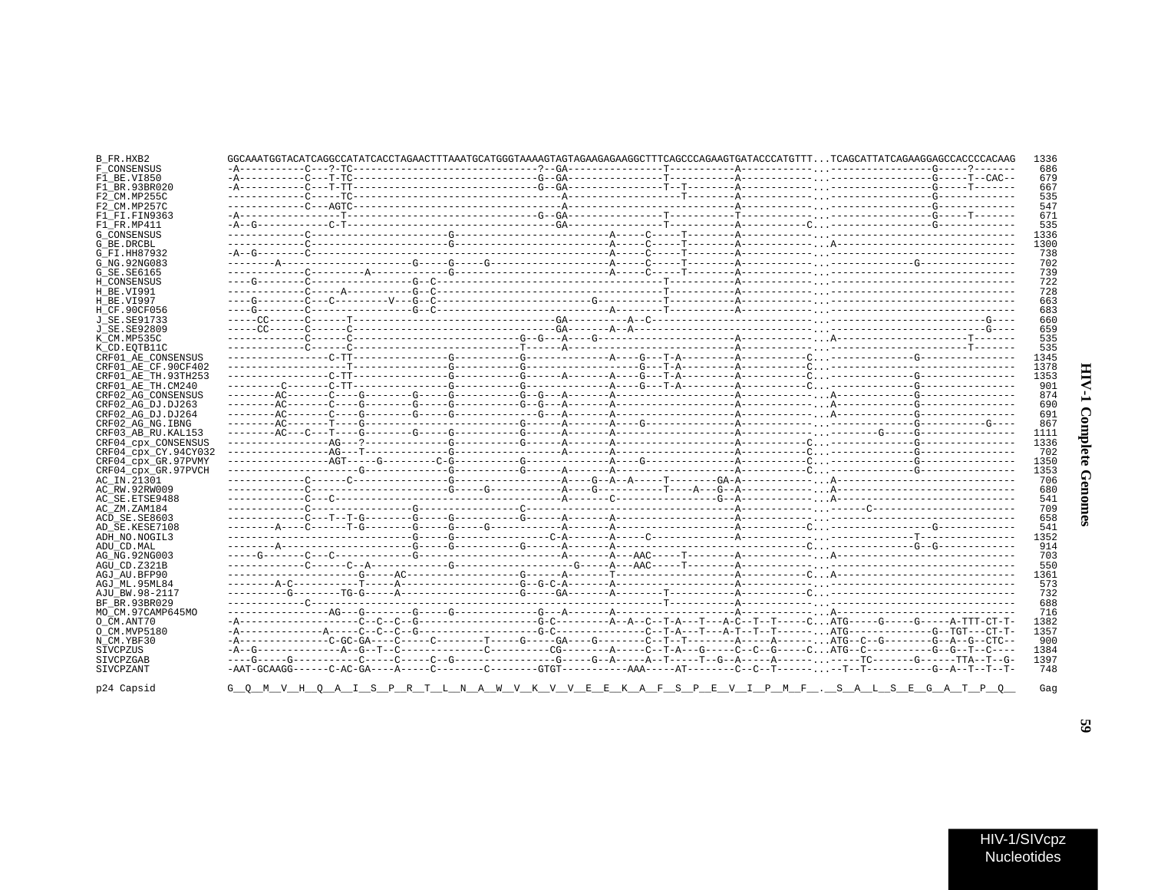| $728$<br>$663$<br>-----------------------------<br><b>HIV-1 Complete Genomes</b> |  |  |
|----------------------------------------------------------------------------------|--|--|
|                                                                                  |  |  |
|                                                                                  |  |  |
|                                                                                  |  |  |
|                                                                                  |  |  |
|                                                                                  |  |  |
|                                                                                  |  |  |
|                                                                                  |  |  |
|                                                                                  |  |  |
|                                                                                  |  |  |
|                                                                                  |  |  |
|                                                                                  |  |  |
|                                                                                  |  |  |
|                                                                                  |  |  |
|                                                                                  |  |  |
|                                                                                  |  |  |
|                                                                                  |  |  |
|                                                                                  |  |  |
|                                                                                  |  |  |
|                                                                                  |  |  |
|                                                                                  |  |  |
|                                                                                  |  |  |
|                                                                                  |  |  |
|                                                                                  |  |  |
|                                                                                  |  |  |
|                                                                                  |  |  |
|                                                                                  |  |  |
|                                                                                  |  |  |
|                                                                                  |  |  |
|                                                                                  |  |  |

| B_FR.HXB2            |  |  |  |  | GGCAAATGGTACATCAGGCCATATCACCTAGAACTTTAAATGCATGGGTAAAAGTAGTAGAAGAGAAGGCTTTCAGCCCAGAAGTGATACCCATGTTTTCAGCATTATCAGAAGGAGCCACCCCACAAG | 1336        |
|----------------------|--|--|--|--|-----------------------------------------------------------------------------------------------------------------------------------|-------------|
| F CONSENSUS          |  |  |  |  |                                                                                                                                   | 686         |
| F1 BE.VI850          |  |  |  |  |                                                                                                                                   | 679         |
| F1 BR.93BR020        |  |  |  |  |                                                                                                                                   | 667         |
| F2 CM.MP255C         |  |  |  |  |                                                                                                                                   | 535         |
| F2 CM.MP257C         |  |  |  |  |                                                                                                                                   | 547         |
| F1 FI.FIN9363        |  |  |  |  |                                                                                                                                   | 671         |
| F1 FR.MP411          |  |  |  |  |                                                                                                                                   | 535         |
| G CONSENSUS          |  |  |  |  |                                                                                                                                   | 1336        |
| G BE.DRCBL           |  |  |  |  |                                                                                                                                   | 1300        |
| G FI.HH87932         |  |  |  |  |                                                                                                                                   | 738         |
| G NG. 92NG083        |  |  |  |  |                                                                                                                                   | 702         |
| G SE.SE6165          |  |  |  |  |                                                                                                                                   | 739         |
| H CONSENSUS          |  |  |  |  |                                                                                                                                   | 722         |
| H BE.VI991           |  |  |  |  |                                                                                                                                   | 728         |
| H BE.VI997           |  |  |  |  |                                                                                                                                   | 663         |
| H CF.90CF056         |  |  |  |  |                                                                                                                                   | 683         |
| J SE.SE91733         |  |  |  |  |                                                                                                                                   | 660         |
| J SE. SE92809        |  |  |  |  |                                                                                                                                   | 659         |
| K CM.MP535C          |  |  |  |  |                                                                                                                                   | 535         |
| K CD. EOTB11C        |  |  |  |  |                                                                                                                                   | 535         |
| CRF01 AE CONSENSUS   |  |  |  |  |                                                                                                                                   | 1345        |
| CRF01 AE CF.90CF402  |  |  |  |  |                                                                                                                                   | 1378        |
| CRF01 AE TH.93TH253  |  |  |  |  |                                                                                                                                   | 1353        |
| CRF01_AE_TH.CM240    |  |  |  |  |                                                                                                                                   | 901         |
| CRF02 AG CONSENSUS   |  |  |  |  |                                                                                                                                   | 874         |
| CRF02 AG DJ.DJ263    |  |  |  |  |                                                                                                                                   | 690         |
| CRF02 AG DJ.DJ264    |  |  |  |  |                                                                                                                                   | 691         |
| CRF02 AG NG. IBNG    |  |  |  |  |                                                                                                                                   | 867         |
| CRF03 AB RU. KAL153  |  |  |  |  |                                                                                                                                   | 1111        |
| CRF04 cpx CONSENSUS  |  |  |  |  |                                                                                                                                   | 1336        |
| CRF04 cpx CY.94CY032 |  |  |  |  |                                                                                                                                   | 702         |
| CRF04 cpx GR.97PVMY  |  |  |  |  |                                                                                                                                   | 1350        |
| CRF04 cpx GR.97PVCH  |  |  |  |  |                                                                                                                                   | 1353        |
| AC IN.21301          |  |  |  |  |                                                                                                                                   | 706         |
| AC RW.92RW009        |  |  |  |  |                                                                                                                                   | 680         |
| AC SE. ETSE9488      |  |  |  |  |                                                                                                                                   | 541         |
| AC ZM.ZAM184         |  |  |  |  |                                                                                                                                   | 709         |
| ACD SE.SE8603        |  |  |  |  |                                                                                                                                   | 658         |
| AD SE.KESE7108       |  |  |  |  |                                                                                                                                   | 541<br>1352 |
| ADH NO.NOGIL3        |  |  |  |  |                                                                                                                                   | 914         |
| ADU CD.MAL           |  |  |  |  |                                                                                                                                   |             |
| AG NG.92NG003        |  |  |  |  |                                                                                                                                   | 703         |
| AGU CD.Z321B         |  |  |  |  |                                                                                                                                   | 550         |
| AGJ AU.BFP90         |  |  |  |  |                                                                                                                                   | 1361        |
| AGJ ML.95ML84        |  |  |  |  |                                                                                                                                   | 573         |
| AJU_BW.98-2117       |  |  |  |  |                                                                                                                                   | 732         |
| BF BR.93BR029        |  |  |  |  |                                                                                                                                   | 688         |
| MO CM.97CAMP645MO    |  |  |  |  |                                                                                                                                   | 716         |
| O_CM.ANT70           |  |  |  |  |                                                                                                                                   | 1382        |
| O CM.MVP5180         |  |  |  |  |                                                                                                                                   | 1357        |
| N CM.YBF30           |  |  |  |  | -A-------------C-GC-GA----C------C-------T-----GA----GA----C--------C--T--T-------A-----A------,ATG--C--G-----------G--A--G-CTC-- | 900         |
| SIVCPZUS             |  |  |  |  |                                                                                                                                   | 1384        |
| SIVCPZGAB            |  |  |  |  |                                                                                                                                   | 1397        |
| SIVCPZANT            |  |  |  |  |                                                                                                                                   | 748         |
| p24 Capsid           |  |  |  |  | <u>G Q M V H Q A I S P R T L N A W V K V V E E K A F S P E V I P M F . S A L S E G A T P Q </u>                                   | Gag         |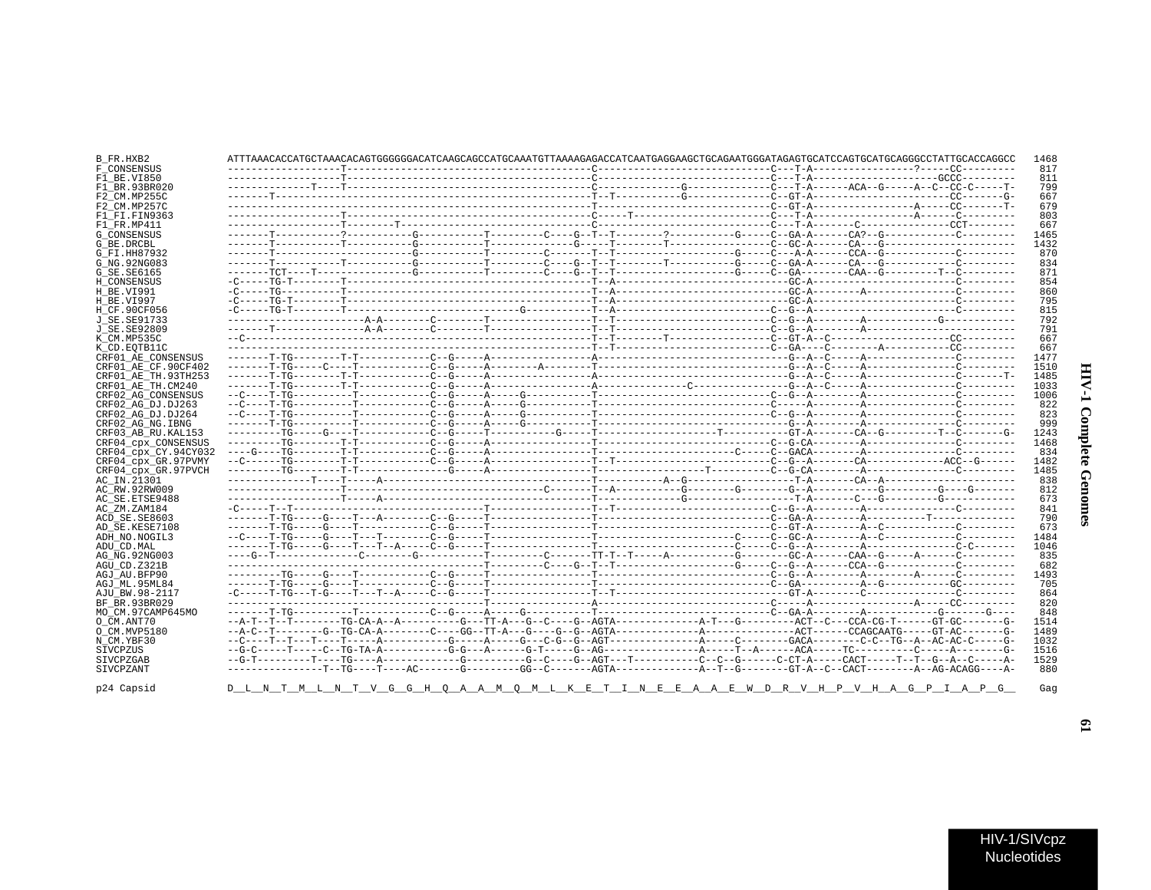| Į<br>١<br>ć |  |
|-------------|--|
| ì<br>ì      |  |

 $\blacksquare$ 

| B_FR.HXB2            |  |  |                                                          |  |  | 1468 |
|----------------------|--|--|----------------------------------------------------------|--|--|------|
| F CONSENSUS          |  |  |                                                          |  |  | 817  |
| F1 BE.VI850          |  |  |                                                          |  |  | 811  |
| F1 BR.93BR020        |  |  |                                                          |  |  | 799  |
| F2 CM.MP255C         |  |  |                                                          |  |  | 667  |
| F2 CM.MP257C         |  |  |                                                          |  |  | 679  |
| F1 FI.FIN9363        |  |  |                                                          |  |  | 803  |
| F1 FR.MP411          |  |  |                                                          |  |  | 667  |
| <b>G CONSENSUS</b>   |  |  |                                                          |  |  | 1465 |
| G BE.DRCBL           |  |  |                                                          |  |  | 1432 |
| G FI.HH87932         |  |  |                                                          |  |  | 870  |
| G NG.92NG083         |  |  |                                                          |  |  | 834  |
| G SE.SE6165          |  |  |                                                          |  |  | 871  |
| H CONSENSUS          |  |  |                                                          |  |  | 854  |
| H BE.VI991           |  |  |                                                          |  |  | 860  |
| H BE.VI997           |  |  |                                                          |  |  | 795  |
| H CF.90CF056         |  |  |                                                          |  |  | 815  |
| J SE.SE91733         |  |  |                                                          |  |  | 792  |
| J SE.SE92809         |  |  |                                                          |  |  | 791  |
| K CM.MP535C          |  |  |                                                          |  |  | 667  |
| K CD.EOTB11C         |  |  |                                                          |  |  | 667  |
| CRF01 AE CONSENSUS   |  |  |                                                          |  |  | 1477 |
| CRF01 AE CF.90CF402  |  |  |                                                          |  |  | 1510 |
| CRF01 AE TH. 93TH253 |  |  |                                                          |  |  | 1485 |
| CRF01 AE TH.CM240    |  |  |                                                          |  |  | 1033 |
| CRF02 AG CONSENSUS   |  |  |                                                          |  |  | 1006 |
| CRF02 AG DJ.DJ263    |  |  |                                                          |  |  | 822  |
| CRF02 AG DJ.DJ264    |  |  |                                                          |  |  | 823  |
| CRF02 AG NG. IBNG    |  |  |                                                          |  |  | 999  |
| CRF03 AB RU. KAL153  |  |  |                                                          |  |  | 1243 |
| CRF04_cpx_CONSENSUS  |  |  |                                                          |  |  | 1468 |
| CRF04 cpx CY.94CY032 |  |  |                                                          |  |  | 834  |
| CRF04 cpx GR.97PVMY  |  |  |                                                          |  |  | 1482 |
| CRF04 cpx GR.97PVCH  |  |  |                                                          |  |  | 1485 |
| AC IN.21301          |  |  |                                                          |  |  | 838  |
| AC RW.92RW009        |  |  |                                                          |  |  | 812  |
| AC SE.ETSE9488       |  |  |                                                          |  |  | 673  |
| AC ZM.ZAM184         |  |  |                                                          |  |  | 841  |
| ACD SE.SE8603        |  |  |                                                          |  |  | 790  |
| AD SE.KESE7108       |  |  |                                                          |  |  | 673  |
| ADH NO.NOGIL3        |  |  |                                                          |  |  | 1484 |
| ADU CD.MAL           |  |  |                                                          |  |  | 1046 |
| AG NG.92NG003        |  |  |                                                          |  |  | 835  |
| AGU CD.Z321B         |  |  |                                                          |  |  | 682  |
| AGJ AU.BFP90         |  |  |                                                          |  |  | 1493 |
| AGJ ML.95ML84        |  |  |                                                          |  |  | 705  |
| AJU BW.98-2117       |  |  |                                                          |  |  | 864  |
| BF BR.93BR029        |  |  |                                                          |  |  | 820  |
| MO CM.97CAMP645MO    |  |  |                                                          |  |  | 848  |
| O CM.ANT70           |  |  |                                                          |  |  | 1514 |
| O CM.MVP5180         |  |  |                                                          |  |  | 1489 |
| N CM.YBF30           |  |  |                                                          |  |  | 1032 |
| SIVCPZUS             |  |  |                                                          |  |  | 1516 |
| SIVCPZGAB            |  |  |                                                          |  |  | 1529 |
| SIVCPZANT            |  |  |                                                          |  |  | 880  |
|                      |  |  |                                                          |  |  |      |
| p24 Capsid           |  |  | <u>DILNIT MLINIVGGHOAAMOMLKEITINEEAAEWDRVHPVHAGPIAPG</u> |  |  | Gag  |

E W D R V H P V H A G P I A P G D\_L\_N\_T\_M\_L\_N\_T\_V\_G\_G\_H\_Q\_A  $I \quad N \quad E \quad E$  $\overline{A}$ M O M  $\mathbb L$  $\mathbf{K}$  $F_i$  $T$  $\overline{A}$  $\overline{A}$ 

 $\mathbf{5}$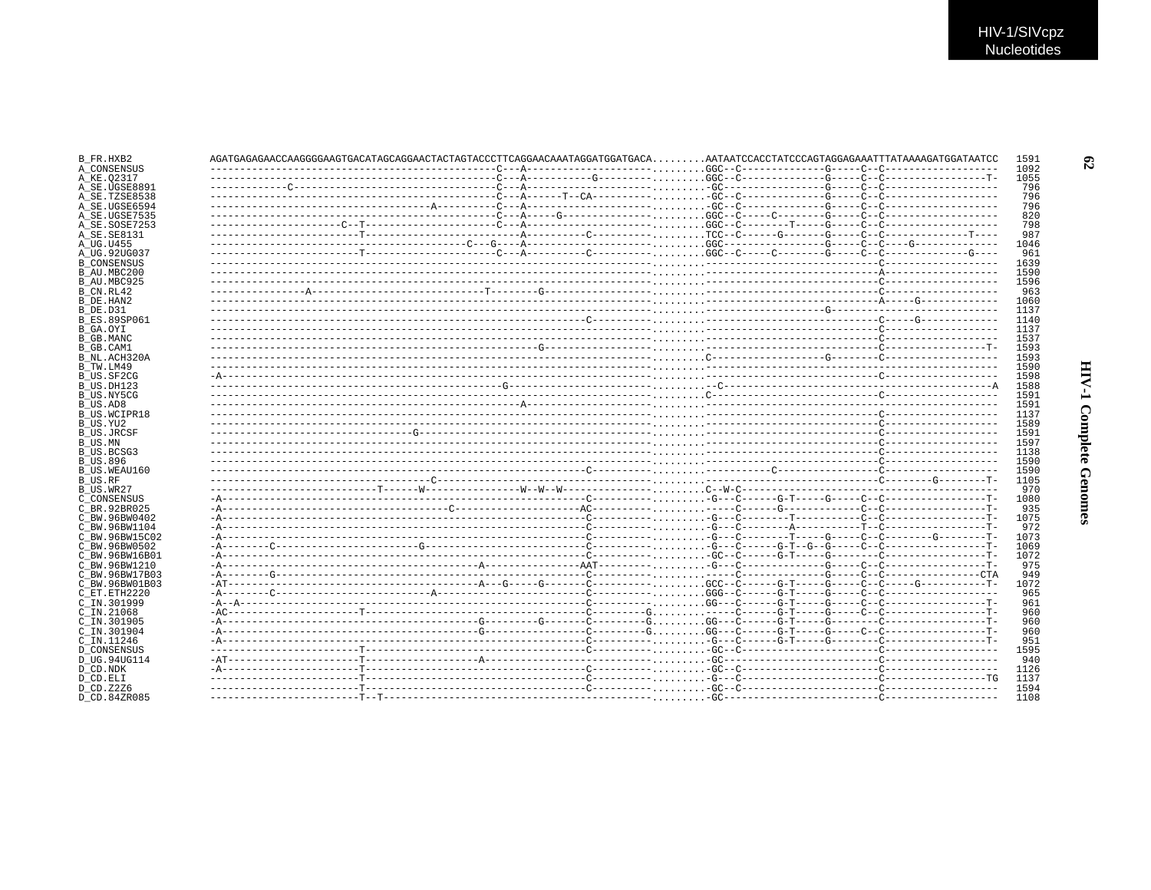| B_FR.HXB2           |  |  |  |  |  |
|---------------------|--|--|--|--|--|
| A CONSENSUS         |  |  |  |  |  |
| A KE.02317          |  |  |  |  |  |
| A SE.UGSE8891       |  |  |  |  |  |
| A SE.TZSE8538       |  |  |  |  |  |
| A SE.UGSE6594       |  |  |  |  |  |
| A SE.UGSE7535       |  |  |  |  |  |
| A SE.SOSE7253       |  |  |  |  |  |
| A SE. SE8131        |  |  |  |  |  |
| A UG.U455           |  |  |  |  |  |
| A UG.92UG037        |  |  |  |  |  |
| <b>B CONSENSUS</b>  |  |  |  |  |  |
| B AU.MBC200         |  |  |  |  |  |
| B AU.MBC925         |  |  |  |  |  |
| B CN.RL42           |  |  |  |  |  |
| B DE.HAN2           |  |  |  |  |  |
| B DE.D31            |  |  |  |  |  |
|                     |  |  |  |  |  |
| <b>B ES.89SP061</b> |  |  |  |  |  |
| B_GA.OYI            |  |  |  |  |  |
| B GB.MANC           |  |  |  |  |  |
| B GB.CAM1           |  |  |  |  |  |
| B NL.ACH320A        |  |  |  |  |  |
| B TW.LM49           |  |  |  |  |  |
| B US.SF2CG          |  |  |  |  |  |
| B US.DH123          |  |  |  |  |  |
| B_US.NY5CG          |  |  |  |  |  |
| B US.AD8            |  |  |  |  |  |
| <b>B US.WCIPR18</b> |  |  |  |  |  |
| B US.YU2            |  |  |  |  |  |
| B US.JRCSF          |  |  |  |  |  |
|                     |  |  |  |  |  |
| B US.BCSG3          |  |  |  |  |  |
| B US.896            |  |  |  |  |  |
| B US.WEAU160        |  |  |  |  |  |
|                     |  |  |  |  |  |
| B US.WR27           |  |  |  |  |  |
| C CONSENSUS         |  |  |  |  |  |
| C BR.92BR025        |  |  |  |  |  |
| C BW.96BW0402       |  |  |  |  |  |
| C BW.96BW1104       |  |  |  |  |  |
| C BW.96BW15C02      |  |  |  |  |  |
| C BW.96BW0502       |  |  |  |  |  |
|                     |  |  |  |  |  |
| C BW.96BW16B01      |  |  |  |  |  |
| C BW.96BW1210       |  |  |  |  |  |
| C BW.96BW17B03      |  |  |  |  |  |
| C BW.96BW01B03      |  |  |  |  |  |
| C ET.ETH2220        |  |  |  |  |  |
| C IN.301999         |  |  |  |  |  |
| C IN.21068          |  |  |  |  |  |
| C IN.301905         |  |  |  |  |  |
| C IN.301904         |  |  |  |  |  |
| C IN.11246          |  |  |  |  |  |
| <b>D CONSENSUS</b>  |  |  |  |  |  |
| D UG.94UG114        |  |  |  |  |  |
| D_CD.NDK            |  |  |  |  |  |
| D CD.ELI            |  |  |  |  |  |
| D CD.Z2Z6           |  |  |  |  |  |
|                     |  |  |  |  |  |

 $\mathfrak{G}$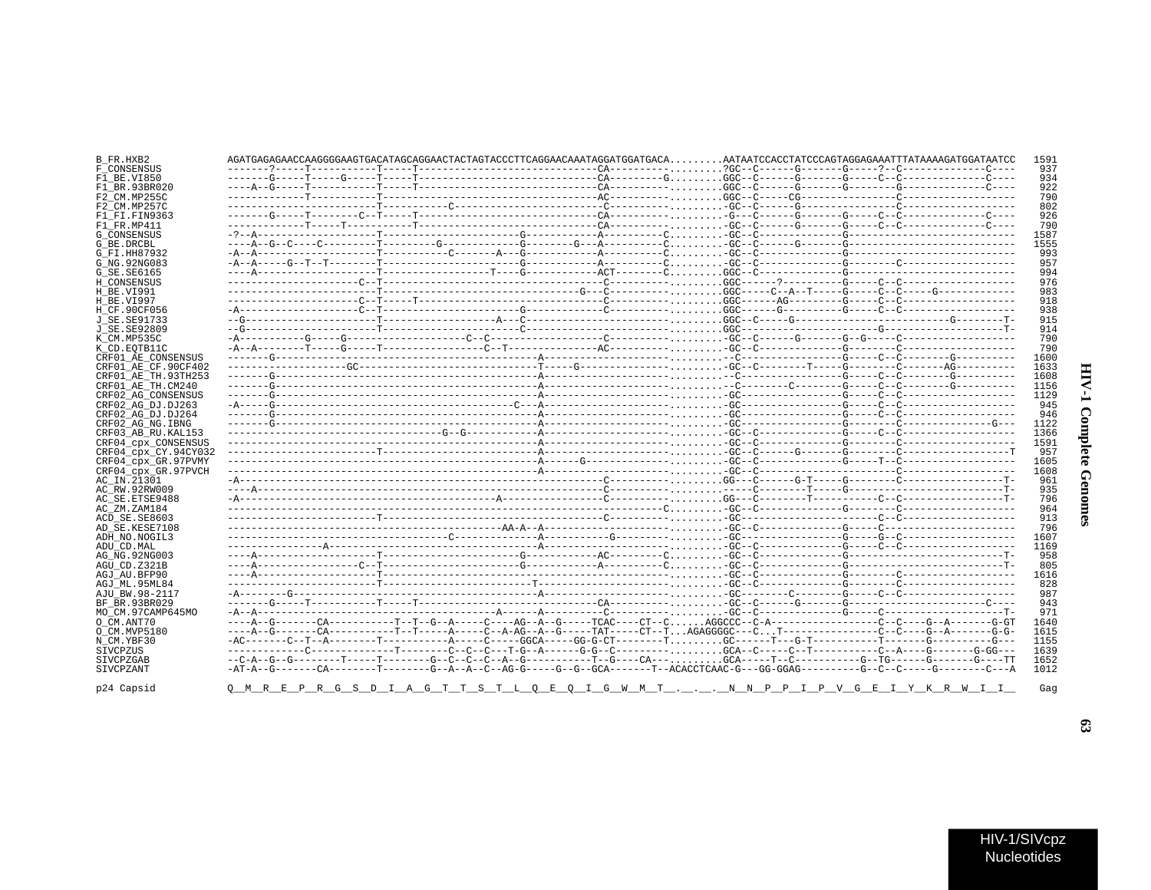| B FR.HXB2            |  |  |  | 1591                                                                                             |
|----------------------|--|--|--|--------------------------------------------------------------------------------------------------|
| F CONSENSUS          |  |  |  | 937                                                                                              |
| F1 BE.VI850          |  |  |  | 934                                                                                              |
| F1 BR.93BR020        |  |  |  | 922                                                                                              |
| F2 CM.MP255C         |  |  |  | 790                                                                                              |
| F2 CM.MP257C         |  |  |  | 802                                                                                              |
| F1 FT FTN9363        |  |  |  | 926                                                                                              |
| F1 FR.MP411          |  |  |  | 790                                                                                              |
| G CONSENSUS          |  |  |  | 1587                                                                                             |
| G BE.DRCBL           |  |  |  | 1555                                                                                             |
| G FI.HH87932         |  |  |  | 993                                                                                              |
| G NG.92NG083         |  |  |  | 957                                                                                              |
| G SE. SE6165         |  |  |  | 994                                                                                              |
| H CONSENSUS          |  |  |  | 976                                                                                              |
| H BE.VI991           |  |  |  | 983                                                                                              |
| H BE.VI997           |  |  |  | 918                                                                                              |
| H CF.90CF056         |  |  |  | 938                                                                                              |
| J SE.SE91733         |  |  |  | 915                                                                                              |
|                      |  |  |  |                                                                                                  |
| J SE.SE92809         |  |  |  | 914                                                                                              |
| K CM.MP535C          |  |  |  | 790                                                                                              |
| K CD.EOTB11C         |  |  |  | 790                                                                                              |
| CRF01 AE CONSENSUS   |  |  |  | 1600                                                                                             |
| CRF01 AE CF.90CF402  |  |  |  | 1633                                                                                             |
| CRF01 AE TH.93TH253  |  |  |  | 1608                                                                                             |
| CRF01 AE TH.CM240    |  |  |  | 1156                                                                                             |
| CRF02 AG CONSENSUS   |  |  |  | 1129                                                                                             |
| CRF02 AG DJ.DJ263    |  |  |  | 945                                                                                              |
| CRF02 AG DJ.DJ264    |  |  |  | 946                                                                                              |
| CRF02 AG NG. IBNG    |  |  |  | 1122                                                                                             |
| CRF03 AB RU. KAL153  |  |  |  | 1366                                                                                             |
| CRF04 CPX CONSENSUS  |  |  |  | 1591                                                                                             |
|                      |  |  |  |                                                                                                  |
| CRF04_cpx_CY.94CY032 |  |  |  | 957                                                                                              |
| CRF04 cpx GR.97PVMY  |  |  |  | 1605                                                                                             |
| CRF04 cpx GR.97PVCH  |  |  |  | 1608                                                                                             |
| AC IN.21301          |  |  |  | 961                                                                                              |
| AC RW.92RW009        |  |  |  | 935                                                                                              |
| AC SE. ETSE9488      |  |  |  | 796                                                                                              |
| AC ZM.ZAM184         |  |  |  | 964                                                                                              |
| ACD SE.SE8603        |  |  |  | 913                                                                                              |
| AD SE.KESE7108       |  |  |  | 796                                                                                              |
| ADH NO.NOGIL3        |  |  |  | 1607                                                                                             |
| ADU CD.MAL           |  |  |  | 1169                                                                                             |
| AG NG.92NG003        |  |  |  | 958                                                                                              |
| AGU CD.Z321B         |  |  |  | 805                                                                                              |
|                      |  |  |  |                                                                                                  |
| AGJ AU.BFP90         |  |  |  | 1616                                                                                             |
| AGJ ML.95ML84        |  |  |  | 828                                                                                              |
| AJU BW.98-2117       |  |  |  | 987                                                                                              |
| BF BR.93BR029        |  |  |  | 943                                                                                              |
| MO CM.97CAMP645MO    |  |  |  | 971                                                                                              |
| O CM.ANT70           |  |  |  | 1640                                                                                             |
| O CM.MVP5180         |  |  |  | 1615                                                                                             |
| N CM.YBF30           |  |  |  | 1155                                                                                             |
| SIVCPZUS             |  |  |  | 1639                                                                                             |
|                      |  |  |  | 1652                                                                                             |
| SIVCPZGAB            |  |  |  |                                                                                                  |
| SIVCPZANT            |  |  |  | 1012                                                                                             |
| p24 Capsid           |  |  |  | <u>Q M R E P R G S D I A G T T S T L Q E Q I G W M T N N P P I P V G E I Y K R W I I </u><br>Gaq |

 $\boldsymbol{\mathfrak{S}}$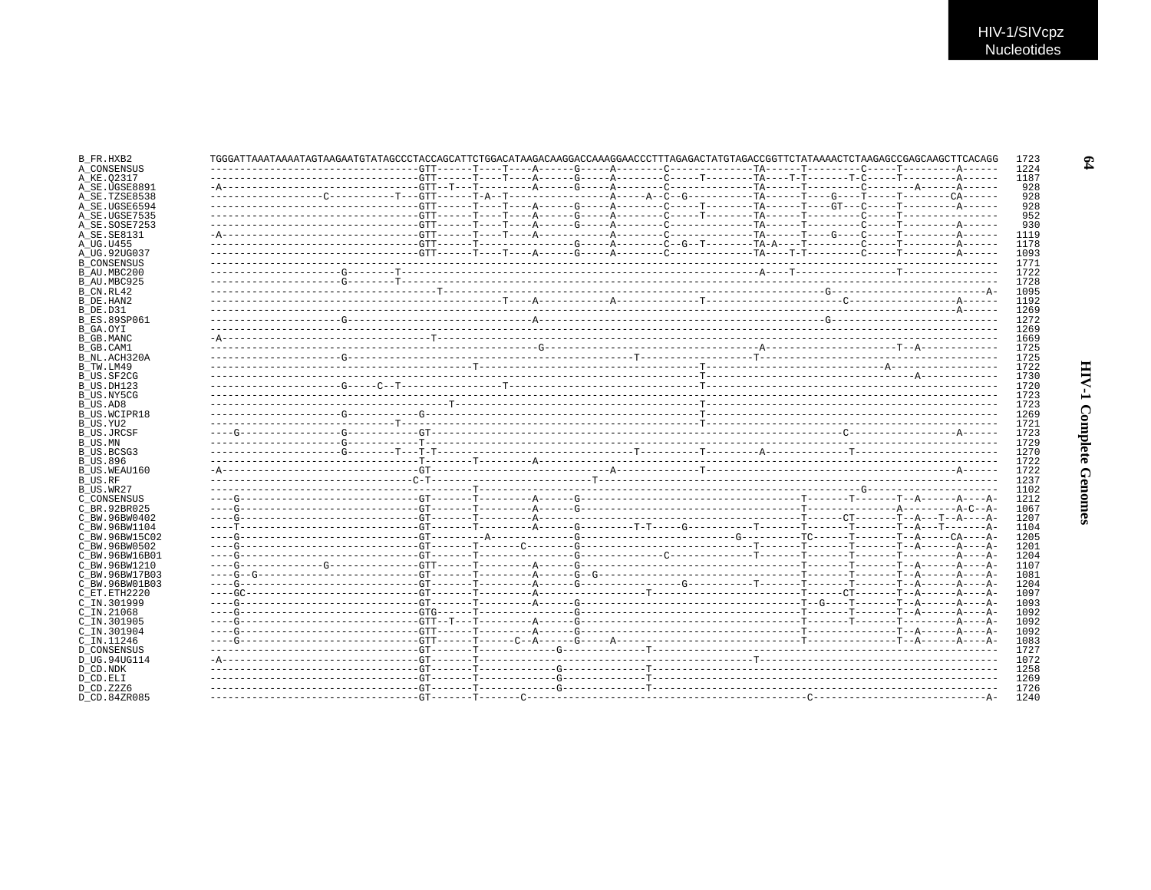| B FR.HXB2                       | TGGGATTAAAATAAAATAGTAAGAATGTATAGCCCTACCAGCATTCTGGACATAAGACAAGGACCAAAGGAACCCCTTTAGAGACTATGTAGCCGGTTCTATAAAACTCTAAGAGCCGAGCAAGCTTCACAGG |  |  |  | 1723         |
|---------------------------------|---------------------------------------------------------------------------------------------------------------------------------------|--|--|--|--------------|
| A CONSENSUS                     |                                                                                                                                       |  |  |  | 1224         |
| A KE.02317                      |                                                                                                                                       |  |  |  | 1187         |
| A SE.UGSE8891                   |                                                                                                                                       |  |  |  | 928          |
| A SE.TZSE8538                   |                                                                                                                                       |  |  |  | 928          |
| A SE.UGSE6594                   |                                                                                                                                       |  |  |  | 928          |
| A SE.UGSE7535                   |                                                                                                                                       |  |  |  | 952          |
| A_SE.SOSE7253                   |                                                                                                                                       |  |  |  | 930          |
| A SE. SE8131                    |                                                                                                                                       |  |  |  | 1119         |
| A UG.U455                       |                                                                                                                                       |  |  |  | 1178         |
| A UG.92UG037                    |                                                                                                                                       |  |  |  | 1093         |
| <b>B CONSENSUS</b>              |                                                                                                                                       |  |  |  | 1771         |
| B AU.MBC200                     |                                                                                                                                       |  |  |  | 1722         |
| B AU.MBC925                     |                                                                                                                                       |  |  |  | 1728         |
| B_CN.RL42                       |                                                                                                                                       |  |  |  | 1095         |
| B DE.HAN2                       |                                                                                                                                       |  |  |  | 1192         |
| B DE.D31                        |                                                                                                                                       |  |  |  | 1269         |
| B ES.89SP061                    |                                                                                                                                       |  |  |  | 1272         |
| B_GA.OYI                        |                                                                                                                                       |  |  |  | 1269         |
| B GB.MANC                       |                                                                                                                                       |  |  |  | 1669         |
| B GB.CAM1                       |                                                                                                                                       |  |  |  | 1725         |
| B NL.ACH320A                    |                                                                                                                                       |  |  |  | 1725         |
| B TW.LM49                       |                                                                                                                                       |  |  |  | 1722<br>1730 |
| B US.SF2CG                      |                                                                                                                                       |  |  |  | 1720         |
| B US.DH123                      |                                                                                                                                       |  |  |  |              |
| B_US.NY5CG                      |                                                                                                                                       |  |  |  | 1723         |
| B US.AD8                        |                                                                                                                                       |  |  |  | 1723<br>1269 |
| B US.WCIPR18                    |                                                                                                                                       |  |  |  | 1721         |
| B US.YU2                        |                                                                                                                                       |  |  |  |              |
| B US.JRCSF<br>B US.MN           |                                                                                                                                       |  |  |  | 1723<br>1729 |
|                                 |                                                                                                                                       |  |  |  | 1270         |
| B US.BCSG3                      |                                                                                                                                       |  |  |  | 1722         |
| <b>B_US.896</b><br>B US.WEAU160 |                                                                                                                                       |  |  |  | 1722         |
| B_US.RF                         |                                                                                                                                       |  |  |  | 1237         |
| B US.WR27                       |                                                                                                                                       |  |  |  | 1102         |
| C_CONSENSUS                     |                                                                                                                                       |  |  |  | 1212         |
| C BR.92BR025                    |                                                                                                                                       |  |  |  | 1067         |
| C BW.96BW0402                   |                                                                                                                                       |  |  |  | 1207         |
| C BW.96BW1104                   |                                                                                                                                       |  |  |  | 1104         |
| C BW.96BW15C02                  |                                                                                                                                       |  |  |  | 1205         |
| C BW.96BW0502                   |                                                                                                                                       |  |  |  | 1201         |
| C BW.96BW16B01                  |                                                                                                                                       |  |  |  | 1204         |
| C BW.96BW1210                   |                                                                                                                                       |  |  |  | 1107         |
| C BW.96BW17B03                  |                                                                                                                                       |  |  |  | 1081         |
| C BW.96BW01B03                  |                                                                                                                                       |  |  |  | 1204         |
| C_ET.ETH2220                    |                                                                                                                                       |  |  |  | 1097         |
| C IN.301999                     |                                                                                                                                       |  |  |  | 1093         |
| $C$ IN. 21068                   |                                                                                                                                       |  |  |  | 1092         |
| C IN.301905                     |                                                                                                                                       |  |  |  | 1092         |
| C_IN.301904                     |                                                                                                                                       |  |  |  | 1092         |
| C IN.11246                      |                                                                                                                                       |  |  |  | 1083         |
| <b>D CONSENSUS</b>              |                                                                                                                                       |  |  |  | 1727         |
| D UG.94UG114                    |                                                                                                                                       |  |  |  | 1072         |
| D CD.NDK                        |                                                                                                                                       |  |  |  | 1258         |
| D CD.ELI                        |                                                                                                                                       |  |  |  | 1269         |
| D CD.Z2Z6                       |                                                                                                                                       |  |  |  | 1726         |
| D CD.84ZR085                    |                                                                                                                                       |  |  |  | 1240         |
|                                 |                                                                                                                                       |  |  |  |              |

 $\mathfrak{e}_4$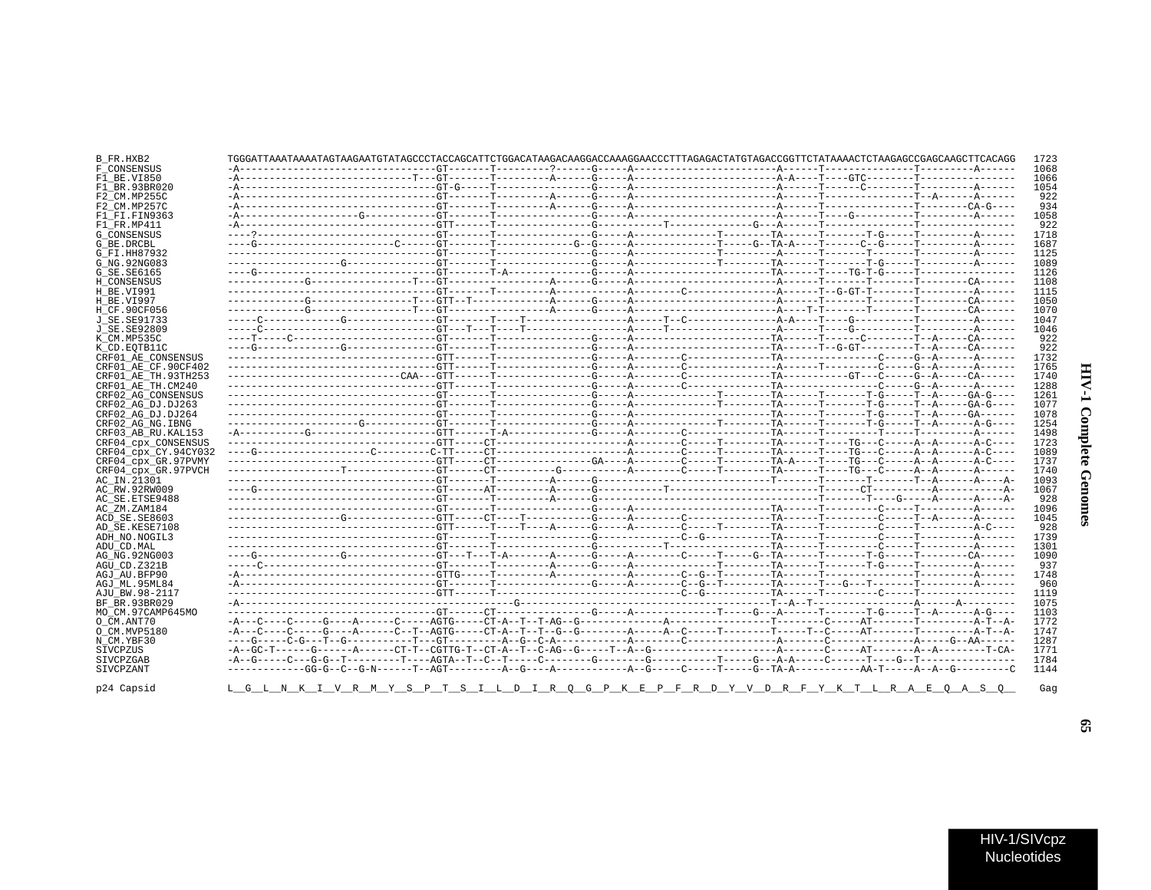| ĺ           |  |
|-------------|--|
| i           |  |
| י ווירות די |  |

| TGGGATTAAATAAAATAGTAAGAATGTATAGCCCTACCAGCATTCTGGACATAAGACAAGGACCAAAGGAACCCTTTAGAGACTATGTAGACCGGTTCTATAAAACTCTAAGAGCCGAGCAAGCTTCACAGG |  |  |  | 1068 |
|--------------------------------------------------------------------------------------------------------------------------------------|--|--|--|------|
|                                                                                                                                      |  |  |  |      |
|                                                                                                                                      |  |  |  | 1066 |
|                                                                                                                                      |  |  |  | 1054 |
|                                                                                                                                      |  |  |  |      |
|                                                                                                                                      |  |  |  |      |
|                                                                                                                                      |  |  |  | 1058 |
|                                                                                                                                      |  |  |  |      |
|                                                                                                                                      |  |  |  | 1718 |
|                                                                                                                                      |  |  |  | 1687 |
|                                                                                                                                      |  |  |  | 1125 |
|                                                                                                                                      |  |  |  | 1089 |
|                                                                                                                                      |  |  |  | 1126 |
|                                                                                                                                      |  |  |  | 1108 |
|                                                                                                                                      |  |  |  | 1115 |
|                                                                                                                                      |  |  |  | 1050 |
|                                                                                                                                      |  |  |  | 1070 |
|                                                                                                                                      |  |  |  | 1047 |
|                                                                                                                                      |  |  |  | 1046 |
|                                                                                                                                      |  |  |  |      |
|                                                                                                                                      |  |  |  |      |
|                                                                                                                                      |  |  |  | 1732 |
|                                                                                                                                      |  |  |  | 1765 |
|                                                                                                                                      |  |  |  | 1740 |
|                                                                                                                                      |  |  |  | 1288 |
|                                                                                                                                      |  |  |  | 1261 |
|                                                                                                                                      |  |  |  | 1077 |
|                                                                                                                                      |  |  |  | 1078 |
|                                                                                                                                      |  |  |  | 1254 |
|                                                                                                                                      |  |  |  | 1498 |
|                                                                                                                                      |  |  |  | 1723 |
|                                                                                                                                      |  |  |  | 1089 |
|                                                                                                                                      |  |  |  | 1737 |
|                                                                                                                                      |  |  |  | 1740 |
|                                                                                                                                      |  |  |  | 1093 |
|                                                                                                                                      |  |  |  | 1067 |
|                                                                                                                                      |  |  |  |      |
|                                                                                                                                      |  |  |  | 1096 |
|                                                                                                                                      |  |  |  | 1045 |
|                                                                                                                                      |  |  |  |      |
|                                                                                                                                      |  |  |  | 1739 |
|                                                                                                                                      |  |  |  | 1301 |
|                                                                                                                                      |  |  |  | 1090 |
|                                                                                                                                      |  |  |  |      |
|                                                                                                                                      |  |  |  | 1748 |
|                                                                                                                                      |  |  |  |      |
|                                                                                                                                      |  |  |  | 1119 |
|                                                                                                                                      |  |  |  |      |
|                                                                                                                                      |  |  |  | 1075 |
|                                                                                                                                      |  |  |  | 1103 |
|                                                                                                                                      |  |  |  | 1772 |
|                                                                                                                                      |  |  |  | 1747 |
|                                                                                                                                      |  |  |  | 1287 |
|                                                                                                                                      |  |  |  | 1771 |
|                                                                                                                                      |  |  |  | 1784 |
|                                                                                                                                      |  |  |  | 1144 |
|                                                                                                                                      |  |  |  |      |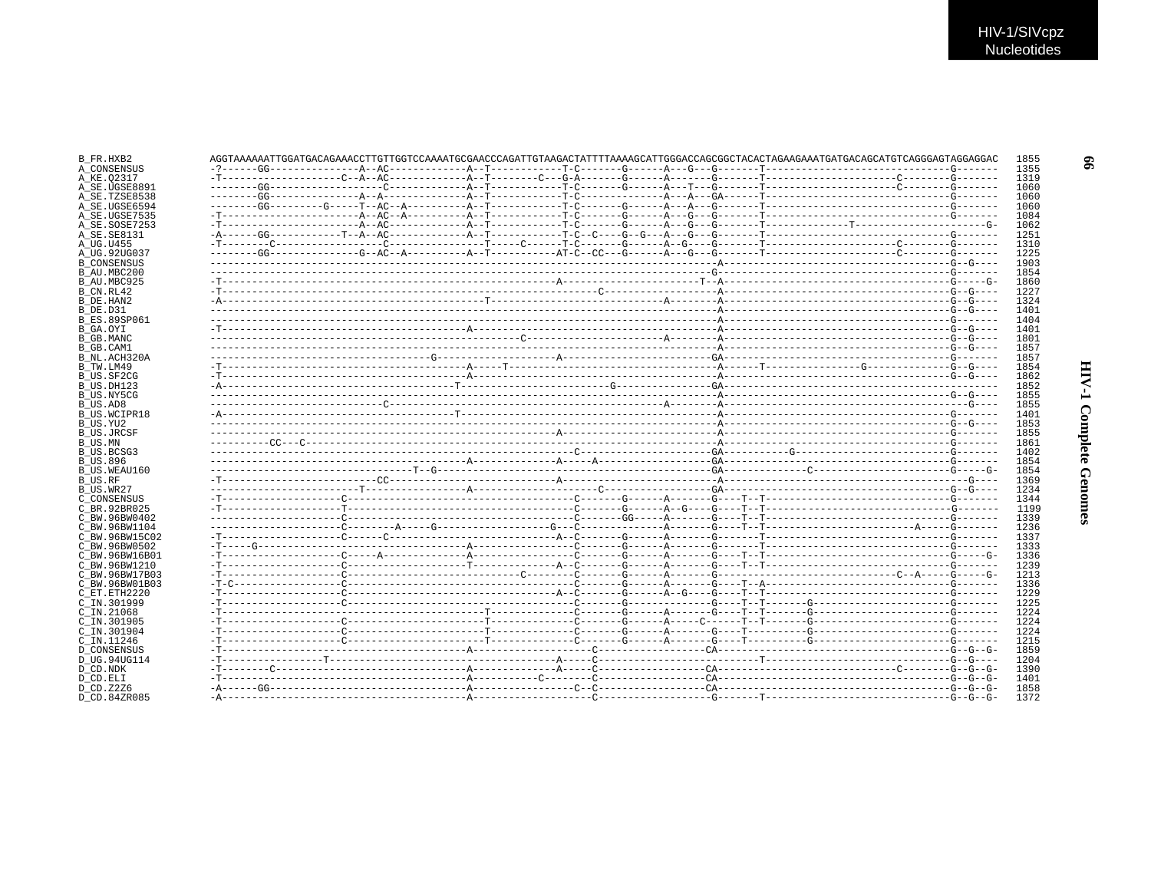|  | AGGTAAAAAAATTGGATGACAGAAACCTTGTTGGTCCAAAATGCGAACCCAGATTGTAAGACTATTTTAAAAGCATTGGGACCAGCGGCTACACACAAAGAAATGATGACAGCATGTCAGGGAGTAGGAGGAC |  |  |  |  |
|--|---------------------------------------------------------------------------------------------------------------------------------------|--|--|--|--|
|  |                                                                                                                                       |  |  |  |  |
|  |                                                                                                                                       |  |  |  |  |
|  |                                                                                                                                       |  |  |  |  |
|  |                                                                                                                                       |  |  |  |  |
|  |                                                                                                                                       |  |  |  |  |
|  |                                                                                                                                       |  |  |  |  |
|  |                                                                                                                                       |  |  |  |  |
|  |                                                                                                                                       |  |  |  |  |
|  |                                                                                                                                       |  |  |  |  |
|  |                                                                                                                                       |  |  |  |  |
|  |                                                                                                                                       |  |  |  |  |
|  |                                                                                                                                       |  |  |  |  |
|  |                                                                                                                                       |  |  |  |  |
|  |                                                                                                                                       |  |  |  |  |
|  |                                                                                                                                       |  |  |  |  |
|  |                                                                                                                                       |  |  |  |  |
|  |                                                                                                                                       |  |  |  |  |
|  |                                                                                                                                       |  |  |  |  |
|  |                                                                                                                                       |  |  |  |  |
|  |                                                                                                                                       |  |  |  |  |
|  |                                                                                                                                       |  |  |  |  |
|  |                                                                                                                                       |  |  |  |  |
|  |                                                                                                                                       |  |  |  |  |
|  |                                                                                                                                       |  |  |  |  |
|  |                                                                                                                                       |  |  |  |  |
|  |                                                                                                                                       |  |  |  |  |
|  |                                                                                                                                       |  |  |  |  |
|  |                                                                                                                                       |  |  |  |  |
|  |                                                                                                                                       |  |  |  |  |
|  |                                                                                                                                       |  |  |  |  |
|  |                                                                                                                                       |  |  |  |  |
|  |                                                                                                                                       |  |  |  |  |
|  |                                                                                                                                       |  |  |  |  |
|  |                                                                                                                                       |  |  |  |  |
|  |                                                                                                                                       |  |  |  |  |
|  |                                                                                                                                       |  |  |  |  |
|  |                                                                                                                                       |  |  |  |  |
|  |                                                                                                                                       |  |  |  |  |
|  |                                                                                                                                       |  |  |  |  |
|  |                                                                                                                                       |  |  |  |  |
|  |                                                                                                                                       |  |  |  |  |
|  |                                                                                                                                       |  |  |  |  |
|  |                                                                                                                                       |  |  |  |  |
|  |                                                                                                                                       |  |  |  |  |
|  |                                                                                                                                       |  |  |  |  |
|  |                                                                                                                                       |  |  |  |  |
|  |                                                                                                                                       |  |  |  |  |
|  |                                                                                                                                       |  |  |  |  |
|  |                                                                                                                                       |  |  |  |  |
|  |                                                                                                                                       |  |  |  |  |
|  |                                                                                                                                       |  |  |  |  |
|  |                                                                                                                                       |  |  |  |  |
|  |                                                                                                                                       |  |  |  |  |
|  |                                                                                                                                       |  |  |  |  |
|  |                                                                                                                                       |  |  |  |  |
|  |                                                                                                                                       |  |  |  |  |
|  |                                                                                                                                       |  |  |  |  |
|  |                                                                                                                                       |  |  |  |  |
|  |                                                                                                                                       |  |  |  |  |
|  |                                                                                                                                       |  |  |  |  |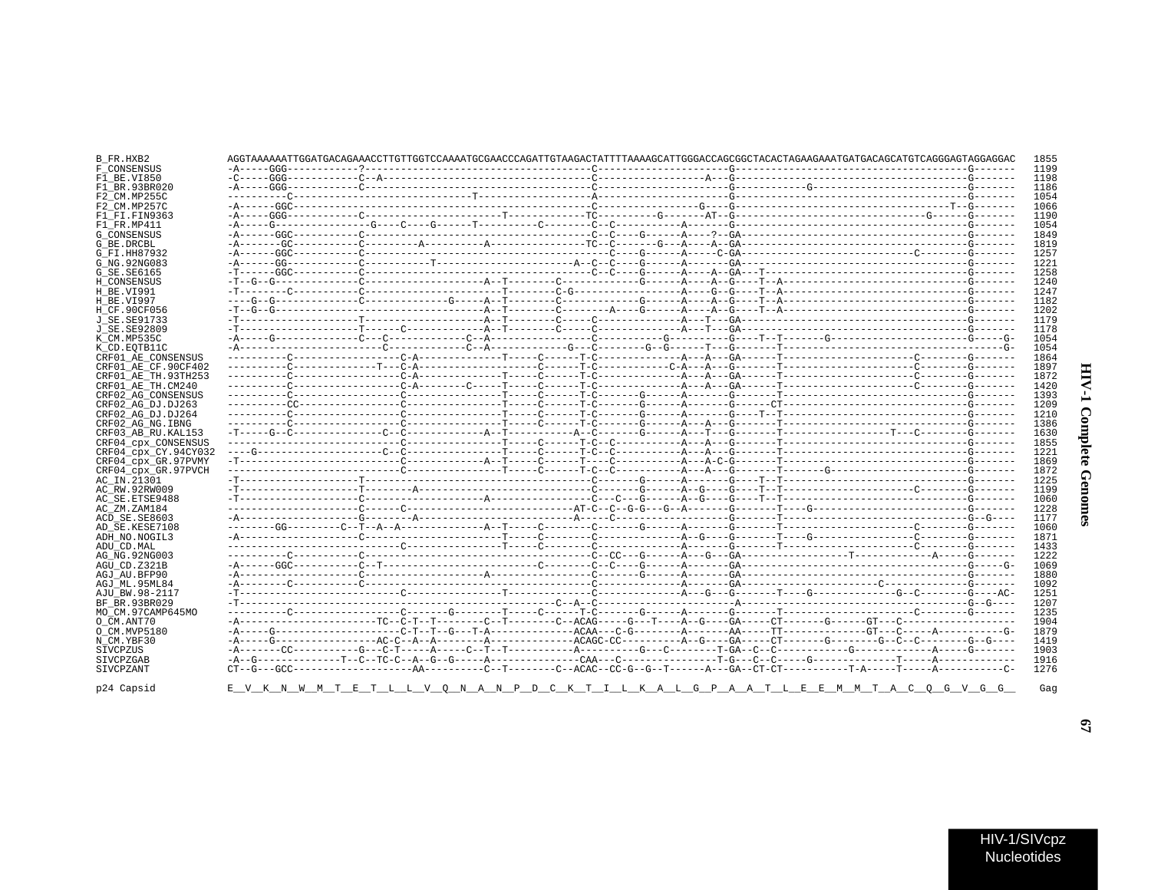## **HIV-1 Complete Genomes**

| B_FR.HXB2            | AGGTAAAAAAATTGGATGACAGAAACCTTGTTGGTCCAAAATGCGAACCCAGATTGTAAGACTATTTTAAAAGCATTGGGACCAGCGGCTACACTAGAAGAAATGATGACAGCATGTCAGGGAGTAGGAGGA |  |  |  | 1855 |
|----------------------|--------------------------------------------------------------------------------------------------------------------------------------|--|--|--|------|
| F CONSENSUS          |                                                                                                                                      |  |  |  | 1199 |
| F1 BE.VI850          |                                                                                                                                      |  |  |  | 1198 |
| F1 BR.93BR020        |                                                                                                                                      |  |  |  | 1186 |
| F2 CM.MP255C         |                                                                                                                                      |  |  |  | 1054 |
| F2 CM.MP257C         |                                                                                                                                      |  |  |  | 1066 |
| F1 FI.FIN9363        |                                                                                                                                      |  |  |  | 1190 |
| F1 FR.MP411          |                                                                                                                                      |  |  |  | 1054 |
| <b>G CONSENSUS</b>   |                                                                                                                                      |  |  |  | 1849 |
| G BE.DRCBL           |                                                                                                                                      |  |  |  | 1819 |
| G_FI.HH87932         |                                                                                                                                      |  |  |  | 1257 |
| G NG. 92NG083        |                                                                                                                                      |  |  |  | 1221 |
| G SE.SE6165          |                                                                                                                                      |  |  |  | 1258 |
|                      |                                                                                                                                      |  |  |  | 1240 |
| H CONSENSUS          |                                                                                                                                      |  |  |  |      |
| H BE.VI991           |                                                                                                                                      |  |  |  | 1247 |
| H BE.VI997           |                                                                                                                                      |  |  |  | 1182 |
| H CF.90CF056         |                                                                                                                                      |  |  |  | 1202 |
| J SE.SE91733         |                                                                                                                                      |  |  |  | 1179 |
| J SE. SE92809        |                                                                                                                                      |  |  |  | 1178 |
| K CM.MP535C          |                                                                                                                                      |  |  |  | 1054 |
| K CD.EOTB11C         |                                                                                                                                      |  |  |  | 1054 |
| CRF01 AE CONSENSUS   |                                                                                                                                      |  |  |  | 1864 |
| CRF01 AE CF.90CF402  |                                                                                                                                      |  |  |  | 1897 |
| CRF01 AE TH.93TH253  |                                                                                                                                      |  |  |  | 1872 |
| CRF01 AE TH.CM240    |                                                                                                                                      |  |  |  | 1420 |
| CRF02 AG CONSENSUS   |                                                                                                                                      |  |  |  | 1393 |
|                      |                                                                                                                                      |  |  |  | 1209 |
| CRF02 AG DJ.DJ263    |                                                                                                                                      |  |  |  |      |
| CRF02 AG DJ.DJ264    |                                                                                                                                      |  |  |  | 1210 |
| CRF02 AG NG. IBNG    |                                                                                                                                      |  |  |  | 1386 |
| CRF03 AB RU. KAL153  |                                                                                                                                      |  |  |  | 1630 |
| CRF04_cpx_CONSENSUS  |                                                                                                                                      |  |  |  | 1855 |
| CRF04 cpx CY.94CY032 |                                                                                                                                      |  |  |  | 1221 |
| CRF04 cpx GR.97PVMY  |                                                                                                                                      |  |  |  | 1869 |
| CRF04 cpx GR.97PVCH  |                                                                                                                                      |  |  |  | 1872 |
| AC IN.21301          |                                                                                                                                      |  |  |  | 1225 |
| AC RW.92RW009        |                                                                                                                                      |  |  |  | 1199 |
| AC SE.ETSE9488       |                                                                                                                                      |  |  |  | 1060 |
| AC ZM.ZAM184         |                                                                                                                                      |  |  |  | 1228 |
| ACD SE.SE8603        |                                                                                                                                      |  |  |  | 1177 |
| AD SE.KESE7108       |                                                                                                                                      |  |  |  | 1060 |
|                      |                                                                                                                                      |  |  |  | 1871 |
| ADH NO.NOGIL3        |                                                                                                                                      |  |  |  |      |
| ADU CD.MAL           |                                                                                                                                      |  |  |  | 1433 |
| AG NG. 92NG003       |                                                                                                                                      |  |  |  | 1222 |
| AGU CD.Z321B         |                                                                                                                                      |  |  |  | 1069 |
| AGJ AU.BFP90         |                                                                                                                                      |  |  |  | 1880 |
| AGJ ML.95ML84        |                                                                                                                                      |  |  |  | 1092 |
| AJU BW.98-2117       |                                                                                                                                      |  |  |  | 1251 |
| BF BR.93BR029        |                                                                                                                                      |  |  |  | 1207 |
| MO_CM.97CAMP645MO    |                                                                                                                                      |  |  |  | 1235 |
| O CM.ANT70           |                                                                                                                                      |  |  |  | 1904 |
| O CM.MVP5180         |                                                                                                                                      |  |  |  | 1879 |
| N CM.YBF30           |                                                                                                                                      |  |  |  | 1419 |
| SIVCPZUS             |                                                                                                                                      |  |  |  | 1903 |
|                      |                                                                                                                                      |  |  |  |      |
| SIVCPZGAB            |                                                                                                                                      |  |  |  | 1916 |
| SIVCPZANT            |                                                                                                                                      |  |  |  | 1276 |
| p24 Capsid           | <u>E V K N W M T E T L L V Q N A N P D C K T I L K A L G P A A T L E E M M T A C Q G V G G </u>                                      |  |  |  |      |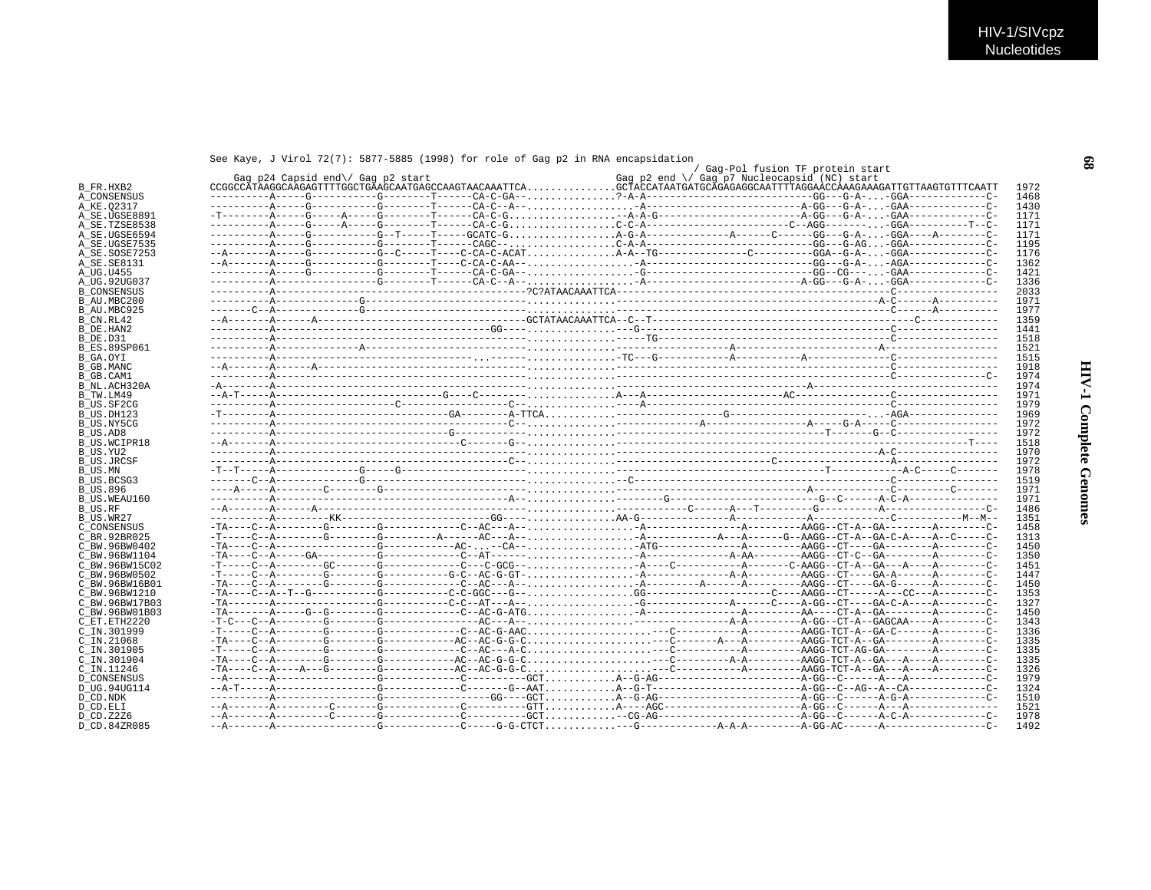## See Kave, J Virol 72(7): 5877-5885 (1998) for role of Gag p2 in RNA encapsidation

|                     | Gag p24 Capsid end\/ Gag p2 start |  | / Gag-Pol fusion TF protein start<br>Gag p2 end \/ Gag p7 Nucleocapsid (NC) start |  |
|---------------------|-----------------------------------|--|-----------------------------------------------------------------------------------|--|
|                     |                                   |  |                                                                                   |  |
| A CONSENSUS         |                                   |  |                                                                                   |  |
| A KE.02317          |                                   |  |                                                                                   |  |
| A SE.UGSE8891       |                                   |  |                                                                                   |  |
| A SE.TZSE8538       |                                   |  |                                                                                   |  |
| A SE.UGSE6594       |                                   |  |                                                                                   |  |
|                     |                                   |  |                                                                                   |  |
| A SE.UGSE7535       |                                   |  |                                                                                   |  |
| A SE.SOSE7253       |                                   |  |                                                                                   |  |
| A SE. SE8131        |                                   |  |                                                                                   |  |
|                     |                                   |  |                                                                                   |  |
| A UG.92UG037        |                                   |  |                                                                                   |  |
| <b>B CONSENSUS</b>  |                                   |  |                                                                                   |  |
| B AU.MBC200         |                                   |  |                                                                                   |  |
| B AU.MBC925         |                                   |  |                                                                                   |  |
|                     |                                   |  |                                                                                   |  |
|                     |                                   |  |                                                                                   |  |
|                     |                                   |  |                                                                                   |  |
| <b>B ES.89SP061</b> |                                   |  |                                                                                   |  |
|                     |                                   |  |                                                                                   |  |
|                     |                                   |  |                                                                                   |  |
|                     |                                   |  |                                                                                   |  |
|                     |                                   |  |                                                                                   |  |
| B NL.ACH320A        |                                   |  |                                                                                   |  |
|                     |                                   |  |                                                                                   |  |
| B US.SF2CG          |                                   |  |                                                                                   |  |
| B US.DH123          |                                   |  |                                                                                   |  |
| B US.NY5CG          |                                   |  |                                                                                   |  |
|                     |                                   |  |                                                                                   |  |
| <b>B US.WCIPR18</b> |                                   |  |                                                                                   |  |
|                     |                                   |  |                                                                                   |  |
| <b>B US.JRCSF</b>   |                                   |  |                                                                                   |  |
|                     |                                   |  |                                                                                   |  |
| B US.BCSG3          |                                   |  |                                                                                   |  |
|                     |                                   |  |                                                                                   |  |
|                     |                                   |  |                                                                                   |  |
| B US.WEAU160        |                                   |  |                                                                                   |  |
|                     |                                   |  |                                                                                   |  |
|                     |                                   |  |                                                                                   |  |
| C CONSENSUS         |                                   |  |                                                                                   |  |
| C BR.92BR025        |                                   |  |                                                                                   |  |
| C BW.96BW0402       |                                   |  |                                                                                   |  |
| C BW.96BW1104       |                                   |  |                                                                                   |  |
| C BW.96BW15C02      |                                   |  |                                                                                   |  |
| C BW.96BW0502       |                                   |  |                                                                                   |  |
| C BW.96BW16B01      |                                   |  |                                                                                   |  |
| C BW.96BW1210       |                                   |  |                                                                                   |  |
| C BW.96BW17B03      |                                   |  |                                                                                   |  |
| C BW.96BW01B03      |                                   |  |                                                                                   |  |
| C ET.ETH2220        |                                   |  |                                                                                   |  |
|                     |                                   |  |                                                                                   |  |
| C IN.301999         |                                   |  |                                                                                   |  |
| C IN.21068          |                                   |  |                                                                                   |  |
| C_IN.301905         |                                   |  |                                                                                   |  |
| C IN.301904         |                                   |  |                                                                                   |  |
| C IN.11246          |                                   |  |                                                                                   |  |
| D CONSENSUS         |                                   |  |                                                                                   |  |
| D_UG.94UG114        |                                   |  |                                                                                   |  |
|                     |                                   |  |                                                                                   |  |
|                     |                                   |  |                                                                                   |  |
|                     |                                   |  |                                                                                   |  |
|                     |                                   |  |                                                                                   |  |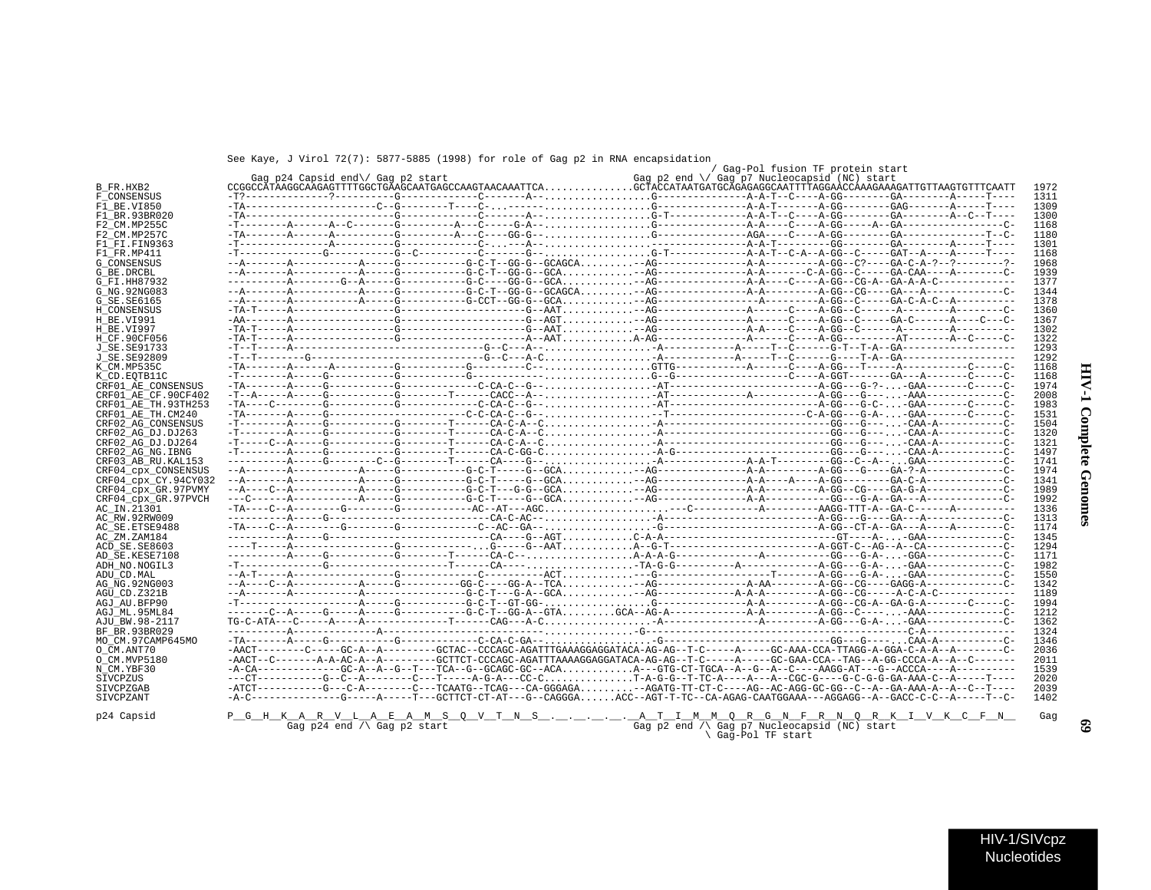See Kaye, J Virol 72(7): 5877-5885 (1998) for role of Gag p2 in RNA encapsidation

|                      |                                      |                                                                                                                                                             | / Gag-Pol fusion TF protein start                     |  |              |
|----------------------|--------------------------------------|-------------------------------------------------------------------------------------------------------------------------------------------------------------|-------------------------------------------------------|--|--------------|
|                      | Gag p24 Capsid end\/ Gag p2 start    |                                                                                                                                                             | Gag p2 end $\setminus$ Gag p7 Nucleocapsid (NC) start |  |              |
| B FR.HXB2            |                                      | ${\tt CGGGCOATAAGGCAAGAGTTTTGGCTGAAGCAATGAGCCAAGTAAGCAAATTCA.}\dots\dots\dots\dots\dots{\tt GCTACCATAATGATGCAGAGAGGCAATTTTAGGACCAAAGAAGATTGTTTAAGTTTCTAATT$ |                                                       |  | 1972         |
| F CONSENSUS          |                                      |                                                                                                                                                             |                                                       |  | 1311         |
| F1 BE.VI850          |                                      |                                                                                                                                                             |                                                       |  | 1309         |
| F1 BR.93BR020        |                                      |                                                                                                                                                             |                                                       |  | 1300         |
| F2 CM.MP255C         |                                      |                                                                                                                                                             |                                                       |  | 1168         |
| F2 CM.MP257C         |                                      |                                                                                                                                                             |                                                       |  | 1180         |
| F1 FI.FIN9363        |                                      |                                                                                                                                                             |                                                       |  | 1301         |
| F1_FR.MP411          |                                      |                                                                                                                                                             |                                                       |  | 1168         |
| <b>G CONSENSUS</b>   |                                      |                                                                                                                                                             |                                                       |  | 1968         |
| G BE.DRCBL           |                                      |                                                                                                                                                             |                                                       |  | 1939         |
| G FI.HH87932         |                                      |                                                                                                                                                             |                                                       |  | 1377         |
| G NG. 92NG083        |                                      |                                                                                                                                                             |                                                       |  | 1344         |
| G SE. SE6165         |                                      |                                                                                                                                                             |                                                       |  | 1378         |
| H CONSENSUS          |                                      |                                                                                                                                                             |                                                       |  | 1360         |
| H BE.VI991           |                                      |                                                                                                                                                             |                                                       |  | 1367         |
| H BE.VI997           |                                      |                                                                                                                                                             |                                                       |  | 1302         |
| H CF.90CF056         |                                      | $-TA-T---A---2---2---2---G---2---2---2---A-AATA-AG---2---2---A---2---A-GG---2---AT---2---A-C---2---A-C---2---A$                                             |                                                       |  | 1322         |
| J SE. SE91733        |                                      |                                                                                                                                                             |                                                       |  | 1293         |
| J SE. SE92809        |                                      |                                                                                                                                                             |                                                       |  | 1292         |
| K_CM.MP535C          |                                      |                                                                                                                                                             |                                                       |  | 1168         |
| K CD.EOTB11C         |                                      |                                                                                                                                                             |                                                       |  | 1168         |
| CRF01 AE CONSENSUS   |                                      |                                                                                                                                                             |                                                       |  | 1974         |
| CRF01 AE CF.90CF402  |                                      |                                                                                                                                                             |                                                       |  | 2008         |
| CRF01 AE TH.93TH253  |                                      |                                                                                                                                                             |                                                       |  | 1983         |
| CRF01 AE TH.CM240    |                                      |                                                                                                                                                             |                                                       |  | 1531         |
| CRF02 AG CONSENSUS   |                                      |                                                                                                                                                             |                                                       |  | 1504         |
| CRF02 AG DJ.DJ263    |                                      |                                                                                                                                                             |                                                       |  | 1320         |
| CRF02 AG DJ.DJ264    |                                      |                                                                                                                                                             |                                                       |  | 1321         |
| CRF02 AG NG. IBNG    |                                      |                                                                                                                                                             |                                                       |  | 1497         |
| CRF03 AB RU. KAL153  |                                      |                                                                                                                                                             |                                                       |  | 1741         |
| CRF04 cpx CONSENSUS  |                                      |                                                                                                                                                             |                                                       |  | 1974         |
| CRF04 cpx CY.94CY032 |                                      |                                                                                                                                                             |                                                       |  | 1341         |
| CRF04 cpx GR.97PVMY  |                                      |                                                                                                                                                             |                                                       |  | 1989         |
| CRF04 cpx GR.97PVCH  |                                      |                                                                                                                                                             |                                                       |  | 1992         |
| AC IN.21301          |                                      |                                                                                                                                                             |                                                       |  | 1336         |
| AC_RW.92RW009        |                                      |                                                                                                                                                             |                                                       |  | 1313         |
| AC SE. ETSE9488      |                                      |                                                                                                                                                             |                                                       |  | 1174         |
|                      |                                      |                                                                                                                                                             |                                                       |  | 1345         |
| AC ZM.ZAM184         |                                      |                                                                                                                                                             |                                                       |  | 1294         |
| ACD SE.SE8603        |                                      |                                                                                                                                                             |                                                       |  | 1171         |
| AD SE.KESE7108       |                                      |                                                                                                                                                             |                                                       |  |              |
| ADH NO.NOGIL3        |                                      |                                                                                                                                                             |                                                       |  | 1982         |
| ADU CD.MAL           |                                      |                                                                                                                                                             |                                                       |  | 1550         |
| AG NG. 92NG003       |                                      |                                                                                                                                                             |                                                       |  | 1342<br>1189 |
| AGU CD.Z321B         |                                      |                                                                                                                                                             |                                                       |  |              |
| AGJ AU.BFP90         |                                      |                                                                                                                                                             |                                                       |  | 1994         |
| AGJ ML.95ML84        |                                      |                                                                                                                                                             |                                                       |  | 1212         |
| AJU BW.98-2117       |                                      | $TG-C-ATA---A---A---A---A---A---A---A-CAG---A-C, , , , A---A---A---A---A--B---A-GG---G-A-GAA---A--A---A-CA-1.$                                              |                                                       |  | 1362         |
| BF BR.93BR029        |                                      |                                                                                                                                                             |                                                       |  | 1324         |
| MO CM.97CAMP645MO    |                                      |                                                                                                                                                             |                                                       |  | 1346         |
| O CM.ANT70           |                                      | -AACT-------C----GC-A--A-------GCTAC--CCCAGC-AGATTTGAAAGGAGGATACA-AG-AG--T-C-----A----GC-AAA-CCA-TTAGG-A-GGA-C-A-A--A-------C-                              |                                                       |  | 2036         |
| O CM. MVP5180        |                                      | -AACT--C-------A-A-AC-A--A-------GCTTCT-CCCAGC-AGATTTAAAAGGAGGATACA-AG-AG--T-C-----A----GC-GAA-CCA--TAG--A-GG-CCCA-A--A--C-------                           |                                                       |  | 2011         |
| N CM.YBF30           |                                      |                                                                                                                                                             |                                                       |  | 1539         |
| SIVCPZUS             |                                      | ---CT-----------G--C--A--------C---T-----A-G-A---CC-CT-A-G-G--T-TC-A----A---A--CGC-G----G-C-G-G-GA-AAA-C--A-----T----                                       |                                                       |  | 2020         |
| SIVCPZGAB            |                                      | -ATCT----------G--C-A-------C--TCAATG--TCAG---CA-GGGAGA-AGATG-TT-CT-C---AG--AC-AGG-GC-GG--C--A--GA-AAA-A--A--C--T----                                       |                                                       |  | 2039         |
| SIVCPZANT            |                                      | -A-C-------------G----A----T--GCTTCT-CT-AT---G-CAGGGAACC--AGT-T-TC--CA-AGAG-CAATGGAAA---AGGAGG--A--GACC-C-C--A-----T--C-                                    |                                                       |  | 1402         |
|                      |                                      |                                                                                                                                                             |                                                       |  |              |
| p24 Capsid           |                                      | <u>PGHKARVLAEAMSQVINSLILLAANSUTINSLILLATIMMQRGNFRNQRKIVKCFN</u>                                                                                             |                                                       |  | Gag          |
|                      | Gag $p24$ end $\land$ Gag $p2$ start |                                                                                                                                                             | Gag p2 end $\land$ Gag p7 Nucleocapsid (NC) start     |  |              |
|                      |                                      |                                                                                                                                                             | \ Gag-Pol TF start                                    |  |              |

HIV-1/SIVcpz Nucleotides

**HIV-1 Complete Genomes HIV-1 Complete Genomes**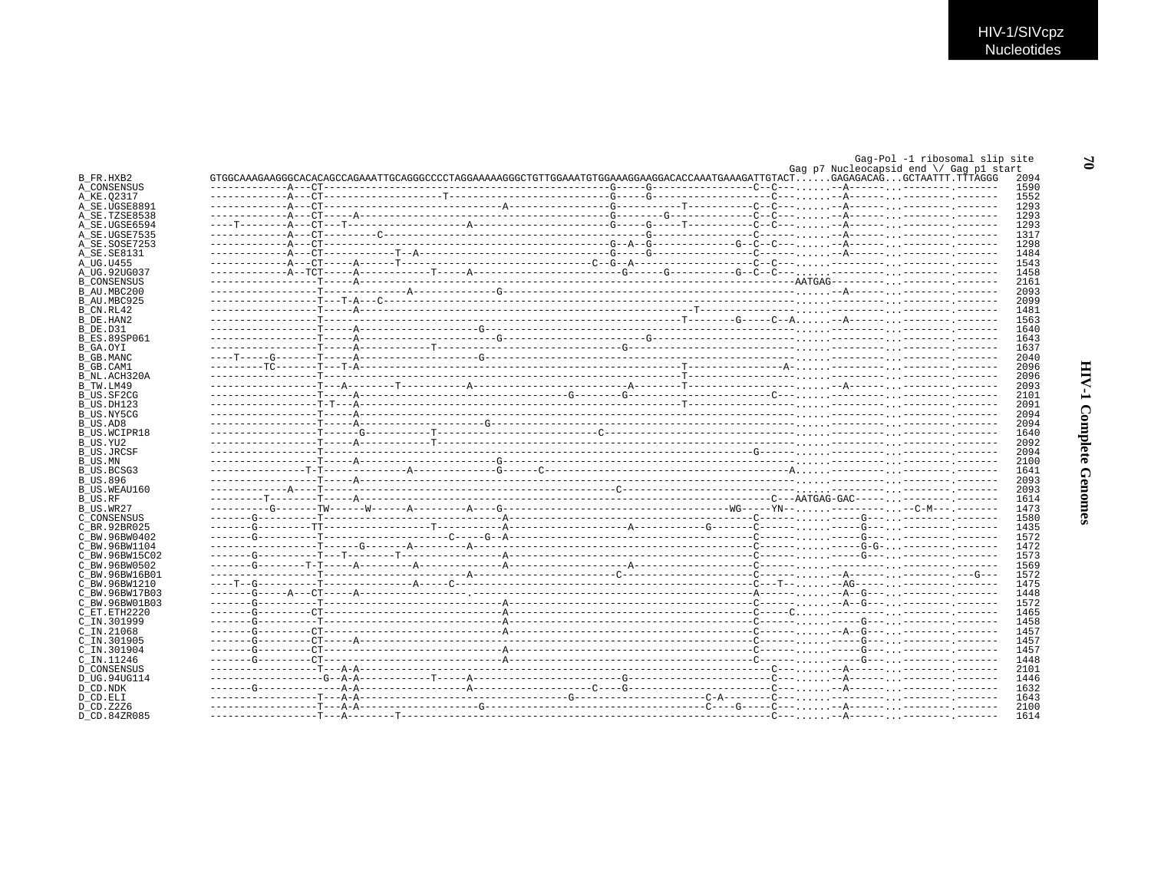$\mathfrak{a}$ 

|                              |  |  |  |                                         | Gag-Pol -1 ribosomal slip site |              |
|------------------------------|--|--|--|-----------------------------------------|--------------------------------|--------------|
|                              |  |  |  | Gag p7 Nucleocapsid end \/ Gag p1 start |                                | 2094         |
| B FR.HXB2<br>A CONSENSUS     |  |  |  |                                         |                                | 1590         |
| A_KE.02317                   |  |  |  |                                         |                                | 1552         |
| A SE.UGSE8891                |  |  |  |                                         |                                | 1293         |
| A SE.TZSE8538                |  |  |  |                                         |                                | 1293         |
| A_SE.UGSE6594                |  |  |  |                                         |                                | 1293         |
| A SE.UGSE7535                |  |  |  |                                         |                                | 1317         |
| A SE.SOSE7253                |  |  |  |                                         |                                | 1298         |
| A SE.SE8131                  |  |  |  |                                         |                                | 1484         |
| A UG.U455                    |  |  |  |                                         |                                | 1543         |
| A UG.92UG037                 |  |  |  |                                         |                                | 1458         |
| <b>B CONSENSUS</b>           |  |  |  |                                         |                                | 2161         |
| B AU.MBC200                  |  |  |  |                                         |                                | 2093         |
| B AU.MBC925                  |  |  |  |                                         |                                | 2099         |
| B CN.RL42                    |  |  |  |                                         |                                | 1481         |
| B DE.HAN2                    |  |  |  |                                         |                                | 1563         |
| B DE.D31                     |  |  |  |                                         |                                | 1640         |
| <b>B ES.89SP061</b>          |  |  |  |                                         |                                | 1643         |
| B GA.OYI                     |  |  |  |                                         |                                | 1637         |
| <b>B_GB.MANC</b>             |  |  |  |                                         |                                | 2040         |
| B GB.CAM1                    |  |  |  |                                         |                                | 2096         |
| B NL.ACH320A                 |  |  |  |                                         |                                | 2096         |
| B TW.LM49                    |  |  |  |                                         |                                | 2093         |
| B US.SF2CG                   |  |  |  |                                         |                                | 2101         |
| B US.DH123                   |  |  |  |                                         |                                | 2091         |
| B US.NY5CG                   |  |  |  |                                         |                                | 2094         |
| B US.AD8                     |  |  |  |                                         |                                | 2094         |
| B US.WCIPR18                 |  |  |  |                                         |                                | 1640         |
| B US.YU2                     |  |  |  |                                         |                                | 2092         |
| B US.JRCSF                   |  |  |  |                                         |                                | 2094         |
| B US.MN                      |  |  |  |                                         |                                | 2100         |
| B US.BCSG3                   |  |  |  |                                         |                                | 1641         |
| B US.896                     |  |  |  |                                         |                                | 2093         |
| B US.WEAU160                 |  |  |  |                                         |                                | 2093         |
| B US.RF                      |  |  |  |                                         |                                | 1614         |
| B US.WR27                    |  |  |  |                                         |                                | 1473         |
| C CONSENSUS<br>C BR. 92BR025 |  |  |  |                                         |                                | 1580<br>1435 |
| C BW.96BW0402                |  |  |  |                                         |                                | 1572         |
| C BW.96BW1104                |  |  |  |                                         |                                | 1472         |
| C BW.96BW15C02               |  |  |  |                                         |                                | 1573         |
| C BW.96BW0502                |  |  |  |                                         |                                | 1569         |
| C BW.96BW16B01               |  |  |  |                                         |                                | 1572         |
| C BW.96BW1210                |  |  |  |                                         |                                | 1475         |
| C BW.96BW17B03               |  |  |  |                                         |                                | 1448         |
| C BW.96BW01B03               |  |  |  |                                         |                                | 1572         |
| C ET.ETH2220                 |  |  |  |                                         |                                | 1465         |
| C IN.301999                  |  |  |  |                                         |                                | 1458         |
| $C$ IN. 21068                |  |  |  |                                         |                                | 1457         |
| C IN.301905                  |  |  |  |                                         |                                | 1457         |
| C IN.301904                  |  |  |  |                                         |                                | 1457         |
| C IN.11246                   |  |  |  |                                         |                                | 1448         |
| D CONSENSUS                  |  |  |  |                                         |                                | 2101         |
| D UG.94UG114                 |  |  |  |                                         |                                | 1446         |
| D CD.NDK                     |  |  |  |                                         |                                | 1632         |
| D CD.ELI                     |  |  |  |                                         |                                | 1643         |
| D CD.Z2Z6                    |  |  |  |                                         |                                | 2100         |
| D CD.84ZR085                 |  |  |  |                                         |                                | 1614         |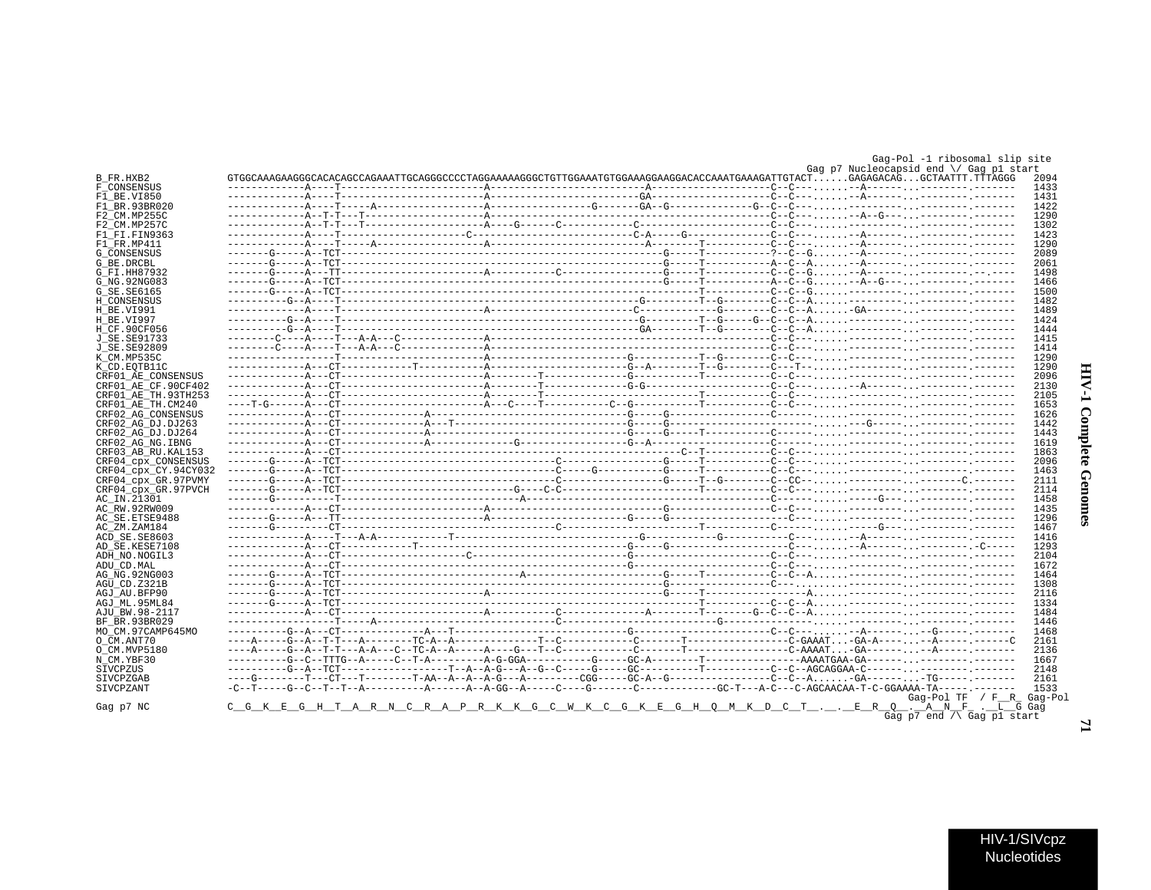# **HIV-1 Complete Genomes**

 $\mathbf{r}$ 

|                              |                                                                                                                        | GTGGCAAAGAAGGCCACACAGCCAGAAATTGCAGGGCCCCTAGGAAAAAGGGCTGTTGGAAATGTGGAAAGGAACGAAACGAAATGAAAGATTGTACTGAGAGACAGGCTAATTT.TTTAGGG |  |
|------------------------------|------------------------------------------------------------------------------------------------------------------------|-----------------------------------------------------------------------------------------------------------------------------|--|
| F CONSENSUS                  |                                                                                                                        |                                                                                                                             |  |
| F1 BE.VI850                  |                                                                                                                        |                                                                                                                             |  |
| F1 BR.93BR020                |                                                                                                                        |                                                                                                                             |  |
| F2 CM.MP255C                 |                                                                                                                        |                                                                                                                             |  |
| F2 CM.MP257C                 |                                                                                                                        |                                                                                                                             |  |
| F1 FI.FIN9363<br>F1 FR.MP411 |                                                                                                                        |                                                                                                                             |  |
|                              |                                                                                                                        |                                                                                                                             |  |
| G_CONSENSUS<br>G BE.DRCBL    |                                                                                                                        |                                                                                                                             |  |
| G FI.HH87932                 |                                                                                                                        |                                                                                                                             |  |
| G NG.92NG083                 |                                                                                                                        |                                                                                                                             |  |
| G SE.SE6165                  |                                                                                                                        |                                                                                                                             |  |
| H CONSENSUS                  |                                                                                                                        |                                                                                                                             |  |
| H BE.VI991                   |                                                                                                                        |                                                                                                                             |  |
|                              |                                                                                                                        |                                                                                                                             |  |
| H BE.VI997                   |                                                                                                                        |                                                                                                                             |  |
| H CF.90CF056                 |                                                                                                                        |                                                                                                                             |  |
| J SE.SE91733                 |                                                                                                                        |                                                                                                                             |  |
| J SE.SE92809                 |                                                                                                                        |                                                                                                                             |  |
| K CM.MP535C                  |                                                                                                                        |                                                                                                                             |  |
| K CD.EOTB11C                 |                                                                                                                        |                                                                                                                             |  |
| CRF01 AE CONSENSUS           |                                                                                                                        |                                                                                                                             |  |
| CRF01 AE CF.90CF402          |                                                                                                                        |                                                                                                                             |  |
| CRF01 AE TH.93TH253          |                                                                                                                        |                                                                                                                             |  |
| CRF01_AE_TH.CM240            |                                                                                                                        |                                                                                                                             |  |
| CRF02 AG CONSENSUS           |                                                                                                                        |                                                                                                                             |  |
| CRF02 AG DJ.DJ263            |                                                                                                                        |                                                                                                                             |  |
| CRF02_AG_DJ.DJ264            |                                                                                                                        |                                                                                                                             |  |
| CRF02 AG NG.IBNG             |                                                                                                                        |                                                                                                                             |  |
| CRF03 AB RU.KAL153           |                                                                                                                        |                                                                                                                             |  |
| CRF04 cpx CONSENSUS          |                                                                                                                        |                                                                                                                             |  |
| CRF04 cpx CY.94CY032         |                                                                                                                        |                                                                                                                             |  |
| CRF04 cpx GR.97PVMY          |                                                                                                                        |                                                                                                                             |  |
| CRF04 cpx GR.97PVCH          |                                                                                                                        |                                                                                                                             |  |
| AC_IN.21301                  |                                                                                                                        |                                                                                                                             |  |
| AC RW.92RW009                |                                                                                                                        |                                                                                                                             |  |
| AC SE.ETSE9488               |                                                                                                                        |                                                                                                                             |  |
| AC_ZM.ZAM184                 |                                                                                                                        |                                                                                                                             |  |
| ACD SE.SE8603                |                                                                                                                        |                                                                                                                             |  |
| AD SE.KESE7108               |                                                                                                                        |                                                                                                                             |  |
| ADH_NO.NOGIL3                |                                                                                                                        |                                                                                                                             |  |
| ADU CD.MAL                   |                                                                                                                        |                                                                                                                             |  |
| AG_NG.92NG003                |                                                                                                                        |                                                                                                                             |  |
| AGU CD.Z321B                 |                                                                                                                        |                                                                                                                             |  |
| AGJ AU BFP90                 |                                                                                                                        |                                                                                                                             |  |
| AGJ ML.95ML84                |                                                                                                                        |                                                                                                                             |  |
| AJU_BW.98-2117               |                                                                                                                        |                                                                                                                             |  |
| BF BR.93BR029                |                                                                                                                        |                                                                                                                             |  |
| МО СМ.97САМР645МО            |                                                                                                                        |                                                                                                                             |  |
| O CM.ANT70                   |                                                                                                                        |                                                                                                                             |  |
| O CM.MVP5180                 |                                                                                                                        |                                                                                                                             |  |
| N CM.YBF30                   |                                                                                                                        |                                                                                                                             |  |
| SIVCPZUS                     | ---------G--A--TCT----------------T--A--A-G---A--G--C-----GC---------T--------C--C--AGCAGGAA-C------.-------- .------- |                                                                                                                             |  |
| SIVCPZGAB                    |                                                                                                                        |                                                                                                                             |  |
|                              |                                                                                                                        |                                                                                                                             |  |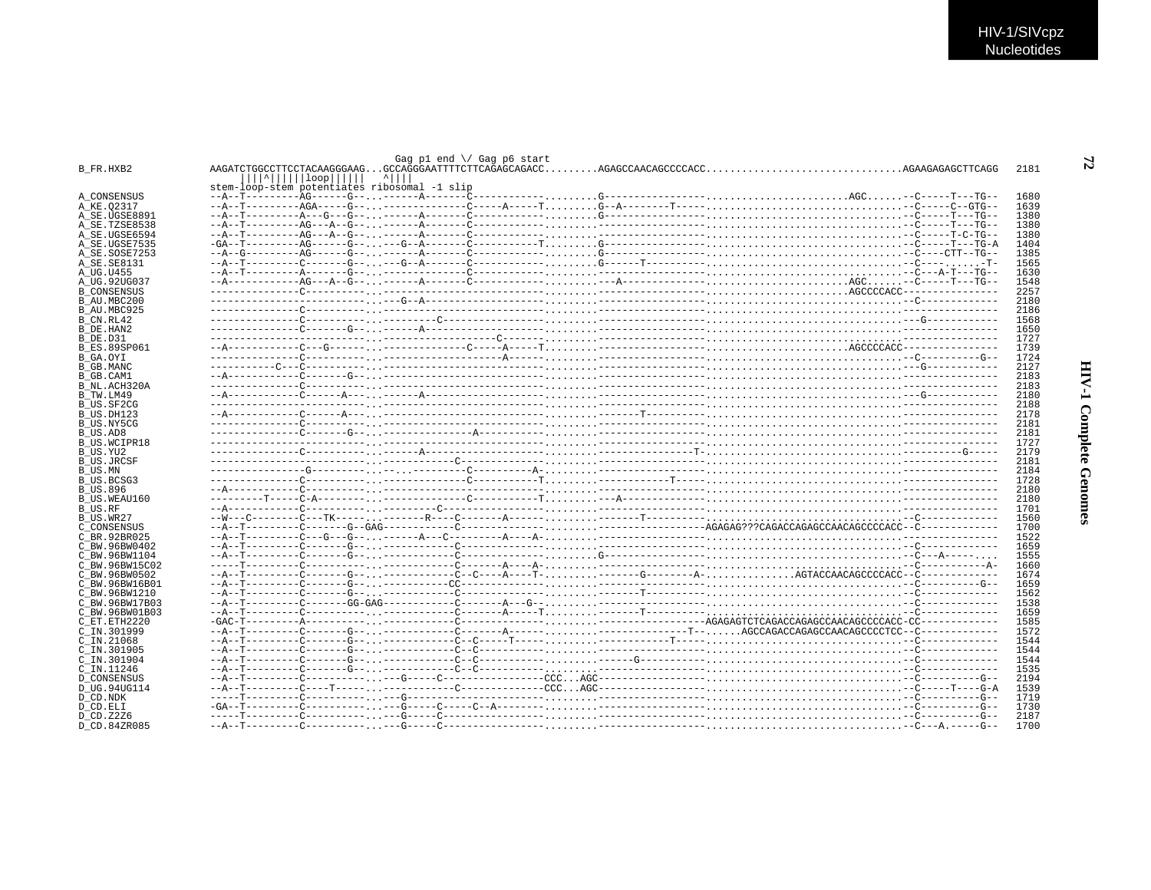|                     |                                                         | Gag pl end $\setminus$ Gag p6 start |  |      |
|---------------------|---------------------------------------------------------|-------------------------------------|--|------|
| B FR.HXB2           |                                                         |                                     |  | 2181 |
|                     | $\lfloor  \cdot $ $\lfloor \log n \rfloor$<br>$^{\sim}$ |                                     |  |      |
|                     | stem-loop-stem potentiates ribosomal -1 slip            |                                     |  |      |
| A CONSENSUS         |                                                         |                                     |  | 1680 |
| A_KE.Q2317          |                                                         |                                     |  | 1639 |
| A SE.UGSE8891       |                                                         |                                     |  | 1380 |
| A SE.TZSE8538       |                                                         |                                     |  | 1380 |
| A SE.UGSE6594       |                                                         |                                     |  | 1380 |
| A_SE.UGSE7535       |                                                         |                                     |  | 1404 |
| A SE.SOSE7253       |                                                         |                                     |  | 1385 |
| A SE. SE8131        |                                                         |                                     |  | 1565 |
| A UG.U455           |                                                         |                                     |  | 1630 |
| A UG.92UG037        |                                                         |                                     |  | 1548 |
| <b>B_CONSENSUS</b>  |                                                         |                                     |  | 2257 |
| B AU.MBC200         |                                                         |                                     |  | 2180 |
| B AU.MBC925         |                                                         |                                     |  | 2186 |
| B CN.RL42           |                                                         |                                     |  | 1568 |
| B DE.HAN2           |                                                         |                                     |  | 1650 |
| B DE.D31            |                                                         |                                     |  | 1727 |
| <b>B ES.89SP061</b> |                                                         |                                     |  | 1739 |
| B GA.OYI            |                                                         |                                     |  | 1724 |
| B GB.MANC           |                                                         |                                     |  | 2127 |
| B GB.CAM1           |                                                         |                                     |  | 2183 |
| B NL.ACH320A        |                                                         |                                     |  | 2183 |
| B TW.LM49           |                                                         |                                     |  | 2180 |
| B US.SF2CG          |                                                         |                                     |  | 2188 |
| B US.DH123          |                                                         |                                     |  | 2178 |
| B US.NY5CG          |                                                         |                                     |  | 2181 |
| B US.AD8            |                                                         |                                     |  | 2181 |
| <b>B US.WCIPR18</b> |                                                         |                                     |  | 1727 |
| B US.YU2            |                                                         |                                     |  | 2179 |
| <b>B_US.JRCSF</b>   |                                                         |                                     |  | 2181 |
| B US.MN             |                                                         |                                     |  | 2184 |
| B US.BCSG3          |                                                         |                                     |  | 1728 |
| <b>B US.896</b>     |                                                         |                                     |  | 2180 |
| B US.WEAU160        |                                                         |                                     |  | 2180 |
| B US.RF             |                                                         |                                     |  | 1701 |
| B US.WR27           |                                                         |                                     |  | 1560 |
| C CONSENSUS         |                                                         |                                     |  | 1700 |
| C BR.92BR025        |                                                         |                                     |  | 1522 |
| C BW.96BW0402       |                                                         |                                     |  | 1659 |
| C BW.96BW1104       |                                                         |                                     |  | 1555 |
| C BW.96BW15C02      |                                                         |                                     |  | 1660 |
| C BW.96BW0502       |                                                         |                                     |  | 1674 |
| C BW.96BW16B01      |                                                         |                                     |  | 1659 |
| C BW.96BW1210       |                                                         |                                     |  | 1562 |
| C BW.96BW17B03      |                                                         |                                     |  | 1538 |
| C BW.96BW01B03      |                                                         |                                     |  | 1659 |
| C ET.ETH2220        |                                                         |                                     |  | 1585 |
| C IN.301999         |                                                         |                                     |  | 1572 |
| $C$ IN. 21068       |                                                         |                                     |  | 1544 |
| C IN.301905         |                                                         |                                     |  | 1544 |
| C IN.301904         |                                                         |                                     |  | 1544 |
| C_IN.11246          |                                                         |                                     |  | 1535 |
| <b>D CONSENSUS</b>  |                                                         |                                     |  | 2194 |
| D UG.94UG114        |                                                         |                                     |  | 1539 |
| D CD.NDK            |                                                         |                                     |  | 1719 |
| D CD.ELI            |                                                         |                                     |  | 1730 |
| D CD. Z2Z6          |                                                         |                                     |  | 2187 |
| D CD.84ZR085        |                                                         |                                     |  | 1700 |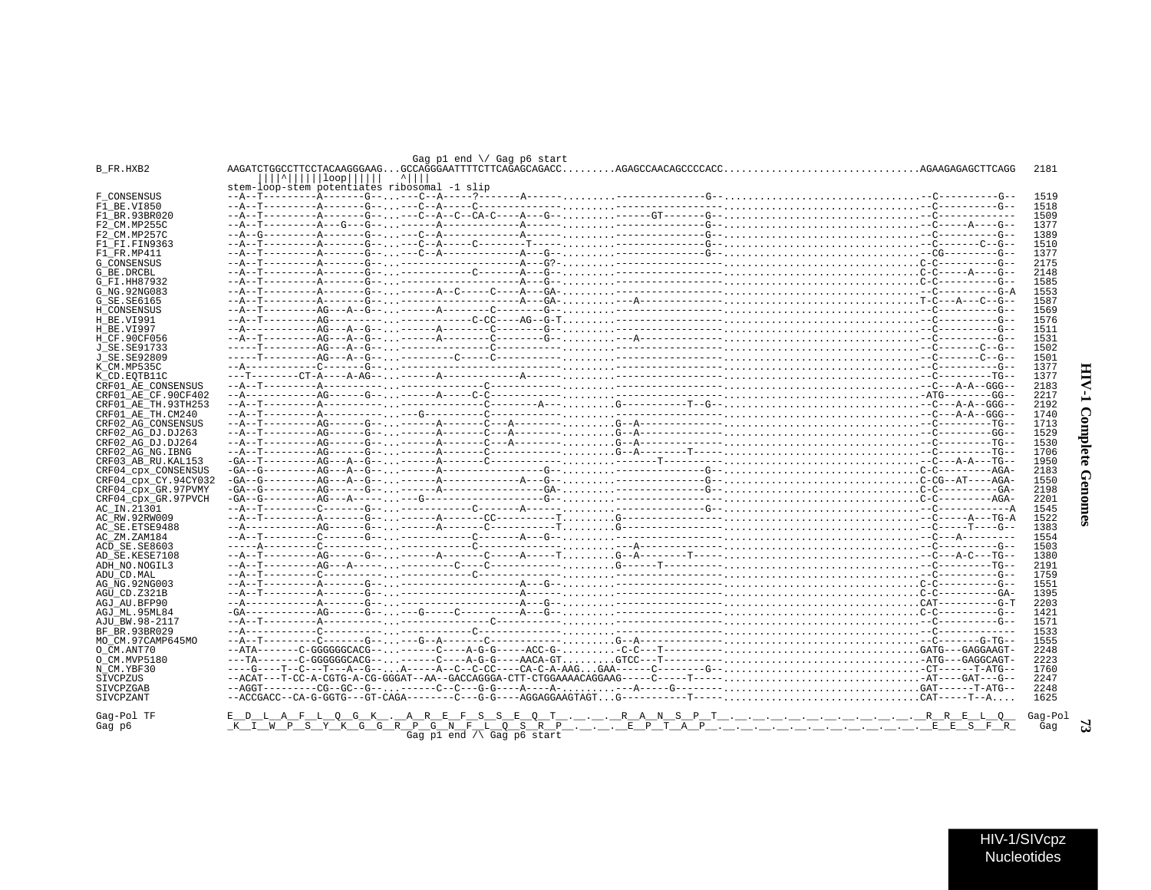| stem-loop-stem potentiates ribosomal -1 slip                                                                    |  |                                 |  |  |  |  |  |              |          |
|-----------------------------------------------------------------------------------------------------------------|--|---------------------------------|--|--|--|--|--|--------------|----------|
|                                                                                                                 |  |                                 |  |  |  |  |  | 1519         |          |
|                                                                                                                 |  |                                 |  |  |  |  |  | 1518<br>1509 |          |
|                                                                                                                 |  |                                 |  |  |  |  |  | 1377         |          |
|                                                                                                                 |  |                                 |  |  |  |  |  | 1389         |          |
|                                                                                                                 |  |                                 |  |  |  |  |  | 1510         |          |
|                                                                                                                 |  |                                 |  |  |  |  |  | 1377         |          |
|                                                                                                                 |  |                                 |  |  |  |  |  | 2175         |          |
|                                                                                                                 |  |                                 |  |  |  |  |  | 2148         |          |
|                                                                                                                 |  |                                 |  |  |  |  |  | 1585<br>1553 |          |
|                                                                                                                 |  |                                 |  |  |  |  |  | 1587         |          |
|                                                                                                                 |  |                                 |  |  |  |  |  | 1569         |          |
|                                                                                                                 |  |                                 |  |  |  |  |  | 1576         |          |
|                                                                                                                 |  |                                 |  |  |  |  |  | 1511         |          |
|                                                                                                                 |  |                                 |  |  |  |  |  | 1531         |          |
|                                                                                                                 |  |                                 |  |  |  |  |  | 1502<br>1501 |          |
|                                                                                                                 |  |                                 |  |  |  |  |  | 1377         |          |
|                                                                                                                 |  |                                 |  |  |  |  |  | 1377         |          |
|                                                                                                                 |  |                                 |  |  |  |  |  | 2183         |          |
|                                                                                                                 |  |                                 |  |  |  |  |  | 2217         |          |
|                                                                                                                 |  |                                 |  |  |  |  |  | 2192         |          |
|                                                                                                                 |  |                                 |  |  |  |  |  | 1740         |          |
|                                                                                                                 |  |                                 |  |  |  |  |  | 1713<br>1529 |          |
|                                                                                                                 |  |                                 |  |  |  |  |  | 1530         | Complete |
|                                                                                                                 |  |                                 |  |  |  |  |  | 1706         |          |
|                                                                                                                 |  |                                 |  |  |  |  |  | 1950         |          |
|                                                                                                                 |  |                                 |  |  |  |  |  | 2183         |          |
|                                                                                                                 |  |                                 |  |  |  |  |  | 1550         |          |
|                                                                                                                 |  |                                 |  |  |  |  |  | 2198         |          |
|                                                                                                                 |  |                                 |  |  |  |  |  | 2201<br>1545 |          |
|                                                                                                                 |  |                                 |  |  |  |  |  | 1522         | Genomes  |
|                                                                                                                 |  |                                 |  |  |  |  |  | 1383         |          |
|                                                                                                                 |  |                                 |  |  |  |  |  | 1554         |          |
|                                                                                                                 |  |                                 |  |  |  |  |  | 1503         |          |
|                                                                                                                 |  |                                 |  |  |  |  |  | 1380         |          |
|                                                                                                                 |  |                                 |  |  |  |  |  | 2191<br>1759 |          |
|                                                                                                                 |  |                                 |  |  |  |  |  | 1551         |          |
|                                                                                                                 |  |                                 |  |  |  |  |  | 1395         |          |
|                                                                                                                 |  |                                 |  |  |  |  |  | 2203         |          |
|                                                                                                                 |  |                                 |  |  |  |  |  | 1421         |          |
|                                                                                                                 |  |                                 |  |  |  |  |  | 1571         |          |
|                                                                                                                 |  |                                 |  |  |  |  |  | 1533<br>1555 |          |
|                                                                                                                 |  |                                 |  |  |  |  |  | 2248         |          |
|                                                                                                                 |  |                                 |  |  |  |  |  | 2223         |          |
|                                                                                                                 |  |                                 |  |  |  |  |  | 1760         |          |
|                                                                                                                 |  |                                 |  |  |  |  |  | 2247         |          |
|                                                                                                                 |  |                                 |  |  |  |  |  | 2248         |          |
|                                                                                                                 |  |                                 |  |  |  |  |  | 1625         |          |
| <u> - D_L_A_F_L_Q_G_K_, _A_R_E_F_S_S_E_Q_T_, _, _, _R_A_N_S_P_T_, _, _, _, _, _, _, _, _, _, _, _R_R_E_L_Q_</u> |  |                                 |  |  |  |  |  | Gag-Pol      |          |
| <u>komunistivis eistristus motosistis motoistis motoistoja motoistis motoistis s</u>                            |  |                                 |  |  |  |  |  | Gag          |          |
|                                                                                                                 |  | Gag pl end $\land$ Gag p6 start |  |  |  |  |  |              |          |
|                                                                                                                 |  |                                 |  |  |  |  |  |              |          |
|                                                                                                                 |  |                                 |  |  |  |  |  |              |          |
|                                                                                                                 |  |                                 |  |  |  |  |  |              |          |
|                                                                                                                 |  |                                 |  |  |  |  |  |              |          |
|                                                                                                                 |  |                                 |  |  |  |  |  |              |          |
|                                                                                                                 |  |                                 |  |  |  |  |  |              |          |
|                                                                                                                 |  |                                 |  |  |  |  |  |              |          |
|                                                                                                                 |  |                                 |  |  |  |  |  |              |          |
|                                                                                                                 |  |                                 |  |  |  |  |  | LIN/4/CN/202 |          |

Gag p1 end \/ Gag p6 start

 $\frac{1}{2}$ 

 $\frac{1}{2}$ 

B\_FR.HXB2

F\_CONSENSUS<br>F1 BE.V1850

 $F1$ BR. 93BR020

 $F2$ <sup>- $CM$ </sup>. MP255C

F2 CM. MP257C  $F1$  $F1$ .  $F1N9363$ 

 $F1$   $FR.MP411$ 

G CONSENSUS G\_BE.DRCBL

G FI.HH87932

 $G$  NG 92NG083

G SE. SE6165 H\_CONSENSUS

H BE.VI991

H\_BE.VI997

 $H$   $CF$  90 $CF056$ 

 $T$  SE SE91733

J\_SE.SE92809 K\_CM.MP535C

K CD. EOTB11C

CRF01\_AE\_CONSENSUS CRF01\_AE\_CF.90CF402

CRF01\_AE\_TH.93TH253 CRF01\_AE\_TH.CM240

CRF02\_AG\_CONSENSUS

CRF02 AG DJ.DJ263

CRF02\_AG\_DJ.DJ264

CRF02\_AG\_NG.IBNG

AC\_IN.21301

AC RW. 92RW009

AC ZM. ZAM184

ADU CD. MAL

 $ACD$  SE. SE8603

 $AG$   $\overline{NG}$ . 92NG003

 $\texttt{AGU\_CD}. \texttt{Z321B}$ 

AGJ AU. BFP90 AGJ\_ML.95ML84

AJU\_BW.98-2117

MOCM.97CAMP645MO

BF BR. 93BR029

O CM.ANT70 O CM.MVP5180

NCM.YBF30

**SIVCPZUS** 

SIVCPZGAB

SIVCPZANT Gag-Pol TF

Gag p6

AD\_SE.KESE7108 ADH\_NO.NOGIL3

AC\_SE.ETSE9488

CRF03 AB RU. KAL153

CRF04\_cpx\_CONSENSUS

CRF04\_cpx\_CY.94CY032<br>CRF04\_cpx\_GR.97PVMY

CRF04\_cpx\_GR.97PVCH

2181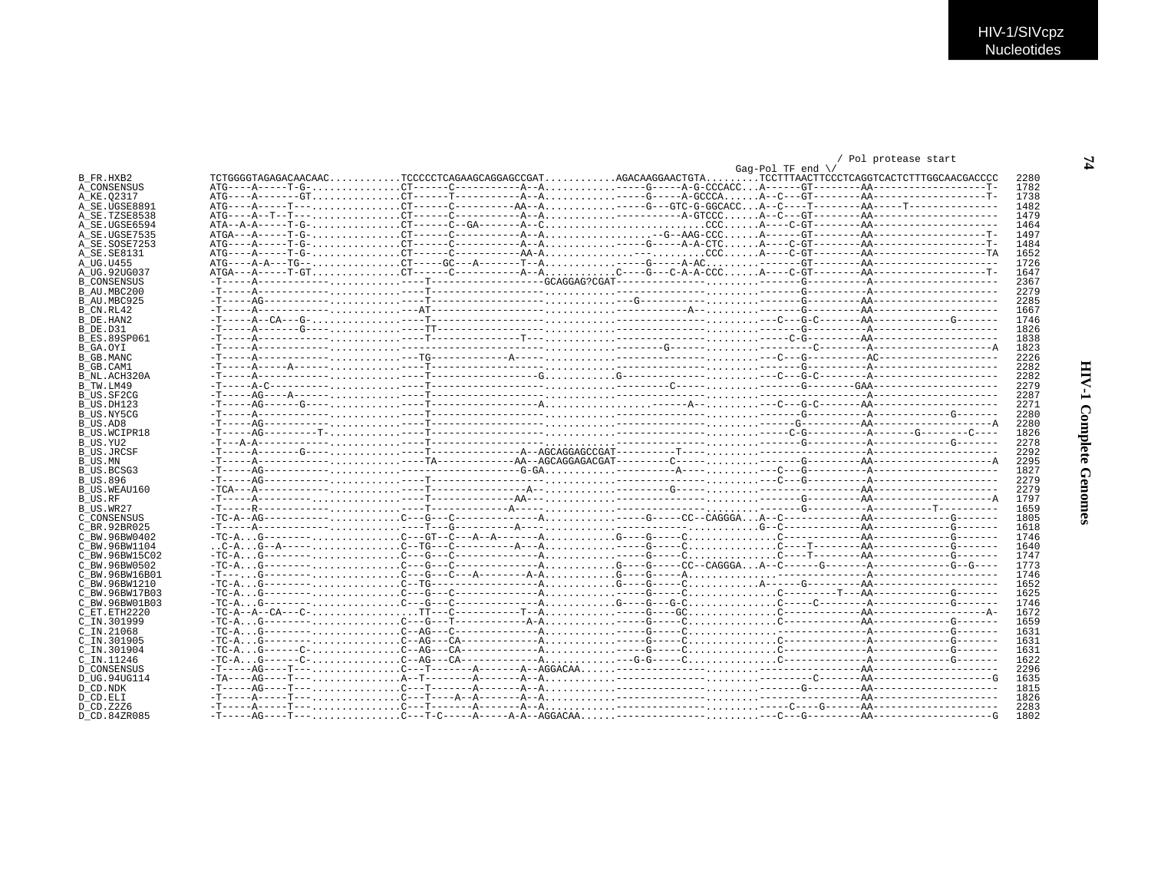### / Pol protease start

| B FR.HXB2<br>A CONSENSUS<br>A KE.02317<br>A SE.UGSE8891<br>A SE.TZSE8538<br>${ATA-A-A---T-G-$<br>A SE.UGSE6594<br>A SE.UGSE7535<br>A SE.SOSE7253 | 2280<br>1782<br>1738 |
|--------------------------------------------------------------------------------------------------------------------------------------------------|----------------------|
|                                                                                                                                                  |                      |
|                                                                                                                                                  |                      |
|                                                                                                                                                  |                      |
|                                                                                                                                                  | 1482                 |
|                                                                                                                                                  | 1479                 |
|                                                                                                                                                  | 1464                 |
|                                                                                                                                                  | 1497                 |
|                                                                                                                                                  | 1484                 |
| A SE. SE8131                                                                                                                                     | 1652                 |
| A UG.U455                                                                                                                                        | 1726                 |
| A UG.92UG037                                                                                                                                     | 1647                 |
| <b>B CONSENSUS</b>                                                                                                                               | 2367                 |
| B AU.MBC200                                                                                                                                      | 2279                 |
| B AU.MBC925                                                                                                                                      | 2285                 |
| B CN.RL42                                                                                                                                        | 1667                 |
| B DE.HAN2                                                                                                                                        | 1746                 |
| B DE.D31                                                                                                                                         | 1826                 |
| <b>B ES.89SP061</b>                                                                                                                              | 1838                 |
| B GA.OYT                                                                                                                                         | 1823                 |
| B GB.MANC                                                                                                                                        | 2226                 |
| B GB.CAM1                                                                                                                                        | 2282                 |
| B NL.ACH320A                                                                                                                                     | 2282                 |
| B TW.LM49                                                                                                                                        | 2279                 |
| B US.SF2CG                                                                                                                                       | 2287                 |
| B US.DH123                                                                                                                                       | 2271                 |
| B US.NY5CG                                                                                                                                       | 2280                 |
| B US.AD8                                                                                                                                         | 2280                 |
| B US. WCIPR18                                                                                                                                    | 1826                 |
| B US.YU2                                                                                                                                         | 2278                 |
| B US.JRCSF                                                                                                                                       | 2292                 |
| B US.MN                                                                                                                                          | 2295                 |
| B US BCSG3                                                                                                                                       | 1827                 |
| <b>B US.896</b>                                                                                                                                  | 2279                 |
| B US.WEAU160                                                                                                                                     | 2279                 |
|                                                                                                                                                  | 1797                 |
| B US.RF                                                                                                                                          | 1659                 |
| B US.WR27                                                                                                                                        | 1805                 |
| C CONSENSUS                                                                                                                                      | 1618                 |
| C BR. 92BR025                                                                                                                                    | 1746                 |
| C BW.96BW0402                                                                                                                                    |                      |
| C BW.96BW1104                                                                                                                                    | 1640<br>1747         |
| C BW.96BW15C02                                                                                                                                   |                      |
| C BW.96BW0502                                                                                                                                    | 1773                 |
| C BW.96BW16B01                                                                                                                                   | 1746                 |
| C BW.96BW1210                                                                                                                                    | 1652                 |
| C BW.96BW17B03                                                                                                                                   | 1625                 |
| C BW.96BW01B03                                                                                                                                   | 1746                 |
| C ET. ETH2220                                                                                                                                    | 1672                 |
| C IN.301999                                                                                                                                      | 1659                 |
| $C$ IN. 21068                                                                                                                                    | 1631                 |
| C IN.301905                                                                                                                                      | 1631                 |
| C IN.301904                                                                                                                                      | 1631                 |
| C IN.11246                                                                                                                                       | 1622                 |
| <b>D CONSENSUS</b>                                                                                                                               | 2296                 |
| D UG.94UG114                                                                                                                                     | 1635                 |
| D CD.NDK                                                                                                                                         | 1815                 |
| D CD.ELI                                                                                                                                         | 1826                 |
| D CD. Z2Z6                                                                                                                                       | 2283                 |
| D CD.84ZR085                                                                                                                                     | 1802                 |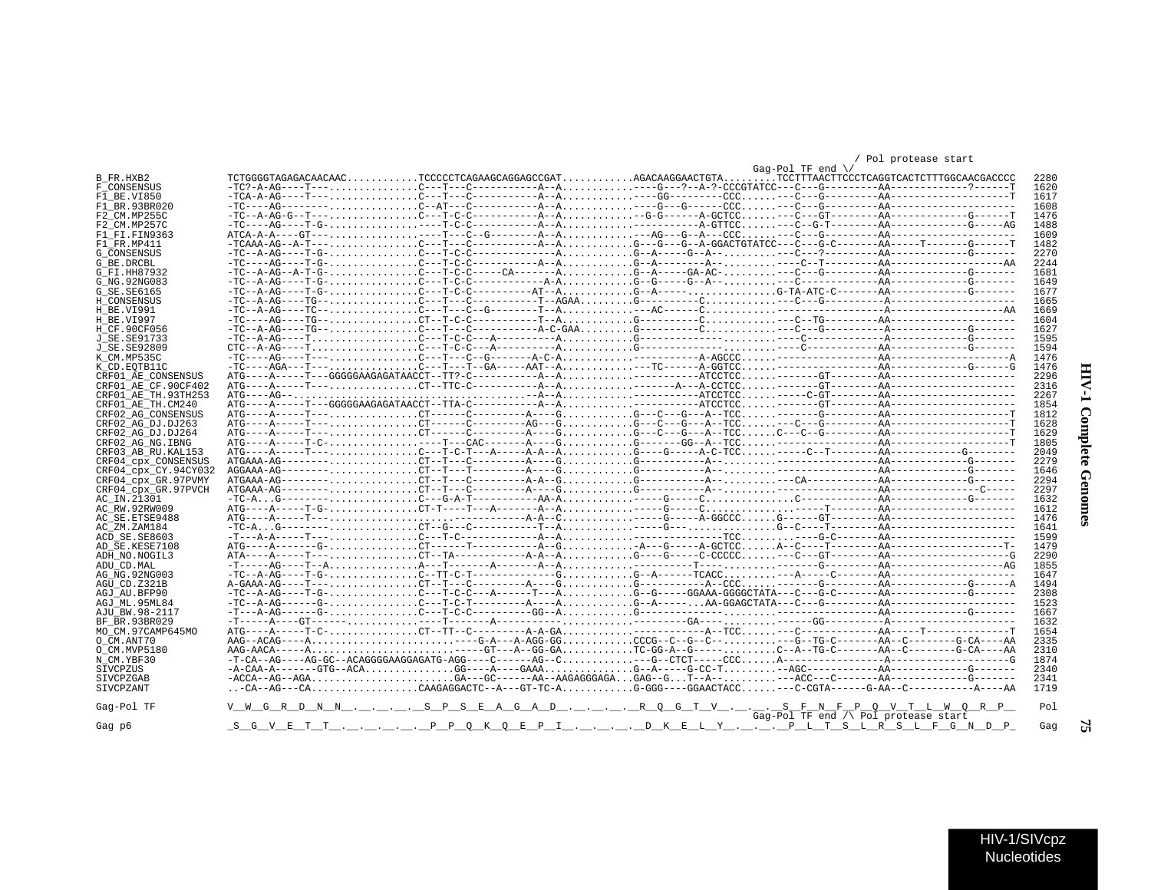## **HIV-1 Complete Genomes**

 $\mathbf{r}$ 

| HIV-1/SIVcpz |
|--------------|
| Nucleotides  |

|                               |                                                                                                                                                                                                                                                                                                                        |  | $Gaq-Pol$ TF end $\setminus$         | POT brocedse start |      |
|-------------------------------|------------------------------------------------------------------------------------------------------------------------------------------------------------------------------------------------------------------------------------------------------------------------------------------------------------------------|--|--------------------------------------|--------------------|------|
| B FR.HXB2                     | TCTGGGGTAGAGACAACAACTCCCCCTCAGAAGCAGGCGCGATAGACAAGGAACTGTATCCTTTAACTTCCCTCAGGTCACTCTTTGGCAACGACCCC                                                                                                                                                                                                                     |  |                                      |                    | 2280 |
| F CONSENSUS                   |                                                                                                                                                                                                                                                                                                                        |  |                                      |                    | 1620 |
| F1 BE.VI850                   |                                                                                                                                                                                                                                                                                                                        |  |                                      |                    | 1617 |
| F1 BR.93BR020                 |                                                                                                                                                                                                                                                                                                                        |  |                                      |                    | 1608 |
| F2 CM.MP255C                  |                                                                                                                                                                                                                                                                                                                        |  |                                      |                    | 1476 |
| F2 CM.MP257C                  |                                                                                                                                                                                                                                                                                                                        |  |                                      |                    | 1488 |
| F1 FI.FIN9363                 | $\text{ATCA}-\text{A}-\text{-C}-\text{G}$ $\text{T}--\ldots, \ldots, \ldots, \ldots, \text{---}\text{T}--\text{C}-\text{G}-\text{-G}-\text{-1}-\text{-A}$ . $\ldots, \ldots, \ldots, \text{---}\text{AG}-\text{-G}-\text{A}-\text{-CC}$ . $\ldots, \ldots, \text{---}\text{G}-\text{-G}-\text{-G}-\text{-1}-\text{-C}$ |  |                                      |                    | 1609 |
| F1 FR.MP411                   | $-TCAAA-AG-AA--T---, \ldots, \ldots, \ldots, C--T--C---A--A-A, \ldots, \ldots, \ldots, C--G--G--G--G-AGACTGTATCC---C---G-C----A-A---T---C---G---C---A$                                                                                                                                                                 |  |                                      |                    | 1482 |
| <b>G CONSENSUS</b>            |                                                                                                                                                                                                                                                                                                                        |  |                                      |                    | 2270 |
| G BE.DRCBL                    |                                                                                                                                                                                                                                                                                                                        |  |                                      |                    | 2244 |
| G FI.HH87932                  | $-TC - A - AG - A - T - G - \ldots$                                                                                                                                                                                                                                                                                    |  |                                      |                    | 1681 |
| G NG. 92NG083                 | $-TC - A - AG - - -T - G - \ldots$                                                                                                                                                                                                                                                                                     |  |                                      |                    | 1649 |
| G SE. SE6165                  |                                                                                                                                                                                                                                                                                                                        |  |                                      |                    | 1677 |
| H CONSENSUS                   |                                                                                                                                                                                                                                                                                                                        |  |                                      |                    | 1665 |
| H BE.VI991                    |                                                                                                                                                                                                                                                                                                                        |  |                                      |                    | 1669 |
| H BE.VI997                    |                                                                                                                                                                                                                                                                                                                        |  |                                      |                    | 1604 |
| H CF.90CF056                  |                                                                                                                                                                                                                                                                                                                        |  |                                      |                    | 1627 |
| J SE. SE91733                 |                                                                                                                                                                                                                                                                                                                        |  |                                      |                    | 1595 |
| J SE. SE92809                 |                                                                                                                                                                                                                                                                                                                        |  |                                      |                    | 1594 |
| K CM.MP535C                   |                                                                                                                                                                                                                                                                                                                        |  |                                      |                    | 1476 |
| K CD.EOTB11C                  |                                                                                                                                                                                                                                                                                                                        |  |                                      |                    | 1476 |
| CRF01 AE CONSENSUS            |                                                                                                                                                                                                                                                                                                                        |  |                                      |                    | 2296 |
| CRF01 AE CF.90CF402           | $ATG---A---T---, \ldots, \ldots, \ldots, CT--TTC-C------A-A-0, \ldots, \ldots, \ldots, \ldots, \ldots, ----A-CCTCC, \ldots, \ldots, -----GT-----AA------AA------A-0$                                                                                                                                                   |  |                                      |                    | 2316 |
| CRF01 AE TH. 93TH253          |                                                                                                                                                                                                                                                                                                                        |  |                                      |                    | 2267 |
| CRF01 AE TH.CM240             |                                                                                                                                                                                                                                                                                                                        |  |                                      |                    | 1854 |
| CRF02 AG CONSENSUS            |                                                                                                                                                                                                                                                                                                                        |  |                                      |                    | 1812 |
| CRF02 AG DJ.DJ263             |                                                                                                                                                                                                                                                                                                                        |  |                                      |                    | 1628 |
| CRF02 AG DJ.DJ264             |                                                                                                                                                                                                                                                                                                                        |  |                                      |                    | 1629 |
| CRF02_AG_NG.IBNG              |                                                                                                                                                                                                                                                                                                                        |  |                                      |                    | 1805 |
| CRF03 AB RU. KAL153           |                                                                                                                                                                                                                                                                                                                        |  |                                      |                    | 2049 |
| CRF04 CDX CONSENSUS           |                                                                                                                                                                                                                                                                                                                        |  |                                      |                    | 2279 |
| CRF04 cpx CY.94CY032          |                                                                                                                                                                                                                                                                                                                        |  |                                      |                    | 1646 |
| CRF04 cpx GR.97PVMY           |                                                                                                                                                                                                                                                                                                                        |  |                                      |                    | 2294 |
| CRF04 cpx GR.97PVCH           |                                                                                                                                                                                                                                                                                                                        |  |                                      |                    | 2297 |
| AC IN.21301                   | $-TC - A \ldots 0$                                                                                                                                                                                                                                                                                                     |  |                                      |                    | 1632 |
| AC RW.92RW009                 |                                                                                                                                                                                                                                                                                                                        |  |                                      |                    | 1612 |
| AC SE. ETSE9488               |                                                                                                                                                                                                                                                                                                                        |  |                                      |                    | 1476 |
| AC ZM.ZAM184                  |                                                                                                                                                                                                                                                                                                                        |  |                                      |                    | 1641 |
| ACD SE.SE8603                 |                                                                                                                                                                                                                                                                                                                        |  |                                      |                    | 1599 |
| AD SE.KESE7108                |                                                                                                                                                                                                                                                                                                                        |  |                                      |                    | 1479 |
| ADH NO.NOGIL3                 |                                                                                                                                                                                                                                                                                                                        |  |                                      |                    | 2290 |
| ADU CD.MAL                    |                                                                                                                                                                                                                                                                                                                        |  |                                      |                    | 1855 |
| AG NG. 92NG003                | $-TC - A - AG - - -T - G - \ldots$                                                                                                                                                                                                                                                                                     |  |                                      |                    | 1647 |
| AGU CD.Z321B                  |                                                                                                                                                                                                                                                                                                                        |  |                                      |                    | 1494 |
| AGJ AU.BFP90                  | $-TC - A - AG - - -T - G - \ldots$                                                                                                                                                                                                                                                                                     |  |                                      |                    | 2308 |
| AGJ ML.95ML84                 |                                                                                                                                                                                                                                                                                                                        |  |                                      |                    | 1523 |
| AJU BW.98-2117                |                                                                                                                                                                                                                                                                                                                        |  |                                      |                    | 1667 |
| BF BR.93BR029                 |                                                                                                                                                                                                                                                                                                                        |  |                                      |                    | 1632 |
| MO CM.97CAMP645MO             |                                                                                                                                                                                                                                                                                                                        |  |                                      |                    | 1654 |
| O CM.ANT70                    |                                                                                                                                                                                                                                                                                                                        |  |                                      |                    | 2335 |
| O CM.MVP5180                  |                                                                                                                                                                                                                                                                                                                        |  |                                      |                    | 2310 |
| N CM.YBF30                    |                                                                                                                                                                                                                                                                                                                        |  |                                      |                    | 1874 |
| SIVCPZUS                      |                                                                                                                                                                                                                                                                                                                        |  |                                      |                    | 2340 |
|                               |                                                                                                                                                                                                                                                                                                                        |  |                                      |                    | 2341 |
| SIVCPZGAB<br><b>SIVCPZANT</b> | -CA--AG---CACAAGAGGACTC--A---GT-TC-AG-GGG---GGAACTACC---C-CGTA-----G-AA--C----------A----AA                                                                                                                                                                                                                            |  |                                      |                    | 1719 |
|                               |                                                                                                                                                                                                                                                                                                                        |  |                                      |                    |      |
| Gag-Pol TF                    | V_W_G_R_D_N_N__.__.__.______S_P_S_E_A_G_A_D__.__.__.______R_Q_G_T_V__.__.___.__S_F_N_F_P_Q_V_T_L_W_Q_R_P_                                                                                                                                                                                                              |  |                                      |                    | Pol  |
| Gag p6                        | <u>SGVETT. PPQKQEPI. DKELY. PLTSLRSLFGNDP</u>                                                                                                                                                                                                                                                                          |  | Gag-Pol TF end /\ Pol protease start |                    | Gag  |
|                               |                                                                                                                                                                                                                                                                                                                        |  |                                      |                    |      |

### / Pol protease start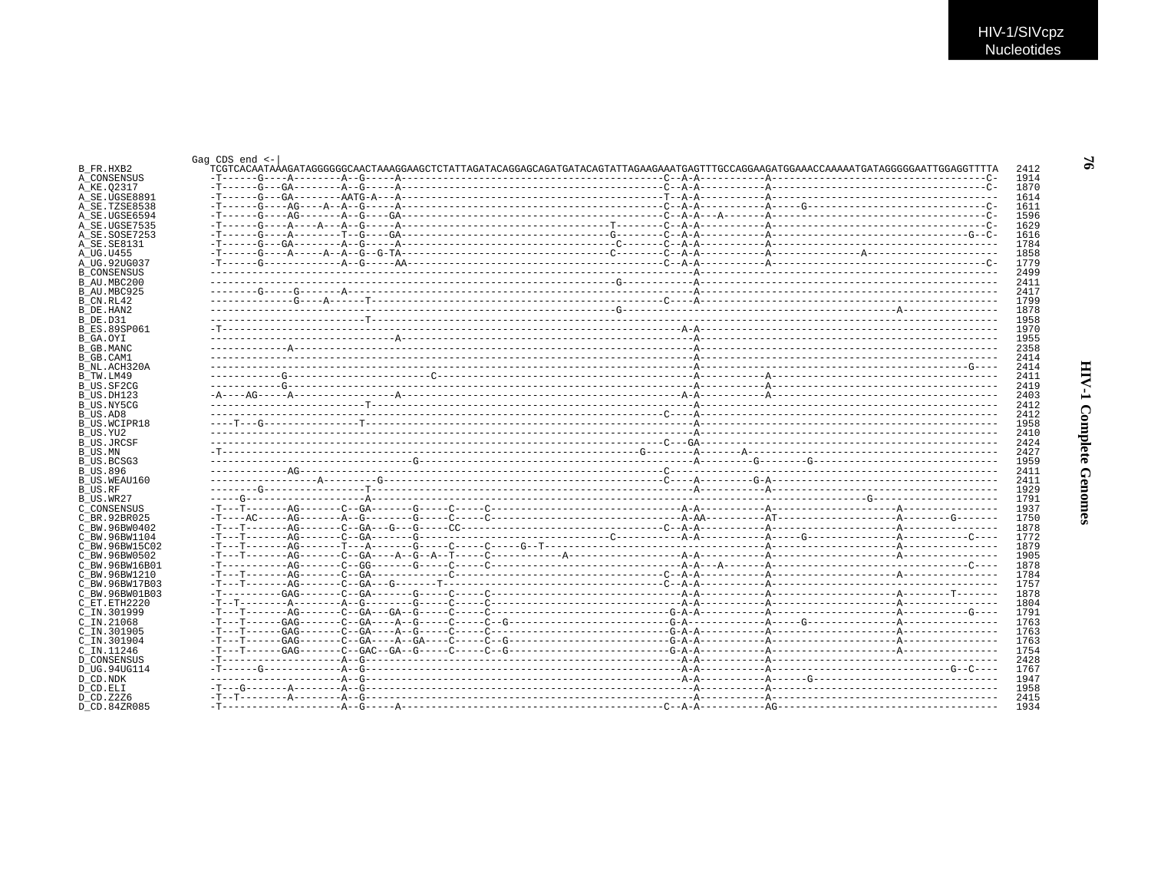$\mathfrak{g}$ 

|                                 | TCGTCACAATAAGAATAGGGGGGCAACTAAAGGAAGCTCTATTAGATACAGGAGCAGTATGATACAGTATTAGAAGAATGAGTTTGCCAGGAAGATGGAAAAGTAGAGGGGAATTGGAAGCTATGGAGGGAATTGGAGGTTTTA |  |  |
|---------------------------------|--------------------------------------------------------------------------------------------------------------------------------------------------|--|--|
| A CONSENSUS<br>A KE.02317       |                                                                                                                                                  |  |  |
| A SE.UGSE8891                   |                                                                                                                                                  |  |  |
| A SE.TZSE8538                   |                                                                                                                                                  |  |  |
| A_SE.UGSE6594                   |                                                                                                                                                  |  |  |
| A SE.UGSE7535                   |                                                                                                                                                  |  |  |
| A SE.SOSE7253                   |                                                                                                                                                  |  |  |
| A SE.SE8131                     |                                                                                                                                                  |  |  |
| A UG.U455                       |                                                                                                                                                  |  |  |
| A UG.92UG037                    |                                                                                                                                                  |  |  |
| <b>B CONSENSUS</b>              |                                                                                                                                                  |  |  |
| B AU.MBC200                     |                                                                                                                                                  |  |  |
| B_AU.MBC925                     |                                                                                                                                                  |  |  |
| B CN.RL42                       |                                                                                                                                                  |  |  |
| B DE.HAN2                       |                                                                                                                                                  |  |  |
| B DE.D31                        |                                                                                                                                                  |  |  |
| <b>B ES.89SP061</b>             |                                                                                                                                                  |  |  |
| B GA.OYI                        |                                                                                                                                                  |  |  |
| B GB.MANC<br>B GB.CAM1          |                                                                                                                                                  |  |  |
| B NL.ACH320A                    |                                                                                                                                                  |  |  |
| B TW.LM49                       |                                                                                                                                                  |  |  |
| B US.SF2CG                      |                                                                                                                                                  |  |  |
| B US.DH123                      |                                                                                                                                                  |  |  |
| B_US.NY5CG                      |                                                                                                                                                  |  |  |
| B US.AD8                        |                                                                                                                                                  |  |  |
| B US.WCIPR18                    |                                                                                                                                                  |  |  |
| B US.YU2                        |                                                                                                                                                  |  |  |
| <b>B_US.JRCSF</b>               |                                                                                                                                                  |  |  |
|                                 |                                                                                                                                                  |  |  |
| B US.BCSG3                      |                                                                                                                                                  |  |  |
| B US.896                        |                                                                                                                                                  |  |  |
| B US.WEAU160                    |                                                                                                                                                  |  |  |
|                                 |                                                                                                                                                  |  |  |
| B_US.WR27                       |                                                                                                                                                  |  |  |
| C CONSENSUS                     |                                                                                                                                                  |  |  |
| C BR.92BR025                    |                                                                                                                                                  |  |  |
| C BW.96BW0402                   |                                                                                                                                                  |  |  |
| C BW.96BW1104<br>C BW.96BW15C02 |                                                                                                                                                  |  |  |
| C_BW.96BW0502                   |                                                                                                                                                  |  |  |
| C BW.96BW16B01                  |                                                                                                                                                  |  |  |
| C BW.96BW1210                   |                                                                                                                                                  |  |  |
| C BW.96BW17B03                  |                                                                                                                                                  |  |  |
| C BW.96BW01B03                  |                                                                                                                                                  |  |  |
| C ET.ETH2220                    |                                                                                                                                                  |  |  |
| C_IN.301999                     |                                                                                                                                                  |  |  |
| $C$ IN. 21068                   |                                                                                                                                                  |  |  |
| C_IN.301905                     |                                                                                                                                                  |  |  |
| C IN.301904                     |                                                                                                                                                  |  |  |
| C IN.11246                      |                                                                                                                                                  |  |  |
| <b>D CONSENSUS</b>              |                                                                                                                                                  |  |  |
| D_UG.94UG114                    |                                                                                                                                                  |  |  |
|                                 |                                                                                                                                                  |  |  |
| D CD.NDK                        |                                                                                                                                                  |  |  |
| D CD.ELI                        |                                                                                                                                                  |  |  |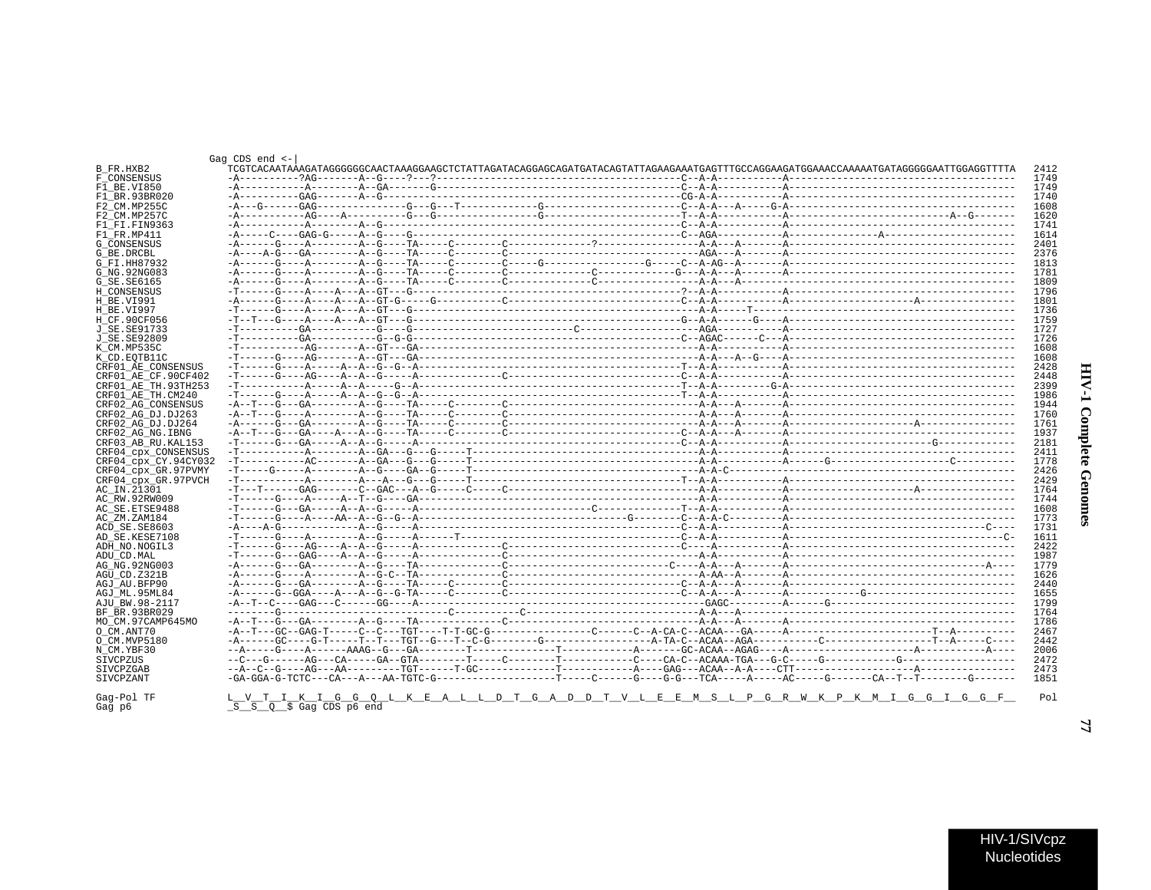| ì<br>į<br>ì<br>ŗ<br>ĭ |  |
|-----------------------|--|
| ì                     |  |

|                               | Gag $CDS$ end $<-$      |  |                                                                                                                                      |       |
|-------------------------------|-------------------------|--|--------------------------------------------------------------------------------------------------------------------------------------|-------|
| B FR.HXB2                     |                         |  | TCGTCACAATAAAGATAGGGGGGCAACTAAAGGAAGCTCTATTAGATACAGGAGCAGATGATACAGTATTAGAAGAAATGAGTTTGCCAGGAAGATGGAAACCAAAAATGATAGGGGGAATTGGAGGTTTTA | 2412  |
| F CONSENSUS                   |                         |  |                                                                                                                                      | 1749  |
| F1 BE.VI850                   |                         |  |                                                                                                                                      | 1749  |
| F1 BR.93BR020                 |                         |  |                                                                                                                                      | 1740  |
| F2 CM.MP255C                  |                         |  |                                                                                                                                      | 1608  |
| F2 CM.MP257C                  |                         |  |                                                                                                                                      | 1620  |
| F1 FI.FIN9363                 |                         |  |                                                                                                                                      | 1741  |
| F1 FR.MP411                   |                         |  |                                                                                                                                      | 1614  |
| <b>G CONSENSUS</b>            |                         |  |                                                                                                                                      | 2401  |
| G BE.DRCBL                    |                         |  |                                                                                                                                      | 2376  |
| G FI.HH87932                  |                         |  |                                                                                                                                      | 1813  |
| G NG. 92NG083                 |                         |  |                                                                                                                                      | 1781  |
| G SE. SE6165                  |                         |  |                                                                                                                                      | 1809  |
| H CONSENSUS                   |                         |  |                                                                                                                                      | 1796  |
| H BE.VI991                    |                         |  |                                                                                                                                      | 1801  |
| H BE.VI997                    |                         |  |                                                                                                                                      | 1736  |
| H CF.90CF056                  |                         |  |                                                                                                                                      | 1759  |
| J SE.SE91733                  |                         |  |                                                                                                                                      | 1727  |
| <b>J SE. SE92809</b>          |                         |  |                                                                                                                                      | 1726  |
| K CM.MP535C                   |                         |  |                                                                                                                                      | 1608  |
| K CD.EOTB11C                  |                         |  |                                                                                                                                      | 1608  |
| CRF01 AE CONSENSUS            |                         |  |                                                                                                                                      | 2428  |
| CRF01 AE CF.90CF402           |                         |  |                                                                                                                                      | 2448  |
| CRF01 AE TH. 93TH253          |                         |  |                                                                                                                                      | 2399  |
| CRF01 AE TH.CM240             |                         |  |                                                                                                                                      | 1986  |
| CRF02 AG CONSENSUS            |                         |  |                                                                                                                                      | 1944  |
| CRF02 AG DJ.DJ263             |                         |  |                                                                                                                                      | 1760  |
| CRF02 AG DJ.DJ264             |                         |  |                                                                                                                                      | 1761  |
| CRF02 AG NG. IBNG             |                         |  |                                                                                                                                      | 1937  |
| CRF03 AB RU. KAL153           |                         |  |                                                                                                                                      | 2181  |
| CRF04 CDX CONSENSUS           |                         |  |                                                                                                                                      | 2411  |
| CRF04 cpx CY.94CY032          |                         |  |                                                                                                                                      | 1778  |
| CRF04 cpx GR.97PVMY           |                         |  |                                                                                                                                      | 2426  |
| CRF04 cpx GR.97PVCH           |                         |  |                                                                                                                                      | 2429  |
| AC IN.21301                   |                         |  |                                                                                                                                      | 1764  |
| AC RW.92RW009                 |                         |  |                                                                                                                                      | 1744  |
| AC SE. ETSE9488               |                         |  |                                                                                                                                      | 1608  |
| AC ZM.ZAM184                  |                         |  |                                                                                                                                      | 1773  |
| ACD SE.SE8603                 |                         |  |                                                                                                                                      | 1731  |
| AD SE.KESE7108                |                         |  |                                                                                                                                      | 1611  |
| ADH NO.NOGIL3                 |                         |  |                                                                                                                                      | 2.422 |
| ADU CD.MAL                    |                         |  |                                                                                                                                      | 1987  |
|                               |                         |  |                                                                                                                                      | 1779  |
| AG_NG.92NG003<br>AGU CD.Z321B |                         |  |                                                                                                                                      | 1626  |
| AGJ AU.BFP90                  |                         |  |                                                                                                                                      | 2440  |
|                               |                         |  |                                                                                                                                      | 1655  |
| AGJ ML.95ML84                 |                         |  |                                                                                                                                      | 1799  |
| AJU BW.98-2117                |                         |  |                                                                                                                                      | 1764  |
| BF BR.93BR029                 |                         |  |                                                                                                                                      | 1786  |
| MO CM.97CAMP645MO             |                         |  |                                                                                                                                      | 2467  |
| O CM.ANT70                    |                         |  |                                                                                                                                      | 2442  |
| O CM.MVP5180                  |                         |  |                                                                                                                                      | 2006  |
| N CM.YBF30                    |                         |  |                                                                                                                                      |       |
| SIVCPZUS                      |                         |  |                                                                                                                                      | 2472  |
| SIVCPZGAB                     |                         |  |                                                                                                                                      | 2473  |
| SIVCPZANT                     |                         |  |                                                                                                                                      | 1851  |
| Gag-Pol TF                    |                         |  | <u>L V T I K I G G Q L K E A L L D T G A D D T V L E E M S L P G R W K P K M I G G I G G F</u>                                       | Pol   |
| Gag p6                        | S S Q \$ Gag CDS p6 end |  |                                                                                                                                      |       |

 $\overline{7}$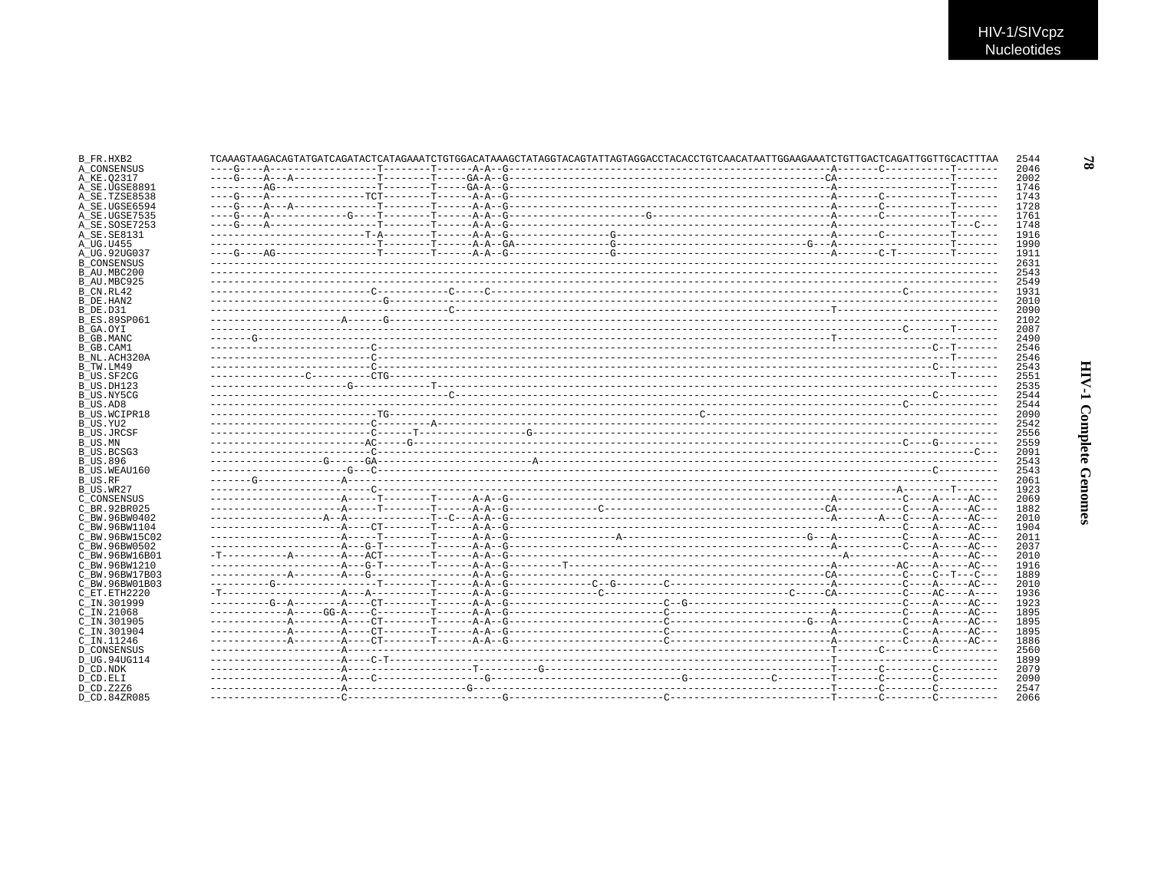|               |  | TCAAAGTAAGACAGTATGATCAGATACTCATAGAAATCTGTGGACATAAAGCTATAGGTACAGTATTAGTAGGACCTACACCTGTCAACATAATTGGAAGAAATCTGTTGACTCAGATTGGTTGACTTGACTTGACTTGACTTGACTTGCACTTTAA |  |
|---------------|--|---------------------------------------------------------------------------------------------------------------------------------------------------------------|--|
|               |  |                                                                                                                                                               |  |
| A SE.UGSE8891 |  |                                                                                                                                                               |  |
| A SE.TZSE8538 |  |                                                                                                                                                               |  |
| A SE.UGSE6594 |  |                                                                                                                                                               |  |
| A SE.UGSE7535 |  |                                                                                                                                                               |  |
| A SE.SOSE7253 |  |                                                                                                                                                               |  |
|               |  |                                                                                                                                                               |  |
|               |  |                                                                                                                                                               |  |
|               |  |                                                                                                                                                               |  |
|               |  |                                                                                                                                                               |  |
|               |  |                                                                                                                                                               |  |
|               |  |                                                                                                                                                               |  |
|               |  |                                                                                                                                                               |  |
|               |  |                                                                                                                                                               |  |
|               |  |                                                                                                                                                               |  |
|               |  |                                                                                                                                                               |  |
|               |  |                                                                                                                                                               |  |
|               |  |                                                                                                                                                               |  |
|               |  |                                                                                                                                                               |  |
|               |  |                                                                                                                                                               |  |
|               |  |                                                                                                                                                               |  |
|               |  |                                                                                                                                                               |  |
|               |  |                                                                                                                                                               |  |
|               |  |                                                                                                                                                               |  |
|               |  |                                                                                                                                                               |  |
|               |  |                                                                                                                                                               |  |
|               |  |                                                                                                                                                               |  |
|               |  |                                                                                                                                                               |  |
|               |  |                                                                                                                                                               |  |
|               |  |                                                                                                                                                               |  |
|               |  |                                                                                                                                                               |  |
|               |  |                                                                                                                                                               |  |
|               |  |                                                                                                                                                               |  |
|               |  |                                                                                                                                                               |  |
|               |  |                                                                                                                                                               |  |
|               |  |                                                                                                                                                               |  |
|               |  |                                                                                                                                                               |  |
|               |  |                                                                                                                                                               |  |
|               |  |                                                                                                                                                               |  |
|               |  |                                                                                                                                                               |  |
|               |  |                                                                                                                                                               |  |
|               |  |                                                                                                                                                               |  |
|               |  |                                                                                                                                                               |  |
|               |  |                                                                                                                                                               |  |
|               |  |                                                                                                                                                               |  |
|               |  |                                                                                                                                                               |  |
|               |  |                                                                                                                                                               |  |
|               |  |                                                                                                                                                               |  |
|               |  |                                                                                                                                                               |  |
|               |  |                                                                                                                                                               |  |
|               |  |                                                                                                                                                               |  |
|               |  |                                                                                                                                                               |  |
|               |  |                                                                                                                                                               |  |
|               |  |                                                                                                                                                               |  |
|               |  |                                                                                                                                                               |  |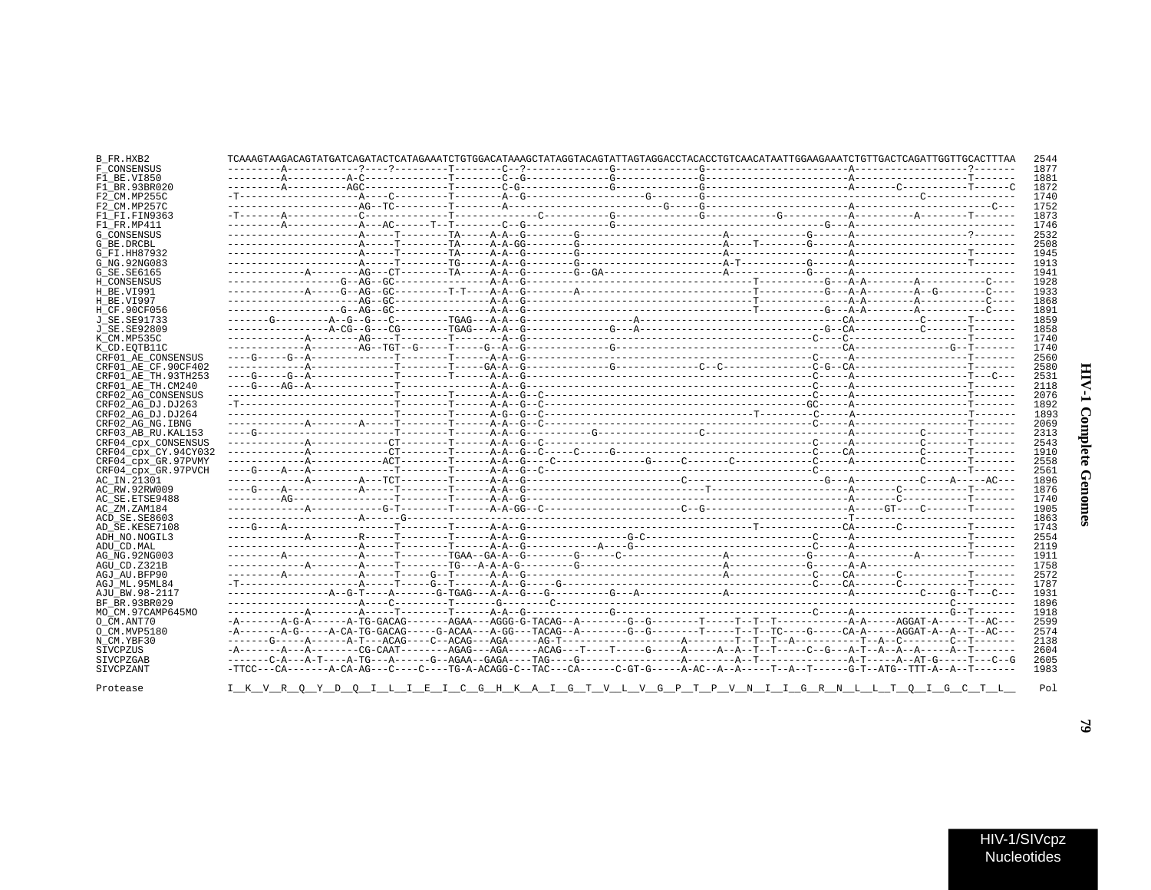| J<br>ì<br>į<br>ì<br>ć |  |
|-----------------------|--|
| i<br>í                |  |

 $\blacksquare$ 

| B FR.HXB2            | TCAAAGTAAGACAGTATGATCAGATACTCATAGAAATCTGTGGACATAAAGCTATAGGTACAGTATTAGTAGGACCTACACCTGTCAACATAATTGGAAGAAATCTGTTGACTCAGATTGGTTGCACTTTAA |  |  |  |  |  |  | 2544 |
|----------------------|--------------------------------------------------------------------------------------------------------------------------------------|--|--|--|--|--|--|------|
| F CONSENSUS          |                                                                                                                                      |  |  |  |  |  |  | 1877 |
| F1 BE.VI850          |                                                                                                                                      |  |  |  |  |  |  | 1881 |
| F1_BR.93BR020        |                                                                                                                                      |  |  |  |  |  |  | 1872 |
| F2 CM.MP255C         |                                                                                                                                      |  |  |  |  |  |  | 1740 |
| F2 CM.MP257C         |                                                                                                                                      |  |  |  |  |  |  | 1752 |
| F1 FI.FIN9363        |                                                                                                                                      |  |  |  |  |  |  | 1873 |
| F1 FR.MP411          |                                                                                                                                      |  |  |  |  |  |  | 1746 |
| <b>G CONSENSUS</b>   |                                                                                                                                      |  |  |  |  |  |  | 2532 |
| G_BE.DRCBL           |                                                                                                                                      |  |  |  |  |  |  | 2508 |
| G FI.HH87932         |                                                                                                                                      |  |  |  |  |  |  | 1945 |
| G NG. 92NG083        |                                                                                                                                      |  |  |  |  |  |  | 1913 |
| G SE.SE6165          |                                                                                                                                      |  |  |  |  |  |  | 1941 |
| H CONSENSUS          |                                                                                                                                      |  |  |  |  |  |  | 1928 |
|                      |                                                                                                                                      |  |  |  |  |  |  | 1933 |
| H BE.VI991           |                                                                                                                                      |  |  |  |  |  |  | 1868 |
| H BE.VI997           |                                                                                                                                      |  |  |  |  |  |  | 1891 |
| H_CF.90CF056         |                                                                                                                                      |  |  |  |  |  |  |      |
| J SE. SE91733        |                                                                                                                                      |  |  |  |  |  |  | 1859 |
| J SE.SE92809         |                                                                                                                                      |  |  |  |  |  |  | 1858 |
| K CM.MP535C          |                                                                                                                                      |  |  |  |  |  |  | 1740 |
| K CD.EOTB11C         |                                                                                                                                      |  |  |  |  |  |  | 1740 |
| CRF01 AE CONSENSUS   |                                                                                                                                      |  |  |  |  |  |  | 2560 |
| CRF01 AE CF.90CF402  |                                                                                                                                      |  |  |  |  |  |  | 2580 |
| CRF01 AE TH.93TH253  |                                                                                                                                      |  |  |  |  |  |  | 2531 |
| CRF01 AE TH.CM240    |                                                                                                                                      |  |  |  |  |  |  | 2118 |
| CRF02 AG CONSENSUS   |                                                                                                                                      |  |  |  |  |  |  | 2076 |
| CRF02 AG DJ.DJ263    |                                                                                                                                      |  |  |  |  |  |  | 1892 |
| CRF02 AG DJ.DJ264    |                                                                                                                                      |  |  |  |  |  |  | 1893 |
| CRF02 AG NG. IBNG    |                                                                                                                                      |  |  |  |  |  |  | 2069 |
| CRF03 AB RU. KAL153  |                                                                                                                                      |  |  |  |  |  |  | 2313 |
| CRF04 CPX CONSENSUS  |                                                                                                                                      |  |  |  |  |  |  | 2543 |
| CRF04_cpx_CY.94CY032 |                                                                                                                                      |  |  |  |  |  |  | 1910 |
| CRF04 cpx GR.97PVMY  |                                                                                                                                      |  |  |  |  |  |  | 2558 |
| CRF04 cpx GR.97PVCH  |                                                                                                                                      |  |  |  |  |  |  | 2561 |
| AC_IN.21301          |                                                                                                                                      |  |  |  |  |  |  | 1896 |
| AC RW.92RW009        |                                                                                                                                      |  |  |  |  |  |  | 1876 |
| AC SE. ETSE9488      |                                                                                                                                      |  |  |  |  |  |  | 1740 |
|                      |                                                                                                                                      |  |  |  |  |  |  | 1905 |
| AC ZM.ZAM184         |                                                                                                                                      |  |  |  |  |  |  | 1863 |
| ACD SE.SE8603        |                                                                                                                                      |  |  |  |  |  |  | 1743 |
| AD SE.KESE7108       |                                                                                                                                      |  |  |  |  |  |  |      |
| ADH NO.NOGIL3        |                                                                                                                                      |  |  |  |  |  |  | 2554 |
| ADU_CD.MAL           |                                                                                                                                      |  |  |  |  |  |  | 2119 |
| AG NG. 92NG003       |                                                                                                                                      |  |  |  |  |  |  | 1911 |
| AGU CD.Z321B         |                                                                                                                                      |  |  |  |  |  |  | 1758 |
| AGJ AU.BFP90         |                                                                                                                                      |  |  |  |  |  |  | 2572 |
| AGJ ML.95ML84        |                                                                                                                                      |  |  |  |  |  |  | 1787 |
| AJU BW.98-2117       |                                                                                                                                      |  |  |  |  |  |  | 1931 |
| BF BR.93BR029        |                                                                                                                                      |  |  |  |  |  |  | 1896 |
| MO_CM.97CAMP645MO    |                                                                                                                                      |  |  |  |  |  |  | 1918 |
| O CM.ANT70           |                                                                                                                                      |  |  |  |  |  |  | 2599 |
| O CM.MVP5180         |                                                                                                                                      |  |  |  |  |  |  | 2574 |
| N CM.YBF30           |                                                                                                                                      |  |  |  |  |  |  | 2138 |
| SIVCPZUS             |                                                                                                                                      |  |  |  |  |  |  | 2604 |
| SIVCPZGAB            |                                                                                                                                      |  |  |  |  |  |  | 2605 |
| SIVCPZANT            |                                                                                                                                      |  |  |  |  |  |  | 1983 |
|                      |                                                                                                                                      |  |  |  |  |  |  |      |
| Protease             | <u>I K V R Q Y D Q I L I E I C G H K A I G T V L V G P T P V N I I G R N L L T Q I G C T L </u>                                      |  |  |  |  |  |  | Pol  |
|                      |                                                                                                                                      |  |  |  |  |  |  |      |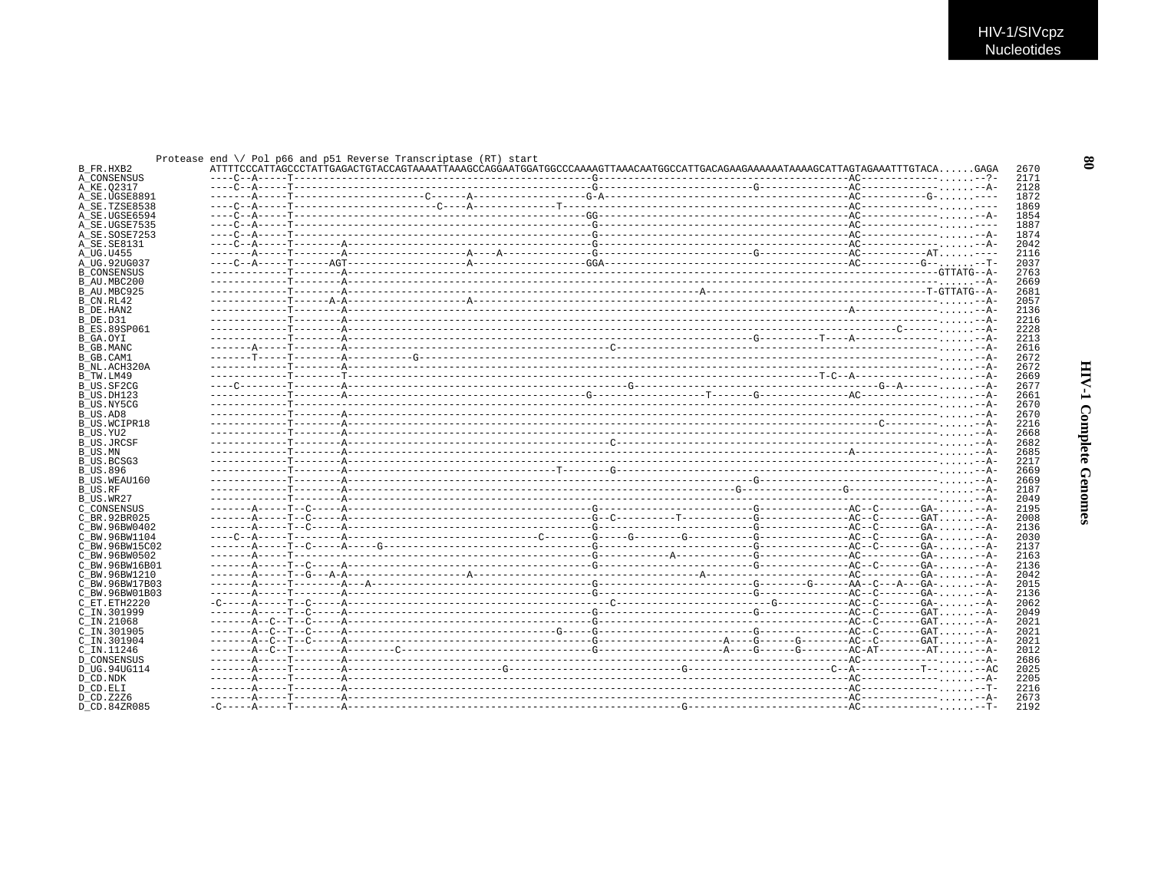$\mathbf{8}$ 

|                           |  |  | Protease end $\setminus$ Pol p66 and p51 Reverse Transcriptase (RT) start |  |  |              |
|---------------------------|--|--|---------------------------------------------------------------------------|--|--|--------------|
| B FR.HXB2                 |  |  |                                                                           |  |  | 2670<br>2171 |
| A CONSENSUS<br>A_KE.02317 |  |  |                                                                           |  |  | 2128         |
| A SE.UGSE8891             |  |  |                                                                           |  |  | 1872         |
| A SE.TZSE8538             |  |  |                                                                           |  |  | 1869         |
| A SE.UGSE6594             |  |  |                                                                           |  |  | 1854         |
| A SE.UGSE7535             |  |  |                                                                           |  |  | 1887         |
| A SE.SOSE7253             |  |  |                                                                           |  |  | 1874         |
| A SE.SE8131               |  |  |                                                                           |  |  | 2042         |
| A UG.U455                 |  |  |                                                                           |  |  | 2116         |
| A UG.92UG037              |  |  |                                                                           |  |  | 2037         |
| <b>B CONSENSUS</b>        |  |  |                                                                           |  |  | 2763         |
| B AU.MBC200               |  |  |                                                                           |  |  | 2669         |
| B AU.MBC925               |  |  |                                                                           |  |  | 2681         |
| B CN.RL42                 |  |  |                                                                           |  |  | 2057         |
| B DE.HAN2                 |  |  |                                                                           |  |  | 2136         |
| B DE.D31                  |  |  |                                                                           |  |  | 2216         |
| <b>B ES.89SP061</b>       |  |  |                                                                           |  |  | 2228         |
| B GA.OYI                  |  |  |                                                                           |  |  | 2213         |
| B GB.MANC                 |  |  |                                                                           |  |  | 2616         |
| B GB.CAM1                 |  |  |                                                                           |  |  | 2672         |
| B NL.ACH320A              |  |  |                                                                           |  |  | 2672         |
| B TW.LM49                 |  |  |                                                                           |  |  | 2669         |
| B US.SF2CG                |  |  |                                                                           |  |  | 2677         |
| B US.DH123                |  |  |                                                                           |  |  | 2661         |
| B_US.NY5CG                |  |  |                                                                           |  |  | 2670         |
| B US.AD8                  |  |  |                                                                           |  |  | 2670         |
| <b>B US.WCIPR18</b>       |  |  |                                                                           |  |  | 2216         |
| B US.YU2                  |  |  |                                                                           |  |  | 2668         |
| <b>B_US.JRCSF</b>         |  |  |                                                                           |  |  | 2682         |
| B US.MN                   |  |  |                                                                           |  |  | 2685         |
| B US.BCSG3                |  |  |                                                                           |  |  | 2217         |
| <b>B US.896</b>           |  |  |                                                                           |  |  | 2669<br>2669 |
| B US.WEAU160<br>B US.RF   |  |  |                                                                           |  |  | 2187         |
| B US.WR27                 |  |  |                                                                           |  |  | 2049         |
| C CONSENSUS               |  |  |                                                                           |  |  | 2195         |
| C BR. 92BR025             |  |  |                                                                           |  |  | 2008         |
| C BW.96BW0402             |  |  |                                                                           |  |  | 2136         |
| C BW.96BW1104             |  |  |                                                                           |  |  | 2030         |
| C BW.96BW15C02            |  |  |                                                                           |  |  | 2137         |
| C BW.96BW0502             |  |  |                                                                           |  |  | 2163         |
| C BW.96BW16B01            |  |  |                                                                           |  |  | 2136         |
| C BW.96BW1210             |  |  |                                                                           |  |  | 2042         |
| C BW.96BW17B03            |  |  |                                                                           |  |  | 2015         |
| C BW.96BW01B03            |  |  |                                                                           |  |  | 2136         |
| C ET. ETH2220             |  |  |                                                                           |  |  | 2062         |
| C IN.301999               |  |  |                                                                           |  |  | 2049         |
| C_IN.21068                |  |  |                                                                           |  |  | 2021         |
| C IN.301905               |  |  |                                                                           |  |  | 2021         |
| C IN.301904               |  |  |                                                                           |  |  | 2021         |
| C IN.11246                |  |  |                                                                           |  |  | 2012         |
| <b>D CONSENSUS</b>        |  |  |                                                                           |  |  | 2686         |
| D UG.94UG114              |  |  |                                                                           |  |  | 2025         |
| D CD.NDK                  |  |  |                                                                           |  |  | 2205         |
| D CD.ELI                  |  |  |                                                                           |  |  | 2216         |
| D CD. Z2Z6                |  |  |                                                                           |  |  | 2673         |
| D CD.84ZR085              |  |  |                                                                           |  |  | 2192         |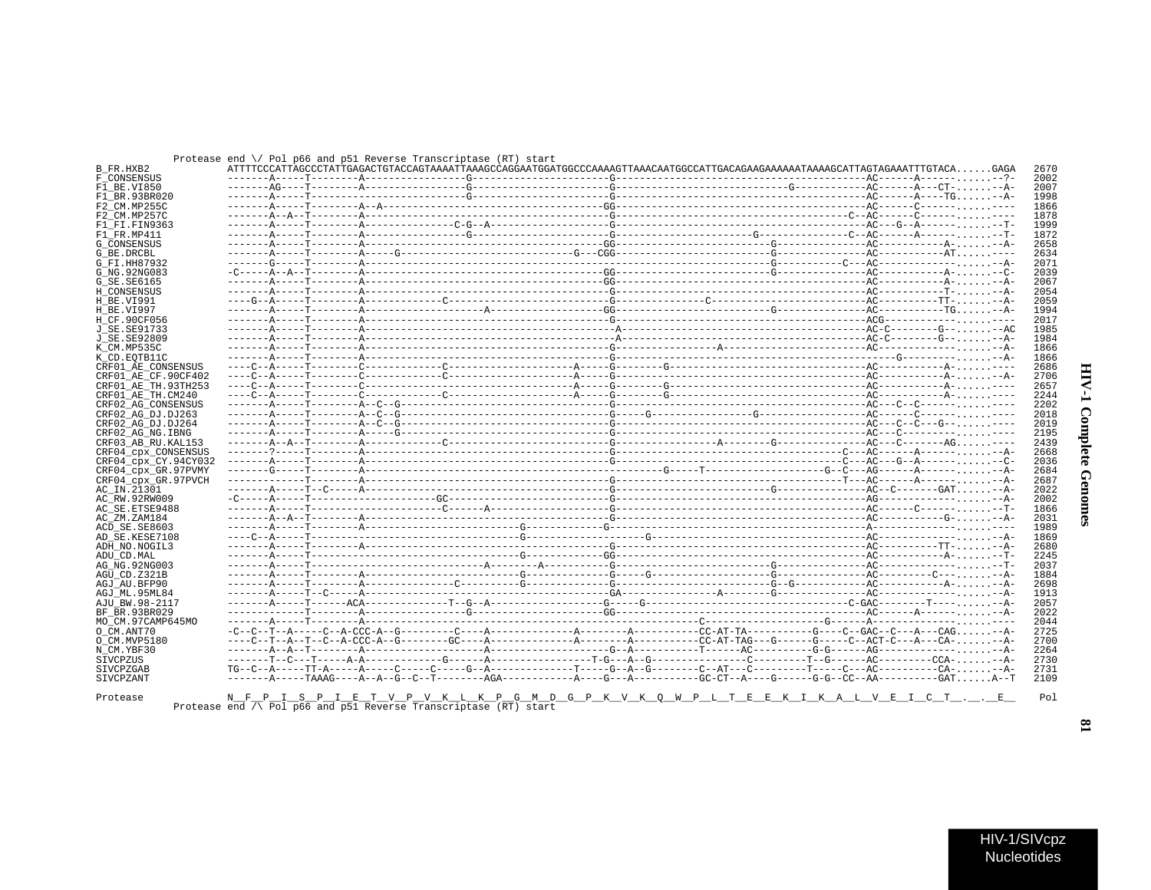| ì<br>ï<br>i  |  |
|--------------|--|
| ì<br>Ĩ,<br>i |  |

| Protease end $\setminus$ Pol p66 and p51 Reverse Transcriptase (RT) star |  |  |  |  |  |  |  |  |  |
|--------------------------------------------------------------------------|--|--|--|--|--|--|--|--|--|
|--------------------------------------------------------------------------|--|--|--|--|--|--|--|--|--|

|                          |  | Protease end $\setminus$ Pol p66 and p51 Reverse Transcriptase (RT) start                                                  |  |  |  |
|--------------------------|--|----------------------------------------------------------------------------------------------------------------------------|--|--|--|
| B FR.HXB2<br>F CONSENSUS |  | ATTTTCCCATTAGCCCTATTGAGACTGTACCAGTAAAATTAAAGCCAGGAATGGACCCAAAAGTTAAACAATGGCCATTGACAGAAGAAAAAATAAAGCATTAGTAGAAATTTGTACAGAGA |  |  |  |
| F1 BE.VI850              |  |                                                                                                                            |  |  |  |
| F1 BR.93BR020            |  |                                                                                                                            |  |  |  |
|                          |  |                                                                                                                            |  |  |  |
| F2 CM.MP255C             |  |                                                                                                                            |  |  |  |
| F2 CM.MP257C             |  |                                                                                                                            |  |  |  |
| F1 FI.FIN9363            |  |                                                                                                                            |  |  |  |
| F1 FR.MP411              |  |                                                                                                                            |  |  |  |
| <b>G CONSENSUS</b>       |  |                                                                                                                            |  |  |  |
| G BE.DRCBL               |  |                                                                                                                            |  |  |  |
| G FI.HH87932             |  |                                                                                                                            |  |  |  |
| G NG. 92NG083            |  |                                                                                                                            |  |  |  |
| G SE. SE6165             |  |                                                                                                                            |  |  |  |
| H CONSENSUS              |  |                                                                                                                            |  |  |  |
| H BE.VI991               |  |                                                                                                                            |  |  |  |
|                          |  |                                                                                                                            |  |  |  |
| H BE.VI997               |  |                                                                                                                            |  |  |  |
| H CF.90CF056             |  |                                                                                                                            |  |  |  |
| J SE. SE91733            |  |                                                                                                                            |  |  |  |
| J SE. SE92809            |  |                                                                                                                            |  |  |  |
| K CM.MP535C              |  |                                                                                                                            |  |  |  |
| K CD.EOTB11C             |  |                                                                                                                            |  |  |  |
| CRF01 AE CONSENSUS       |  |                                                                                                                            |  |  |  |
| CRF01 AE CF.90CF402      |  |                                                                                                                            |  |  |  |
| CRF01 AE TH.93TH253      |  |                                                                                                                            |  |  |  |
| CRF01 AE TH.CM240        |  |                                                                                                                            |  |  |  |
|                          |  |                                                                                                                            |  |  |  |
| CRF02 AG CONSENSUS       |  |                                                                                                                            |  |  |  |
| CRF02 AG DJ.DJ263        |  |                                                                                                                            |  |  |  |
| CRF02_AG_DJ.DJ264        |  |                                                                                                                            |  |  |  |
| CRF02 AG NG. IBNG        |  |                                                                                                                            |  |  |  |
| CRF03 AB RU. KAL153      |  |                                                                                                                            |  |  |  |
| CRF04 CDX CONSENSUS      |  |                                                                                                                            |  |  |  |
| CRF04 cpx CY.94CY032     |  |                                                                                                                            |  |  |  |
| CRF04_cpx_GR.97PVMY      |  |                                                                                                                            |  |  |  |
| CRF04_cpx_GR.97PVCH      |  |                                                                                                                            |  |  |  |
| AC IN.21301              |  |                                                                                                                            |  |  |  |
|                          |  |                                                                                                                            |  |  |  |
| AC RW.92RW009            |  |                                                                                                                            |  |  |  |
| AC SE. ETSE9488          |  |                                                                                                                            |  |  |  |
| AC_ZM.ZAM184             |  |                                                                                                                            |  |  |  |
| ACD SE.SE8603            |  |                                                                                                                            |  |  |  |
| AD SE.KESE7108           |  |                                                                                                                            |  |  |  |
| ADH NO.NOGIL3            |  |                                                                                                                            |  |  |  |
| ADU CD.MAL               |  |                                                                                                                            |  |  |  |
| AG NG. 92NG003           |  |                                                                                                                            |  |  |  |
| AGU CD.Z321B             |  |                                                                                                                            |  |  |  |
| AGJ AU.BFP90             |  |                                                                                                                            |  |  |  |
| AGJ ML.95ML84            |  |                                                                                                                            |  |  |  |
|                          |  |                                                                                                                            |  |  |  |
| AJU BW.98-2117           |  |                                                                                                                            |  |  |  |
| BF BR.93BR029            |  |                                                                                                                            |  |  |  |
| MO CM.97CAMP645MO        |  |                                                                                                                            |  |  |  |
| O CM.ANT70               |  |                                                                                                                            |  |  |  |
| O CM.MVP5180             |  |                                                                                                                            |  |  |  |
| N CM.YBF30               |  |                                                                                                                            |  |  |  |
| SIVCPZUS                 |  |                                                                                                                            |  |  |  |
|                          |  |                                                                                                                            |  |  |  |
| SIVCPZGAB                |  |                                                                                                                            |  |  |  |
| SIVCPZANT                |  |                                                                                                                            |  |  |  |

 $\begin{array}{cccccccccccccc} \text{N\_F\_P\_I\_S\_P\_I\_E\_T\_V\_P\_V\_K\_L\_K\_P\_G\_M\_D\_G\_P\_K\_V\_K\_O\_W\_P\_L\_T\_E\_E\_K\_I\_K\_A\_L\_V\_E\_I\_C\_T\_. \_ &\text{Pol\_P6G\_and\_p51} &\text{Reverse Transcripts} \end{array}$ 

 $\mathbf{5}$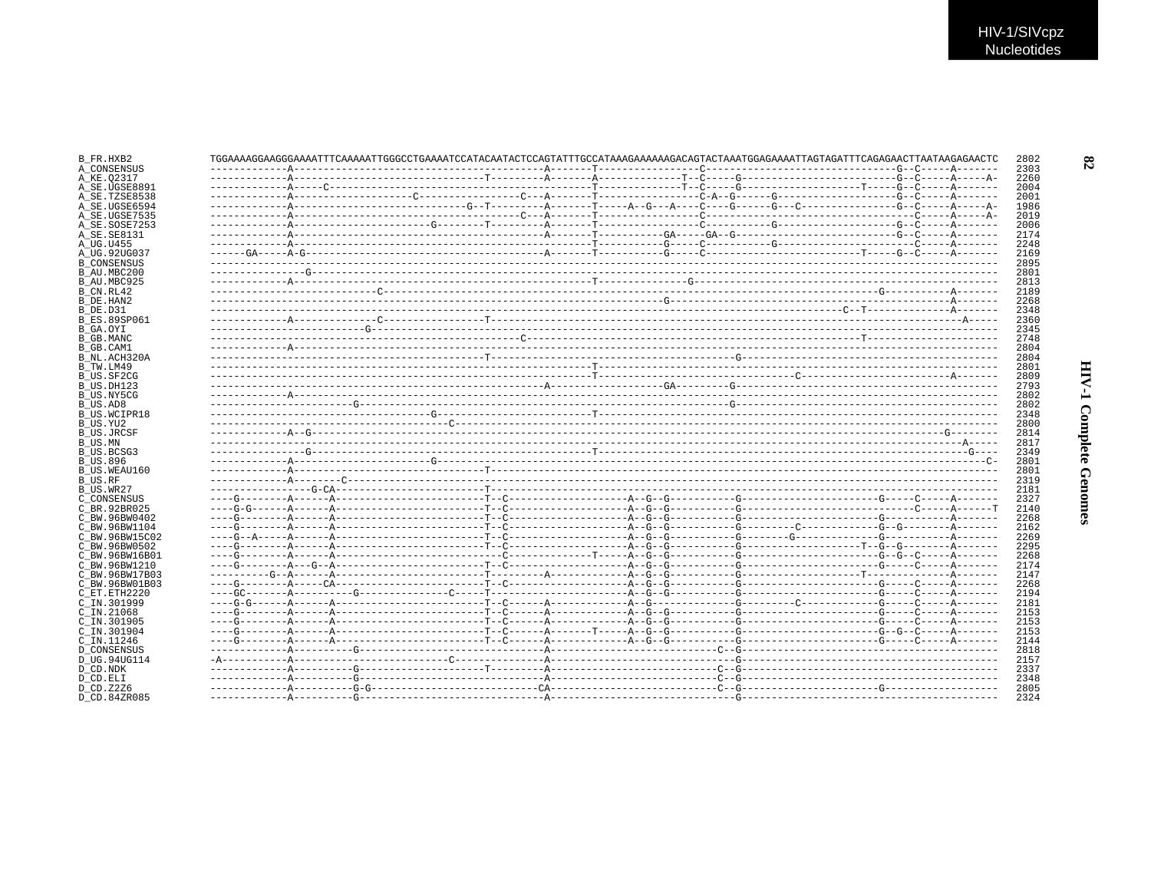| B FR.HXB2                      |  |  | TGGAAAAGGAAAGGAAAATTTCAAAAATTGGGCCTGAAAATCCATACAATACTCCAGTATTTGCCATAAAGAAAAAAGACAGTACTAAATGGAGAAAATTAGTAGATTTCAGAGAACTTAATAAGAGAACTC |  |  |  |
|--------------------------------|--|--|--------------------------------------------------------------------------------------------------------------------------------------|--|--|--|
| A CONSENSUS                    |  |  |                                                                                                                                      |  |  |  |
| A KE.02317                     |  |  |                                                                                                                                      |  |  |  |
| A SE.UGSE8891<br>A SE.TZSE8538 |  |  |                                                                                                                                      |  |  |  |
| A SE.UGSE6594                  |  |  |                                                                                                                                      |  |  |  |
| A SE.UGSE7535                  |  |  |                                                                                                                                      |  |  |  |
| A SE.SOSE7253                  |  |  |                                                                                                                                      |  |  |  |
| A SE. SE8131                   |  |  |                                                                                                                                      |  |  |  |
| A UG.U455                      |  |  |                                                                                                                                      |  |  |  |
| A UG.92UG037                   |  |  |                                                                                                                                      |  |  |  |
| <b>B CONSENSUS</b>             |  |  |                                                                                                                                      |  |  |  |
| B AU.MBC200                    |  |  |                                                                                                                                      |  |  |  |
| B AU.MBC925                    |  |  |                                                                                                                                      |  |  |  |
| B_CN.RL42                      |  |  |                                                                                                                                      |  |  |  |
| B DE.HAN2                      |  |  |                                                                                                                                      |  |  |  |
| B DE D31                       |  |  |                                                                                                                                      |  |  |  |
| B ES.89SP061                   |  |  |                                                                                                                                      |  |  |  |
| B_GA.OYI                       |  |  |                                                                                                                                      |  |  |  |
| B GB.MANC                      |  |  |                                                                                                                                      |  |  |  |
| B GB.CAM1                      |  |  |                                                                                                                                      |  |  |  |
| B NL.ACH320A                   |  |  |                                                                                                                                      |  |  |  |
| B TW.LM49                      |  |  |                                                                                                                                      |  |  |  |
| B US.SF2CG                     |  |  |                                                                                                                                      |  |  |  |
| B_US.DH123                     |  |  |                                                                                                                                      |  |  |  |
| B US.NY5CG                     |  |  |                                                                                                                                      |  |  |  |
| B US.AD8                       |  |  |                                                                                                                                      |  |  |  |
| B US.WCIPR18                   |  |  |                                                                                                                                      |  |  |  |
| B US.YU2                       |  |  |                                                                                                                                      |  |  |  |
| B US.JRCSF                     |  |  |                                                                                                                                      |  |  |  |
| B US.MN                        |  |  |                                                                                                                                      |  |  |  |
| B US.BCSG3                     |  |  |                                                                                                                                      |  |  |  |
| B US.896<br>B US.WEAU160       |  |  |                                                                                                                                      |  |  |  |
| B US.RF                        |  |  |                                                                                                                                      |  |  |  |
| B US.WR27                      |  |  |                                                                                                                                      |  |  |  |
| C CONSENSUS                    |  |  |                                                                                                                                      |  |  |  |
| C BR.92BR025                   |  |  |                                                                                                                                      |  |  |  |
| C BW.96BW0402                  |  |  |                                                                                                                                      |  |  |  |
| C BW.96BW1104                  |  |  |                                                                                                                                      |  |  |  |
| C BW.96BW15C02                 |  |  |                                                                                                                                      |  |  |  |
| C BW.96BW0502                  |  |  |                                                                                                                                      |  |  |  |
| C BW.96BW16B01                 |  |  |                                                                                                                                      |  |  |  |
| C BW.96BW1210                  |  |  |                                                                                                                                      |  |  |  |
| C BW.96BW17B03                 |  |  |                                                                                                                                      |  |  |  |
| C BW.96BW01B03                 |  |  |                                                                                                                                      |  |  |  |
| C ET. ETH2220                  |  |  |                                                                                                                                      |  |  |  |
| C IN.301999                    |  |  |                                                                                                                                      |  |  |  |
| $C$ IN. $21068$                |  |  |                                                                                                                                      |  |  |  |
| C IN.301905                    |  |  |                                                                                                                                      |  |  |  |
| C IN.301904                    |  |  |                                                                                                                                      |  |  |  |
| C IN.11246                     |  |  |                                                                                                                                      |  |  |  |
| <b>D CONSENSUS</b>             |  |  |                                                                                                                                      |  |  |  |
| D UG.94UG114                   |  |  |                                                                                                                                      |  |  |  |
| D_CD.NDK                       |  |  |                                                                                                                                      |  |  |  |
| D CD.ELI                       |  |  |                                                                                                                                      |  |  |  |
| D CD. Z2Z6                     |  |  |                                                                                                                                      |  |  |  |
|                                |  |  |                                                                                                                                      |  |  |  |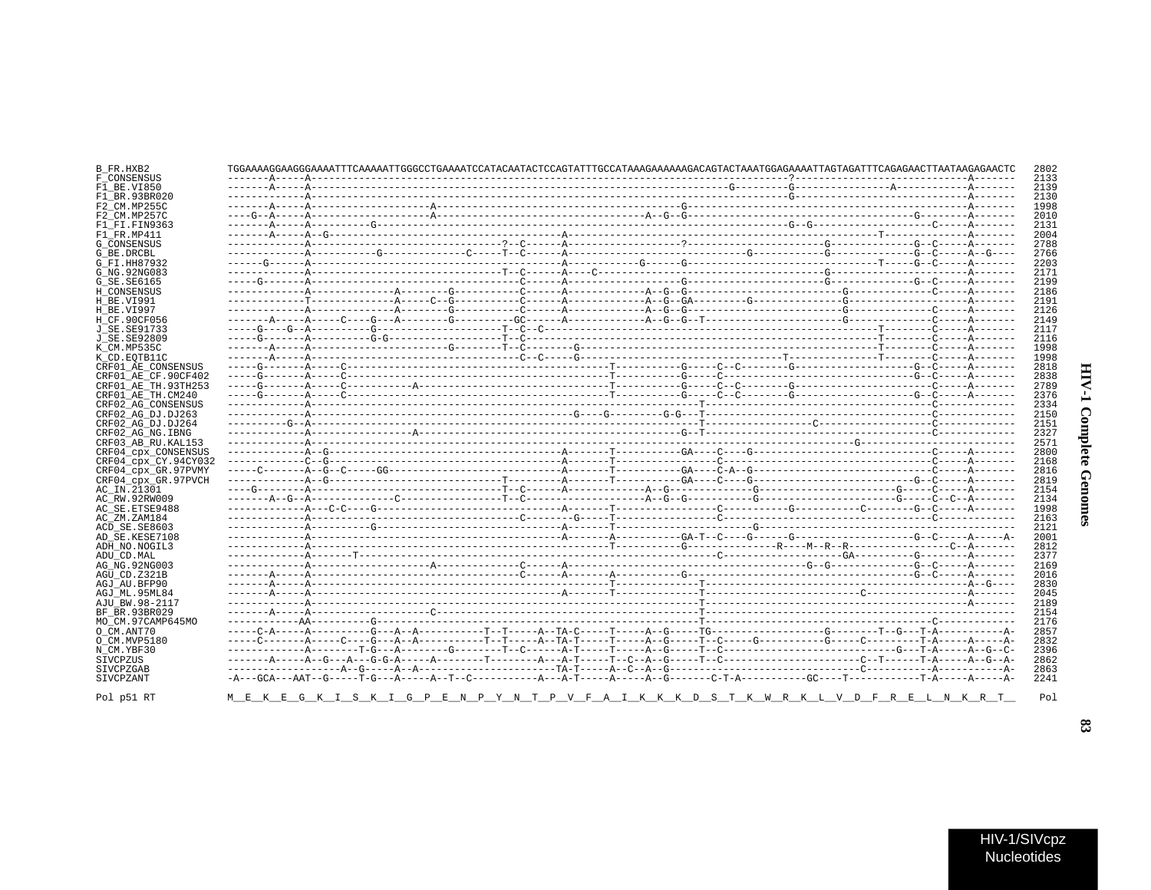| ĭ<br>í<br>ĭ |  |
|-------------|--|
| ì<br>ĵ      |  |

|                        |  |  | TGGAAAAGGAAGGGAAAATTTCAAAAATTGGGCCTGAAAATCCATACAATACTCCAGTATTTGCCATAAAGAAAAAAGACAGTACTAAATGGAGAAAATTAGTAGATTTCAGAGAACTTAATAAGAGAACTC |  |
|------------------------|--|--|--------------------------------------------------------------------------------------------------------------------------------------|--|
| F CONSENSUS            |  |  |                                                                                                                                      |  |
| F1 BE.VI850            |  |  |                                                                                                                                      |  |
| F1 BR.93BR020          |  |  |                                                                                                                                      |  |
| F2 CM.MP255C           |  |  |                                                                                                                                      |  |
| F2 CM.MP257C           |  |  |                                                                                                                                      |  |
| F1 FI.FIN9363          |  |  |                                                                                                                                      |  |
| F1 FR.MP411            |  |  |                                                                                                                                      |  |
| G CONSENSUS            |  |  |                                                                                                                                      |  |
| G BE.DRCBL             |  |  |                                                                                                                                      |  |
| G FI.HH87932           |  |  |                                                                                                                                      |  |
|                        |  |  |                                                                                                                                      |  |
| G NG. 92NG083          |  |  |                                                                                                                                      |  |
| G SE. SE6165           |  |  |                                                                                                                                      |  |
| H CONSENSUS            |  |  |                                                                                                                                      |  |
| H BE.VI991             |  |  |                                                                                                                                      |  |
| H BE.VI997             |  |  |                                                                                                                                      |  |
| H CF.90CF056           |  |  |                                                                                                                                      |  |
| J SE.SE91733           |  |  |                                                                                                                                      |  |
|                        |  |  |                                                                                                                                      |  |
| J SE.SE92809           |  |  |                                                                                                                                      |  |
| K CM.MP535C            |  |  |                                                                                                                                      |  |
| K CD.EOTB11C           |  |  |                                                                                                                                      |  |
| CRF01 AE CONSENSUS     |  |  |                                                                                                                                      |  |
| CRF01 AE CF.90CF402    |  |  |                                                                                                                                      |  |
| CRF01 AE TH.93TH253    |  |  |                                                                                                                                      |  |
| CRF01 AE TH.CM240      |  |  |                                                                                                                                      |  |
|                        |  |  |                                                                                                                                      |  |
| CRF02 AG CONSENSUS     |  |  |                                                                                                                                      |  |
| CRF02 AG DJ.DJ263      |  |  |                                                                                                                                      |  |
| CRF02 AG DJ.DJ264      |  |  |                                                                                                                                      |  |
| CRF02 AG NG. IBNG      |  |  |                                                                                                                                      |  |
| CRF03 AB RU. KAL153    |  |  |                                                                                                                                      |  |
| CRF04 cpx CONSENSUS    |  |  |                                                                                                                                      |  |
| CRF04 cpx CY.94CY032   |  |  |                                                                                                                                      |  |
| CRF04_cpx_GR.97PVMY    |  |  |                                                                                                                                      |  |
|                        |  |  |                                                                                                                                      |  |
| CRF04_cpx_GR.97PVCH    |  |  |                                                                                                                                      |  |
| AC_IN.21301            |  |  |                                                                                                                                      |  |
| AC_RW.92RW009          |  |  |                                                                                                                                      |  |
| AC SE.ETSE9488         |  |  |                                                                                                                                      |  |
| AC_ZM.ZAM184           |  |  |                                                                                                                                      |  |
| ACD SE.SE8603          |  |  |                                                                                                                                      |  |
| AD SE.KESE7108         |  |  |                                                                                                                                      |  |
|                        |  |  |                                                                                                                                      |  |
| ADH NO.NOGIL3          |  |  |                                                                                                                                      |  |
| ADU CD.MAL             |  |  |                                                                                                                                      |  |
| AG NG. 92NG003         |  |  |                                                                                                                                      |  |
| AGU CD.Z321B           |  |  |                                                                                                                                      |  |
| AGJ AU.BFP90           |  |  |                                                                                                                                      |  |
| AGJ ML.95ML84          |  |  |                                                                                                                                      |  |
| AJU BW.98-2117         |  |  |                                                                                                                                      |  |
|                        |  |  |                                                                                                                                      |  |
| BF BR.93BR029          |  |  |                                                                                                                                      |  |
| MO CM.97CAMP645MO      |  |  |                                                                                                                                      |  |
| O CM.ANT70             |  |  |                                                                                                                                      |  |
| O CM.MVP5180           |  |  |                                                                                                                                      |  |
| N CM.YBF30             |  |  |                                                                                                                                      |  |
| SIVCPZUS               |  |  |                                                                                                                                      |  |
|                        |  |  |                                                                                                                                      |  |
|                        |  |  |                                                                                                                                      |  |
| SIVCPZGAB<br>SIVCPZANT |  |  |                                                                                                                                      |  |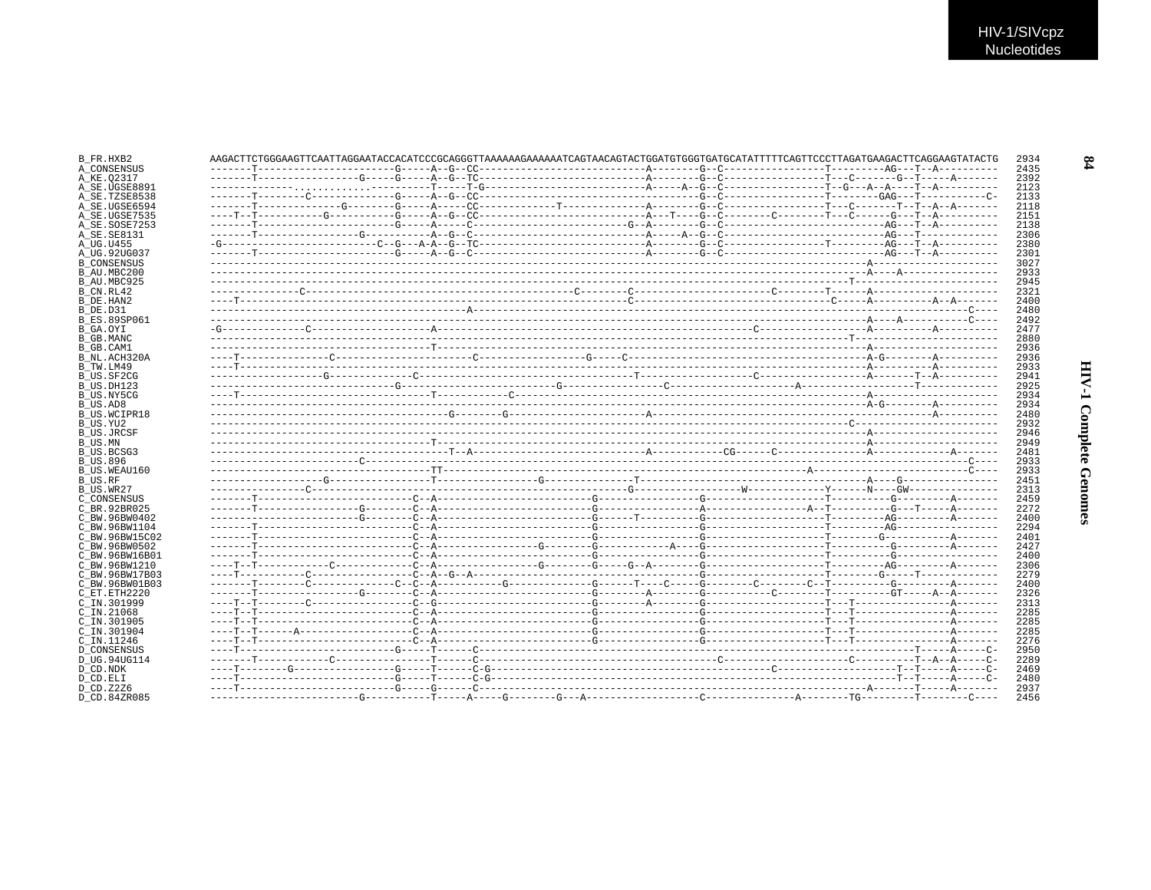| B FR.HXB2           | AAGACTTCTGGGAAGTTCAATTAGGAATACCACATCCCGCAGGGTTAAAAAAGAAAAAATCAGTAACAGTACTGGATGTGGGTGATGCATATTTTCAGTTCCCTTAGATGAAGACTTCAGGAAGTATACTG |  |  |  | 2934 |  |
|---------------------|-------------------------------------------------------------------------------------------------------------------------------------|--|--|--|------|--|
| A CONSENSUS         |                                                                                                                                     |  |  |  | 2435 |  |
| A KE.02317          |                                                                                                                                     |  |  |  | 2392 |  |
| A_SE.UGSE8891       |                                                                                                                                     |  |  |  | 2123 |  |
| A SE.TZSE8538       |                                                                                                                                     |  |  |  | 2133 |  |
| A SE.UGSE6594       |                                                                                                                                     |  |  |  | 2118 |  |
| A SE.UGSE7535       |                                                                                                                                     |  |  |  | 2151 |  |
| A SE.SOSE7253       |                                                                                                                                     |  |  |  | 2138 |  |
| A SE. SE8131        |                                                                                                                                     |  |  |  | 2306 |  |
| A UG.U455           |                                                                                                                                     |  |  |  | 2380 |  |
| A UG.92UG037        |                                                                                                                                     |  |  |  | 2301 |  |
| <b>B CONSENSUS</b>  |                                                                                                                                     |  |  |  | 3027 |  |
| B AU.MBC200         |                                                                                                                                     |  |  |  | 2933 |  |
| B AU.MBC925         |                                                                                                                                     |  |  |  | 2945 |  |
| B CN.RL42           |                                                                                                                                     |  |  |  | 2321 |  |
| B DE.HAN2           |                                                                                                                                     |  |  |  | 2400 |  |
| B DE.D31            |                                                                                                                                     |  |  |  | 2480 |  |
| <b>B ES.89SP061</b> |                                                                                                                                     |  |  |  | 2492 |  |
| B GA.OYI            |                                                                                                                                     |  |  |  | 2477 |  |
| B GB.MANC           |                                                                                                                                     |  |  |  | 2880 |  |
| B GB.CAM1           |                                                                                                                                     |  |  |  | 2936 |  |
| B NL.ACH320A        |                                                                                                                                     |  |  |  | 2936 |  |
| B TW.LM49           |                                                                                                                                     |  |  |  | 2933 |  |
| B US.SF2CG          |                                                                                                                                     |  |  |  | 2941 |  |
| B_US.DH123          |                                                                                                                                     |  |  |  | 2925 |  |
| B US.NY5CG          |                                                                                                                                     |  |  |  | 2934 |  |
| B US.AD8            |                                                                                                                                     |  |  |  | 2934 |  |
| B US.WCIPR18        |                                                                                                                                     |  |  |  | 2480 |  |
| B US.YU2            |                                                                                                                                     |  |  |  | 2932 |  |
| B US.JRCSF          |                                                                                                                                     |  |  |  | 2946 |  |
| B US.MN             |                                                                                                                                     |  |  |  | 2949 |  |
| B US.BCSG3          |                                                                                                                                     |  |  |  | 2481 |  |
| <b>B US.896</b>     |                                                                                                                                     |  |  |  | 2933 |  |
| B US.WEAU160        |                                                                                                                                     |  |  |  | 2933 |  |
| B US.RF             |                                                                                                                                     |  |  |  | 2451 |  |
| B US.WR27           |                                                                                                                                     |  |  |  | 2313 |  |
| C CONSENSUS         |                                                                                                                                     |  |  |  | 2459 |  |
| C BR. 92BR025       |                                                                                                                                     |  |  |  | 2272 |  |
| C BW.96BW0402       |                                                                                                                                     |  |  |  | 2400 |  |
| C BW.96BW1104       |                                                                                                                                     |  |  |  | 2294 |  |
| C BW.96BW15C02      |                                                                                                                                     |  |  |  | 2401 |  |
| C BW.96BW0502       |                                                                                                                                     |  |  |  | 2427 |  |
| C BW.96BW16B01      |                                                                                                                                     |  |  |  | 2400 |  |
| C BW.96BW1210       |                                                                                                                                     |  |  |  | 2306 |  |
| C BW.96BW17B03      |                                                                                                                                     |  |  |  | 2279 |  |
|                     |                                                                                                                                     |  |  |  |      |  |
| C BW.96BW01B03      |                                                                                                                                     |  |  |  | 2400 |  |
| C ET.ETH2220        |                                                                                                                                     |  |  |  | 2326 |  |
| C IN.301999         |                                                                                                                                     |  |  |  | 2313 |  |
| $C$ IN. 21068       |                                                                                                                                     |  |  |  | 2285 |  |
| $C$ IN.301905       |                                                                                                                                     |  |  |  | 2285 |  |
| C IN.301904         |                                                                                                                                     |  |  |  | 2285 |  |
| C IN.11246          |                                                                                                                                     |  |  |  | 2276 |  |
| <b>D CONSENSUS</b>  |                                                                                                                                     |  |  |  | 2950 |  |
| D UG.94UG114        |                                                                                                                                     |  |  |  | 2289 |  |
| D CD.NDK            |                                                                                                                                     |  |  |  | 2469 |  |
| D CD.ELI            |                                                                                                                                     |  |  |  | 2480 |  |
| D CD.Z2Z6           |                                                                                                                                     |  |  |  | 2937 |  |
| D CD.84ZR085        |                                                                                                                                     |  |  |  | 2456 |  |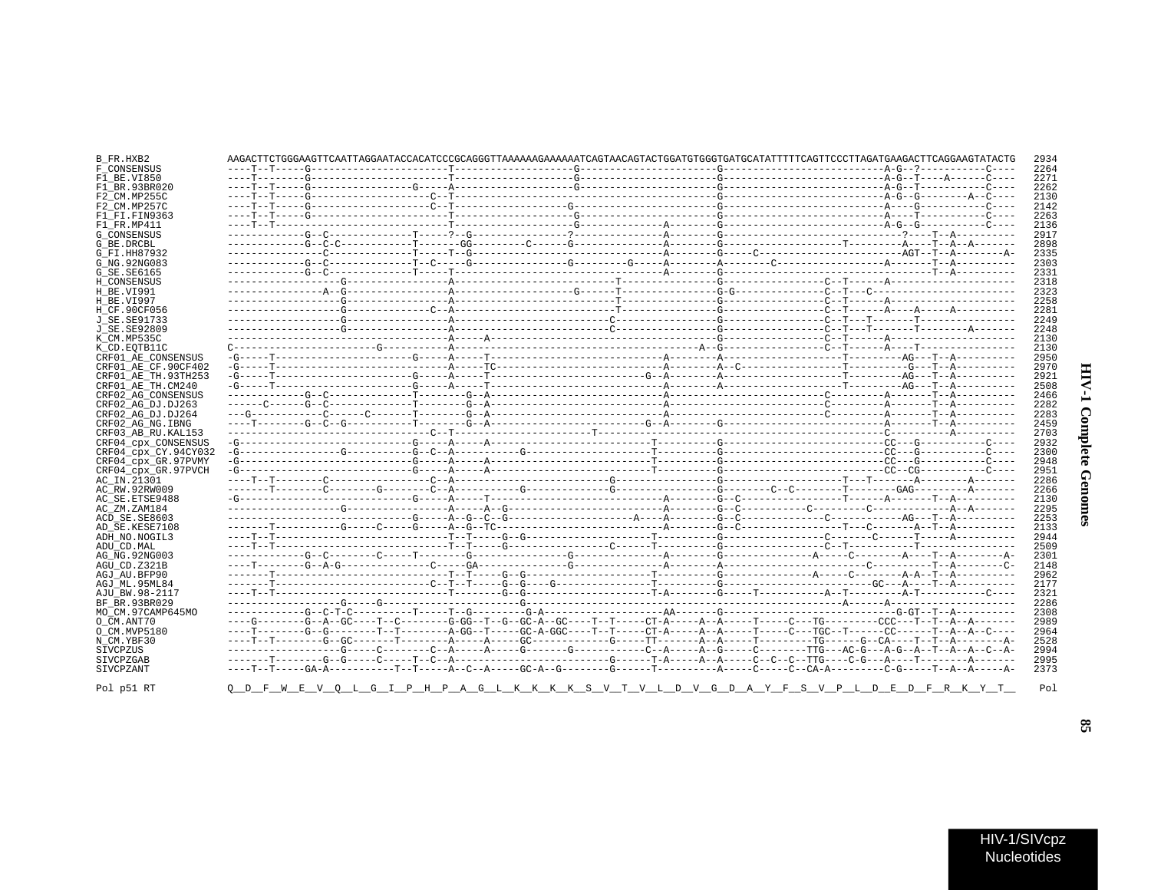| ì<br>i<br>I<br>Ŝ<br>í |  |
|-----------------------|--|
| į<br>i<br>ì<br>٤      |  |

| B FR.HXB2            |  |  |  | AAGACTTCTGGGAAGTTCAATTAGGAATACCACATCCCGCAGGGTTAAAAAAGAAAAAATCAGTAACAGTACTGGATGTGGGTGATGCATATTTTCAGTTCCCTTAGATGAAGACTTCAGGAAGTATACTG | 2934 |
|----------------------|--|--|--|-------------------------------------------------------------------------------------------------------------------------------------|------|
| F CONSENSUS          |  |  |  |                                                                                                                                     | 2264 |
| F1 BE.VI850          |  |  |  |                                                                                                                                     | 2271 |
| F1 BR.93BR020        |  |  |  |                                                                                                                                     | 2262 |
| F2 CM.MP255C         |  |  |  |                                                                                                                                     | 2130 |
| F2 CM.MP257C         |  |  |  |                                                                                                                                     | 2142 |
| F1 FI.FIN9363        |  |  |  |                                                                                                                                     | 2263 |
|                      |  |  |  |                                                                                                                                     | 2136 |
| F1 FR.MP411          |  |  |  |                                                                                                                                     |      |
| G_CONSENSUS          |  |  |  |                                                                                                                                     | 2917 |
| G BE.DRCBL           |  |  |  |                                                                                                                                     | 2898 |
| G FI.HH87932         |  |  |  |                                                                                                                                     | 2335 |
| G NG. 92NG083        |  |  |  |                                                                                                                                     | 2303 |
| G SE.SE6165          |  |  |  |                                                                                                                                     | 2331 |
| H CONSENSUS          |  |  |  |                                                                                                                                     | 2318 |
| H BE.VI991           |  |  |  |                                                                                                                                     | 2323 |
| H BE.VI997           |  |  |  |                                                                                                                                     | 2258 |
| H CF.90CF056         |  |  |  |                                                                                                                                     | 2281 |
| J SE.SE91733         |  |  |  |                                                                                                                                     | 2249 |
| J_SE.SE92809         |  |  |  |                                                                                                                                     | 2248 |
| K CM.MP535C          |  |  |  |                                                                                                                                     | 2130 |
| K CD.EOTB11C         |  |  |  |                                                                                                                                     | 2130 |
| CRF01 AE CONSENSUS   |  |  |  |                                                                                                                                     | 2950 |
| CRF01 AE CF.90CF402  |  |  |  |                                                                                                                                     | 2970 |
| CRF01 AE TH.93TH253  |  |  |  |                                                                                                                                     | 2921 |
| CRF01 AE TH.CM240    |  |  |  |                                                                                                                                     | 2508 |
| CRF02 AG CONSENSUS   |  |  |  |                                                                                                                                     | 2466 |
| CRF02 AG DJ.DJ263    |  |  |  |                                                                                                                                     | 2282 |
| CRF02 AG DJ.DJ264    |  |  |  |                                                                                                                                     | 2283 |
| CRF02 AG NG. IBNG    |  |  |  |                                                                                                                                     | 2459 |
| CRF03 AB RU. KAL153  |  |  |  |                                                                                                                                     | 2703 |
| CRF04_cpx_CONSENSUS  |  |  |  |                                                                                                                                     | 2932 |
|                      |  |  |  |                                                                                                                                     | 2300 |
| CRF04 cpx CY.94CY032 |  |  |  |                                                                                                                                     | 2948 |
| CRF04 cpx GR.97PVMY  |  |  |  |                                                                                                                                     | 2951 |
| CRF04 cpx GR.97PVCH  |  |  |  |                                                                                                                                     |      |
| AC IN.21301          |  |  |  |                                                                                                                                     | 2286 |
| AC RW.92RW009        |  |  |  |                                                                                                                                     | 2266 |
| AC SE.ETSE9488       |  |  |  |                                                                                                                                     | 2130 |
| AC ZM.ZAM184         |  |  |  |                                                                                                                                     | 2295 |
| ACD SE.SE8603        |  |  |  |                                                                                                                                     | 2253 |
| AD SE.KESE7108       |  |  |  |                                                                                                                                     | 2133 |
| ADH NO.NOGIL3        |  |  |  |                                                                                                                                     | 2944 |
| ADU CD.MAL           |  |  |  |                                                                                                                                     | 2509 |
| AG NG. 92NG003       |  |  |  |                                                                                                                                     | 2301 |
| AGU_CD.Z321B         |  |  |  |                                                                                                                                     | 2148 |
| AGJ AU.BFP90         |  |  |  |                                                                                                                                     | 2962 |
| AGJ ML.95ML84        |  |  |  |                                                                                                                                     | 2177 |
| AJU BW.98-2117       |  |  |  |                                                                                                                                     | 2321 |
| BF BR.93BR029        |  |  |  |                                                                                                                                     | 2286 |
| MO CM.97CAMP645MO    |  |  |  |                                                                                                                                     | 2308 |
| O CM.ANT70           |  |  |  |                                                                                                                                     | 2989 |
| O CM.MVP5180         |  |  |  | ----T--------G--G--------T--T--------A-GG--T-----GC-A-GGC----T--T-----CT-A----A--A-----T-----CC---TGC--T-----CC-----T--A--C----     | 2964 |
| N_CM.YBF30           |  |  |  |                                                                                                                                     | 2528 |
|                      |  |  |  |                                                                                                                                     | 2994 |
| SIVCPZUS             |  |  |  |                                                                                                                                     |      |
| SIVCPZGAB            |  |  |  |                                                                                                                                     | 2995 |
| SIVCPZANT            |  |  |  | ----T--T-----GA-A-----------T--T-----A--C--A-----GC-A--G--------G------T---------A-----C--CA-A--------C-G-----T--A--A-----A-        | 2373 |
| Pol p51 RT           |  |  |  | <u>QDFWEVQLGIPHPAGLKKKSVIVLDVGDAYFSVFSVGDAYFSVPLDDDEDFRXYI</u>                                                                      | Pol  |

 $\mathbf{3}$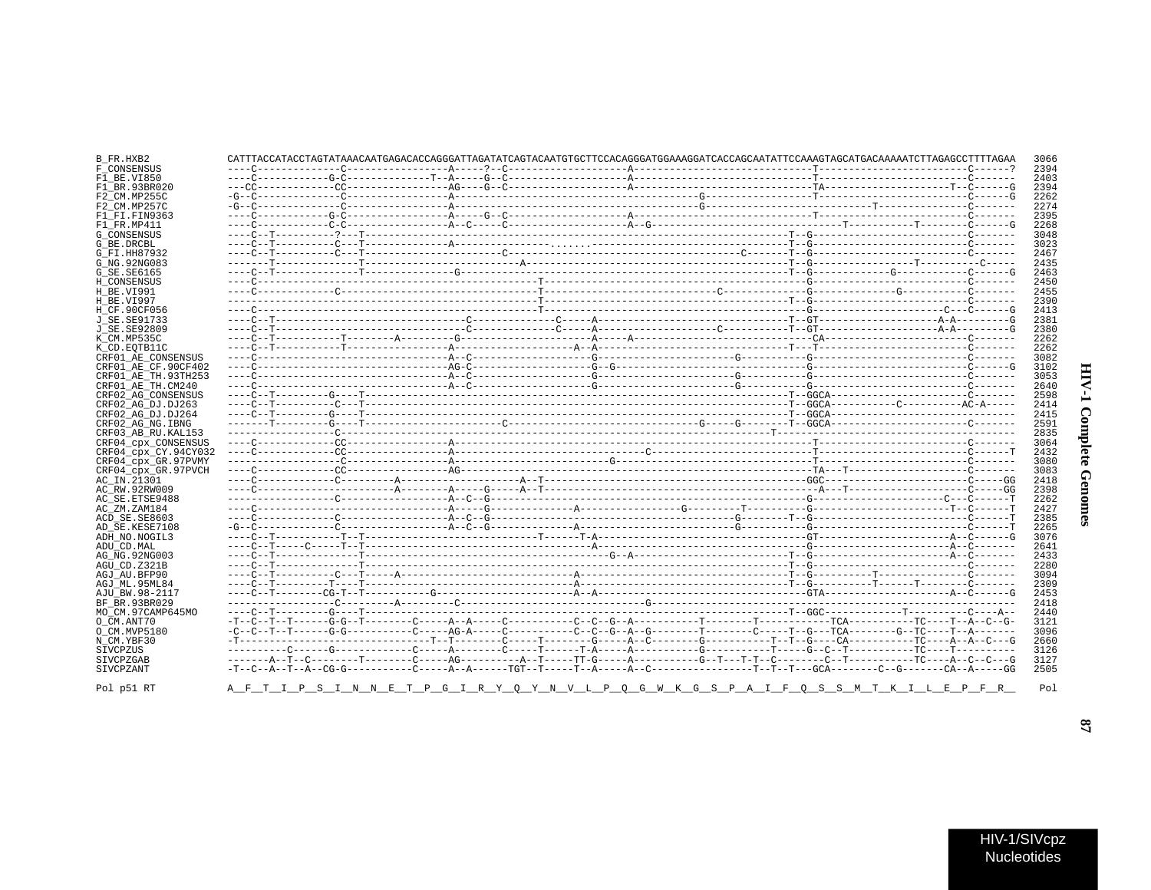# **HIV-1 Complete Genomes**

| B_FR.HXB2            |  |  | CATTTACCATACCTAGTATAAACAATGAGACACCAGGGATTAGATATCAGTACAATGTGCTTCCACAGGGATGGAAAGGATCACCAGCAATATTCCAAAGTAGCATGACAAAAATCTTAGAGCCTTTTAGAA |  | 3066 |
|----------------------|--|--|--------------------------------------------------------------------------------------------------------------------------------------|--|------|
| F CONSENSUS          |  |  |                                                                                                                                      |  | 2394 |
| F1 BE.VI850          |  |  |                                                                                                                                      |  | 2403 |
| F1 BR.93BR020        |  |  |                                                                                                                                      |  | 2394 |
| F2 CM.MP255C         |  |  |                                                                                                                                      |  | 2262 |
| F2 CM.MP257C         |  |  |                                                                                                                                      |  | 2274 |
| F1 FI.FIN9363        |  |  |                                                                                                                                      |  | 2395 |
| F1 FR.MP411          |  |  |                                                                                                                                      |  | 2268 |
| <b>G CONSENSUS</b>   |  |  |                                                                                                                                      |  | 3048 |
| G_BE.DRCBL           |  |  |                                                                                                                                      |  | 3023 |
| G FI.HH87932         |  |  |                                                                                                                                      |  | 2467 |
| G NG. 92NG083        |  |  |                                                                                                                                      |  | 2435 |
| G SE. SE6165         |  |  |                                                                                                                                      |  | 2463 |
| H CONSENSUS          |  |  |                                                                                                                                      |  | 2450 |
| H BE.VI991           |  |  |                                                                                                                                      |  | 2455 |
|                      |  |  |                                                                                                                                      |  | 2390 |
| H BE.VI997           |  |  |                                                                                                                                      |  |      |
| H_CF.90CF056         |  |  |                                                                                                                                      |  | 2413 |
| J SE. SE91733        |  |  |                                                                                                                                      |  | 2381 |
| J SE.SE92809         |  |  |                                                                                                                                      |  | 2380 |
| K CM.MP535C          |  |  |                                                                                                                                      |  | 2262 |
| K CD.EOTB11C         |  |  |                                                                                                                                      |  | 2262 |
| CRF01 AE CONSENSUS   |  |  |                                                                                                                                      |  | 3082 |
| CRF01 AE CF.90CF402  |  |  |                                                                                                                                      |  | 3102 |
| CRF01 AE TH.93TH253  |  |  |                                                                                                                                      |  | 3053 |
| CRF01 AE TH.CM240    |  |  |                                                                                                                                      |  | 2640 |
| CRF02 AG CONSENSUS   |  |  |                                                                                                                                      |  | 2598 |
| CRF02 AG DJ.DJ263    |  |  |                                                                                                                                      |  | 2414 |
| CRF02 AG DJ.DJ264    |  |  |                                                                                                                                      |  | 2415 |
| CRF02 AG NG. IBNG    |  |  |                                                                                                                                      |  | 2591 |
| CRF03 AB RU. KAL153  |  |  |                                                                                                                                      |  | 2835 |
| CRF04 CPX CONSENSUS  |  |  |                                                                                                                                      |  | 3064 |
| CRF04 cpx CY.94CY032 |  |  |                                                                                                                                      |  | 2432 |
| CRF04 cpx GR.97PVMY  |  |  |                                                                                                                                      |  | 3080 |
| CRF04 cpx GR.97PVCH  |  |  |                                                                                                                                      |  | 3083 |
| AC IN.21301          |  |  |                                                                                                                                      |  | 2418 |
| AC RW.92RW009        |  |  |                                                                                                                                      |  | 2398 |
| AC SE. ETSE9488      |  |  |                                                                                                                                      |  | 2262 |
|                      |  |  |                                                                                                                                      |  | 2427 |
| AC ZM.ZAM184         |  |  |                                                                                                                                      |  |      |
| ACD SE.SE8603        |  |  |                                                                                                                                      |  | 2385 |
| AD SE.KESE7108       |  |  |                                                                                                                                      |  | 2265 |
| ADH NO.NOGIL3        |  |  |                                                                                                                                      |  | 3076 |
| ADU CD.MAL           |  |  |                                                                                                                                      |  | 2641 |
| AG NG. 92NG003       |  |  |                                                                                                                                      |  | 2433 |
| AGU CD.Z321B         |  |  |                                                                                                                                      |  | 2280 |
| AGJ AU.BFP90         |  |  |                                                                                                                                      |  | 3094 |
| AGJ ML.95ML84        |  |  |                                                                                                                                      |  | 2309 |
| AJU BW.98-2117       |  |  |                                                                                                                                      |  | 2453 |
| BF BR.93BR029        |  |  |                                                                                                                                      |  | 2418 |
| MO CM.97CAMP645MO    |  |  |                                                                                                                                      |  | 2440 |
| O CM.ANT70           |  |  |                                                                                                                                      |  | 3121 |
| O CM.MVP5180         |  |  |                                                                                                                                      |  | 3096 |
| N CM.YBF30           |  |  |                                                                                                                                      |  | 2660 |
| SIVCPZUS             |  |  |                                                                                                                                      |  | 3126 |
| SIVCPZGAB            |  |  |                                                                                                                                      |  | 3127 |
| SIVCPZANT            |  |  |                                                                                                                                      |  | 2505 |
|                      |  |  |                                                                                                                                      |  |      |
| Pol p51 RT           |  |  | <u>A FTIPSINNETPGIRYQYNVLPQGWKGSPAIFQSSMTKILTLEILPP</u>                                                                              |  | Pol  |

A\_F\_T\_I\_P\_S\_I\_N\_N\_E\_T\_P\_G\_I\_R\_Y\_Q\_Y\_N\_V\_L\_P\_Q\_G\_W\_K\_G\_S\_P\_A\_I\_F\_Q\_S\_S\_M\_T\_K\_I\_L\_E\_P\_F\_R\_

 $\overline{8}$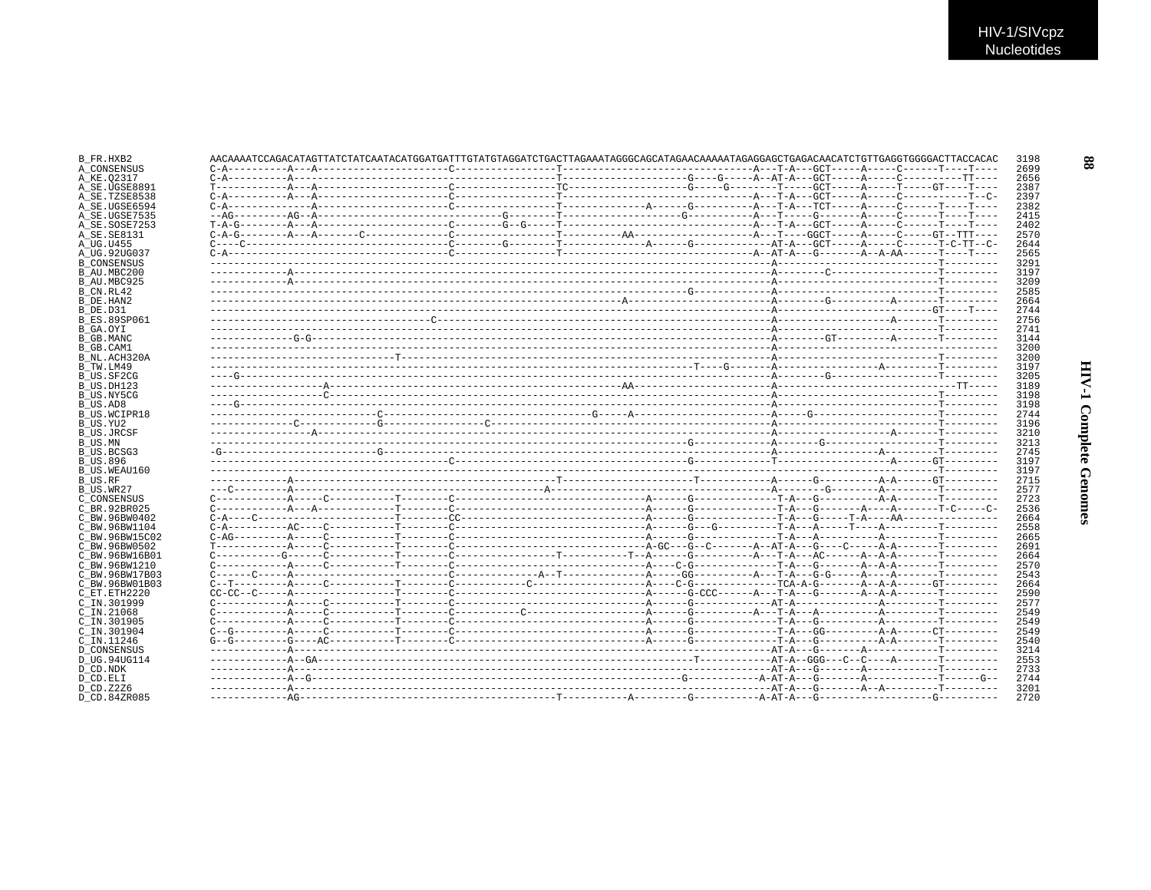|  |  |  | $C-A-G------A---A---C---------C--------------A---A------A------A------A---GGCT---A---C-----GTT---GTT----1.$                                                                                                                                                                                                                                                                                                                                                                                                                                                                                                                                                                               |  |  |  |  |
|--|--|--|-------------------------------------------------------------------------------------------------------------------------------------------------------------------------------------------------------------------------------------------------------------------------------------------------------------------------------------------------------------------------------------------------------------------------------------------------------------------------------------------------------------------------------------------------------------------------------------------------------------------------------------------------------------------------------------------|--|--|--|--|
|  |  |  |                                                                                                                                                                                                                                                                                                                                                                                                                                                                                                                                                                                                                                                                                           |  |  |  |  |
|  |  |  |                                                                                                                                                                                                                                                                                                                                                                                                                                                                                                                                                                                                                                                                                           |  |  |  |  |
|  |  |  |                                                                                                                                                                                                                                                                                                                                                                                                                                                                                                                                                                                                                                                                                           |  |  |  |  |
|  |  |  |                                                                                                                                                                                                                                                                                                                                                                                                                                                                                                                                                                                                                                                                                           |  |  |  |  |
|  |  |  |                                                                                                                                                                                                                                                                                                                                                                                                                                                                                                                                                                                                                                                                                           |  |  |  |  |
|  |  |  |                                                                                                                                                                                                                                                                                                                                                                                                                                                                                                                                                                                                                                                                                           |  |  |  |  |
|  |  |  |                                                                                                                                                                                                                                                                                                                                                                                                                                                                                                                                                                                                                                                                                           |  |  |  |  |
|  |  |  |                                                                                                                                                                                                                                                                                                                                                                                                                                                                                                                                                                                                                                                                                           |  |  |  |  |
|  |  |  |                                                                                                                                                                                                                                                                                                                                                                                                                                                                                                                                                                                                                                                                                           |  |  |  |  |
|  |  |  |                                                                                                                                                                                                                                                                                                                                                                                                                                                                                                                                                                                                                                                                                           |  |  |  |  |
|  |  |  |                                                                                                                                                                                                                                                                                                                                                                                                                                                                                                                                                                                                                                                                                           |  |  |  |  |
|  |  |  |                                                                                                                                                                                                                                                                                                                                                                                                                                                                                                                                                                                                                                                                                           |  |  |  |  |
|  |  |  |                                                                                                                                                                                                                                                                                                                                                                                                                                                                                                                                                                                                                                                                                           |  |  |  |  |
|  |  |  |                                                                                                                                                                                                                                                                                                                                                                                                                                                                                                                                                                                                                                                                                           |  |  |  |  |
|  |  |  |                                                                                                                                                                                                                                                                                                                                                                                                                                                                                                                                                                                                                                                                                           |  |  |  |  |
|  |  |  |                                                                                                                                                                                                                                                                                                                                                                                                                                                                                                                                                                                                                                                                                           |  |  |  |  |
|  |  |  |                                                                                                                                                                                                                                                                                                                                                                                                                                                                                                                                                                                                                                                                                           |  |  |  |  |
|  |  |  |                                                                                                                                                                                                                                                                                                                                                                                                                                                                                                                                                                                                                                                                                           |  |  |  |  |
|  |  |  |                                                                                                                                                                                                                                                                                                                                                                                                                                                                                                                                                                                                                                                                                           |  |  |  |  |
|  |  |  |                                                                                                                                                                                                                                                                                                                                                                                                                                                                                                                                                                                                                                                                                           |  |  |  |  |
|  |  |  |                                                                                                                                                                                                                                                                                                                                                                                                                                                                                                                                                                                                                                                                                           |  |  |  |  |
|  |  |  |                                                                                                                                                                                                                                                                                                                                                                                                                                                                                                                                                                                                                                                                                           |  |  |  |  |
|  |  |  |                                                                                                                                                                                                                                                                                                                                                                                                                                                                                                                                                                                                                                                                                           |  |  |  |  |
|  |  |  |                                                                                                                                                                                                                                                                                                                                                                                                                                                                                                                                                                                                                                                                                           |  |  |  |  |
|  |  |  |                                                                                                                                                                                                                                                                                                                                                                                                                                                                                                                                                                                                                                                                                           |  |  |  |  |
|  |  |  |                                                                                                                                                                                                                                                                                                                                                                                                                                                                                                                                                                                                                                                                                           |  |  |  |  |
|  |  |  |                                                                                                                                                                                                                                                                                                                                                                                                                                                                                                                                                                                                                                                                                           |  |  |  |  |
|  |  |  |                                                                                                                                                                                                                                                                                                                                                                                                                                                                                                                                                                                                                                                                                           |  |  |  |  |
|  |  |  |                                                                                                                                                                                                                                                                                                                                                                                                                                                                                                                                                                                                                                                                                           |  |  |  |  |
|  |  |  |                                                                                                                                                                                                                                                                                                                                                                                                                                                                                                                                                                                                                                                                                           |  |  |  |  |
|  |  |  |                                                                                                                                                                                                                                                                                                                                                                                                                                                                                                                                                                                                                                                                                           |  |  |  |  |
|  |  |  |                                                                                                                                                                                                                                                                                                                                                                                                                                                                                                                                                                                                                                                                                           |  |  |  |  |
|  |  |  |                                                                                                                                                                                                                                                                                                                                                                                                                                                                                                                                                                                                                                                                                           |  |  |  |  |
|  |  |  |                                                                                                                                                                                                                                                                                                                                                                                                                                                                                                                                                                                                                                                                                           |  |  |  |  |
|  |  |  |                                                                                                                                                                                                                                                                                                                                                                                                                                                                                                                                                                                                                                                                                           |  |  |  |  |
|  |  |  |                                                                                                                                                                                                                                                                                                                                                                                                                                                                                                                                                                                                                                                                                           |  |  |  |  |
|  |  |  |                                                                                                                                                                                                                                                                                                                                                                                                                                                                                                                                                                                                                                                                                           |  |  |  |  |
|  |  |  |                                                                                                                                                                                                                                                                                                                                                                                                                                                                                                                                                                                                                                                                                           |  |  |  |  |
|  |  |  | $C \rightarrow \text{---}C \rightarrow \text{---}A \rightarrow \text{---}A \rightarrow \text{---}C \rightarrow \text{---}C \rightarrow \text{---}A \rightarrow \text{---}B \rightarrow \text{---}A \rightarrow \text{---}A \rightarrow \text{---}A \rightarrow \text{---}A \rightarrow \text{---}A \rightarrow \text{---}A \rightarrow \text{---}A \rightarrow \text{---}A \rightarrow \text{---}A \rightarrow \text{---}A \rightarrow \text{---}A \rightarrow \text{---}A \rightarrow \text{---}A \rightarrow \text{---}A \rightarrow \text{---}A \rightarrow \text{---}A \rightarrow \text{---}A \rightarrow \text{---}A \rightarrow \text{---}A \rightarrow \text{---}A \rightarrow \$ |  |  |  |  |
|  |  |  |                                                                                                                                                                                                                                                                                                                                                                                                                                                                                                                                                                                                                                                                                           |  |  |  |  |
|  |  |  |                                                                                                                                                                                                                                                                                                                                                                                                                                                                                                                                                                                                                                                                                           |  |  |  |  |
|  |  |  |                                                                                                                                                                                                                                                                                                                                                                                                                                                                                                                                                                                                                                                                                           |  |  |  |  |
|  |  |  |                                                                                                                                                                                                                                                                                                                                                                                                                                                                                                                                                                                                                                                                                           |  |  |  |  |
|  |  |  |                                                                                                                                                                                                                                                                                                                                                                                                                                                                                                                                                                                                                                                                                           |  |  |  |  |
|  |  |  |                                                                                                                                                                                                                                                                                                                                                                                                                                                                                                                                                                                                                                                                                           |  |  |  |  |
|  |  |  |                                                                                                                                                                                                                                                                                                                                                                                                                                                                                                                                                                                                                                                                                           |  |  |  |  |
|  |  |  |                                                                                                                                                                                                                                                                                                                                                                                                                                                                                                                                                                                                                                                                                           |  |  |  |  |
|  |  |  |                                                                                                                                                                                                                                                                                                                                                                                                                                                                                                                                                                                                                                                                                           |  |  |  |  |
|  |  |  |                                                                                                                                                                                                                                                                                                                                                                                                                                                                                                                                                                                                                                                                                           |  |  |  |  |
|  |  |  |                                                                                                                                                                                                                                                                                                                                                                                                                                                                                                                                                                                                                                                                                           |  |  |  |  |
|  |  |  |                                                                                                                                                                                                                                                                                                                                                                                                                                                                                                                                                                                                                                                                                           |  |  |  |  |
|  |  |  |                                                                                                                                                                                                                                                                                                                                                                                                                                                                                                                                                                                                                                                                                           |  |  |  |  |
|  |  |  |                                                                                                                                                                                                                                                                                                                                                                                                                                                                                                                                                                                                                                                                                           |  |  |  |  |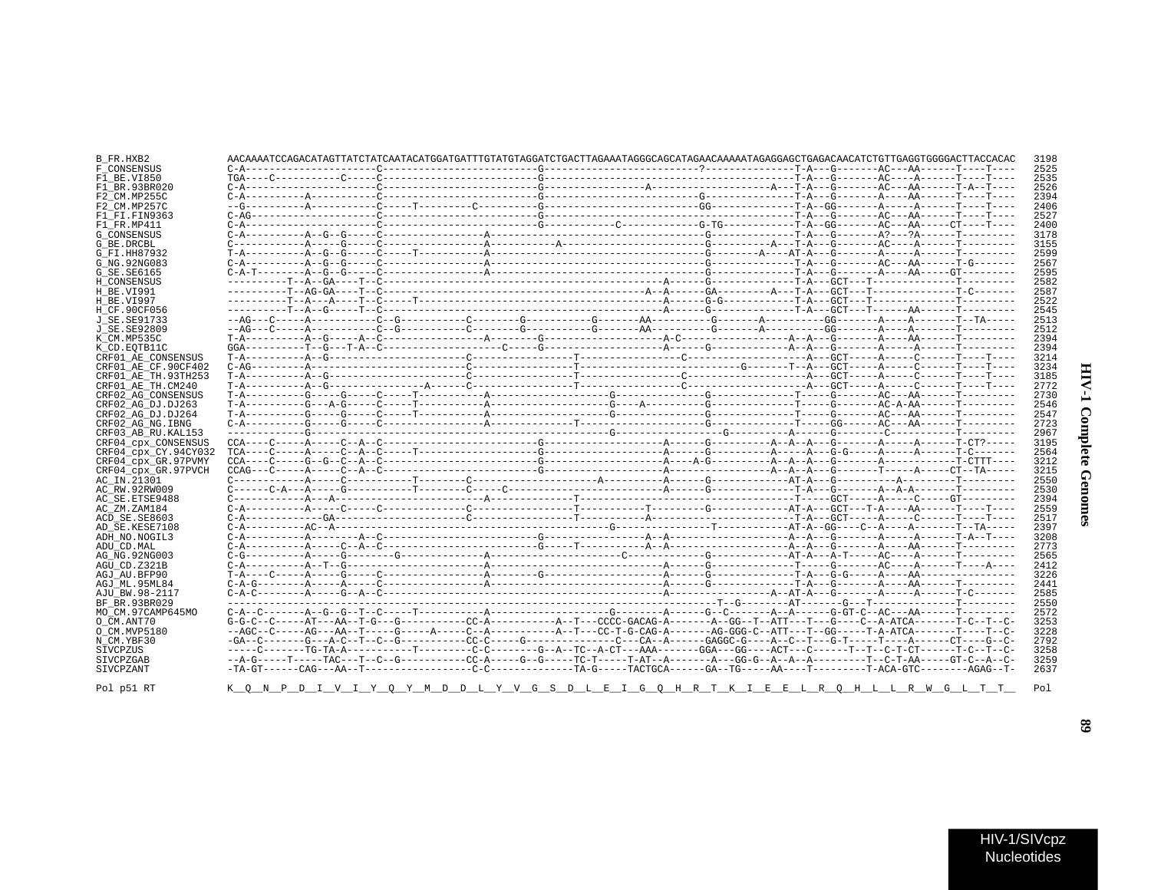| B FR.HXB2            |  |                                                                                                                                             |  |  |  |  |  | 3198 |
|----------------------|--|---------------------------------------------------------------------------------------------------------------------------------------------|--|--|--|--|--|------|
| F CONSENSUS          |  |                                                                                                                                             |  |  |  |  |  | 2525 |
| F1 BE.VI850          |  |                                                                                                                                             |  |  |  |  |  | 2535 |
| F1 BR.93BR020        |  |                                                                                                                                             |  |  |  |  |  | 2526 |
| F2 CM.MP255C         |  |                                                                                                                                             |  |  |  |  |  | 2394 |
| F2 CM.MP257C         |  |                                                                                                                                             |  |  |  |  |  | 2406 |
| F1 FI.FIN9363        |  |                                                                                                                                             |  |  |  |  |  | 2527 |
| F1 FR.MP411          |  |                                                                                                                                             |  |  |  |  |  | 2400 |
| G CONSENSUS          |  |                                                                                                                                             |  |  |  |  |  | 3178 |
| G BE.DRCBL           |  |                                                                                                                                             |  |  |  |  |  | 3155 |
| G FI.HH87932         |  |                                                                                                                                             |  |  |  |  |  | 2599 |
| G NG. 92NG083        |  |                                                                                                                                             |  |  |  |  |  | 2567 |
| G_SE.SE6165          |  |                                                                                                                                             |  |  |  |  |  | 2595 |
| H CONSENSUS          |  |                                                                                                                                             |  |  |  |  |  | 2582 |
| H BE.VI991           |  |                                                                                                                                             |  |  |  |  |  | 2587 |
| H BE.VI997           |  |                                                                                                                                             |  |  |  |  |  | 2522 |
| H CF.90CF056         |  |                                                                                                                                             |  |  |  |  |  | 2545 |
| J SE. SE91733        |  |                                                                                                                                             |  |  |  |  |  | 2513 |
| J SE. SE92809        |  |                                                                                                                                             |  |  |  |  |  | 2512 |
| K CM.MP535C          |  |                                                                                                                                             |  |  |  |  |  | 2394 |
| K CD.EOTB11C         |  |                                                                                                                                             |  |  |  |  |  | 2394 |
| CRF01 AE CONSENSUS   |  |                                                                                                                                             |  |  |  |  |  | 3214 |
| CRF01 AE CF.90CF402  |  |                                                                                                                                             |  |  |  |  |  | 3234 |
| CRF01 AE TH.93TH253  |  |                                                                                                                                             |  |  |  |  |  | 3185 |
| CRF01 AE TH.CM240    |  |                                                                                                                                             |  |  |  |  |  | 2772 |
| CRF02 AG CONSENSUS   |  |                                                                                                                                             |  |  |  |  |  | 2730 |
| CRF02 AG DJ.DJ263    |  |                                                                                                                                             |  |  |  |  |  | 2546 |
| CRF02 AG DJ.DJ264    |  |                                                                                                                                             |  |  |  |  |  | 2547 |
| CRF02 AG NG. IBNG    |  |                                                                                                                                             |  |  |  |  |  | 2723 |
| CRF03 AB RU. KAL153  |  |                                                                                                                                             |  |  |  |  |  | 2967 |
| CRF04 CDX CONSENSUS  |  |                                                                                                                                             |  |  |  |  |  | 3195 |
| CRF04 cpx CY.94CY032 |  |                                                                                                                                             |  |  |  |  |  | 2564 |
| CRF04 cpx GR.97PVMY  |  |                                                                                                                                             |  |  |  |  |  | 3212 |
| CRF04 cpx GR.97PVCH  |  |                                                                                                                                             |  |  |  |  |  | 3215 |
| AC IN.21301          |  |                                                                                                                                             |  |  |  |  |  | 2550 |
| AC RW.92RW009        |  |                                                                                                                                             |  |  |  |  |  | 2530 |
| AC SE. ETSE9488      |  |                                                                                                                                             |  |  |  |  |  | 2394 |
| AC ZM.ZAM184         |  |                                                                                                                                             |  |  |  |  |  | 2559 |
| ACD SE.SE8603        |  |                                                                                                                                             |  |  |  |  |  | 2517 |
| AD SE.KESE7108       |  |                                                                                                                                             |  |  |  |  |  | 2397 |
| ADH_NO.NOGIL3        |  |                                                                                                                                             |  |  |  |  |  | 3208 |
| ADU CD.MAL           |  |                                                                                                                                             |  |  |  |  |  | 2773 |
| AG NG. 92NG003       |  |                                                                                                                                             |  |  |  |  |  | 2565 |
| AGU CD.Z321B         |  |                                                                                                                                             |  |  |  |  |  | 2412 |
| AGJ AU.BFP90         |  |                                                                                                                                             |  |  |  |  |  | 3226 |
| AGJ ML.95ML84        |  |                                                                                                                                             |  |  |  |  |  | 2441 |
| AJU_BW.98-2117       |  |                                                                                                                                             |  |  |  |  |  | 2585 |
| BF BR.93BR029        |  |                                                                                                                                             |  |  |  |  |  | 2550 |
| MO CM.97CAMP645MO    |  |                                                                                                                                             |  |  |  |  |  | 2572 |
| O CM.ANT70           |  |                                                                                                                                             |  |  |  |  |  | 3253 |
| O CM.MVP5180         |  |                                                                                                                                             |  |  |  |  |  | 3228 |
| N CM.YBF30           |  |                                                                                                                                             |  |  |  |  |  | 2792 |
| SIVCPZUS             |  | -----C-------TG-TA-A-----------T--------C-C--------G--A--TC--A-CT---AAA-------GGA---GG----ACT---C------T--C-T-CT-------TC-CT-----T-C--T--C- |  |  |  |  |  | 3258 |
| SIVCPZGAB            |  |                                                                                                                                             |  |  |  |  |  | 3259 |
| SIVCPZANT            |  |                                                                                                                                             |  |  |  |  |  | 2637 |
|                      |  |                                                                                                                                             |  |  |  |  |  |      |

Pol p51 RT

 $K_Q \quad N_P \quad P \quad I \quad V \quad I \quad Y \quad Q \quad Y \quad M \quad D \quad D \quad L \quad Y \quad V \quad G \quad S \quad D \quad L \quad E \quad I \quad G \quad Q \quad H \quad R \quad T \quad K$ 

 $68$ 

HIV-1 Complete Genomes

Pol

I E E L R Q H L L R W G L T T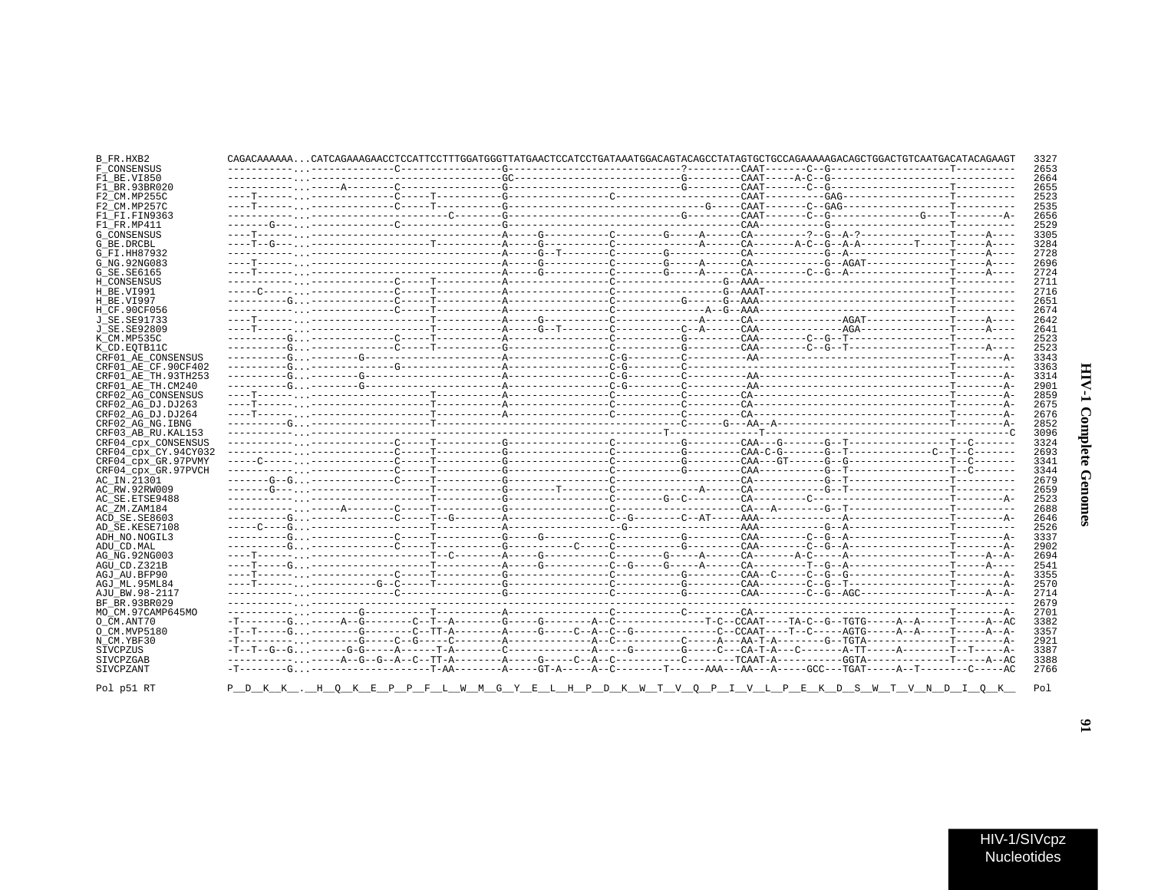### B\_FR.HXB2 CAGACAAAAAAAAAAAACAAAAAAACCTCCATTCCTTTGGATGGGTTATGAACTCCATCCTGATAAATGGACAGTACAGCCTATAGTGCTGCAGAAAAAGACAGCTGGACTGTCAATGACATACAGAAGT 3327 F\_CONSENSUS 2653  $F1$  BE.VI850 2664 2655  $F1$ RR 93BR020 F2\_CM.MP255C 2523  $2535$ F2 CM MD257C  $F1$  $F1$ .  $F1N9363$ 2656  $F1$  FR.MP411 2529 G CONSENSUS 3305  $G$ RE DRCBL 3284 G\_FI.HH87932 2728 G NG. 92NG083 2696  $G$ SE.SE6165 2724 H CONSENSUS 2711  $H$ RE VI991 2716 2651 **H BE VT997** H\_CF.90CF056 2674 **J** SE. SE91733 2642 J\_SE.SE92809 2641 K CM MP535C 2523 2523 K CD. EOTB11C CRF01\_AE\_CONSENSUS 3343 CRF01\_AE\_CF.90CF402 3363  $CRF01<sup>-</sup>ARTH.93TH253$ 3314 CRF01\_AE\_TH.CM240 2901 CRF02\_AG\_CONSENSUS 2859 CRF02 AG DJ.DJ263 2675 CRF02\_AG\_DJ.DJ264 2676 CRF02\_AG\_NG.IBNG 2852 CRF03 AB RU. KAL153 3096 CRF04\_cpx\_CONSENSUS 3324 CRF04\_cpx\_CY.94CY032 2693 CRF04 CPX GR.97PVMY 3341 CRF04\_cpx\_GR.97PVCH 3344 AC IN.21301 2679 AC RW. 92RW009 2659 AC SE. ETSE9488 2523 AC\_ZM.ZAM184 2688 ACD SE.SE8603 2646 AD\_SE.KESE7108 2526 ADH NO.NOGIL3 3337 ADIL CD MAL. 2902 2694 AG NG. 92NG003  $AGU$  CD.  $Z321B$ 2541 AGJ AU. BFP90 3355 AGJ ML.95ML84 2570 AJU BW. 98-2117 2714 \_\_\_\_\_\_\_\_\_\_\_\_\_\_\_\_\_\_\_\_\_\_\_ 2679 BF BR 93BR029 2000 - 22 MO\_CM.97CAMP645MO 2701  $O$   $CM$ . ANT70 3382 O CM. MVP5180 3357  $N$ <sup> $CM$ </sup>.  $YBF30$  $-\mathbf{T}$ 2921 **STVCPZUS** 3387 SIVCPZGAR 3388 SIVCPZANT 2766

K . H O K E P P F L W M G Y E L H P D K W T V O P I V L P E K D S W T V N D I O K

Pol p51 RT

 $Po1$ 

 $\mathbf{5}$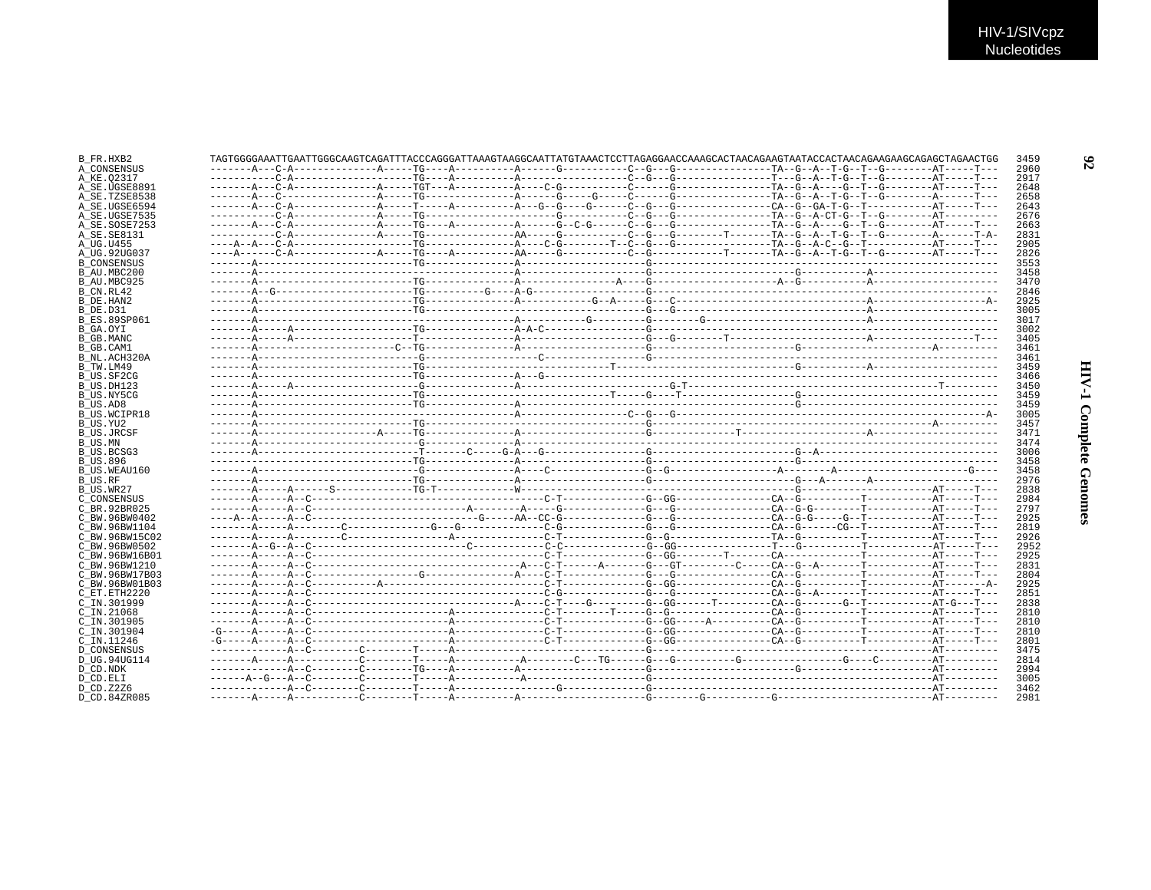| B FR.HXB2          |  |  | TAGTGGGGAAATTGAATTGGCCAAGTCAGATTTACCCAGGGATTAAAGTAAGGCAATTATGTAAACTCCTTAGAGGAACCAAAGCACTAACAGAAGTAATACCACTAACAGAAGAAGCAGAGCTAGAACTGG | 3459 |
|--------------------|--|--|--------------------------------------------------------------------------------------------------------------------------------------|------|
| A CONSENSUS        |  |  |                                                                                                                                      | 2960 |
| A KE.O2317         |  |  |                                                                                                                                      | 2917 |
| A SE.UGSE8891      |  |  |                                                                                                                                      | 2648 |
| A SE.TZSE8538      |  |  |                                                                                                                                      | 2658 |
| A SE.UGSE6594      |  |  |                                                                                                                                      | 2643 |
| A SE.UGSE7535      |  |  |                                                                                                                                      | 2676 |
| A SE.SOSE7253      |  |  |                                                                                                                                      | 2663 |
| A SE.SE8131        |  |  |                                                                                                                                      | 2831 |
| A UG.U455          |  |  |                                                                                                                                      | 2905 |
| A UG.92UG037       |  |  |                                                                                                                                      | 2826 |
| <b>B_CONSENSUS</b> |  |  |                                                                                                                                      | 3553 |
| B AU.MBC200        |  |  |                                                                                                                                      | 3458 |
| B AU.MBC925        |  |  |                                                                                                                                      | 3470 |
| B CN.RL42          |  |  |                                                                                                                                      | 2846 |
| B DE.HAN2          |  |  |                                                                                                                                      | 2925 |
| B DE.D31           |  |  |                                                                                                                                      | 3005 |
| B ES.89SP061       |  |  |                                                                                                                                      | 3017 |
| B GA.OYI           |  |  |                                                                                                                                      | 3002 |
| B GB.MANC          |  |  |                                                                                                                                      | 3405 |
| B GB.CAM1          |  |  |                                                                                                                                      | 3461 |
| B NL.ACH320A       |  |  |                                                                                                                                      | 3461 |
| B TW.LM49          |  |  |                                                                                                                                      | 3459 |
|                    |  |  |                                                                                                                                      | 3466 |
| B US.SF2CG         |  |  |                                                                                                                                      | 3450 |
| B US.DH123         |  |  |                                                                                                                                      |      |
| B US.NY5CG         |  |  |                                                                                                                                      | 3459 |
| B US.AD8           |  |  |                                                                                                                                      | 3459 |
| B US.WCIPR18       |  |  |                                                                                                                                      | 3005 |
| B US.YU2           |  |  |                                                                                                                                      | 3457 |
| B US.JRCSF         |  |  |                                                                                                                                      | 3471 |
| B US.MN            |  |  |                                                                                                                                      | 3474 |
| B US.BCSG3         |  |  |                                                                                                                                      | 3006 |
| B US.896           |  |  |                                                                                                                                      | 3458 |
| B US.WEAU160       |  |  |                                                                                                                                      | 3458 |
| B US.RF            |  |  |                                                                                                                                      | 2976 |
| B US.WR27          |  |  |                                                                                                                                      | 2838 |
| C CONSENSUS        |  |  |                                                                                                                                      | 2984 |
| C BR.92BR025       |  |  |                                                                                                                                      | 2797 |
| C BW.96BW0402      |  |  |                                                                                                                                      | 2925 |
| C BW.96BW1104      |  |  |                                                                                                                                      | 2819 |
| C BW.96BW15C02     |  |  |                                                                                                                                      | 2926 |
| C BW.96BW0502      |  |  |                                                                                                                                      | 2952 |
| C_BW.96BW16B01     |  |  |                                                                                                                                      | 2925 |
| C BW.96BW1210      |  |  |                                                                                                                                      | 2831 |
| C BW.96BW17B03     |  |  |                                                                                                                                      | 2804 |
| C_BW.96BW01B03     |  |  |                                                                                                                                      | 2925 |
| C ET.ETH2220       |  |  |                                                                                                                                      | 2851 |
| C IN.301999        |  |  |                                                                                                                                      | 2838 |
| C IN.21068         |  |  |                                                                                                                                      | 2810 |
| C IN.301905        |  |  |                                                                                                                                      | 2810 |
| C IN.301904        |  |  |                                                                                                                                      | 2810 |
| C_IN.11246         |  |  |                                                                                                                                      | 2801 |
| D CONSENSUS        |  |  |                                                                                                                                      | 3475 |
| D UG.94UG114       |  |  |                                                                                                                                      | 2814 |
| D CD.NDK           |  |  |                                                                                                                                      | 2994 |
| D CD.ELI           |  |  |                                                                                                                                      | 3005 |
| D CD.Z2Z6          |  |  |                                                                                                                                      | 3462 |
| D CD.84ZR085       |  |  |                                                                                                                                      | 2981 |
|                    |  |  |                                                                                                                                      |      |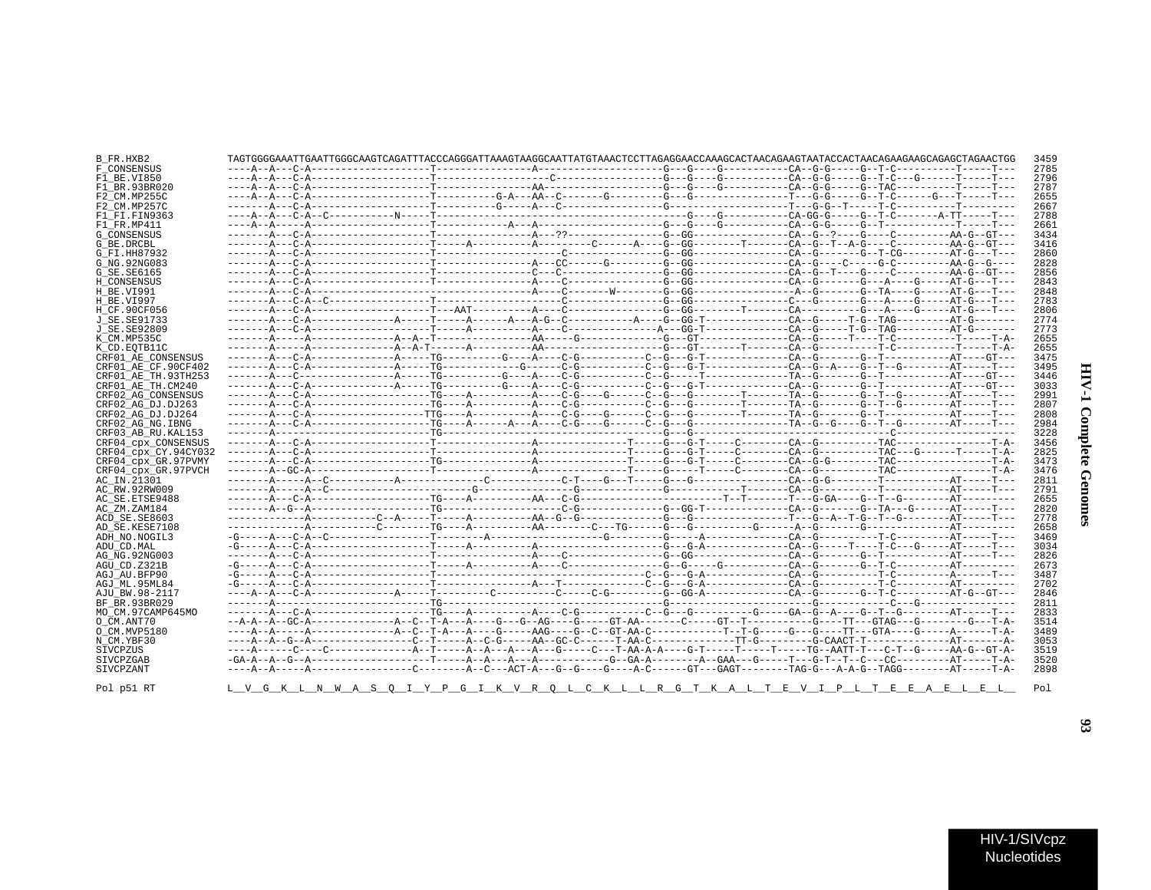| ĺ      |
|--------|
|        |
| ś      |
| ì<br>١ |

| B FR.HXB2                                  | TAGTGGGGAAATTGAATTGGCAAGTCAGATTTACCCAGGGATTAAAGTAAGGCAATTATGTAAACTCCTTAGAGGAACCAAAGCACTAACAGAAGTAATACCACTAACAGAAGCAGAGCTAGAACTAGAACTGG |  |  |  | 3459 |
|--------------------------------------------|----------------------------------------------------------------------------------------------------------------------------------------|--|--|--|------|
| F CONSENSUS                                |                                                                                                                                        |  |  |  | 2785 |
| F1 BE.VI850                                |                                                                                                                                        |  |  |  | 2796 |
| F1 BR.93BR020                              |                                                                                                                                        |  |  |  | 2787 |
| F2 CM.MP255C                               |                                                                                                                                        |  |  |  | 2655 |
| F2 CM.MP257C                               |                                                                                                                                        |  |  |  | 2667 |
| F1_FI.FIN9363                              |                                                                                                                                        |  |  |  | 2788 |
| F1 FR.MP411                                |                                                                                                                                        |  |  |  | 2661 |
| G CONSENSUS                                |                                                                                                                                        |  |  |  | 3434 |
| G BE.DRCBL                                 |                                                                                                                                        |  |  |  | 3416 |
| G FI.HH87932                               |                                                                                                                                        |  |  |  | 2860 |
| G NG. 92NG083                              |                                                                                                                                        |  |  |  | 2828 |
| G SE.SE6165                                |                                                                                                                                        |  |  |  | 2856 |
| H CONSENSUS                                |                                                                                                                                        |  |  |  | 2843 |
| H BE.VI991                                 |                                                                                                                                        |  |  |  | 2848 |
| H BE.VI997                                 |                                                                                                                                        |  |  |  | 2783 |
| H_CF.90CF056                               |                                                                                                                                        |  |  |  | 2806 |
| J SE. SE91733                              |                                                                                                                                        |  |  |  | 2774 |
| J SE. SE92809                              |                                                                                                                                        |  |  |  | 2773 |
| K_CM.MP535C                                |                                                                                                                                        |  |  |  | 2655 |
| K CD.EOTB11C                               |                                                                                                                                        |  |  |  | 2655 |
| CRF01 AE CONSENSUS                         |                                                                                                                                        |  |  |  | 3475 |
|                                            |                                                                                                                                        |  |  |  | 3495 |
| CRF01 AE CF.90CF402                        |                                                                                                                                        |  |  |  |      |
| CRF01 AE TH.93TH253                        |                                                                                                                                        |  |  |  | 3446 |
| CRF01_AE_TH.CM240                          |                                                                                                                                        |  |  |  | 3033 |
| CRF02 AG CONSENSUS                         |                                                                                                                                        |  |  |  | 2991 |
| CRF02 AG DJ.DJ263                          |                                                                                                                                        |  |  |  | 2807 |
| CRF02 AG DJ.DJ264                          |                                                                                                                                        |  |  |  | 2808 |
| CRF02 AG NG. IBNG                          |                                                                                                                                        |  |  |  | 2984 |
| CRF03 AB RU. KAL153                        |                                                                                                                                        |  |  |  | 3228 |
|                                            |                                                                                                                                        |  |  |  |      |
| CRF04 CPX CONSENSUS                        |                                                                                                                                        |  |  |  | 3456 |
| CRF04 cpx CY.94CY032                       |                                                                                                                                        |  |  |  | 2825 |
|                                            |                                                                                                                                        |  |  |  | 3473 |
| CRF04_cpx_GR.97PVMY<br>CRF04 cpx GR.97PVCH |                                                                                                                                        |  |  |  | 3476 |
| AC IN.21301                                |                                                                                                                                        |  |  |  | 2811 |
|                                            |                                                                                                                                        |  |  |  |      |
| AC_RW.92RW009                              |                                                                                                                                        |  |  |  | 2791 |
| AC SE. ETSE9488                            |                                                                                                                                        |  |  |  | 2655 |
| AC ZM.ZAM184                               |                                                                                                                                        |  |  |  | 2820 |
| ACD SE.SE8603                              |                                                                                                                                        |  |  |  | 2778 |
| AD SE.KESE7108                             |                                                                                                                                        |  |  |  | 2658 |
| ADH NO.NOGIL3                              |                                                                                                                                        |  |  |  | 3469 |
| ADU CD.MAL                                 |                                                                                                                                        |  |  |  | 3034 |
| AG NG. 92NG003                             |                                                                                                                                        |  |  |  | 2826 |
| AGU CD.Z321B                               |                                                                                                                                        |  |  |  | 2673 |
| AGJ AU.BFP90                               |                                                                                                                                        |  |  |  | 3487 |
| AGJ ML.95ML84                              |                                                                                                                                        |  |  |  | 2702 |
| AJU BW.98-2117                             |                                                                                                                                        |  |  |  | 2846 |
| BF BR. 93BR029                             |                                                                                                                                        |  |  |  | 2811 |
| MO CM.97CAMP645MO                          |                                                                                                                                        |  |  |  | 2833 |
| O CM.ANT70                                 |                                                                                                                                        |  |  |  | 3514 |
| O CM.MVP5180                               |                                                                                                                                        |  |  |  | 3489 |
| N CM.YBF30                                 |                                                                                                                                        |  |  |  | 3053 |
| SIVCPZUS                                   |                                                                                                                                        |  |  |  | 3519 |
| SIVCPZGAB                                  |                                                                                                                                        |  |  |  | 3520 |
| SIVCPZANT                                  |                                                                                                                                        |  |  |  | 2898 |
|                                            |                                                                                                                                        |  |  |  |      |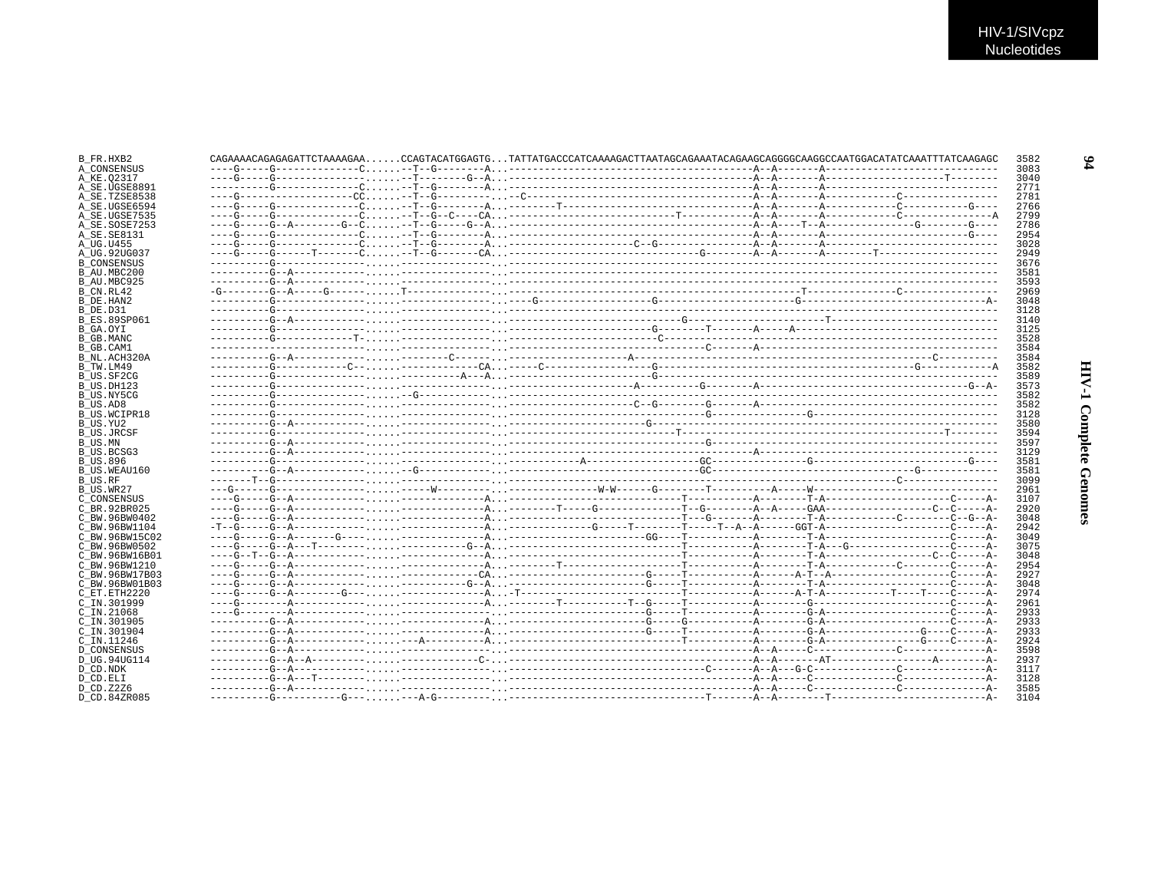| B_FR.HXB2           |  |  | $CAGAAAACAGAGAGATTCTAAAGAA. CAGTACATGGAGTG. TATTATGACCCATCAAAAGACTTAATAGCAGAAATACAGAAGCAGGGGCAAGGCCAATGGACATATCAAATTTATCAAGAGC$ |  |  | 3582 |
|---------------------|--|--|---------------------------------------------------------------------------------------------------------------------------------|--|--|------|
| A CONSENSUS         |  |  |                                                                                                                                 |  |  | 3083 |
| A KE.02317          |  |  |                                                                                                                                 |  |  | 3040 |
| A SE.UGSE8891       |  |  |                                                                                                                                 |  |  | 2771 |
| A SE.TZSE8538       |  |  |                                                                                                                                 |  |  | 2781 |
| A SE.UGSE6594       |  |  |                                                                                                                                 |  |  | 2766 |
| A SE.UGSE7535       |  |  |                                                                                                                                 |  |  | 2799 |
| A SE.SOSE7253       |  |  |                                                                                                                                 |  |  | 2786 |
| A SE.SE8131         |  |  |                                                                                                                                 |  |  | 2954 |
| A UG.U455           |  |  |                                                                                                                                 |  |  | 3028 |
| A UG.92UG037        |  |  |                                                                                                                                 |  |  | 2949 |
| <b>B CONSENSUS</b>  |  |  |                                                                                                                                 |  |  | 3676 |
| B AU.MBC200         |  |  |                                                                                                                                 |  |  | 3581 |
| B AU.MBC925         |  |  |                                                                                                                                 |  |  | 3593 |
| B CN.RL42           |  |  |                                                                                                                                 |  |  | 2969 |
| B DE.HAN2           |  |  |                                                                                                                                 |  |  | 3048 |
|                     |  |  |                                                                                                                                 |  |  | 3128 |
| B DE.D31            |  |  |                                                                                                                                 |  |  |      |
| <b>B ES.89SP061</b> |  |  |                                                                                                                                 |  |  | 3140 |
| B GA.OYI            |  |  |                                                                                                                                 |  |  | 3125 |
| B GB.MANC           |  |  |                                                                                                                                 |  |  | 3528 |
| B GB.CAM1           |  |  |                                                                                                                                 |  |  | 3584 |
| B NL.ACH320A        |  |  |                                                                                                                                 |  |  | 3584 |
| B TW.LM49           |  |  |                                                                                                                                 |  |  | 3582 |
| B US.SF2CG          |  |  |                                                                                                                                 |  |  | 3589 |
| B US.DH123          |  |  |                                                                                                                                 |  |  | 3573 |
| B US.NY5CG          |  |  |                                                                                                                                 |  |  | 3582 |
| B US.AD8            |  |  |                                                                                                                                 |  |  | 3582 |
| <b>B US.WCIPR18</b> |  |  |                                                                                                                                 |  |  | 3128 |
| B US.YU2            |  |  |                                                                                                                                 |  |  | 3580 |
| <b>B US.JRCSF</b>   |  |  |                                                                                                                                 |  |  | 3594 |
| B US.MN             |  |  |                                                                                                                                 |  |  | 3597 |
| B US.BCSG3          |  |  |                                                                                                                                 |  |  | 3129 |
| B US.896            |  |  |                                                                                                                                 |  |  | 3581 |
| B US.WEAU160        |  |  |                                                                                                                                 |  |  | 3581 |
| B US.RF             |  |  |                                                                                                                                 |  |  | 3099 |
| B_US.WR27           |  |  |                                                                                                                                 |  |  | 2961 |
| C CONSENSUS         |  |  |                                                                                                                                 |  |  | 3107 |
| C BR.92BR025        |  |  |                                                                                                                                 |  |  | 2920 |
| C BW.96BW0402       |  |  |                                                                                                                                 |  |  | 3048 |
| C BW.96BW1104       |  |  |                                                                                                                                 |  |  | 2942 |
| C BW.96BW15C02      |  |  |                                                                                                                                 |  |  | 3049 |
|                     |  |  |                                                                                                                                 |  |  |      |
| C BW.96BW0502       |  |  |                                                                                                                                 |  |  | 3075 |
| C BW.96BW16B01      |  |  |                                                                                                                                 |  |  | 3048 |
| C BW.96BW1210       |  |  |                                                                                                                                 |  |  | 2954 |
| C BW.96BW17B03      |  |  |                                                                                                                                 |  |  | 2927 |
| C BW.96BW01B03      |  |  |                                                                                                                                 |  |  | 3048 |
| C ET. ETH2220       |  |  |                                                                                                                                 |  |  | 2974 |
| C IN.301999         |  |  |                                                                                                                                 |  |  | 2961 |
| C IN.21068          |  |  |                                                                                                                                 |  |  | 2933 |
| C IN.301905         |  |  |                                                                                                                                 |  |  | 2933 |
| C IN.301904         |  |  |                                                                                                                                 |  |  | 2933 |
| C IN.11246          |  |  |                                                                                                                                 |  |  | 2924 |
| <b>D CONSENSUS</b>  |  |  |                                                                                                                                 |  |  | 3598 |
| D UG.94UG114        |  |  |                                                                                                                                 |  |  | 2937 |
| D CD.NDK            |  |  |                                                                                                                                 |  |  | 3117 |
| D CD.ELI            |  |  |                                                                                                                                 |  |  | 3128 |
| D CD.Z2Z6           |  |  |                                                                                                                                 |  |  | 3585 |
| D CD.84ZR085        |  |  |                                                                                                                                 |  |  | 3104 |
|                     |  |  |                                                                                                                                 |  |  |      |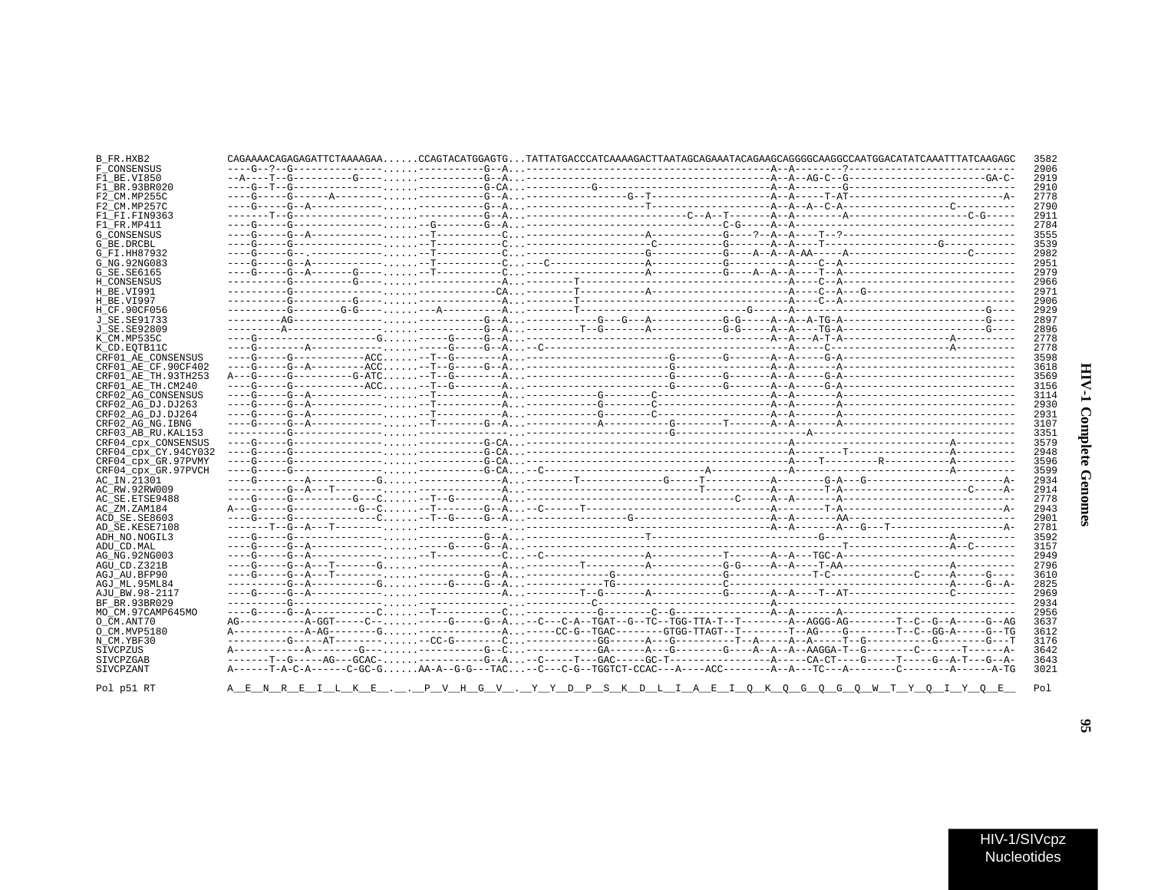### B\_FR.HXB2 CAGAAAACAGAGAGAGATTCTAAAAGAA......CCAGTACATGGAGTG...TATTATGACCCATCAAAAGACTTAATAGCAGAAATACAGAAGCAGGGGCAAGGCCAATGGACATATCAATTTATCAAGAGC 3582 F\_CONSENSUS 2906  $F1$  BE.VI850 2919 2910  $F1$ RR 93BR020 F2\_CM.MP255C 2778<br>2790 F2 CM MD257C  $F1$  $F1$ .  $F1N9363$ 2911  $F1$  FR.MP411 2784 3555 G CONSENSUS  $G$ RE DRCBL 3539 G FT HH87932 2982 G NG. 92NG083 2951  $G$ SE.SE6165 2979 H CONSENSUS 2966  $H$ RE VI991 2971 2906 **H BE VT997** H\_CF.90CF056 2929 **J** SE. SE91733 2897 J\_SE.SE92809 2896 2778 K CM MP535C 2778 K CD. EOTB11C CRF01\_AE\_CONSENSUS 3598 CRF01\_AE\_CF.90CF402 3618  $CRF01<sup>-</sup>ARTH.93TH253$ 3569  $CRF01<sup>-</sup>AETH$ . CM240 3156 CRF02\_AG\_CONSENSUS 3114 CRF02 AG DJ.DJ263  $2930$ CRF02\_AG\_DJ.DJ264 2931 CRF02\_AG\_NG.IBNG 3107 CRF03 AB RU. KAL153 3351 CRF04\_cpx\_CONSENSUS 3579 CRF04\_cpx\_CY.94CY032 2948 3596 CRF04 CPX GR.97PVMY CRF04\_cpx\_GR.97PVCH 3599 AC IN.21301 2934 AC RW. 92RW009 2914 AC SE. ETSE9488 2778 AC\_ZM.ZAM184 2943 ACD SE.SE8603 2901 AD SE.KESE7108 2781 ADH NO.NOGIL3 3592 ADIL CD MAL. 3157 AG\_NG.92NG003 2949  $AGU$  CD.  $Z321B$ 2796 AGJ AU. BFP90 3610 AGJ ML.95ML84 2825 AJU BW. 98-2117 2969 2934 BF BR 93BR029 MO\_CM.97CAMP645MO 2956  $O$   $CM$ . ANT70 3637 0 CM. MVP5180 3612  $N$ <sup> $CM$ </sup>.  $YBF30$ 3176 **STVCPZUS** 3642 SIVCPZGAR 3643 SIVCPZANT 3021 A E N R E I L K E . . P V H G V . <u>Y Y D P S K D L I A E I Q K Q G Q G Q W T Y Q I Y Q E</u> Pol p51 RT  $P<sub>0</sub>1$

 $\mathbf{g}$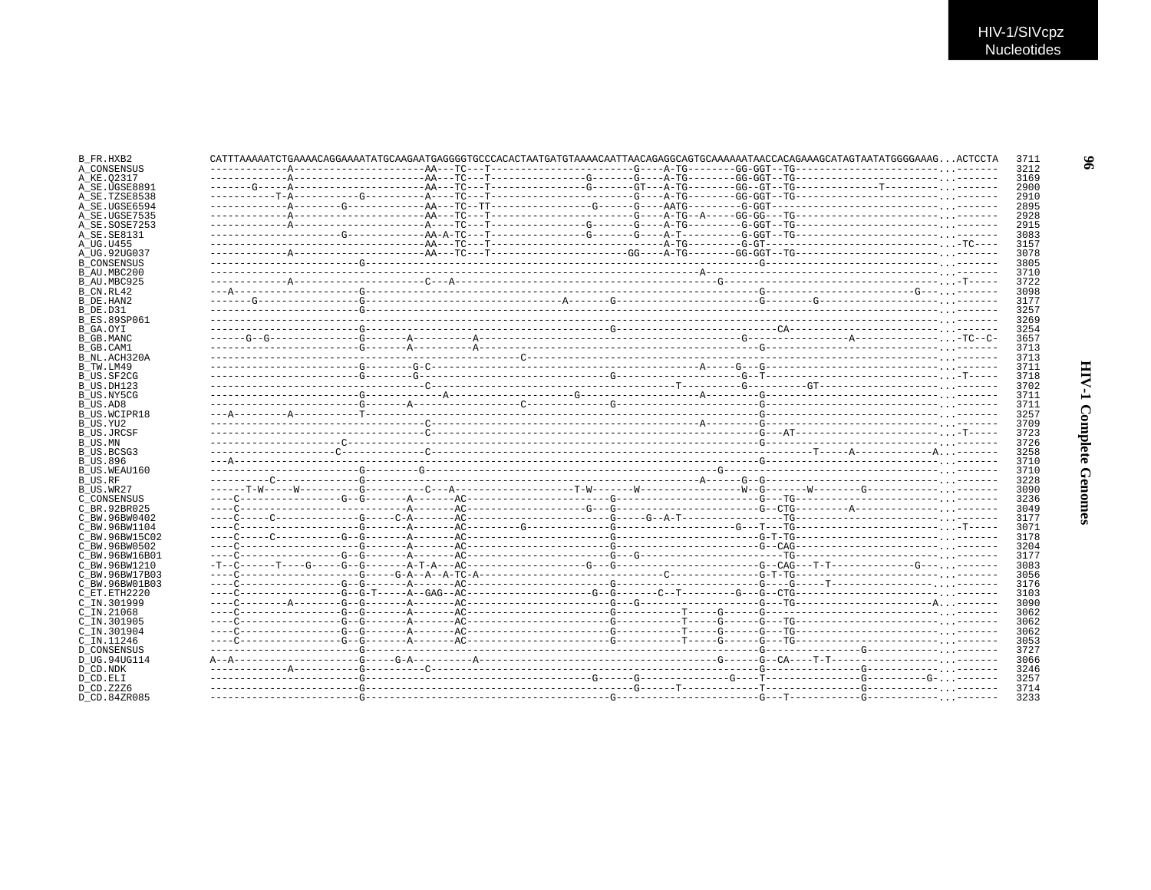| B_FR.HXB2                      | CATTTAAAAATCTGAAAACAGGAAAATATGCAAGAATGAGGGGTGCCCACACTAATGATGTAAAACAATTAACAGAGGCAGTGCAAAAAATAACCACAGAAAGCATAGTAATATGGGGAAAGACTCCTA |  |  |  | 3711         |
|--------------------------------|-----------------------------------------------------------------------------------------------------------------------------------|--|--|--|--------------|
| A CONSENSUS                    |                                                                                                                                   |  |  |  | 3212         |
| A KE.02317                     |                                                                                                                                   |  |  |  | 3169         |
| A_SE.UGSE8891                  |                                                                                                                                   |  |  |  | 2900         |
| A SE.TZSE8538                  |                                                                                                                                   |  |  |  | 2910         |
| A SE.UGSE6594                  |                                                                                                                                   |  |  |  | 2895         |
| A_SE.UGSE7535                  |                                                                                                                                   |  |  |  | 2928         |
| A SE.SOSE7253                  |                                                                                                                                   |  |  |  | 2915         |
| A SE. SE8131                   |                                                                                                                                   |  |  |  | 3083         |
| A UG.U455                      |                                                                                                                                   |  |  |  | 3157         |
| A_UG.92UG037                   |                                                                                                                                   |  |  |  | 3078         |
| <b>B CONSENSUS</b>             |                                                                                                                                   |  |  |  | 3805         |
| B_AU.MBC200                    |                                                                                                                                   |  |  |  | 3710         |
| B AU.MBC925                    |                                                                                                                                   |  |  |  | 3722         |
| B CN.RL42                      |                                                                                                                                   |  |  |  | 3098         |
| B DE.HAN2                      |                                                                                                                                   |  |  |  | 3177         |
| B DE.D31                       |                                                                                                                                   |  |  |  | 3257         |
| <b>B ES.89SP061</b>            |                                                                                                                                   |  |  |  | 3269         |
| B GA.OYI                       |                                                                                                                                   |  |  |  | 3254         |
| B GB.MANC                      |                                                                                                                                   |  |  |  | 3657         |
| B GB.CAM1                      |                                                                                                                                   |  |  |  | 3713         |
| B_NL.ACH320A                   |                                                                                                                                   |  |  |  | 3713         |
| B TW.LM49                      |                                                                                                                                   |  |  |  | 3711         |
| B US.SF2CG                     |                                                                                                                                   |  |  |  | 3718         |
| B US.DH123                     |                                                                                                                                   |  |  |  | 3702         |
| B US.NY5CG                     |                                                                                                                                   |  |  |  | 3711         |
| B US.AD8                       |                                                                                                                                   |  |  |  | 3711         |
| <b>B US.WCIPR18</b>            |                                                                                                                                   |  |  |  | 3257         |
| B_US.YU2                       |                                                                                                                                   |  |  |  | 3709         |
| <b>B US.JRCSF</b>              |                                                                                                                                   |  |  |  | 3723         |
| B US.MN                        |                                                                                                                                   |  |  |  | 3726         |
| B US.BCSG3                     |                                                                                                                                   |  |  |  | 3258         |
| <b>B US.896</b>                |                                                                                                                                   |  |  |  | 3710         |
| B US.WEAU160                   |                                                                                                                                   |  |  |  | 3710         |
| B US.RF                        |                                                                                                                                   |  |  |  | 3228         |
| B_US.WR27                      |                                                                                                                                   |  |  |  | 3090         |
| C CONSENSUS                    |                                                                                                                                   |  |  |  | 3236         |
| C BR. 92BR025                  |                                                                                                                                   |  |  |  | 3049         |
| C BW.96BW0402                  |                                                                                                                                   |  |  |  | 3177         |
| C BW.96BW1104                  |                                                                                                                                   |  |  |  | 3071<br>3178 |
| C BW.96BW15C02                 |                                                                                                                                   |  |  |  |              |
| C BW.96BW0502                  |                                                                                                                                   |  |  |  | 3204<br>3177 |
| C_BW.96BW16B01                 |                                                                                                                                   |  |  |  |              |
| C BW.96BW1210                  |                                                                                                                                   |  |  |  | 3083         |
| C BW.96BW17B03                 |                                                                                                                                   |  |  |  | 3056<br>3176 |
| C BW.96BW01B03<br>C ET.ETH2220 |                                                                                                                                   |  |  |  | 3103         |
|                                |                                                                                                                                   |  |  |  | 3090         |
| C IN.301999<br>$C$ IN. 21068   |                                                                                                                                   |  |  |  | 3062         |
|                                |                                                                                                                                   |  |  |  |              |
| C IN.301905                    |                                                                                                                                   |  |  |  | 3062<br>3062 |
| C IN.301904<br>C_IN.11246      |                                                                                                                                   |  |  |  | 3053         |
| <b>D_CONSENSUS</b>             |                                                                                                                                   |  |  |  | 3727         |
|                                |                                                                                                                                   |  |  |  |              |
| D UG.94UG114                   |                                                                                                                                   |  |  |  | 3066         |
| D CD.NDK                       |                                                                                                                                   |  |  |  | 3246         |
| D CD.ELI                       |                                                                                                                                   |  |  |  | 3257<br>3714 |
| D CD. Z2Z6                     |                                                                                                                                   |  |  |  |              |
| D.CD.84ZR085                   |                                                                                                                                   |  |  |  | 3233         |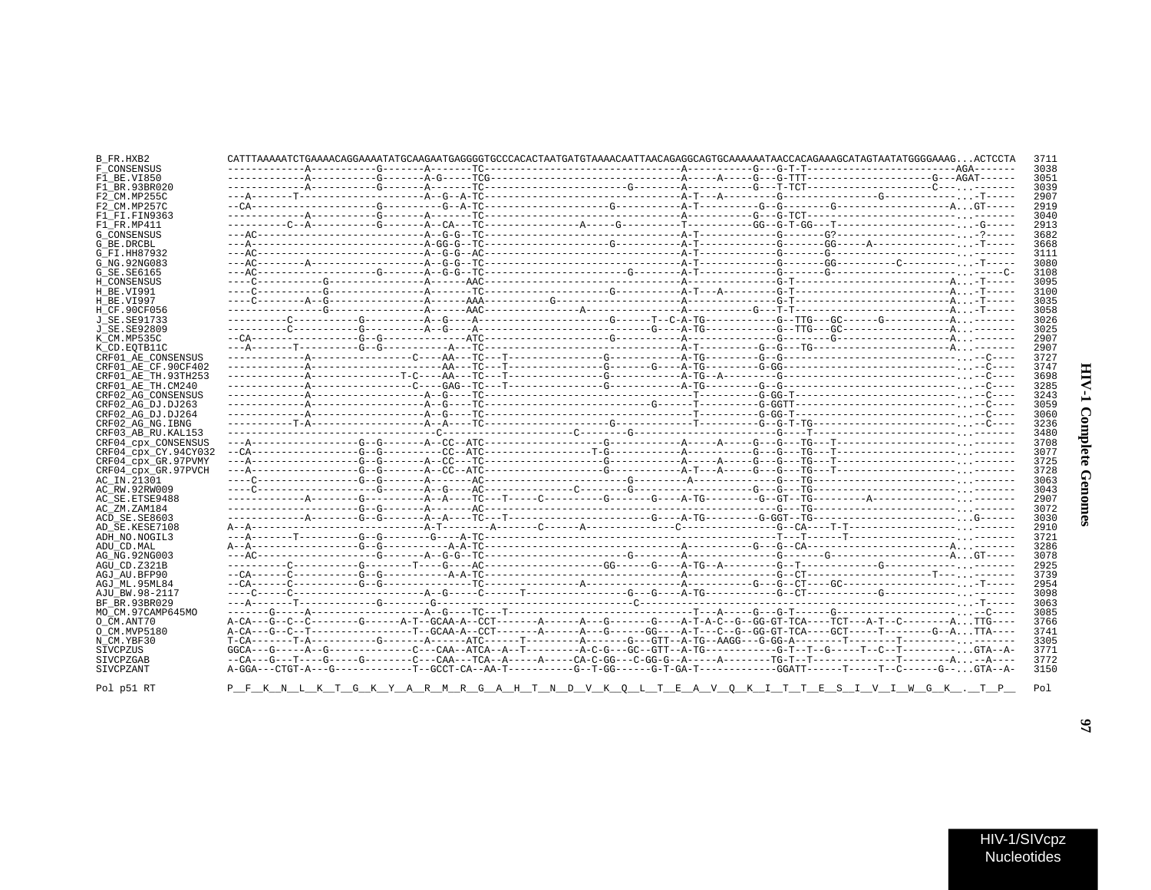| :<br>ì<br>î      |  |
|------------------|--|
| ž<br>ì<br>i<br>1 |  |

| B_FR.HXB2              |  |  | CATTTAAAAAATCTGAAAACAGGAAAATATGCAAGAATGAGGGGTGCCCACACTAATGATGTAAAACAATTAACAGAGGCAGTGCAAAAAATAACCACAGAAAGCATAATATGGGGAAAGACTCCTA | 3711 |
|------------------------|--|--|---------------------------------------------------------------------------------------------------------------------------------|------|
| F CONSENSUS            |  |  |                                                                                                                                 | 3038 |
| F1 BE.VI850            |  |  |                                                                                                                                 | 3051 |
| F1 BR.93BR020          |  |  |                                                                                                                                 | 3039 |
| F2 CM.MP255C           |  |  |                                                                                                                                 | 2907 |
| F2 CM.MP257C           |  |  |                                                                                                                                 | 2919 |
| F1 FI.FIN9363          |  |  |                                                                                                                                 | 3040 |
| F1 FR.MP411            |  |  |                                                                                                                                 | 2913 |
| <b>G CONSENSUS</b>     |  |  |                                                                                                                                 | 3682 |
| G BE.DRCBL             |  |  |                                                                                                                                 | 3668 |
| G FI.HH87932           |  |  |                                                                                                                                 | 3111 |
| G NG. 92NG083          |  |  |                                                                                                                                 | 3080 |
| G SE. SE6165           |  |  |                                                                                                                                 | 3108 |
| H CONSENSUS            |  |  |                                                                                                                                 | 3095 |
| H BE.VI991             |  |  |                                                                                                                                 | 3100 |
| H BE.VI997             |  |  |                                                                                                                                 | 3035 |
| H CF.90CF056           |  |  |                                                                                                                                 | 3058 |
| J SE. SE91733          |  |  |                                                                                                                                 | 3026 |
| J SE. SE92809          |  |  |                                                                                                                                 | 3025 |
| K CM.MP535C            |  |  |                                                                                                                                 | 2907 |
| K CD.EOTB11C           |  |  |                                                                                                                                 | 2907 |
| CRF01 AE CONSENSUS     |  |  |                                                                                                                                 | 3727 |
| CRF01 AE CF.90CF402    |  |  |                                                                                                                                 | 3747 |
| CRF01 AE TH.93TH253    |  |  |                                                                                                                                 | 3698 |
| CRF01 AE TH.CM240      |  |  |                                                                                                                                 | 3285 |
| CRF02 AG CONSENSUS     |  |  |                                                                                                                                 | 3243 |
| CRF02 AG DJ.DJ263      |  |  |                                                                                                                                 | 3059 |
| CRF02 AG DJ.DJ264      |  |  |                                                                                                                                 | 3060 |
| CRF02 AG NG. IBNG      |  |  |                                                                                                                                 | 3236 |
| CRF03 AB RU. KAL153    |  |  |                                                                                                                                 | 3480 |
| CRF04 cpx CONSENSUS    |  |  |                                                                                                                                 | 3708 |
| CRF04 cpx CY.94CY032   |  |  |                                                                                                                                 | 3077 |
| CRF04 CDX GR.97PVMY    |  |  |                                                                                                                                 | 3725 |
| CRF04 cpx GR.97PVCH    |  |  |                                                                                                                                 | 3728 |
| AC IN.21301            |  |  |                                                                                                                                 | 3063 |
| AC RW.92RW009          |  |  |                                                                                                                                 | 3043 |
| AC SE. ETSE9488        |  |  |                                                                                                                                 | 2907 |
| AC ZM.ZAM184           |  |  |                                                                                                                                 | 3072 |
| ACD SE.SE8603          |  |  |                                                                                                                                 | 3030 |
| AD SE.KESE7108         |  |  |                                                                                                                                 | 2910 |
| ADH NO.NOGIL3          |  |  |                                                                                                                                 | 3721 |
| ADU CD.MAL             |  |  |                                                                                                                                 | 3286 |
| AG NG. 92NG003         |  |  |                                                                                                                                 | 3078 |
| AGU CD.Z321B           |  |  |                                                                                                                                 | 2925 |
| AGJ AU.BFP90           |  |  |                                                                                                                                 | 3739 |
| AGJ ML.95ML84          |  |  |                                                                                                                                 | 2954 |
| AJU BW.98-2117         |  |  |                                                                                                                                 | 3098 |
| BF BR.93BR029          |  |  |                                                                                                                                 | 3063 |
| MO CM.97CAMP645MO      |  |  |                                                                                                                                 | 3085 |
|                        |  |  |                                                                                                                                 | 3766 |
| O CM.ANT70             |  |  | A-CA---G--C--T------------------T--GCAA-A--CCT--------A----G------GG----A-T---C--G-GG-GT-TCA----GCT------T--------G-ATTA----    | 3741 |
| O CM.MVP5180           |  |  | $T-CA-----T-A-----G-----G-----A---A-----T C-----TC-----T---T---A---A---G---GTT-A-TG--A+GG---G-GG-A------T---T---T---T---A---T-$ | 3305 |
| N CM.YBF30<br>SIVCPZUS |  |  |                                                                                                                                 | 3771 |
|                        |  |  |                                                                                                                                 | 3772 |
| SIVCPZGAB              |  |  |                                                                                                                                 | 3150 |
| SIVCPZANT              |  |  |                                                                                                                                 |      |
| Pol p51 RT             |  |  | <u>PFKNLKT GKYARMRGAHTNDVKOLTEAVOKITTESIVIMGK. TP</u>                                                                           | Pol  |
|                        |  |  |                                                                                                                                 |      |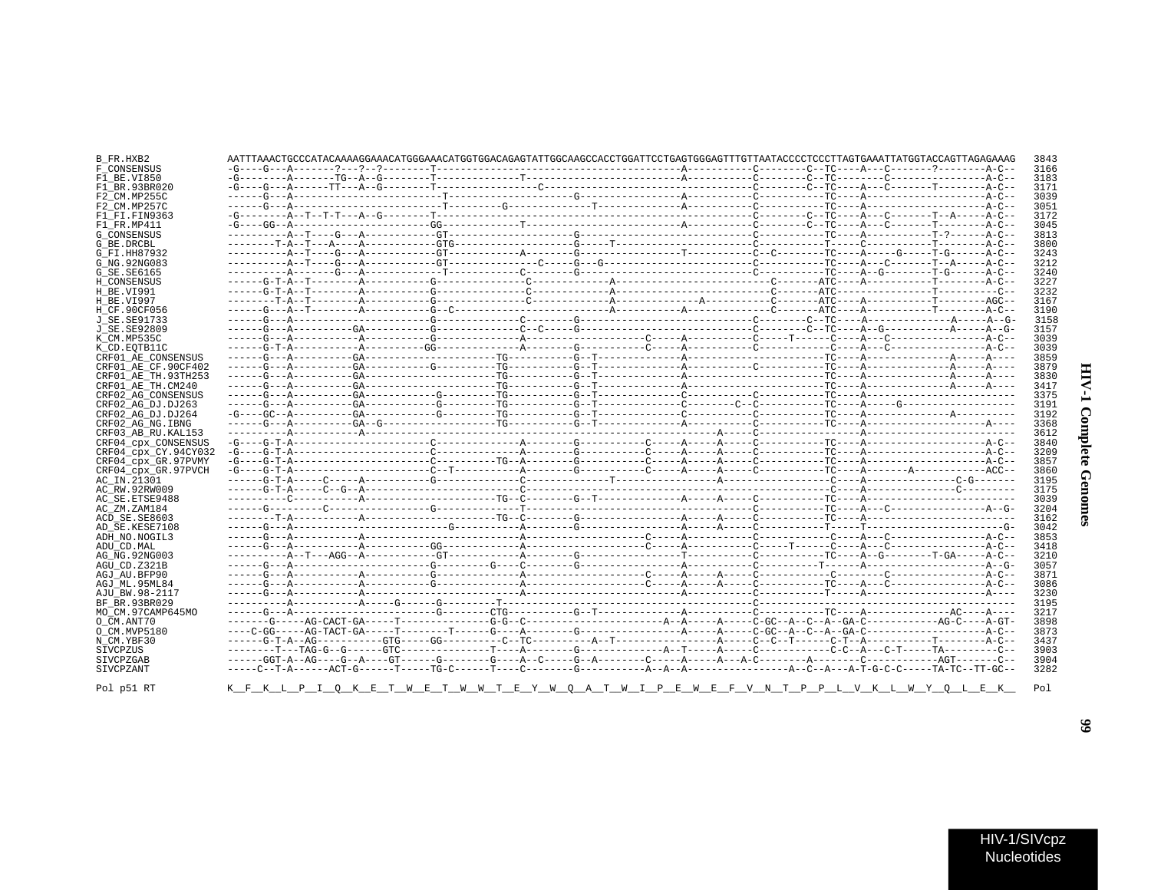| ١<br>J<br>ï<br>٢<br>١ |  |
|-----------------------|--|
| j<br>ì<br>í           |  |

| CRF01 AE CONSENSUS   |  |  |  |  |  |  |  |  |
|----------------------|--|--|--|--|--|--|--|--|
| CRF01 AE CF.90CF402  |  |  |  |  |  |  |  |  |
| CRF01 AE TH. 93TH253 |  |  |  |  |  |  |  |  |
| CRF01 AE TH.CM240    |  |  |  |  |  |  |  |  |
| CRF02 AG CONSENSUS   |  |  |  |  |  |  |  |  |
| CRF02 AG DJ.DJ263    |  |  |  |  |  |  |  |  |
| CRF02 AG DJ.DJ264    |  |  |  |  |  |  |  |  |
|                      |  |  |  |  |  |  |  |  |
| CRF02_AG_NG.IBNG     |  |  |  |  |  |  |  |  |
| CRF03 AB RU. KAL153  |  |  |  |  |  |  |  |  |
| CRF04_cpx_CONSENSUS  |  |  |  |  |  |  |  |  |
| CRF04 cpx CY.94CY032 |  |  |  |  |  |  |  |  |
| CRF04 cpx GR.97PVMY  |  |  |  |  |  |  |  |  |
| CRF04 cpx GR.97PVCH  |  |  |  |  |  |  |  |  |
|                      |  |  |  |  |  |  |  |  |
|                      |  |  |  |  |  |  |  |  |
|                      |  |  |  |  |  |  |  |  |
|                      |  |  |  |  |  |  |  |  |
|                      |  |  |  |  |  |  |  |  |
|                      |  |  |  |  |  |  |  |  |
|                      |  |  |  |  |  |  |  |  |
|                      |  |  |  |  |  |  |  |  |
|                      |  |  |  |  |  |  |  |  |
|                      |  |  |  |  |  |  |  |  |
|                      |  |  |  |  |  |  |  |  |
|                      |  |  |  |  |  |  |  |  |
|                      |  |  |  |  |  |  |  |  |
|                      |  |  |  |  |  |  |  |  |
| MO CM.97CAMP645MO    |  |  |  |  |  |  |  |  |
|                      |  |  |  |  |  |  |  |  |
|                      |  |  |  |  |  |  |  |  |
|                      |  |  |  |  |  |  |  |  |
|                      |  |  |  |  |  |  |  |  |
|                      |  |  |  |  |  |  |  |  |
|                      |  |  |  |  |  |  |  |  |

 $T$  W

<u>I PEW EFV NTPPL VKLWYQLEK</u>

K\_F\_K\_L\_P\_I\_Q\_K\_E\_T\_W\_E\_T\_W\_W\_T\_E\_Y\_W\_Q\_A\_

Pol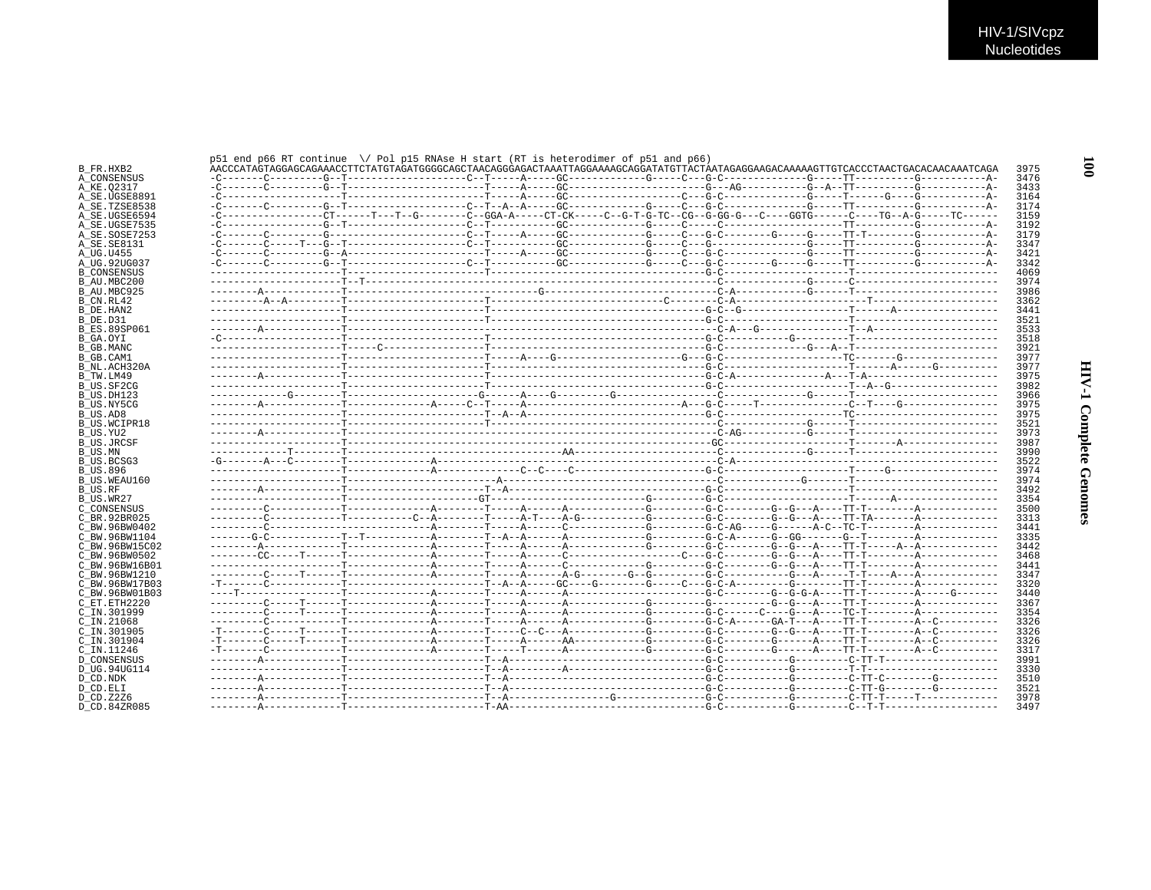$\overline{001}$ 

**HIV-1 Complete Genomes** 

| AACCCORPAGEABAACCORPAGEABAACCORPAGEABAACCORPAGEABAACCORPAGEABAAGAAAGCAGAAAGAAAGAAAGAAAAGAAAAAGAAAAGAAAGAAAAGAAA |  |  |  |  |  |  |
|-----------------------------------------------------------------------------------------------------------------|--|--|--|--|--|--|
|                                                                                                                 |  |  |  |  |  |  |
|                                                                                                                 |  |  |  |  |  |  |
|                                                                                                                 |  |  |  |  |  |  |
|                                                                                                                 |  |  |  |  |  |  |
|                                                                                                                 |  |  |  |  |  |  |
|                                                                                                                 |  |  |  |  |  |  |
|                                                                                                                 |  |  |  |  |  |  |
|                                                                                                                 |  |  |  |  |  |  |
|                                                                                                                 |  |  |  |  |  |  |
|                                                                                                                 |  |  |  |  |  |  |
|                                                                                                                 |  |  |  |  |  |  |
|                                                                                                                 |  |  |  |  |  |  |
|                                                                                                                 |  |  |  |  |  |  |
|                                                                                                                 |  |  |  |  |  |  |
|                                                                                                                 |  |  |  |  |  |  |
|                                                                                                                 |  |  |  |  |  |  |
|                                                                                                                 |  |  |  |  |  |  |
|                                                                                                                 |  |  |  |  |  |  |
|                                                                                                                 |  |  |  |  |  |  |
|                                                                                                                 |  |  |  |  |  |  |
|                                                                                                                 |  |  |  |  |  |  |
|                                                                                                                 |  |  |  |  |  |  |
|                                                                                                                 |  |  |  |  |  |  |
|                                                                                                                 |  |  |  |  |  |  |
|                                                                                                                 |  |  |  |  |  |  |
|                                                                                                                 |  |  |  |  |  |  |
|                                                                                                                 |  |  |  |  |  |  |
|                                                                                                                 |  |  |  |  |  |  |
|                                                                                                                 |  |  |  |  |  |  |
|                                                                                                                 |  |  |  |  |  |  |
|                                                                                                                 |  |  |  |  |  |  |
|                                                                                                                 |  |  |  |  |  |  |
|                                                                                                                 |  |  |  |  |  |  |
|                                                                                                                 |  |  |  |  |  |  |
|                                                                                                                 |  |  |  |  |  |  |
|                                                                                                                 |  |  |  |  |  |  |
|                                                                                                                 |  |  |  |  |  |  |
|                                                                                                                 |  |  |  |  |  |  |
|                                                                                                                 |  |  |  |  |  |  |
|                                                                                                                 |  |  |  |  |  |  |
|                                                                                                                 |  |  |  |  |  |  |
|                                                                                                                 |  |  |  |  |  |  |
|                                                                                                                 |  |  |  |  |  |  |
|                                                                                                                 |  |  |  |  |  |  |
|                                                                                                                 |  |  |  |  |  |  |
|                                                                                                                 |  |  |  |  |  |  |
|                                                                                                                 |  |  |  |  |  |  |
|                                                                                                                 |  |  |  |  |  |  |
|                                                                                                                 |  |  |  |  |  |  |
|                                                                                                                 |  |  |  |  |  |  |
|                                                                                                                 |  |  |  |  |  |  |
|                                                                                                                 |  |  |  |  |  |  |
|                                                                                                                 |  |  |  |  |  |  |
|                                                                                                                 |  |  |  |  |  |  |
|                                                                                                                 |  |  |  |  |  |  |
|                                                                                                                 |  |  |  |  |  |  |
|                                                                                                                 |  |  |  |  |  |  |
|                                                                                                                 |  |  |  |  |  |  |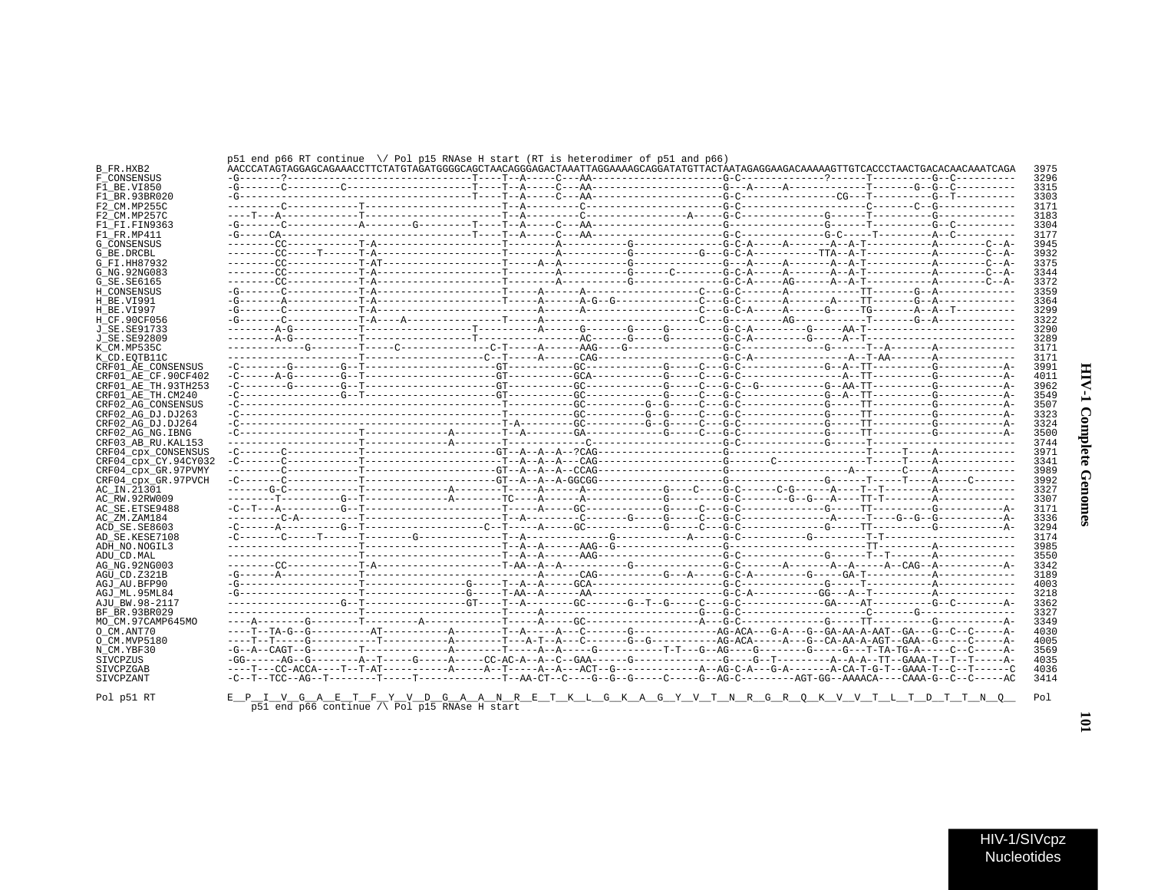| J.<br>ì<br>2<br>ć |  |
|-------------------|--|
| ž<br>ì<br>ï<br>ĭ  |  |

 $\overline{\phantom{0}}$ 

|                      | AACCCATAGTAGAGCAGAAACCTTCTATGTAGATGGGCAGCTAACCTAACAGGAGAATTAGGAAAAAGCAGGATATGTTACTAATAGAGGAAGAAAAAAGTTGTCACCCTAACAGAACAAAAATCAGAA |  |  |  |  |  |  |  |
|----------------------|-----------------------------------------------------------------------------------------------------------------------------------|--|--|--|--|--|--|--|
|                      |                                                                                                                                   |  |  |  |  |  |  |  |
| F1 BR.93BR020        |                                                                                                                                   |  |  |  |  |  |  |  |
|                      |                                                                                                                                   |  |  |  |  |  |  |  |
|                      |                                                                                                                                   |  |  |  |  |  |  |  |
|                      |                                                                                                                                   |  |  |  |  |  |  |  |
| F1 FI.FIN9363        |                                                                                                                                   |  |  |  |  |  |  |  |
|                      |                                                                                                                                   |  |  |  |  |  |  |  |
|                      |                                                                                                                                   |  |  |  |  |  |  |  |
|                      |                                                                                                                                   |  |  |  |  |  |  |  |
|                      |                                                                                                                                   |  |  |  |  |  |  |  |
|                      |                                                                                                                                   |  |  |  |  |  |  |  |
|                      |                                                                                                                                   |  |  |  |  |  |  |  |
|                      |                                                                                                                                   |  |  |  |  |  |  |  |
|                      |                                                                                                                                   |  |  |  |  |  |  |  |
|                      |                                                                                                                                   |  |  |  |  |  |  |  |
|                      |                                                                                                                                   |  |  |  |  |  |  |  |
|                      |                                                                                                                                   |  |  |  |  |  |  |  |
|                      |                                                                                                                                   |  |  |  |  |  |  |  |
|                      |                                                                                                                                   |  |  |  |  |  |  |  |
|                      |                                                                                                                                   |  |  |  |  |  |  |  |
|                      |                                                                                                                                   |  |  |  |  |  |  |  |
| CRF01 AE CONSENSUS   |                                                                                                                                   |  |  |  |  |  |  |  |
| CRF01 AE CF.90CF402  |                                                                                                                                   |  |  |  |  |  |  |  |
| CRF01 AE TH. 93TH253 |                                                                                                                                   |  |  |  |  |  |  |  |
| CRF01 AE TH.CM240    |                                                                                                                                   |  |  |  |  |  |  |  |
| CRF02 AG CONSENSUS   |                                                                                                                                   |  |  |  |  |  |  |  |
| CRF02 AG DJ.DJ263    |                                                                                                                                   |  |  |  |  |  |  |  |
| CRF02 AG DJ.DJ264    |                                                                                                                                   |  |  |  |  |  |  |  |
| CRF02 AG NG. IBNG    |                                                                                                                                   |  |  |  |  |  |  |  |
| CRF03 AB RU. KAL153  |                                                                                                                                   |  |  |  |  |  |  |  |
| CRF04 CDX CONSENSUS  |                                                                                                                                   |  |  |  |  |  |  |  |
| CRF04 cpx CY.94CY032 |                                                                                                                                   |  |  |  |  |  |  |  |
|                      |                                                                                                                                   |  |  |  |  |  |  |  |
| CRF04 cpx GR.97PVMY  |                                                                                                                                   |  |  |  |  |  |  |  |
| CRF04_cpx_GR.97PVCH  |                                                                                                                                   |  |  |  |  |  |  |  |
|                      |                                                                                                                                   |  |  |  |  |  |  |  |
| AC RW.92RW009        |                                                                                                                                   |  |  |  |  |  |  |  |
| AC SE. ETSE9488      |                                                                                                                                   |  |  |  |  |  |  |  |
|                      |                                                                                                                                   |  |  |  |  |  |  |  |
| ACD SE.SE8603        |                                                                                                                                   |  |  |  |  |  |  |  |
| AD SE.KESE7108       |                                                                                                                                   |  |  |  |  |  |  |  |
| ADH NO. NOGIL3       |                                                                                                                                   |  |  |  |  |  |  |  |
|                      |                                                                                                                                   |  |  |  |  |  |  |  |
|                      |                                                                                                                                   |  |  |  |  |  |  |  |
| AG NG. 92NG003       |                                                                                                                                   |  |  |  |  |  |  |  |
|                      |                                                                                                                                   |  |  |  |  |  |  |  |
|                      |                                                                                                                                   |  |  |  |  |  |  |  |
| AGJ ML.95ML84        |                                                                                                                                   |  |  |  |  |  |  |  |
| AJU BW.98-2117       |                                                                                                                                   |  |  |  |  |  |  |  |
| BF BR.93BR029        |                                                                                                                                   |  |  |  |  |  |  |  |
| MO CM.97CAMP645MO    |                                                                                                                                   |  |  |  |  |  |  |  |
|                      |                                                                                                                                   |  |  |  |  |  |  |  |
|                      |                                                                                                                                   |  |  |  |  |  |  |  |
|                      |                                                                                                                                   |  |  |  |  |  |  |  |
|                      |                                                                                                                                   |  |  |  |  |  |  |  |
|                      |                                                                                                                                   |  |  |  |  |  |  |  |
|                      |                                                                                                                                   |  |  |  |  |  |  |  |

Pol $p51$  RT

 $\texttt{E\_P\_I\_V\_G\_A\_E\_T\_F\_Y\_V\_D\_G\_A\_A\_N\_R\_E\_T\_K\_L\_G\_K\_A\_G\_Y\_V\_T\_N\_R\_G\_R\_Q\_K\_V\_T\_L\_T\_D\_T\_T\_N\_Q\_} \quad \text{Pol} \text{ = } \texttt{P} \cdot \texttt{P} \cdot \texttt{P} \cdot \texttt{P} \cdot \texttt{P} \cdot \texttt{P} \cdot \texttt{P} \cdot \texttt{P} \cdot \texttt{P} \cdot \texttt{P} \cdot \texttt{P} \cdot \texttt{P} \cdot \texttt{P} \cdot \texttt{P} \cdot \texttt{P$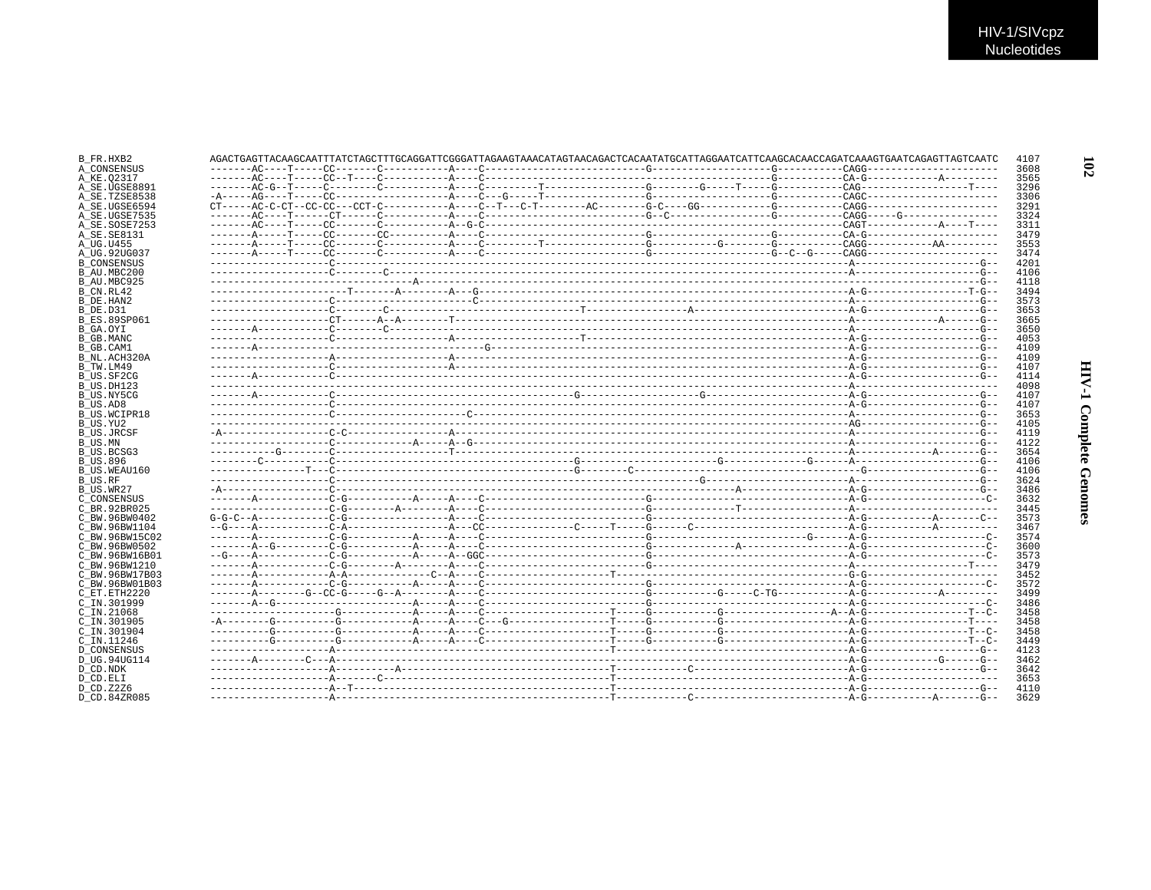|  |  |  |  | AGACTGAGTTACAAGCAATTTATCTAGCTTTGCAGGATTCGGGATTAGAAGTAAACATAGTAACAGACTCACAATATGCATTAGGAATCATTCAAGCACAACCAGATCAAAGTGAATCAGAGTTAGTCAATC |  |
|--|--|--|--|--------------------------------------------------------------------------------------------------------------------------------------|--|
|  |  |  |  |                                                                                                                                      |  |
|  |  |  |  |                                                                                                                                      |  |
|  |  |  |  |                                                                                                                                      |  |
|  |  |  |  |                                                                                                                                      |  |
|  |  |  |  |                                                                                                                                      |  |
|  |  |  |  |                                                                                                                                      |  |
|  |  |  |  |                                                                                                                                      |  |
|  |  |  |  |                                                                                                                                      |  |
|  |  |  |  |                                                                                                                                      |  |
|  |  |  |  |                                                                                                                                      |  |
|  |  |  |  |                                                                                                                                      |  |
|  |  |  |  |                                                                                                                                      |  |
|  |  |  |  |                                                                                                                                      |  |
|  |  |  |  |                                                                                                                                      |  |
|  |  |  |  |                                                                                                                                      |  |
|  |  |  |  |                                                                                                                                      |  |
|  |  |  |  |                                                                                                                                      |  |
|  |  |  |  |                                                                                                                                      |  |
|  |  |  |  |                                                                                                                                      |  |
|  |  |  |  |                                                                                                                                      |  |
|  |  |  |  |                                                                                                                                      |  |
|  |  |  |  |                                                                                                                                      |  |
|  |  |  |  |                                                                                                                                      |  |
|  |  |  |  |                                                                                                                                      |  |
|  |  |  |  |                                                                                                                                      |  |
|  |  |  |  |                                                                                                                                      |  |
|  |  |  |  |                                                                                                                                      |  |
|  |  |  |  |                                                                                                                                      |  |
|  |  |  |  |                                                                                                                                      |  |
|  |  |  |  |                                                                                                                                      |  |
|  |  |  |  |                                                                                                                                      |  |
|  |  |  |  |                                                                                                                                      |  |
|  |  |  |  |                                                                                                                                      |  |
|  |  |  |  |                                                                                                                                      |  |
|  |  |  |  |                                                                                                                                      |  |
|  |  |  |  |                                                                                                                                      |  |
|  |  |  |  |                                                                                                                                      |  |
|  |  |  |  |                                                                                                                                      |  |
|  |  |  |  |                                                                                                                                      |  |
|  |  |  |  |                                                                                                                                      |  |
|  |  |  |  |                                                                                                                                      |  |
|  |  |  |  |                                                                                                                                      |  |
|  |  |  |  |                                                                                                                                      |  |
|  |  |  |  |                                                                                                                                      |  |
|  |  |  |  |                                                                                                                                      |  |
|  |  |  |  |                                                                                                                                      |  |
|  |  |  |  |                                                                                                                                      |  |
|  |  |  |  |                                                                                                                                      |  |
|  |  |  |  |                                                                                                                                      |  |
|  |  |  |  |                                                                                                                                      |  |
|  |  |  |  |                                                                                                                                      |  |
|  |  |  |  |                                                                                                                                      |  |
|  |  |  |  |                                                                                                                                      |  |
|  |  |  |  |                                                                                                                                      |  |
|  |  |  |  |                                                                                                                                      |  |
|  |  |  |  |                                                                                                                                      |  |
|  |  |  |  |                                                                                                                                      |  |
|  |  |  |  |                                                                                                                                      |  |
|  |  |  |  |                                                                                                                                      |  |
|  |  |  |  |                                                                                                                                      |  |
|  |  |  |  |                                                                                                                                      |  |
|  |  |  |  |                                                                                                                                      |  |
|  |  |  |  |                                                                                                                                      |  |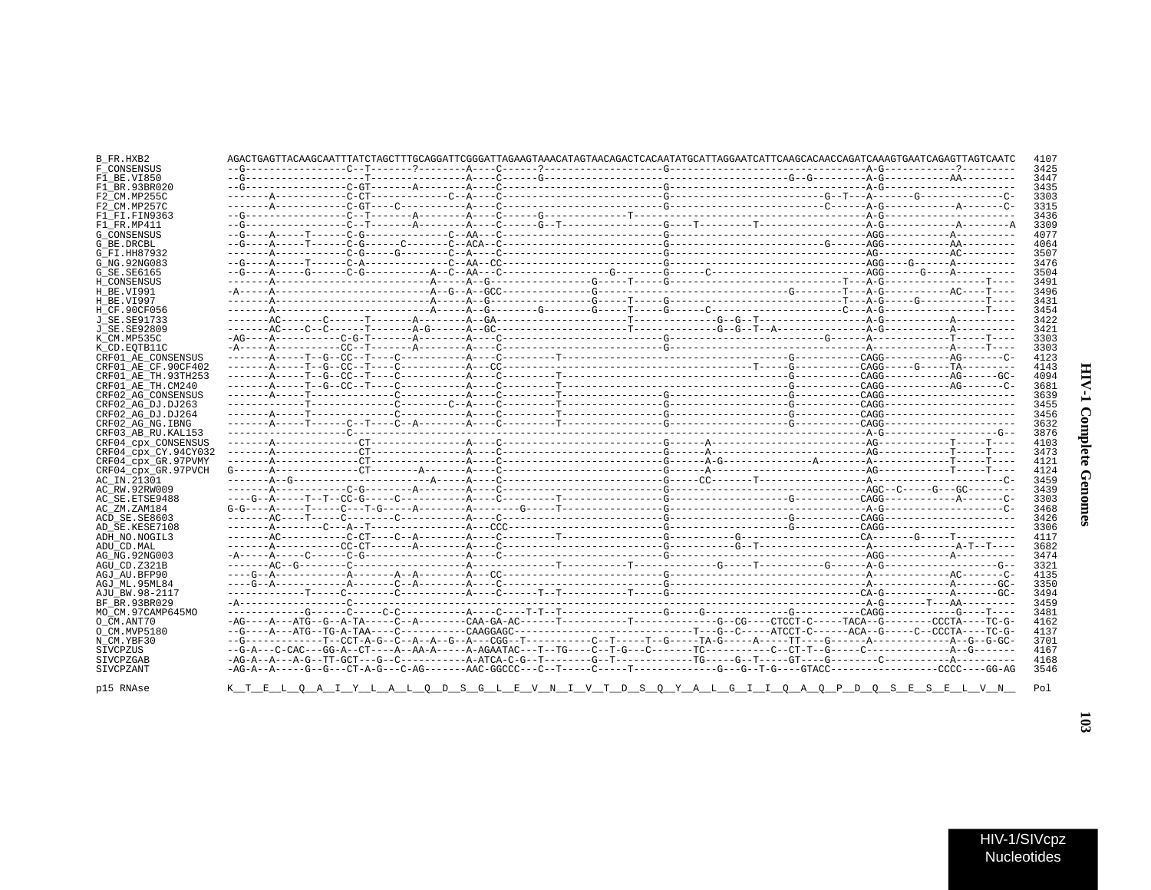| F1 BE.VI850          |  |  |  | 3447 |
|----------------------|--|--|--|------|
| F1 BR.93BR020        |  |  |  | 3435 |
| F2 CM.MP255C         |  |  |  | 3303 |
| F2 CM.MP257C         |  |  |  | 3315 |
| F1_FI.FIN9363        |  |  |  | 3436 |
| F1 FR.MP411          |  |  |  | 3309 |
| G CONSENSUS          |  |  |  | 4077 |
| G BE.DRCBL           |  |  |  | 4064 |
| G FI.HH87932         |  |  |  | 3507 |
|                      |  |  |  | 3476 |
| G NG. 92NG083        |  |  |  |      |
| G SE. SE6165         |  |  |  | 3504 |
| H CONSENSUS          |  |  |  | 3491 |
| H BE.VI991           |  |  |  | 3496 |
| H BE.VI997           |  |  |  | 3431 |
| H CF.90CF056         |  |  |  | 3454 |
| J SE. SE91733        |  |  |  | 3422 |
| J SE. SE92809        |  |  |  | 3421 |
| K CM.MP535C          |  |  |  | 3303 |
| K CD.EOTB11C         |  |  |  | 3303 |
| CRF01 AE CONSENSUS   |  |  |  | 4123 |
| CRF01 AE CF.90CF402  |  |  |  | 4143 |
| CRF01 AE TH.93TH253  |  |  |  | 4094 |
| CRF01 AE TH.CM240    |  |  |  | 3681 |
| CRF02 AG CONSENSUS   |  |  |  | 3639 |
| CRF02 AG DJ.DJ263    |  |  |  | 3455 |
| CRF02 AG DJ.DJ264    |  |  |  | 3456 |
| CRF02 AG NG. IBNG    |  |  |  | 3632 |
|                      |  |  |  | 3876 |
| CRF03 AB RU. KAL153  |  |  |  | 4103 |
| CRF04 cpx CONSENSUS  |  |  |  |      |
| CRF04 CDX CY.94CY032 |  |  |  | 3473 |
| CRF04 cpx GR.97PVMY  |  |  |  | 4121 |
| CRF04 cpx GR.97PVCH  |  |  |  | 4124 |
| AC IN.21301          |  |  |  | 3459 |
| AC RW.92RW009        |  |  |  | 3439 |
| AC SE. ETSE9488      |  |  |  | 3303 |
| AC ZM.ZAM184         |  |  |  | 3468 |
| ACD SE.SE8603        |  |  |  | 3426 |
| AD SE.KESE7108       |  |  |  | 3306 |
| ADH NO.NOGIL3        |  |  |  | 4117 |
| ADU CD.MAL           |  |  |  | 3682 |
| AG NG. 92NG003       |  |  |  | 3474 |
| AGU CD.Z321B         |  |  |  | 3321 |
| AGJ AU.BFP90         |  |  |  | 4135 |
| AGJ ML.95ML84        |  |  |  | 3350 |
| AJU BW.98-2117       |  |  |  | 3494 |
|                      |  |  |  | 3459 |
| BF BR.93BR029        |  |  |  |      |
| MO_CM.97CAMP645MO    |  |  |  | 3481 |
| O CM.ANT70           |  |  |  | 4162 |
| O CM.MVP5180         |  |  |  | 4137 |
| N CM.YBF30           |  |  |  | 3701 |
| SIVCPZUS             |  |  |  | 4167 |
| SIVCPZGAB            |  |  |  | 4168 |
| SIVCPZANT            |  |  |  | 3546 |
|                      |  |  |  |      |

K T E L Q A I Y L A L Q D S G L E V N I V T D S Q Y A L G I I Q A Q P D Q S E S E L V N

AGACTGAGTATAGCAATTATCTAGCTTTGCAGGATTCGGGATTAGAAGTAAACATAGCACTCACAATATGCATTAGGAATCATTCAAGCAACCAGATCAAAGTGAATCAGCTCAGATCATCCAGGTTAGGATTAGCACCAGATCATCAAGCAGGTTAGGATTAGTCAATC

B\_FR.HXB2

F\_CONSENSUS

p15 RNAse

4107

3425

 $103$ 

Pol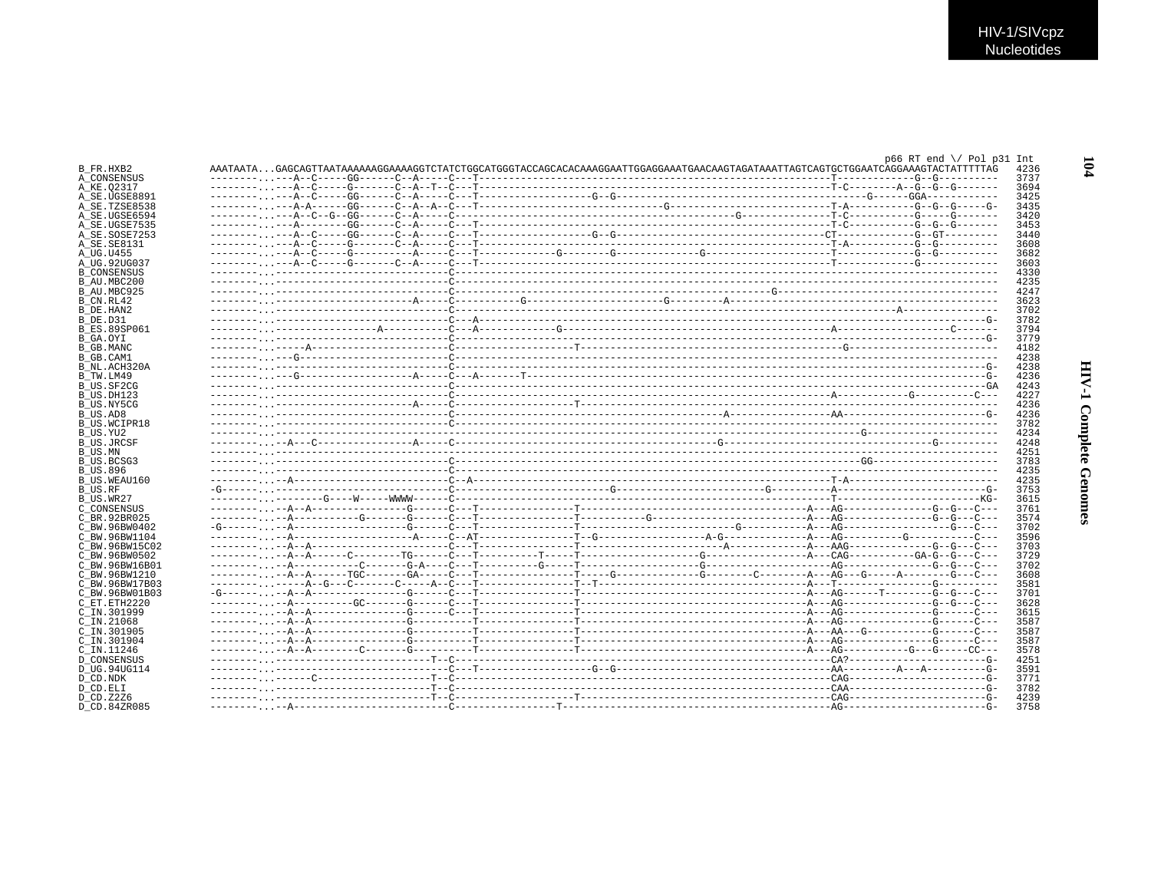|                                                                                                                                                                                                                                                                                                            |  | $p66 RT end \ \lor \ P01 p31 Int$                                                                                             |
|------------------------------------------------------------------------------------------------------------------------------------------------------------------------------------------------------------------------------------------------------------------------------------------------------------|--|-------------------------------------------------------------------------------------------------------------------------------|
| B FR.HXB2                                                                                                                                                                                                                                                                                                  |  | AAATAATAGAGCAGTTAATAAAAAGGAAAAGGTCTATCTGGCATGGGTACCAGCACACAAAGGAATTGGAGGAAATGAACAAGTAGATAATTAGTCAGTGCHGAATCAGGAAAGTACTATTTTAG |
| A CONSENSUS                                                                                                                                                                                                                                                                                                |  |                                                                                                                               |
| A KE.02317                                                                                                                                                                                                                                                                                                 |  |                                                                                                                               |
| A SE.UGSE8891                                                                                                                                                                                                                                                                                              |  |                                                                                                                               |
| A SE.TZSE8538                                                                                                                                                                                                                                                                                              |  |                                                                                                                               |
| A SE.UGSE6594                                                                                                                                                                                                                                                                                              |  |                                                                                                                               |
| A SE.UGSE7535                                                                                                                                                                                                                                                                                              |  |                                                                                                                               |
| A SE.SOSE7253                                                                                                                                                                                                                                                                                              |  |                                                                                                                               |
| A SE.SE8131                                                                                                                                                                                                                                                                                                |  |                                                                                                                               |
|                                                                                                                                                                                                                                                                                                            |  |                                                                                                                               |
| A UG.U455                                                                                                                                                                                                                                                                                                  |  |                                                                                                                               |
| A UG.92UG037                                                                                                                                                                                                                                                                                               |  |                                                                                                                               |
| <b>B CONSENSUS</b>                                                                                                                                                                                                                                                                                         |  |                                                                                                                               |
| B AU.MBC200                                                                                                                                                                                                                                                                                                |  |                                                                                                                               |
| B AU.MBC925                                                                                                                                                                                                                                                                                                |  |                                                                                                                               |
| B CN.RL42                                                                                                                                                                                                                                                                                                  |  |                                                                                                                               |
| B DE.HAN2                                                                                                                                                                                                                                                                                                  |  |                                                                                                                               |
| B DE.D31                                                                                                                                                                                                                                                                                                   |  |                                                                                                                               |
|                                                                                                                                                                                                                                                                                                            |  |                                                                                                                               |
| B ES.89SP061                                                                                                                                                                                                                                                                                               |  |                                                                                                                               |
| B GA.OYI                                                                                                                                                                                                                                                                                                   |  |                                                                                                                               |
| B GB.MANC                                                                                                                                                                                                                                                                                                  |  |                                                                                                                               |
| B GB.CAM1                                                                                                                                                                                                                                                                                                  |  |                                                                                                                               |
| B NL.ACH320A                                                                                                                                                                                                                                                                                               |  |                                                                                                                               |
| B TW.LM49                                                                                                                                                                                                                                                                                                  |  |                                                                                                                               |
| B US.SF2CG                                                                                                                                                                                                                                                                                                 |  |                                                                                                                               |
| B US.DH123                                                                                                                                                                                                                                                                                                 |  |                                                                                                                               |
|                                                                                                                                                                                                                                                                                                            |  |                                                                                                                               |
| B US.NY5CG                                                                                                                                                                                                                                                                                                 |  |                                                                                                                               |
| B US.AD8                                                                                                                                                                                                                                                                                                   |  |                                                                                                                               |
| B US.WCIPR18                                                                                                                                                                                                                                                                                               |  |                                                                                                                               |
| B US.YU2                                                                                                                                                                                                                                                                                                   |  |                                                                                                                               |
|                                                                                                                                                                                                                                                                                                            |  |                                                                                                                               |
| B US.JRCSF                                                                                                                                                                                                                                                                                                 |  |                                                                                                                               |
|                                                                                                                                                                                                                                                                                                            |  |                                                                                                                               |
| B US.MN                                                                                                                                                                                                                                                                                                    |  |                                                                                                                               |
| B US.BCSG3                                                                                                                                                                                                                                                                                                 |  |                                                                                                                               |
| <b>B US.896</b>                                                                                                                                                                                                                                                                                            |  |                                                                                                                               |
| B US.WEAU160                                                                                                                                                                                                                                                                                               |  |                                                                                                                               |
| B US.RF                                                                                                                                                                                                                                                                                                    |  |                                                                                                                               |
| B US.WR27                                                                                                                                                                                                                                                                                                  |  |                                                                                                                               |
|                                                                                                                                                                                                                                                                                                            |  |                                                                                                                               |
|                                                                                                                                                                                                                                                                                                            |  |                                                                                                                               |
|                                                                                                                                                                                                                                                                                                            |  |                                                                                                                               |
|                                                                                                                                                                                                                                                                                                            |  |                                                                                                                               |
|                                                                                                                                                                                                                                                                                                            |  |                                                                                                                               |
|                                                                                                                                                                                                                                                                                                            |  |                                                                                                                               |
|                                                                                                                                                                                                                                                                                                            |  |                                                                                                                               |
|                                                                                                                                                                                                                                                                                                            |  |                                                                                                                               |
|                                                                                                                                                                                                                                                                                                            |  |                                                                                                                               |
|                                                                                                                                                                                                                                                                                                            |  |                                                                                                                               |
|                                                                                                                                                                                                                                                                                                            |  |                                                                                                                               |
|                                                                                                                                                                                                                                                                                                            |  |                                                                                                                               |
|                                                                                                                                                                                                                                                                                                            |  |                                                                                                                               |
|                                                                                                                                                                                                                                                                                                            |  |                                                                                                                               |
|                                                                                                                                                                                                                                                                                                            |  |                                                                                                                               |
|                                                                                                                                                                                                                                                                                                            |  |                                                                                                                               |
|                                                                                                                                                                                                                                                                                                            |  |                                                                                                                               |
|                                                                                                                                                                                                                                                                                                            |  |                                                                                                                               |
|                                                                                                                                                                                                                                                                                                            |  |                                                                                                                               |
|                                                                                                                                                                                                                                                                                                            |  |                                                                                                                               |
| C CONSENSUS<br>C BR. 92BR025<br>C BW.96BW0402<br>C BW.96BW1104<br>C BW.96BW15C02<br>C BW.96BW0502<br>C BW.96BW16B01<br>C BW.96BW1210<br>C BW.96BW17B03<br>C BW.96BW01B03<br>C ET.ETH2220<br>C IN.301999<br>$C$ IN. 21068<br>C IN.301905<br>C IN.301904<br>C IN.11246<br><b>D CONSENSUS</b><br>D UG.94UG114 |  |                                                                                                                               |
| D CD.NDK                                                                                                                                                                                                                                                                                                   |  |                                                                                                                               |
| D CD.ELI<br>D CD.Z2Z6                                                                                                                                                                                                                                                                                      |  |                                                                                                                               |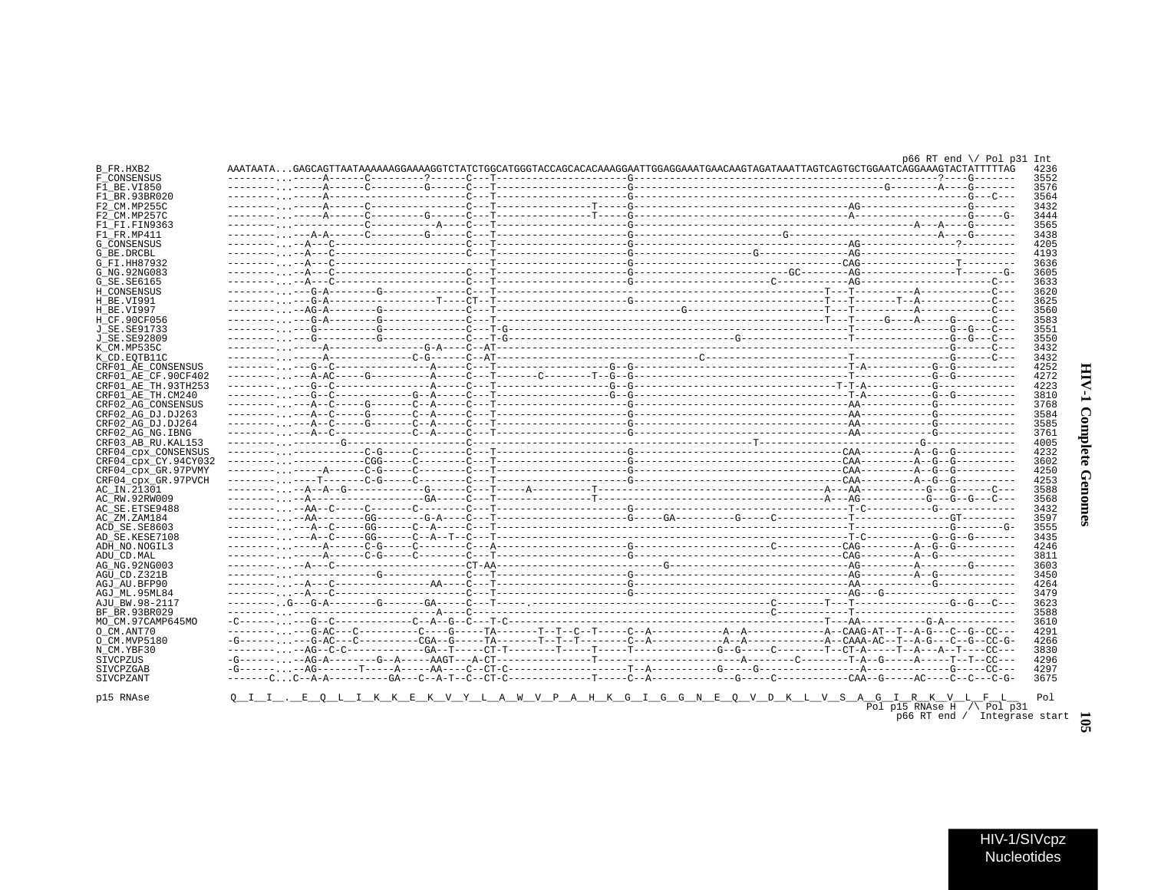# **HIV-1 Complete Genomes**

|                                        |  |  |                                                                                                                                  |  |                                 | $p66$ RT end $\lor$ Pol p31 Int | 4236             |
|----------------------------------------|--|--|----------------------------------------------------------------------------------------------------------------------------------|--|---------------------------------|---------------------------------|------------------|
| B FR.HXB2<br>F CONSENSUS               |  |  | AAATAATAGAGCAGTTAATAAAAAGGAAAAGGTCTATCTGGCATGGGTACCAGCACACAAAGGAATTGGAGGAAATGAACAAGTAGATAAATTAGTCAGTGCTGGAATCAGGAAAGTACTATTTTTAG |  |                                 |                                 | 3552             |
| F1 BE.VI850                            |  |  |                                                                                                                                  |  |                                 |                                 | 3576             |
| F1 BR.93BR020                          |  |  |                                                                                                                                  |  |                                 |                                 | 3564             |
| F2 CM.MP255C                           |  |  |                                                                                                                                  |  |                                 |                                 | 3432             |
| F2 CM.MP257C                           |  |  |                                                                                                                                  |  |                                 |                                 | 3444             |
| F1 FT FIN9363                          |  |  |                                                                                                                                  |  |                                 |                                 | 3565             |
| F1 FR.MP411                            |  |  |                                                                                                                                  |  |                                 |                                 | 3438             |
| <b>G CONSENSUS</b>                     |  |  |                                                                                                                                  |  |                                 |                                 | 4205             |
| G BE.DRCBL                             |  |  |                                                                                                                                  |  |                                 |                                 | 4193             |
| G FI.HH87932                           |  |  |                                                                                                                                  |  |                                 |                                 | 3636             |
| G NG. 92NG083                          |  |  |                                                                                                                                  |  |                                 |                                 | 3605             |
| G SE.SE6165                            |  |  |                                                                                                                                  |  |                                 |                                 | 3633             |
| H CONSENSUS                            |  |  |                                                                                                                                  |  |                                 |                                 | 3620             |
| H BE.VI991                             |  |  |                                                                                                                                  |  |                                 |                                 | 3625             |
| H BE.VI997                             |  |  |                                                                                                                                  |  |                                 |                                 | 3560             |
| H CF.90CF056                           |  |  |                                                                                                                                  |  |                                 |                                 | 3583             |
| J SE.SE91733                           |  |  |                                                                                                                                  |  |                                 |                                 | 3551             |
| J_SE.SE92809                           |  |  |                                                                                                                                  |  |                                 |                                 | 3550             |
| K CM.MP535C                            |  |  |                                                                                                                                  |  |                                 |                                 | 3432             |
| K CD.EOTB11C                           |  |  |                                                                                                                                  |  |                                 |                                 | 3432             |
| CRF01 AE CONSENSUS                     |  |  |                                                                                                                                  |  |                                 |                                 | 4252<br>HIV-     |
| CRF01 AE CF.90CF402                    |  |  |                                                                                                                                  |  |                                 |                                 | 4272             |
| CRF01 AE TH.93TH253                    |  |  |                                                                                                                                  |  |                                 |                                 | 4223             |
| CRF01 AE TH.CM240                      |  |  |                                                                                                                                  |  |                                 |                                 | 3810             |
| CRF02 AG CONSENSUS                     |  |  |                                                                                                                                  |  |                                 |                                 | 3768             |
| CRF02 AG DJ.DJ263                      |  |  |                                                                                                                                  |  |                                 |                                 | 3584<br>3585     |
| CRF02 AG DJ.DJ264<br>CRF02 AG NG. IBNG |  |  |                                                                                                                                  |  |                                 |                                 | 3761             |
| CRF03 AB RU. KAL153                    |  |  |                                                                                                                                  |  |                                 |                                 | 4005             |
| CRF04 cpx CONSENSUS                    |  |  |                                                                                                                                  |  |                                 |                                 | Complete<br>4232 |
| CRF04_cpx_CY.94CY032                   |  |  |                                                                                                                                  |  |                                 |                                 | 3602             |
| CRF04 cpx GR.97PVMY                    |  |  |                                                                                                                                  |  |                                 |                                 | 4250             |
| CRF04 cpx GR.97PVCH                    |  |  |                                                                                                                                  |  |                                 |                                 | Genom<br>4253    |
| AC IN.21301                            |  |  |                                                                                                                                  |  |                                 |                                 | 3588             |
| AC RW.92RW009                          |  |  |                                                                                                                                  |  |                                 |                                 | 3568             |
| AC SE. ETSE9488                        |  |  |                                                                                                                                  |  |                                 |                                 | 3432             |
| AC ZM.ZAM184                           |  |  |                                                                                                                                  |  |                                 |                                 | 3597<br>Ω        |
| ACD SE.SE8603                          |  |  |                                                                                                                                  |  |                                 |                                 | 3555             |
| AD SE.KESE7108                         |  |  |                                                                                                                                  |  |                                 |                                 | 3435             |
| ADH_NO.NOGIL3                          |  |  |                                                                                                                                  |  |                                 |                                 | 4246             |
| ADU CD.MAL                             |  |  |                                                                                                                                  |  |                                 |                                 | 3811             |
| AG NG. 92NG003                         |  |  |                                                                                                                                  |  |                                 |                                 | 3603             |
| AGU CD.Z321B                           |  |  |                                                                                                                                  |  |                                 |                                 | 3450             |
| AGJ AU.BFP90                           |  |  |                                                                                                                                  |  |                                 |                                 | 4264             |
| AGJ ML.95ML84                          |  |  |                                                                                                                                  |  |                                 |                                 | 3479             |
| AJU BW.98-2117                         |  |  |                                                                                                                                  |  |                                 |                                 | 3623             |
| BF BR.93BR029                          |  |  |                                                                                                                                  |  |                                 |                                 | 3588             |
| MO CM.97CAMP645MO                      |  |  |                                                                                                                                  |  |                                 |                                 | 3610             |
| O CM.ANT70                             |  |  |                                                                                                                                  |  |                                 |                                 | 4291             |
| O CM.MVP5180                           |  |  |                                                                                                                                  |  |                                 |                                 | 4266             |
| N_CM.YBF30                             |  |  |                                                                                                                                  |  |                                 |                                 | 3830             |
| SIVCPZUS                               |  |  |                                                                                                                                  |  |                                 |                                 | 4296             |
| SIVCPZGAB                              |  |  |                                                                                                                                  |  |                                 |                                 | 4297             |
| SIVCPZANT                              |  |  |                                                                                                                                  |  |                                 |                                 | 3675             |
|                                        |  |  |                                                                                                                                  |  |                                 |                                 |                  |
| p15 RNAse                              |  |  | <u>QII.EQLIKKEKVYLAWVPAHKGIGGNEQVDKLVSAGIRKVLFL</u>                                                                              |  | Pol p15 RNAse H $\land$ Pol p31 |                                 | Pol              |
|                                        |  |  |                                                                                                                                  |  |                                 | p66 RT end / Integrase start    |                  |
|                                        |  |  |                                                                                                                                  |  |                                 |                                 |                  |
|                                        |  |  |                                                                                                                                  |  |                                 |                                 |                  |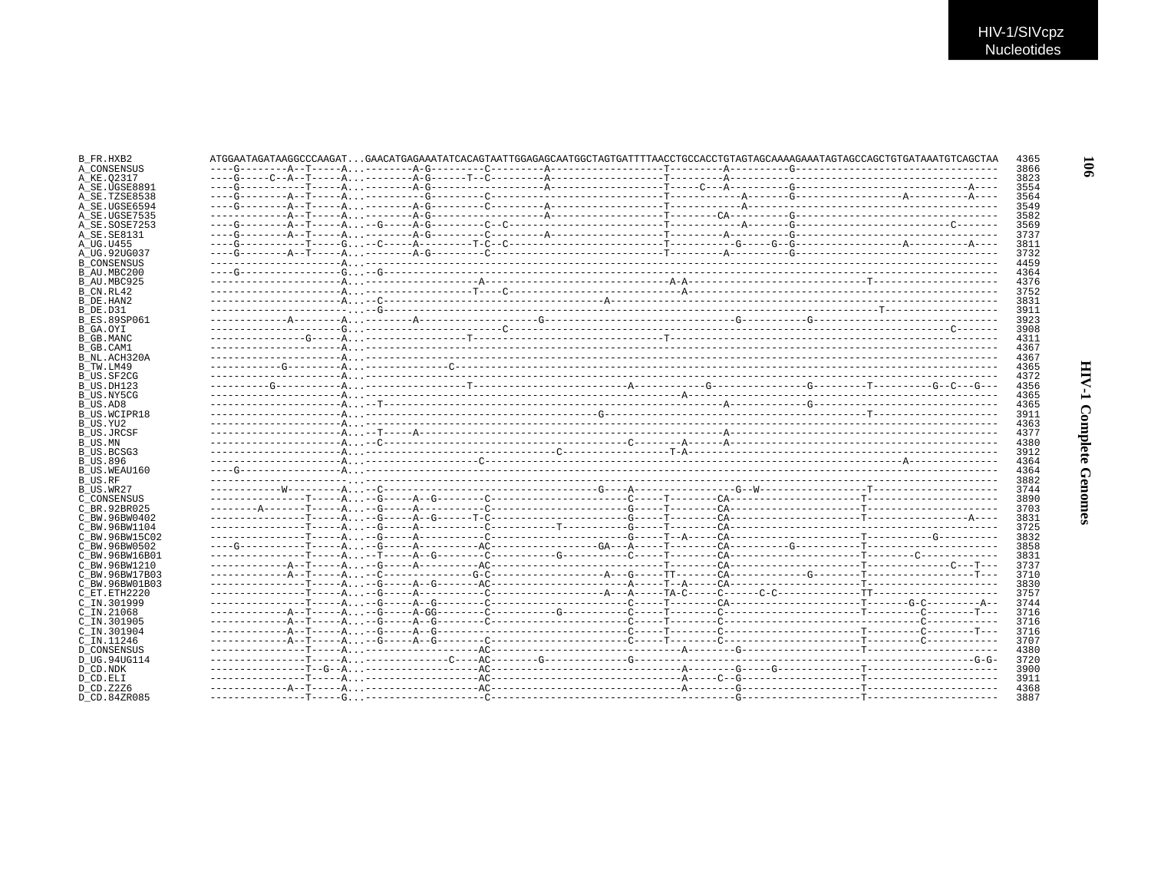| B FR.HXB2                    | ATGGAATAGATAAGGCCCAAGATGAACATGAGAAATATCACAGTAATTGGAGAGCAATGGCTAGTGATTTTAACCTGCCACCTGTAGTAGCAAAAGAAATAGTAGCCAGCTGTGATAAATGTCAGCTAA |  |  |  |  | 4365         |
|------------------------------|-----------------------------------------------------------------------------------------------------------------------------------|--|--|--|--|--------------|
| A CONSENSUS                  |                                                                                                                                   |  |  |  |  | 3866         |
| A KE.02317                   |                                                                                                                                   |  |  |  |  | 3823         |
| A SE.UGSE8891                |                                                                                                                                   |  |  |  |  | 3554         |
| A SE.TZSE8538                |                                                                                                                                   |  |  |  |  | 3564         |
| A SE.UGSE6594                |                                                                                                                                   |  |  |  |  | 3549         |
| A SE.UGSE7535                |                                                                                                                                   |  |  |  |  | 3582         |
| A SE.SOSE7253                |                                                                                                                                   |  |  |  |  | 3569         |
| A SE. SE8131                 |                                                                                                                                   |  |  |  |  | 3737         |
| A UG.U455                    |                                                                                                                                   |  |  |  |  | 3811         |
| A UG.92UG037                 |                                                                                                                                   |  |  |  |  | 3732         |
| <b>B CONSENSUS</b>           |                                                                                                                                   |  |  |  |  | 4459         |
| B AU.MBC200                  |                                                                                                                                   |  |  |  |  | 4364         |
| B AU.MBC925                  |                                                                                                                                   |  |  |  |  | 4376         |
| B CN.RL42                    |                                                                                                                                   |  |  |  |  | 3752         |
| B DE.HAN2                    |                                                                                                                                   |  |  |  |  | 3831         |
| B_DE.D31                     |                                                                                                                                   |  |  |  |  | 3911         |
| <b>B ES.89SP061</b>          |                                                                                                                                   |  |  |  |  | 3923         |
| B GA.OYI                     |                                                                                                                                   |  |  |  |  | 3908         |
| B GB.MANC                    |                                                                                                                                   |  |  |  |  | 4311         |
| B GB.CAM1                    |                                                                                                                                   |  |  |  |  | 4367         |
| B NL.ACH320A                 |                                                                                                                                   |  |  |  |  | 4367         |
| B TW.LM49                    |                                                                                                                                   |  |  |  |  | 4365         |
| B US.SF2CG                   |                                                                                                                                   |  |  |  |  | 4372         |
| B US.DH123                   |                                                                                                                                   |  |  |  |  | 4356         |
| B US.NY5CG                   |                                                                                                                                   |  |  |  |  | 4365         |
|                              |                                                                                                                                   |  |  |  |  |              |
| B US.AD8                     |                                                                                                                                   |  |  |  |  | 4365         |
| B US.WCIPR18<br>B US.YU2     |                                                                                                                                   |  |  |  |  | 3911<br>4363 |
|                              |                                                                                                                                   |  |  |  |  | 4377         |
| <b>B US.JRCSF</b><br>B US.MN |                                                                                                                                   |  |  |  |  | 4380         |
|                              |                                                                                                                                   |  |  |  |  |              |
| B US.BCSG3                   |                                                                                                                                   |  |  |  |  | 3912         |
| B US.896                     |                                                                                                                                   |  |  |  |  | 4364         |
| B US.WEAU160                 |                                                                                                                                   |  |  |  |  | 4364         |
| B US.RF                      |                                                                                                                                   |  |  |  |  | 3882         |
| B US.WR27                    |                                                                                                                                   |  |  |  |  | 3744         |
| C CONSENSUS                  |                                                                                                                                   |  |  |  |  | 3890         |
| C BR. 92BR025                |                                                                                                                                   |  |  |  |  | 3703         |
| C BW.96BW0402                |                                                                                                                                   |  |  |  |  | 3831         |
| C BW.96BW1104                |                                                                                                                                   |  |  |  |  | 3725         |
| C BW.96BW15C02               |                                                                                                                                   |  |  |  |  | 3832         |
| C BW. 96BW0502               |                                                                                                                                   |  |  |  |  | 3858         |
| C BW.96BW16B01               |                                                                                                                                   |  |  |  |  | 3831         |
| C BW.96BW1210                |                                                                                                                                   |  |  |  |  | 3737         |
| C BW.96BW17B03               |                                                                                                                                   |  |  |  |  | 3710         |
| C BW.96BW01B03               |                                                                                                                                   |  |  |  |  | 3830         |
| C ET.ETH2220                 |                                                                                                                                   |  |  |  |  | 3757         |
| C IN.301999                  |                                                                                                                                   |  |  |  |  | 3744         |
| $C$ IN. 21068                |                                                                                                                                   |  |  |  |  | 3716         |
| C IN.301905                  |                                                                                                                                   |  |  |  |  | 3716         |
| C IN.301904                  |                                                                                                                                   |  |  |  |  | 3716         |
| C IN.11246                   |                                                                                                                                   |  |  |  |  | 3707         |
| D CONSENSUS                  |                                                                                                                                   |  |  |  |  | 4380         |
| D UG.94UG114                 |                                                                                                                                   |  |  |  |  | 3720         |
| D CD.NDK                     |                                                                                                                                   |  |  |  |  | 3900         |
| D CD.ELI                     |                                                                                                                                   |  |  |  |  | 3911         |
| D CD.Z2Z6                    |                                                                                                                                   |  |  |  |  | 4368         |
| D CD.84ZR085                 |                                                                                                                                   |  |  |  |  | 3887         |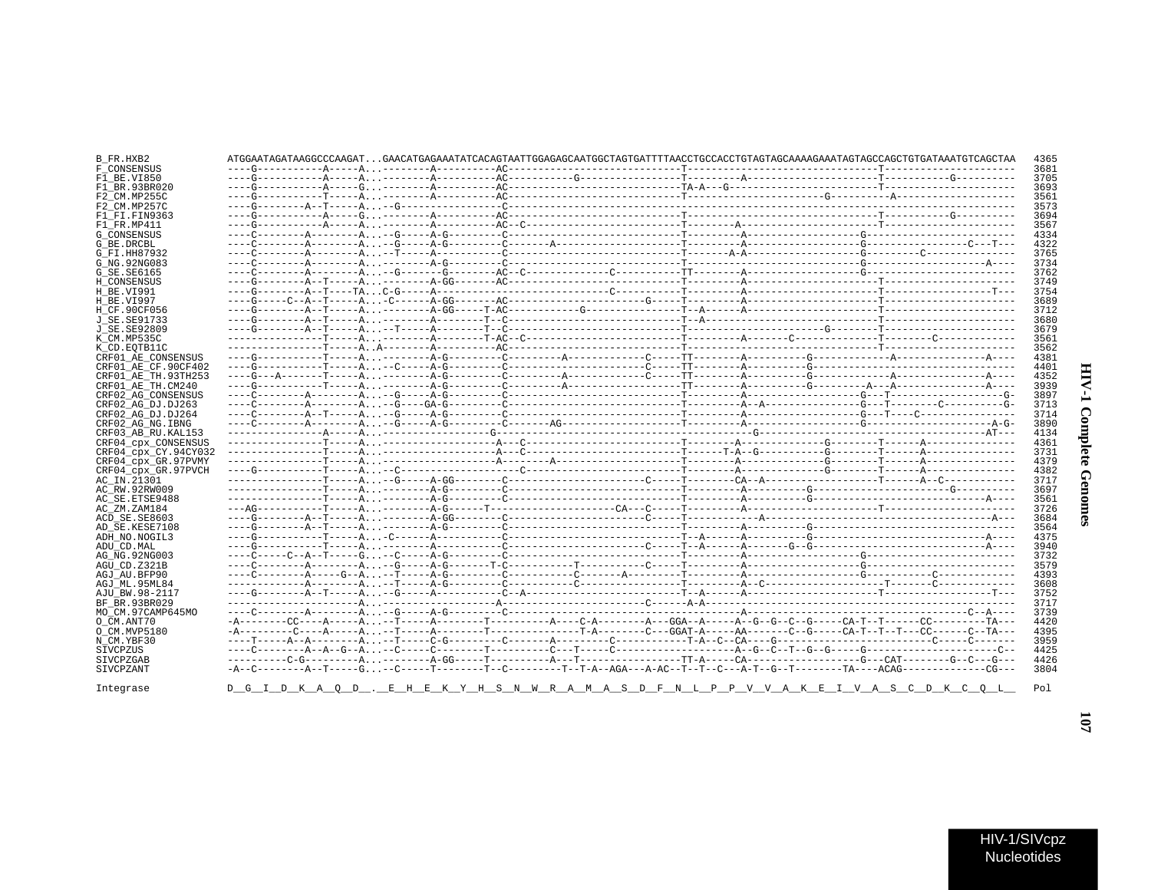| F CONSENSUS          |  |  |                                                                                         |  | 3681 |
|----------------------|--|--|-----------------------------------------------------------------------------------------|--|------|
|                      |  |  |                                                                                         |  | 3705 |
| F1 BE VT850          |  |  |                                                                                         |  |      |
| F1 BR.93BR020        |  |  |                                                                                         |  | 3693 |
| F2 CM.MP255C         |  |  |                                                                                         |  | 3561 |
| F2 CM.MP257C         |  |  |                                                                                         |  | 3573 |
| F1 FI.FIN9363        |  |  |                                                                                         |  | 3694 |
| F1 FR.MP411          |  |  |                                                                                         |  | 3567 |
|                      |  |  |                                                                                         |  |      |
| G CONSENSUS          |  |  |                                                                                         |  | 4334 |
| G BE.DRCBL           |  |  |                                                                                         |  | 4322 |
| G FI.HH87932         |  |  |                                                                                         |  | 3765 |
| G NG. 92NG083        |  |  |                                                                                         |  | 3734 |
| G SE. SE6165         |  |  |                                                                                         |  | 3762 |
|                      |  |  |                                                                                         |  |      |
| H CONSENSUS          |  |  |                                                                                         |  | 3749 |
| H BE.VI991           |  |  |                                                                                         |  | 3754 |
| H BE.VI997           |  |  |                                                                                         |  | 3689 |
| H CF.90CF056         |  |  |                                                                                         |  | 3712 |
| J SE.SE91733         |  |  |                                                                                         |  | 3680 |
|                      |  |  |                                                                                         |  | 3679 |
| J SE. SE92809        |  |  |                                                                                         |  |      |
| K CM.MP535C          |  |  |                                                                                         |  | 3561 |
| K CD.EOTB11C         |  |  |                                                                                         |  | 3562 |
| CRF01 AE CONSENSUS   |  |  |                                                                                         |  | 4381 |
| CRF01 AE CF.90CF402  |  |  |                                                                                         |  | 4401 |
|                      |  |  |                                                                                         |  |      |
| CRF01 AE TH.93TH253  |  |  |                                                                                         |  | 4352 |
| CRF01 AE TH.CM240    |  |  |                                                                                         |  | 3939 |
| CRF02 AG CONSENSUS   |  |  |                                                                                         |  | 3897 |
| CRF02 AG DJ.DJ263    |  |  |                                                                                         |  | 3713 |
| CRF02 AG DJ.DJ264    |  |  |                                                                                         |  | 3714 |
|                      |  |  |                                                                                         |  |      |
| CRF02 AG NG. IBNG    |  |  |                                                                                         |  | 3890 |
|                      |  |  |                                                                                         |  |      |
| CRF03 AB RU. KAL153  |  |  |                                                                                         |  | 4134 |
|                      |  |  |                                                                                         |  | 4361 |
| CRF04_cpx_CONSENSUS  |  |  |                                                                                         |  |      |
| CRF04 cpx CY.94CY032 |  |  |                                                                                         |  | 3731 |
| CRF04 cpx GR.97PVMY  |  |  |                                                                                         |  | 4379 |
| CRF04 cpx GR.97PVCH  |  |  |                                                                                         |  | 4382 |
| AC IN.21301          |  |  |                                                                                         |  | 3717 |
| AC RW.92RW009        |  |  |                                                                                         |  | 3697 |
|                      |  |  |                                                                                         |  |      |
| AC SE.ETSE9488       |  |  |                                                                                         |  | 3561 |
| AC ZM.ZAM184         |  |  |                                                                                         |  | 3726 |
| ACD SE.SE8603        |  |  |                                                                                         |  | 3684 |
| AD SE.KESE7108       |  |  |                                                                                         |  | 3564 |
| ADH NO.NOGIL3        |  |  |                                                                                         |  | 4375 |
|                      |  |  |                                                                                         |  | 3940 |
| ADU CD.MAL           |  |  |                                                                                         |  |      |
| AG NG.92NG003        |  |  |                                                                                         |  | 3732 |
| AGU CD.Z321B         |  |  |                                                                                         |  | 3579 |
| AGJ AU BFP90         |  |  |                                                                                         |  | 4393 |
| AGJ ML.95ML84        |  |  |                                                                                         |  | 3608 |
| AJU BW.98-2117       |  |  |                                                                                         |  | 3752 |
|                      |  |  |                                                                                         |  |      |
| BF BR. 93BR029       |  |  |                                                                                         |  | 3717 |
| MO CM.97CAMP645MO    |  |  |                                                                                         |  | 3739 |
| O CM.ANT70           |  |  |                                                                                         |  | 4420 |
| O CM.MVP5180         |  |  |                                                                                         |  | 4395 |
| N CM.YBF30           |  |  |                                                                                         |  | 3959 |
|                      |  |  |                                                                                         |  |      |
| SIVCPZUS             |  |  |                                                                                         |  | 4425 |
| SIVCPZGAB            |  |  |                                                                                         |  | 4426 |
| SIVCPZANT            |  |  |                                                                                         |  | 3804 |
|                      |  |  | D G I D K A O D . E H E K Y H S N W R A M A S D F N L P P V V A K E I V A S C D K C O L |  |      |

ATGGAATAGATAAGCCCAAGAT...GAACATGAGAAATATCACAGTAATTGGAGAGCAATGGCTAGTGATTTTAACCTGCCACCTGTAGTAGCAAAGAAATAGTAGCCAGCTGTGATAAATGTCAGCTAA

B\_FR.HXB2

 $10<sub>L</sub>$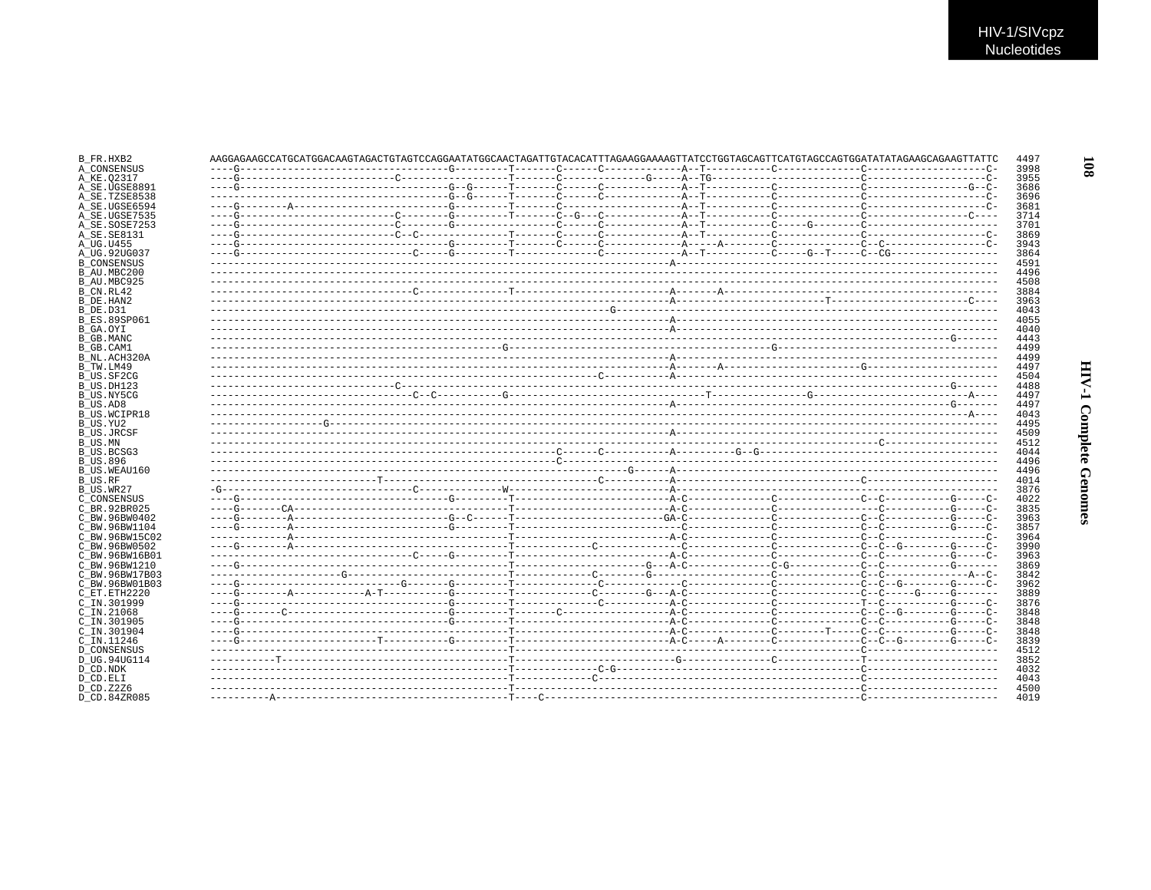|                     | AAGGAGAAGCAAGCAAGCAAGCAAGCAAGCAAGCAACGAACGAACGAACGAACGAACGAAGGAAAAGCTTATCCTGGTAGCAGTTCATGTAGCCAGTGGATATATAGAAGCAGAAGTTCATGTAGCCAGTAGAAGCAAGGAAGCTAGTATCCTAGCAGAAGTTATTCCTAGAAGCAGAAGTTATTCCTAGAAGCAGAAGCAGAAGTTATTCCTAGAAGCAGAA |  |  |  |  |
|---------------------|---------------------------------------------------------------------------------------------------------------------------------------------------------------------------------------------------------------------------------|--|--|--|--|
|                     |                                                                                                                                                                                                                                 |  |  |  |  |
|                     |                                                                                                                                                                                                                                 |  |  |  |  |
| A_SE.UGSE8891       |                                                                                                                                                                                                                                 |  |  |  |  |
| A SE.TZSE8538       |                                                                                                                                                                                                                                 |  |  |  |  |
| A SE.UGSE6594       |                                                                                                                                                                                                                                 |  |  |  |  |
| A SE.UGSE7535       |                                                                                                                                                                                                                                 |  |  |  |  |
| A SE.SOSE7253       |                                                                                                                                                                                                                                 |  |  |  |  |
|                     |                                                                                                                                                                                                                                 |  |  |  |  |
|                     |                                                                                                                                                                                                                                 |  |  |  |  |
|                     |                                                                                                                                                                                                                                 |  |  |  |  |
|                     |                                                                                                                                                                                                                                 |  |  |  |  |
|                     |                                                                                                                                                                                                                                 |  |  |  |  |
|                     |                                                                                                                                                                                                                                 |  |  |  |  |
|                     |                                                                                                                                                                                                                                 |  |  |  |  |
|                     |                                                                                                                                                                                                                                 |  |  |  |  |
|                     |                                                                                                                                                                                                                                 |  |  |  |  |
| <b>B ES.89SP061</b> |                                                                                                                                                                                                                                 |  |  |  |  |
|                     |                                                                                                                                                                                                                                 |  |  |  |  |
|                     |                                                                                                                                                                                                                                 |  |  |  |  |
|                     |                                                                                                                                                                                                                                 |  |  |  |  |
| B NL.ACH320A        |                                                                                                                                                                                                                                 |  |  |  |  |
|                     |                                                                                                                                                                                                                                 |  |  |  |  |
|                     |                                                                                                                                                                                                                                 |  |  |  |  |
|                     |                                                                                                                                                                                                                                 |  |  |  |  |
|                     |                                                                                                                                                                                                                                 |  |  |  |  |
|                     |                                                                                                                                                                                                                                 |  |  |  |  |
|                     |                                                                                                                                                                                                                                 |  |  |  |  |
| <b>B US.WCIPR18</b> |                                                                                                                                                                                                                                 |  |  |  |  |
|                     |                                                                                                                                                                                                                                 |  |  |  |  |
|                     |                                                                                                                                                                                                                                 |  |  |  |  |
|                     |                                                                                                                                                                                                                                 |  |  |  |  |
|                     |                                                                                                                                                                                                                                 |  |  |  |  |
|                     |                                                                                                                                                                                                                                 |  |  |  |  |
|                     |                                                                                                                                                                                                                                 |  |  |  |  |
|                     |                                                                                                                                                                                                                                 |  |  |  |  |
|                     |                                                                                                                                                                                                                                 |  |  |  |  |
|                     |                                                                                                                                                                                                                                 |  |  |  |  |
|                     |                                                                                                                                                                                                                                 |  |  |  |  |
|                     |                                                                                                                                                                                                                                 |  |  |  |  |
| C BW.96BW15C02      |                                                                                                                                                                                                                                 |  |  |  |  |
|                     |                                                                                                                                                                                                                                 |  |  |  |  |
|                     |                                                                                                                                                                                                                                 |  |  |  |  |
|                     |                                                                                                                                                                                                                                 |  |  |  |  |
|                     |                                                                                                                                                                                                                                 |  |  |  |  |
|                     |                                                                                                                                                                                                                                 |  |  |  |  |
|                     |                                                                                                                                                                                                                                 |  |  |  |  |
|                     |                                                                                                                                                                                                                                 |  |  |  |  |
|                     |                                                                                                                                                                                                                                 |  |  |  |  |
|                     |                                                                                                                                                                                                                                 |  |  |  |  |
|                     |                                                                                                                                                                                                                                 |  |  |  |  |
|                     |                                                                                                                                                                                                                                 |  |  |  |  |
|                     |                                                                                                                                                                                                                                 |  |  |  |  |
|                     |                                                                                                                                                                                                                                 |  |  |  |  |
|                     |                                                                                                                                                                                                                                 |  |  |  |  |
|                     |                                                                                                                                                                                                                                 |  |  |  |  |
|                     |                                                                                                                                                                                                                                 |  |  |  |  |
|                     |                                                                                                                                                                                                                                 |  |  |  |  |
|                     |                                                                                                                                                                                                                                 |  |  |  |  |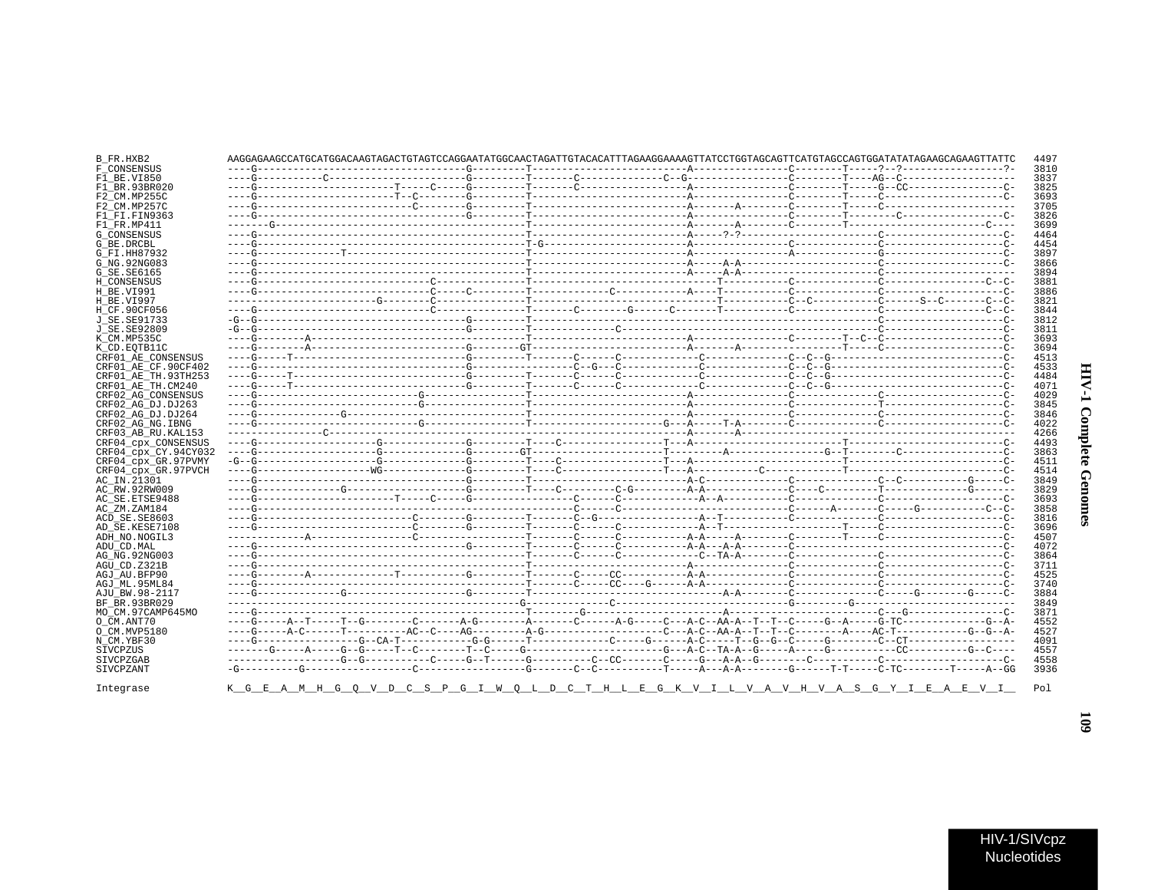| j<br>٢<br>ì |  |
|-------------|--|
| į<br>ì<br>֦ |  |

| B FR.HXB2                                                                                                                                                                                                                                                                                                                                                                                                                     | AAGGAGAAGCCATGCATGGACAAGTAGACTGTAGTCCAGGAATATGGCAACTAGATTGTACACATTTAGAAGGAAAAGTTATCCTGGTAGCAGTTCATGTAGCCAGTGGATATATAGAAGCAGAAGTTATTC |  |  |  | 4497 |
|-------------------------------------------------------------------------------------------------------------------------------------------------------------------------------------------------------------------------------------------------------------------------------------------------------------------------------------------------------------------------------------------------------------------------------|--------------------------------------------------------------------------------------------------------------------------------------|--|--|--|------|
| F CONSENSUS                                                                                                                                                                                                                                                                                                                                                                                                                   |                                                                                                                                      |  |  |  | 3810 |
| F1 BE.VI850                                                                                                                                                                                                                                                                                                                                                                                                                   |                                                                                                                                      |  |  |  | 3837 |
| F1 BR. 93BR020                                                                                                                                                                                                                                                                                                                                                                                                                |                                                                                                                                      |  |  |  | 3825 |
| F2 CM.MP255C                                                                                                                                                                                                                                                                                                                                                                                                                  |                                                                                                                                      |  |  |  | 3693 |
| F2 CM.MP257C                                                                                                                                                                                                                                                                                                                                                                                                                  |                                                                                                                                      |  |  |  | 3705 |
| F1 FI.FIN9363                                                                                                                                                                                                                                                                                                                                                                                                                 |                                                                                                                                      |  |  |  | 3826 |
| F1 FR.MP411                                                                                                                                                                                                                                                                                                                                                                                                                   |                                                                                                                                      |  |  |  | 3699 |
| <b>G CONSENSUS</b>                                                                                                                                                                                                                                                                                                                                                                                                            |                                                                                                                                      |  |  |  | 4464 |
| G_BE.DRCBL                                                                                                                                                                                                                                                                                                                                                                                                                    |                                                                                                                                      |  |  |  | 4454 |
| G FI.HH87932                                                                                                                                                                                                                                                                                                                                                                                                                  |                                                                                                                                      |  |  |  | 3897 |
| G NG. 92NG083                                                                                                                                                                                                                                                                                                                                                                                                                 |                                                                                                                                      |  |  |  | 3866 |
| G_SE.SE6165                                                                                                                                                                                                                                                                                                                                                                                                                   |                                                                                                                                      |  |  |  | 3894 |
| H CONSENSUS                                                                                                                                                                                                                                                                                                                                                                                                                   |                                                                                                                                      |  |  |  | 3881 |
| H BE.VI991                                                                                                                                                                                                                                                                                                                                                                                                                    |                                                                                                                                      |  |  |  | 3886 |
| H BE.VI997                                                                                                                                                                                                                                                                                                                                                                                                                    |                                                                                                                                      |  |  |  | 3821 |
| H CF.90CF056                                                                                                                                                                                                                                                                                                                                                                                                                  |                                                                                                                                      |  |  |  | 3844 |
| J SE. SE91733                                                                                                                                                                                                                                                                                                                                                                                                                 |                                                                                                                                      |  |  |  | 3812 |
| J SE. SE92809                                                                                                                                                                                                                                                                                                                                                                                                                 |                                                                                                                                      |  |  |  | 3811 |
| K CM.MP535C                                                                                                                                                                                                                                                                                                                                                                                                                   |                                                                                                                                      |  |  |  | 3693 |
| K CD.EOTB11C                                                                                                                                                                                                                                                                                                                                                                                                                  |                                                                                                                                      |  |  |  | 3694 |
| CRF01 AE CONSENSUS                                                                                                                                                                                                                                                                                                                                                                                                            |                                                                                                                                      |  |  |  | 4513 |
| CRF01_AE_CF.90CF402                                                                                                                                                                                                                                                                                                                                                                                                           |                                                                                                                                      |  |  |  | 4533 |
| CRF01 AE TH.93TH253                                                                                                                                                                                                                                                                                                                                                                                                           |                                                                                                                                      |  |  |  | 4484 |
| CRF01 AE TH.CM240                                                                                                                                                                                                                                                                                                                                                                                                             |                                                                                                                                      |  |  |  | 4071 |
| CRF02 AG CONSENSUS                                                                                                                                                                                                                                                                                                                                                                                                            |                                                                                                                                      |  |  |  | 4029 |
| CRF02 AG DJ.DJ263                                                                                                                                                                                                                                                                                                                                                                                                             |                                                                                                                                      |  |  |  | 3845 |
| CRF02 AG DJ.DJ264                                                                                                                                                                                                                                                                                                                                                                                                             |                                                                                                                                      |  |  |  | 3846 |
| CRF02 AG NG. IBNG                                                                                                                                                                                                                                                                                                                                                                                                             |                                                                                                                                      |  |  |  | 4022 |
| CRF03 AB RU. KAL153                                                                                                                                                                                                                                                                                                                                                                                                           |                                                                                                                                      |  |  |  |      |
|                                                                                                                                                                                                                                                                                                                                                                                                                               |                                                                                                                                      |  |  |  | 4266 |
|                                                                                                                                                                                                                                                                                                                                                                                                                               |                                                                                                                                      |  |  |  | 4493 |
|                                                                                                                                                                                                                                                                                                                                                                                                                               |                                                                                                                                      |  |  |  | 3863 |
|                                                                                                                                                                                                                                                                                                                                                                                                                               |                                                                                                                                      |  |  |  | 4511 |
|                                                                                                                                                                                                                                                                                                                                                                                                                               |                                                                                                                                      |  |  |  | 4514 |
|                                                                                                                                                                                                                                                                                                                                                                                                                               |                                                                                                                                      |  |  |  | 3849 |
|                                                                                                                                                                                                                                                                                                                                                                                                                               |                                                                                                                                      |  |  |  | 3829 |
|                                                                                                                                                                                                                                                                                                                                                                                                                               |                                                                                                                                      |  |  |  | 3693 |
|                                                                                                                                                                                                                                                                                                                                                                                                                               |                                                                                                                                      |  |  |  | 3858 |
|                                                                                                                                                                                                                                                                                                                                                                                                                               |                                                                                                                                      |  |  |  | 3816 |
|                                                                                                                                                                                                                                                                                                                                                                                                                               |                                                                                                                                      |  |  |  | 3696 |
|                                                                                                                                                                                                                                                                                                                                                                                                                               |                                                                                                                                      |  |  |  | 4507 |
|                                                                                                                                                                                                                                                                                                                                                                                                                               |                                                                                                                                      |  |  |  | 4072 |
|                                                                                                                                                                                                                                                                                                                                                                                                                               |                                                                                                                                      |  |  |  | 3864 |
|                                                                                                                                                                                                                                                                                                                                                                                                                               |                                                                                                                                      |  |  |  | 3711 |
|                                                                                                                                                                                                                                                                                                                                                                                                                               |                                                                                                                                      |  |  |  | 4525 |
|                                                                                                                                                                                                                                                                                                                                                                                                                               |                                                                                                                                      |  |  |  | 3740 |
|                                                                                                                                                                                                                                                                                                                                                                                                                               |                                                                                                                                      |  |  |  | 3884 |
|                                                                                                                                                                                                                                                                                                                                                                                                                               |                                                                                                                                      |  |  |  | 3849 |
|                                                                                                                                                                                                                                                                                                                                                                                                                               |                                                                                                                                      |  |  |  | 3871 |
|                                                                                                                                                                                                                                                                                                                                                                                                                               |                                                                                                                                      |  |  |  | 4552 |
|                                                                                                                                                                                                                                                                                                                                                                                                                               |                                                                                                                                      |  |  |  | 4527 |
|                                                                                                                                                                                                                                                                                                                                                                                                                               |                                                                                                                                      |  |  |  | 4091 |
|                                                                                                                                                                                                                                                                                                                                                                                                                               |                                                                                                                                      |  |  |  | 4557 |
| CRF04 cpx CONSENSUS<br>CRF04 CDX CY.94CY032<br>CRF04 cpx GR.97PVMY<br>CRF04 cpx GR.97PVCH<br>AC IN.21301<br>AC RW.92RW009<br>AC SE.ETSE9488<br>AC ZM.ZAM184<br>ACD SE.SE8603<br>AD SE.KESE7108<br>ADH NO.NOGIL3<br>ADU CD.MAL<br>AG NG. 92NG003<br>AGU CD.Z321B<br>AGJ AU.BFP90<br>AGJ ML.95ML84<br>AJU BW.98-2117<br>BF BR.93BR029<br>MO CM.97CAMP645MO<br>O CM.ANT70<br>O CM.MVP5180<br>N CM.YBF30<br>SIVCPZUS<br>SIVCPZGAB |                                                                                                                                      |  |  |  | 4558 |
| SIVCPZANT                                                                                                                                                                                                                                                                                                                                                                                                                     |                                                                                                                                      |  |  |  | 3936 |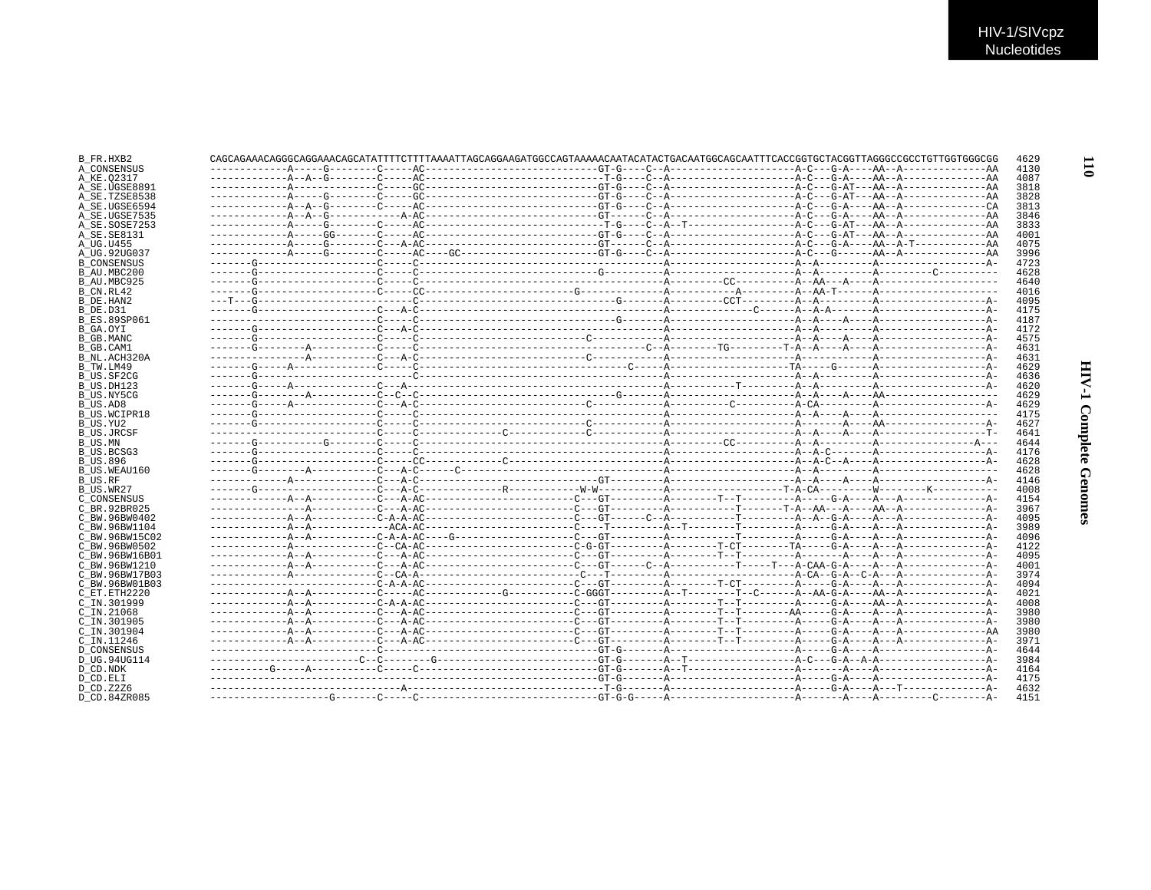| B FR.HXB2                 |  |  |  |  |
|---------------------------|--|--|--|--|
| A CONSENSUS               |  |  |  |  |
| A KE.02317                |  |  |  |  |
| A SE.UGSE8891             |  |  |  |  |
| A SE.TZSE8538             |  |  |  |  |
| A SE.UGSE6594             |  |  |  |  |
| A SE.UGSE7535             |  |  |  |  |
| A SE.SOSE7253             |  |  |  |  |
| A SE. SE8131              |  |  |  |  |
| A UG.U455                 |  |  |  |  |
| A UG.92UG037              |  |  |  |  |
| <b>B CONSENSUS</b>        |  |  |  |  |
| B AU.MBC200               |  |  |  |  |
| B AU.MBC925               |  |  |  |  |
| B_CN.RL42                 |  |  |  |  |
| B DE.HAN2                 |  |  |  |  |
| B DE.D31                  |  |  |  |  |
| <b>B ES.89SP061</b>       |  |  |  |  |
| B GA.OYI                  |  |  |  |  |
|                           |  |  |  |  |
| B GB.MANC                 |  |  |  |  |
| B GB.CAM1<br>B_NL.ACH320A |  |  |  |  |
|                           |  |  |  |  |
| B_TW.LM49                 |  |  |  |  |
| B US.SF2CG                |  |  |  |  |
| B_US.DH123                |  |  |  |  |
| B US NY5CG                |  |  |  |  |
| B US.AD8                  |  |  |  |  |
| B US.WCIPR18              |  |  |  |  |
| B US.YU2                  |  |  |  |  |
| <b>B US.JRCSF</b>         |  |  |  |  |
| B US.MN                   |  |  |  |  |
| B_US.BCSG3                |  |  |  |  |
| <b>B US.896</b>           |  |  |  |  |
| B US.WEAU160              |  |  |  |  |
| B US.RF                   |  |  |  |  |
| B US.WR27                 |  |  |  |  |
| C CONSENSUS               |  |  |  |  |
| C BR.92BR025              |  |  |  |  |
| C BW.96BW0402             |  |  |  |  |
| C BW.96BW1104             |  |  |  |  |
| C BW.96BW15C02            |  |  |  |  |
| C BW.96BW0502             |  |  |  |  |
| C BW.96BW16B01            |  |  |  |  |
| C BW.96BW1210             |  |  |  |  |
| C BW.96BW17B03            |  |  |  |  |
| C BW.96BW01B03            |  |  |  |  |
| C ET. ETH2220             |  |  |  |  |
| C IN.301999               |  |  |  |  |
|                           |  |  |  |  |
| $C$ IN. 21068             |  |  |  |  |
| C IN.301905               |  |  |  |  |
| C IN.301904               |  |  |  |  |
| C IN.11246                |  |  |  |  |
| <b>D CONSENSUS</b>        |  |  |  |  |
| D UG.94UG114              |  |  |  |  |
| D CD.NDK                  |  |  |  |  |
| D CD.ELI                  |  |  |  |  |
| D CD.Z2Z6                 |  |  |  |  |
| D CD.84ZR085              |  |  |  |  |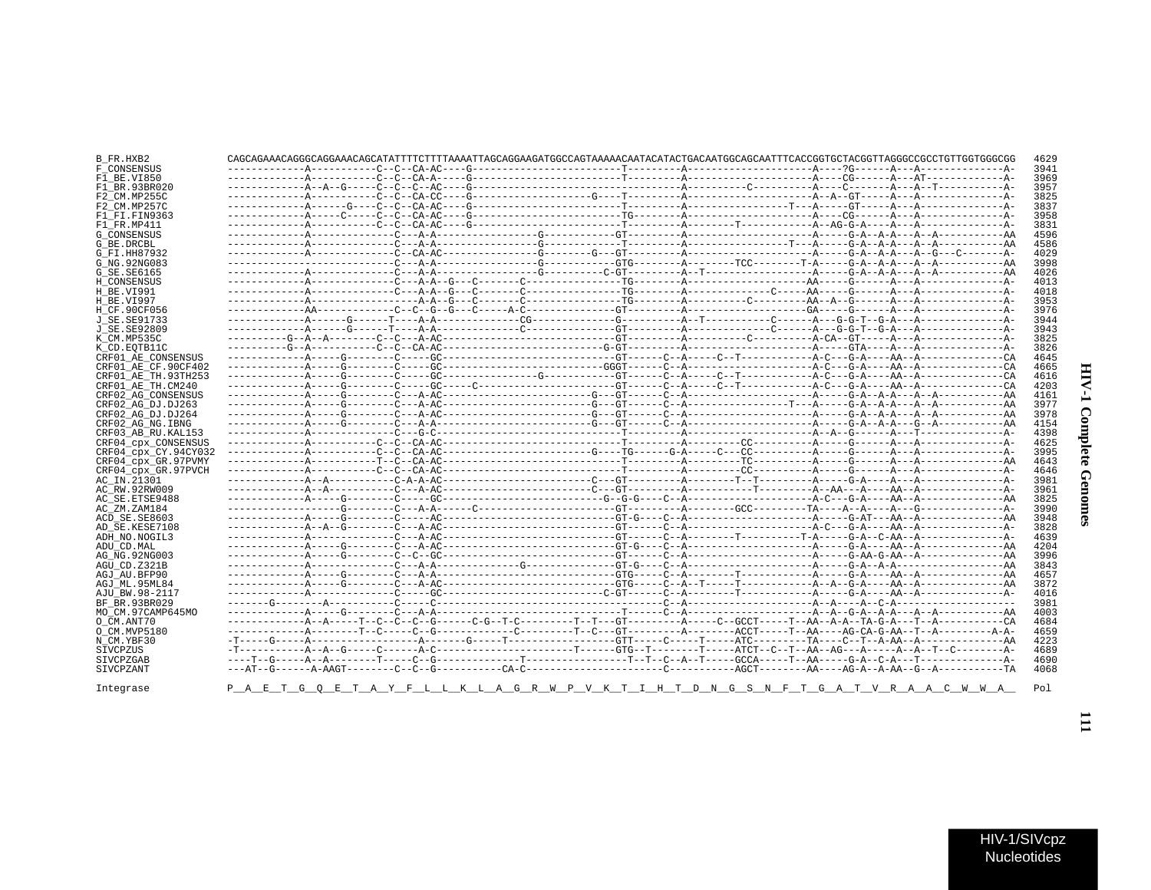| –––– – AA          | 3998 |     |
|--------------------|------|-----|
| $---A$             | 4026 |     |
| $---A-$            | 4013 |     |
| $---A-$            | 4018 |     |
| $---A-$            | 3953 |     |
| $---A-$            | 3976 |     |
| $---A-$            | 3944 |     |
| $---A-$            | 3943 |     |
| $---A-$            | 3825 |     |
| $---A-$            | 3826 |     |
| $---CA$            | 4645 |     |
| $---CA$            | 4665 |     |
| $---CA$            | 4616 |     |
| $---CA$            | 4203 |     |
| $---A$             | 4161 |     |
| $---A$             | 3977 | ð   |
| $---A$             | 3978 |     |
| $---AA$            | 4154 |     |
| $---A-$            | 4398 |     |
| $---A-$            | 4625 |     |
| $---A-$            | 3995 | ete |
| $---AA$            | 4643 |     |
| $---A-$            | 4646 |     |
| $---A-$            | 3981 |     |
| $---A-$            | 3961 |     |
| $---AA$            | 3825 |     |
| $---A-$            | 3990 |     |
| $---AA$<br>$---A-$ | 3948 | 8   |
|                    | 3828 |     |
| $---A-$<br>$---AA$ | 4639 |     |
|                    | 4204 |     |
| $---AA$            | 3996 |     |
| $---AA$            | 3843 |     |
| $---A$             | 4657 |     |

| B_FR.HXB2            |  |                                                                                         |  |  | 4629 |
|----------------------|--|-----------------------------------------------------------------------------------------|--|--|------|
| F CONSENSUS          |  |                                                                                         |  |  | 3943 |
| F1 BE.VI850          |  |                                                                                         |  |  | 3969 |
| F1 BR.93BR020        |  |                                                                                         |  |  | 395  |
| F2 CM.MP255C         |  |                                                                                         |  |  | 3825 |
| F2 CM.MP257C         |  |                                                                                         |  |  | 383  |
| F1 FI.FIN9363        |  |                                                                                         |  |  | 3958 |
| F1 FR.MP411          |  |                                                                                         |  |  | 383  |
| <b>G CONSENSUS</b>   |  |                                                                                         |  |  | 4596 |
| G BE.DRCBL           |  |                                                                                         |  |  | 4586 |
| G FI.HH87932         |  |                                                                                         |  |  | 4029 |
| G NG. 92NG083        |  |                                                                                         |  |  | 3998 |
| G SE.SE6165          |  |                                                                                         |  |  | 4026 |
|                      |  |                                                                                         |  |  |      |
| H CONSENSUS          |  |                                                                                         |  |  | 401. |
| H BE.VI991           |  |                                                                                         |  |  | 4018 |
| H BE.VI997           |  |                                                                                         |  |  | 3953 |
| H CF.90CF056         |  |                                                                                         |  |  | 3976 |
| J SE.SE91733         |  |                                                                                         |  |  | 394  |
| J SE. SE92809        |  |                                                                                         |  |  | 3943 |
| K CM.MP535C          |  |                                                                                         |  |  | 382! |
| K CD.EOTB11C         |  |                                                                                         |  |  | 3826 |
| CRF01 AE CONSENSUS   |  |                                                                                         |  |  | 4645 |
| CRF01 AE CF.90CF402  |  |                                                                                         |  |  | 466! |
| CRF01 AE TH.93TH253  |  |                                                                                         |  |  | 461  |
| CRF01 AE TH.CM240    |  |                                                                                         |  |  | 420. |
| CRF02 AG CONSENSUS   |  |                                                                                         |  |  | 416  |
| CRF02 AG DJ.DJ263    |  |                                                                                         |  |  | 397  |
| CRF02 AG DJ.DJ264    |  |                                                                                         |  |  | 3978 |
| CRF02 AG NG. IBNG    |  |                                                                                         |  |  | 415  |
| CRF03 AB RU. KAL153  |  |                                                                                         |  |  | 4398 |
| CRF04_cpx_CONSENSUS  |  |                                                                                         |  |  | 462  |
| CRF04 cpx CY.94CY032 |  |                                                                                         |  |  | 3995 |
| CRF04 cpx GR.97PVMY  |  |                                                                                         |  |  | 464. |
| CRF04 cpx GR.97PVCH  |  |                                                                                         |  |  | 464  |
| AC IN.21301          |  |                                                                                         |  |  | 3983 |
| AC RW.92RW009        |  |                                                                                         |  |  | 3963 |
| AC SE. ETSE9488      |  |                                                                                         |  |  | 3825 |
|                      |  |                                                                                         |  |  |      |
| AC ZM.ZAM184         |  |                                                                                         |  |  | 3990 |
| ACD SE.SE8603        |  |                                                                                         |  |  | 3948 |
| AD SE.KESE7108       |  |                                                                                         |  |  | 3828 |
| ADH NO.NOGIL3        |  |                                                                                         |  |  | 4639 |
| ADU CD.MAL           |  |                                                                                         |  |  | 420٠ |
| AG NG. 92NG003       |  |                                                                                         |  |  | 3996 |
| AGU CD.Z321B         |  |                                                                                         |  |  | 384  |
| AGJ AU BFP90         |  |                                                                                         |  |  | 465  |
| AGJ ML.95ML84        |  |                                                                                         |  |  | 3873 |
| AJU BW.98-2117       |  |                                                                                         |  |  | 401  |
| BF BR.93BR029        |  |                                                                                         |  |  | 3983 |
| MO_CM.97CAMP645MO    |  |                                                                                         |  |  | 400. |
| O CM.ANT70           |  |                                                                                         |  |  | 468. |
| O CM.MVP5180         |  |                                                                                         |  |  | 4659 |
| N CM.YBF30           |  |                                                                                         |  |  | 4223 |
| SIVCPZUS             |  |                                                                                         |  |  | 4689 |
| SIVCPZGAB            |  |                                                                                         |  |  | 4690 |
| SIVCPZANT            |  |                                                                                         |  |  | 4068 |
|                      |  |                                                                                         |  |  |      |
| Integrase            |  | P A E T G O E T A Y F L L K L A G R W P V K T I H T D N G S N F T G A T V R A A C W W A |  |  | Pol  |
|                      |  |                                                                                         |  |  |      |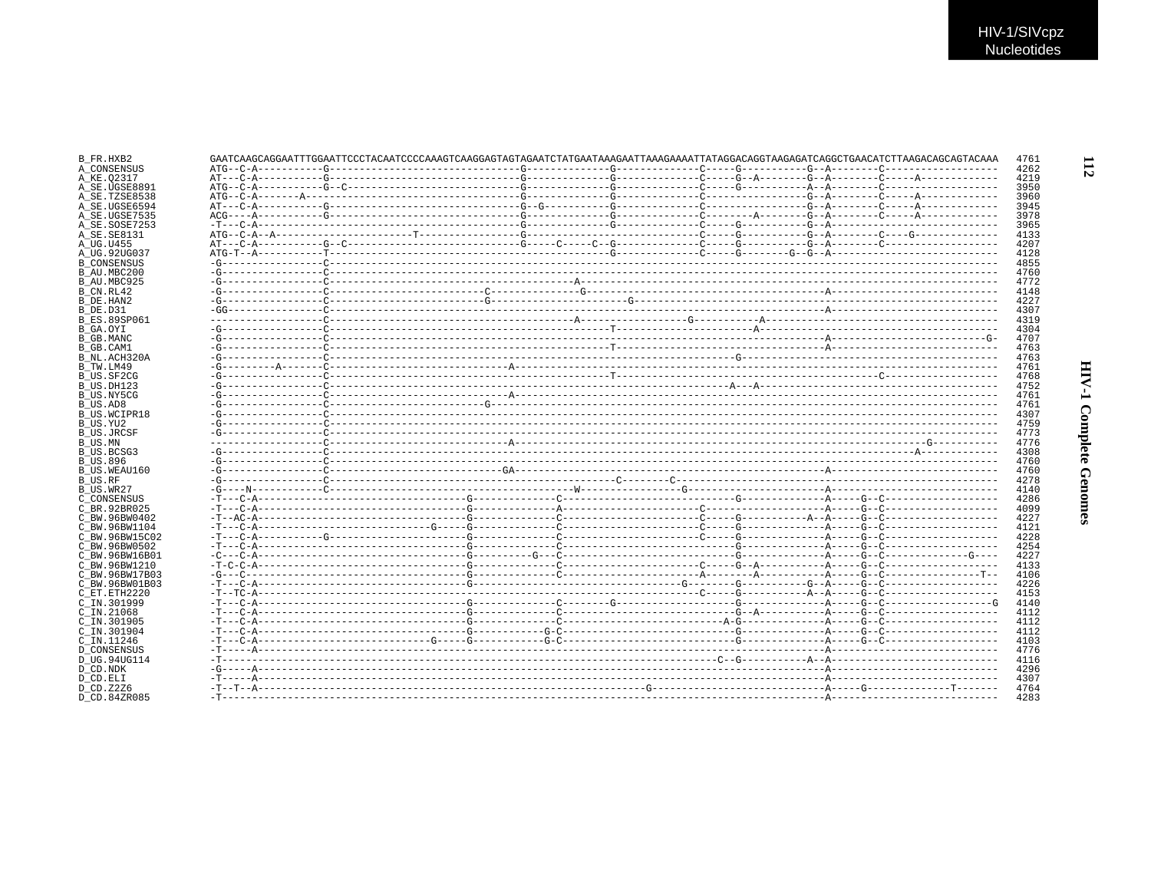| B FR.HXB2                 | GAATCAAGCAGGAATTTGGAATTCCCTACAATCCCCAAAGTCAAGGAGTAGTAGAATCTATGAATAAAGAATTAAAGAAATTATAGGACAGGTAAGAGATCAGGCTGAACATCTTAAGACACAGTACAAAAAA |  |  |  | 4761         |
|---------------------------|---------------------------------------------------------------------------------------------------------------------------------------|--|--|--|--------------|
| A CONSENSUS               |                                                                                                                                       |  |  |  | 4262         |
| A KE.02317                |                                                                                                                                       |  |  |  | 4219         |
| A SE.UGSE8891             |                                                                                                                                       |  |  |  | 3950         |
| A SE.TZSE8538             |                                                                                                                                       |  |  |  | 3960         |
| A SE.UGSE6594             |                                                                                                                                       |  |  |  | 3945         |
| A SE.UGSE7535             |                                                                                                                                       |  |  |  | 3978         |
| A SE.SOSE7253             |                                                                                                                                       |  |  |  | 3965         |
| A SE. SE8131              |                                                                                                                                       |  |  |  | 4133         |
| A UG.U455                 |                                                                                                                                       |  |  |  | 4207         |
| A UG.92UG037              |                                                                                                                                       |  |  |  | 4128         |
| <b>B CONSENSUS</b>        |                                                                                                                                       |  |  |  | 4855         |
| B AU.MBC200               |                                                                                                                                       |  |  |  | 4760         |
| B AU.MBC925               |                                                                                                                                       |  |  |  | 4772         |
| B CN.RL42                 |                                                                                                                                       |  |  |  | 4148         |
| B DE.HAN2                 |                                                                                                                                       |  |  |  | 4227         |
| B DE.D31                  |                                                                                                                                       |  |  |  | 4307         |
| <b>B ES.89SP061</b>       |                                                                                                                                       |  |  |  | 4319         |
| B GA.OYI                  |                                                                                                                                       |  |  |  | 4304         |
| B GB.MANC                 |                                                                                                                                       |  |  |  | 4707         |
| B GB.CAM1                 |                                                                                                                                       |  |  |  | 4763         |
| B NL.ACH320A              |                                                                                                                                       |  |  |  | 4763         |
| B TW.LM49                 |                                                                                                                                       |  |  |  | 4761         |
| B US.SF2CG                |                                                                                                                                       |  |  |  | 4768         |
|                           |                                                                                                                                       |  |  |  | 4752         |
| B_US.DH123                |                                                                                                                                       |  |  |  |              |
| B US.NY5CG                |                                                                                                                                       |  |  |  | 4761         |
| B US.AD8                  |                                                                                                                                       |  |  |  | 4761         |
| <b>B US.WCIPR18</b>       |                                                                                                                                       |  |  |  | 4307         |
| B_US.YU2                  |                                                                                                                                       |  |  |  | 4759         |
| <b>B US.JRCSF</b>         |                                                                                                                                       |  |  |  | 4773         |
| B_US.MN                   |                                                                                                                                       |  |  |  | 4776         |
| B US.BCSG3                |                                                                                                                                       |  |  |  | 4308         |
| <b>B US.896</b>           |                                                                                                                                       |  |  |  | 4760         |
| B US.WEAU160              |                                                                                                                                       |  |  |  | 4760         |
| B US.RF                   |                                                                                                                                       |  |  |  | 4278         |
| B_US.WR27                 |                                                                                                                                       |  |  |  | 4140         |
| C CONSENSUS               |                                                                                                                                       |  |  |  | 4286         |
| C BR. 92BR025             |                                                                                                                                       |  |  |  | 4099         |
| C BW.96BW0402             |                                                                                                                                       |  |  |  | 4227         |
| C BW.96BW1104             |                                                                                                                                       |  |  |  | 4121         |
| C BW.96BW15C02            |                                                                                                                                       |  |  |  | 4228         |
| C BW. 96BW0502            |                                                                                                                                       |  |  |  | 4254         |
| C BW.96BW16B01            |                                                                                                                                       |  |  |  | 4227         |
| C BW. 96BW1210            |                                                                                                                                       |  |  |  | 4133         |
| C BW.96BW17B03            |                                                                                                                                       |  |  |  | 4106         |
| C BW.96BW01B03            |                                                                                                                                       |  |  |  | 4226         |
| C_ET.ETH2220              |                                                                                                                                       |  |  |  | 4153         |
| C IN.301999               |                                                                                                                                       |  |  |  | 4140         |
| $C$ IN. 21068             |                                                                                                                                       |  |  |  | 4112         |
| C IN.301905               |                                                                                                                                       |  |  |  | 4112         |
|                           |                                                                                                                                       |  |  |  |              |
| $C$ IN.301904             |                                                                                                                                       |  |  |  | 4112         |
| C IN.11246                |                                                                                                                                       |  |  |  | 4103         |
| <b>D CONSENSUS</b>        |                                                                                                                                       |  |  |  | 4776         |
| D UG.94UG114              |                                                                                                                                       |  |  |  | 4116         |
| D CD.NDK                  |                                                                                                                                       |  |  |  | 4296         |
| D CD.ELI                  |                                                                                                                                       |  |  |  | 4307         |
|                           |                                                                                                                                       |  |  |  |              |
| D CD.Z2Z6<br>D CD.84ZR085 |                                                                                                                                       |  |  |  | 4764<br>4283 |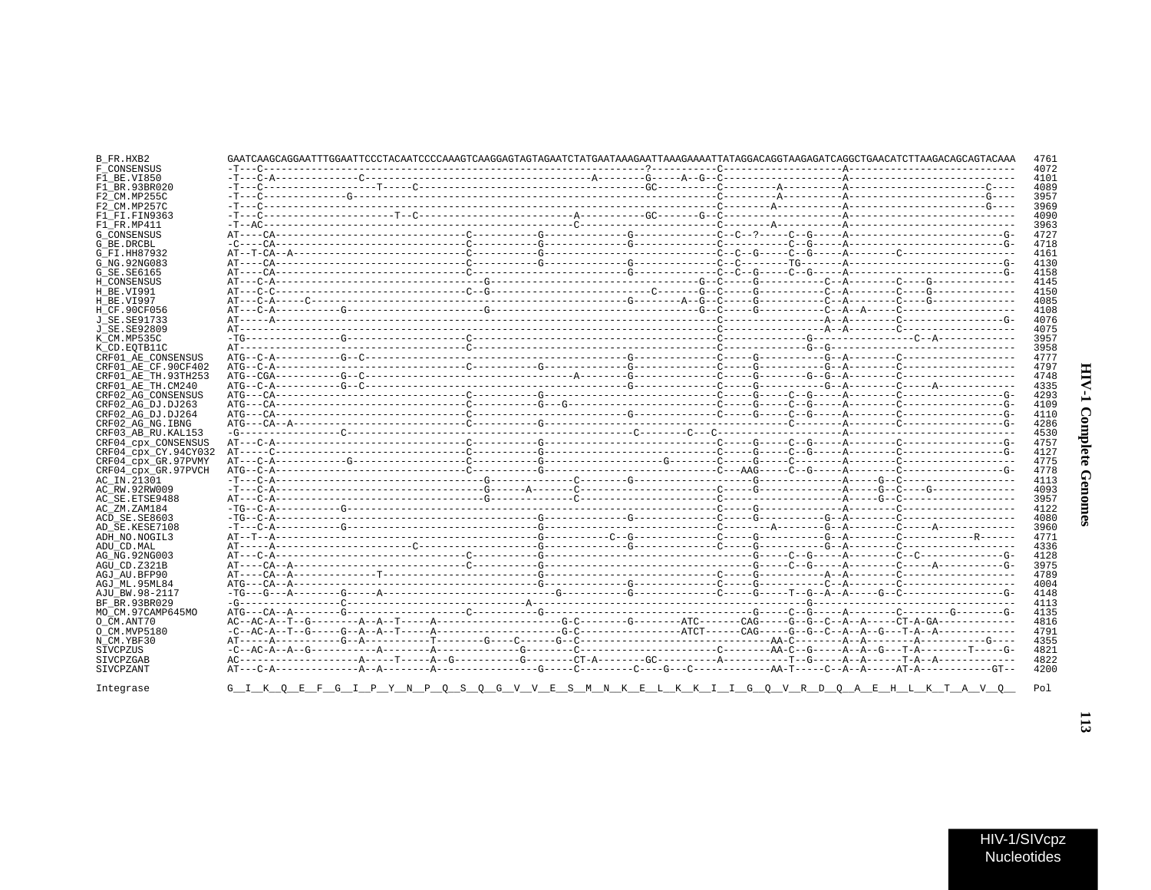| B_FR.HXB2            | GAATCAAGCAGGAATTTGGAATTCCCTACAATCCCCAAAGTCAAGGAGTAGTAGAATCTATGAATAAAGAATTAAAGAAAATTATAGGACAGGTAAGAGATCAGGCTGAACATCTTAAGACAGCAGTACAAA |  |  |  | 4761 |
|----------------------|--------------------------------------------------------------------------------------------------------------------------------------|--|--|--|------|
| F CONSENSUS          |                                                                                                                                      |  |  |  | 4072 |
| F1 BE.VI850          |                                                                                                                                      |  |  |  | 4101 |
| F1 BR.93BR020        |                                                                                                                                      |  |  |  | 4089 |
| F2 CM.MP255C         |                                                                                                                                      |  |  |  | 3957 |
| F2 CM.MP257C         |                                                                                                                                      |  |  |  | 3969 |
|                      |                                                                                                                                      |  |  |  | 4090 |
| F1 FI.FIN9363        |                                                                                                                                      |  |  |  |      |
| F1 FR.MP411          |                                                                                                                                      |  |  |  | 3963 |
| <b>G CONSENSUS</b>   |                                                                                                                                      |  |  |  | 4727 |
| G BE.DRCBL           |                                                                                                                                      |  |  |  | 4718 |
| G FI.HH87932         |                                                                                                                                      |  |  |  | 4161 |
| G NG. 92NG083        |                                                                                                                                      |  |  |  | 4130 |
| G SE. SE6165         |                                                                                                                                      |  |  |  | 4158 |
| H CONSENSUS          |                                                                                                                                      |  |  |  | 4145 |
| H BE.VI991           |                                                                                                                                      |  |  |  | 4150 |
| H BE.VI997           |                                                                                                                                      |  |  |  | 4085 |
| H CF.90CF056         |                                                                                                                                      |  |  |  | 4108 |
| J SE.SE91733         |                                                                                                                                      |  |  |  | 4076 |
| J SE.SE92809         |                                                                                                                                      |  |  |  | 4075 |
|                      |                                                                                                                                      |  |  |  | 3957 |
| K CM.MP535C          |                                                                                                                                      |  |  |  |      |
| K CD.EOTB11C         |                                                                                                                                      |  |  |  | 3958 |
| CRF01 AE CONSENSUS   |                                                                                                                                      |  |  |  | 4777 |
| CRF01_AE_CF.90CF402  |                                                                                                                                      |  |  |  | 4797 |
| CRF01 AE TH.93TH253  |                                                                                                                                      |  |  |  | 4748 |
| CRF01 AE TH.CM240    |                                                                                                                                      |  |  |  | 4335 |
| CRF02 AG CONSENSUS   |                                                                                                                                      |  |  |  | 4293 |
| CRF02 AG DJ.DJ263    |                                                                                                                                      |  |  |  | 4109 |
| CRF02 AG DJ.DJ264    |                                                                                                                                      |  |  |  | 4110 |
| CRF02 AG NG. IBNG    |                                                                                                                                      |  |  |  | 4286 |
| CRF03 AB RU. KAL153  |                                                                                                                                      |  |  |  | 4530 |
| CRF04 cpx CONSENSUS  |                                                                                                                                      |  |  |  | 4757 |
|                      |                                                                                                                                      |  |  |  |      |
| CRF04 cpx CY.94CY032 |                                                                                                                                      |  |  |  | 4127 |
| CRF04 cpx GR.97PVMY  |                                                                                                                                      |  |  |  | 4775 |
| CRF04 cpx GR.97PVCH  |                                                                                                                                      |  |  |  | 4778 |
| AC IN.21301          |                                                                                                                                      |  |  |  | 4113 |
| AC RW.92RW009        |                                                                                                                                      |  |  |  | 4093 |
| AC SE. ETSE9488      |                                                                                                                                      |  |  |  | 3957 |
| AC ZM.ZAM184         |                                                                                                                                      |  |  |  | 4122 |
| ACD SE.SE8603        |                                                                                                                                      |  |  |  | 4080 |
| AD SE.KESE7108       |                                                                                                                                      |  |  |  | 3960 |
| ADH NO. NOGIL3       |                                                                                                                                      |  |  |  | 4771 |
| ADU CD.MAL           |                                                                                                                                      |  |  |  | 4336 |
| AG NG. 92NG003       |                                                                                                                                      |  |  |  | 4128 |
| AGU CD.Z321B         |                                                                                                                                      |  |  |  | 3975 |
|                      |                                                                                                                                      |  |  |  | 4789 |
| AGJ AU.BFP90         |                                                                                                                                      |  |  |  |      |
| AGJ ML.95ML84        |                                                                                                                                      |  |  |  | 4004 |
| AJU BW.98-2117       |                                                                                                                                      |  |  |  | 4148 |
| BF BR.93BR029        |                                                                                                                                      |  |  |  | 4113 |
| MO CM.97CAMP645MO    |                                                                                                                                      |  |  |  | 4135 |
| O CM.ANT70           |                                                                                                                                      |  |  |  | 4816 |
| O CM.MVP5180         |                                                                                                                                      |  |  |  | 4791 |
| N CM.YBF30           |                                                                                                                                      |  |  |  | 4355 |
| SIVCPZUS             |                                                                                                                                      |  |  |  | 4821 |
| SIVCPZGAB            |                                                                                                                                      |  |  |  | 4822 |
| SIVCPZANT            |                                                                                                                                      |  |  |  | 4200 |
|                      |                                                                                                                                      |  |  |  |      |
| Integrase            | G I K O E F G I P Y N P O S O G V V E S M N K E L K K I I G O V R D O A E H L K T A V O                                              |  |  |  | Pol  |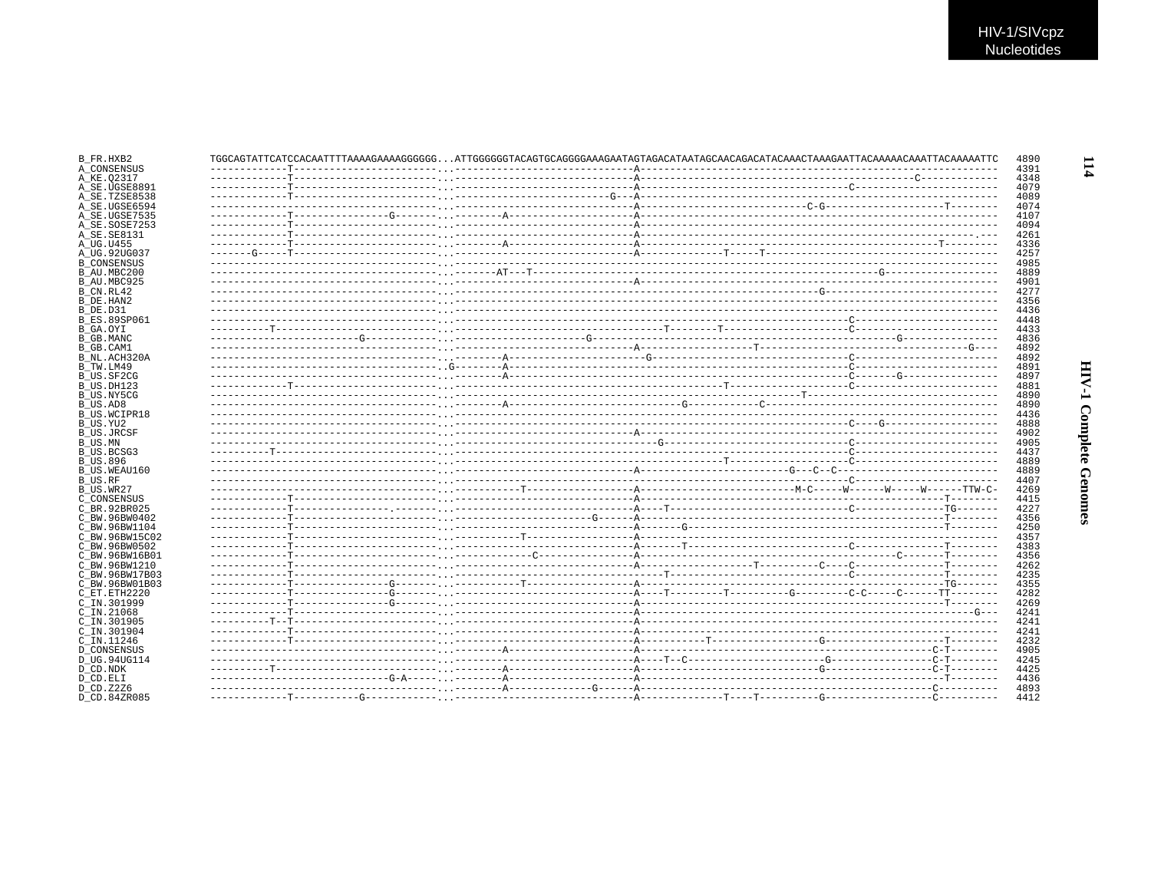| A CONSENSUS<br>4348<br>A KE.02317<br>4079<br>A SE.UGSE8891<br>4089<br>A SE.TZSE8538<br>A SE.UGSE6594<br>4074<br>A SE.UGSE7535<br>4107<br>A SE.SOSE7253<br>4094<br>4261<br>4336<br>4257<br>4985<br><b>B CONSENSUS</b><br>4889<br>B AU.MBC200<br>B AU.MBC925<br>4901<br>4277<br>B CN.RL42<br>4356<br>B DE.HAN2<br>4436<br>B DE.D31<br><b>B ES.89SP061</b><br>4448<br>4433<br>B GA.OYI<br>B GB.MANC<br>4836<br>B_GB.CAM1<br>4892<br>B_NL.ACH320A<br>4892<br>B TW.LM49<br>4891<br>B US.SF2CG<br>4897<br>B_US.DH123<br>4881<br>4890<br>B US.NY5CG<br>4890<br>B US.AD8<br>4436<br>B US.WCIPR18<br>4888<br>B_US.YU2<br>4902<br>B US.JRCSF<br>4905<br>B US.MN<br>B US.BCSG3<br>4437<br><b>B US.896</b><br>4889<br>B US.WEAU160<br>4889<br><b>B_US.RF</b><br>4407<br>B US.WR27<br>4269<br>C CONSENSUS<br>4415<br>4227<br>C BR. 92BR025<br>4356<br>C BW.96BW0402<br>4250<br>C BW.96BW1104<br>4357<br>C BW.96BW15C02<br>C BW.96BW0502<br>4383<br>C BW.96BW16B01<br>4356<br>C BW.96BW1210<br>4262<br>4235<br>C BW.96BW17B03<br>4355<br>C BW.96BW01B03<br>C ET.ETH2220<br>4282<br>C IN.301999<br>4269<br>C IN.21068<br>4241<br>4241<br>C IN.301905<br>C_IN.301904<br>4241<br>4232<br>C IN.11246<br><b>D CONSENSUS</b><br>4905<br>D UG.94UG114<br>4245<br>D_CD.NDK<br>4425<br>D CD.ELI<br>4436<br>D CD. Z2Z6<br>4893 | B FR.HXB2    | TGGCAGTATTCATCCACAATTTTAAAAGAAAAGGGGGGATTGGGGGGTACAGTGCAGGGGAAAGAATAGTAGACATAATAGCAACAGACATACAAACTAAAGAATTACAAAACAATTACAAAATTCAAAAATTC |  | 4890<br>4391 |
|--------------------------------------------------------------------------------------------------------------------------------------------------------------------------------------------------------------------------------------------------------------------------------------------------------------------------------------------------------------------------------------------------------------------------------------------------------------------------------------------------------------------------------------------------------------------------------------------------------------------------------------------------------------------------------------------------------------------------------------------------------------------------------------------------------------------------------------------------------------------------------------------------------------------------------------------------------------------------------------------------------------------------------------------------------------------------------------------------------------------------------------------------------------------------------------------------------------------------------------------------------------------------------------------------------|--------------|----------------------------------------------------------------------------------------------------------------------------------------|--|--------------|
|                                                                                                                                                                                                                                                                                                                                                                                                                                                                                                                                                                                                                                                                                                                                                                                                                                                                                                                                                                                                                                                                                                                                                                                                                                                                                                        |              |                                                                                                                                        |  |              |
|                                                                                                                                                                                                                                                                                                                                                                                                                                                                                                                                                                                                                                                                                                                                                                                                                                                                                                                                                                                                                                                                                                                                                                                                                                                                                                        |              |                                                                                                                                        |  |              |
|                                                                                                                                                                                                                                                                                                                                                                                                                                                                                                                                                                                                                                                                                                                                                                                                                                                                                                                                                                                                                                                                                                                                                                                                                                                                                                        |              |                                                                                                                                        |  |              |
|                                                                                                                                                                                                                                                                                                                                                                                                                                                                                                                                                                                                                                                                                                                                                                                                                                                                                                                                                                                                                                                                                                                                                                                                                                                                                                        |              |                                                                                                                                        |  |              |
|                                                                                                                                                                                                                                                                                                                                                                                                                                                                                                                                                                                                                                                                                                                                                                                                                                                                                                                                                                                                                                                                                                                                                                                                                                                                                                        |              |                                                                                                                                        |  |              |
|                                                                                                                                                                                                                                                                                                                                                                                                                                                                                                                                                                                                                                                                                                                                                                                                                                                                                                                                                                                                                                                                                                                                                                                                                                                                                                        |              |                                                                                                                                        |  |              |
|                                                                                                                                                                                                                                                                                                                                                                                                                                                                                                                                                                                                                                                                                                                                                                                                                                                                                                                                                                                                                                                                                                                                                                                                                                                                                                        | A SE.SE8131  |                                                                                                                                        |  |              |
|                                                                                                                                                                                                                                                                                                                                                                                                                                                                                                                                                                                                                                                                                                                                                                                                                                                                                                                                                                                                                                                                                                                                                                                                                                                                                                        | A UG.U455    |                                                                                                                                        |  |              |
|                                                                                                                                                                                                                                                                                                                                                                                                                                                                                                                                                                                                                                                                                                                                                                                                                                                                                                                                                                                                                                                                                                                                                                                                                                                                                                        | A UG.92UG037 |                                                                                                                                        |  |              |
|                                                                                                                                                                                                                                                                                                                                                                                                                                                                                                                                                                                                                                                                                                                                                                                                                                                                                                                                                                                                                                                                                                                                                                                                                                                                                                        |              |                                                                                                                                        |  |              |
|                                                                                                                                                                                                                                                                                                                                                                                                                                                                                                                                                                                                                                                                                                                                                                                                                                                                                                                                                                                                                                                                                                                                                                                                                                                                                                        |              |                                                                                                                                        |  |              |
|                                                                                                                                                                                                                                                                                                                                                                                                                                                                                                                                                                                                                                                                                                                                                                                                                                                                                                                                                                                                                                                                                                                                                                                                                                                                                                        |              |                                                                                                                                        |  |              |
|                                                                                                                                                                                                                                                                                                                                                                                                                                                                                                                                                                                                                                                                                                                                                                                                                                                                                                                                                                                                                                                                                                                                                                                                                                                                                                        |              |                                                                                                                                        |  |              |
|                                                                                                                                                                                                                                                                                                                                                                                                                                                                                                                                                                                                                                                                                                                                                                                                                                                                                                                                                                                                                                                                                                                                                                                                                                                                                                        |              |                                                                                                                                        |  |              |
|                                                                                                                                                                                                                                                                                                                                                                                                                                                                                                                                                                                                                                                                                                                                                                                                                                                                                                                                                                                                                                                                                                                                                                                                                                                                                                        |              |                                                                                                                                        |  |              |
|                                                                                                                                                                                                                                                                                                                                                                                                                                                                                                                                                                                                                                                                                                                                                                                                                                                                                                                                                                                                                                                                                                                                                                                                                                                                                                        |              |                                                                                                                                        |  |              |
|                                                                                                                                                                                                                                                                                                                                                                                                                                                                                                                                                                                                                                                                                                                                                                                                                                                                                                                                                                                                                                                                                                                                                                                                                                                                                                        |              |                                                                                                                                        |  |              |
|                                                                                                                                                                                                                                                                                                                                                                                                                                                                                                                                                                                                                                                                                                                                                                                                                                                                                                                                                                                                                                                                                                                                                                                                                                                                                                        |              |                                                                                                                                        |  |              |
|                                                                                                                                                                                                                                                                                                                                                                                                                                                                                                                                                                                                                                                                                                                                                                                                                                                                                                                                                                                                                                                                                                                                                                                                                                                                                                        |              |                                                                                                                                        |  |              |
|                                                                                                                                                                                                                                                                                                                                                                                                                                                                                                                                                                                                                                                                                                                                                                                                                                                                                                                                                                                                                                                                                                                                                                                                                                                                                                        |              |                                                                                                                                        |  |              |
|                                                                                                                                                                                                                                                                                                                                                                                                                                                                                                                                                                                                                                                                                                                                                                                                                                                                                                                                                                                                                                                                                                                                                                                                                                                                                                        |              |                                                                                                                                        |  |              |
|                                                                                                                                                                                                                                                                                                                                                                                                                                                                                                                                                                                                                                                                                                                                                                                                                                                                                                                                                                                                                                                                                                                                                                                                                                                                                                        |              |                                                                                                                                        |  |              |
|                                                                                                                                                                                                                                                                                                                                                                                                                                                                                                                                                                                                                                                                                                                                                                                                                                                                                                                                                                                                                                                                                                                                                                                                                                                                                                        |              |                                                                                                                                        |  |              |
|                                                                                                                                                                                                                                                                                                                                                                                                                                                                                                                                                                                                                                                                                                                                                                                                                                                                                                                                                                                                                                                                                                                                                                                                                                                                                                        |              |                                                                                                                                        |  |              |
|                                                                                                                                                                                                                                                                                                                                                                                                                                                                                                                                                                                                                                                                                                                                                                                                                                                                                                                                                                                                                                                                                                                                                                                                                                                                                                        |              |                                                                                                                                        |  |              |
|                                                                                                                                                                                                                                                                                                                                                                                                                                                                                                                                                                                                                                                                                                                                                                                                                                                                                                                                                                                                                                                                                                                                                                                                                                                                                                        |              |                                                                                                                                        |  |              |
|                                                                                                                                                                                                                                                                                                                                                                                                                                                                                                                                                                                                                                                                                                                                                                                                                                                                                                                                                                                                                                                                                                                                                                                                                                                                                                        |              |                                                                                                                                        |  |              |
|                                                                                                                                                                                                                                                                                                                                                                                                                                                                                                                                                                                                                                                                                                                                                                                                                                                                                                                                                                                                                                                                                                                                                                                                                                                                                                        |              |                                                                                                                                        |  |              |
|                                                                                                                                                                                                                                                                                                                                                                                                                                                                                                                                                                                                                                                                                                                                                                                                                                                                                                                                                                                                                                                                                                                                                                                                                                                                                                        |              |                                                                                                                                        |  |              |
|                                                                                                                                                                                                                                                                                                                                                                                                                                                                                                                                                                                                                                                                                                                                                                                                                                                                                                                                                                                                                                                                                                                                                                                                                                                                                                        |              |                                                                                                                                        |  |              |
|                                                                                                                                                                                                                                                                                                                                                                                                                                                                                                                                                                                                                                                                                                                                                                                                                                                                                                                                                                                                                                                                                                                                                                                                                                                                                                        |              |                                                                                                                                        |  |              |
|                                                                                                                                                                                                                                                                                                                                                                                                                                                                                                                                                                                                                                                                                                                                                                                                                                                                                                                                                                                                                                                                                                                                                                                                                                                                                                        |              |                                                                                                                                        |  |              |
|                                                                                                                                                                                                                                                                                                                                                                                                                                                                                                                                                                                                                                                                                                                                                                                                                                                                                                                                                                                                                                                                                                                                                                                                                                                                                                        |              |                                                                                                                                        |  |              |
|                                                                                                                                                                                                                                                                                                                                                                                                                                                                                                                                                                                                                                                                                                                                                                                                                                                                                                                                                                                                                                                                                                                                                                                                                                                                                                        |              |                                                                                                                                        |  |              |
|                                                                                                                                                                                                                                                                                                                                                                                                                                                                                                                                                                                                                                                                                                                                                                                                                                                                                                                                                                                                                                                                                                                                                                                                                                                                                                        |              |                                                                                                                                        |  |              |
|                                                                                                                                                                                                                                                                                                                                                                                                                                                                                                                                                                                                                                                                                                                                                                                                                                                                                                                                                                                                                                                                                                                                                                                                                                                                                                        |              |                                                                                                                                        |  |              |
|                                                                                                                                                                                                                                                                                                                                                                                                                                                                                                                                                                                                                                                                                                                                                                                                                                                                                                                                                                                                                                                                                                                                                                                                                                                                                                        |              |                                                                                                                                        |  |              |
|                                                                                                                                                                                                                                                                                                                                                                                                                                                                                                                                                                                                                                                                                                                                                                                                                                                                                                                                                                                                                                                                                                                                                                                                                                                                                                        |              |                                                                                                                                        |  |              |
|                                                                                                                                                                                                                                                                                                                                                                                                                                                                                                                                                                                                                                                                                                                                                                                                                                                                                                                                                                                                                                                                                                                                                                                                                                                                                                        |              |                                                                                                                                        |  |              |
|                                                                                                                                                                                                                                                                                                                                                                                                                                                                                                                                                                                                                                                                                                                                                                                                                                                                                                                                                                                                                                                                                                                                                                                                                                                                                                        |              |                                                                                                                                        |  |              |
|                                                                                                                                                                                                                                                                                                                                                                                                                                                                                                                                                                                                                                                                                                                                                                                                                                                                                                                                                                                                                                                                                                                                                                                                                                                                                                        |              |                                                                                                                                        |  |              |
|                                                                                                                                                                                                                                                                                                                                                                                                                                                                                                                                                                                                                                                                                                                                                                                                                                                                                                                                                                                                                                                                                                                                                                                                                                                                                                        |              |                                                                                                                                        |  |              |
|                                                                                                                                                                                                                                                                                                                                                                                                                                                                                                                                                                                                                                                                                                                                                                                                                                                                                                                                                                                                                                                                                                                                                                                                                                                                                                        |              |                                                                                                                                        |  |              |
|                                                                                                                                                                                                                                                                                                                                                                                                                                                                                                                                                                                                                                                                                                                                                                                                                                                                                                                                                                                                                                                                                                                                                                                                                                                                                                        |              |                                                                                                                                        |  |              |
|                                                                                                                                                                                                                                                                                                                                                                                                                                                                                                                                                                                                                                                                                                                                                                                                                                                                                                                                                                                                                                                                                                                                                                                                                                                                                                        |              |                                                                                                                                        |  |              |
|                                                                                                                                                                                                                                                                                                                                                                                                                                                                                                                                                                                                                                                                                                                                                                                                                                                                                                                                                                                                                                                                                                                                                                                                                                                                                                        |              |                                                                                                                                        |  |              |
|                                                                                                                                                                                                                                                                                                                                                                                                                                                                                                                                                                                                                                                                                                                                                                                                                                                                                                                                                                                                                                                                                                                                                                                                                                                                                                        |              |                                                                                                                                        |  |              |
|                                                                                                                                                                                                                                                                                                                                                                                                                                                                                                                                                                                                                                                                                                                                                                                                                                                                                                                                                                                                                                                                                                                                                                                                                                                                                                        |              |                                                                                                                                        |  |              |
|                                                                                                                                                                                                                                                                                                                                                                                                                                                                                                                                                                                                                                                                                                                                                                                                                                                                                                                                                                                                                                                                                                                                                                                                                                                                                                        |              |                                                                                                                                        |  |              |
|                                                                                                                                                                                                                                                                                                                                                                                                                                                                                                                                                                                                                                                                                                                                                                                                                                                                                                                                                                                                                                                                                                                                                                                                                                                                                                        |              |                                                                                                                                        |  |              |
|                                                                                                                                                                                                                                                                                                                                                                                                                                                                                                                                                                                                                                                                                                                                                                                                                                                                                                                                                                                                                                                                                                                                                                                                                                                                                                        |              |                                                                                                                                        |  |              |
|                                                                                                                                                                                                                                                                                                                                                                                                                                                                                                                                                                                                                                                                                                                                                                                                                                                                                                                                                                                                                                                                                                                                                                                                                                                                                                        |              |                                                                                                                                        |  |              |
|                                                                                                                                                                                                                                                                                                                                                                                                                                                                                                                                                                                                                                                                                                                                                                                                                                                                                                                                                                                                                                                                                                                                                                                                                                                                                                        |              |                                                                                                                                        |  |              |
|                                                                                                                                                                                                                                                                                                                                                                                                                                                                                                                                                                                                                                                                                                                                                                                                                                                                                                                                                                                                                                                                                                                                                                                                                                                                                                        | D CD.84ZR085 |                                                                                                                                        |  | 4412         |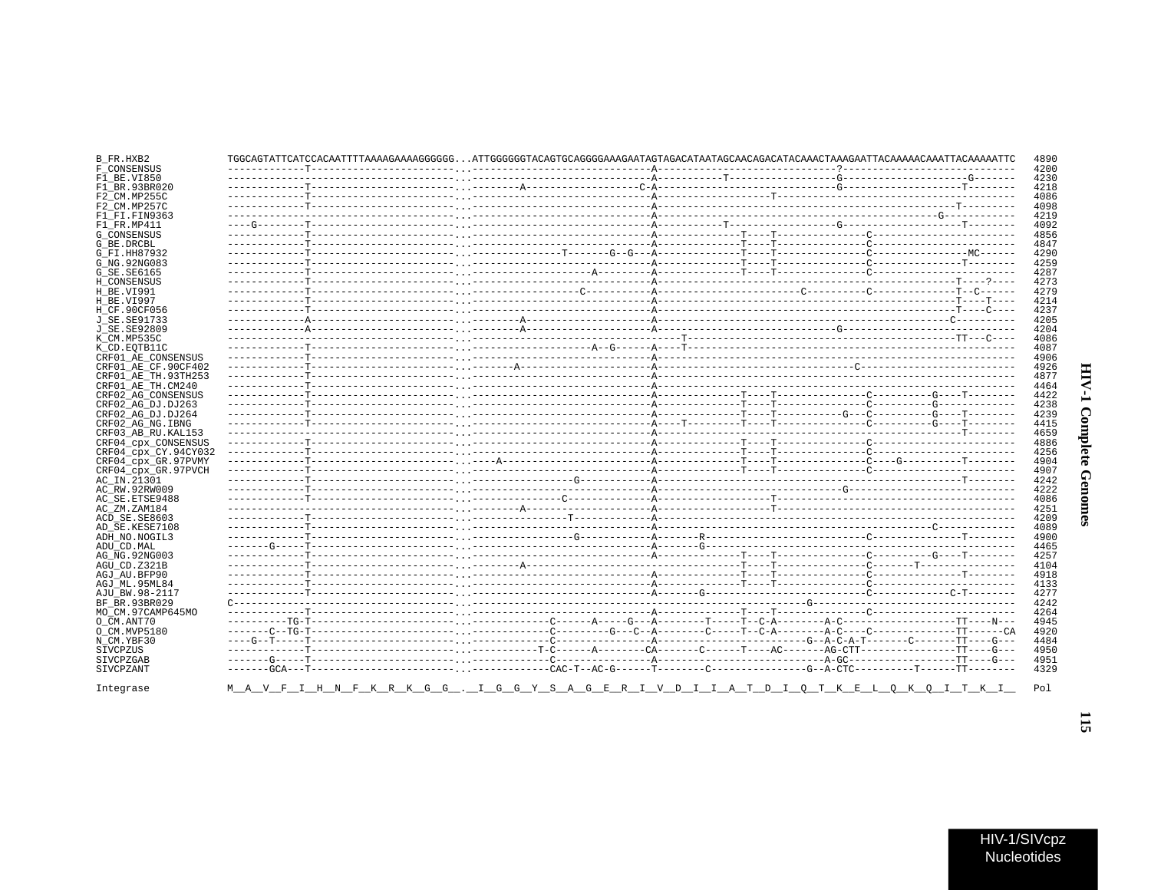## B\_FR.HXB2 4890 F\_CONSENSUS ---------------------------A---------4200  $F1$  BE.VI850 4230  $F1$ BR.93BR020 4218  $F2$ <sup>-CM</sup>.MP255C 4086 . \_ \_ \_ \_ \_ \_ <sup>\_ \_ \_</sup> \_ \_ \_ \_  $---<sub>2</sub>---<sub>3</sub>---<sub>4</sub>$ F2 CM.MP257C 4098  $F1$  $F1$ .  $F1N9363$ -----------------G-----------4219  $F1$  FR.MP411 4092 G CONSENSUS 4856 G BE DRCBL \_\_\_\_\_<del>\_\_</del>\_\_\_\_\_\_\_\_\_\_\_\_\_ 4847 G\_FI.HH87932 4290 G NG. 92NG083 4259 G\_SE.SE6165 4287 H CONSENSUS 4273  $H$ BE.VI991 4279 ----A---------------------------H\_BE.VI997 4214 H\_CF.90CF056 4237 J SE. SE91733 4205 J\_SE.SE92809 4204 K CM.MP535C 4086 K CD. EOTB11C  $4087$ . \_ \_ \_ <del>\_</del> \_ \_ \_ \_ \_ \_ \_ \_ CRF01\_AE\_CONSENSUS 4906 CRF01\_AE\_CF.90CF402 4926 CRF01 AE TH.93TH253 4877 CRF01\_AE\_TH.CM240 4464 CRF02\_AG\_CONSENSUS<br>CRF02\_AG\_DJ.DJ263 4422 4238 CRF02\_AG\_DJ.DJ264 4239 CRF02\_AG\_NG.IBNG 4415 CRF03 AB RU.KAL153 4659 CRF04\_cpx\_CONSENSUS 4886 4256 CRF04\_cpx\_CY.94CY032  $- - -$ CRF04\_cpx\_GR.97PVMY 4904 CRF04\_cpx\_GR.97PVCH 4907 AC IN.21301 4242 AC RW. 92RW009  $4222$ AC\_SE.ETSE9488 4086 AC\_ZM.ZAM184 4251 ACD SE.SE8603 4209 AD\_SE.KESE7108 4089 ADH\_NO.NOGIL3 4900 ADU CD. MAL 4465 AG\_NG.92NG003 4257  $AGU$ \_CD. Z321B 4104 . \_ \_ \_ \_ \_ <u>A</u> \_ \_ \_ \_ \_ \_ \_ \_ \_ \_ \_ \_ AGJ AU. BFP90  $-$  T = = = = T = = = = = = = = = 4918 AGJ ML.95ML84 4133 AJU BW.98-2117 4277 BF BR. 93BR029  $C - 4242$ -------------MO\_CM.97CAMP645MO 4264 O\_CM.ANT70 4945 O CM. MVP5180  $-C = -TG - T - - - - -$ 4920  $N$  $CM. YBF30$  $---G---A-C-A-T------C------TT---G---$ 4484 SIVCPZUS 4950  $---T---$ . . . . . . . . . SIVCPZGAR  $-G - - - - - - - - - - - -$ 4951 SIVCPZANT  $-GCA - -T - - - - - - - - - - - - - - -$ 4329  $\mathbf{G}$ Pol Integrase M A  $H$  $N$  $\mathbf{C}$  $\mathcal{C}$  $\alpha$  $\Gamma$  $\mathbf{S}$  $E$  $\mathbb{R}$  $\overline{v}$  $\Gamma$ D T O  $T K$  $E$  $O$  K O I T K

 $\overline{13}$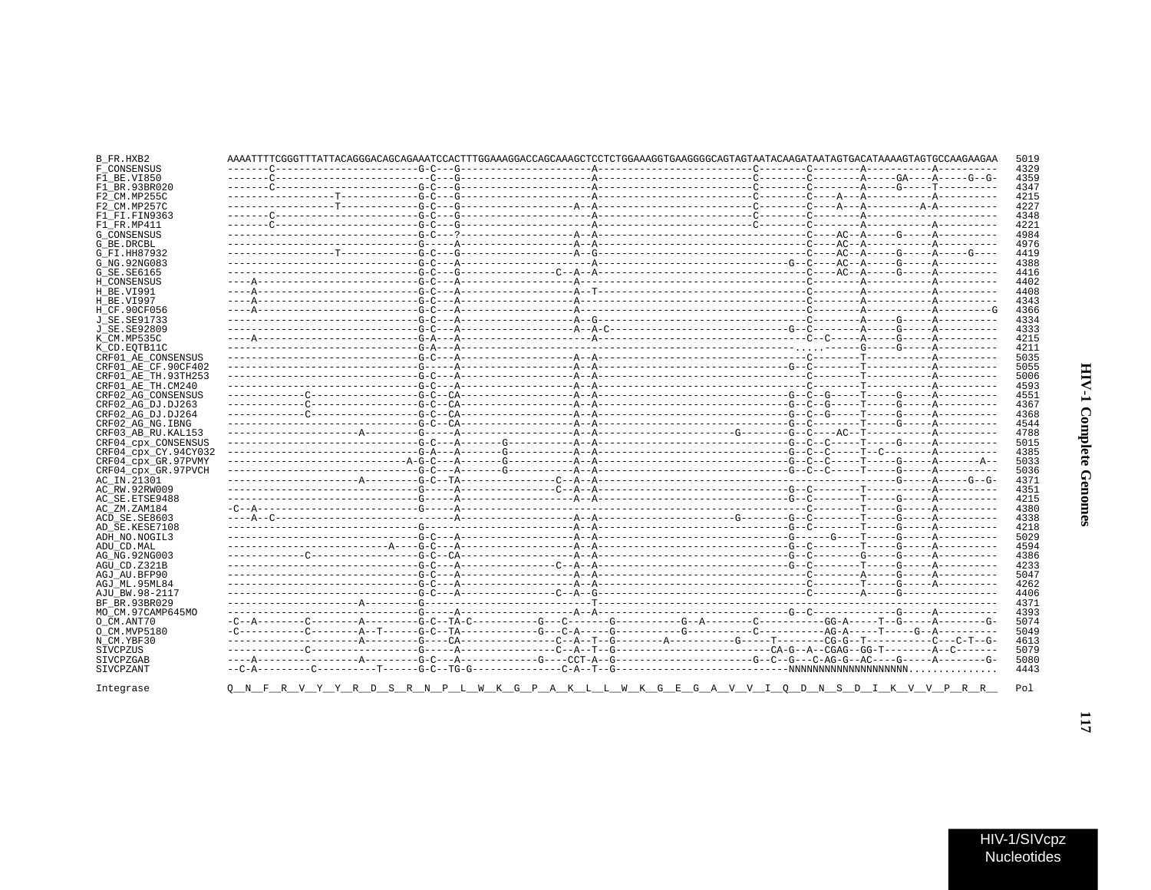| B FR.HXB2            |  | AAAATTTTCGGGTTTATTACAGGGACAGAGAAATCCACTTTGGAAAGGACCAGCAAAGCTCCTCTGGAAAGGTGAAGGGGCAGTAGTAATACAAGATAATAGTGACATAAAAGTGCCAAGAAGAA |  | 5019 |
|----------------------|--|-------------------------------------------------------------------------------------------------------------------------------|--|------|
| F CONSENSUS          |  |                                                                                                                               |  | 4329 |
| F1 BE.VI850          |  |                                                                                                                               |  | 4359 |
| F1 BR.93BR020        |  |                                                                                                                               |  | 4347 |
| F2 CM.MP255C         |  |                                                                                                                               |  | 4215 |
| F2 CM.MP257C         |  |                                                                                                                               |  | 4227 |
| F1 FI.FIN9363        |  |                                                                                                                               |  | 4348 |
| F1 FR.MP411          |  |                                                                                                                               |  | 4221 |
| <b>G CONSENSUS</b>   |  |                                                                                                                               |  | 4984 |
| G BE.DRCBL           |  |                                                                                                                               |  | 4976 |
| G FI.HH87932         |  |                                                                                                                               |  | 4419 |
| G NG.92NG083         |  |                                                                                                                               |  | 4388 |
| G SE. SE6165         |  |                                                                                                                               |  | 4416 |
|                      |  |                                                                                                                               |  |      |
| H CONSENSUS          |  |                                                                                                                               |  | 4402 |
| H BE.VI991           |  |                                                                                                                               |  | 4408 |
| H BE.VI997           |  |                                                                                                                               |  | 4343 |
| H CF.90CF056         |  |                                                                                                                               |  | 4366 |
| J SE. SE91733        |  |                                                                                                                               |  | 4334 |
| J SE.SE92809         |  |                                                                                                                               |  | 4333 |
| K CM.MP535C          |  |                                                                                                                               |  | 4215 |
| K CD.EOTB11C         |  |                                                                                                                               |  | 4211 |
| CRF01 AE CONSENSUS   |  |                                                                                                                               |  | 5035 |
| CRF01 AE CF.90CF402  |  |                                                                                                                               |  | 5055 |
| CRF01 AE TH. 93TH253 |  |                                                                                                                               |  | 5006 |
| CRF01 AE TH.CM240    |  |                                                                                                                               |  | 4593 |
| CRF02 AG CONSENSUS   |  |                                                                                                                               |  | 4551 |
| CRF02 AG DJ.DJ263    |  |                                                                                                                               |  | 4367 |
|                      |  |                                                                                                                               |  |      |
| CRF02 AG DJ.DJ264    |  |                                                                                                                               |  | 4368 |
| CRF02 AG NG. IBNG    |  |                                                                                                                               |  | 4544 |
| CRF03 AB RU. KAL153  |  |                                                                                                                               |  | 4788 |
| CRF04_cpx_CONSENSUS  |  |                                                                                                                               |  | 5015 |
| CRF04 cpx CY.94CY032 |  |                                                                                                                               |  | 4385 |
| CRF04 cpx GR.97PVMY  |  |                                                                                                                               |  | 5033 |
| CRF04 cpx GR.97PVCH  |  |                                                                                                                               |  | 5036 |
| AC IN.21301          |  |                                                                                                                               |  | 4371 |
| AC_RW.92RW009        |  |                                                                                                                               |  | 4351 |
| AC SE.ETSE9488       |  |                                                                                                                               |  | 4215 |
| AC ZM.ZAM184         |  |                                                                                                                               |  | 4380 |
| ACD SE.SE8603        |  |                                                                                                                               |  | 4338 |
| AD SE.KESE7108       |  |                                                                                                                               |  | 4218 |
| ADH NO.NOGIL3        |  |                                                                                                                               |  | 5029 |
|                      |  |                                                                                                                               |  | 4594 |
| ADU CD.MAL           |  |                                                                                                                               |  |      |
| AG NG.92NG003        |  |                                                                                                                               |  | 4386 |
| AGU CD.Z321B         |  |                                                                                                                               |  | 4233 |
| AGJ AU BFP90         |  |                                                                                                                               |  | 5047 |
| AGJ ML.95ML84        |  |                                                                                                                               |  | 4262 |
| AJU BW.98-2117       |  |                                                                                                                               |  | 4406 |
| BF BR.93BR029        |  |                                                                                                                               |  | 4371 |
| MO CM.97CAMP645MO    |  |                                                                                                                               |  | 4393 |
| O CM.ANT70           |  |                                                                                                                               |  | 5074 |
| O CM.MVP5180         |  |                                                                                                                               |  | 5049 |
| N CM.YBF30           |  |                                                                                                                               |  | 4613 |
| SIVCPZUS             |  |                                                                                                                               |  | 5079 |
| SIVCPZGAB            |  |                                                                                                                               |  | 5080 |
| SIVCPZANT            |  |                                                                                                                               |  | 4443 |
|                      |  |                                                                                                                               |  |      |
| Integrase            |  | <u>Q N F R V Y R D S R N P L W K G P A K L L W K G E G A V V I Q D N S D I K V V P R R </u>                                   |  | Pol  |

 $\overline{\mu}$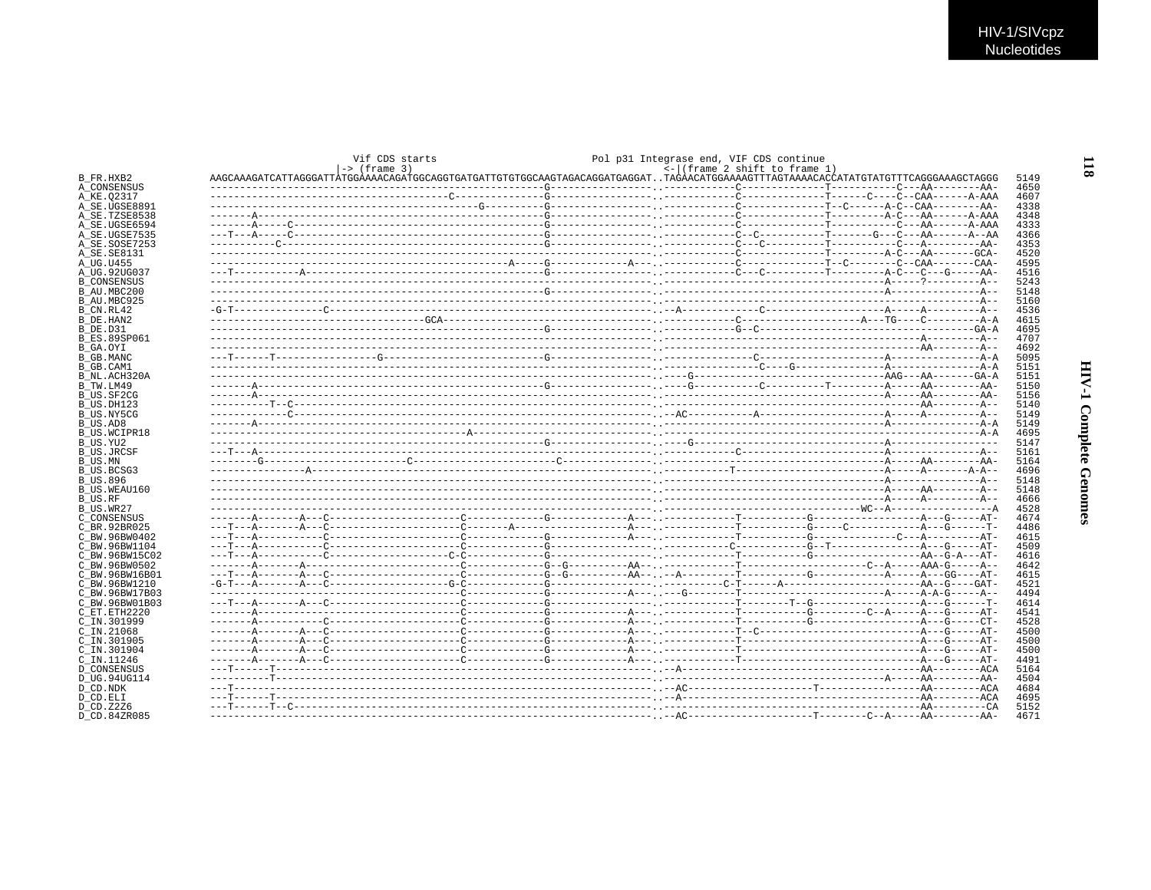| Vif CDS starts                                                                                                                  |  | Pol p31 Integrase end, VIF CDS continue |                                         |  |  |
|---------------------------------------------------------------------------------------------------------------------------------|--|-----------------------------------------|-----------------------------------------|--|--|
| $\left  \rightarrow \right $ (frame 3)                                                                                          |  |                                         | $\leftarrow$ (frame 2 shift to frame 1) |  |  |
| AAGCAAAGATCATTAGGGATTATGGAAAACAGATGGAGGTGATGATGTGTGCAAGTAGAGAGGATGAGGATTAGAACATGGAAAAGTTTAGTAAAACACCATATGTATGTTTCAGGGAAAGCTAGGG |  |                                         |                                         |  |  |
|                                                                                                                                 |  |                                         |                                         |  |  |
|                                                                                                                                 |  |                                         |                                         |  |  |
|                                                                                                                                 |  |                                         |                                         |  |  |
|                                                                                                                                 |  |                                         |                                         |  |  |
|                                                                                                                                 |  |                                         |                                         |  |  |
|                                                                                                                                 |  |                                         |                                         |  |  |
|                                                                                                                                 |  |                                         |                                         |  |  |
|                                                                                                                                 |  |                                         |                                         |  |  |
|                                                                                                                                 |  |                                         |                                         |  |  |
|                                                                                                                                 |  |                                         |                                         |  |  |
|                                                                                                                                 |  |                                         |                                         |  |  |
|                                                                                                                                 |  |                                         |                                         |  |  |
|                                                                                                                                 |  |                                         |                                         |  |  |
|                                                                                                                                 |  |                                         |                                         |  |  |
|                                                                                                                                 |  |                                         |                                         |  |  |
|                                                                                                                                 |  |                                         |                                         |  |  |
|                                                                                                                                 |  |                                         |                                         |  |  |
|                                                                                                                                 |  |                                         |                                         |  |  |
|                                                                                                                                 |  |                                         |                                         |  |  |
|                                                                                                                                 |  |                                         |                                         |  |  |
|                                                                                                                                 |  |                                         |                                         |  |  |
|                                                                                                                                 |  |                                         |                                         |  |  |
|                                                                                                                                 |  |                                         |                                         |  |  |
|                                                                                                                                 |  |                                         |                                         |  |  |
|                                                                                                                                 |  |                                         |                                         |  |  |
|                                                                                                                                 |  |                                         |                                         |  |  |
|                                                                                                                                 |  |                                         |                                         |  |  |
|                                                                                                                                 |  |                                         |                                         |  |  |
|                                                                                                                                 |  |                                         |                                         |  |  |
|                                                                                                                                 |  |                                         |                                         |  |  |
|                                                                                                                                 |  |                                         |                                         |  |  |
|                                                                                                                                 |  |                                         |                                         |  |  |
|                                                                                                                                 |  |                                         |                                         |  |  |
|                                                                                                                                 |  |                                         |                                         |  |  |
|                                                                                                                                 |  |                                         |                                         |  |  |
|                                                                                                                                 |  |                                         |                                         |  |  |
|                                                                                                                                 |  |                                         |                                         |  |  |
|                                                                                                                                 |  |                                         |                                         |  |  |
|                                                                                                                                 |  |                                         |                                         |  |  |
|                                                                                                                                 |  |                                         |                                         |  |  |
|                                                                                                                                 |  |                                         |                                         |  |  |
|                                                                                                                                 |  |                                         |                                         |  |  |
|                                                                                                                                 |  |                                         |                                         |  |  |
|                                                                                                                                 |  |                                         |                                         |  |  |
|                                                                                                                                 |  |                                         |                                         |  |  |
|                                                                                                                                 |  |                                         |                                         |  |  |
|                                                                                                                                 |  |                                         |                                         |  |  |
|                                                                                                                                 |  |                                         |                                         |  |  |
|                                                                                                                                 |  |                                         |                                         |  |  |
|                                                                                                                                 |  |                                         |                                         |  |  |
|                                                                                                                                 |  |                                         |                                         |  |  |
|                                                                                                                                 |  |                                         |                                         |  |  |
|                                                                                                                                 |  |                                         |                                         |  |  |
|                                                                                                                                 |  |                                         |                                         |  |  |
|                                                                                                                                 |  |                                         |                                         |  |  |
|                                                                                                                                 |  |                                         |                                         |  |  |
|                                                                                                                                 |  |                                         |                                         |  |  |
|                                                                                                                                 |  |                                         |                                         |  |  |
|                                                                                                                                 |  |                                         |                                         |  |  |
|                                                                                                                                 |  |                                         |                                         |  |  |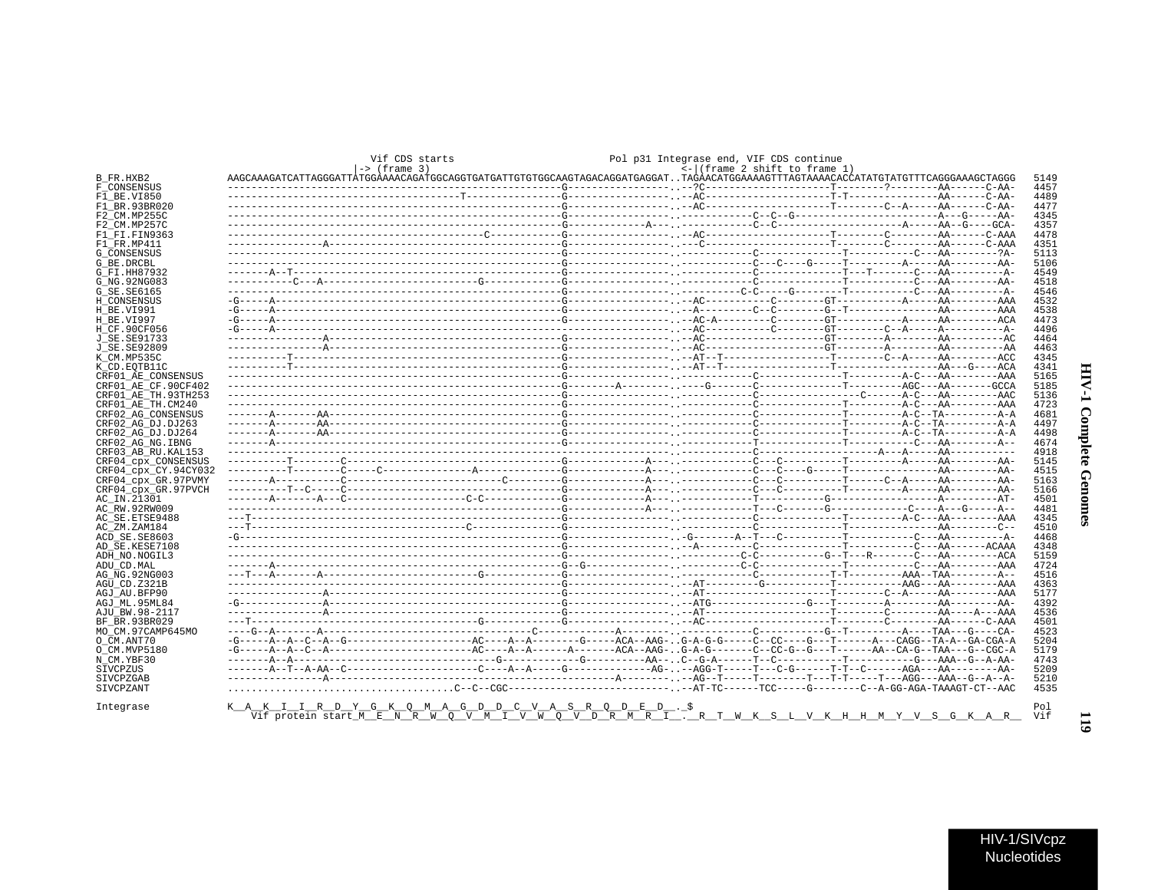|                                             |                                                                                                                                    | Vif CDS starts  |                                                |                   | Pol p31 Integrase end, VIF CDS continue |                              |              |
|---------------------------------------------|------------------------------------------------------------------------------------------------------------------------------------|-----------------|------------------------------------------------|-------------------|-----------------------------------------|------------------------------|--------------|
| B FR.HXB2                                   | AAGCAAAGATCATTAGGGATTATGGAAAACAGATGCAGGTGATGATGATTGTGGCAAGTAGACAGGATGAGGATTAGAACATGGAAAAGTTTAGTAAAACACCATATGTATGTTTCAGGGAAAGCTAGGG | $ ->$ (frame 3) |                                                |                   | <- (frame 2 shift to frame 1)           |                              | 5149         |
| F CONSENSUS                                 |                                                                                                                                    |                 |                                                |                   |                                         |                              | 4457         |
| F1 BE.VI850                                 |                                                                                                                                    |                 |                                                |                   |                                         |                              | 4489         |
| F1 BR. 93BR020                              |                                                                                                                                    |                 |                                                |                   |                                         |                              | 4477         |
| F2 CM.MP255C<br>F2 CM MP257C                |                                                                                                                                    |                 |                                                |                   |                                         |                              | 4345<br>4357 |
| F1_FI.FIN9363                               |                                                                                                                                    |                 |                                                |                   |                                         |                              | 4478         |
| F1 FR.MP411                                 |                                                                                                                                    |                 |                                                |                   |                                         |                              | 4351         |
| <b>G CONSENSUS</b>                          |                                                                                                                                    |                 |                                                |                   |                                         |                              | 5113         |
| G BE.DRCBL                                  |                                                                                                                                    |                 |                                                |                   |                                         |                              | 5106         |
| G FI.HH87932                                |                                                                                                                                    |                 |                                                |                   |                                         |                              | 4549         |
| G NG. 92NG083                               |                                                                                                                                    |                 |                                                |                   |                                         |                              | 4518         |
| G SE. SE6165<br>H CONSENSUS                 |                                                                                                                                    |                 |                                                |                   |                                         |                              | 4546<br>4532 |
| H_BE.VI991                                  |                                                                                                                                    |                 |                                                |                   |                                         |                              | 4538         |
| H BE.VI997                                  |                                                                                                                                    |                 |                                                |                   |                                         |                              | 4473         |
| H CF.90CF056                                |                                                                                                                                    |                 |                                                |                   |                                         |                              | 4496         |
| J SE.SE91733                                |                                                                                                                                    |                 |                                                |                   |                                         |                              | 4464         |
| J_SE.SE92809                                |                                                                                                                                    |                 |                                                |                   |                                         |                              | 4463         |
| K CM.MP535C                                 |                                                                                                                                    |                 |                                                |                   |                                         |                              | 4345         |
| K CD.EOTB11C                                |                                                                                                                                    |                 |                                                |                   |                                         |                              | 4341         |
| CRF01 AE CONSENSUS                          |                                                                                                                                    |                 |                                                |                   |                                         |                              | 5165         |
| CRF01 AE CF.90CF402<br>CRF01 AE TH.93TH253  |                                                                                                                                    |                 |                                                |                   |                                         |                              | 5185<br>5136 |
| CRF01 AE TH.CM240                           |                                                                                                                                    |                 |                                                |                   |                                         |                              | 4723         |
| CRF02 AG CONSENSUS                          |                                                                                                                                    |                 |                                                |                   |                                         |                              | 4681         |
| CRF02 AG DJ.DJ263                           |                                                                                                                                    |                 |                                                |                   |                                         |                              | 4497         |
| CRF02 AG DJ.DJ264                           |                                                                                                                                    |                 |                                                |                   |                                         |                              | 4498         |
| CRF02 AG NG. IBNG                           |                                                                                                                                    |                 |                                                |                   |                                         |                              | 4674         |
| CRF03 AB RU. KAL153                         |                                                                                                                                    |                 |                                                |                   |                                         |                              | 4918         |
| CRF04 cpx CONSENSUS                         |                                                                                                                                    |                 |                                                |                   |                                         |                              | 5145         |
| CRF04 CDX CY.94CY032<br>CRF04 CDX GR.97PVMY |                                                                                                                                    |                 |                                                |                   |                                         |                              | 4515<br>5163 |
| CRF04 cpx GR.97PVCH                         |                                                                                                                                    |                 |                                                |                   |                                         |                              | 5166         |
| AC IN.21301                                 |                                                                                                                                    |                 |                                                |                   |                                         |                              | 4501         |
| AC RW.92RW009                               |                                                                                                                                    |                 |                                                |                   |                                         |                              | 4481         |
| AC SE.ETSE9488                              |                                                                                                                                    |                 |                                                |                   |                                         |                              | 4345         |
| AC ZM.ZAM184                                |                                                                                                                                    |                 |                                                |                   |                                         |                              | 4510         |
| ACD SE.SE8603                               |                                                                                                                                    |                 |                                                |                   |                                         |                              | 4468         |
| AD SE.KESE7108                              |                                                                                                                                    |                 |                                                |                   |                                         |                              | 4348         |
| ADH NO.NOGIL3                               |                                                                                                                                    |                 |                                                |                   |                                         |                              | 5159<br>4724 |
| ADU CD.MAL<br>AG NG. 92NG003                |                                                                                                                                    |                 |                                                |                   |                                         |                              | 4516         |
| AGU CD.Z321B                                |                                                                                                                                    |                 |                                                |                   |                                         |                              | 4363         |
| AGJ AU.BFP90                                |                                                                                                                                    |                 |                                                |                   |                                         |                              | 5177         |
| AGJ ML.95ML84                               |                                                                                                                                    |                 |                                                |                   |                                         |                              | 4392         |
| AJU BW.98-2117                              |                                                                                                                                    |                 |                                                |                   |                                         |                              | 4536         |
| BF BR.93BR029                               |                                                                                                                                    |                 |                                                |                   |                                         |                              | 4501         |
| MO CM.97CAMP645MO                           |                                                                                                                                    |                 |                                                |                   |                                         |                              | 4523         |
| O CM.ANT70                                  |                                                                                                                                    |                 |                                                |                   |                                         |                              | 5204         |
| O CM.MVP5180<br>N CM.YBF30                  |                                                                                                                                    |                 |                                                |                   |                                         |                              | 5179<br>4743 |
| SIVCPZUS                                    |                                                                                                                                    |                 |                                                |                   |                                         |                              | 5209         |
| SIVCPZGAB                                   |                                                                                                                                    |                 |                                                |                   |                                         |                              | 5210         |
| SIVCPZANT                                   |                                                                                                                                    |                 |                                                |                   |                                         |                              | 4535         |
|                                             |                                                                                                                                    |                 |                                                |                   |                                         |                              |              |
| Integrase                                   | KAKI IRDYGKOMAG DDC VASRODED.                                                                                                      |                 | Viforotein start MENRWO V MI V W O V D R M R I | $\mathbb{R}$<br>W | K                                       | S T, V K H H M Y V S G K A R | Pol<br>Vif   |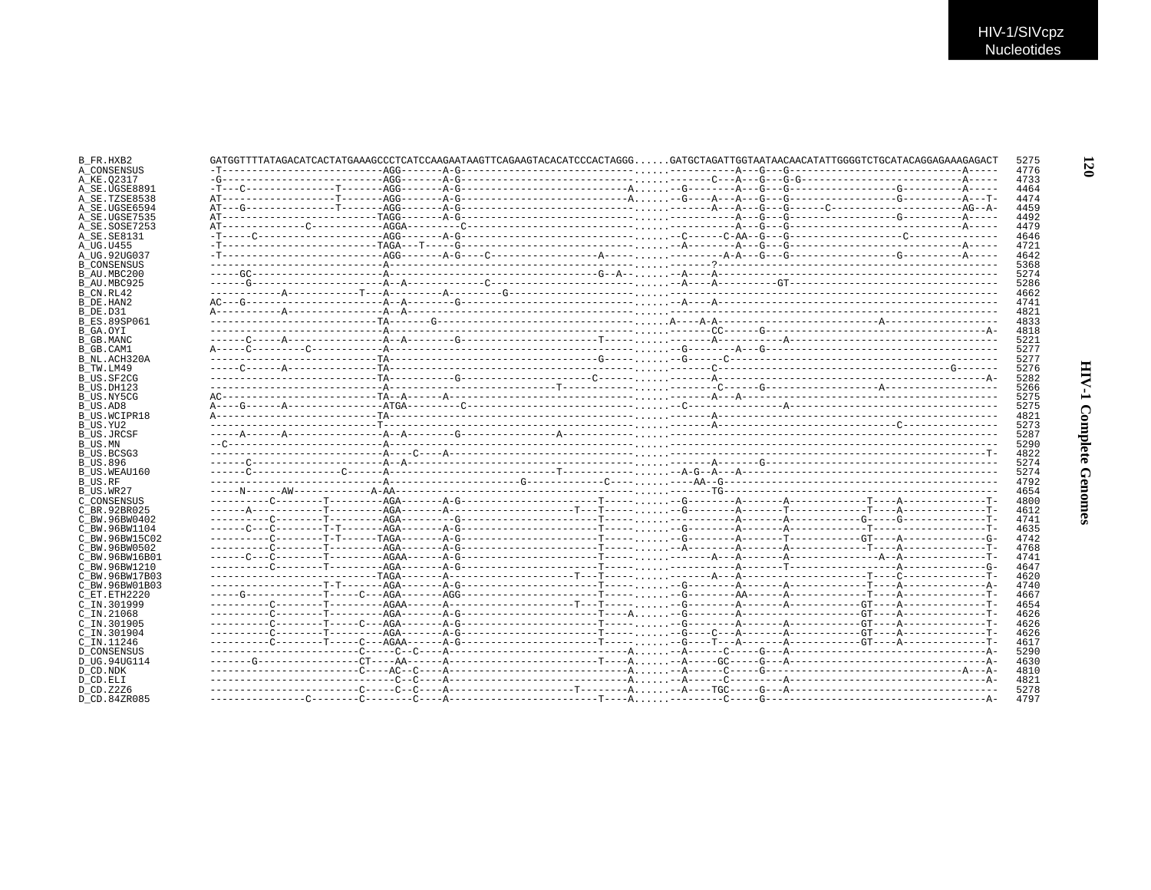| B FR.HXB2          |  | GATGGTTTTATAGACATCACTATGAAAGCCCTCATCCAAGAATAAGTTCAGAAGTACACATCCCACTAGGGGATGCTAGATTGGTAATAACAACATATTGGGGTCTGCATACAGGAGAAAGAGACT | 5275 |
|--------------------|--|--------------------------------------------------------------------------------------------------------------------------------|------|
| A CONSENSUS        |  |                                                                                                                                | 4776 |
| A KE.02317         |  |                                                                                                                                | 4733 |
| A_SE.UGSE8891      |  |                                                                                                                                | 4464 |
| A SE.TZSE8538      |  |                                                                                                                                | 4474 |
| A SE.UGSE6594      |  |                                                                                                                                | 4459 |
| A SE.UGSE7535      |  |                                                                                                                                | 4492 |
| A SE.SOSE7253      |  |                                                                                                                                | 4479 |
| A SE. SE8131       |  |                                                                                                                                | 4646 |
| A UG.U455          |  |                                                                                                                                | 4721 |
| A UG.92UG037       |  |                                                                                                                                | 4642 |
| <b>B CONSENSUS</b> |  |                                                                                                                                | 5368 |
| B_AU.MBC200        |  |                                                                                                                                | 5274 |
| B AU.MBC925        |  |                                                                                                                                | 5286 |
| B CN.RL42          |  |                                                                                                                                | 4662 |
| B DE.HAN2          |  |                                                                                                                                | 4741 |
| B DE.D31           |  |                                                                                                                                | 4821 |
| B_ES.89SP061       |  |                                                                                                                                | 4833 |
| B GA.OYI           |  |                                                                                                                                | 4818 |
| <b>B_GB.MANC</b>   |  |                                                                                                                                | 5221 |
| B GB.CAM1          |  |                                                                                                                                | 5277 |
| B NL.ACH320A       |  |                                                                                                                                | 5277 |
| B TW.LM49          |  |                                                                                                                                | 5276 |
| B US.SF2CG         |  |                                                                                                                                | 5282 |
|                    |  |                                                                                                                                | 5266 |
| B_US.DH123         |  |                                                                                                                                | 5275 |
| B US.NY5CG         |  |                                                                                                                                |      |
| B US.AD8           |  |                                                                                                                                | 5275 |
| B US.WCIPR18       |  |                                                                                                                                | 4821 |
| B US.YU2           |  |                                                                                                                                | 5273 |
| <b>B US.JRCSF</b>  |  |                                                                                                                                | 5287 |
| B US.MN            |  |                                                                                                                                | 5290 |
| B US.BCSG3         |  |                                                                                                                                | 4822 |
| <b>B US.896</b>    |  |                                                                                                                                | 5274 |
| B US.WEAU160       |  |                                                                                                                                | 5274 |
| B_US.RF            |  |                                                                                                                                | 4792 |
| B US.WR27          |  |                                                                                                                                | 4654 |
| C CONSENSUS        |  |                                                                                                                                | 4800 |
| C BR.92BR025       |  |                                                                                                                                | 4612 |
| C BW.96BW0402      |  |                                                                                                                                | 4741 |
| C BW.96BW1104      |  |                                                                                                                                | 4635 |
| C BW.96BW15C02     |  |                                                                                                                                | 4742 |
| C BW.96BW0502      |  |                                                                                                                                | 4768 |
| C BW.96BW16B01     |  |                                                                                                                                | 4741 |
| C BW.96BW1210      |  |                                                                                                                                | 4647 |
| C BW.96BW17B03     |  |                                                                                                                                | 4620 |
| C BW.96BW01B03     |  |                                                                                                                                | 4740 |
| C ET. ETH2220      |  |                                                                                                                                | 4667 |
| C IN.301999        |  |                                                                                                                                | 4654 |
| C IN.21068         |  |                                                                                                                                | 4626 |
| C_IN.301905        |  |                                                                                                                                | 4626 |
| C IN.301904        |  |                                                                                                                                | 4626 |
| C IN.11246         |  |                                                                                                                                | 4617 |
|                    |  |                                                                                                                                |      |
| <b>D CONSENSUS</b> |  |                                                                                                                                | 5290 |
| D UG.94UG114       |  |                                                                                                                                | 4630 |
| D CD.NDK           |  |                                                                                                                                | 4810 |
| D CD.ELI           |  |                                                                                                                                | 4821 |
| D CD.Z2Z6          |  |                                                                                                                                | 5278 |
| D CD.84ZR085       |  |                                                                                                                                | 4797 |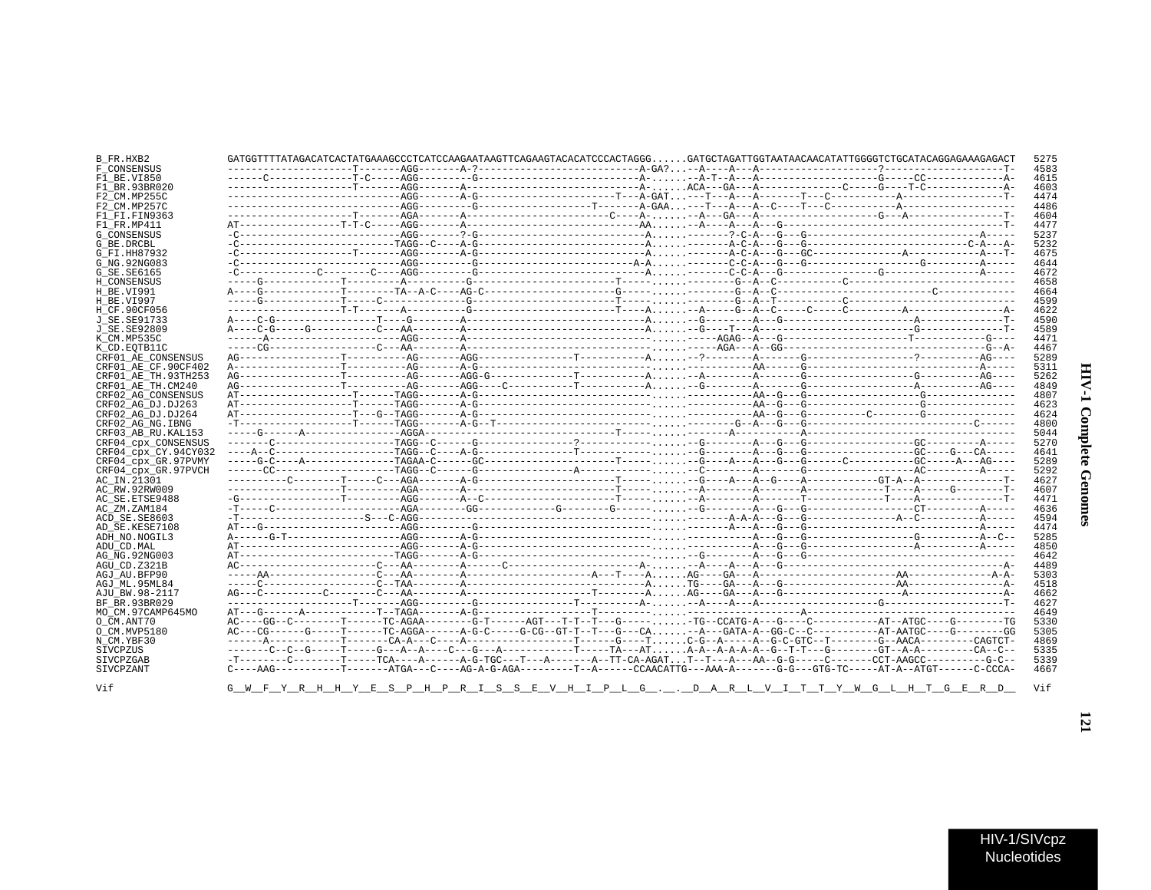| ί<br>$\ddot{\phantom{a}}$ |  |
|---------------------------|--|
| Ξ<br>ì                    |  |

| B FR.HXB2              |                                                                                                                                   |  |  |  |  |  |
|------------------------|-----------------------------------------------------------------------------------------------------------------------------------|--|--|--|--|--|
| F CONSENSUS            |                                                                                                                                   |  |  |  |  |  |
| F1 BE.VI850            |                                                                                                                                   |  |  |  |  |  |
| F1 BR.93BR020          |                                                                                                                                   |  |  |  |  |  |
| F2 CM.MP255C           |                                                                                                                                   |  |  |  |  |  |
| F2 CM.MP257C           |                                                                                                                                   |  |  |  |  |  |
| F1 FI.FIN9363          |                                                                                                                                   |  |  |  |  |  |
| F1 FR.MP411            |                                                                                                                                   |  |  |  |  |  |
| <b>G CONSENSUS</b>     |                                                                                                                                   |  |  |  |  |  |
|                        |                                                                                                                                   |  |  |  |  |  |
| G BE.DRCBL             |                                                                                                                                   |  |  |  |  |  |
| G FI.HH87932           |                                                                                                                                   |  |  |  |  |  |
| G NG. 92NG083          |                                                                                                                                   |  |  |  |  |  |
| G SE. SE6165           |                                                                                                                                   |  |  |  |  |  |
| H CONSENSUS            |                                                                                                                                   |  |  |  |  |  |
| H BE.VI991             |                                                                                                                                   |  |  |  |  |  |
| H BE.VI997             |                                                                                                                                   |  |  |  |  |  |
| H CF.90CF056           |                                                                                                                                   |  |  |  |  |  |
| J SE. SE91733          |                                                                                                                                   |  |  |  |  |  |
| J SE. SE92809          |                                                                                                                                   |  |  |  |  |  |
| K CM.MP535C            |                                                                                                                                   |  |  |  |  |  |
|                        |                                                                                                                                   |  |  |  |  |  |
| K CD.EOTB11C           |                                                                                                                                   |  |  |  |  |  |
| CRF01 AE CONSENSUS     |                                                                                                                                   |  |  |  |  |  |
| CRF01 AE CF.90CF402    |                                                                                                                                   |  |  |  |  |  |
| CRF01 AE TH. 93TH253   |                                                                                                                                   |  |  |  |  |  |
| CRF01_AE_TH.CM240      |                                                                                                                                   |  |  |  |  |  |
| CRF02 AG CONSENSUS     |                                                                                                                                   |  |  |  |  |  |
| CRF02 AG DJ.DJ263      |                                                                                                                                   |  |  |  |  |  |
| CRF02 AG DJ.DJ264      |                                                                                                                                   |  |  |  |  |  |
| CRF02 AG NG.IBNG       |                                                                                                                                   |  |  |  |  |  |
| CRF03 AB RU. KAL153    |                                                                                                                                   |  |  |  |  |  |
| CRF04 cpx CONSENSUS    |                                                                                                                                   |  |  |  |  |  |
|                        |                                                                                                                                   |  |  |  |  |  |
| CRF04 CDX CY.94CY032   |                                                                                                                                   |  |  |  |  |  |
| CRF04 cpx GR.97PVMY    |                                                                                                                                   |  |  |  |  |  |
| CRF04 cpx GR.97PVCH    |                                                                                                                                   |  |  |  |  |  |
| AC_IN.21301            |                                                                                                                                   |  |  |  |  |  |
| AC RW.92RW009          |                                                                                                                                   |  |  |  |  |  |
| AC SE. ETSE9488        |                                                                                                                                   |  |  |  |  |  |
| AC ZM.ZAM184           |                                                                                                                                   |  |  |  |  |  |
| ACD SE.SE8603          |                                                                                                                                   |  |  |  |  |  |
| AD SE.KESE7108         |                                                                                                                                   |  |  |  |  |  |
| ADH NO. NOGIL3         |                                                                                                                                   |  |  |  |  |  |
| ADU CD.MAL             |                                                                                                                                   |  |  |  |  |  |
| AG NG.92NG003          |                                                                                                                                   |  |  |  |  |  |
|                        |                                                                                                                                   |  |  |  |  |  |
| AGU CD.Z321B           |                                                                                                                                   |  |  |  |  |  |
| AGJ AU.BFP90           |                                                                                                                                   |  |  |  |  |  |
| AGJ ML.95ML84          |                                                                                                                                   |  |  |  |  |  |
| AJU BW.98-2117         |                                                                                                                                   |  |  |  |  |  |
| BF BR.93BR029          |                                                                                                                                   |  |  |  |  |  |
| MO CM.97CAMP645MO      |                                                                                                                                   |  |  |  |  |  |
| O CM.ANT70             |                                                                                                                                   |  |  |  |  |  |
| O CM.MVP5180           |                                                                                                                                   |  |  |  |  |  |
| N CM.YBF30             |                                                                                                                                   |  |  |  |  |  |
| SIVCPZUS               |                                                                                                                                   |  |  |  |  |  |
|                        | -T-------C-------T-----TCA----A------A-G-TGC---T---A------A--TT-CA-AGATT--T---A---AA--G-G------C------CCT-AAGCC---------G-C--     |  |  |  |  |  |
|                        |                                                                                                                                   |  |  |  |  |  |
| SIVCPZGAB<br>SIVCPZANT | $C---ABG------T-----2GGA---C---ABG-A-G-AGA------T-A---CCAACATTG---ABA-A-----G-G---GTG-TC----ATC-A-TGT-----C-CCAA-ATG-T----C-CCA-$ |  |  |  |  |  |

Vif

HIV-1/SIVcpz Nucleotides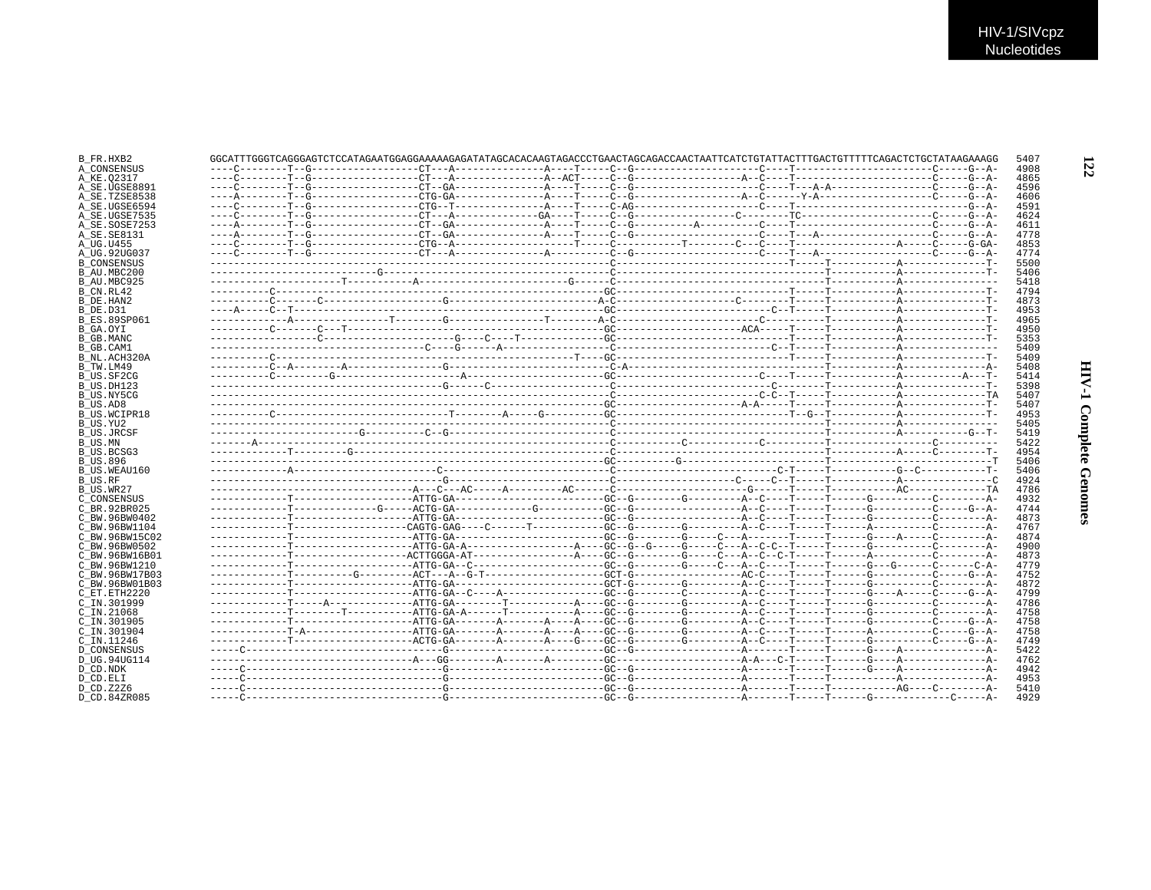| B FR.HXB2           | GGCATTTGGGTCAGGGAGTCTCCATAGAATGGAGGAAAAAGAGATATAGCACAAGTAGACCCTGAACTAGCAGACCAACTAATTCATCTGTATTACTTTGACTGTTTTTCAGACTCTGCTATAAGAAAGG |  |  |  |  | 5407         |
|---------------------|------------------------------------------------------------------------------------------------------------------------------------|--|--|--|--|--------------|
| A CONSENSUS         |                                                                                                                                    |  |  |  |  | 4908         |
| A KE.02317          |                                                                                                                                    |  |  |  |  | 4865         |
| A_SE.UGSE8891       |                                                                                                                                    |  |  |  |  | 4596         |
| A SE.TZSE8538       |                                                                                                                                    |  |  |  |  | 4606         |
| A SE.UGSE6594       |                                                                                                                                    |  |  |  |  | 4591         |
| A SE.UGSE7535       |                                                                                                                                    |  |  |  |  | 4624         |
| A SE.SOSE7253       |                                                                                                                                    |  |  |  |  | 4611         |
| A SE. SE8131        |                                                                                                                                    |  |  |  |  | 4778         |
| A UG.U455           |                                                                                                                                    |  |  |  |  | 4853         |
| A UG.92UG037        |                                                                                                                                    |  |  |  |  | 4774         |
| <b>B CONSENSUS</b>  |                                                                                                                                    |  |  |  |  | 5500         |
| B AU.MBC200         |                                                                                                                                    |  |  |  |  | 5406         |
| B AU.MBC925         |                                                                                                                                    |  |  |  |  | 5418         |
| B CN.RL42           |                                                                                                                                    |  |  |  |  | 4794         |
| B DE.HAN2           |                                                                                                                                    |  |  |  |  | 4873         |
| B DE.D31            |                                                                                                                                    |  |  |  |  | 4953         |
| <b>B ES.89SP061</b> |                                                                                                                                    |  |  |  |  | 4965         |
| B GA.OYI            |                                                                                                                                    |  |  |  |  | 4950         |
| B GB.MANC           |                                                                                                                                    |  |  |  |  | 5353         |
| B GB.CAM1           |                                                                                                                                    |  |  |  |  | 5409         |
| B NL.ACH320A        |                                                                                                                                    |  |  |  |  | 5409         |
| B TW.LM49           |                                                                                                                                    |  |  |  |  | 5408         |
| B US.SF2CG          |                                                                                                                                    |  |  |  |  | 5414         |
| B US.DH123          |                                                                                                                                    |  |  |  |  | 5398         |
|                     |                                                                                                                                    |  |  |  |  |              |
| B US.NY5CG          |                                                                                                                                    |  |  |  |  | 5407<br>5407 |
| B US.AD8            |                                                                                                                                    |  |  |  |  |              |
| B US.WCIPR18        |                                                                                                                                    |  |  |  |  | 4953         |
| B US.YU2            |                                                                                                                                    |  |  |  |  | 5405         |
| B US.JRCSF          |                                                                                                                                    |  |  |  |  | 5419         |
| B_US.MN             |                                                                                                                                    |  |  |  |  | 5422         |
| B US.BCSG3          |                                                                                                                                    |  |  |  |  | 4954         |
| <b>B US.896</b>     |                                                                                                                                    |  |  |  |  | 5406         |
| B US.WEAU160        |                                                                                                                                    |  |  |  |  | 5406         |
| <b>B_US.RF</b>      |                                                                                                                                    |  |  |  |  | 4924         |
| B US.WR27           |                                                                                                                                    |  |  |  |  | 4786         |
| C CONSENSUS         |                                                                                                                                    |  |  |  |  | 4932         |
| C BR. 92BR025       |                                                                                                                                    |  |  |  |  | 4744         |
| C BW.96BW0402       |                                                                                                                                    |  |  |  |  | 4873         |
| C BW.96BW1104       |                                                                                                                                    |  |  |  |  | 4767         |
| C BW.96BW15C02      |                                                                                                                                    |  |  |  |  | 4874         |
| C BW.96BW0502       |                                                                                                                                    |  |  |  |  | 4900         |
| C BW.96BW16B01      |                                                                                                                                    |  |  |  |  | 4873         |
| C BW.96BW1210       |                                                                                                                                    |  |  |  |  | 4779         |
| C BW.96BW17B03      |                                                                                                                                    |  |  |  |  | 4752         |
| C BW.96BW01B03      |                                                                                                                                    |  |  |  |  | 4872         |
| C ET. ETH2220       |                                                                                                                                    |  |  |  |  | 4799         |
| C IN.301999         |                                                                                                                                    |  |  |  |  | 4786         |
| $C$ IN. 21068       |                                                                                                                                    |  |  |  |  | 4758         |
| C IN.301905         | ------------T------------------ATTG-GA-------A-----A----BC--G--------GC--------A--C----T-----T------G-------C-----C----G-A-        |  |  |  |  | 4758         |
| C IN.301904         |                                                                                                                                    |  |  |  |  | 4758         |
| C IN.11246          |                                                                                                                                    |  |  |  |  | 4749         |
| <b>D CONSENSUS</b>  |                                                                                                                                    |  |  |  |  | 5422         |
| D UG.94UG114        |                                                                                                                                    |  |  |  |  | 4762         |
| D CD.NDK            |                                                                                                                                    |  |  |  |  | 4942         |
| D CD.ELI            |                                                                                                                                    |  |  |  |  | 4953         |
| D CD.Z2Z6           |                                                                                                                                    |  |  |  |  | 5410         |
| D CD.84ZR085        |                                                                                                                                    |  |  |  |  | 4929         |
|                     |                                                                                                                                    |  |  |  |  |              |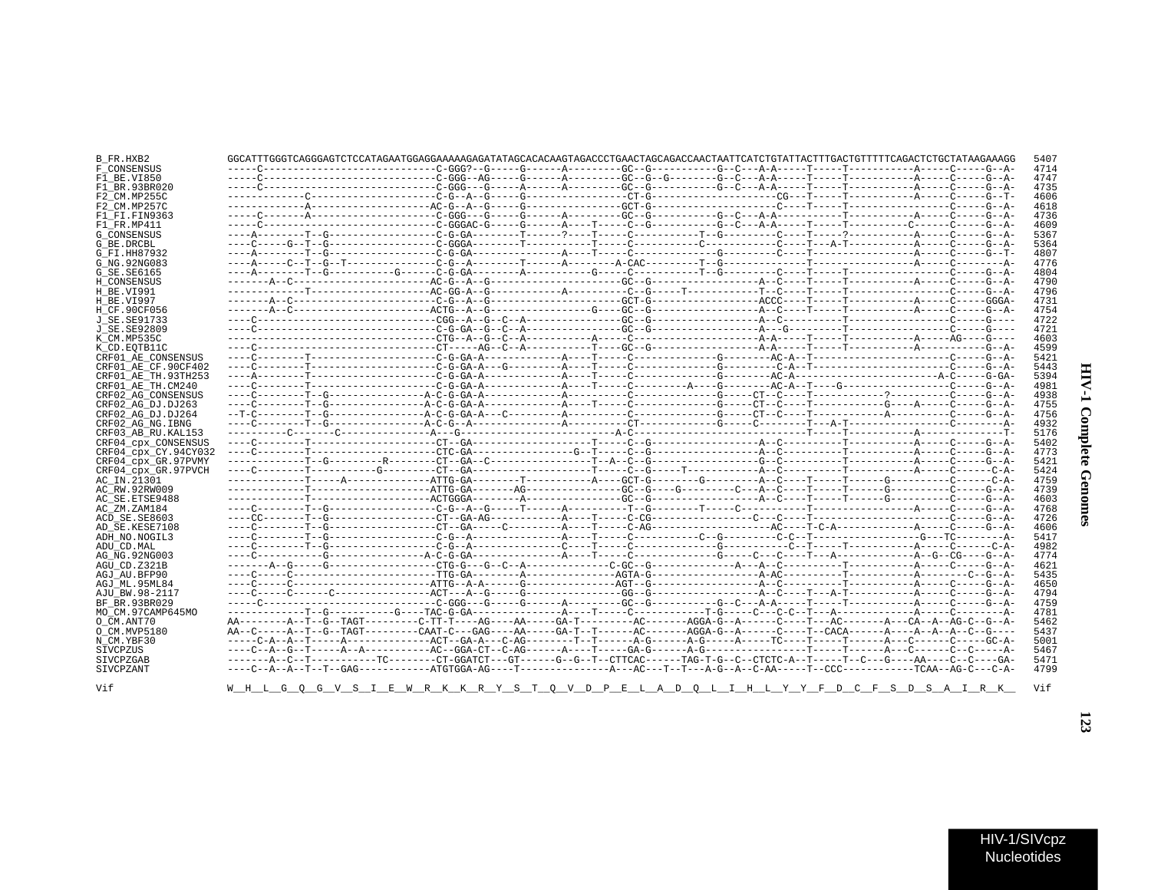| `<br>٢<br>č |  |
|-------------|--|
| ì           |  |

| B_FR.HXB2            | GGCATTTGGGTCAGGGAGTCTCCATAGAATGGAGGAAAAAGAGATATAGCACAAGTAGACCCTGAACTAGCAGACCAACTAATTCATCTGTATTACTTTGACTGTTTTTCAGACTCTGCTATAAGAAAGG |  |  | 5407 |
|----------------------|------------------------------------------------------------------------------------------------------------------------------------|--|--|------|
| F CONSENSUS          |                                                                                                                                    |  |  | 4714 |
| F1 BE.VI850          |                                                                                                                                    |  |  | 4747 |
| F1 BR.93BR020        |                                                                                                                                    |  |  | 4735 |
| F2 CM.MP255C         |                                                                                                                                    |  |  | 4606 |
| F2 CM.MP257C         |                                                                                                                                    |  |  | 4618 |
| F1 FI.FIN9363        |                                                                                                                                    |  |  | 4736 |
| F1 FR.MP411          |                                                                                                                                    |  |  | 4609 |
| <b>G CONSENSUS</b>   |                                                                                                                                    |  |  | 5367 |
| G BE.DRCBL           |                                                                                                                                    |  |  | 5364 |
| G_FI.HH87932         |                                                                                                                                    |  |  | 4807 |
| G NG. 92NG083        |                                                                                                                                    |  |  | 4776 |
|                      |                                                                                                                                    |  |  | 4804 |
| G SE.SE6165          |                                                                                                                                    |  |  | 4790 |
| H CONSENSUS          |                                                                                                                                    |  |  | 4796 |
| H BE.VI991           |                                                                                                                                    |  |  |      |
| H BE.VI997           |                                                                                                                                    |  |  | 4731 |
| H CF.90CF056         |                                                                                                                                    |  |  | 4754 |
| J SE.SE91733         |                                                                                                                                    |  |  | 4722 |
| J SE.SE92809         |                                                                                                                                    |  |  | 4721 |
| K CM.MP535C          |                                                                                                                                    |  |  | 4603 |
| K CD. EOTB11C        |                                                                                                                                    |  |  | 4599 |
| CRF01 AE CONSENSUS   |                                                                                                                                    |  |  | 5421 |
| CRF01 AE CF.90CF402  |                                                                                                                                    |  |  | 5443 |
| CRF01 AE TH.93TH253  |                                                                                                                                    |  |  | 5394 |
| CRF01 AE TH.CM240    |                                                                                                                                    |  |  | 4981 |
| CRF02 AG CONSENSUS   |                                                                                                                                    |  |  | 4938 |
| CRF02 AG DJ.DJ263    |                                                                                                                                    |  |  | 4755 |
| CRF02 AG DJ.DJ264    |                                                                                                                                    |  |  | 4756 |
| CRF02 AG NG. IBNG    |                                                                                                                                    |  |  | 4932 |
| CRF03 AB RU. KAL153  |                                                                                                                                    |  |  | 5176 |
| CRF04 cpx CONSENSUS  |                                                                                                                                    |  |  | 5402 |
| CRF04 cpx CY.94CY032 |                                                                                                                                    |  |  | 4773 |
| CRF04 cpx GR.97PVMY  |                                                                                                                                    |  |  | 5421 |
| CRF04 cpx GR.97PVCH  |                                                                                                                                    |  |  | 5424 |
| AC IN.21301          |                                                                                                                                    |  |  | 4759 |
| AC RW.92RW009        |                                                                                                                                    |  |  | 4739 |
| AC SE.ETSE9488       |                                                                                                                                    |  |  | 4603 |
| AC ZM.ZAM184         |                                                                                                                                    |  |  | 4768 |
| ACD SE.SE8603        |                                                                                                                                    |  |  | 4726 |
| AD SE.KESE7108       |                                                                                                                                    |  |  | 4606 |
| ADH NO.NOGIL3        |                                                                                                                                    |  |  | 5417 |
| ADU CD.MAL           |                                                                                                                                    |  |  | 4982 |
| AG NG. 92NG003       |                                                                                                                                    |  |  | 4774 |
| AGU CD.Z321B         |                                                                                                                                    |  |  | 4621 |
| AGJ AU BFP90         |                                                                                                                                    |  |  | 5435 |
| AGJ ML.95ML84        |                                                                                                                                    |  |  | 4650 |
| AJU BW.98-2117       |                                                                                                                                    |  |  | 4794 |
| BF BR.93BR029        |                                                                                                                                    |  |  | 4759 |
|                      |                                                                                                                                    |  |  | 4781 |
| MO CM.97CAMP645MO    |                                                                                                                                    |  |  |      |
| O CM.ANT70           |                                                                                                                                    |  |  | 5462 |
| O CM.MVP5180         | AA--C-----A--T--G--TAGT---------CAAT-C---GAG----AA-----GA-T--T-------AC-------AGGA-G--A-----C---T--CACA------A--A--A--C--G----     |  |  | 5437 |
| N CM.YBF30           | -----C-A--A--T-----A--------------ACT--GA-A---C-AG--------T--T-------A-G-----A-G-----TC----T-----T-----A---C------C-----GC-A-      |  |  | 5001 |
| SIVCPZUS             |                                                                                                                                    |  |  | 5467 |
| SIVCPZGAB            | -------A--C--T-----------TC--------CT-GGATCT---GT------G--G--T--CTTCAC------TAG-T-G--C--CTCTC-A--T-----T--C--G----AA----C--C---GA- |  |  | 5471 |
| SIVCPZANT            |                                                                                                                                    |  |  | 4799 |
| Vif                  | <u>WHL-GQQGVSIEWRKKRYSTQVDPELADQLIHLYPPFDCFSDSAIRK</u>                                                                             |  |  | Vif  |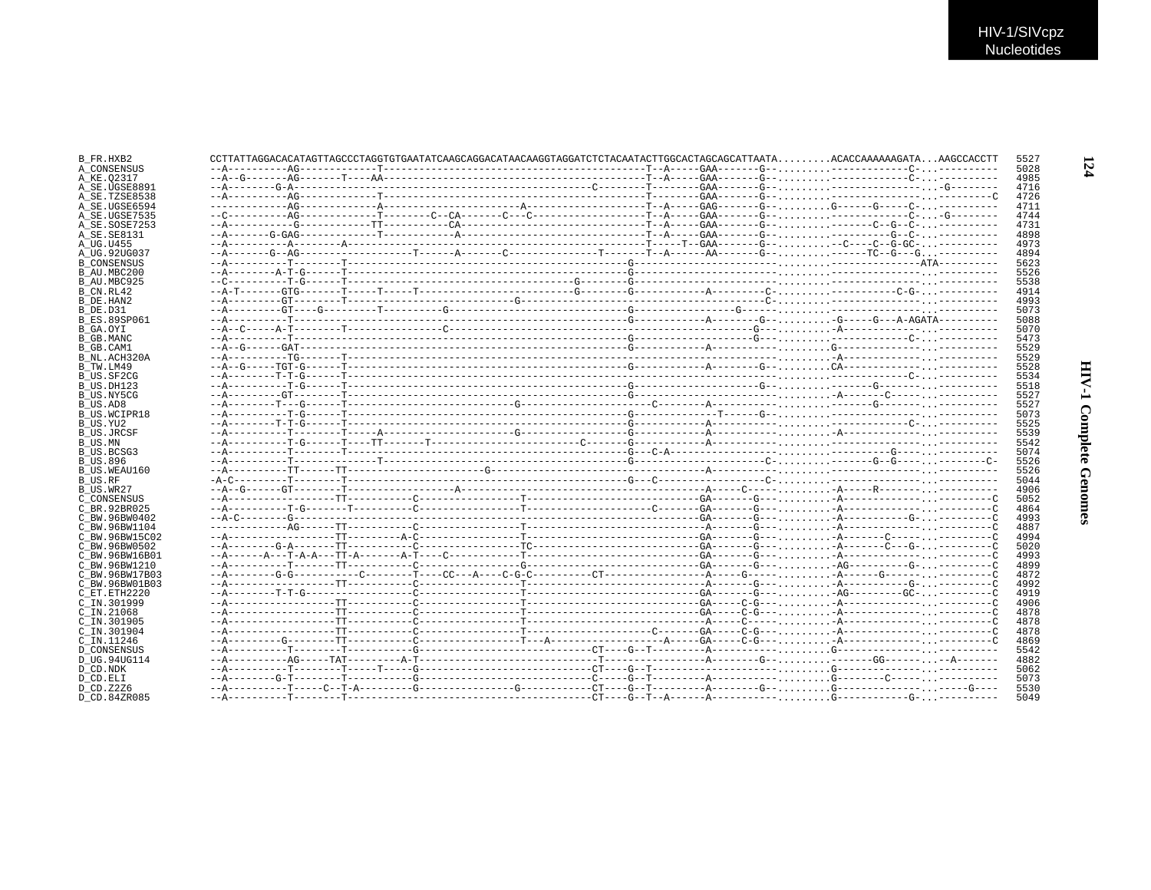| B FR.HXB2            |  | CCTTATTAGGACACATAGTTAGCCCTAGGTGTGAATATCAAGCAGGACATAACAAGGTAGGATCTCTACAATACTTGGCACTAGCAGCATTAATAACACCAAAAAAGATAAAGCCACCTT |  |  | 5527         |
|----------------------|--|--------------------------------------------------------------------------------------------------------------------------|--|--|--------------|
| A CONSENSUS          |  |                                                                                                                          |  |  | 5028         |
| A KE.02317           |  |                                                                                                                          |  |  | 4985         |
| A SE.UGSE8891        |  |                                                                                                                          |  |  | 4716         |
| A SE.TZSE8538        |  |                                                                                                                          |  |  | 4726         |
| A SE.UGSE6594        |  |                                                                                                                          |  |  | 4711         |
| A SE.UGSE7535        |  |                                                                                                                          |  |  | 4744         |
| A SE.SOSE7253        |  |                                                                                                                          |  |  | 4731         |
| A SE.SE8131          |  |                                                                                                                          |  |  | 4898         |
| A UG.U455            |  |                                                                                                                          |  |  | 4973         |
| A UG.92UG037         |  |                                                                                                                          |  |  | 4894         |
| <b>B CONSENSUS</b>   |  |                                                                                                                          |  |  | 5623         |
| B AU.MBC200          |  |                                                                                                                          |  |  | 5526         |
| B AU.MBC925          |  |                                                                                                                          |  |  | 5538         |
| B_CN.RL42            |  |                                                                                                                          |  |  | 4914         |
| B DE.HAN2            |  |                                                                                                                          |  |  | 4993         |
| B DE.D31             |  |                                                                                                                          |  |  | 5073         |
| <b>B ES.89SP061</b>  |  |                                                                                                                          |  |  | 5088         |
| B GA.OYI             |  |                                                                                                                          |  |  | 5070         |
| B GB.MANC            |  |                                                                                                                          |  |  | 5473         |
| B GB.CAM1            |  |                                                                                                                          |  |  | 5529         |
| B NL.ACH320A         |  |                                                                                                                          |  |  | 5529         |
| B TW.LM49            |  |                                                                                                                          |  |  | 5528         |
| B US.SF2CG           |  |                                                                                                                          |  |  | 5534         |
| B US.DH123           |  |                                                                                                                          |  |  | 5518         |
| B US.NY5CG           |  |                                                                                                                          |  |  | 5527         |
| B US.AD8             |  |                                                                                                                          |  |  | 5527         |
| B US.WCIPR18         |  |                                                                                                                          |  |  | 5073         |
| B US.YU2             |  |                                                                                                                          |  |  | 5525         |
| B US.JRCSF           |  |                                                                                                                          |  |  | 5539         |
| B_US.MN              |  |                                                                                                                          |  |  | 5542         |
| B US.BCSG3           |  |                                                                                                                          |  |  | 5074         |
| <b>B_US.896</b>      |  |                                                                                                                          |  |  | 5526         |
| B US.WEAU160         |  |                                                                                                                          |  |  | 5526<br>5044 |
| B US.RF<br>B US.WR27 |  |                                                                                                                          |  |  | 4906         |
| C CONSENSUS          |  |                                                                                                                          |  |  | 5052         |
| C BR.92BR025         |  |                                                                                                                          |  |  | 4864         |
| C BW.96BW0402        |  |                                                                                                                          |  |  | 4993         |
| C BW.96BW1104        |  |                                                                                                                          |  |  | 4887         |
| C BW.96BW15C02       |  |                                                                                                                          |  |  | 4994         |
| C BW.96BW0502        |  |                                                                                                                          |  |  | 5020         |
| C BW.96BW16B01       |  |                                                                                                                          |  |  | 4993         |
| C BW.96BW1210        |  |                                                                                                                          |  |  | 4899         |
| C BW.96BW17B03       |  |                                                                                                                          |  |  | 4872         |
| C BW.96BW01B03       |  |                                                                                                                          |  |  | 4992         |
| C_ET.ETH2220         |  |                                                                                                                          |  |  | 4919         |
| C IN.301999          |  |                                                                                                                          |  |  | 4906         |
| C_IN.21068           |  |                                                                                                                          |  |  | 4878         |
| C IN.301905          |  |                                                                                                                          |  |  | 4878         |
| C IN.301904          |  |                                                                                                                          |  |  | 4878         |
| C IN.11246           |  |                                                                                                                          |  |  | 4869         |
| <b>D CONSENSUS</b>   |  |                                                                                                                          |  |  | 5542         |
| D_UG.94UG114         |  |                                                                                                                          |  |  | 4882         |
| D CD.NDK             |  |                                                                                                                          |  |  | 5062         |
| D CD.ELI             |  |                                                                                                                          |  |  | 5073         |
| D CD.Z2Z6            |  |                                                                                                                          |  |  | 5530         |
| D CD.84ZR085         |  |                                                                                                                          |  |  | 5049         |
|                      |  |                                                                                                                          |  |  |              |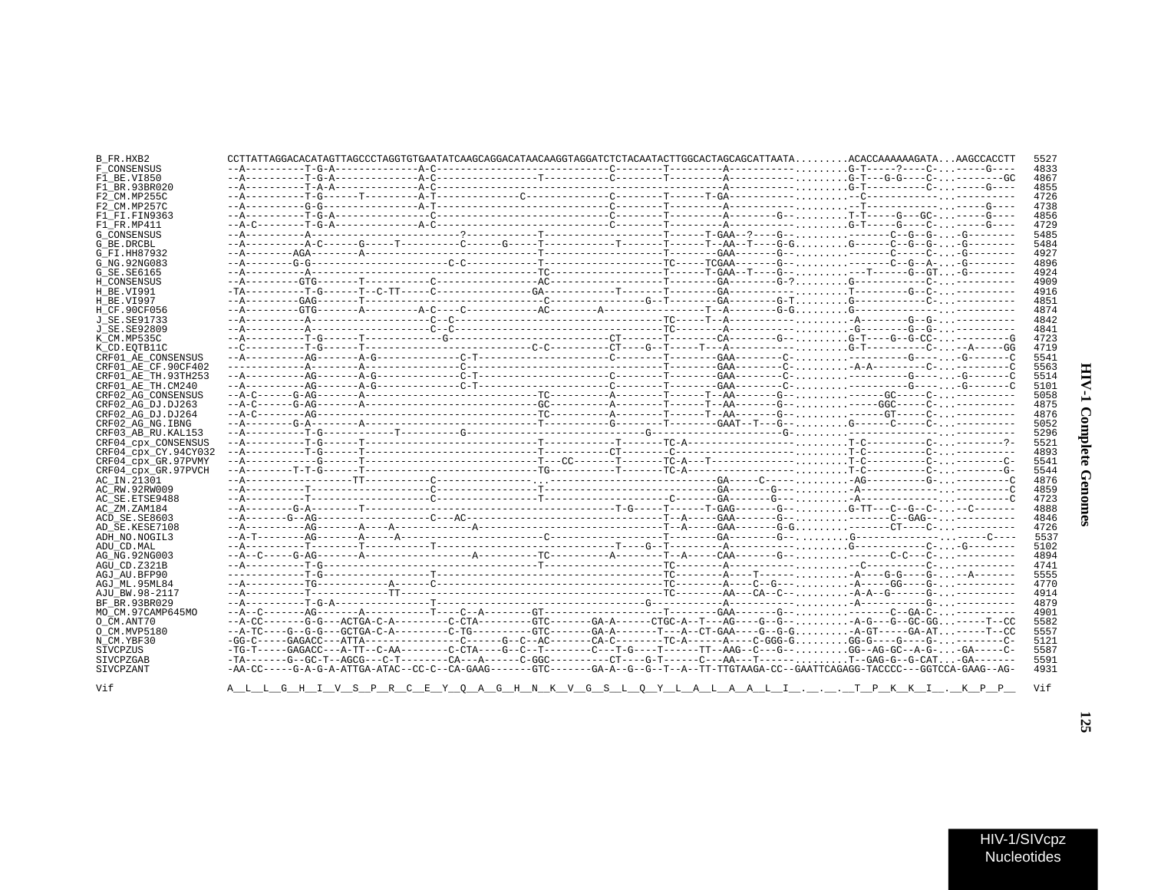| I                           |  |
|-----------------------------|--|
| ì<br>į<br>ì<br>Ĩ,<br>٢<br>ì |  |
| ļ                           |  |

 $\blacksquare$ 

| B FR.HXB2            |  | CCTTATTAGGACACATAGTTAGCCCTAGGTGTGAATATCAAGCAGGACATAACAAGGTAGGATCTCTACAATACTTGGCACTAGCAGCATTAATAACACCAAAAAAGATAAAGCCACCTT           |  |  |  |  | 5521             |
|----------------------|--|------------------------------------------------------------------------------------------------------------------------------------|--|--|--|--|------------------|
| F CONSENSUS          |  |                                                                                                                                    |  |  |  |  | 4833             |
| F1 BE.VI850          |  |                                                                                                                                    |  |  |  |  | 4867             |
| F1 BR.93BR020        |  |                                                                                                                                    |  |  |  |  | 4855             |
| F2 CM.MP255C         |  |                                                                                                                                    |  |  |  |  | 4726             |
| F2 CM.MP257C         |  |                                                                                                                                    |  |  |  |  | 4738             |
| F1 FI.FIN9363        |  |                                                                                                                                    |  |  |  |  | 4856             |
| F1 FR.MP411          |  |                                                                                                                                    |  |  |  |  | 4729             |
| <b>G CONSENSUS</b>   |  |                                                                                                                                    |  |  |  |  | 5485             |
| G BE.DRCBL           |  |                                                                                                                                    |  |  |  |  | 5484             |
| G FI.HH87932         |  |                                                                                                                                    |  |  |  |  | 492"             |
| G NG. 92NG083        |  |                                                                                                                                    |  |  |  |  | 4896             |
| G SE. SE6165         |  |                                                                                                                                    |  |  |  |  | 4924             |
| H CONSENSUS          |  |                                                                                                                                    |  |  |  |  | 490 <sup>o</sup> |
| <b>H BE VT991</b>    |  |                                                                                                                                    |  |  |  |  | 4916             |
| H BE.VI997           |  |                                                                                                                                    |  |  |  |  | 4851             |
| H CF.90CF056         |  |                                                                                                                                    |  |  |  |  | 4874             |
|                      |  |                                                                                                                                    |  |  |  |  | 4842             |
| J SE. SE91733        |  |                                                                                                                                    |  |  |  |  | 484              |
| J SE.SE92809         |  |                                                                                                                                    |  |  |  |  |                  |
| K CM.MP535C          |  |                                                                                                                                    |  |  |  |  | 4723             |
| K CD.EOTB11C         |  |                                                                                                                                    |  |  |  |  | 4719             |
| CRF01 AE CONSENSUS   |  |                                                                                                                                    |  |  |  |  | 5541             |
| CRF01 AE CF.90CF402  |  |                                                                                                                                    |  |  |  |  | 5563             |
| CRF01 AE TH.93TH253  |  |                                                                                                                                    |  |  |  |  | 5514             |
| CRF01 AE TH.CM240    |  |                                                                                                                                    |  |  |  |  | 510              |
| CRF02 AG CONSENSUS   |  |                                                                                                                                    |  |  |  |  | 5058             |
| CRF02 AG DJ.DJ263    |  |                                                                                                                                    |  |  |  |  | 4875             |
| CRF02 AG DJ.DJ264    |  |                                                                                                                                    |  |  |  |  | 4876             |
| CRF02 AG NG. IBNG    |  |                                                                                                                                    |  |  |  |  | 5052             |
| CRF03 AB RU. KAL153  |  |                                                                                                                                    |  |  |  |  | 5296             |
| CRF04 cpx CONSENSUS  |  |                                                                                                                                    |  |  |  |  | 5521             |
| CRF04 cpx CY.94CY032 |  |                                                                                                                                    |  |  |  |  | 4893             |
| CRF04 cpx GR.97PVMY  |  |                                                                                                                                    |  |  |  |  | 5541             |
| CRF04 cpx GR.97PVCH  |  |                                                                                                                                    |  |  |  |  | 5544             |
| AC_IN.21301          |  |                                                                                                                                    |  |  |  |  | 4876             |
| AC RW.92RW009        |  |                                                                                                                                    |  |  |  |  | 4859             |
| AC SE. ETSE9488      |  |                                                                                                                                    |  |  |  |  | 4723             |
| AC ZM.ZAM184         |  |                                                                                                                                    |  |  |  |  | 4888             |
| ACD SE.SE8603        |  |                                                                                                                                    |  |  |  |  | 4846             |
| AD SE.KESE7108       |  |                                                                                                                                    |  |  |  |  | 4726             |
| ADH NO.NOGIL3        |  |                                                                                                                                    |  |  |  |  | 553              |
| ADU CD.MAL           |  |                                                                                                                                    |  |  |  |  | 5102             |
| AG NG. 92NG003       |  |                                                                                                                                    |  |  |  |  | 4894             |
| AGU CD.Z321B         |  |                                                                                                                                    |  |  |  |  | 474              |
| AGJ AU.BFP90         |  |                                                                                                                                    |  |  |  |  | 5555             |
| AGJ ML.95ML84        |  |                                                                                                                                    |  |  |  |  | 4770             |
| AJU BW.98-2117       |  |                                                                                                                                    |  |  |  |  | 4914             |
| BF BR. 93BR029       |  |                                                                                                                                    |  |  |  |  | 4879             |
| MO CM.97CAMP645MO    |  |                                                                                                                                    |  |  |  |  | 490              |
| O CM.ANT70           |  | --A-CC-------G-G---ACTGA-C-A---------C-CTA---------GTC-------GA-A-------CTGC-A--T---AG----G--G---A-G---G--GC-GG-----T--CC          |  |  |  |  | 5582             |
| O CM.MVP5180         |  | --A-TC----G-G-G---GCTGA-C-A---------C-TG---------GTC-------GA-A-------T---A-CT-GAA----G-G-G-A-GT-----GA-AT-----T--CC               |  |  |  |  | 5557             |
| N CM.YBF30           |  |                                                                                                                                    |  |  |  |  | 5121             |
| SIVCPZUS             |  | -TG-T-----GAGACC---A-TT--C-AA--------C-CTA----G--C--T--------C---T-G----T------TT--AAG--C---G--GG--AG-GC--A-G--GA-----C-           |  |  |  |  | 5587             |
| SIVCPZGAB            |  |                                                                                                                                    |  |  |  |  | 559              |
| SIVCPZANT            |  | -AA-CC----G-A-G-A-ATTGA-ATAC--CC-C--CA-GAAG-------GTC------GA-A--G--G--T--A--TT-TTGTAAGA-CC--GAATTCAGAGG-TACCCC---GGTCCA-GAAG--AG- |  |  |  |  | 4931             |
|                      |  |                                                                                                                                    |  |  |  |  |                  |
| Vif                  |  | <u>A L L G H I V S P R C E Y Q A G H N K V G S L Q Y L A L A A L I T P K K I K P P </u>                                            |  |  |  |  | Vif              |
|                      |  |                                                                                                                                    |  |  |  |  |                  |

Vif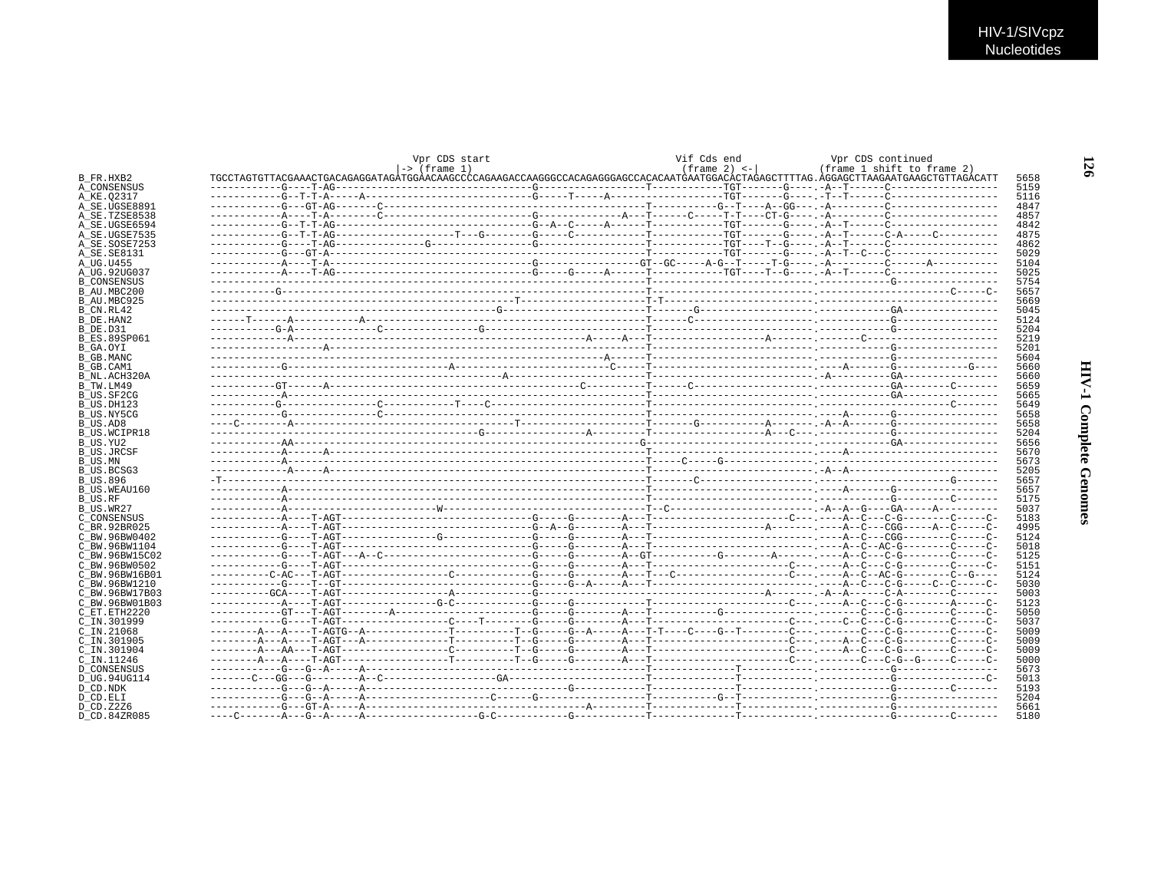|                     | Vpr CDS start | Vif Cds end          | Vpr CDS continued |                            |
|---------------------|---------------|----------------------|-------------------|----------------------------|
|                     | -> (frame 1)  | $(f$ rame 2) $\lt -$ |                   | (frame 1 shift to frame 2) |
| B FR.HXB2           |               |                      |                   |                            |
| A CONSENSUS         |               |                      |                   |                            |
| A KE.02317          |               |                      |                   |                            |
| A SE.UGSE8891       |               |                      |                   |                            |
| A SE.TZSE8538       |               |                      |                   |                            |
| A SE.UGSE6594       |               |                      |                   |                            |
|                     |               |                      |                   |                            |
| A SE.UGSE7535       |               |                      |                   |                            |
| A SE.SOSE7253       |               |                      |                   |                            |
| A_SE.SE8131         |               |                      |                   |                            |
| A UG.U455           |               |                      |                   |                            |
| A UG.92UG037        |               |                      |                   |                            |
| <b>B CONSENSUS</b>  |               |                      |                   |                            |
| B AU.MBC200         |               |                      |                   |                            |
| B AU.MBC925         |               |                      |                   |                            |
| B CN.RL42           |               |                      |                   |                            |
| B DE.HAN2           |               |                      |                   |                            |
|                     |               |                      |                   |                            |
| B DE.D31            |               |                      |                   |                            |
| <b>B ES.89SP061</b> |               |                      |                   |                            |
| B GA.OYI            |               |                      |                   |                            |
| B GB.MANC           |               |                      |                   |                            |
| B GB.CAM1           |               |                      |                   |                            |
| B NL.ACH320A        |               |                      |                   |                            |
| B TW.LM49           |               |                      |                   |                            |
| B US.SF2CG          |               |                      |                   |                            |
| B US.DH123          |               |                      |                   |                            |
| B_US.NY5CG          |               |                      |                   |                            |
| B US.AD8            |               |                      |                   |                            |
|                     |               |                      |                   |                            |
| B US.WCIPR18        |               |                      |                   |                            |
| B_US.YU2            |               |                      |                   |                            |
| <b>B_US.JRCSF</b>   |               |                      |                   |                            |
| B US.MN             |               |                      |                   |                            |
| B US.BCSG3          |               |                      |                   |                            |
| B US.896            |               |                      |                   |                            |
| B_US.WEAU160        |               |                      |                   |                            |
| B US.RF             |               |                      |                   |                            |
| B US.WR27           |               |                      |                   |                            |
| C CONSENSUS         |               |                      |                   |                            |
| C BR.92BR025        |               |                      |                   |                            |
|                     |               |                      |                   |                            |
| C BW.96BW0402       |               |                      |                   |                            |
| C BW.96BW1104       |               |                      |                   |                            |
| C BW.96BW15C02      |               |                      |                   |                            |
| C BW.96BW0502       |               |                      |                   |                            |
| C BW.96BW16B01      |               |                      |                   |                            |
| C BW.96BW1210       |               |                      |                   |                            |
| C BW.96BW17B03      |               |                      |                   |                            |
| C BW.96BW01B03      |               |                      |                   |                            |
| C_ET.ETH2220        |               |                      |                   |                            |
| C IN.301999         |               |                      |                   |                            |
| C IN.21068          |               |                      |                   |                            |
|                     |               |                      |                   |                            |
| C IN.301905         |               |                      |                   |                            |
| C_IN.301904         |               |                      |                   |                            |
| C IN.11246          |               |                      |                   |                            |
| <b>D CONSENSUS</b>  |               |                      |                   |                            |
| D UG.94UG114        |               |                      |                   |                            |
| D CD.NDK            |               |                      |                   |                            |
| D CD.ELI            |               |                      |                   |                            |
|                     |               |                      |                   |                            |
| D CD.Z2Z6           |               |                      |                   |                            |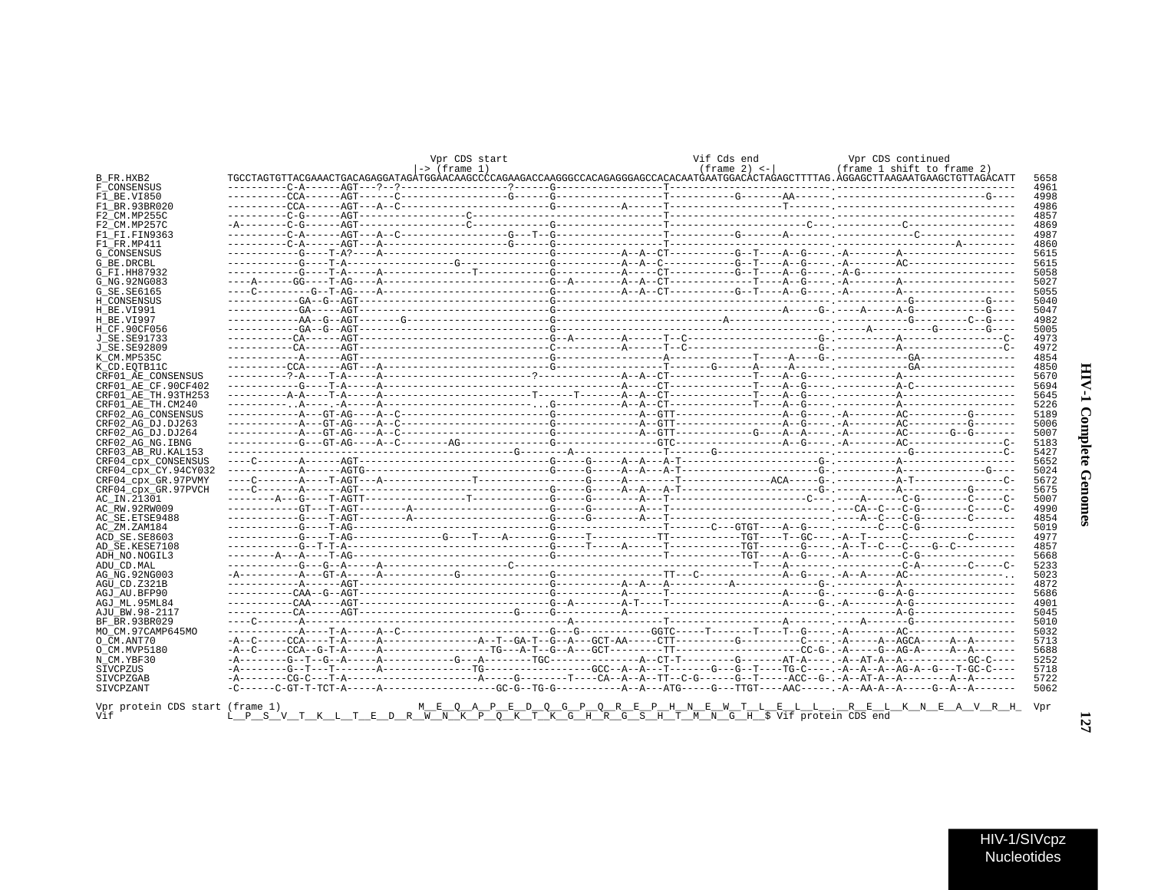| г                            |  |
|------------------------------|--|
| Š<br>$\frac{1}{2}$<br>J<br>ć |  |
| f.<br>i                      |  |

|                                                                              | Vpr CDS start<br>$\rightarrow$ (frame 1)                                           |  | Vif Cds end<br>$(f$ rame 2) $\leq -1$                               | Vpr CDS continued<br>(frame 1 shift to frame 2) |  |
|------------------------------------------------------------------------------|------------------------------------------------------------------------------------|--|---------------------------------------------------------------------|-------------------------------------------------|--|
| B FR.HXB2                                                                    |                                                                                    |  |                                                                     |                                                 |  |
| F CONSENSUS                                                                  |                                                                                    |  |                                                                     |                                                 |  |
| F1_BE.VI850                                                                  |                                                                                    |  |                                                                     |                                                 |  |
| F1 BR.93BR020                                                                |                                                                                    |  |                                                                     |                                                 |  |
| F2 CM.MP255C                                                                 |                                                                                    |  |                                                                     |                                                 |  |
| F2 CM.MP257C                                                                 |                                                                                    |  |                                                                     |                                                 |  |
| F1 FI.FIN9363                                                                |                                                                                    |  |                                                                     |                                                 |  |
| F1 FR.MP411                                                                  |                                                                                    |  |                                                                     |                                                 |  |
| <b>G CONSENSUS</b>                                                           |                                                                                    |  |                                                                     |                                                 |  |
| G BE DRCBL                                                                   |                                                                                    |  |                                                                     |                                                 |  |
| G FI.HH87932                                                                 |                                                                                    |  |                                                                     |                                                 |  |
| G NG. 92NG083                                                                |                                                                                    |  |                                                                     |                                                 |  |
| G SE. SE6165                                                                 |                                                                                    |  |                                                                     |                                                 |  |
| H CONSENSUS                                                                  |                                                                                    |  |                                                                     |                                                 |  |
| H BE.VI991                                                                   |                                                                                    |  |                                                                     |                                                 |  |
| H BE.VI997                                                                   |                                                                                    |  |                                                                     |                                                 |  |
| H CF.90CF056                                                                 |                                                                                    |  |                                                                     |                                                 |  |
| J SE. SE91733                                                                |                                                                                    |  |                                                                     |                                                 |  |
| J SE. SE92809                                                                |                                                                                    |  |                                                                     |                                                 |  |
| K CM.MP535C                                                                  |                                                                                    |  |                                                                     |                                                 |  |
| K CD. EOTB11C                                                                |                                                                                    |  |                                                                     |                                                 |  |
| CRF01 AE CONSENSUS                                                           |                                                                                    |  |                                                                     |                                                 |  |
| CRF01 AE CF.90CF402                                                          |                                                                                    |  |                                                                     |                                                 |  |
| CRF01 AE TH. 93TH253                                                         |                                                                                    |  |                                                                     |                                                 |  |
| CRF01 AE TH.CM240                                                            |                                                                                    |  |                                                                     |                                                 |  |
| CRF02 AG CONSENSUS                                                           |                                                                                    |  |                                                                     |                                                 |  |
| CRF02 AG DJ.DJ263                                                            |                                                                                    |  |                                                                     |                                                 |  |
| CRF02 AG DJ.DJ264                                                            |                                                                                    |  |                                                                     |                                                 |  |
| CRF02 AG NG. IBNG                                                            |                                                                                    |  |                                                                     |                                                 |  |
| CRF03 AB RU. KAL153                                                          |                                                                                    |  |                                                                     |                                                 |  |
| CRF04 cpx CONSENSUS                                                          |                                                                                    |  |                                                                     |                                                 |  |
| CRF04 cpx CY.94CY032                                                         |                                                                                    |  |                                                                     |                                                 |  |
| CRF04 cpx GR.97PVMY                                                          |                                                                                    |  |                                                                     |                                                 |  |
| CRF04 cpx GR.97PVCH                                                          |                                                                                    |  |                                                                     |                                                 |  |
| AC IN.21301                                                                  |                                                                                    |  |                                                                     |                                                 |  |
| AC RW.92RW009                                                                |                                                                                    |  |                                                                     |                                                 |  |
| AC SE. ETSE9488                                                              |                                                                                    |  |                                                                     |                                                 |  |
| AC_ZM.ZAM184                                                                 |                                                                                    |  |                                                                     |                                                 |  |
| ACD SE.SE8603                                                                |                                                                                    |  |                                                                     |                                                 |  |
| AD SE.KESE7108                                                               |                                                                                    |  |                                                                     |                                                 |  |
| ADH NO.NOGIL3                                                                |                                                                                    |  |                                                                     |                                                 |  |
| ADU CD. MAL                                                                  |                                                                                    |  |                                                                     |                                                 |  |
| AG NG. 92NG003                                                               |                                                                                    |  |                                                                     |                                                 |  |
| AGU CD.Z321B                                                                 |                                                                                    |  |                                                                     |                                                 |  |
| AGJ AU.BFP90                                                                 |                                                                                    |  |                                                                     |                                                 |  |
| AGJ ML.95ML84                                                                |                                                                                    |  |                                                                     |                                                 |  |
| AJU BW.98-2117                                                               |                                                                                    |  |                                                                     |                                                 |  |
| BF BR.93BR029                                                                |                                                                                    |  |                                                                     |                                                 |  |
| MO CM.97CAMP645MO                                                            |                                                                                    |  |                                                                     |                                                 |  |
| O CM.ANT70                                                                   |                                                                                    |  |                                                                     |                                                 |  |
| O CM.MVP5180                                                                 |                                                                                    |  |                                                                     |                                                 |  |
| N CM.YBF30                                                                   |                                                                                    |  |                                                                     |                                                 |  |
|                                                                              |                                                                                    |  |                                                                     |                                                 |  |
|                                                                              |                                                                                    |  |                                                                     |                                                 |  |
|                                                                              |                                                                                    |  |                                                                     |                                                 |  |
| SIVCPZUS<br>SIVCPZGAB<br>SIVCPZANT<br>Vor protein CDS start (frame 1)<br>Vif | L P S V T K L T E D R W N K P Q K T K G H R G S H T M N G H \$ Vif protein CDS end |  | M E O A P E D O G P O R E P H N E W T L E L L . R E L K N E A V R H |                                                 |  |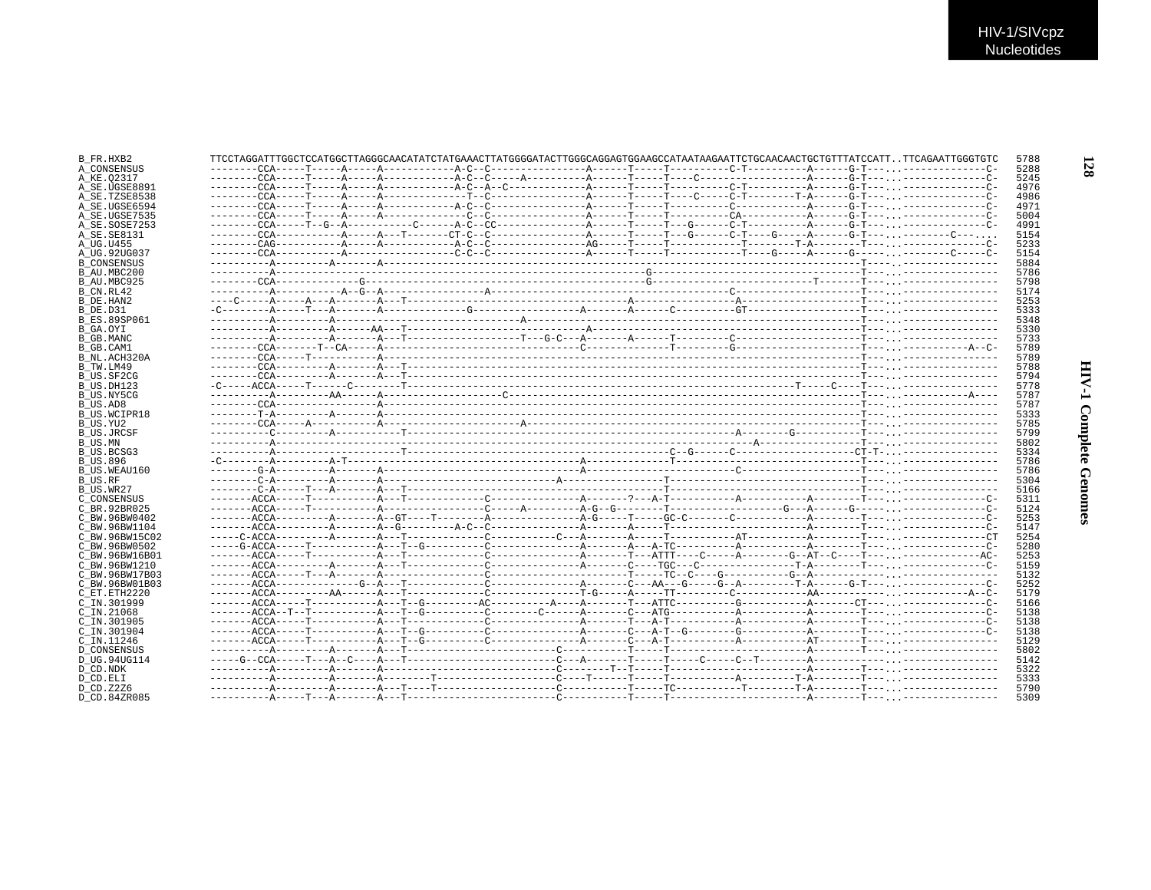|                |  |  | TTCCTAGGATTTGGCTCCATGGCTTAGGGCAACATATCTATGAAACTTATGGGGATACTTGGGCAGGAGTGGAAGCCATAATAAGAATTCTGCAACAACTGCTGTTTATCCATTTTCAGAATTGGGTGTC |  |  |  |  |
|----------------|--|--|------------------------------------------------------------------------------------------------------------------------------------|--|--|--|--|
| A CONSENSUS    |  |  |                                                                                                                                    |  |  |  |  |
| A KE.02317     |  |  |                                                                                                                                    |  |  |  |  |
| A SE.UGSE8891  |  |  |                                                                                                                                    |  |  |  |  |
| A SE.TZSE8538  |  |  |                                                                                                                                    |  |  |  |  |
| A SE.UGSE6594  |  |  |                                                                                                                                    |  |  |  |  |
| A SE.UGSE7535  |  |  |                                                                                                                                    |  |  |  |  |
| A SE.SOSE7253  |  |  |                                                                                                                                    |  |  |  |  |
| A SE.SE8131    |  |  |                                                                                                                                    |  |  |  |  |
| A UG.U455      |  |  |                                                                                                                                    |  |  |  |  |
| A UG.92UG037   |  |  |                                                                                                                                    |  |  |  |  |
|                |  |  |                                                                                                                                    |  |  |  |  |
| B CONSENSUS    |  |  |                                                                                                                                    |  |  |  |  |
| B AU.MBC200    |  |  |                                                                                                                                    |  |  |  |  |
| B AU.MBC925    |  |  |                                                                                                                                    |  |  |  |  |
| B CN.RL42      |  |  |                                                                                                                                    |  |  |  |  |
|                |  |  |                                                                                                                                    |  |  |  |  |
|                |  |  |                                                                                                                                    |  |  |  |  |
| B ES.89SP061   |  |  |                                                                                                                                    |  |  |  |  |
|                |  |  |                                                                                                                                    |  |  |  |  |
|                |  |  |                                                                                                                                    |  |  |  |  |
| B GB.MANC      |  |  |                                                                                                                                    |  |  |  |  |
|                |  |  |                                                                                                                                    |  |  |  |  |
| B NL.ACH320A   |  |  |                                                                                                                                    |  |  |  |  |
|                |  |  |                                                                                                                                    |  |  |  |  |
| B US.SF2CG     |  |  |                                                                                                                                    |  |  |  |  |
| B US.DH123     |  |  |                                                                                                                                    |  |  |  |  |
| B US.NY5CG     |  |  |                                                                                                                                    |  |  |  |  |
|                |  |  |                                                                                                                                    |  |  |  |  |
|                |  |  |                                                                                                                                    |  |  |  |  |
| B US.WCIPR18   |  |  |                                                                                                                                    |  |  |  |  |
|                |  |  |                                                                                                                                    |  |  |  |  |
| B US.JRCSF     |  |  |                                                                                                                                    |  |  |  |  |
|                |  |  |                                                                                                                                    |  |  |  |  |
| B US.BCSG3     |  |  |                                                                                                                                    |  |  |  |  |
|                |  |  |                                                                                                                                    |  |  |  |  |
| B US.WEAU160   |  |  |                                                                                                                                    |  |  |  |  |
|                |  |  |                                                                                                                                    |  |  |  |  |
|                |  |  |                                                                                                                                    |  |  |  |  |
|                |  |  |                                                                                                                                    |  |  |  |  |
| C CONSENSUS    |  |  |                                                                                                                                    |  |  |  |  |
| C BR.92BR025   |  |  |                                                                                                                                    |  |  |  |  |
| C BW.96BW0402  |  |  |                                                                                                                                    |  |  |  |  |
| C BW.96BW1104  |  |  |                                                                                                                                    |  |  |  |  |
| C BW.96BW15C02 |  |  |                                                                                                                                    |  |  |  |  |
| C BW.96BW0502  |  |  |                                                                                                                                    |  |  |  |  |
| C_BW.96BW16B01 |  |  |                                                                                                                                    |  |  |  |  |
| C BW.96BW1210  |  |  |                                                                                                                                    |  |  |  |  |
|                |  |  |                                                                                                                                    |  |  |  |  |
| C BW.96BW17B03 |  |  |                                                                                                                                    |  |  |  |  |
| C BW.96BW01B03 |  |  |                                                                                                                                    |  |  |  |  |
| C_ET.ETH2220   |  |  |                                                                                                                                    |  |  |  |  |
| C IN.301999    |  |  |                                                                                                                                    |  |  |  |  |
| C IN.21068     |  |  |                                                                                                                                    |  |  |  |  |
| C IN.301905    |  |  |                                                                                                                                    |  |  |  |  |
| C IN.301904    |  |  |                                                                                                                                    |  |  |  |  |
| C IN.11246     |  |  |                                                                                                                                    |  |  |  |  |
|                |  |  |                                                                                                                                    |  |  |  |  |
| D CONSENSUS    |  |  |                                                                                                                                    |  |  |  |  |
| D UG.94UG114   |  |  |                                                                                                                                    |  |  |  |  |
|                |  |  |                                                                                                                                    |  |  |  |  |
|                |  |  |                                                                                                                                    |  |  |  |  |
|                |  |  |                                                                                                                                    |  |  |  |  |
| D CD.Z2Z6      |  |  |                                                                                                                                    |  |  |  |  |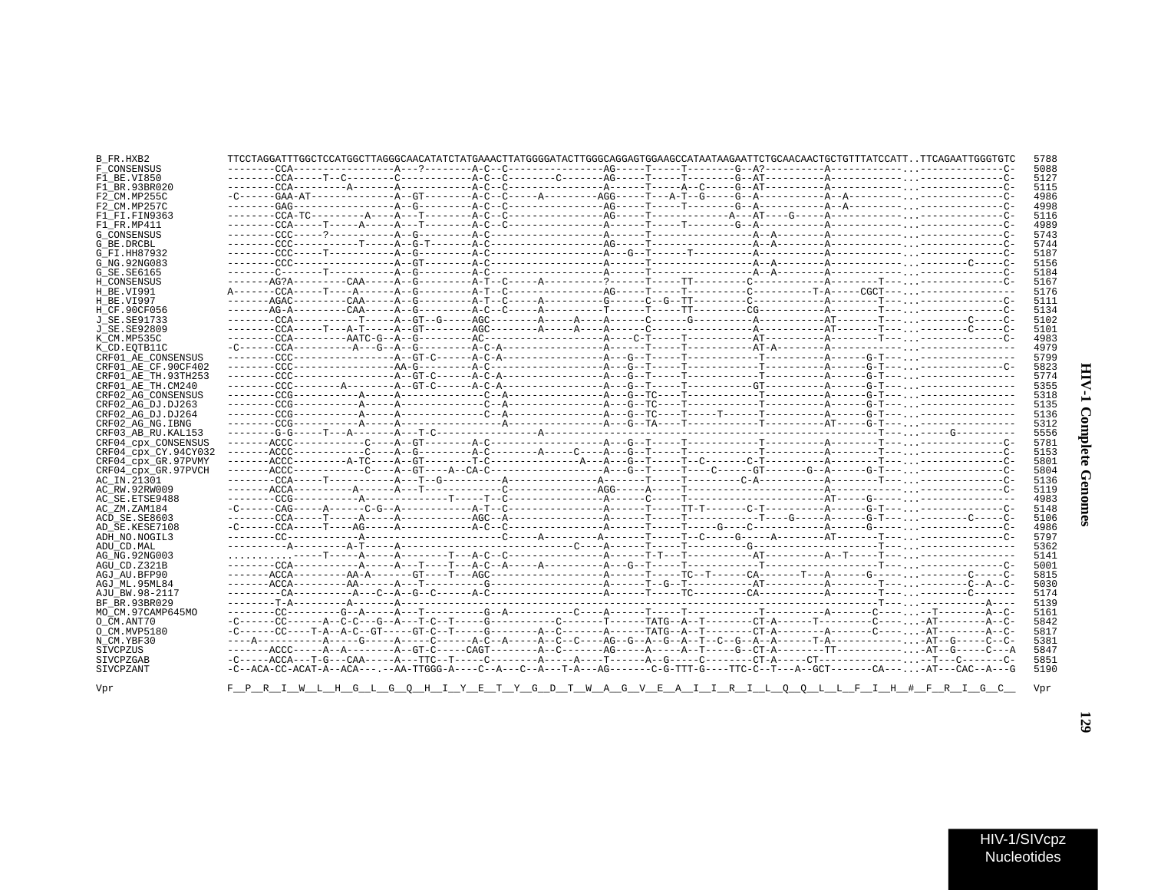| j<br>J<br>∖<br>č |  |
|------------------|--|
| ì                |  |

| B FR.HXB2            | TTCCTAGGATTTGGCTCCATGGCTTAGGGCAACATATCTATGAAACTTATGGGGATACTTGGGCAGGAGTGGAAGCCATAATAAGAATTCTGCAACTGCTGTTTATCCATTTTCAGAATTGGGTGTC |  |  |  |  | 5788 |
|----------------------|---------------------------------------------------------------------------------------------------------------------------------|--|--|--|--|------|
| F CONSENSUS          |                                                                                                                                 |  |  |  |  | 5088 |
| F1 BE.VI850          |                                                                                                                                 |  |  |  |  | 512  |
| F1 BR.93BR020        |                                                                                                                                 |  |  |  |  | 5115 |
| F2 CM.MP255C         |                                                                                                                                 |  |  |  |  | 4986 |
| F2 CM.MP257C         |                                                                                                                                 |  |  |  |  | 4998 |
| F1 FI.FIN9363        |                                                                                                                                 |  |  |  |  | 5116 |
| F1 FR.MP411          |                                                                                                                                 |  |  |  |  | 498  |
| <b>G CONSENSUS</b>   |                                                                                                                                 |  |  |  |  | 5743 |
| G BE.DRCBL           |                                                                                                                                 |  |  |  |  | 574  |
| G FI.HH87932         |                                                                                                                                 |  |  |  |  | 518  |
| G NG. 92NG083        |                                                                                                                                 |  |  |  |  | 5156 |
| G SE. SE6165         |                                                                                                                                 |  |  |  |  | 5184 |
| H CONSENSUS          |                                                                                                                                 |  |  |  |  | 516  |
| H BE.VI991           |                                                                                                                                 |  |  |  |  | 5176 |
| H BE.VI997           |                                                                                                                                 |  |  |  |  | 5111 |
| H CF.90CF056         |                                                                                                                                 |  |  |  |  | 513  |
| J SE. SE91733        |                                                                                                                                 |  |  |  |  | 5103 |
| J SE.SE92809         |                                                                                                                                 |  |  |  |  | 510  |
| K CM.MP535C          |                                                                                                                                 |  |  |  |  | 4983 |
| K CD. EOTB11C        |                                                                                                                                 |  |  |  |  | 497  |
| CRF01 AE CONSENSUS   |                                                                                                                                 |  |  |  |  | 579  |
| CRF01 AE CF.90CF402  |                                                                                                                                 |  |  |  |  | 5823 |
| CRF01 AE TH.93TH253  |                                                                                                                                 |  |  |  |  | 5774 |
| CRF01 AE TH.CM240    |                                                                                                                                 |  |  |  |  | 5355 |
| CRF02 AG CONSENSUS   |                                                                                                                                 |  |  |  |  | 5318 |
| CRF02 AG DJ.DJ263    |                                                                                                                                 |  |  |  |  | 5135 |
| CRF02_AG_DJ.DJ264    |                                                                                                                                 |  |  |  |  | 5136 |
| CRF02 AG NG. IBNG    |                                                                                                                                 |  |  |  |  | 5313 |
| CRF03 AB RU. KAL153  |                                                                                                                                 |  |  |  |  | 5556 |
| CRF04 cpx CONSENSUS  |                                                                                                                                 |  |  |  |  | 578  |
| CRF04 cpx CY.94CY032 |                                                                                                                                 |  |  |  |  | 515  |
| CRF04 cpx GR.97PVMY  |                                                                                                                                 |  |  |  |  | 580  |
| CRF04 cpx GR.97PVCH  |                                                                                                                                 |  |  |  |  | 580. |
| AC IN.21301          |                                                                                                                                 |  |  |  |  | 5136 |
| AC RW.92RW009        |                                                                                                                                 |  |  |  |  | 511  |
| AC SE. ETSE9488      |                                                                                                                                 |  |  |  |  | 4983 |
| AC_ZM.ZAM184         |                                                                                                                                 |  |  |  |  | 5148 |
| ACD SE.SE8603        |                                                                                                                                 |  |  |  |  | 5106 |
| AD SE.KESE7108       |                                                                                                                                 |  |  |  |  | 4986 |
| ADH NO.NOGIL3        |                                                                                                                                 |  |  |  |  | 579  |
| ADU CD.MAL           |                                                                                                                                 |  |  |  |  | 5363 |
| AG NG.92NG003        |                                                                                                                                 |  |  |  |  | 514  |
| AGU CD.Z321B         |                                                                                                                                 |  |  |  |  | 500  |
| AGJ AU.BFP90         |                                                                                                                                 |  |  |  |  | 5815 |
| AGJ ML.95ML84        |                                                                                                                                 |  |  |  |  | 5030 |
| AJU BW.98-2117       |                                                                                                                                 |  |  |  |  | 5174 |
| BF BR. 93BR029       |                                                                                                                                 |  |  |  |  | 5139 |
| MO CM.97CAMP645MO    |                                                                                                                                 |  |  |  |  | 516  |
| O CM.ANT70           |                                                                                                                                 |  |  |  |  | 5843 |
| O CM. MVP5180        |                                                                                                                                 |  |  |  |  | 581  |
| N CM.YBF30           |                                                                                                                                 |  |  |  |  | 5381 |
| SIVCPZUS             |                                                                                                                                 |  |  |  |  | 584  |
| SIVCPZGAB            |                                                                                                                                 |  |  |  |  | 585  |
| SIVCPZANT            | -C--ACA-CC-ACAT-A--ACA---.--AA-TTGGG-A----C--A---T-A---AG-------C-G-TTT-G----TTC-C--T---A--GCT-------CA---AT---CAC--A---G       |  |  |  |  | 5190 |
|                      |                                                                                                                                 |  |  |  |  |      |
| Vpr                  | F P R I W L H G L G O H I Y E T Y G D T W A G V E A I I R I L O O L L F I H # F R I G C                                         |  |  |  |  | Vpr  |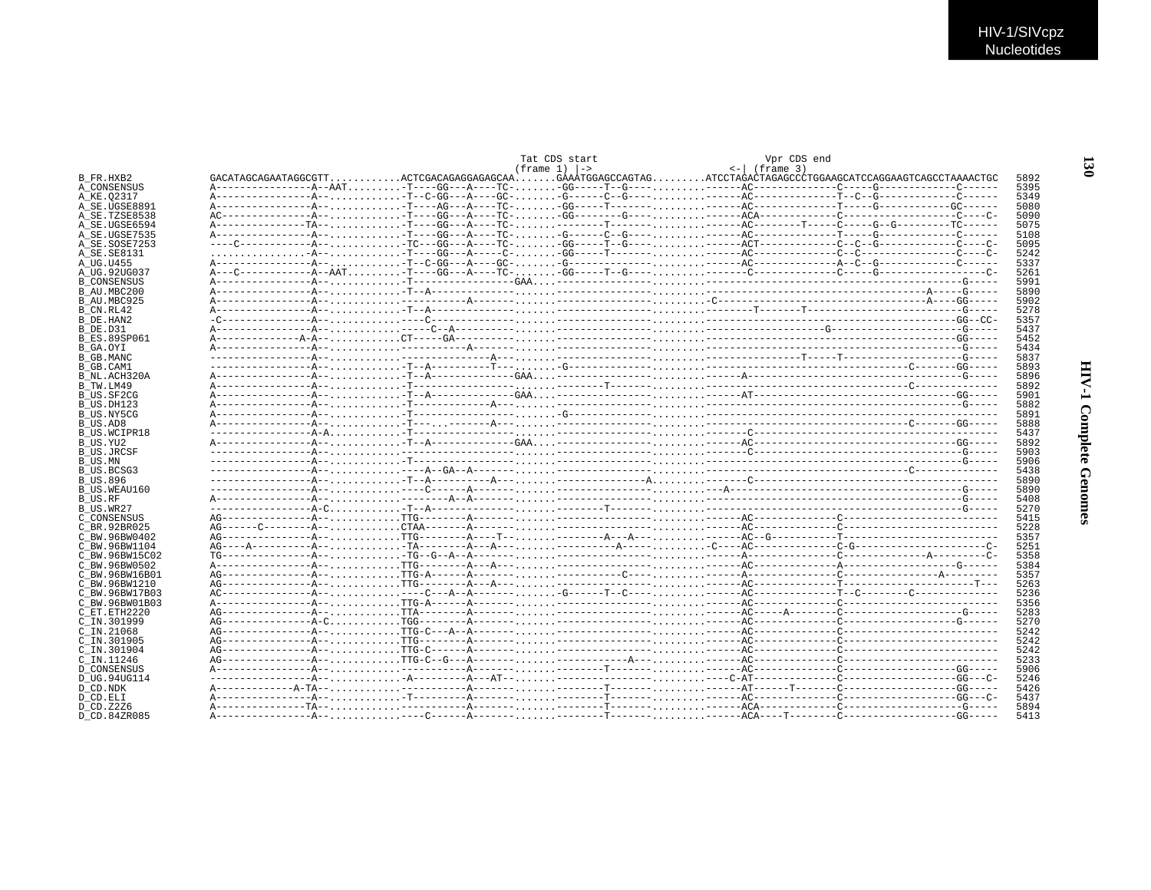|                     |  | Tat CDS start           |  | Vpr CDS end            |                                                                                                                     |      |
|---------------------|--|-------------------------|--|------------------------|---------------------------------------------------------------------------------------------------------------------|------|
|                     |  | $(f$ rame 1) $\vert$ -> |  | $\leftarrow$ (frame 3) |                                                                                                                     |      |
| B FR.HXB2           |  |                         |  |                        | $GACATAGCAGAATAGGCGTT, ACTCGACAGAGGAGGGAGGAA GAAÄTGGAGCCAGTAG ATCCTAGACTTGGAGGCTGGAAGCATCCAGGAGTCCAGGACGCTGAAACTGC$ | 5892 |
| A CONSENSUS         |  |                         |  |                        |                                                                                                                     | 5395 |
| A KE.02317          |  |                         |  |                        |                                                                                                                     | 5349 |
| A SE.UGSE8891       |  |                         |  |                        |                                                                                                                     | 5080 |
|                     |  |                         |  |                        |                                                                                                                     |      |
| A SE.TZSE8538       |  |                         |  |                        |                                                                                                                     | 5090 |
| A SE.UGSE6594       |  |                         |  |                        |                                                                                                                     | 5075 |
| A SE.UGSE7535       |  |                         |  |                        |                                                                                                                     | 5108 |
| A SE.SOSE7253       |  |                         |  |                        |                                                                                                                     | 5095 |
| A SE.SE8131         |  |                         |  |                        |                                                                                                                     | 5242 |
| A UG.U455           |  |                         |  |                        |                                                                                                                     | 5337 |
| A UG.92UG037        |  |                         |  |                        |                                                                                                                     | 5261 |
| <b>B CONSENSUS</b>  |  |                         |  |                        |                                                                                                                     | 5991 |
|                     |  |                         |  |                        |                                                                                                                     |      |
| B AU.MBC200         |  |                         |  |                        |                                                                                                                     | 5890 |
| B AU.MBC925         |  |                         |  |                        |                                                                                                                     | 5902 |
| B CN.RL42           |  |                         |  |                        |                                                                                                                     | 5278 |
| B DE.HAN2           |  |                         |  |                        |                                                                                                                     | 5357 |
| B DE.D31            |  |                         |  |                        |                                                                                                                     | 5437 |
| <b>B ES.89SP061</b> |  |                         |  |                        |                                                                                                                     | 5452 |
| B GA.OYI            |  |                         |  |                        |                                                                                                                     | 5434 |
| B GB.MANC           |  |                         |  |                        |                                                                                                                     | 5837 |
|                     |  |                         |  |                        |                                                                                                                     |      |
| B GB.CAM1           |  |                         |  |                        |                                                                                                                     | 5893 |
| B NL.ACH320A        |  |                         |  |                        |                                                                                                                     | 5896 |
| B TW.LM49           |  |                         |  |                        |                                                                                                                     | 5892 |
| B US.SF2CG          |  |                         |  |                        |                                                                                                                     | 5901 |
| B US.DH123          |  |                         |  |                        |                                                                                                                     | 5882 |
| B US.NY5CG          |  |                         |  |                        |                                                                                                                     | 5891 |
| B US.AD8            |  |                         |  |                        |                                                                                                                     | 5888 |
|                     |  |                         |  |                        |                                                                                                                     | 5437 |
| <b>B US.WCIPR18</b> |  |                         |  |                        |                                                                                                                     |      |
| B_US.YU2            |  |                         |  |                        |                                                                                                                     | 5892 |
| <b>B US.JRCSF</b>   |  |                         |  |                        |                                                                                                                     | 5903 |
| B US.MN             |  |                         |  |                        |                                                                                                                     | 5906 |
| B US.BCSG3          |  |                         |  |                        |                                                                                                                     | 5438 |
| <b>B US.896</b>     |  |                         |  |                        |                                                                                                                     | 5890 |
| B US.WEAU160        |  |                         |  |                        |                                                                                                                     | 5890 |
| B US.RF             |  |                         |  |                        |                                                                                                                     | 5408 |
|                     |  |                         |  |                        |                                                                                                                     | 5270 |
| B US.WR27           |  |                         |  |                        |                                                                                                                     |      |
| C CONSENSUS         |  |                         |  |                        |                                                                                                                     | 5415 |
| C BR. 92BR025       |  |                         |  |                        |                                                                                                                     | 5228 |
| C BW.96BW0402       |  |                         |  |                        |                                                                                                                     | 5357 |
| C BW.96BW1104       |  |                         |  |                        |                                                                                                                     | 5251 |
| C BW.96BW15C02      |  |                         |  |                        |                                                                                                                     | 5358 |
| C BW. 96BW0502      |  |                         |  |                        |                                                                                                                     | 5384 |
| C BW.96BW16B01      |  |                         |  |                        |                                                                                                                     | 5357 |
|                     |  |                         |  |                        |                                                                                                                     |      |
| C BW.96BW1210       |  |                         |  |                        |                                                                                                                     | 5263 |
| C BW.96BW17B03      |  |                         |  |                        |                                                                                                                     | 5236 |
| C BW.96BW01B03      |  |                         |  |                        |                                                                                                                     | 5356 |
| C ET. ETH2220       |  |                         |  |                        |                                                                                                                     | 5283 |
| C IN.301999         |  |                         |  |                        |                                                                                                                     | 5270 |
| C IN.21068          |  |                         |  |                        |                                                                                                                     | 5242 |
| C IN.301905         |  |                         |  |                        |                                                                                                                     | 5242 |
|                     |  |                         |  |                        |                                                                                                                     | 5242 |
| C IN.301904         |  |                         |  |                        |                                                                                                                     |      |
| $C$ TN. 11246       |  |                         |  |                        |                                                                                                                     | 5233 |
| <b>D CONSENSUS</b>  |  |                         |  |                        |                                                                                                                     | 5906 |
| D UG.94UG114        |  |                         |  |                        |                                                                                                                     | 5246 |
| D CD.NDK            |  |                         |  |                        |                                                                                                                     | 5426 |
| D CD.ELI            |  |                         |  |                        |                                                                                                                     | 5437 |
| D CD. Z2Z6          |  |                         |  |                        |                                                                                                                     | 5894 |
|                     |  |                         |  |                        |                                                                                                                     |      |
| D CD.84ZR085        |  |                         |  |                        |                                                                                                                     | 5413 |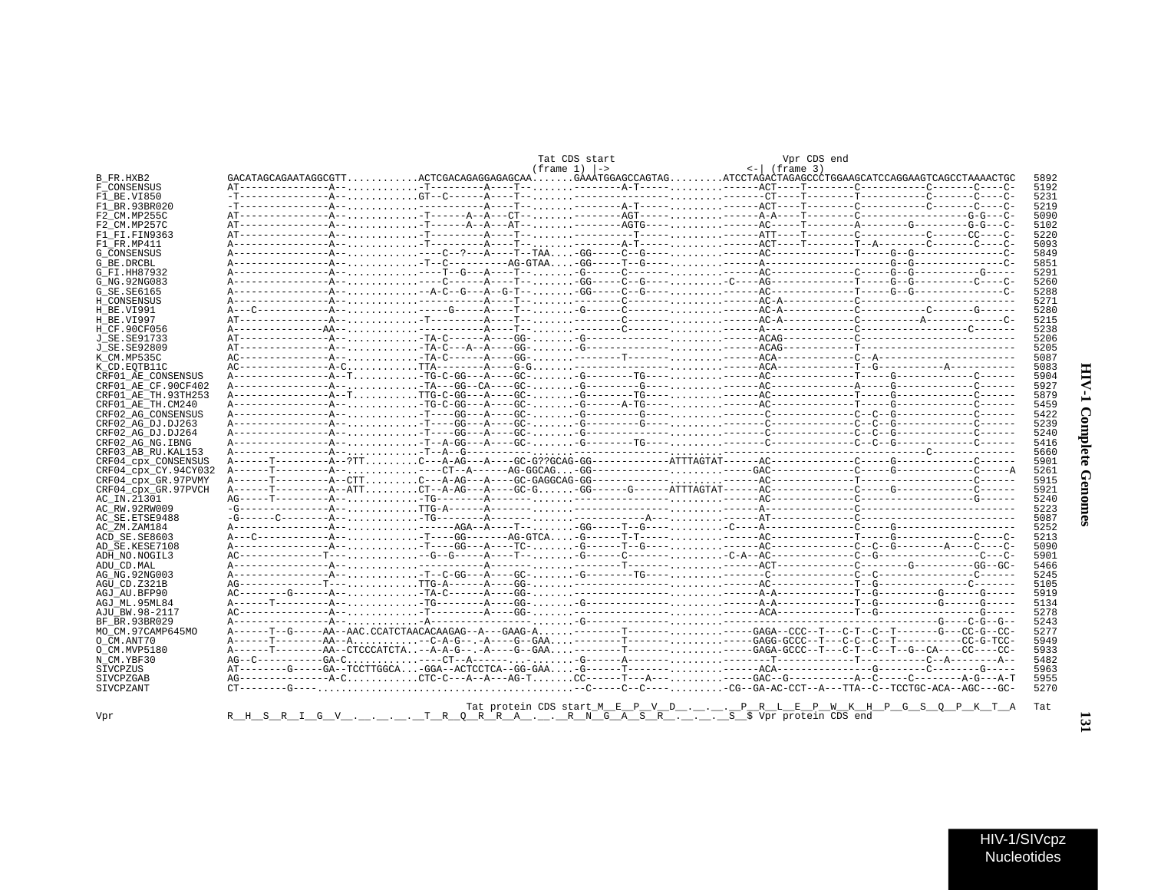|                      |  |  | Tat CDS start                |  | Vpr CDS end                                                                                                                                                                                                                                                                                                                                                                                                                                                                                                      |  |      |
|----------------------|--|--|------------------------------|--|------------------------------------------------------------------------------------------------------------------------------------------------------------------------------------------------------------------------------------------------------------------------------------------------------------------------------------------------------------------------------------------------------------------------------------------------------------------------------------------------------------------|--|------|
|                      |  |  | $(f$ rame $1)$ $\rightarrow$ |  | $\leftarrow$ (frame 3)                                                                                                                                                                                                                                                                                                                                                                                                                                                                                           |  |      |
| B FR.HXB2            |  |  |                              |  | $GACATAGCAGAATAGGGGTT, ACTCGACAGAGGAGAGGAGCAA GAAÀTGGAGCCCGTTAG, ATCCTAGACCTAGAGCCCTGGAAGCATCCAGGAGTCAGCCCTAAAACTGC$                                                                                                                                                                                                                                                                                                                                                                                             |  | 5892 |
| F CONSENSUS          |  |  |                              |  |                                                                                                                                                                                                                                                                                                                                                                                                                                                                                                                  |  | 5192 |
| F1 BE.VI850          |  |  |                              |  |                                                                                                                                                                                                                                                                                                                                                                                                                                                                                                                  |  | 5231 |
| F1 BR. 93BR020       |  |  |                              |  |                                                                                                                                                                                                                                                                                                                                                                                                                                                                                                                  |  | 5219 |
| F2 CM.MP255C         |  |  |                              |  |                                                                                                                                                                                                                                                                                                                                                                                                                                                                                                                  |  | 5090 |
| F2 CM.MP257C         |  |  |                              |  |                                                                                                                                                                                                                                                                                                                                                                                                                                                                                                                  |  | 5102 |
| F1 FI.FIN9363        |  |  |                              |  |                                                                                                                                                                                                                                                                                                                                                                                                                                                                                                                  |  | 5220 |
| F1 FR.MP411          |  |  |                              |  |                                                                                                                                                                                                                                                                                                                                                                                                                                                                                                                  |  | 5093 |
| <b>G CONSENSUS</b>   |  |  |                              |  |                                                                                                                                                                                                                                                                                                                                                                                                                                                                                                                  |  | 5849 |
| G BE.DRCBL           |  |  |                              |  |                                                                                                                                                                                                                                                                                                                                                                                                                                                                                                                  |  | 5851 |
| G FI.HH87932         |  |  |                              |  |                                                                                                                                                                                                                                                                                                                                                                                                                                                                                                                  |  | 5291 |
| G NG. 92NG083        |  |  |                              |  |                                                                                                                                                                                                                                                                                                                                                                                                                                                                                                                  |  | 5260 |
| G SE. SE6165         |  |  |                              |  |                                                                                                                                                                                                                                                                                                                                                                                                                                                                                                                  |  | 5288 |
| H CONSENSUS          |  |  |                              |  |                                                                                                                                                                                                                                                                                                                                                                                                                                                                                                                  |  | 5271 |
| H BE.VI991           |  |  |                              |  |                                                                                                                                                                                                                                                                                                                                                                                                                                                                                                                  |  | 5280 |
| H BE.VI997           |  |  |                              |  |                                                                                                                                                                                                                                                                                                                                                                                                                                                                                                                  |  | 5215 |
|                      |  |  |                              |  |                                                                                                                                                                                                                                                                                                                                                                                                                                                                                                                  |  | 5238 |
| H CF.90CF056         |  |  |                              |  |                                                                                                                                                                                                                                                                                                                                                                                                                                                                                                                  |  |      |
| J SE. SE91733        |  |  |                              |  |                                                                                                                                                                                                                                                                                                                                                                                                                                                                                                                  |  | 5206 |
| J SE. SE92809        |  |  |                              |  |                                                                                                                                                                                                                                                                                                                                                                                                                                                                                                                  |  | 5205 |
| K CM.MP535C          |  |  |                              |  |                                                                                                                                                                                                                                                                                                                                                                                                                                                                                                                  |  | 5087 |
| K CD.EOTB11C         |  |  |                              |  |                                                                                                                                                                                                                                                                                                                                                                                                                                                                                                                  |  | 5083 |
| CRF01 AE CONSENSUS   |  |  |                              |  |                                                                                                                                                                                                                                                                                                                                                                                                                                                                                                                  |  | 5904 |
| CRF01 AE CF.90CF402  |  |  |                              |  |                                                                                                                                                                                                                                                                                                                                                                                                                                                                                                                  |  | 5927 |
| CRF01 AE TH.93TH253  |  |  |                              |  | A---------------A--TTTG-C-GG---A----GC--G--------TG-----------AC--------------T-----G---------C-------C------                                                                                                                                                                                                                                                                                                                                                                                                    |  | 5879 |
| CRF01 AE TH.CM240    |  |  |                              |  | A---------------A---TG-C-GG---A----GC--G------A-TG-----------AC-------------T-----G----------C-------                                                                                                                                                                                                                                                                                                                                                                                                            |  | 5459 |
| CRF02 AG CONSENSUS   |  |  |                              |  |                                                                                                                                                                                                                                                                                                                                                                                                                                                                                                                  |  | 5422 |
| CRF02 AG DJ.DJ263    |  |  |                              |  |                                                                                                                                                                                                                                                                                                                                                                                                                                                                                                                  |  | 5239 |
| CRF02 AG DJ.DJ264    |  |  |                              |  |                                                                                                                                                                                                                                                                                                                                                                                                                                                                                                                  |  | 5240 |
| CRF02 AG NG. IBNG    |  |  |                              |  |                                                                                                                                                                                                                                                                                                                                                                                                                                                                                                                  |  | 5416 |
| CRF03 AB RU. KAL153  |  |  |                              |  |                                                                                                                                                                                                                                                                                                                                                                                                                                                                                                                  |  | 5660 |
| CRF04 CDX CONSENSUS  |  |  |                              |  |                                                                                                                                                                                                                                                                                                                                                                                                                                                                                                                  |  | 5901 |
| CRF04 cpx CY.94CY032 |  |  |                              |  |                                                                                                                                                                                                                                                                                                                                                                                                                                                                                                                  |  | 5261 |
| CRF04 cpx GR.97PVMY  |  |  |                              |  |                                                                                                                                                                                                                                                                                                                                                                                                                                                                                                                  |  | 5915 |
| CRF04 cpx GR.97PVCH  |  |  |                              |  |                                                                                                                                                                                                                                                                                                                                                                                                                                                                                                                  |  | 5921 |
| AC IN.21301          |  |  |                              |  |                                                                                                                                                                                                                                                                                                                                                                                                                                                                                                                  |  | 5240 |
| AC RW.92RW009        |  |  |                              |  |                                                                                                                                                                                                                                                                                                                                                                                                                                                                                                                  |  | 5223 |
| AC SE. ETSE9488      |  |  |                              |  |                                                                                                                                                                                                                                                                                                                                                                                                                                                                                                                  |  | 5087 |
|                      |  |  |                              |  |                                                                                                                                                                                                                                                                                                                                                                                                                                                                                                                  |  | 5252 |
| AC ZM.ZAM184         |  |  |                              |  |                                                                                                                                                                                                                                                                                                                                                                                                                                                                                                                  |  |      |
| ACD SE.SE8603        |  |  |                              |  |                                                                                                                                                                                                                                                                                                                                                                                                                                                                                                                  |  | 5213 |
| AD SE.KESE7108       |  |  |                              |  |                                                                                                                                                                                                                                                                                                                                                                                                                                                                                                                  |  | 5090 |
| ADH NO.NOGIL3        |  |  |                              |  | AC--------------T-----G--G-----A----T--G-----C------CA--AC---------C--G--G---------C--C                                                                                                                                                                                                                                                                                                                                                                                                                          |  | 5901 |
| ADU CD.MAL           |  |  |                              |  |                                                                                                                                                                                                                                                                                                                                                                                                                                                                                                                  |  | 5466 |
| AG NG. 92NG003       |  |  |                              |  |                                                                                                                                                                                                                                                                                                                                                                                                                                                                                                                  |  | 5245 |
| AGU CD.Z321B         |  |  |                              |  |                                                                                                                                                                                                                                                                                                                                                                                                                                                                                                                  |  | 5105 |
| AGJ AU.BFP90         |  |  |                              |  |                                                                                                                                                                                                                                                                                                                                                                                                                                                                                                                  |  | 5919 |
| AGJ ML.95ML84        |  |  |                              |  |                                                                                                                                                                                                                                                                                                                                                                                                                                                                                                                  |  | 5134 |
| AJU BW.98-2117       |  |  |                              |  |                                                                                                                                                                                                                                                                                                                                                                                                                                                                                                                  |  | 5278 |
| BF BR. 93BR029       |  |  |                              |  |                                                                                                                                                                                                                                                                                                                                                                                                                                                                                                                  |  | 5243 |
| MO CM.97CAMP645MO    |  |  |                              |  | A------T--G-----AA--AAC.CCATCTAACACAAGAG--A---GAAG-A--------T-----------GAGA--CCC--T---C-T--C-T------G---CC-G--CC                                                                                                                                                                                                                                                                                                                                                                                                |  | 5277 |
| O CM.ANT70           |  |  |                              |  | A------T---------AA--A--C-A-G--.-A----G--GAA--------T----------GAGG-GCCC--T---C-C--C--T---------CC-G-TCC-                                                                                                                                                                                                                                                                                                                                                                                                        |  | 5949 |
| O CM.MVP5180         |  |  |                              |  | A------T--------AA--CTCCCATCTA--A-A-G--.-A----G--GAA--------T-----------GAGA-GCCC--T--C-T--C-T--GA--CA----CC----CC                                                                                                                                                                                                                                                                                                                                                                                               |  | 5933 |
| N CM.YBF30           |  |  |                              |  |                                                                                                                                                                                                                                                                                                                                                                                                                                                                                                                  |  | 5482 |
| SIVCPZUS             |  |  |                              |  |                                                                                                                                                                                                                                                                                                                                                                                                                                                                                                                  |  | 5963 |
| <b>STVCPZGAB</b>     |  |  |                              |  | $\mathsf{AG}\texttt{-}\texttt{-----} - \mathsf{A}\texttt{-}\mathsf{C}\texttt{-----} - \mathsf{A}\texttt{-}\mathsf{C}\texttt{-}\mathsf{C}\texttt{-}\texttt{-}\mathsf{A}\texttt{-}\mathsf{A}\texttt{-}\mathsf{C}\texttt{-}\mathsf{C}\texttt{-}\texttt{-}\mathsf{A}\texttt{-}\mathsf{A}\texttt{-}\mathsf{A}\texttt{-}\mathsf{A}\texttt{-}\mathsf{A}\texttt{-}\mathsf{C}\texttt{-}\mathsf{C}\texttt{-}\texttt{-}\mathsf{C}\texttt{-}\texttt{-}\mathsf{A}\texttt{-}\mathsf{C}\texttt{-}\mathsf{C}\texttt{-}\mathsf{C$ |  | 5955 |
| SIVCPZANT            |  |  |                              |  | $CT = \texttt{---G} = \texttt{---G} = \texttt{CCTGC} + \texttt{CCT} = \texttt{---G} + \texttt{---G} + \texttt{---G} + \texttt{---G} + \texttt{---G} + \texttt{---G} + \texttt{---G} + \texttt{---G} + \texttt{---G} + \texttt{---G} + \texttt{---G} + \texttt{---G} + \texttt{---G} + \texttt{---G} + \texttt{---G} + \texttt{---G} + \texttt{---G} + \texttt{---G} + \texttt{---G} + \texttt{---G} + \texttt{---G} + \texttt{---G} + \texttt{---G} + \$                                                         |  | 5270 |
|                      |  |  |                              |  |                                                                                                                                                                                                                                                                                                                                                                                                                                                                                                                  |  |      |
|                      |  |  |                              |  |                                                                                                                                                                                                                                                                                                                                                                                                                                                                                                                  |  |      |
|                      |  |  |                              |  | Tat protein CDS start M E P V D  P R L E P W K H P G S Q P K T A                                                                                                                                                                                                                                                                                                                                                                                                                                                 |  | Tat  |
| Vpr                  |  |  |                              |  | R H S R I G V  T R Q R R A  R N G A S R  S \$ Vpr protein CDS end                                                                                                                                                                                                                                                                                                                                                                                                                                                |  |      |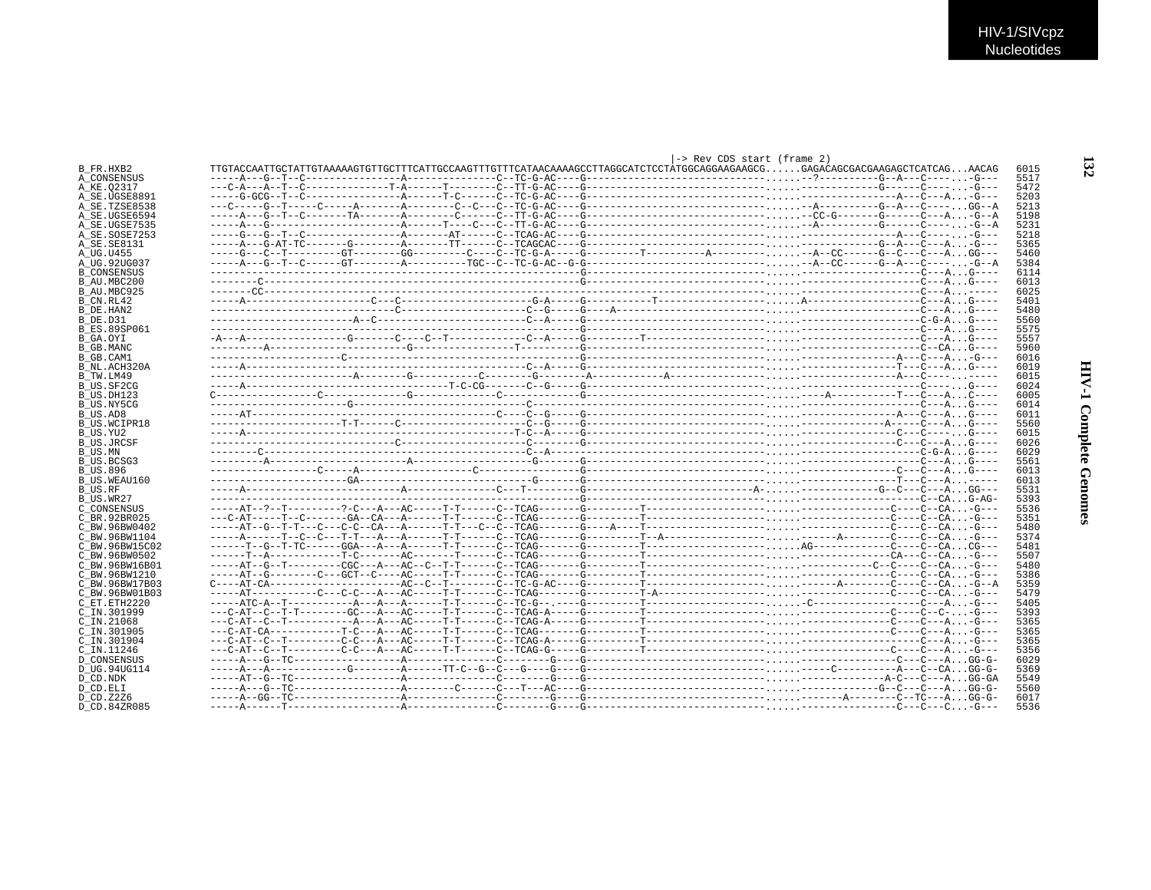|                               |                                                                                                                          | -> Rev CDS start (frame 2) |  |              |
|-------------------------------|--------------------------------------------------------------------------------------------------------------------------|----------------------------|--|--------------|
| B FR.HXB2                     |                                                                                                                          |                            |  | 6015         |
| A CONSENSUS                   |                                                                                                                          |                            |  | 5517         |
| A KE.02317                    |                                                                                                                          |                            |  | 5472         |
| A SE.UGSE8891                 |                                                                                                                          |                            |  | 5203         |
| A SE.TZSE8538                 |                                                                                                                          |                            |  | 5213         |
| A SE.UGSE6594                 |                                                                                                                          |                            |  | 5198         |
| A SE.UGSE7535                 |                                                                                                                          |                            |  | 5231         |
| A_SE.SOSE7253                 |                                                                                                                          |                            |  | 5218         |
| A SE. SE8131                  |                                                                                                                          |                            |  | 5365         |
| A_UG.U455                     |                                                                                                                          |                            |  | 5460         |
| A UG.92UG037                  |                                                                                                                          |                            |  | 5384         |
| <b>B CONSENSUS</b>            |                                                                                                                          |                            |  | 6114         |
| B AU.MBC200                   |                                                                                                                          |                            |  | 6013         |
| B AU.MBC925                   |                                                                                                                          |                            |  | 6025         |
| B CN.RL42                     |                                                                                                                          |                            |  | 5401         |
| B_DE.HAN2                     |                                                                                                                          |                            |  | 5480         |
| B DE.D31                      |                                                                                                                          |                            |  | 5560         |
| <b>B ES.89SP061</b>           |                                                                                                                          |                            |  | 5575         |
| B GA.OYI                      |                                                                                                                          |                            |  | 5557         |
| <b>B_GB.MANC</b>              |                                                                                                                          |                            |  | 5960         |
| B GB.CAM1                     |                                                                                                                          |                            |  | 6016         |
| B NL.ACH320A                  |                                                                                                                          |                            |  | 6019         |
| B TW.LM49                     |                                                                                                                          |                            |  | 6015         |
| B US.SF2CG                    |                                                                                                                          |                            |  | 6024         |
| B US.DH123                    |                                                                                                                          |                            |  | 6005         |
| B US.NY5CG                    |                                                                                                                          |                            |  | 6014         |
| B US.AD8                      |                                                                                                                          |                            |  | 6011         |
| <b>B US.WCIPR18</b>           |                                                                                                                          |                            |  | 5560         |
| B US.YU2                      |                                                                                                                          |                            |  | 6015         |
| <b>B US.JRCSF</b>             |                                                                                                                          |                            |  | 6026         |
| B US.MN                       |                                                                                                                          |                            |  | 6029         |
| B US.BCSG3<br><b>B US.896</b> |                                                                                                                          |                            |  | 5561<br>6013 |
| B US.WEAU160                  |                                                                                                                          |                            |  | 6013         |
|                               |                                                                                                                          |                            |  | 5531         |
| B US.RF<br>B_US.WR27          |                                                                                                                          |                            |  | 5393         |
| C CONSENSUS                   |                                                                                                                          |                            |  | 5536         |
| C BR. 92BR025                 |                                                                                                                          |                            |  | 5351         |
| C BW.96BW0402                 |                                                                                                                          |                            |  | 5480         |
| C BW.96BW1104                 |                                                                                                                          |                            |  | 5374         |
| C BW.96BW15C02                |                                                                                                                          |                            |  | 5481         |
| C BW.96BW0502                 |                                                                                                                          |                            |  | 5507         |
| C BW.96BW16B01                |                                                                                                                          |                            |  | 5480         |
| C BW.96BW1210                 |                                                                                                                          |                            |  | 5386         |
| C BW.96BW17B03                | $C---AT-CA---------------AC---C---T---C---TC-G-AC---G------T------------------------A------A------C---C---C---A. -G---A$ |                            |  | 5359         |
| C BW.96BW01B03                |                                                                                                                          |                            |  | 5479         |
| C ET. ETH2220                 |                                                                                                                          |                            |  | 5405         |
| C IN.301999                   |                                                                                                                          |                            |  | 5393         |
| C IN.21068                    |                                                                                                                          |                            |  | 5365         |
| $C$ TN 301905                 |                                                                                                                          |                            |  | 5365         |
| C IN.301904                   |                                                                                                                          |                            |  | 5365         |
| C IN.11246                    |                                                                                                                          |                            |  | 5356         |
| <b>D_CONSENSUS</b>            |                                                                                                                          |                            |  | 6029         |
| D UG.94UG114                  |                                                                                                                          |                            |  | 5369         |
| D CD.NDK                      |                                                                                                                          |                            |  | 5549         |
| D CD.ELI                      |                                                                                                                          |                            |  | 5560         |
| D CD. Z2Z6                    |                                                                                                                          |                            |  | 6017         |
| D CD.84ZR085                  |                                                                                                                          |                            |  | 5536         |
|                               |                                                                                                                          |                            |  |              |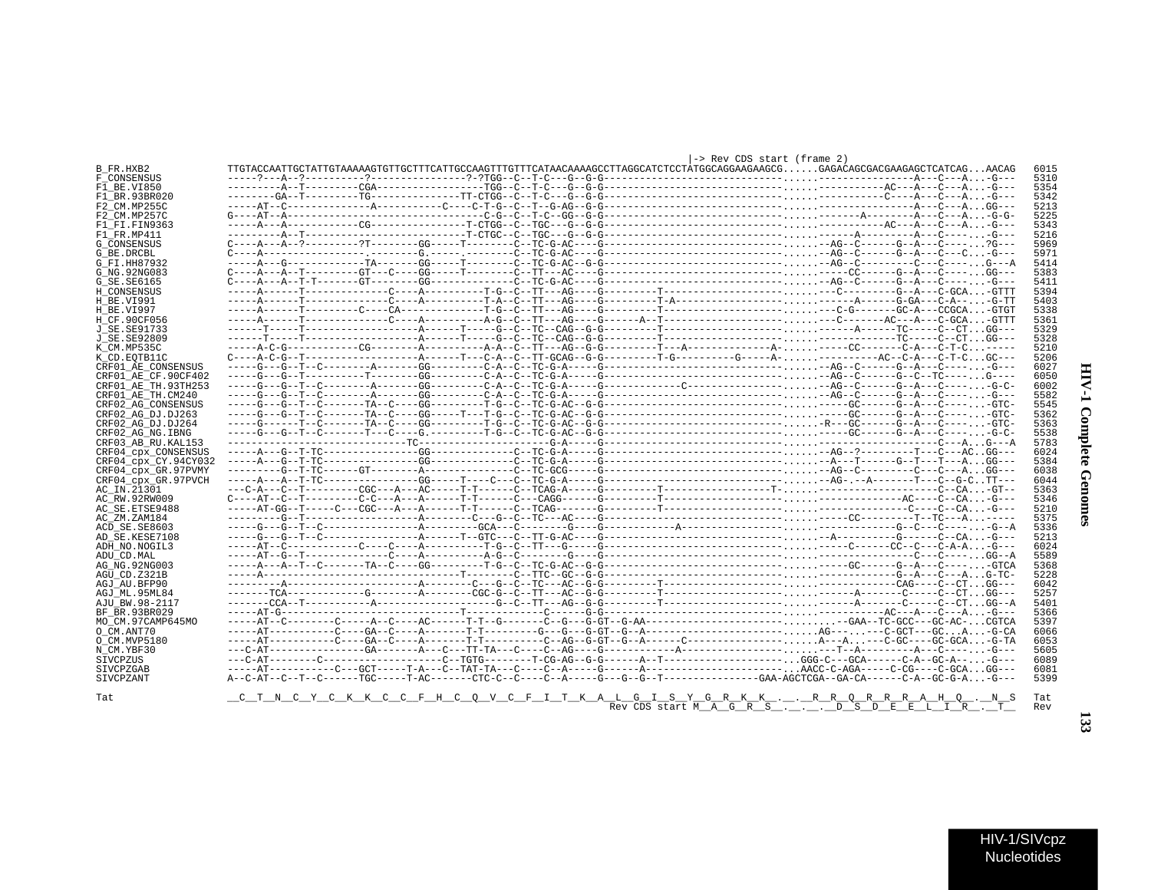| í<br>t<br>J      |  |
|------------------|--|
| Ş<br>ì<br>ة<br>م |  |
| i<br>ì           |  |

| HIV-1/SIVcpz |  |
|--------------|--|
| Nucleotides  |  |

| B FR.HXB2            |  |  | $1.011$ $0.000$ $0.001$ $0.001$ $0.000$ |                                                                                                                                                           | 6015       |
|----------------------|--|--|-----------------------------------------|-----------------------------------------------------------------------------------------------------------------------------------------------------------|------------|
| F CONSENSUS          |  |  |                                         |                                                                                                                                                           | 5310       |
| F1 BE.VI850          |  |  |                                         |                                                                                                                                                           | 5354       |
| F1 BR.93BR020        |  |  |                                         |                                                                                                                                                           | 5342       |
| F2 CM.MP255C         |  |  |                                         |                                                                                                                                                           | 5213       |
| F2 CM.MP257C         |  |  |                                         | $G---AT--A------------------C-G--C-G--TC-GG--G--G--------------------------A------A---C---AG-G-$                                                          | 5225       |
| F1 FT FIN9363        |  |  |                                         |                                                                                                                                                           | 5343       |
| F1 FR.MP411          |  |  |                                         |                                                                                                                                                           | 5216       |
| G CONSENSUS          |  |  |                                         |                                                                                                                                                           | 5969       |
| G BE.DRCBL           |  |  |                                         |                                                                                                                                                           | 5971       |
| G FI.HH87932         |  |  |                                         |                                                                                                                                                           | 5414       |
| G NG.92NG083         |  |  |                                         |                                                                                                                                                           | 5383       |
| G SE. SE6165         |  |  |                                         |                                                                                                                                                           | 5411       |
| H CONSENSUS          |  |  |                                         |                                                                                                                                                           | 5394       |
| H BE.VI991           |  |  |                                         |                                                                                                                                                           | 5403       |
| H BE.VI997           |  |  |                                         |                                                                                                                                                           | 5338       |
| H CF.90CF056         |  |  |                                         |                                                                                                                                                           | 5361       |
| J SE.SE91733         |  |  |                                         |                                                                                                                                                           | 5329       |
| J SE. SE92809        |  |  |                                         |                                                                                                                                                           | 5328       |
| K CM.MP535C          |  |  |                                         |                                                                                                                                                           | 5210       |
| K CD.EOTB11C         |  |  |                                         | $C---A-C-G--T--------------P---T---C-A--C-TT-GCAG--G--G------T-G------G---A----C---A-C--A---C-A---C-T-CG---C---T-$                                        | 5206       |
| CRF01 AE CONSENSUS   |  |  |                                         |                                                                                                                                                           | 6027       |
| CRF01 AE CF.90CF402  |  |  |                                         |                                                                                                                                                           | 6050       |
| CRF01 AE TH.93TH253  |  |  |                                         |                                                                                                                                                           | 6002       |
| CRF01 AE TH.CM240    |  |  |                                         |                                                                                                                                                           | 5582       |
| CRF02 AG CONSENSUS   |  |  |                                         |                                                                                                                                                           | 5545       |
| CRF02 AG DJ.DJ263    |  |  |                                         |                                                                                                                                                           | 5362       |
| CRF02 AG DJ.DJ264    |  |  |                                         |                                                                                                                                                           | 5363       |
| CRF02 AG NG. IBNG    |  |  |                                         |                                                                                                                                                           | 5538       |
| CRF03 AB RU. KAL153  |  |  |                                         |                                                                                                                                                           | 5783       |
| CRF04 cpx CONSENSUS  |  |  |                                         |                                                                                                                                                           | 6024       |
| CRF04 cpx CY.94CY032 |  |  |                                         |                                                                                                                                                           | 5384       |
| CRF04 cpx GR.97PVMY  |  |  |                                         |                                                                                                                                                           | 6038       |
| CRF04 cpx GR.97PVCH  |  |  |                                         |                                                                                                                                                           | 6044       |
| AC IN.21301          |  |  |                                         |                                                                                                                                                           | 5363       |
| AC RW.92RW009        |  |  |                                         | $C---AT---C---T---C-C---A---A---A---T-T---C---CAGG---CAGG---C---T---T---T---C---C---C---C---C---C.$                                                       | 5346       |
| AC SE. ETSE9488      |  |  |                                         |                                                                                                                                                           | 5210       |
| AC ZM.ZAM184         |  |  |                                         |                                                                                                                                                           | 5375       |
| ACD SE.SE8603        |  |  |                                         |                                                                                                                                                           | 5336       |
| AD SE.KESE7108       |  |  |                                         |                                                                                                                                                           | 5213       |
| ADH NO.NOGIL3        |  |  |                                         |                                                                                                                                                           | 6024       |
| ADU CD.MAL           |  |  |                                         |                                                                                                                                                           | 5589       |
| AG NG. 92NG003       |  |  |                                         |                                                                                                                                                           | 5368       |
| AGU CD.Z321B         |  |  |                                         |                                                                                                                                                           | 5228       |
| AGJ AU.BFP90         |  |  |                                         |                                                                                                                                                           | 6042       |
| AGJ ML.95ML84        |  |  |                                         |                                                                                                                                                           | 5257       |
| AJU BW.98-2117       |  |  |                                         |                                                                                                                                                           | 5401       |
| BF BR.93BR029        |  |  |                                         |                                                                                                                                                           | 5366       |
| MO CM.97CAMP645MO    |  |  |                                         |                                                                                                                                                           | 5397       |
| O CM.ANT70           |  |  |                                         |                                                                                                                                                           | 6066       |
| O CM.MVP5180         |  |  |                                         |                                                                                                                                                           | 6053       |
| N CM.YBF30           |  |  |                                         |                                                                                                                                                           | 5605       |
| SIVCPZUS             |  |  |                                         |                                                                                                                                                           | 6089       |
| SIVCPZGAB            |  |  |                                         |                                                                                                                                                           | 6081       |
| SIVCPZANT            |  |  |                                         |                                                                                                                                                           | 5399       |
|                      |  |  |                                         |                                                                                                                                                           |            |
| Tat                  |  |  |                                         | <u>_C_T_N_C_Y_C_K_K_C_C_F_H_C_Q_V_C_F_I_T_K_A_L_G_I_S_Y_G_R_K_K_.__._R_R_Q_R_R_R_A_H_Q_._N_S</u><br>Rev CDS start M_A_G_R_S_._._.__._D_S_D_E_E_L_I_R_._T_ | Tat<br>Rev |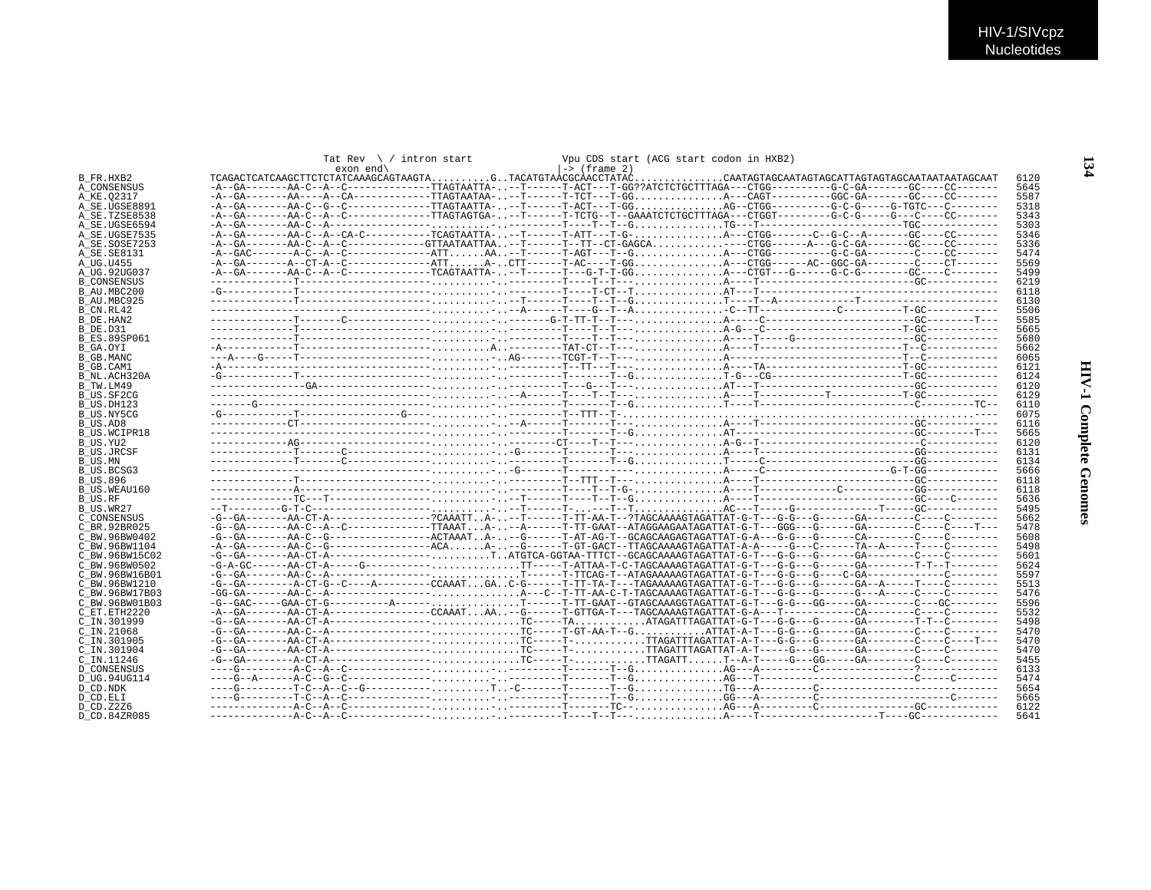|                          | Tat Rev $\setminus$ / intron start |                        |  | Vpu CDS start (ACG start codon in HXB2) |  |                                                                                                                               |  |
|--------------------------|------------------------------------|------------------------|--|-----------------------------------------|--|-------------------------------------------------------------------------------------------------------------------------------|--|
| B FR.HXB2                |                                    | $exon$ end $\setminus$ |  | l-> (frame 2)                           |  | TCAGACTCATCAAGCTTCTCTATCAAAGCAGTAAGTAGTACATGTAÀCGCAACCTATACCAATAGTAGCAATAGTAGCATTAGTAGCAATAATAATAATAGCAAT<br>6120             |  |
| A CONSENSUS              |                                    |                        |  |                                         |  | 5645                                                                                                                          |  |
| A KE.02317               |                                    |                        |  |                                         |  | -A--GA-------AA----A--CA-------------TTAGTAATAA---T------T-TCT---T-GGA---CAGT---------GGC-GA-------GC----CC-------<br>5587    |  |
| A SE.UGSE8891            |                                    |                        |  |                                         |  | 5318                                                                                                                          |  |
| A SE.TZSE8538            |                                    |                        |  |                                         |  | 5343                                                                                                                          |  |
| A SE.UGSE6594            |                                    |                        |  |                                         |  | 5303                                                                                                                          |  |
| A SE.UGSE7535            |                                    |                        |  |                                         |  | 5346                                                                                                                          |  |
| A SE.SOSE7253            |                                    |                        |  |                                         |  | -A--GA-------AA-C--A--C------------GTTAATAATTAA--T------TT--CT-GAGCA----CTGG------A---G-C-GA-------GC----CC-------<br>5336    |  |
| A SE. SE8131             |                                    |                        |  |                                         |  | 5474                                                                                                                          |  |
| A UG.U455                |                                    |                        |  |                                         |  | -A--GA-------A--CT-A--C--------------ATTA-CTT------T-AC----T-GGA---CTGG------AC--GGC-GA--------C----CT-------<br>5569         |  |
| A UG.92UG037             |                                    |                        |  |                                         |  | 5499                                                                                                                          |  |
| <b>B CONSENSUS</b>       |                                    |                        |  |                                         |  | 6219                                                                                                                          |  |
| B AU.MBC200              |                                    |                        |  |                                         |  | 6118                                                                                                                          |  |
| B AU.MBC925              |                                    |                        |  |                                         |  | 6130                                                                                                                          |  |
| B CN.RL42                |                                    |                        |  |                                         |  | 5506                                                                                                                          |  |
| B DE.HAN2                |                                    |                        |  |                                         |  | 5585                                                                                                                          |  |
| B DE.D31                 |                                    |                        |  |                                         |  | 5665                                                                                                                          |  |
| <b>B ES.89SP061</b>      |                                    |                        |  |                                         |  | 5680                                                                                                                          |  |
| B GA.OYI                 |                                    |                        |  |                                         |  | 5662                                                                                                                          |  |
| B GB.MANC                |                                    |                        |  |                                         |  | 6065                                                                                                                          |  |
| B GB.CAM1                |                                    |                        |  |                                         |  | 6121                                                                                                                          |  |
| B NL.ACH320A             |                                    |                        |  |                                         |  | 6124                                                                                                                          |  |
| B TW.LM49                |                                    |                        |  |                                         |  | 6120                                                                                                                          |  |
|                          |                                    |                        |  |                                         |  | 6129                                                                                                                          |  |
| B_US.SF2CG<br>B US.DH123 |                                    |                        |  |                                         |  | 6110                                                                                                                          |  |
| B US.NY5CG               |                                    |                        |  |                                         |  | 6075                                                                                                                          |  |
|                          |                                    |                        |  |                                         |  | 6116                                                                                                                          |  |
| B US.AD8                 |                                    |                        |  |                                         |  | 5665                                                                                                                          |  |
| <b>B US.WCIPR18</b>      |                                    |                        |  |                                         |  |                                                                                                                               |  |
| B_US.YU2                 |                                    |                        |  |                                         |  | 6120                                                                                                                          |  |
| <b>B US.JRCSF</b>        |                                    |                        |  |                                         |  | 6131                                                                                                                          |  |
| B US.MN                  |                                    |                        |  |                                         |  | 6134                                                                                                                          |  |
| B US.BCSG3               |                                    |                        |  |                                         |  | 5666                                                                                                                          |  |
| <b>B_US.896</b>          |                                    |                        |  |                                         |  | 6118                                                                                                                          |  |
| B US.WEAU160             |                                    |                        |  |                                         |  | 6118                                                                                                                          |  |
| B US.RF                  |                                    |                        |  |                                         |  | 5636                                                                                                                          |  |
| B US.WR27                |                                    |                        |  |                                         |  | 5495                                                                                                                          |  |
| C CONSENSUS              |                                    |                        |  |                                         |  | 5662                                                                                                                          |  |
| C BR. 92BR025            |                                    |                        |  |                                         |  | 5478                                                                                                                          |  |
| C BW.96BW0402            |                                    |                        |  |                                         |  | 5608                                                                                                                          |  |
| C BW.96BW1104            |                                    |                        |  |                                         |  | -A--GA-------AA-C--G---------------ACAA---G------T-GT-GACT--TTAGCAAAAGTAGATTAT-A-A-----G---C------TA--A-----C--------<br>5498 |  |
| C BW.96BW15C02           |                                    |                        |  |                                         |  | 5601                                                                                                                          |  |
| C BW.96BW0502            |                                    |                        |  |                                         |  | 5624                                                                                                                          |  |
| C BW.96BW16B01           |                                    |                        |  |                                         |  | 5597                                                                                                                          |  |
| C BW.96BW1210            |                                    |                        |  |                                         |  | 5513                                                                                                                          |  |
| C BW.96BW17B03           |                                    |                        |  |                                         |  | 5476                                                                                                                          |  |
| C BW.96BW01B03           |                                    |                        |  |                                         |  | -G--GAC-----GAA-CT-G----------A------T------T-TT-GAAT--GTAGCAAAGGTAGATTAT-G-T---G-G---GG-----GA-------C---GC-------<br>5596   |  |
| C ET. ETH2220            |                                    |                        |  |                                         |  | 5532                                                                                                                          |  |
| C IN.301999              |                                    |                        |  |                                         |  | 5498                                                                                                                          |  |
| C IN.21068               |                                    |                        |  |                                         |  | 5470                                                                                                                          |  |
| C IN.301905              |                                    |                        |  |                                         |  | 5470                                                                                                                          |  |
| C IN.301904              |                                    |                        |  |                                         |  | 5470                                                                                                                          |  |
| C IN.11246               |                                    |                        |  |                                         |  | 5455                                                                                                                          |  |
| <b>D CONSENSUS</b>       |                                    |                        |  |                                         |  | 6133                                                                                                                          |  |
| D UG.94UG114             |                                    |                        |  |                                         |  | 5474                                                                                                                          |  |
| D_CD.NDK                 |                                    |                        |  |                                         |  | 5654                                                                                                                          |  |
| D CD.ELI                 |                                    |                        |  |                                         |  | 5665                                                                                                                          |  |
| D CD.Z2Z6                |                                    |                        |  |                                         |  | 6122                                                                                                                          |  |
| D CD.84ZR085             |                                    |                        |  |                                         |  | 5641                                                                                                                          |  |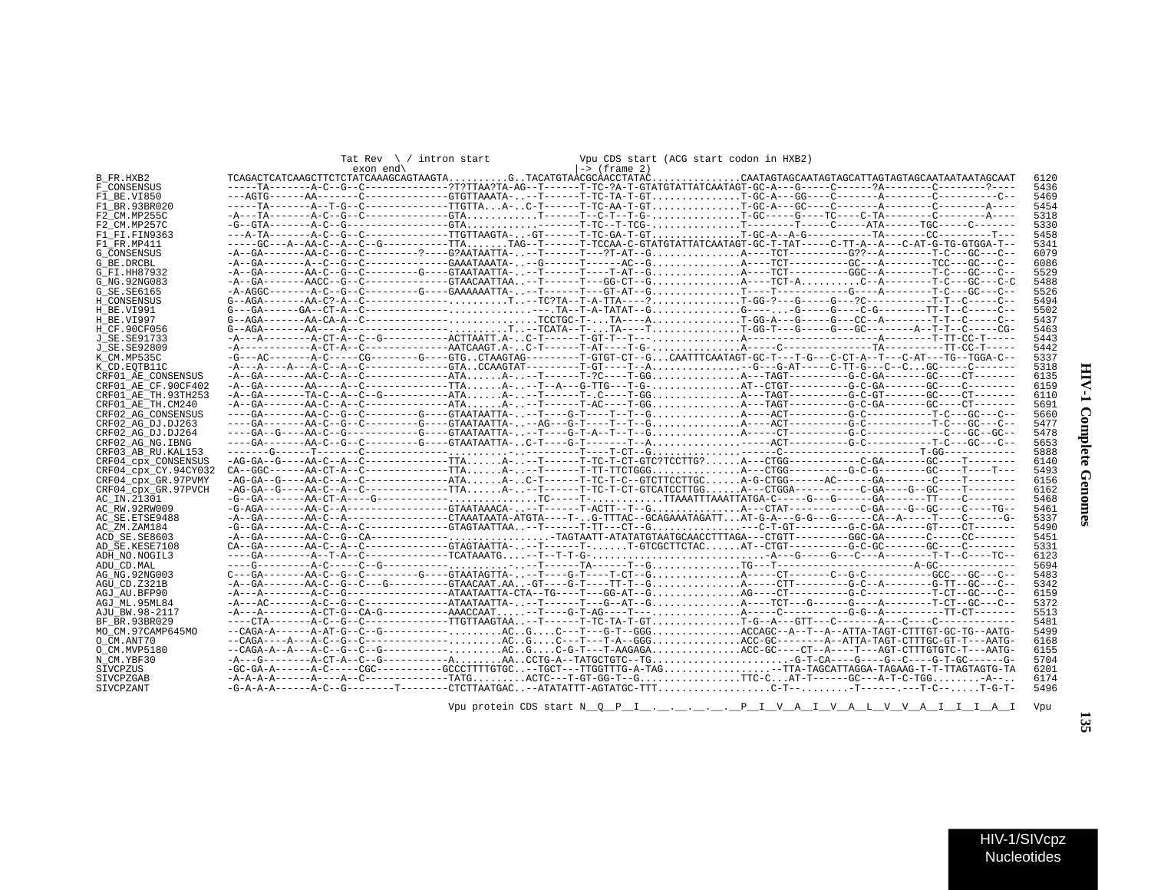| ١<br>į<br>ş             |  |
|-------------------------|--|
| i<br>ì<br>$\frac{1}{2}$ |  |

 $\blacksquare$ 

| Tat Rev $\setminus$ / intron start | Vpu CDS start (ACG start codon in HXB2) |
|------------------------------------|-----------------------------------------|
| $exon$ end $\setminus$             | $ ->$ (frame 2)                         |

|  | l-> (frame 2) |  |  |
|--|---------------|--|--|

|                      | $exon$ end                                                                                                                                                                                                                                                                                                                                                                                                  | -> (frame 2) |      |
|----------------------|-------------------------------------------------------------------------------------------------------------------------------------------------------------------------------------------------------------------------------------------------------------------------------------------------------------------------------------------------------------------------------------------------------------|--------------|------|
| B FR.HXB2            | ${\tt TCAGACTCATCAAGCTTCTTCTATCAAAGCAGTAAGTA \ldots \ldots \ldots G \ldots TACATGTTA \dot{A}CGCAACCTATAC \ldots \ldots \ldots \ldots \ldots \ldots \newline CAATAGTAGCATAGCATTAGTAGCAATAATAATAATAAGCAATT \dot{A}T \dot{A}T \dot{A}T \dot{A}T \dot{A}T \dot{A}T \dot{A}T \dot{A}T \dot{A}T \dot{A}T \dot{A}T \dot{A}T \dot{A}T \dot{A}T \dot{A}T \dot{A}T \dot{A}T \dot{A}T \dot{A}T \dot{A}T \dot{A$        |              | 6120 |
| F CONSENSUS          | -----TA-------A-C--G--C-------------?T?TTAA?TA-AG--T------T-TC-?A-T-GTATGTATTATCAATAGT-GC-A---G-----C------?A-------C--------?-----?---                                                                                                                                                                                                                                                                     |              | 5436 |
| F1 BE.VI850          | ---AGTG------AA-------C------------GTGTTAAATA---T------T-TC-TA-T-GTT-GC-A---GG----C--------A---------C-------C--                                                                                                                                                                                                                                                                                            |              | 5469 |
| F1 BR.93BR020        |                                                                                                                                                                                                                                                                                                                                                                                                             |              | 5454 |
| F2 CM.MP255C         |                                                                                                                                                                                                                                                                                                                                                                                                             |              | 5318 |
| F2 CM.MP257C         |                                                                                                                                                                                                                                                                                                                                                                                                             |              | 5330 |
| F1 FI.FIN9363        | ---A-TA--------A-C--G--C-------------TTGTTAAGTA--GT------T-TC-GA-T-GTT-GC-A--A-G----------TA--------CC---------T---                                                                                                                                                                                                                                                                                         |              | 5458 |
| F1 FR.MP411          | -----GC---A--AA-C--A--C--G-----------TTATAG--T------T-TCCAA-C-GTATGTATTATCAATAGT-GC-T-TAT----C-TT-A--A--C-AT-G-TG-GTGGA-T-                                                                                                                                                                                                                                                                                  |              | 5341 |
| <b>G CONSENSUS</b>   | -A--GA--------AA-C--G--C---------?---G?AATAATTA---T------T---?T-AT--GA----TCT---------G???--A---------T-C---GC---C--                                                                                                                                                                                                                                                                                        |              | 6079 |
| G BE.DRCBL           | -A--GA-------A--C--G--C-------------GAAATAAATA---G------T-----AC--GA----TCT----------GC---A--------TCC---GC---C--                                                                                                                                                                                                                                                                                           |              | 6086 |
| G FI.HH87932         |                                                                                                                                                                                                                                                                                                                                                                                                             |              | 5529 |
| G NG. 92NG083        |                                                                                                                                                                                                                                                                                                                                                                                                             |              | 5488 |
| G_SE.SE6165          |                                                                                                                                                                                                                                                                                                                                                                                                             |              | 5526 |
| H CONSENSUS          |                                                                                                                                                                                                                                                                                                                                                                                                             |              | 5494 |
| H BE.VI991           |                                                                                                                                                                                                                                                                                                                                                                                                             |              | 5502 |
|                      | $G-AGA----AA-CA-AC-A-CC-----------TCCTGC-T-TA---AT-GG-A---G----C---A---CC--A------T-T---C----C---A$                                                                                                                                                                                                                                                                                                         |              |      |
| H BE.VI997           |                                                                                                                                                                                                                                                                                                                                                                                                             |              | 5437 |
| H CF.90CF056         |                                                                                                                                                                                                                                                                                                                                                                                                             |              | 5463 |
| J SE. SE91733        |                                                                                                                                                                                                                                                                                                                                                                                                             |              | 5443 |
| J SE. SE92809        |                                                                                                                                                                                                                                                                                                                                                                                                             |              | 5442 |
| K CM.MP535C          | $-G---AC-----A-C----CG------G----GTC. .CTAAGTAG-------T-GTG-CT--G.CAATTTCAATAG-T-GC-T---T-G--CCT-A--T---C-AT---T-G--TGGA-C--G---C-CT-A--TC-G--TCGA-C--G---C-CT-A--TC-G--TCG.CAAGTAG-T-GTC--G CAATTTCAATAG-T-GC-T---T-G--CCT-A--C--CT-A--TC-GTC-T-A--TC-G--TC-G--C--T-A--TC-G--TC-G--C--T-A--TC-A--TC-G--TC-G--C--T-A--TC-A--TC-G--TC-G--C--T-A--TC-A--TC-G--TC-G--T-A--TC-A--TC-G--TC-G--T-A--TC-A--TC-A--$ |              | 5337 |
| K CD.EOTB11C         |                                                                                                                                                                                                                                                                                                                                                                                                             |              | 5318 |
| CRF01 AE CONSENSUS   |                                                                                                                                                                                                                                                                                                                                                                                                             |              | 6135 |
| CRF01 AE CF.90CF402  |                                                                                                                                                                                                                                                                                                                                                                                                             |              | 6159 |
| CRF01 AE TH. 93TH253 | -A--GA--------TA-C--A--C--G-----------ATAA---T------T-.C----T-GGA---TAGT---------GC-C-GT-------GC----CT-------                                                                                                                                                                                                                                                                                              |              | 6110 |
| CRF01 AE TH.CM240    | -A--GA-------AA-C--A--C--------------ATAA---T------T-AC----T-GGA---TAGT--------G-C-GA-------GC----CT-------                                                                                                                                                                                                                                                                                                 |              | 5691 |
| CRF02 AG CONSENSUS   |                                                                                                                                                                                                                                                                                                                                                                                                             |              | 5660 |
| CRF02 AG DJ.DJ263    |                                                                                                                                                                                                                                                                                                                                                                                                             |              | 5477 |
| CRF02 AG DJ.DJ264    |                                                                                                                                                                                                                                                                                                                                                                                                             |              | 5478 |
| CRF02 AG NG. IBNG    | ---GA-------AA-C--G--C---------G----GTAATAATTA-C-T----G-T-------T--AACT--------G-C---------T-C---GC---C--                                                                                                                                                                                                                                                                                                   |              | 5653 |
| CRF03 AB RU. KAL153  |                                                                                                                                                                                                                                                                                                                                                                                                             |              | 5888 |
| CRF04 cpx CONSENSUS  | -AG-GA--G----AA-C--A--C--------------TTAA---T------T-TC-T-CT-GTC?TCCTTG?A---CTGG----------C-GA-------GC----T--------                                                                                                                                                                                                                                                                                        |              | 6140 |
| CRF04 cpx CY.94CY032 | CA--GGC------AA-CT-A--C--------------TTAA--T------T-TT-TTCTGGGA---CTGG----------GC-C-G--------GC----T----T---                                                                                                                                                                                                                                                                                               |              | 5493 |
| CRF04 cpx GR.97PVMY  | -AG-GA--G----AA-C--A--C-------------ATAA-C-T------T-TC-T-C--GTCTTCCTTGCA-G-CTGG------AC------GA-------C----T--------                                                                                                                                                                                                                                                                                        |              | 6156 |
| CRF04 CDX GR.97PVCH  | -AG-GA--G----AA-C--A--C-------------TTAA---T------T-TC-T-CT-GTCATCCTTGGA---CTGGA----------C-GA----G--GC----T-------                                                                                                                                                                                                                                                                                         |              | 6162 |
| AC_IN.21301          |                                                                                                                                                                                                                                                                                                                                                                                                             |              | 5468 |
| AC RW.92RW009        |                                                                                                                                                                                                                                                                                                                                                                                                             |              | 5461 |
| AC SE. ETSE9488      | -A--GA-------AA-C--A------------CTAAATAATA-ATGTA----T-G-TTTAC--GCAGAAATAGATTAT-G-A---G-G---G------CA--A-----T----C-----G-                                                                                                                                                                                                                                                                                   |              | 5337 |
| AC ZM.ZAM184         | -G--GA-------AA-C--A--C------------GTAGTAATTAA--T-----T-TT---CT--G---C-T-GT--------G-C-GA-------GT-----CT-------                                                                                                                                                                                                                                                                                            |              | 5490 |
| ACD SE.SE8603        |                                                                                                                                                                                                                                                                                                                                                                                                             |              | 5451 |
|                      |                                                                                                                                                                                                                                                                                                                                                                                                             |              | 5331 |
| AD SE.KESE7108       |                                                                                                                                                                                                                                                                                                                                                                                                             |              |      |
| ADH NO.NOGIL3        |                                                                                                                                                                                                                                                                                                                                                                                                             |              | 6123 |
| ADU CD.MAL           |                                                                                                                                                                                                                                                                                                                                                                                                             |              | 5694 |
| AG NG. 92NG003       |                                                                                                                                                                                                                                                                                                                                                                                                             |              | 5483 |
| AGU CD.Z321B         |                                                                                                                                                                                                                                                                                                                                                                                                             |              | 5342 |
| AGJ_AU.BFP90         | -A---A---------A-C--G-----------------ATAATAATTA-CTA--TG----T---GG-AT--GAG----CT--------G-C----------T-CT--GC---C--                                                                                                                                                                                                                                                                                         |              | 6159 |
| AGJ ML.95ML84        |                                                                                                                                                                                                                                                                                                                                                                                                             |              | 5372 |
| AJU_BW.98-2117       |                                                                                                                                                                                                                                                                                                                                                                                                             |              | 5513 |
| BF BR.93BR029        |                                                                                                                                                                                                                                                                                                                                                                                                             |              | 5481 |
| MO CM.97CAMP645MO    |                                                                                                                                                                                                                                                                                                                                                                                                             |              | 5499 |
| O CM.ANT70           |                                                                                                                                                                                                                                                                                                                                                                                                             |              | 6168 |
| O CM.MVP5180         | --CAGA-A--A-C--G--C--G------------ ACGC-G-T---T-AAGAGAACC-GC----CT--A---T---AGT-CTTTGTGTC-T---AATG-                                                                                                                                                                                                                                                                                                         |              | 6155 |
| N CM.YBF30           |                                                                                                                                                                                                                                                                                                                                                                                                             |              | 5704 |
| SIVCPZUS             | -GC-GA-A------A-C-----CGC---------GCCCTTTTGTGC--TGCT---TTGGTTTG-A-TAG--TTA-TAGCATTAGGA-TAGAAG-T-T-TTAGTAGTG-TA                                                                                                                                                                                                                                                                                              |              | 6201 |
| SIVCPZGAB            |                                                                                                                                                                                                                                                                                                                                                                                                             |              | 6174 |
| SIVCPZANT            |                                                                                                                                                                                                                                                                                                                                                                                                             |              | 5496 |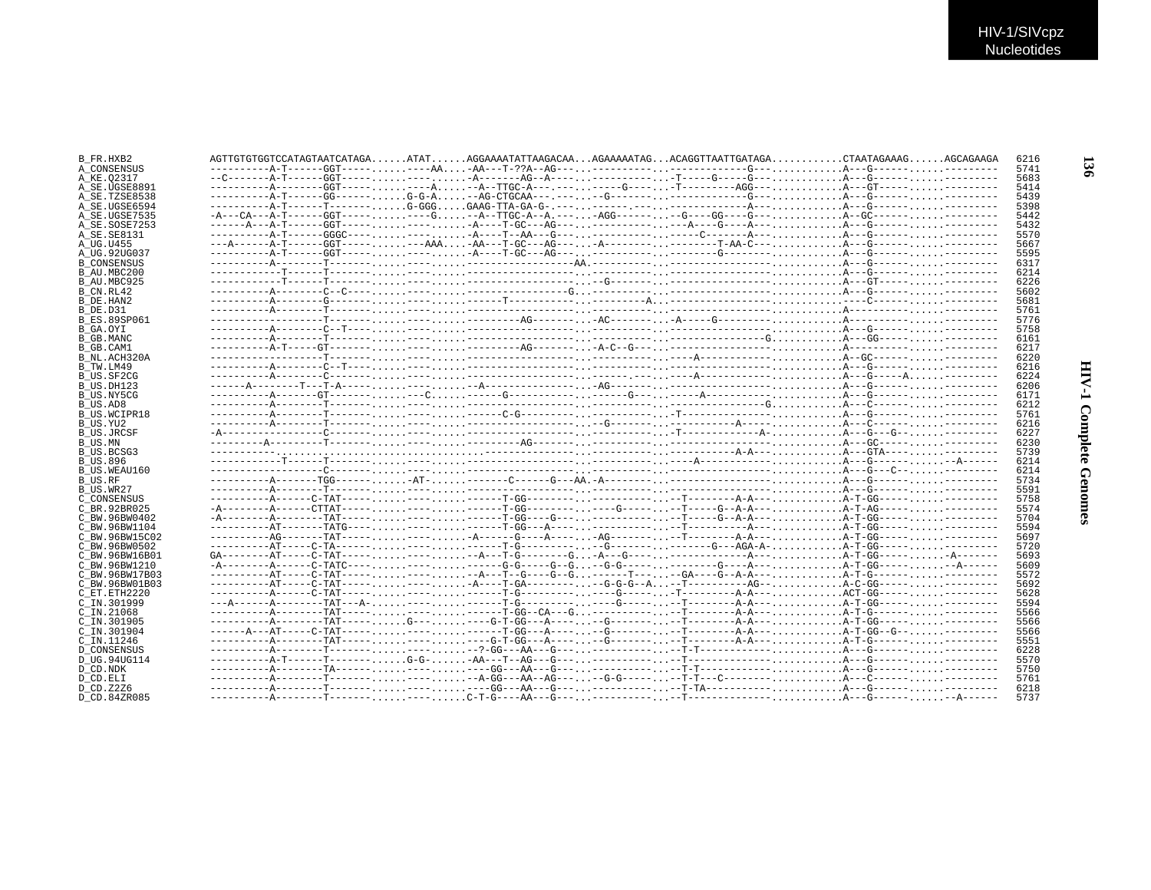| B FR.HXB2                            |  | AGTTGTGTGCTCCATAGTAATCATAGAATATAGGAAAATATTAAGACAAAGAAAAATAGACAGGTTAATTGATAGACTAATAGAAAGAGCAGAAGA |  |  |  |
|--------------------------------------|--|--------------------------------------------------------------------------------------------------|--|--|--|
| A CONSENSUS                          |  |                                                                                                  |  |  |  |
| A KE.02317                           |  |                                                                                                  |  |  |  |
| A_SE.UGSE8891                        |  |                                                                                                  |  |  |  |
| A SE.TZSE8538                        |  |                                                                                                  |  |  |  |
| A SE.UGSE6594                        |  |                                                                                                  |  |  |  |
| A SE.UGSE7535                        |  |                                                                                                  |  |  |  |
| A SE.SOSE7253                        |  |                                                                                                  |  |  |  |
| A SE. SE8131                         |  |                                                                                                  |  |  |  |
| A UG.U455                            |  |                                                                                                  |  |  |  |
| A UG.92UG037                         |  |                                                                                                  |  |  |  |
| <b>B CONSENSUS</b>                   |  |                                                                                                  |  |  |  |
| B AU.MBC200                          |  |                                                                                                  |  |  |  |
|                                      |  |                                                                                                  |  |  |  |
| B AU.MBC925                          |  |                                                                                                  |  |  |  |
| B CN.RL42                            |  |                                                                                                  |  |  |  |
| B DE.HAN2                            |  |                                                                                                  |  |  |  |
| B DE.D31                             |  |                                                                                                  |  |  |  |
| B ES.89SP061                         |  |                                                                                                  |  |  |  |
| B GA.OYI                             |  |                                                                                                  |  |  |  |
| B GB.MANC                            |  |                                                                                                  |  |  |  |
| B GB.CAM1                            |  |                                                                                                  |  |  |  |
| B NL.ACH320A                         |  |                                                                                                  |  |  |  |
| B TW.LM49                            |  |                                                                                                  |  |  |  |
| B US.SF2CG                           |  |                                                                                                  |  |  |  |
| B US.DH123                           |  |                                                                                                  |  |  |  |
| B US.NY5CG                           |  |                                                                                                  |  |  |  |
| B US.AD8                             |  |                                                                                                  |  |  |  |
| <b>B US.WCIPR18</b>                  |  |                                                                                                  |  |  |  |
| B US.YU2                             |  |                                                                                                  |  |  |  |
| B US.JRCSF                           |  |                                                                                                  |  |  |  |
| B US.MN                              |  |                                                                                                  |  |  |  |
|                                      |  |                                                                                                  |  |  |  |
| B US.BCSG3                           |  |                                                                                                  |  |  |  |
| <b>B US.896</b>                      |  |                                                                                                  |  |  |  |
| B US.WEAU160                         |  |                                                                                                  |  |  |  |
| B US.RF                              |  |                                                                                                  |  |  |  |
| B US.WR27                            |  |                                                                                                  |  |  |  |
| C CONSENSUS                          |  |                                                                                                  |  |  |  |
| C BR.92BR025                         |  |                                                                                                  |  |  |  |
| C BW.96BW0402                        |  |                                                                                                  |  |  |  |
| C BW.96BW1104                        |  |                                                                                                  |  |  |  |
| C BW.96BW15C02                       |  |                                                                                                  |  |  |  |
| C BW.96BW0502                        |  |                                                                                                  |  |  |  |
| C BW.96BW16B01                       |  |                                                                                                  |  |  |  |
| C BW.96BW1210                        |  |                                                                                                  |  |  |  |
| C BW.96BW17B03                       |  |                                                                                                  |  |  |  |
| C BW.96BW01B03                       |  |                                                                                                  |  |  |  |
| C ET.ETH2220                         |  |                                                                                                  |  |  |  |
| C IN.301999                          |  |                                                                                                  |  |  |  |
| $C$ IN. 21068                        |  |                                                                                                  |  |  |  |
|                                      |  |                                                                                                  |  |  |  |
| C IN.301905                          |  |                                                                                                  |  |  |  |
| C IN.301904                          |  |                                                                                                  |  |  |  |
| C IN.11246                           |  |                                                                                                  |  |  |  |
| <b>D CONSENSUS</b>                   |  |                                                                                                  |  |  |  |
|                                      |  |                                                                                                  |  |  |  |
|                                      |  |                                                                                                  |  |  |  |
|                                      |  |                                                                                                  |  |  |  |
| D UG.94UG114<br>D CD.NDK<br>D CD.ELI |  |                                                                                                  |  |  |  |
| D CD.Z2Z6                            |  |                                                                                                  |  |  |  |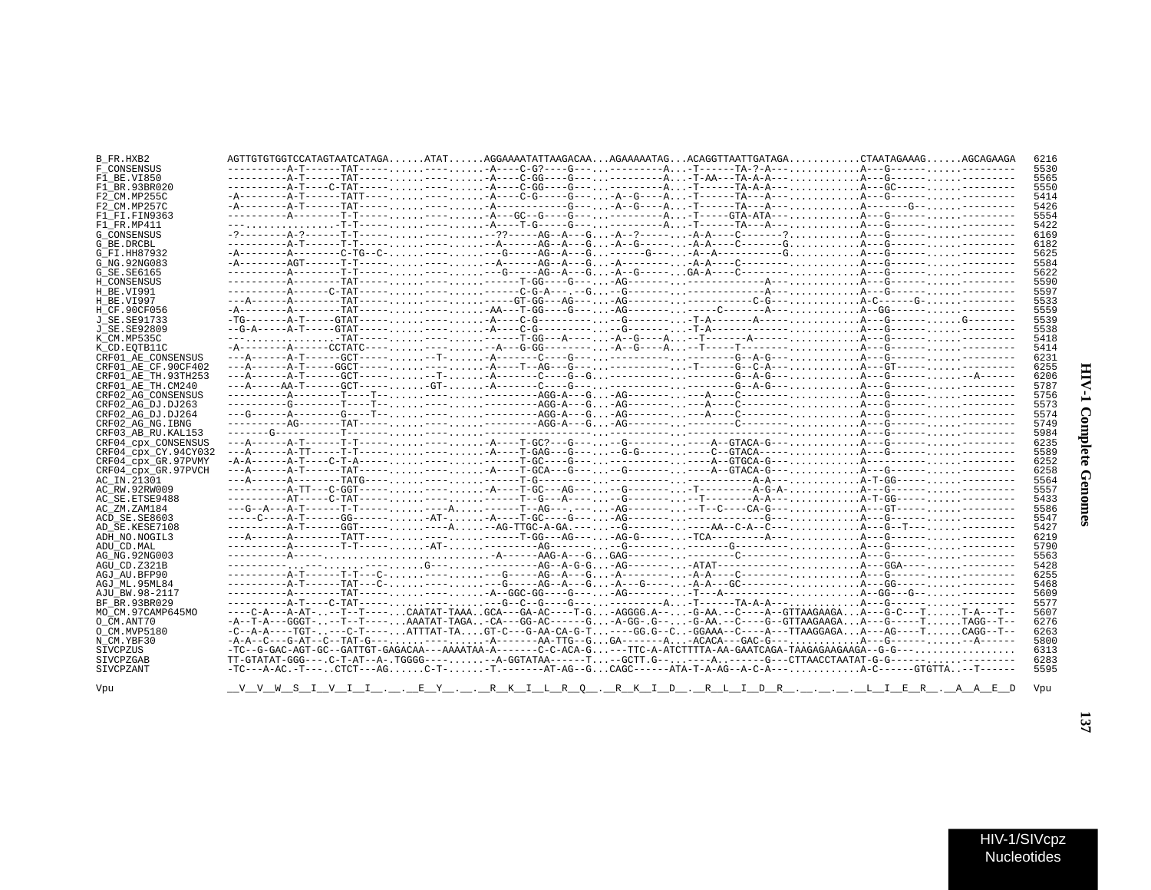| B FR.HXB2            | AGTTGTGTGCCATAGTAATCATAGAATATAGGAAAATATTAAGACAAAGAAAAATAGACAGGTTAATTGATAGACTAATAGAAAGAGCAGAAGA                                                             |  | 6216 |
|----------------------|------------------------------------------------------------------------------------------------------------------------------------------------------------|--|------|
| F CONSENSUS          |                                                                                                                                                            |  | 5530 |
| F1 BE.VI850          |                                                                                                                                                            |  | 5565 |
| F1 BR.93BR020        |                                                                                                                                                            |  | 5550 |
| F2 CM.MP255C         |                                                                                                                                                            |  | 5414 |
| F2 CM.MP257C         |                                                                                                                                                            |  | 5426 |
| F1 FI.FIN9363        |                                                                                                                                                            |  | 5554 |
| F1 FR.MP411          |                                                                                                                                                            |  | 5422 |
| <b>G CONSENSUS</b>   |                                                                                                                                                            |  | 6169 |
| G BE.DRCBL           |                                                                                                                                                            |  | 6182 |
| G FI.HH87932         | $-A$ ------- $A$ -------C-TG--C-,,,,,,----,,,,,,--G----AG--A--G.,,------G---,,,A--A--------G.,,,,,,,,A--G-----,,,,,,---------                              |  | 5625 |
| G NG.92NG083         |                                                                                                                                                            |  | 5584 |
| G SE. SE6165         |                                                                                                                                                            |  | 5622 |
|                      |                                                                                                                                                            |  |      |
| H CONSENSUS          |                                                                                                                                                            |  | 5590 |
| H BE.VI991           |                                                                                                                                                            |  | 5597 |
| H BE.VI997           |                                                                                                                                                            |  | 5533 |
| H CF.90CF056         |                                                                                                                                                            |  | 5559 |
| J SE. SE91733        |                                                                                                                                                            |  | 5539 |
| J SE.SE92809         |                                                                                                                                                            |  | 5538 |
| K CM.MP535C          |                                                                                                                                                            |  | 5418 |
| K CD.EOTB11C         |                                                                                                                                                            |  | 5414 |
| CRF01_AE_CONSENSUS   |                                                                                                                                                            |  | 6231 |
| CRF01 AE CF.90CF402  |                                                                                                                                                            |  | 6255 |
| CRF01 AE TH.93TH253  |                                                                                                                                                            |  | 6206 |
| CRF01 AE TH.CM240    |                                                                                                                                                            |  | 5787 |
| CRF02 AG CONSENSUS   |                                                                                                                                                            |  | 5756 |
| CRF02 AG DJ.DJ263    |                                                                                                                                                            |  | 5573 |
| CRF02 AG DJ.DJ264    |                                                                                                                                                            |  | 5574 |
| CRF02 AG NG. IBNG    |                                                                                                                                                            |  | 5749 |
| CRF03 AB RU. KAL153  |                                                                                                                                                            |  | 5984 |
| CRF04 cpx CONSENSUS  |                                                                                                                                                            |  | 6235 |
| CRF04_cpx_CY.94CY032 |                                                                                                                                                            |  | 5589 |
| CRF04 cpx GR.97PVMY  |                                                                                                                                                            |  | 6252 |
| CRF04 cpx GR.97PVCH  |                                                                                                                                                            |  | 6258 |
| AC IN.21301          |                                                                                                                                                            |  | 5564 |
| AC RW.92RW009        |                                                                                                                                                            |  | 5557 |
| AC SE.ETSE9488       |                                                                                                                                                            |  | 5433 |
| AC ZM.ZAM184         | ---G--A---A-T------T-T---------A------T--AG---.----AG----------T--C----CA-G---A---GT--------------                                                         |  | 5586 |
| ACD SE.SE8603        |                                                                                                                                                            |  | 5547 |
| AD SE.KESE7108       |                                                                                                                                                            |  | 5427 |
| ADH NO. NOGIL3       |                                                                                                                                                            |  | 6219 |
| ADU CD.MAL           |                                                                                                                                                            |  | 5790 |
| AG NG. 92NG003       |                                                                                                                                                            |  | 5563 |
| AGU CD.Z321B         |                                                                                                                                                            |  | 5428 |
| AGJ AU.BFP90         |                                                                                                                                                            |  | 6255 |
| AGJ ML.95ML84        |                                                                                                                                                            |  | 5468 |
| AJU BW.98-2117       |                                                                                                                                                            |  | 5609 |
| BF BR.93BR029        |                                                                                                                                                            |  | 5577 |
| MO CM.97CAMP645MO    | ----C-A---A-AT---T--T----CAATAT-TAAAGCA---GA-AC----T-G-AGGGG.A---G-AA.--C---A--GTTAAGAAGAA---G-C---TT-A---T-                                               |  | 5607 |
| O CM.ANT70           | $-A--T-A--GGGT---T--T-- AAATAT-TAGA-CA--GG-AC---G-.$ $G-A-GG-.$ $G- -G-AA.$ $--C---G-GTTAAGAAGA$ $A---G---T$ $TAGG-T--$                                    |  | 6276 |
| O CM.MVP5180         | $-C--A-A---TGT-$ , $---C-T---$ , $ATTTAT-TA$ , $$ $GT-C---G-AA-CA-G-T$ , $---GG$ , $-G--C$ , $-GGAAA--C---A---TTAAGGAGA$ , $A---AG---T$ , $$ $CAGG--T---A$ |  | 6263 |
|                      |                                                                                                                                                            |  | 5800 |
| N CM.YBF30           |                                                                                                                                                            |  | 6313 |
| SIVCPZUS             |                                                                                                                                                            |  |      |
| SIVCPZGAB            | TT-GTATAT-GGG---.C-T-AT--A-.TGGGG-----A-GGTATAA------T--GCTT.G------A-----G---CTTAACCTAATAT-G-G---------------                                             |  | 6283 |
| SIVCPZANT            |                                                                                                                                                            |  | 5595 |
|                      |                                                                                                                                                            |  |      |
| Vpu                  | <u>V V M S I V I I . PEY . PK K I LR Q . R K I D . R L I D R LI ER . A A E D</u>                                                                           |  | Vou  |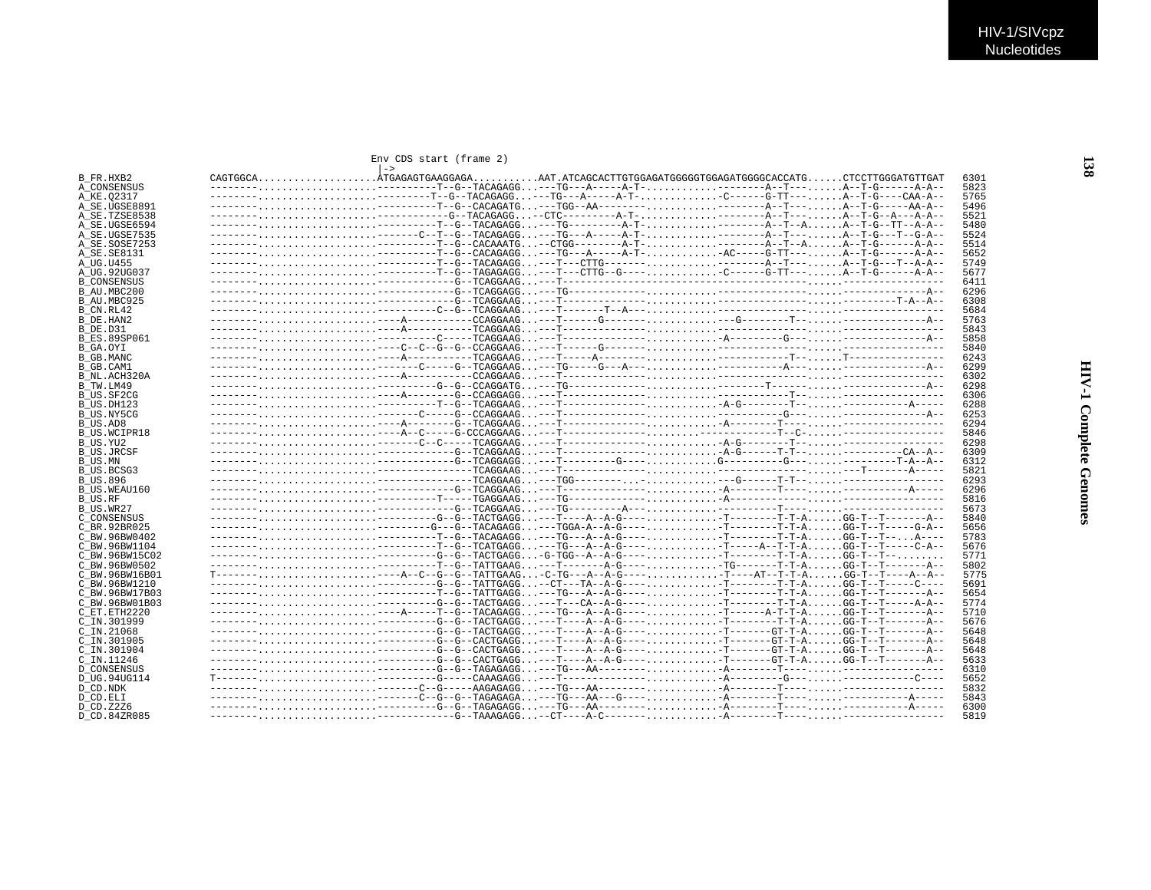## Env CDS start (frame 2)

| B FR.HXB2           |                                                                                                                        |  | 6301 |
|---------------------|------------------------------------------------------------------------------------------------------------------------|--|------|
| A CONSENSUS         |                                                                                                                        |  | 5823 |
| A KE.02317          |                                                                                                                        |  | 5765 |
|                     |                                                                                                                        |  |      |
| A SE.UGSE8891       | -------,,,,,,,,,,,,,,,,,,,,,--------T--G--CACAGATG---TGG--AA--------,,,,,,,,,,---------A--T----,,,,,,A--T-G-----AA-A-- |  | 5496 |
| A SE.TZSE8538       |                                                                                                                        |  | 5521 |
| A SE.UGSE6594       | -------,,,,,,,,,,,,,,,,,,,---------T--G--TACAGAGG---TG--------A-T-,,,,,,,,,,---------A--T--A,,A--T-G--TT--A-A--        |  | 5480 |
| A SE.UGSE7535       |                                                                                                                        |  | 5524 |
| A SE.SOSE7253       | -------,,,,,,,,,,,,,,,,,,,,---------T--G--CACAAATG--CTGG--------A-T-,,,,,,,,,,---------A--T--A,,,,,,A--T-G------A-A--  |  | 5514 |
| A SE. SE8131        | -------,,,,,,,,,,,,,,,,,,,,--------T--G--CACAGAGG---TG---A-----A-T-AC-----G-TT---A--T-G------A-A--                     |  | 5652 |
| A UG.U455           | -------,,,,,,,,,,,,,,,,,,,,,--------T--G--TACAGAGG---T---CTTG------,,,,,,,,,,---------A--T---,,,,,,A--T-G---T--A-A--   |  | 5749 |
| A UG.92UG037        | -------,,,,,,,,,,,,,,,,,,,---------T--G--TAGAGAGG---T---CTTG--G----,,,,,,,,,,-C------G-TT---,,,,,,A--T-G------A-A--    |  | 5677 |
|                     |                                                                                                                        |  |      |
| <b>B CONSENSUS</b>  |                                                                                                                        |  | 6411 |
| B AU.MBC200         |                                                                                                                        |  | 6296 |
| B AU.MBC925         |                                                                                                                        |  | 6308 |
| B CN.RL42           |                                                                                                                        |  | 5684 |
| B DE.HAN2           |                                                                                                                        |  | 5763 |
| B DE.D31            |                                                                                                                        |  | 5843 |
| <b>B ES.89SP061</b> |                                                                                                                        |  | 5858 |
| B GA.OYI            |                                                                                                                        |  | 5840 |
|                     |                                                                                                                        |  |      |
| B GB.MANC           |                                                                                                                        |  | 6243 |
| B GB.CAM1           |                                                                                                                        |  | 6299 |
| B NL.ACH320A        |                                                                                                                        |  | 6302 |
| B TW.LM49           |                                                                                                                        |  | 6298 |
| B US.SF2CG          |                                                                                                                        |  | 6306 |
| B US.DH123          |                                                                                                                        |  | 6288 |
| B US.NY5CG          |                                                                                                                        |  | 6253 |
| B_US.AD8            |                                                                                                                        |  | 6294 |
|                     |                                                                                                                        |  |      |
| <b>B US.WCIPR18</b> |                                                                                                                        |  | 5846 |
| B US.YU2            |                                                                                                                        |  | 6298 |
| B US.JRCSF          |                                                                                                                        |  | 6309 |
| B US.MN             |                                                                                                                        |  | 6312 |
| B US.BCSG3          |                                                                                                                        |  | 5821 |
| <b>B US.896</b>     |                                                                                                                        |  | 6293 |
| B US.WEAU160        |                                                                                                                        |  | 6296 |
| B US.RF             |                                                                                                                        |  | 5816 |
|                     |                                                                                                                        |  | 5673 |
| B US.WR27           |                                                                                                                        |  |      |
| C CONSENSUS         |                                                                                                                        |  | 5840 |
| C BR. 92BR025       |                                                                                                                        |  | 5656 |
| C BW.96BW0402       |                                                                                                                        |  | 5783 |
| C BW.96BW1104       |                                                                                                                        |  | 5676 |
| C BW.96BW15C02      | -------,,,,,,,,,,,,,,,,,,--------G--G--TACTGAGG-G-TGG--A--A-G----.,,,,,,,,,,-T-------T-T-A,,,,,,GG-T--T--,,,,,,,       |  | 5771 |
| C BW.96BW0502       |                                                                                                                        |  | 5802 |
| C BW.96BW16B01      | T----------A--C--G--TATTGAAG-C-TG---A--A-G----T----AT--T-T-AGG-T--T----A--A                                            |  | 5775 |
| C BW.96BW1210       |                                                                                                                        |  | 5691 |
|                     |                                                                                                                        |  | 5654 |
| C BW.96BW17B03      |                                                                                                                        |  |      |
| C BW.96BW01B03      |                                                                                                                        |  | 5774 |
| C ET. ETH2220       | -------,,,,,,,,,,,,,,,,,,----A-----T--G--TACAGAGG---TG---A-G----.,,,,,,,,,,-T-----A-T-T-A,,,,,.GG-T--T------A--        |  | 5710 |
| C IN.301999         |                                                                                                                        |  | 5676 |
| C_IN.21068          |                                                                                                                        |  | 5648 |
| C IN.301905         |                                                                                                                        |  | 5648 |
| C_IN.301904         |                                                                                                                        |  | 5648 |
| C IN.11246          |                                                                                                                        |  | 5633 |
|                     |                                                                                                                        |  | 6310 |
| <b>D CONSENSUS</b>  |                                                                                                                        |  |      |
| D UG.94UG114        |                                                                                                                        |  | 5652 |
| D_CD.NDK            |                                                                                                                        |  | 5832 |
| D CD.ELI            |                                                                                                                        |  | 5843 |
| D CD. Z2Z6          |                                                                                                                        |  | 6300 |
| D CD.84ZR085        |                                                                                                                        |  | 5819 |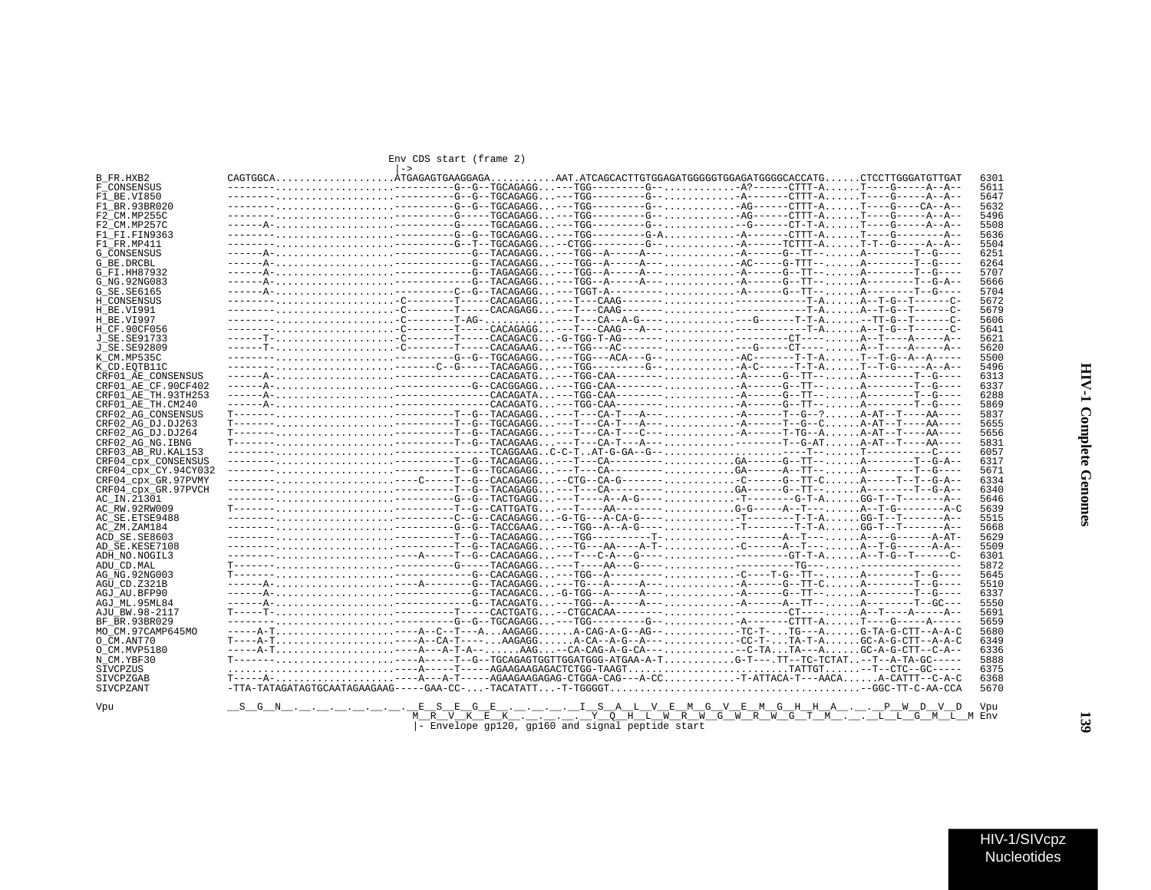| Env CDS start (frame 2 |  |
|------------------------|--|
|------------------------|--|

|                      | Env CDS start (frame 2)                                                                                                                                                                  |                                                  |  |                                                                                                                 |              |
|----------------------|------------------------------------------------------------------------------------------------------------------------------------------------------------------------------------------|--------------------------------------------------|--|-----------------------------------------------------------------------------------------------------------------|--------------|
| B FR.HXB2            | $\rightarrow$                                                                                                                                                                            |                                                  |  |                                                                                                                 | 6301         |
| F CONSENSUS          |                                                                                                                                                                                          |                                                  |  |                                                                                                                 | 5611         |
| F1 BE.VI850          |                                                                                                                                                                                          |                                                  |  |                                                                                                                 | 5647         |
| F1 BR.93BR020        |                                                                                                                                                                                          |                                                  |  |                                                                                                                 | 5632         |
|                      |                                                                                                                                                                                          |                                                  |  |                                                                                                                 | 5496         |
| F2 CM.MP255C         | ------A---------G------GGCAGAGG---TGC--------G----G------CT-T-AT----G-----A--A-                                                                                                          |                                                  |  |                                                                                                                 |              |
| F2 CM.MP257C         |                                                                                                                                                                                          |                                                  |  |                                                                                                                 | 5508         |
| F1 FI.FIN9363        | ----------------G--TGCAGAGG---TGG--------G-A-A------CTTT-AT---G--------A-<br>-------,,,,,,,,,,,,,,,,,,,--------G--T--TGCAGAGG--CTGG--------G--,,,,,,,,,,,-A-----TCTTT-AT-T--G-----A--A-- |                                                  |  |                                                                                                                 | 5636         |
| F1 FR.MP411          |                                                                                                                                                                                          |                                                  |  |                                                                                                                 | 5504<br>6251 |
| <b>G CONSENSUS</b>   |                                                                                                                                                                                          |                                                  |  |                                                                                                                 |              |
| G BE.DRCBL           |                                                                                                                                                                                          |                                                  |  |                                                                                                                 | 6264         |
| G FI.HH87932         | ------A------------G--TAGAGAGG---TGG--A-----A----A------G--TT--A--------T--G----                                                                                                         |                                                  |  |                                                                                                                 | 5707         |
| G NG. 92NG083        |                                                                                                                                                                                          |                                                  |  |                                                                                                                 | 5666         |
| G SE. SE6165         | ------A-----------C--G--TACAGAGG---TGGT-A----------A------G--TT--A--------T--G---                                                                                                        |                                                  |  |                                                                                                                 | 5704         |
| H CONSENSUS          | -------,,,,,,,,,,,,,,,,,,,,,,,-C-------T----CACAGAGG---T---CAAG-------,,,,,,,,,,,-------------T-A,.,A--T-G--T------C-                                                                    |                                                  |  |                                                                                                                 | 5672         |
| H BE.VI991           | -------,,,,,,,,,,,,,,,,,,,,,,,-C-------T----CACAGAGG---T---CAAG-------,,,,,,,,,,,-------------T-A,.,A--T-G--T------C-                                                                    |                                                  |  |                                                                                                                 | 5679         |
| H BE.VI997           |                                                                                                                                                                                          |                                                  |  |                                                                                                                 | 5606         |
| H CF.90CF056         | ---------C--------T----CACAGAGG---T---CAAG---A---------------T-AA--T-G--T------C                                                                                                         |                                                  |  |                                                                                                                 | 5641         |
| J SE. SE91733        | -----T--C-------T-----CACAGACG-G-TGG-T-AG---------------CT----A--T----A-----A-                                                                                                           |                                                  |  |                                                                                                                 | 5621         |
| J SE.SE92809         | ------T-,,,,,,,,,,,,,,,,,,,,,,,-C-------T----CACAGAAG---TGG---AC-------,,,,,,,,,,---G----CT----,,,,,,A--T----A-----A--                                                                   |                                                  |  |                                                                                                                 | 5620         |
| K CM.MP535C          |                                                                                                                                                                                          |                                                  |  |                                                                                                                 | 5500         |
| K CD.EOTB11C         |                                                                                                                                                                                          |                                                  |  |                                                                                                                 | 5496         |
| CRF01 AE CONSENSUS   |                                                                                                                                                                                          |                                                  |  |                                                                                                                 | 6313         |
| CRF01 AE CF.90CF402  |                                                                                                                                                                                          |                                                  |  |                                                                                                                 | 6337         |
| CRF01 AE TH. 93TH253 |                                                                                                                                                                                          |                                                  |  |                                                                                                                 | 6288         |
| CRF01_AE_TH.CM240    |                                                                                                                                                                                          |                                                  |  |                                                                                                                 | 5869         |
| CRF02 AG CONSENSUS   |                                                                                                                                                                                          |                                                  |  |                                                                                                                 | 5837         |
| CRF02 AG DJ.DJ263    | T----------------T--G--TGCAGAGG---T--CA-T---A----A------T--G--CA-AT--T----AA----                                                                                                         |                                                  |  |                                                                                                                 | 5655         |
| CRF02 AG DJ.DJ264    |                                                                                                                                                                                          |                                                  |  |                                                                                                                 | 5656         |
| CRF02 AG NG. IBNG    |                                                                                                                                                                                          |                                                  |  |                                                                                                                 | 5831         |
| CRF03 AB RU. KAL153  |                                                                                                                                                                                          |                                                  |  |                                                                                                                 | 6057         |
| CRF04 cpx CONSENSUS  |                                                                                                                                                                                          |                                                  |  |                                                                                                                 | 6317         |
| CRF04 CDX CY.94CY032 |                                                                                                                                                                                          |                                                  |  |                                                                                                                 | 5671         |
| CRF04 cpx GR.97PVMY  | -----------C----T--G-CACAGAGG--CTG--CA-G--------C-----G--TT-CA-----T--T--G-A--                                                                                                           |                                                  |  |                                                                                                                 | 6334         |
| CRF04 CDX GR.97PVCH  |                                                                                                                                                                                          |                                                  |  | -------,,,,,,,,,,,,,,,,,,--------T--G--TACAGAGG---T---CA---------,,,,,,,,,,GA-----G--TT--,,,,,A--------T--G-A-- | 6340         |
| AC IN.21301          |                                                                                                                                                                                          |                                                  |  |                                                                                                                 | 5646         |
| AC RW.92RW009        |                                                                                                                                                                                          |                                                  |  |                                                                                                                 | 5639         |
| AC SE. ETSE9488      |                                                                                                                                                                                          |                                                  |  |                                                                                                                 | 5515         |
| AC ZM.ZAM184         | ---------------G--G--TACCGAAG---TGG--A--A-G-----T--------T-T-AGG-T--T------A--                                                                                                           |                                                  |  |                                                                                                                 | 5668         |
| ACD SE.SE8603        |                                                                                                                                                                                          |                                                  |  |                                                                                                                 | 5629         |
| AD SE.KESE7108       |                                                                                                                                                                                          |                                                  |  |                                                                                                                 | 5509         |
| ADH NO.NOGIL3        |                                                                                                                                                                                          |                                                  |  |                                                                                                                 | 6301         |
| ADU CD.MAL           |                                                                                                                                                                                          |                                                  |  |                                                                                                                 | 5872         |
| AG NG.92NG003        |                                                                                                                                                                                          |                                                  |  |                                                                                                                 | 5645         |
| AGU CD.Z321B         | ------A-----A-------G--TACAGAGG---TG---A-----A----A-----G--TT-CA--------T--G----                                                                                                         |                                                  |  |                                                                                                                 | 5510         |
| AGJ AU.BFP90         |                                                                                                                                                                                          |                                                  |  | ------A------------G--TACAGACG-G-TGG--A-----A----A------G--TT--A---------T--G----                               | 6337         |
| AGJ ML.95ML84        |                                                                                                                                                                                          |                                                  |  |                                                                                                                 | 5550         |
| AJU BW.98-2117       |                                                                                                                                                                                          |                                                  |  |                                                                                                                 | 5691         |
| BF BR. 93BR029       |                                                                                                                                                                                          |                                                  |  |                                                                                                                 | 5659         |
| MO CM.97CAMP645MO    |                                                                                                                                                                                          |                                                  |  |                                                                                                                 | 5680         |
| O CM.ANT70           |                                                                                                                                                                                          |                                                  |  |                                                                                                                 | 6349         |
| O CM. MVP5180        |                                                                                                                                                                                          |                                                  |  |                                                                                                                 | 6336         |
| N CM.YBF30           | T----------A----T--G--TGCAGAGTGGTTGGATGG-ATGAA-A-TG-T---.TT--TC-TCTAT--T--A-TA-GC----                                                                                                    |                                                  |  |                                                                                                                 | 5888         |
| SIVCPZUS             |                                                                                                                                                                                          |                                                  |  | $\ldots \ldots \ldots \ldots \ldots \ldots \ldots \ldots \ldots$                                                | 6375         |
| SIVCPZGAB            |                                                                                                                                                                                          |                                                  |  | T-----A-----A---A-T-----AGAAGAAGAGAG-CTGGA-CAG---A-CCT-ATTACA-T---AACAA-CATTT--C-A-C                            | 6368         |
| SIVCPZANT            |                                                                                                                                                                                          |                                                  |  |                                                                                                                 | 5670         |
|                      |                                                                                                                                                                                          |                                                  |  |                                                                                                                 |              |
| Vpu                  |                                                                                                                                                                                          |                                                  |  | <u>ESEGE ISALVEMGVEMGHHA. PWDVD</u>                                                                             | Vpu          |
|                      |                                                                                                                                                                                          |                                                  |  | M R V K E K Y Q H L W R W G W R W G T M L L G M L M Env                                                         |              |
|                      |                                                                                                                                                                                          | - Envelope gp120, gp160 and signal peptide start |  |                                                                                                                 |              |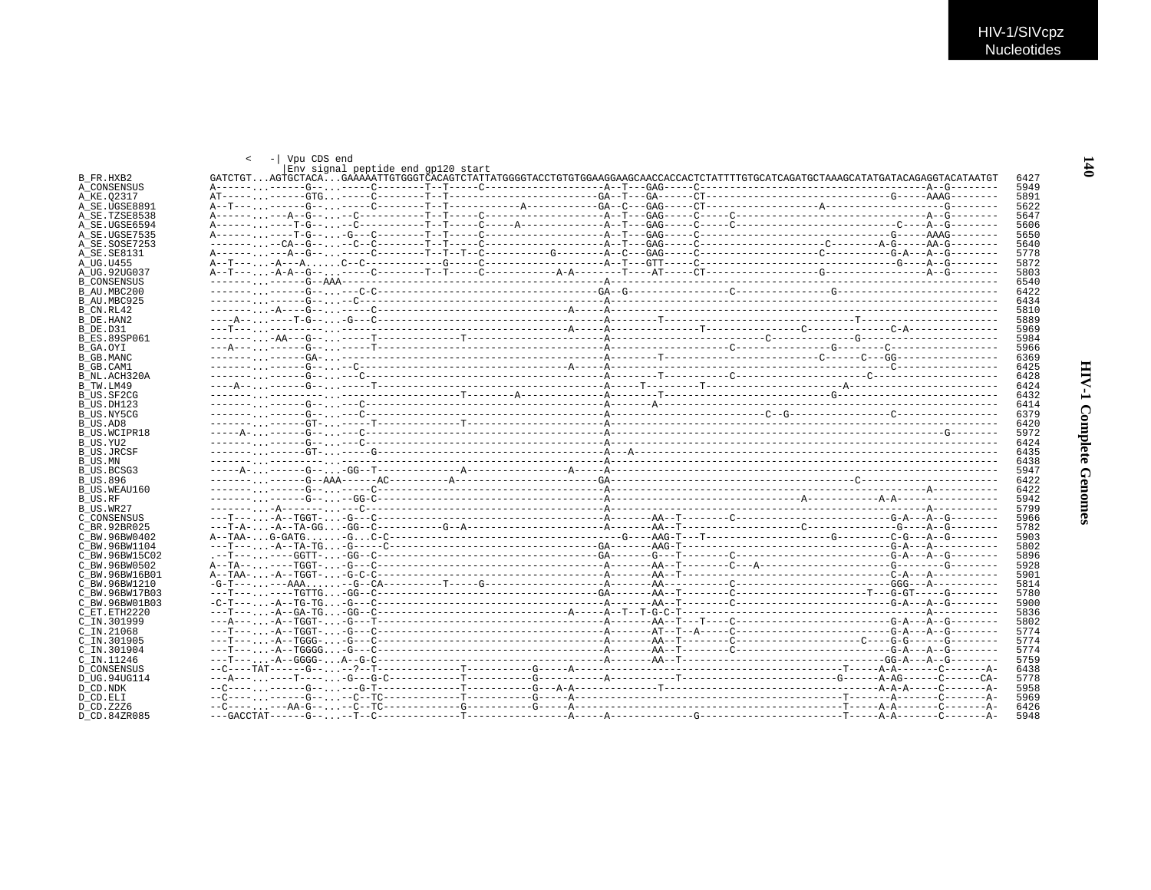|                                 | < -   Vpu CDS end                  |              |
|---------------------------------|------------------------------------|--------------|
| B FR.HXB2                       | Env signal peptide end gp120 start | 6427         |
| A CONSENSUS                     |                                    | 5949         |
| A KE.02317                      |                                    | 5891         |
| A SE.UGSE8891                   |                                    | 5622         |
| A SE.TZSE8538                   |                                    | 5647         |
| A SE.UGSE6594                   |                                    | 5606         |
| A SE.UGSE7535                   |                                    | 5650         |
| A SE.SOSE7253                   |                                    | 5640<br>5778 |
| A SE. SE8131<br>A UG.U455       |                                    | 5872         |
| A UG.92UG037                    |                                    | 5803         |
| <b>B CONSENSUS</b>              |                                    | 6540         |
| B AU.MBC200                     |                                    | 6422         |
| B AU.MBC925                     |                                    | 6434         |
| B CN.RL42                       |                                    | 5810         |
| B DE HAN2                       |                                    | 5889         |
| B DE.D31                        |                                    | 5969         |
| <b>B ES.89SP061</b>             |                                    | 5984         |
| B GA.OYI                        |                                    | 5966         |
| B GB.MANC                       |                                    | 6369         |
| B GB.CAM1                       |                                    | 6425         |
| B NL.ACH320A                    |                                    | 6428         |
| B TW.LM49                       |                                    | 6424         |
| B US.SF2CG                      |                                    | 6432         |
| B US.DH123<br>B US.NY5CG        |                                    | 6414<br>6379 |
| B US.AD8                        |                                    | 6420         |
| <b>B US.WCIPR18</b>             |                                    | 5972         |
| B US.YU2                        |                                    | 6424         |
| <b>B US.JRCSF</b>               |                                    | 6435         |
| B US.MN                         |                                    | 6438         |
| B US.BCSG3                      |                                    | 5947         |
| B US.896                        |                                    | 6422         |
| B US.WEAU160                    |                                    | 6422         |
| B US.RF                         |                                    | 5942         |
| B US.WR27                       |                                    | 5799         |
| C CONSENSUS                     |                                    | 5966         |
| C BR. 92BR025                   |                                    | 5782         |
| C BW.96BW0402                   |                                    | 5903         |
| C BW.96BW1104                   |                                    | 5802         |
| C BW.96BW15C02                  |                                    | 5896         |
| C BW.96BW0502<br>C BW.96BW16B01 |                                    | 5928<br>5901 |
| C BW.96BW1210                   |                                    | 5814         |
| C BW.96BW17B03                  |                                    | 5780         |
| C BW.96BW01B03                  |                                    | 5900         |
| C ET. ETH2220                   |                                    | 5836         |
| C IN.301999                     |                                    | 5802         |
| $C$ IN. 21068                   |                                    | 5774         |
| C IN.301905                     |                                    | 5774         |
| C IN.301904                     |                                    | 5774         |
| C IN.11246                      |                                    | 5759         |
| <b>D CONSENSUS</b>              |                                    | 6438         |
| D UG.94UG114                    |                                    | 5778         |
| D CD.NDK                        |                                    | 5958         |
| D CD.ELI                        |                                    | 5969         |
| D CD. Z2Z6                      |                                    | 6426         |
| D.CD.84ZR085                    |                                    | 5948         |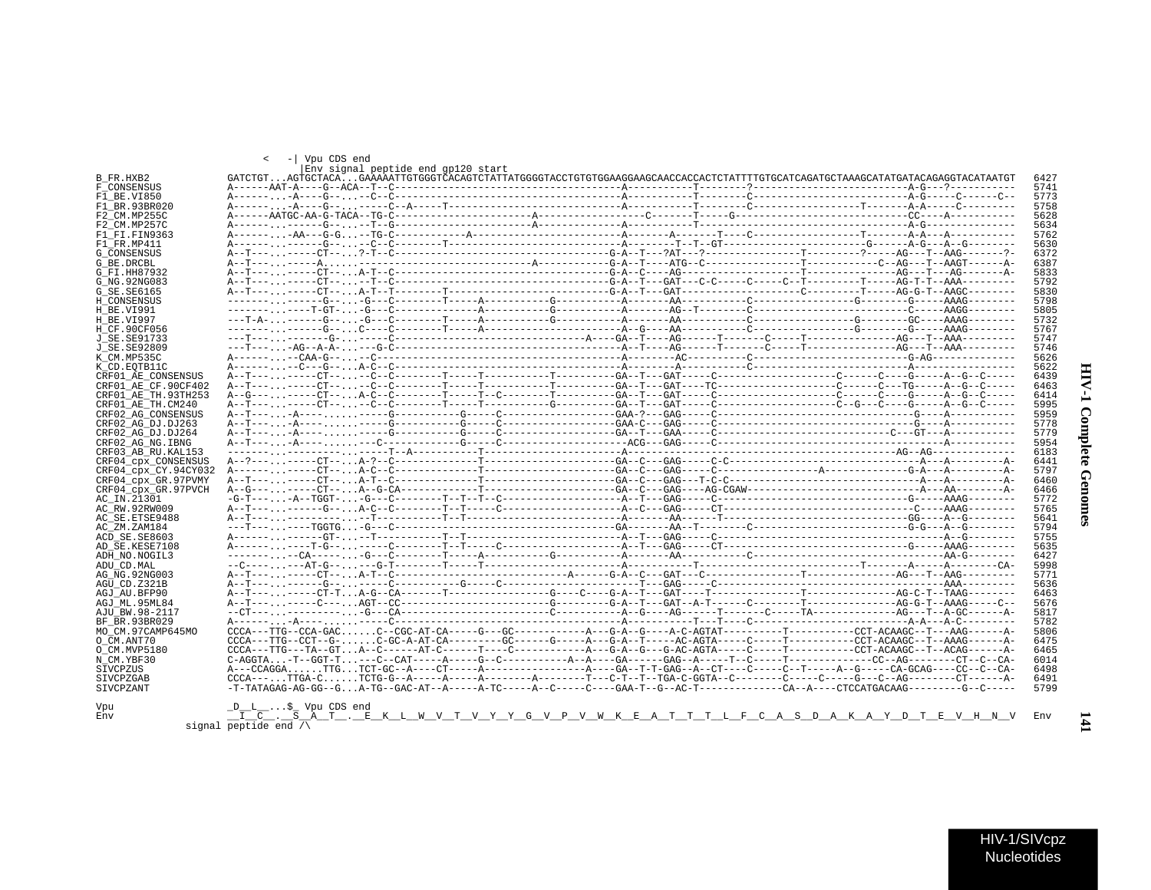$\blacksquare$ 

|                      | < -   Vpu CDS end                                                                                                                                                                                                                                                                                                                                                                                                       | Env signal peptide end gp120 start |  |  |  |  |  |
|----------------------|-------------------------------------------------------------------------------------------------------------------------------------------------------------------------------------------------------------------------------------------------------------------------------------------------------------------------------------------------------------------------------------------------------------------------|------------------------------------|--|--|--|--|--|
| B FR.HXB2            | GATCTGTAGTGCTACAGAAAAATTGTGGGTCACAGTCTATTATGGGGTACCTGTGTGGAAGCAACCACCACTCTATTTTGTGCATCAGATGCTAAAGCATATGATACAGAGGTACATAATGT                                                                                                                                                                                                                                                                                              |                                    |  |  |  |  |  |
| F CONSENSUS          |                                                                                                                                                                                                                                                                                                                                                                                                                         |                                    |  |  |  |  |  |
| F1 BE.VI850          |                                                                                                                                                                                                                                                                                                                                                                                                                         |                                    |  |  |  |  |  |
| F1 BR.93BR020        |                                                                                                                                                                                                                                                                                                                                                                                                                         |                                    |  |  |  |  |  |
| F2 CM.MP255C         |                                                                                                                                                                                                                                                                                                                                                                                                                         |                                    |  |  |  |  |  |
| F2 CM.MP257C         |                                                                                                                                                                                                                                                                                                                                                                                                                         |                                    |  |  |  |  |  |
| F1 FI.FIN9363        |                                                                                                                                                                                                                                                                                                                                                                                                                         |                                    |  |  |  |  |  |
| F1 FR.MP411          |                                                                                                                                                                                                                                                                                                                                                                                                                         |                                    |  |  |  |  |  |
| <b>G CONSENSUS</b>   |                                                                                                                                                                                                                                                                                                                                                                                                                         |                                    |  |  |  |  |  |
| G BE.DRCBL           |                                                                                                                                                                                                                                                                                                                                                                                                                         |                                    |  |  |  |  |  |
| G FI.HH87932         |                                                                                                                                                                                                                                                                                                                                                                                                                         |                                    |  |  |  |  |  |
| G NG. 92NG083        |                                                                                                                                                                                                                                                                                                                                                                                                                         |                                    |  |  |  |  |  |
| G SE. SE6165         |                                                                                                                                                                                                                                                                                                                                                                                                                         |                                    |  |  |  |  |  |
| H CONSENSUS          |                                                                                                                                                                                                                                                                                                                                                                                                                         |                                    |  |  |  |  |  |
| H BE.VI991           |                                                                                                                                                                                                                                                                                                                                                                                                                         |                                    |  |  |  |  |  |
| H BE.VI997           |                                                                                                                                                                                                                                                                                                                                                                                                                         |                                    |  |  |  |  |  |
| H CF.90CF056         |                                                                                                                                                                                                                                                                                                                                                                                                                         |                                    |  |  |  |  |  |
| J SE. SE91733        |                                                                                                                                                                                                                                                                                                                                                                                                                         |                                    |  |  |  |  |  |
| J SE. SE92809        |                                                                                                                                                                                                                                                                                                                                                                                                                         |                                    |  |  |  |  |  |
| K CM.MP535C          |                                                                                                                                                                                                                                                                                                                                                                                                                         |                                    |  |  |  |  |  |
| K CD.EOTB11C         |                                                                                                                                                                                                                                                                                                                                                                                                                         |                                    |  |  |  |  |  |
| CRF01 AE CONSENSUS   |                                                                                                                                                                                                                                                                                                                                                                                                                         |                                    |  |  |  |  |  |
| CRF01 AE CF.90CF402  |                                                                                                                                                                                                                                                                                                                                                                                                                         |                                    |  |  |  |  |  |
| CRF01 AE TH. 93TH253 |                                                                                                                                                                                                                                                                                                                                                                                                                         |                                    |  |  |  |  |  |
| CRF01_AE_TH.CM240    |                                                                                                                                                                                                                                                                                                                                                                                                                         |                                    |  |  |  |  |  |
| CRF02 AG CONSENSUS   |                                                                                                                                                                                                                                                                                                                                                                                                                         |                                    |  |  |  |  |  |
|                      |                                                                                                                                                                                                                                                                                                                                                                                                                         |                                    |  |  |  |  |  |
| CRF02 AG DJ.DJ263    |                                                                                                                                                                                                                                                                                                                                                                                                                         |                                    |  |  |  |  |  |
| CRF02 AG DJ.DJ264    |                                                                                                                                                                                                                                                                                                                                                                                                                         |                                    |  |  |  |  |  |
| CRF02 AG NG. IBNG    |                                                                                                                                                                                                                                                                                                                                                                                                                         |                                    |  |  |  |  |  |
| CRF03 AB RU. KAL153  |                                                                                                                                                                                                                                                                                                                                                                                                                         |                                    |  |  |  |  |  |
| CRF04 cpx CONSENSUS  |                                                                                                                                                                                                                                                                                                                                                                                                                         |                                    |  |  |  |  |  |
| CRF04_cpx_CY.94CY032 |                                                                                                                                                                                                                                                                                                                                                                                                                         |                                    |  |  |  |  |  |
| CRF04 cpx GR.97PVMY  |                                                                                                                                                                                                                                                                                                                                                                                                                         |                                    |  |  |  |  |  |
| CRF04 cpx GR.97PVCH  |                                                                                                                                                                                                                                                                                                                                                                                                                         |                                    |  |  |  |  |  |
| AC IN.21301          | $-G-T--A-TCGT-G-T---C---C---T-T-T---C------C---C---C---A-T---GAG---C---C---T---C---C---C---C---C---C---C---C---C---C---C---C---AAGC---AAGC---C---AAGC---C---AAGC---C---AAGC---C---AAGC---C---AAGC---C---AAGC---C---AAGC---C---AAGC---C---AAGC---C---AAGC---C---AAGC---C---AAGC---C---AAGC---C---AAGC---C---AAGC---C---AAGC---C---AAGC---C---AAGC---C---AAGC---C---AAGC---C---AAGC---C---AAGC---C---AAGC---C---AAGC---C$ |                                    |  |  |  |  |  |
| AC RW.92RW009        |                                                                                                                                                                                                                                                                                                                                                                                                                         |                                    |  |  |  |  |  |
| AC SE. ETSE9488      |                                                                                                                                                                                                                                                                                                                                                                                                                         |                                    |  |  |  |  |  |
| AC ZM.ZAM184         |                                                                                                                                                                                                                                                                                                                                                                                                                         |                                    |  |  |  |  |  |
| ACD SE.SE8603        |                                                                                                                                                                                                                                                                                                                                                                                                                         |                                    |  |  |  |  |  |
| AD SE.KESE7108       |                                                                                                                                                                                                                                                                                                                                                                                                                         |                                    |  |  |  |  |  |
| ADH NO. NOGIL3       |                                                                                                                                                                                                                                                                                                                                                                                                                         |                                    |  |  |  |  |  |
| ADU CD.MAL           |                                                                                                                                                                                                                                                                                                                                                                                                                         |                                    |  |  |  |  |  |
| AG NG. 92NG003       |                                                                                                                                                                                                                                                                                                                                                                                                                         |                                    |  |  |  |  |  |
| AGU CD.Z321B         |                                                                                                                                                                                                                                                                                                                                                                                                                         |                                    |  |  |  |  |  |
| AGJ AU.BFP90         |                                                                                                                                                                                                                                                                                                                                                                                                                         |                                    |  |  |  |  |  |
| AGJ ML.95ML84        |                                                                                                                                                                                                                                                                                                                                                                                                                         |                                    |  |  |  |  |  |
| AJU BW.98-2117       |                                                                                                                                                                                                                                                                                                                                                                                                                         |                                    |  |  |  |  |  |
| BF BR. 93BR029       |                                                                                                                                                                                                                                                                                                                                                                                                                         |                                    |  |  |  |  |  |
| MO_CM.97CAMP645MO    | $CCCA---TTG--CCA-GACC--CGC-AT-CA---C---G---G---G---A---A---G-A--G---A-C-AGTAT------T------T---C.-CCT-ACAAGC---T---AAG---A-C-AGT-CT-ACAAGC---T---A-ACG---A-AC-GAC---A-AC-GAC---A-AC-GAC---A-AC-GAC---A-AC-GAC---A-AC-GAC---A-AC-GAC---A-AC-GAC---A-AC-GAC---A-AC-GAC---A-AC-GAC---A-AC-GAC---A-AC-GAC---A-AC-GAC---A-AC-GAC---A-AC-GAC---A-AC-GAC---A-AC-GAC---A-AC-GAC---A-AC-GAC---A-AC-GAC---A-AC-GAC---A-AC-G$       |                                    |  |  |  |  |  |
| O CM.ANT70           |                                                                                                                                                                                                                                                                                                                                                                                                                         |                                    |  |  |  |  |  |
| O CM.MVP5180         |                                                                                                                                                                                                                                                                                                                                                                                                                         |                                    |  |  |  |  |  |
| N CM.YBF30           | $C-AGGTA$ $-T-GGT-T$ $---C--CAP----A---G--C---G---G---A---A---GA---GAG---A---T---T---T---T---T---T---T---C---AG---AG---A$                                                                                                                                                                                                                                                                                               |                                    |  |  |  |  |  |
| SIVCPZUS             | A---CCAGGATTGTCT-GC--A----CT-----A----------------A----GA--T-T-GAG--A--CT----C-------A--G-----CA-GCAG----CC--CA-CAG----CC--CA-                                                                                                                                                                                                                                                                                          |                                    |  |  |  |  |  |
| SIVCPZGAB            | $CCCA---$ TTGA-CTCTG-G--A-----A-----A-------A------T---C-T--T--TGA-C-GGTA--C-------C-----C-----C---A--------CT------A-                                                                                                                                                                                                                                                                                                  |                                    |  |  |  |  |  |
| <b>STVCPZANT</b>     |                                                                                                                                                                                                                                                                                                                                                                                                                         |                                    |  |  |  |  |  |
|                      |                                                                                                                                                                                                                                                                                                                                                                                                                         |                                    |  |  |  |  |  |
| Vpu<br>Env           | $D_{L}$ \$ Vpu CDS end<br>I C . S A T . E K L W V T V Y Y G V P V W K E A T T T L F C A S D A K A Y D T E V H N V Env                                                                                                                                                                                                                                                                                                   |                                    |  |  |  |  |  |

signal  $\frac{1}{\text{peptide end}} \frac{S}{\wedge}$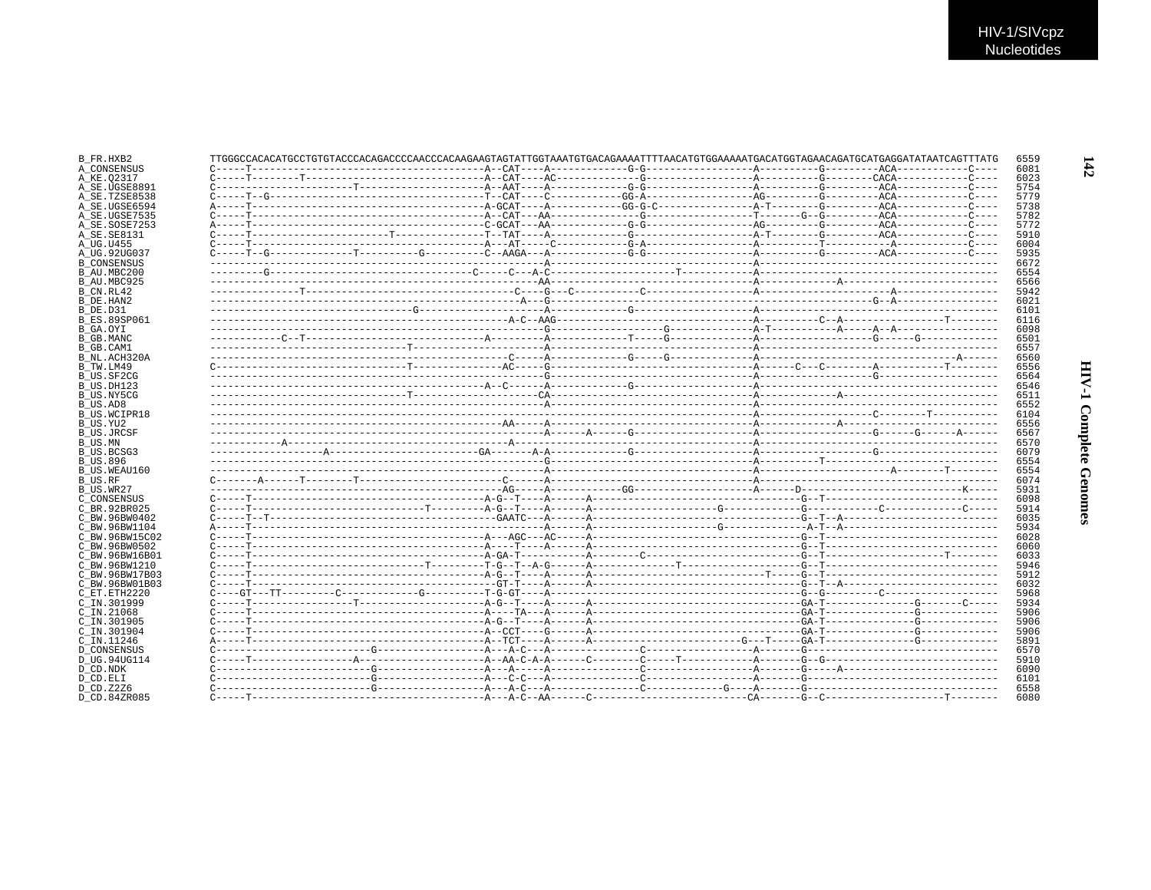| A CONSENSUS         |  |  |  |  |
|---------------------|--|--|--|--|
|                     |  |  |  |  |
| A SE.UGSE8891       |  |  |  |  |
| A SE.TZSE8538       |  |  |  |  |
| A SE.UGSE6594       |  |  |  |  |
| A SE.UGSE7535       |  |  |  |  |
| A SE.SOSE7253       |  |  |  |  |
| A SE.SE8131         |  |  |  |  |
|                     |  |  |  |  |
| A_UG.92UG037        |  |  |  |  |
| <b>B CONSENSUS</b>  |  |  |  |  |
| B AU.MBC200         |  |  |  |  |
| B AU.MBC925         |  |  |  |  |
|                     |  |  |  |  |
|                     |  |  |  |  |
|                     |  |  |  |  |
| <b>B ES.89SP061</b> |  |  |  |  |
|                     |  |  |  |  |
|                     |  |  |  |  |
|                     |  |  |  |  |
| B NL.ACH320A        |  |  |  |  |
|                     |  |  |  |  |
|                     |  |  |  |  |
|                     |  |  |  |  |
|                     |  |  |  |  |
|                     |  |  |  |  |
| B US.WCIPR18        |  |  |  |  |
|                     |  |  |  |  |
|                     |  |  |  |  |
|                     |  |  |  |  |
|                     |  |  |  |  |
|                     |  |  |  |  |
| B US.WEAU160        |  |  |  |  |
|                     |  |  |  |  |
|                     |  |  |  |  |
| C CONSENSUS         |  |  |  |  |
| C BR. 92BR025       |  |  |  |  |
|                     |  |  |  |  |
| C BW.96BW0402       |  |  |  |  |
| C BW.96BW1104       |  |  |  |  |
| C BW.96BW15C02      |  |  |  |  |
| C BW.96BW0502       |  |  |  |  |
| C BW.96BW16B01      |  |  |  |  |
| C BW.96BW1210       |  |  |  |  |
| C BW.96BW17B03      |  |  |  |  |
| C BW.96BW01B03      |  |  |  |  |
| C ET.ETH2220        |  |  |  |  |
| C IN.301999         |  |  |  |  |
|                     |  |  |  |  |
| C IN.301905         |  |  |  |  |
| C IN.301904         |  |  |  |  |
|                     |  |  |  |  |
| <b>D CONSENSUS</b>  |  |  |  |  |
| D UG.94UG114        |  |  |  |  |
|                     |  |  |  |  |
|                     |  |  |  |  |
|                     |  |  |  |  |
|                     |  |  |  |  |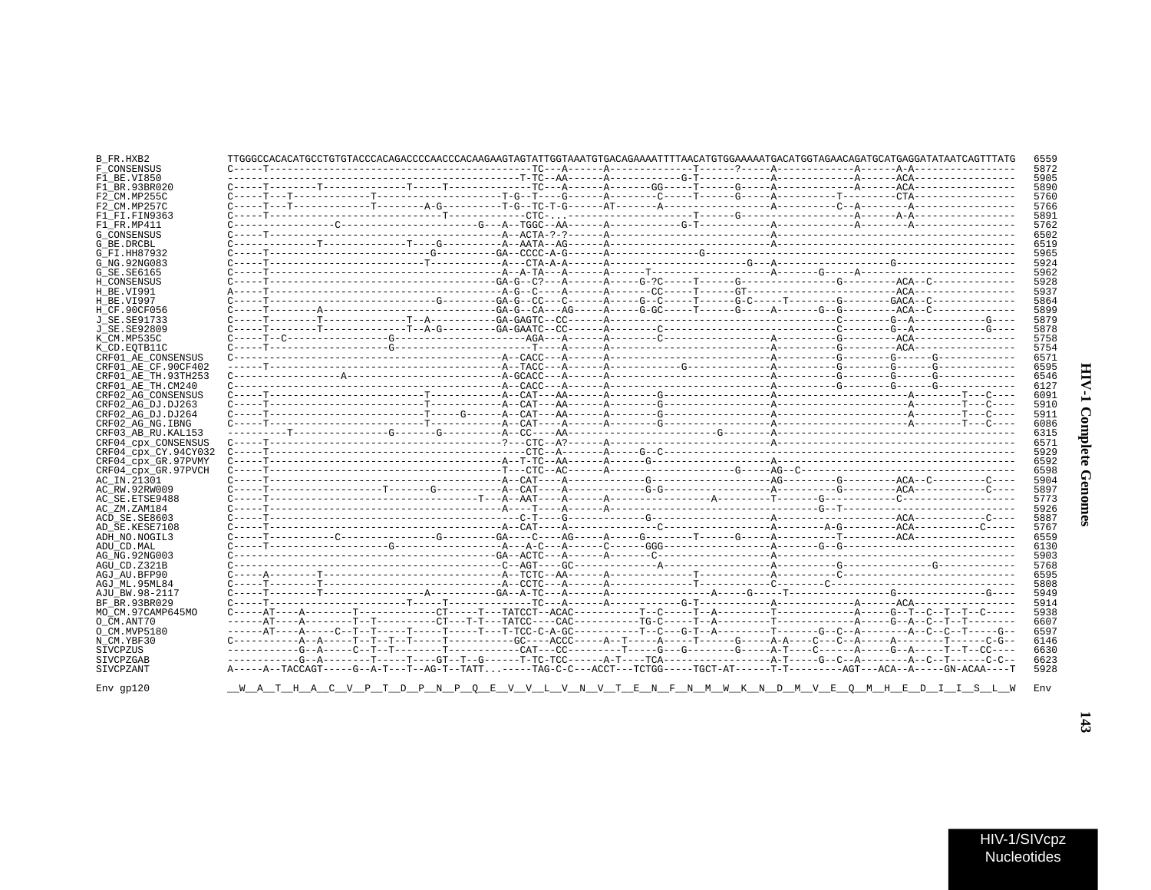| B FR.HXB2                              | TTGGGCCACACATGCCTGTGTACCCACAGACCCCAACCCAAGAAGTAGTATTGGTAAATGTGACAGAAAATTTTAACATGTGGAAAAATGACATGGTAGAACAGATGCATGAGGATATAATCAGTTTATG                                                                                                                                                                                                                                                                                                                                                                                                                                                                                                                                                                                                                |  |  |  | 6559         |
|----------------------------------------|---------------------------------------------------------------------------------------------------------------------------------------------------------------------------------------------------------------------------------------------------------------------------------------------------------------------------------------------------------------------------------------------------------------------------------------------------------------------------------------------------------------------------------------------------------------------------------------------------------------------------------------------------------------------------------------------------------------------------------------------------|--|--|--|--------------|
| F CONSENSUS                            |                                                                                                                                                                                                                                                                                                                                                                                                                                                                                                                                                                                                                                                                                                                                                   |  |  |  | 5872         |
| F1 BE.VI850                            |                                                                                                                                                                                                                                                                                                                                                                                                                                                                                                                                                                                                                                                                                                                                                   |  |  |  | 5905         |
| F1 BR.93BR020                          |                                                                                                                                                                                                                                                                                                                                                                                                                                                                                                                                                                                                                                                                                                                                                   |  |  |  | 5890         |
| F2 CM.MP255C                           |                                                                                                                                                                                                                                                                                                                                                                                                                                                                                                                                                                                                                                                                                                                                                   |  |  |  | 5760         |
| F2 CM.MP257C                           |                                                                                                                                                                                                                                                                                                                                                                                                                                                                                                                                                                                                                                                                                                                                                   |  |  |  | 5766         |
| F1 FI.FIN9363                          |                                                                                                                                                                                                                                                                                                                                                                                                                                                                                                                                                                                                                                                                                                                                                   |  |  |  | 5891         |
| F1 FR.MP411                            |                                                                                                                                                                                                                                                                                                                                                                                                                                                                                                                                                                                                                                                                                                                                                   |  |  |  | 5762         |
| <b>G CONSENSUS</b>                     |                                                                                                                                                                                                                                                                                                                                                                                                                                                                                                                                                                                                                                                                                                                                                   |  |  |  | 6502         |
| G BE.DRCBL                             |                                                                                                                                                                                                                                                                                                                                                                                                                                                                                                                                                                                                                                                                                                                                                   |  |  |  | 6519         |
| G FI.HH87932                           |                                                                                                                                                                                                                                                                                                                                                                                                                                                                                                                                                                                                                                                                                                                                                   |  |  |  | 5965         |
| G NG. 92NG083                          |                                                                                                                                                                                                                                                                                                                                                                                                                                                                                                                                                                                                                                                                                                                                                   |  |  |  | 5924         |
| G_SE.SE6165                            |                                                                                                                                                                                                                                                                                                                                                                                                                                                                                                                                                                                                                                                                                                                                                   |  |  |  | 5962         |
| H CONSENSUS                            |                                                                                                                                                                                                                                                                                                                                                                                                                                                                                                                                                                                                                                                                                                                                                   |  |  |  | 5928         |
| H BE.VI991                             |                                                                                                                                                                                                                                                                                                                                                                                                                                                                                                                                                                                                                                                                                                                                                   |  |  |  | 5937         |
| H BE.VI997                             |                                                                                                                                                                                                                                                                                                                                                                                                                                                                                                                                                                                                                                                                                                                                                   |  |  |  | 5864         |
| H CF.90CF056                           |                                                                                                                                                                                                                                                                                                                                                                                                                                                                                                                                                                                                                                                                                                                                                   |  |  |  | 5899         |
| J SE. SE91733                          |                                                                                                                                                                                                                                                                                                                                                                                                                                                                                                                                                                                                                                                                                                                                                   |  |  |  | 5879         |
| J SE.SE92809                           |                                                                                                                                                                                                                                                                                                                                                                                                                                                                                                                                                                                                                                                                                                                                                   |  |  |  | 5878         |
| K CM.MP535C                            |                                                                                                                                                                                                                                                                                                                                                                                                                                                                                                                                                                                                                                                                                                                                                   |  |  |  | 5758         |
| K CD.EOTB11C                           |                                                                                                                                                                                                                                                                                                                                                                                                                                                                                                                                                                                                                                                                                                                                                   |  |  |  | 5754         |
| CRF01 AE CONSENSUS                     |                                                                                                                                                                                                                                                                                                                                                                                                                                                                                                                                                                                                                                                                                                                                                   |  |  |  | 6571         |
| CRF01 AE CF.90CF402                    |                                                                                                                                                                                                                                                                                                                                                                                                                                                                                                                                                                                                                                                                                                                                                   |  |  |  | 6595<br>6546 |
| CRF01 AE TH.93TH253                    |                                                                                                                                                                                                                                                                                                                                                                                                                                                                                                                                                                                                                                                                                                                                                   |  |  |  | 6127         |
| CRF01 AE TH.CM240                      |                                                                                                                                                                                                                                                                                                                                                                                                                                                                                                                                                                                                                                                                                                                                                   |  |  |  |              |
| CRF02 AG CONSENSUS                     |                                                                                                                                                                                                                                                                                                                                                                                                                                                                                                                                                                                                                                                                                                                                                   |  |  |  | 6091<br>5910 |
| CRF02 AG DJ.DJ263<br>CRF02 AG DJ.DJ264 |                                                                                                                                                                                                                                                                                                                                                                                                                                                                                                                                                                                                                                                                                                                                                   |  |  |  | 5911         |
| CRF02 AG NG. IBNG                      |                                                                                                                                                                                                                                                                                                                                                                                                                                                                                                                                                                                                                                                                                                                                                   |  |  |  | 6086         |
| CRF03 AB RU. KAL153                    |                                                                                                                                                                                                                                                                                                                                                                                                                                                                                                                                                                                                                                                                                                                                                   |  |  |  | 6315         |
| CRF04 CDX CONSENSUS                    |                                                                                                                                                                                                                                                                                                                                                                                                                                                                                                                                                                                                                                                                                                                                                   |  |  |  | 6571         |
| CRF04 cpx CY.94CY032                   |                                                                                                                                                                                                                                                                                                                                                                                                                                                                                                                                                                                                                                                                                                                                                   |  |  |  | 5929         |
| CRF04 cpx GR.97PVMY                    |                                                                                                                                                                                                                                                                                                                                                                                                                                                                                                                                                                                                                                                                                                                                                   |  |  |  | 6592         |
| CRF04 cpx GR.97PVCH                    |                                                                                                                                                                                                                                                                                                                                                                                                                                                                                                                                                                                                                                                                                                                                                   |  |  |  | 6598         |
| AC_IN.21301                            |                                                                                                                                                                                                                                                                                                                                                                                                                                                                                                                                                                                                                                                                                                                                                   |  |  |  | 5904         |
| AC RW.92RW009                          |                                                                                                                                                                                                                                                                                                                                                                                                                                                                                                                                                                                                                                                                                                                                                   |  |  |  | 5897         |
| AC SE. ETSE9488                        |                                                                                                                                                                                                                                                                                                                                                                                                                                                                                                                                                                                                                                                                                                                                                   |  |  |  | 5773         |
| AC ZM.ZAM184                           |                                                                                                                                                                                                                                                                                                                                                                                                                                                                                                                                                                                                                                                                                                                                                   |  |  |  | 5926         |
| ACD SE.SE8603                          |                                                                                                                                                                                                                                                                                                                                                                                                                                                                                                                                                                                                                                                                                                                                                   |  |  |  | 5887         |
| AD SE.KESE7108                         |                                                                                                                                                                                                                                                                                                                                                                                                                                                                                                                                                                                                                                                                                                                                                   |  |  |  | 5767         |
| ADH NO.NOGIL3                          |                                                                                                                                                                                                                                                                                                                                                                                                                                                                                                                                                                                                                                                                                                                                                   |  |  |  | 6559         |
| ADU CD.MAL                             |                                                                                                                                                                                                                                                                                                                                                                                                                                                                                                                                                                                                                                                                                                                                                   |  |  |  | 6130         |
| AG NG. 92NG003                         |                                                                                                                                                                                                                                                                                                                                                                                                                                                                                                                                                                                                                                                                                                                                                   |  |  |  | 5903         |
| AGU CD.Z321B                           |                                                                                                                                                                                                                                                                                                                                                                                                                                                                                                                                                                                                                                                                                                                                                   |  |  |  | 5768         |
| AGJ AU BFP90                           |                                                                                                                                                                                                                                                                                                                                                                                                                                                                                                                                                                                                                                                                                                                                                   |  |  |  | 6595         |
| AGJ ML.95ML84                          |                                                                                                                                                                                                                                                                                                                                                                                                                                                                                                                                                                                                                                                                                                                                                   |  |  |  | 5808         |
| AJU BW.98-2117                         |                                                                                                                                                                                                                                                                                                                                                                                                                                                                                                                                                                                                                                                                                                                                                   |  |  |  | 5949         |
| BF BR.93BR029                          | $C \rightarrow \text{---} T \rightarrow \text{---} \rightarrow \text{---} \rightarrow \text{---} T \rightarrow \text{---} T \rightarrow \text{---} \rightarrow \text{---} \rightarrow \text{---} \rightarrow \text{---} \rightarrow \text{---} \rightarrow \text{---} \rightarrow \text{---} \rightarrow \text{---} \rightarrow \text{---} \rightarrow \text{---} \rightarrow \text{---} \rightarrow \text{---} \rightarrow \text{---} \rightarrow \text{---} \rightarrow \text{---} \rightarrow \text{---} \rightarrow \text{---} \rightarrow \text{---} \rightarrow \text{---} \rightarrow \text{---} \rightarrow \text{---} \rightarrow \text{---} \rightarrow \text{---} \rightarrow \text{---} \rightarrow \text{---} \rightarrow \text{---$ |  |  |  | 5914         |
| MO_CM.97CAMP645MO                      |                                                                                                                                                                                                                                                                                                                                                                                                                                                                                                                                                                                                                                                                                                                                                   |  |  |  | 5938         |
| O CM.ANT70                             |                                                                                                                                                                                                                                                                                                                                                                                                                                                                                                                                                                                                                                                                                                                                                   |  |  |  | 6607         |
| O_CM.MVP5180                           |                                                                                                                                                                                                                                                                                                                                                                                                                                                                                                                                                                                                                                                                                                                                                   |  |  |  | 6597         |
| N CM.YBF30                             |                                                                                                                                                                                                                                                                                                                                                                                                                                                                                                                                                                                                                                                                                                                                                   |  |  |  | 6146         |
| SIVCPZUS                               |                                                                                                                                                                                                                                                                                                                                                                                                                                                                                                                                                                                                                                                                                                                                                   |  |  |  | 6630         |
| SIVCPZGAB                              |                                                                                                                                                                                                                                                                                                                                                                                                                                                                                                                                                                                                                                                                                                                                                   |  |  |  | 6623         |
| SIVCPZANT                              | A-----A--TACCAGT-----G--A-T---T--AG-T--TATT-----TAG-C-C---ACCT---TCTGG-----TGCT-AT------T-T--------AGT---ACA--A-----GN-ACAA----T                                                                                                                                                                                                                                                                                                                                                                                                                                                                                                                                                                                                                  |  |  |  | 5928         |

<u>\_W\_A\_T\_H\_A\_C\_V\_P\_T\_D\_P\_N\_P\_Q\_E\_V\_V\_L\_V\_N\_V\_T\_E\_N\_F\_N\_M\_W\_K\_N\_D\_M\_V\_E\_Q\_M\_H\_E\_D\_I\_I\_S\_L\_W</u>

 ${\rm Env}$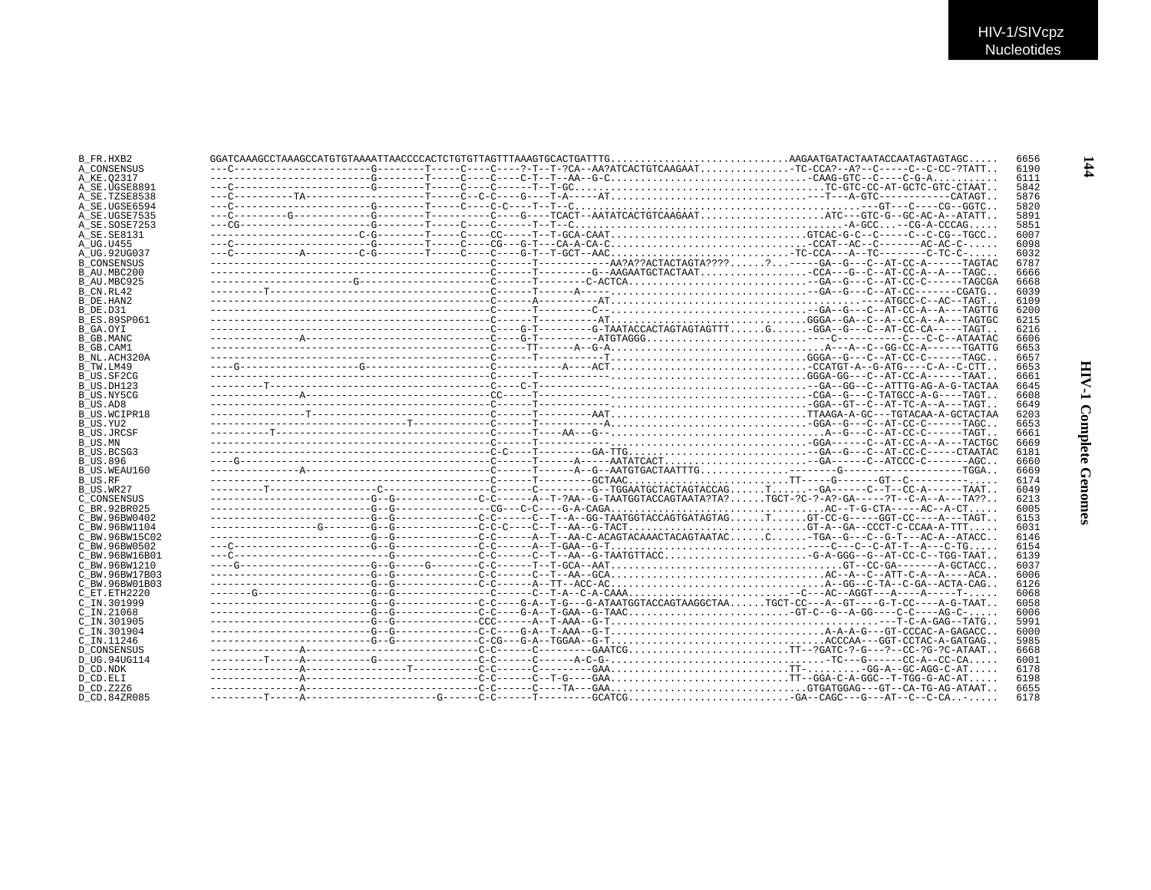| B FR.HXB2           | $GGATCAAAGCCTAAAGCCATGTGTAAAATTAACCCCACTCTGTGTTTTAGTTTAAGTGCACTGATTTG. AGAATGATACTAATACCAATAGTAGC.$ |  | 6656 |
|---------------------|-----------------------------------------------------------------------------------------------------|--|------|
| A CONSENSUS         |                                                                                                     |  | 6190 |
| A KE.02317          | --------------------------G---------T-----C----C----C-T--RA--G-CCAAG-GTC--C----C-G-A                |  | 6111 |
| A SE.UGSE8891       |                                                                                                     |  | 5842 |
| A SE.TZSE8538       |                                                                                                     |  | 5876 |
| A SE.UGSE6594       |                                                                                                     |  | 5820 |
| A SE.UGSE7535       |                                                                                                     |  | 5891 |
| A SE.SOSE7253       |                                                                                                     |  | 5851 |
| A SE. SE8131        |                                                                                                     |  | 6007 |
| A UG.U455           |                                                                                                     |  | 6098 |
| A UG.92UG037        |                                                                                                     |  | 6032 |
|                     |                                                                                                     |  | 6787 |
| <b>B CONSENSUS</b>  |                                                                                                     |  | 6666 |
| B AU.MBC200         |                                                                                                     |  |      |
| B AU.MBC925         |                                                                                                     |  | 6668 |
| B CN.RL42           |                                                                                                     |  | 6039 |
| B DE.HAN2           |                                                                                                     |  | 6109 |
| B DE.D31            |                                                                                                     |  | 6200 |
| B ES.89SP061        |                                                                                                     |  | 6215 |
| B GA.OYI            |                                                                                                     |  | 6216 |
| B GB.MANC           |                                                                                                     |  | 6606 |
| B GB.CAM1           |                                                                                                     |  | 6653 |
| B NL.ACH320A        |                                                                                                     |  | 6657 |
| B TW.LM49           |                                                                                                     |  | 6653 |
| B US.SF2CG          |                                                                                                     |  | 6661 |
| B US.DH123          |                                                                                                     |  | 6645 |
| B US.NY5CG          |                                                                                                     |  | 6608 |
| B US.AD8            |                                                                                                     |  | 6649 |
| <b>B US.WCIPR18</b> |                                                                                                     |  | 6203 |
| B_US.YU2            |                                                                                                     |  | 6653 |
| <b>B US.JRCSF</b>   |                                                                                                     |  | 6661 |
| B US.MN             |                                                                                                     |  | 6669 |
| B US.BCSG3          |                                                                                                     |  | 6181 |
| <b>B US.896</b>     |                                                                                                     |  | 6660 |
| B US.WEAU160        |                                                                                                     |  | 6669 |
| B US.RF             |                                                                                                     |  | 6174 |
| B_US.WR27           |                                                                                                     |  | 6049 |
| C CONSENSUS         |                                                                                                     |  | 6213 |
| C BR. 92BR025       |                                                                                                     |  | 6005 |
| C BW.96BW0402       |                                                                                                     |  | 6153 |
| C BW.96BW1104       |                                                                                                     |  | 6031 |
| C BW.96BW15C02      |                                                                                                     |  | 6146 |
| C BW.96BW0502       |                                                                                                     |  | 6154 |
| C BW.96BW16B01      |                                                                                                     |  | 6139 |
| C BW.96BW1210       |                                                                                                     |  | 6037 |
| C BW.96BW17B03      |                                                                                                     |  | 6006 |
| C BW.96BW01B03      |                                                                                                     |  | 6126 |
| C ET. ETH2220       |                                                                                                     |  | 6068 |
| C IN.301999         |                                                                                                     |  | 6058 |
| C IN.21068          |                                                                                                     |  | 6006 |
| C IN.301905         |                                                                                                     |  | 5991 |
|                     |                                                                                                     |  |      |
| C IN.301904         |                                                                                                     |  | 6000 |
| C IN.11246          |                                                                                                     |  | 5985 |
| <b>D CONSENSUS</b>  |                                                                                                     |  | 6668 |
| D UG.94UG114        |                                                                                                     |  | 6001 |
| D CD.NDK            |                                                                                                     |  | 6178 |
| D CD.ELI            |                                                                                                     |  | 6198 |
| D CD. Z2Z6          |                                                                                                     |  | 6655 |
| D CD.84ZR085        |                                                                                                     |  | 6178 |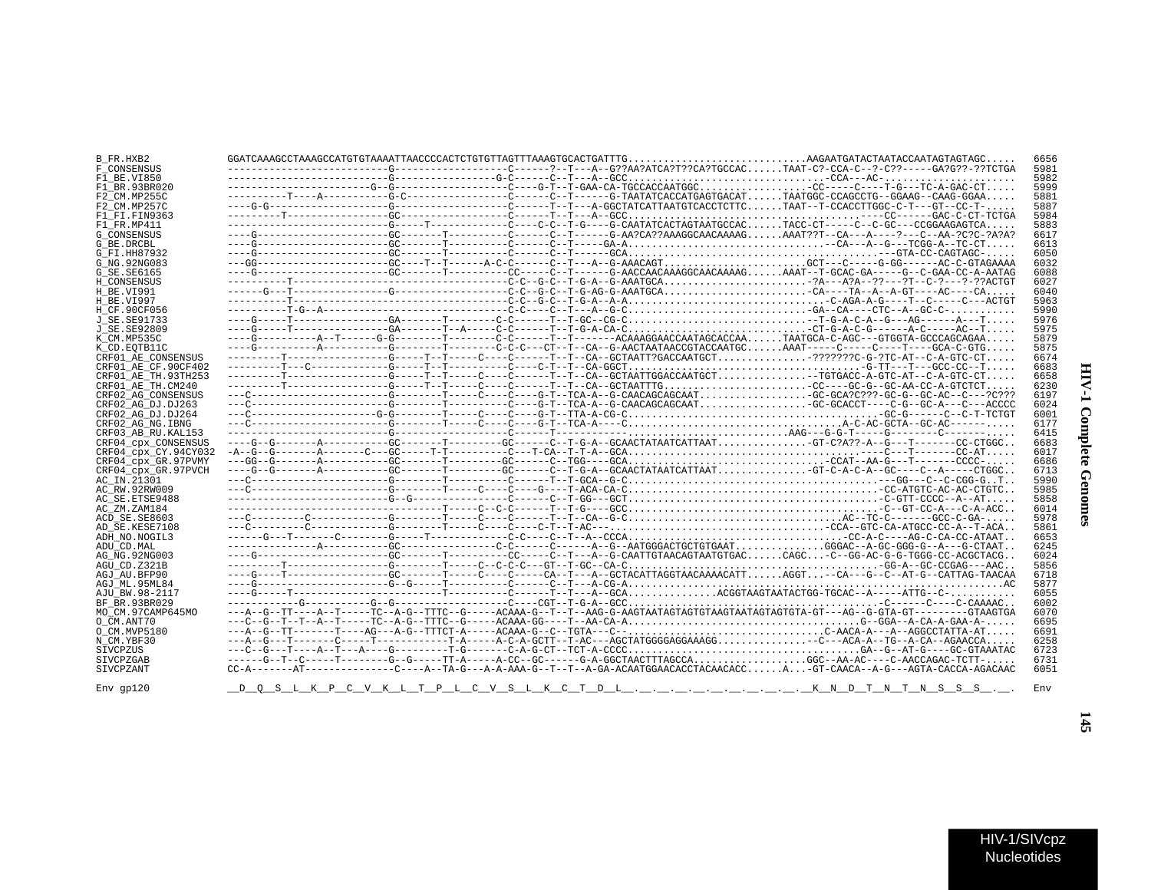| ì<br>I<br>i |
|-------------|
| ì<br>i      |

| B FR.HXB2            |  |  |  |                                                                                                                                                                                                                                                                                                                                                                                                                                                                                                              | 6656 |
|----------------------|--|--|--|--------------------------------------------------------------------------------------------------------------------------------------------------------------------------------------------------------------------------------------------------------------------------------------------------------------------------------------------------------------------------------------------------------------------------------------------------------------------------------------------------------------|------|
| F CONSENSUS          |  |  |  |                                                                                                                                                                                                                                                                                                                                                                                                                                                                                                              | 5981 |
| F1 BE.VI850          |  |  |  |                                                                                                                                                                                                                                                                                                                                                                                                                                                                                                              | 5982 |
| F1 BR.93BR020        |  |  |  |                                                                                                                                                                                                                                                                                                                                                                                                                                                                                                              | 5999 |
| F2 CM.MP255C         |  |  |  |                                                                                                                                                                                                                                                                                                                                                                                                                                                                                                              | 5881 |
| F2 CM.MP257C         |  |  |  |                                                                                                                                                                                                                                                                                                                                                                                                                                                                                                              | 5887 |
|                      |  |  |  |                                                                                                                                                                                                                                                                                                                                                                                                                                                                                                              |      |
| F1 FI.FIN9363        |  |  |  |                                                                                                                                                                                                                                                                                                                                                                                                                                                                                                              | 5984 |
| F1 FR.MP411          |  |  |  |                                                                                                                                                                                                                                                                                                                                                                                                                                                                                                              | 5883 |
| <b>G CONSENSUS</b>   |  |  |  |                                                                                                                                                                                                                                                                                                                                                                                                                                                                                                              | 6617 |
| G BE.DRCBL           |  |  |  |                                                                                                                                                                                                                                                                                                                                                                                                                                                                                                              | 6613 |
| G FI.HH87932         |  |  |  |                                                                                                                                                                                                                                                                                                                                                                                                                                                                                                              | 6050 |
|                      |  |  |  | ---GG-------------------GC----T--T------A-C-C------C--T---A--G-AAACAGTGCT---C-----G-GG------AC-C-GTAGAAAA                                                                                                                                                                                                                                                                                                                                                                                                    |      |
| G NG. 92NG083        |  |  |  |                                                                                                                                                                                                                                                                                                                                                                                                                                                                                                              | 6032 |
| G SE.SE6165          |  |  |  | ---G------------------GC-------T-------CC------C--T------G-AACCAACAAAGGCAACAAAAGAAAT--T-GCAC-GA-----G--C-GAA-CC-A-AATAG                                                                                                                                                                                                                                                                                                                                                                                      | 6088 |
| H CONSENSUS          |  |  |  |                                                                                                                                                                                                                                                                                                                                                                                                                                                                                                              | 6027 |
| H BE.VI991           |  |  |  |                                                                                                                                                                                                                                                                                                                                                                                                                                                                                                              | 6040 |
| H BE.VI997           |  |  |  |                                                                                                                                                                                                                                                                                                                                                                                                                                                                                                              | 5963 |
| H CF.90CF056         |  |  |  |                                                                                                                                                                                                                                                                                                                                                                                                                                                                                                              | 5990 |
|                      |  |  |  |                                                                                                                                                                                                                                                                                                                                                                                                                                                                                                              |      |
| J SE. SE91733        |  |  |  |                                                                                                                                                                                                                                                                                                                                                                                                                                                                                                              | 5976 |
| J SE. SE92809        |  |  |  | ----G-----T----------------GA-------T--A-----C-C-------T--T-G-A-CA-CCT-G-A-C-G-------A-C------AC--T                                                                                                                                                                                                                                                                                                                                                                                                          | 5975 |
| K CM.MP535C          |  |  |  | $-\--\verb G-----------A--T-------G-G-----T-------C---------CAAAGGAACCAATAGCACCA.\dots.\ \ \nonumber \texttt{AGGA-C-AG---GTGGTA-GCCCAGCAGAA}\dots\ \nonumber$                                                                                                                                                                                                                                                                                                                                                | 5879 |
| K CD.EOTB11C         |  |  |  | ----G-----------A----------G--------T-------C-C-C---CT--T--CA--G-AACTAATAACCGTACCAATGCAAAT-----C-----C----T----GCA-C-GTG                                                                                                                                                                                                                                                                                                                                                                                     | 5875 |
| CRF01 AE CONSENSUS   |  |  |  | ---------T-----------------G-----T--T-----C-----T--T-CA--GCTAATT?GACCAATGCT???????C-G-?TC-AT--C-A-GTC-CT                                                                                                                                                                                                                                                                                                                                                                                                     | 6674 |
|                      |  |  |  |                                                                                                                                                                                                                                                                                                                                                                                                                                                                                                              | 6683 |
| CRF01 AE CF.90CF402  |  |  |  |                                                                                                                                                                                                                                                                                                                                                                                                                                                                                                              |      |
| CRF01 AE TH.93TH253  |  |  |  | $\hskip-10.3cm \texttt{-----} \begin{minipage}{0.9\textwidth} \begin{itemize} \begin{itemize} \begin{itemize} \begin{itemize} \begin{itemize} \end{itemize} \end{itemize} \end{itemize} \end{itemize} \end{minipage} \end{minipage} \end{minipage} \end{minipage} \end{minipage} \end{minipage} \end{minipage} \end{minipage} \end{minipage} \end{minipage} \end{minipage} \end{minipage} \end{minipage} \end{minipage} \end{minipage} \end{minipage} \end{minipage} \end{minipage} \end{minipage} \end{min$ | 6658 |
| CRF01 AE TH.CM240    |  |  |  |                                                                                                                                                                                                                                                                                                                                                                                                                                                                                                              | 6230 |
| CRF02 AG CONSENSUS   |  |  |  | ---C----------------------G---------T----C----C----G-T--TCA-A--G-CAACAGCAGCAATGC-GCA?C???-GC-G--GC-AC--C---?C???                                                                                                                                                                                                                                                                                                                                                                                             | 6197 |
| CRF02 AG DJ.DJ263    |  |  |  |                                                                                                                                                                                                                                                                                                                                                                                                                                                                                                              | 6024 |
| CRF02 AG DJ.DJ264    |  |  |  |                                                                                                                                                                                                                                                                                                                                                                                                                                                                                                              | 6001 |
|                      |  |  |  |                                                                                                                                                                                                                                                                                                                                                                                                                                                                                                              |      |
| CRF02 AG NG. IBNG    |  |  |  |                                                                                                                                                                                                                                                                                                                                                                                                                                                                                                              | 6177 |
| CRF03 AB RU. KAL153  |  |  |  |                                                                                                                                                                                                                                                                                                                                                                                                                                                                                                              | 6415 |
| CRF04_cpx_CONSENSUS  |  |  |  | ---G--G-------A----------GC-------T--------GC------C--T-G-A--GCAACTATAATCATTAATGT-C?A??-A--G---T-------CC-CTGGC                                                                                                                                                                                                                                                                                                                                                                                              | 6683 |
| CRF04_cpx_CY.94CY032 |  |  |  | $-{\bf A}-{\bf \bar{G}}-{\bf \bar{G}}-{\bf \bar{G}}-{\bf \bar{G}}-{\bf \bar{G}}-{\bf \bar{G}}-{\bf \bar{G}}-{\bf \bar{G}}-{\bf \bar{G}}-{\bf \bar{G}}-{\bf \bar{G}}-{\bf \bar{G}}-{\bf \bar{G}}-{\bf \bar{G}}-{\bf \bar{G}}-{\bf \bar{G}}-{\bf \bar{G}}-{\bf \bar{G}}-{\bf \bar{G}}-{\bf \bar{G}}-{\bf \bar{G}}-{\bf \bar{G}}-{\bf \bar{G}}-{\bf \bar{G}}-{\bf \bar{G}}-{\bf \bar{G}}-{\bf \bar{G}}$                                                                                                         | 6017 |
| CRF04 cpx GR.97PVMY  |  |  |  |                                                                                                                                                                                                                                                                                                                                                                                                                                                                                                              | 6686 |
|                      |  |  |  |                                                                                                                                                                                                                                                                                                                                                                                                                                                                                                              | 6713 |
| CRF04 cpx GR.97PVCH  |  |  |  |                                                                                                                                                                                                                                                                                                                                                                                                                                                                                                              |      |
| AC IN.21301          |  |  |  |                                                                                                                                                                                                                                                                                                                                                                                                                                                                                                              | 5990 |
| AC RW.92RW009        |  |  |  |                                                                                                                                                                                                                                                                                                                                                                                                                                                                                                              | 5985 |
| AC SE. ETSE9488      |  |  |  |                                                                                                                                                                                                                                                                                                                                                                                                                                                                                                              | 5858 |
| AC ZM.ZAM184         |  |  |  |                                                                                                                                                                                                                                                                                                                                                                                                                                                                                                              | 6014 |
| ACD SE.SE8603        |  |  |  |                                                                                                                                                                                                                                                                                                                                                                                                                                                                                                              | 5978 |
|                      |  |  |  |                                                                                                                                                                                                                                                                                                                                                                                                                                                                                                              |      |
| AD SE.KESE7108       |  |  |  |                                                                                                                                                                                                                                                                                                                                                                                                                                                                                                              | 5861 |
| ADH NO. NOGIL3       |  |  |  |                                                                                                                                                                                                                                                                                                                                                                                                                                                                                                              | 6653 |
| ADU_CD.MAL           |  |  |  |                                                                                                                                                                                                                                                                                                                                                                                                                                                                                                              | 6245 |
| AG NG. 92NG003       |  |  |  |                                                                                                                                                                                                                                                                                                                                                                                                                                                                                                              | 6024 |
| AGU CD.Z321B         |  |  |  |                                                                                                                                                                                                                                                                                                                                                                                                                                                                                                              | 5856 |
| AGJ AU.BFP90         |  |  |  | ---G----T--------------GC-------T----C----C----CA--T---A--GCTACATTAGGTAACAAAACATTAGGT-CA---G--C--AT-G--CATTAG-TAACAA                                                                                                                                                                                                                                                                                                                                                                                         | 6718 |
|                      |  |  |  |                                                                                                                                                                                                                                                                                                                                                                                                                                                                                                              |      |
| AGJ ML.95ML84        |  |  |  |                                                                                                                                                                                                                                                                                                                                                                                                                                                                                                              | 5877 |
| AJU BW.98-2117       |  |  |  |                                                                                                                                                                                                                                                                                                                                                                                                                                                                                                              | 6055 |
| BF BR.93BR029        |  |  |  |                                                                                                                                                                                                                                                                                                                                                                                                                                                                                                              | 6002 |
| MO CM.97CAMP645MO    |  |  |  |                                                                                                                                                                                                                                                                                                                                                                                                                                                                                                              | 6070 |
| O CM.ANT70           |  |  |  |                                                                                                                                                                                                                                                                                                                                                                                                                                                                                                              | 6695 |
|                      |  |  |  |                                                                                                                                                                                                                                                                                                                                                                                                                                                                                                              |      |
| O CM. MVP5180        |  |  |  |                                                                                                                                                                                                                                                                                                                                                                                                                                                                                                              | 6691 |
| N_CM.YBF30           |  |  |  | ---A--G---T-------C-----T----------T-A-----A-C-A-GCTT--T-AC---AGCTATGGGGAAAAGG-C---ACA-A--TG--A-CA--AGAACCA                                                                                                                                                                                                                                                                                                                                                                                                  | 6258 |
| SIVCPZUS             |  |  |  |                                                                                                                                                                                                                                                                                                                                                                                                                                                                                                              | 6723 |
| SIVCPZGAB            |  |  |  | ------G--T--C-----T--------G--G-----TT-A-----A-CC--GC------G-A-GGCTAACTTTAGCCAGGC--AA-AC----C-AACCAGAC-TCTT-                                                                                                                                                                                                                                                                                                                                                                                                 | 6731 |
| SIVCPZANT            |  |  |  | CC-A-------AT-----------C----A-TA-G---A-TA-G---A-A-AAA-G--T--T--A-GA-ACAATGGAACACCTACAACACCAGT-CAACA--A-G---AGTA-CACCA-AGACAAC                                                                                                                                                                                                                                                                                                                                                                               | 6051 |
|                      |  |  |  |                                                                                                                                                                                                                                                                                                                                                                                                                                                                                                              |      |
|                      |  |  |  |                                                                                                                                                                                                                                                                                                                                                                                                                                                                                                              |      |
| Env gp120            |  |  |  | <u>DOS LKPCVKLTPLCVSLKCTDLLKNDTNTNSSS</u>                                                                                                                                                                                                                                                                                                                                                                                                                                                                    | Env  |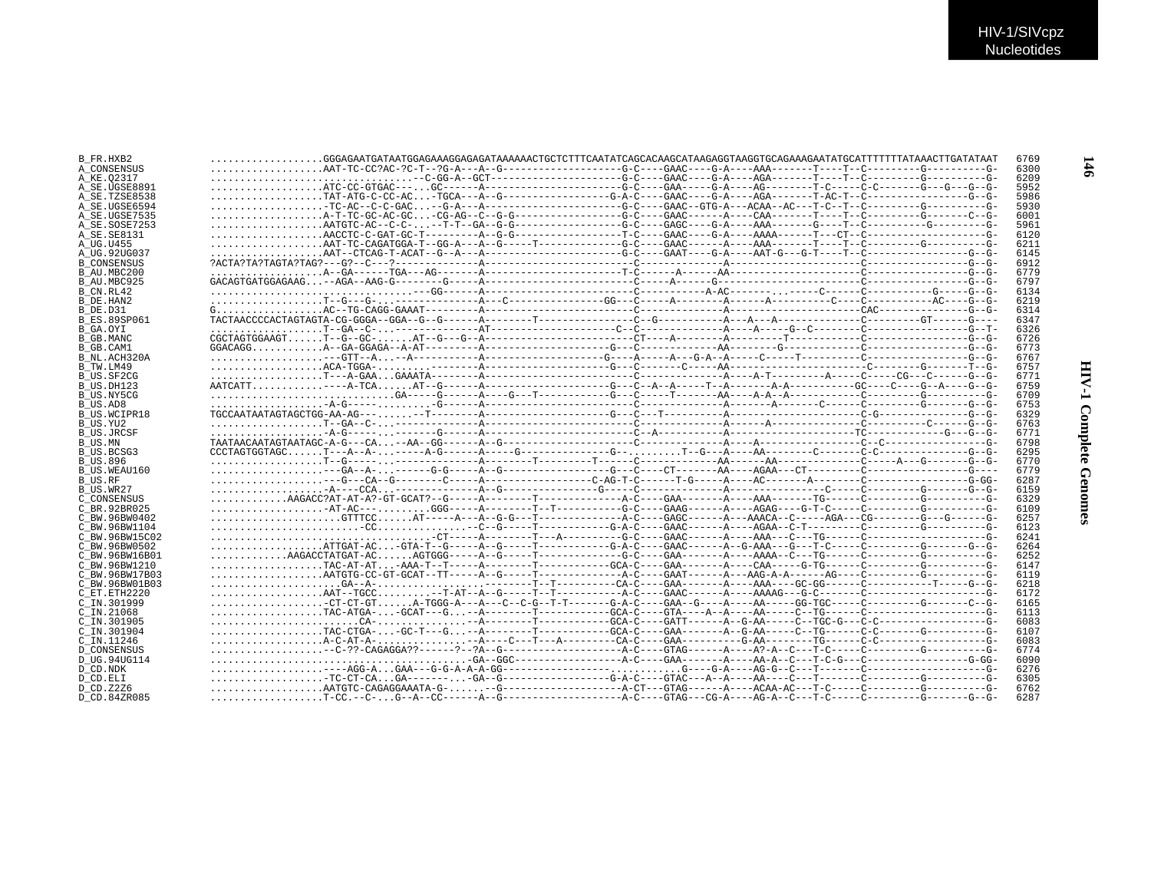| B FR.HXB2           |                                                                                                                                                                                                                                                                                                                                                                                                              |  |  |  | 6769         |  |
|---------------------|--------------------------------------------------------------------------------------------------------------------------------------------------------------------------------------------------------------------------------------------------------------------------------------------------------------------------------------------------------------------------------------------------------------|--|--|--|--------------|--|
| A CONSENSUS         |                                                                                                                                                                                                                                                                                                                                                                                                              |  |  |  | 6300         |  |
| A KE.02317          |                                                                                                                                                                                                                                                                                                                                                                                                              |  |  |  | 6209         |  |
| A SE.UGSE8891       |                                                                                                                                                                                                                                                                                                                                                                                                              |  |  |  | 5952         |  |
|                     |                                                                                                                                                                                                                                                                                                                                                                                                              |  |  |  | 5986         |  |
| A SE.TZSE8538       |                                                                                                                                                                                                                                                                                                                                                                                                              |  |  |  |              |  |
| A SE.UGSE6594       |                                                                                                                                                                                                                                                                                                                                                                                                              |  |  |  | 5930         |  |
| A SE.UGSE7535       |                                                                                                                                                                                                                                                                                                                                                                                                              |  |  |  | 6001         |  |
| A SE.SOSE7253       |                                                                                                                                                                                                                                                                                                                                                                                                              |  |  |  | 5961         |  |
| A SE.SE8131         |                                                                                                                                                                                                                                                                                                                                                                                                              |  |  |  | 6120         |  |
| A UG.U455           |                                                                                                                                                                                                                                                                                                                                                                                                              |  |  |  | 6211         |  |
| A UG.92UG037        |                                                                                                                                                                                                                                                                                                                                                                                                              |  |  |  | 6145         |  |
| <b>B CONSENSUS</b>  |                                                                                                                                                                                                                                                                                                                                                                                                              |  |  |  | 6912         |  |
| B AU.MBC200         |                                                                                                                                                                                                                                                                                                                                                                                                              |  |  |  | 6779         |  |
| B AU.MBC925         |                                                                                                                                                                                                                                                                                                                                                                                                              |  |  |  | 6797         |  |
| B CN.RL42           |                                                                                                                                                                                                                                                                                                                                                                                                              |  |  |  | 6134         |  |
| B DE.HAN2           |                                                                                                                                                                                                                                                                                                                                                                                                              |  |  |  | 6219         |  |
| B DE.D31            |                                                                                                                                                                                                                                                                                                                                                                                                              |  |  |  | 6314         |  |
| <b>B ES.89SP061</b> |                                                                                                                                                                                                                                                                                                                                                                                                              |  |  |  | 6347         |  |
| B GA.OYI            |                                                                                                                                                                                                                                                                                                                                                                                                              |  |  |  | 6326         |  |
|                     |                                                                                                                                                                                                                                                                                                                                                                                                              |  |  |  |              |  |
| B GB.MANC           |                                                                                                                                                                                                                                                                                                                                                                                                              |  |  |  | 6726         |  |
| B GB.CAM1           |                                                                                                                                                                                                                                                                                                                                                                                                              |  |  |  | 6773         |  |
| B NL.ACH320A        |                                                                                                                                                                                                                                                                                                                                                                                                              |  |  |  | 6767         |  |
| B TW.LM49           |                                                                                                                                                                                                                                                                                                                                                                                                              |  |  |  | 6757         |  |
| B US.SF2CG          |                                                                                                                                                                                                                                                                                                                                                                                                              |  |  |  | 6771         |  |
| B US.DH123          |                                                                                                                                                                                                                                                                                                                                                                                                              |  |  |  | 6759         |  |
| B US.NY5CG          |                                                                                                                                                                                                                                                                                                                                                                                                              |  |  |  | 6709         |  |
| B US.AD8            |                                                                                                                                                                                                                                                                                                                                                                                                              |  |  |  | 6753         |  |
| B US.WCIPR18        | ${\tt TGCCARTAATAGTAGCTGG-AA-AG---\ldots\ldots--T-----A-------A-------G--C---T--------A-------A-------A-------C--G---T---C--G---C-----C--C--C---C--C--C---C--C--C---C--C--C---C--C--C---C--C--C---C--C--C---C--C--C---C--C--C---C--C--C---C--C--C---C--C--C---C--C--C---C--C--C---C--C--C---C--C--C---C--C--C---C--C--C---C--C--C---C--C--C---C--C--C---C--C--C---C--C--C---C--C--C---C--C--C---C--C--C---C$ |  |  |  | 6329         |  |
|                     |                                                                                                                                                                                                                                                                                                                                                                                                              |  |  |  |              |  |
|                     |                                                                                                                                                                                                                                                                                                                                                                                                              |  |  |  | 6763         |  |
| B_US.YU2            |                                                                                                                                                                                                                                                                                                                                                                                                              |  |  |  |              |  |
| B US.JRCSF          |                                                                                                                                                                                                                                                                                                                                                                                                              |  |  |  | 6771         |  |
| B US.MN             |                                                                                                                                                                                                                                                                                                                                                                                                              |  |  |  | 6798         |  |
| B US.BCSG3          |                                                                                                                                                                                                                                                                                                                                                                                                              |  |  |  | 6295         |  |
| <b>B US.896</b>     |                                                                                                                                                                                                                                                                                                                                                                                                              |  |  |  | 6770         |  |
| B US.WEAU160        |                                                                                                                                                                                                                                                                                                                                                                                                              |  |  |  | 6779         |  |
| B US.RF             |                                                                                                                                                                                                                                                                                                                                                                                                              |  |  |  | 6287         |  |
| B_US.WR27           |                                                                                                                                                                                                                                                                                                                                                                                                              |  |  |  | 6159         |  |
| C CONSENSUS         |                                                                                                                                                                                                                                                                                                                                                                                                              |  |  |  | 6329         |  |
| C BR.92BR025        |                                                                                                                                                                                                                                                                                                                                                                                                              |  |  |  | 6109         |  |
| C BW.96BW0402       |                                                                                                                                                                                                                                                                                                                                                                                                              |  |  |  | 6257         |  |
| C BW.96BW1104       |                                                                                                                                                                                                                                                                                                                                                                                                              |  |  |  | 6123         |  |
| C BW.96BW15C02      |                                                                                                                                                                                                                                                                                                                                                                                                              |  |  |  | 6241         |  |
| C BW.96BW0502       |                                                                                                                                                                                                                                                                                                                                                                                                              |  |  |  | 6264         |  |
| C BW.96BW16B01      | $\ldots \ldots \ldots \ldots \ldots \ldots \ldots \ldots$                                                                                                                                                                                                                                                                                                                                                    |  |  |  | 6252         |  |
| C BW. 96BW1210      |                                                                                                                                                                                                                                                                                                                                                                                                              |  |  |  | 6147         |  |
|                     |                                                                                                                                                                                                                                                                                                                                                                                                              |  |  |  |              |  |
| C BW.96BW17B03      |                                                                                                                                                                                                                                                                                                                                                                                                              |  |  |  | 6119         |  |
| C BW.96BW01B03      |                                                                                                                                                                                                                                                                                                                                                                                                              |  |  |  | 6218         |  |
| C ET. ETH2220       |                                                                                                                                                                                                                                                                                                                                                                                                              |  |  |  | 6172         |  |
| C IN.301999         | CT-CT-GTA-TGGG-A---A---C--C-G--T-T------G-A-C----GAA--G----AA-----GG-TGC-----C--------G------C--G-                                                                                                                                                                                                                                                                                                           |  |  |  | 6165         |  |
| $C$ IN. 21068       |                                                                                                                                                                                                                                                                                                                                                                                                              |  |  |  | 6113         |  |
| C_IN.301905         |                                                                                                                                                                                                                                                                                                                                                                                                              |  |  |  | 6083         |  |
| $C$ IN.301904       |                                                                                                                                                                                                                                                                                                                                                                                                              |  |  |  | 6107         |  |
| C IN.11246          |                                                                                                                                                                                                                                                                                                                                                                                                              |  |  |  | 6083         |  |
| <b>D CONSENSUS</b>  |                                                                                                                                                                                                                                                                                                                                                                                                              |  |  |  | 6774         |  |
| D UG.94UG114        |                                                                                                                                                                                                                                                                                                                                                                                                              |  |  |  | 6090         |  |
| D CD.NDK            |                                                                                                                                                                                                                                                                                                                                                                                                              |  |  |  | 6276         |  |
| D CD.ELI            |                                                                                                                                                                                                                                                                                                                                                                                                              |  |  |  | 6305         |  |
| D CD. Z2Z6          |                                                                                                                                                                                                                                                                                                                                                                                                              |  |  |  | 6762<br>6287 |  |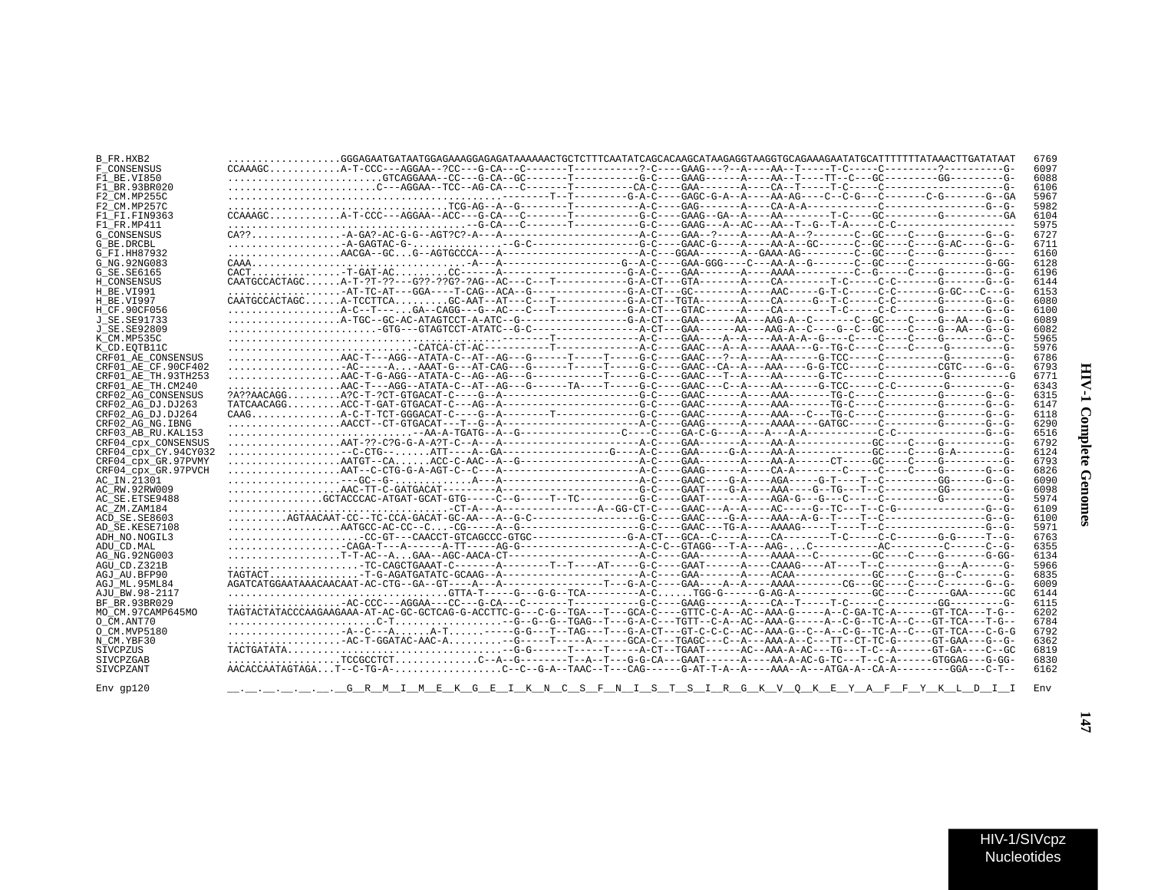| B FR.HXB2            |                                                                                                                                     | 6769 |
|----------------------|-------------------------------------------------------------------------------------------------------------------------------------|------|
| F CONSENSUS          |                                                                                                                                     | 6097 |
| F1 BE VI850          |                                                                                                                                     | 6088 |
| F1 BR.93BR020        |                                                                                                                                     | 6106 |
| F2 CM.MP255C         |                                                                                                                                     | 5967 |
| F2 CM.MP257C         |                                                                                                                                     | 5982 |
|                      |                                                                                                                                     |      |
| F1 FI.FIN9363        |                                                                                                                                     | 6104 |
| F1 FR.MP411          |                                                                                                                                     | 5975 |
| <b>G CONSENSUS</b>   |                                                                                                                                     | 6727 |
| G BE.DRCBL           |                                                                                                                                     | 6711 |
| G FI.HH87932         |                                                                                                                                     | 6160 |
| G NG. 92NG083        |                                                                                                                                     | 6128 |
| G SE.SE6165          |                                                                                                                                     | 6196 |
| H CONSENSUS          |                                                                                                                                     | 6144 |
| H BE.VI991           |                                                                                                                                     | 6153 |
| H BE.VI997           |                                                                                                                                     | 6080 |
| H_CF.90CF056         | A-C--T---GA--CAGG---G--AC---C---T----------G-A-CT---GTAC------A----CA------T-C-----C-C-------G------G-G------G--G-                  | 6100 |
| J SE. SE91733        |                                                                                                                                     | 6089 |
| J SE. SE92809        |                                                                                                                                     | 6082 |
|                      |                                                                                                                                     |      |
| K CM.MP535C          |                                                                                                                                     | 5965 |
| K CD. EOTB11C        |                                                                                                                                     | 5976 |
| CRF01 AE CONSENSUS   |                                                                                                                                     | 6786 |
| CRF01 AE CF.90CF402  | 2C----A-AAAT-G---AT-CAG---G------T-----G-C----GAAC--CA--A---AAA----G-G-TCC-----C--------CGTC----G--G-                               | 6793 |
| CRF01 AE TH. 93TH253 |                                                                                                                                     | 6771 |
| CRF01 AE TH.CM240    |                                                                                                                                     | 6343 |
| CRF02 AG CONSENSUS   |                                                                                                                                     | 6315 |
| CRF02 AG DJ.DJ263    |                                                                                                                                     | 6147 |
| CRF02 AG DJ.DJ264    |                                                                                                                                     | 6118 |
| CRF02 AG NG. IBNG    |                                                                                                                                     | 6290 |
| CRF03 AB RU. KAL153  |                                                                                                                                     | 6516 |
| CRF04 cpx CONSENSUS  |                                                                                                                                     | 6792 |
|                      |                                                                                                                                     | 6124 |
| CRF04 CDX CY.94CY032 |                                                                                                                                     |      |
| CRF04 cpx GR.97PVMY  |                                                                                                                                     | 6793 |
| CRF04 CDX GR.97PVCH  |                                                                                                                                     | 6826 |
| AC IN.21301          |                                                                                                                                     | 6090 |
| AC RW.92RW009        |                                                                                                                                     | 6098 |
| AC SE.ETSE9488       |                                                                                                                                     | 5974 |
| AC ZM.ZAM184         |                                                                                                                                     | 6109 |
| ACD SE SE8603        |                                                                                                                                     | 6100 |
| AD SE.KESE7108       |                                                                                                                                     | 5971 |
| ADH NO.NOGIL3        |                                                                                                                                     | 6763 |
| ADU CD.MAL           |                                                                                                                                     | 6355 |
| AG NG. 92NG003       |                                                                                                                                     | 6134 |
| AGU CD.Z321B         | TC-CAGCTGAAAT-C-------A-------T--T---AT----G-C---GAAT------A----CAAAG----AT----T--C--------G---A-----C----A-------                  | 5966 |
| AGJ AU.BFP90         |                                                                                                                                     | 6835 |
| AGJ ML.95ML84        |                                                                                                                                     | 6009 |
| AJU BW.98-2117       |                                                                                                                                     | 6144 |
| BF BR. 93BR029       |                                                                                                                                     | 6115 |
| MO CM.97CAMP645MO    | TAGTACTATACCCAAGAAGAAA-AT-AC-GC-GCTCAG-G-ACCTTC-G---C-G--TGA---T---GCA-C----GTTC-C-A--AC--AAA-G-----A--C-GA-TC-A------GT-TCA---T-G- | 6202 |
| O CM.ANT70           |                                                                                                                                     | 6784 |
| O CM. MVP5180        |                                                                                                                                     | 6792 |
|                      |                                                                                                                                     |      |
| N CM.YBF30           |                                                                                                                                     | 6362 |
| SIVCPZUS             |                                                                                                                                     | 6819 |
| <b>STVCPZGAB</b>     |                                                                                                                                     | 6830 |
| SIVCPZANT            | AACACCAATAGTAGAT--C-TG-A-C--C-G-A--TAAC--T---CAG------G-AT-T-A--A----ATAA--A---ATGA-A--CA-A------GGA---C-T--                        | 6162 |
|                      |                                                                                                                                     |      |
| $Env$ qp $120$       | <u>GRMIMEKGEIKN CSFNISTSIRGKVOKEYAFFYKLDI</u> I                                                                                     | Env  |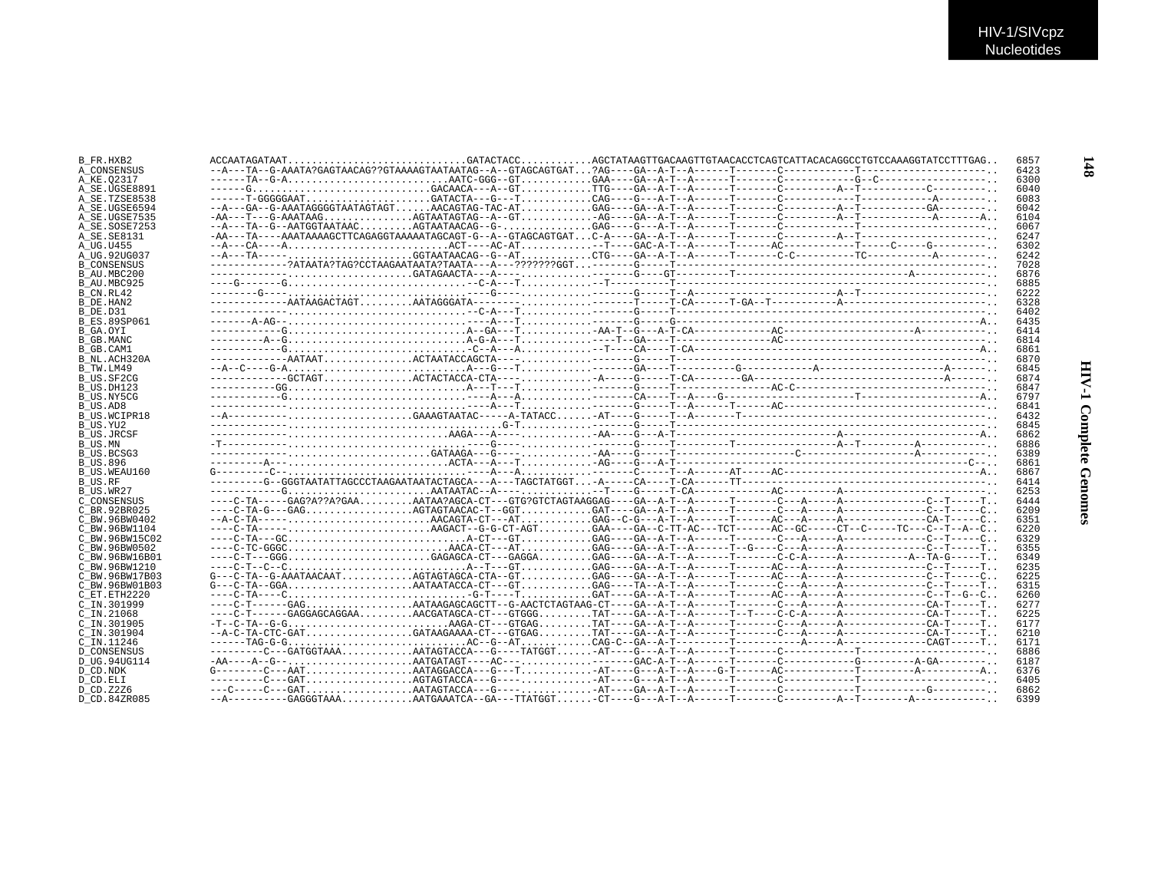| B FR.HXB2           |  |  | 6857 |
|---------------------|--|--|------|
| A CONSENSUS         |  |  | 6423 |
| A KE.02317          |  |  | 6300 |
| A SE.UGSE8891       |  |  | 6040 |
| A SE.TZSE8538       |  |  | 6083 |
| A SE.UGSE6594       |  |  | 6042 |
| A SE.UGSE7535       |  |  | 6104 |
|                     |  |  |      |
| A_SE.SOSE7253       |  |  | 6067 |
| A SE.SE8131         |  |  | 6247 |
| A UG.U455           |  |  | 6302 |
| A UG.92UG037        |  |  | 6242 |
| <b>B CONSENSUS</b>  |  |  | 7028 |
| B AU.MBC200         |  |  | 6876 |
| B AU.MBC925         |  |  | 6885 |
| B CN.RL42           |  |  | 6222 |
| B DE.HAN2           |  |  | 6328 |
| B DE.D31            |  |  | 6402 |
| B ES.89SP061        |  |  | 6435 |
|                     |  |  |      |
| B_GA.OYI            |  |  | 6414 |
| B GB.MANC           |  |  | 6814 |
| B GB.CAM1           |  |  | 6861 |
| B NL.ACH320A        |  |  | 6870 |
| B TW.LM49           |  |  | 6845 |
| B US.SF2CG          |  |  | 6874 |
| B US.DH123          |  |  | 6847 |
| B US.NY5CG          |  |  | 6797 |
| B US.AD8            |  |  | 6841 |
| <b>B US.WCIPR18</b> |  |  | 6432 |
|                     |  |  |      |
| B US.YU2            |  |  | 6845 |
| B US.JRCSF          |  |  | 6862 |
| B US.MN             |  |  | 6886 |
| B US.BCSG3          |  |  | 6389 |
| <b>B US.896</b>     |  |  | 6861 |
| B US.WEAU160        |  |  | 6867 |
| B US.RF             |  |  | 6414 |
| B_US.WR27           |  |  | 6253 |
| C CONSENSUS         |  |  | 6444 |
| C BR.92BR025        |  |  | 6209 |
|                     |  |  |      |
| C BW.96BW0402       |  |  | 6351 |
| C BW.96BW1104       |  |  | 6220 |
| C BW.96BW15C02      |  |  | 6329 |
| C BW.96BW0502       |  |  | 6355 |
| C BW.96BW16B01      |  |  | 6349 |
| C BW.96BW1210       |  |  | 6235 |
| C BW.96BW17B03      |  |  | 6225 |
| C BW.96BW01B03      |  |  | 6315 |
| C ET. ETH2220       |  |  | 6260 |
| C IN.301999         |  |  | 6277 |
|                     |  |  | 6225 |
| $C$ IN. 21068       |  |  |      |
| C IN.301905         |  |  | 6177 |
| C IN.301904         |  |  | 6210 |
| C IN.11246          |  |  | 6171 |
| <b>D_CONSENSUS</b>  |  |  | 6886 |
| D UG.94UG114        |  |  | 6187 |
| D CD.NDK            |  |  | 6376 |
| D_CD.ELI            |  |  | 6405 |
| D CD. Z2Z6          |  |  | 6862 |
| D CD.84ZR085        |  |  | 6399 |
|                     |  |  |      |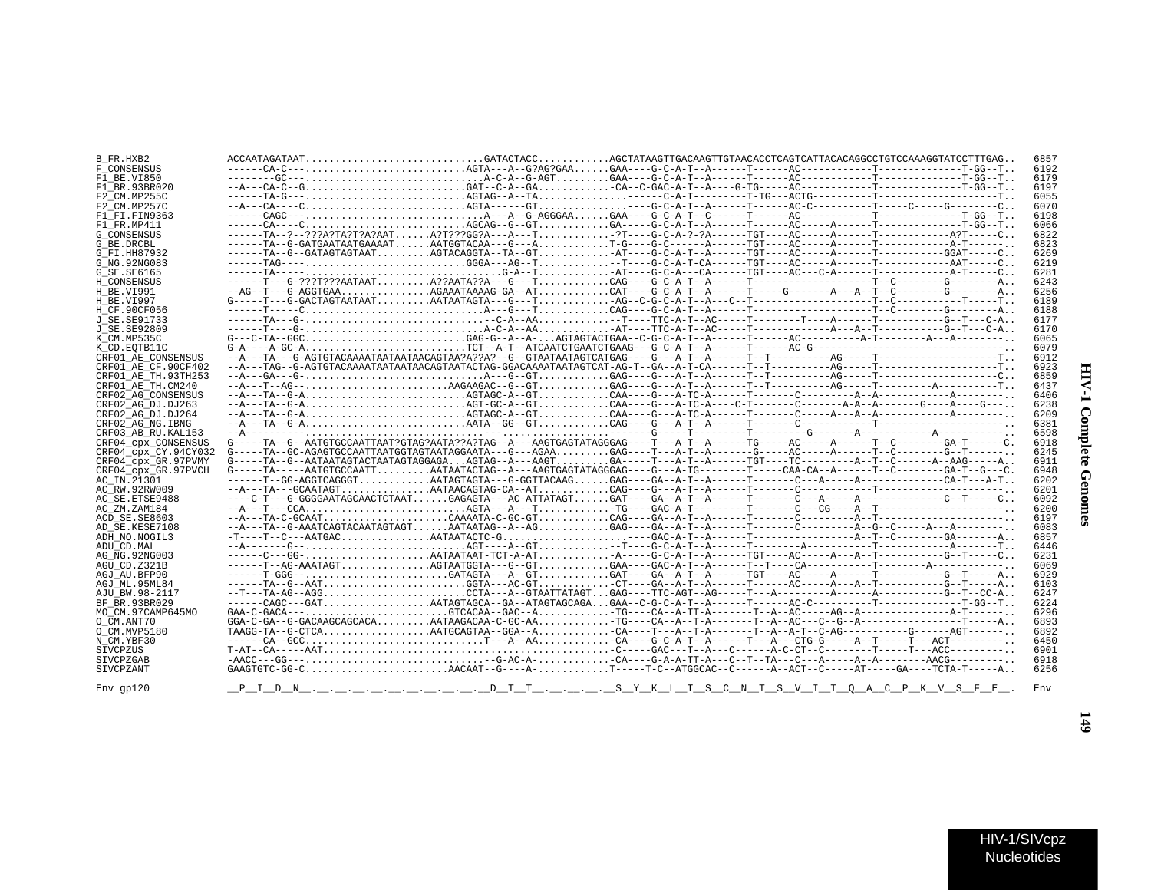| B FR.HXB2            | $\texttt{ACCAATAGATAAT} \dots\dots\dots\dots\dots\dots\dots\dots\dots\texttt{GATACTACC} \dots\dots\dots\texttt{AGCTATAAGTTGACAGTTGTACAACCTCAGTCATTACACAGCCCTGTCCAAAGGTATCCTTTGAG}\dots$                                                                                                                                                                                                                                                       |  | 6857 |
|----------------------|-----------------------------------------------------------------------------------------------------------------------------------------------------------------------------------------------------------------------------------------------------------------------------------------------------------------------------------------------------------------------------------------------------------------------------------------------|--|------|
| F CONSENSUS          |                                                                                                                                                                                                                                                                                                                                                                                                                                               |  | 6192 |
| F1 BE.VI850          |                                                                                                                                                                                                                                                                                                                                                                                                                                               |  | 6179 |
| F1 BR. 93BR020       |                                                                                                                                                                                                                                                                                                                                                                                                                                               |  | 6197 |
| F2 CM.MP255C         |                                                                                                                                                                                                                                                                                                                                                                                                                                               |  | 6055 |
| F2 CM.MP257C         |                                                                                                                                                                                                                                                                                                                                                                                                                                               |  | 6070 |
| F1 FI.FIN9363        |                                                                                                                                                                                                                                                                                                                                                                                                                                               |  | 6198 |
| F1 FR. MP411         |                                                                                                                                                                                                                                                                                                                                                                                                                                               |  | 6066 |
|                      |                                                                                                                                                                                                                                                                                                                                                                                                                                               |  |      |
| <b>G CONSENSUS</b>   |                                                                                                                                                                                                                                                                                                                                                                                                                                               |  | 6822 |
| G_BE.DRCBL           |                                                                                                                                                                                                                                                                                                                                                                                                                                               |  | 6823 |
| G FI.HH87932         | $-\mbox{\texttt{----T}}\texttt{A}-\texttt{G}-\mbox{\texttt{GATAGT}}\texttt{ATR}\texttt{AT} \dots \dots \dots \texttt{A}\texttt{GTACAGGTA}-\mbox{\texttt{T}}\texttt{A}-\mbox{\texttt{GT}}\texttt{A}-\mbox{\texttt{ST}}\texttt{A}-\mbox{\texttt{C}}\texttt{A}-\mbox{\texttt{C}}\texttt{A}-\mbox{\texttt{C}}-\mbox{\texttt{A}}-\mbox{\texttt{T}}-\mbox{\texttt{A}}-\mbox{\texttt{C}}\texttt{A}-\mbox{\texttt{C}}-\mbox{\texttt{C}}\texttt{A}-\m$ |  | 6269 |
| G NG. 92NG083        |                                                                                                                                                                                                                                                                                                                                                                                                                                               |  | 6219 |
| G_SE.SE6165          |                                                                                                                                                                                                                                                                                                                                                                                                                                               |  | 6281 |
| H CONSENSUS          |                                                                                                                                                                                                                                                                                                                                                                                                                                               |  | 6243 |
| H BE.VI991           |                                                                                                                                                                                                                                                                                                                                                                                                                                               |  | 6256 |
| H BE.VI997           |                                                                                                                                                                                                                                                                                                                                                                                                                                               |  | 6189 |
| H CF.90CF056         |                                                                                                                                                                                                                                                                                                                                                                                                                                               |  | 6188 |
| J SE. SE91733        |                                                                                                                                                                                                                                                                                                                                                                                                                                               |  | 6177 |
| J SE. SE92809        |                                                                                                                                                                                                                                                                                                                                                                                                                                               |  | 6170 |
| K CM.MP535C          |                                                                                                                                                                                                                                                                                                                                                                                                                                               |  | 6065 |
| K CD.EOTB11C         |                                                                                                                                                                                                                                                                                                                                                                                                                                               |  | 6079 |
| CRF01 AE CONSENSUS   |                                                                                                                                                                                                                                                                                                                                                                                                                                               |  | 6912 |
| CRF01 AE CF.90CF402  |                                                                                                                                                                                                                                                                                                                                                                                                                                               |  | 6923 |
| CRF01 AE TH.93TH253  |                                                                                                                                                                                                                                                                                                                                                                                                                                               |  | 6859 |
| CRF01 AE TH.CM240    |                                                                                                                                                                                                                                                                                                                                                                                                                                               |  | 6437 |
| CRF02 AG CONSENSUS   |                                                                                                                                                                                                                                                                                                                                                                                                                                               |  | 6406 |
| CRF02 AG DJ.DJ263    |                                                                                                                                                                                                                                                                                                                                                                                                                                               |  | 6238 |
| CRF02 AG_DJ.DJ264    |                                                                                                                                                                                                                                                                                                                                                                                                                                               |  | 6209 |
| CRF02 AG NG. IBNG    |                                                                                                                                                                                                                                                                                                                                                                                                                                               |  | 6381 |
| CRF03 AB RU. KAL153  |                                                                                                                                                                                                                                                                                                                                                                                                                                               |  | 6598 |
| CRF04_cpx_CONSENSUS  | $G----TA--G---AATGTGCCAATTAAT?GTAG?AATA??A?TAG---A---AAGTGAGTATAGGGAG---T---A-T---TG----TG----AC---A---T---A---T---C-----G---GA-T---GA-T---G.$                                                                                                                                                                                                                                                                                                |  | 6918 |
| CRF04 CDX CY.94CY032 |                                                                                                                                                                                                                                                                                                                                                                                                                                               |  | 6245 |
| CRF04 CDX GR.97PVMY  |                                                                                                                                                                                                                                                                                                                                                                                                                                               |  | 6911 |
| CRF04 cpx GR.97PVCH  |                                                                                                                                                                                                                                                                                                                                                                                                                                               |  | 6948 |
| AC_IN.21301          |                                                                                                                                                                                                                                                                                                                                                                                                                                               |  | 6202 |
| AC RW.92RW009        |                                                                                                                                                                                                                                                                                                                                                                                                                                               |  | 6201 |
| AC SE. ETSE9488      |                                                                                                                                                                                                                                                                                                                                                                                                                                               |  | 6092 |
|                      |                                                                                                                                                                                                                                                                                                                                                                                                                                               |  | 6200 |
| AC ZM.ZAM184         |                                                                                                                                                                                                                                                                                                                                                                                                                                               |  |      |
| ACD SE.SE8603        |                                                                                                                                                                                                                                                                                                                                                                                                                                               |  | 6197 |
| AD SE.KESE7108       |                                                                                                                                                                                                                                                                                                                                                                                                                                               |  | 6083 |
| ADH NO.NOGIL3        |                                                                                                                                                                                                                                                                                                                                                                                                                                               |  | 6857 |
| ADU CD.MAL           |                                                                                                                                                                                                                                                                                                                                                                                                                                               |  | 6446 |
| AG NG. 92NG003       |                                                                                                                                                                                                                                                                                                                                                                                                                                               |  | 6231 |
| AGU CD.Z321B         |                                                                                                                                                                                                                                                                                                                                                                                                                                               |  | 6069 |
| AGJ AU.BFP90         |                                                                                                                                                                                                                                                                                                                                                                                                                                               |  | 6929 |
| AGJ ML.95ML84        |                                                                                                                                                                                                                                                                                                                                                                                                                                               |  | 6103 |
| AJU BW.98-2117       |                                                                                                                                                                                                                                                                                                                                                                                                                                               |  | 6247 |
| BF BR. 93BR029       |                                                                                                                                                                                                                                                                                                                                                                                                                                               |  | 6224 |
| MO CM.97CAMP645MO    |                                                                                                                                                                                                                                                                                                                                                                                                                                               |  | 6296 |
| O CM.ANT70           | $\verb GGA-C-GA-G-GACAAGCAGCACACA. \ldots, \ldots, \verb AATAAGACAA-C-GC-AA. \ldots, \ldots, \verb TG---CA-A--T-A--T-A---T-A--AC---C--G--A---\verb --A---1---1---T--A .$                                                                                                                                                                                                                                                                      |  | 6893 |
| O CM.MVP5180         | TAAGG-TA--G-CTCAAATGCAGTAA--GGA--ACA----T--A--T-A------T--A--A-T--C-AG---------G------AGT------                                                                                                                                                                                                                                                                                                                                               |  | 6892 |
| N CM.YBF30           |                                                                                                                                                                                                                                                                                                                                                                                                                                               |  | 6450 |
| SIVCPZUS             |                                                                                                                                                                                                                                                                                                                                                                                                                                               |  | 6901 |
| SIVCPZGAB            |                                                                                                                                                                                                                                                                                                                                                                                                                                               |  | 6918 |
| SIVCPZANT            |                                                                                                                                                                                                                                                                                                                                                                                                                                               |  | 6256 |
|                      |                                                                                                                                                                                                                                                                                                                                                                                                                                               |  |      |
| $Env$ $qp120$        | <u>P_I_D_N_,_,_,_,_,_,_,_,_,_,_,_D_T_T_,_,_,_,_S_Y_K_L_T_S_C_N_T_S_V_I_T_Q_A_C_P_K_V_S_F_E_</u> .                                                                                                                                                                                                                                                                                                                                             |  | Env  |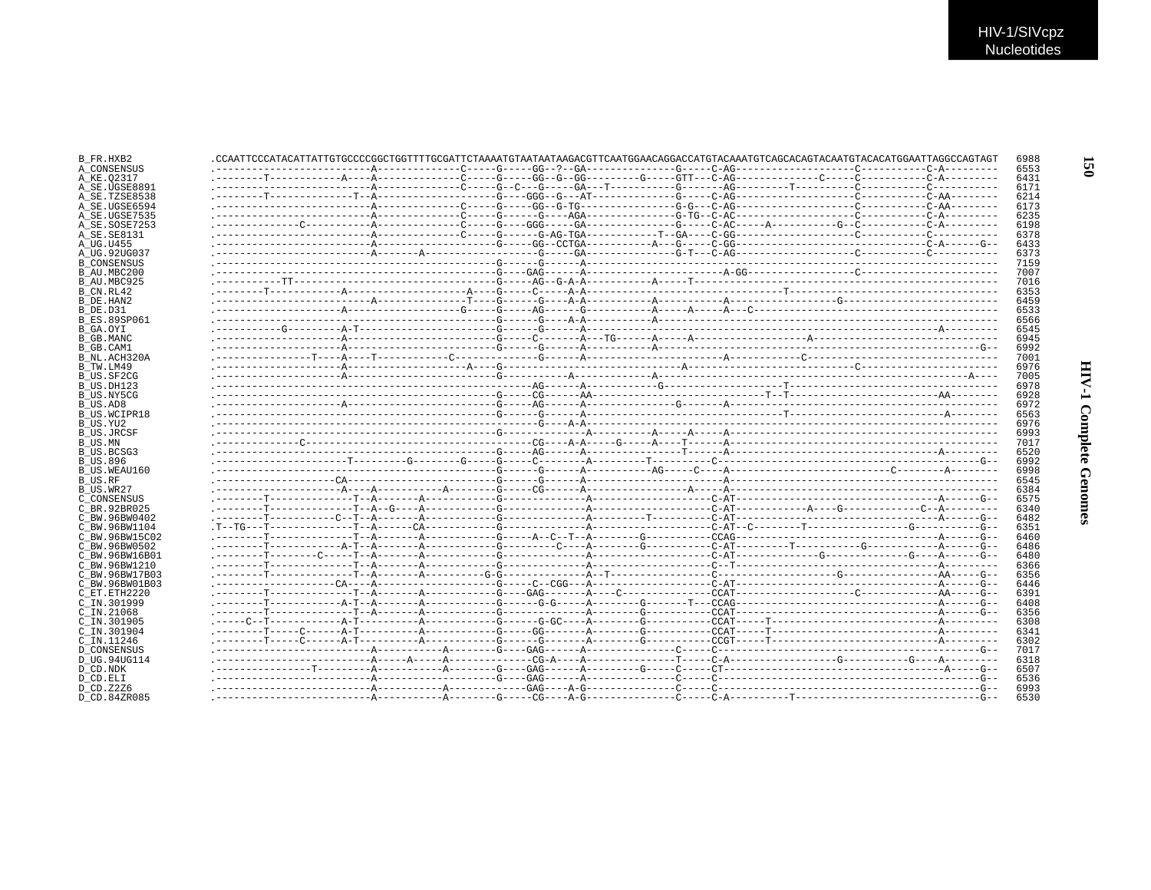| B FR.HXB2                 |  | .CCAATTCCCATACATTATTGTGCCCCGGCTGGTTTTGCGATTCTAAAATGTAATAATAAGACGTTCAATGGAACAGGACCATGTACAATGTACAATGTACAATGTACAATGGAATTGGCCAGTAG | 6988 |
|---------------------------|--|--------------------------------------------------------------------------------------------------------------------------------|------|
| A CONSENSUS               |  |                                                                                                                                | 6553 |
| A KE.02317                |  |                                                                                                                                | 6431 |
| A SE.UGSE8891             |  |                                                                                                                                | 6171 |
| A SE.TZSE8538             |  |                                                                                                                                | 6214 |
| A SE.UGSE6594             |  |                                                                                                                                | 6173 |
| A SE.UGSE7535             |  |                                                                                                                                | 6235 |
| A SE.SOSE7253             |  |                                                                                                                                | 6198 |
| A SE. SE8131              |  |                                                                                                                                | 6378 |
| A UG.U455                 |  |                                                                                                                                | 6433 |
| A UG.92UG037              |  |                                                                                                                                | 6373 |
| <b>B CONSENSUS</b>        |  |                                                                                                                                | 7159 |
| B AU.MBC200               |  |                                                                                                                                | 7007 |
| B AU.MBC925               |  |                                                                                                                                | 7016 |
| B CN.RL42                 |  |                                                                                                                                | 6353 |
| B DE.HAN2                 |  |                                                                                                                                | 6459 |
| B DE.D31                  |  |                                                                                                                                | 6533 |
| <b>B ES.89SP061</b>       |  |                                                                                                                                | 6566 |
| B GA.OYI                  |  |                                                                                                                                | 6545 |
|                           |  |                                                                                                                                | 6945 |
| B GB.MANC                 |  |                                                                                                                                | 6992 |
| B GB.CAM1                 |  |                                                                                                                                | 7001 |
| B NL.ACH320A              |  |                                                                                                                                | 6976 |
| B TW.LM49                 |  |                                                                                                                                |      |
| B US.SF2CG                |  |                                                                                                                                | 7005 |
| B US.DH123                |  |                                                                                                                                | 6978 |
| B US.NY5CG                |  |                                                                                                                                | 6928 |
| B_US.AD8                  |  |                                                                                                                                | 6972 |
| B US.WCIPR18              |  |                                                                                                                                | 6563 |
| B US.YU2                  |  |                                                                                                                                | 6976 |
| B US.JRCSF                |  |                                                                                                                                | 6993 |
| B US.MN                   |  |                                                                                                                                | 7017 |
| B US.BCSG3                |  |                                                                                                                                | 6520 |
| <b>B US.896</b>           |  |                                                                                                                                | 6992 |
| B US.WEAU160              |  |                                                                                                                                | 6998 |
| B US.RF                   |  |                                                                                                                                | 6545 |
| B_US.WR27                 |  |                                                                                                                                | 6384 |
| C CONSENSUS               |  |                                                                                                                                | 6575 |
| C BR. 92BR025             |  |                                                                                                                                | 6340 |
| C BW.96BW0402             |  |                                                                                                                                | 6482 |
| C BW.96BW1104             |  |                                                                                                                                | 6351 |
| C BW.96BW15C02            |  |                                                                                                                                | 6460 |
| C BW.96BW0502             |  |                                                                                                                                | 6486 |
| C BW.96BW16B01            |  |                                                                                                                                | 6480 |
| C BW.96BW1210             |  |                                                                                                                                | 6366 |
| C BW.96BW17B03            |  |                                                                                                                                | 6356 |
| C BW.96BW01B03            |  |                                                                                                                                | 6446 |
| C ET.ETH2220              |  |                                                                                                                                | 6391 |
| C IN.301999               |  |                                                                                                                                | 6408 |
| C IN.21068                |  |                                                                                                                                | 6356 |
| C IN.301905               |  |                                                                                                                                | 6308 |
| $C$ IN.301904             |  |                                                                                                                                | 6341 |
| C IN.11246                |  |                                                                                                                                | 6302 |
| D CONSENSUS               |  |                                                                                                                                | 7017 |
| D UG.94UG114              |  |                                                                                                                                | 6318 |
| D CD.NDK                  |  |                                                                                                                                | 6507 |
| D CD.ELI                  |  |                                                                                                                                | 6536 |
|                           |  |                                                                                                                                | 6993 |
| D_CD.Z2Z6<br>D.CD.84ZR085 |  |                                                                                                                                | 6530 |
|                           |  |                                                                                                                                |      |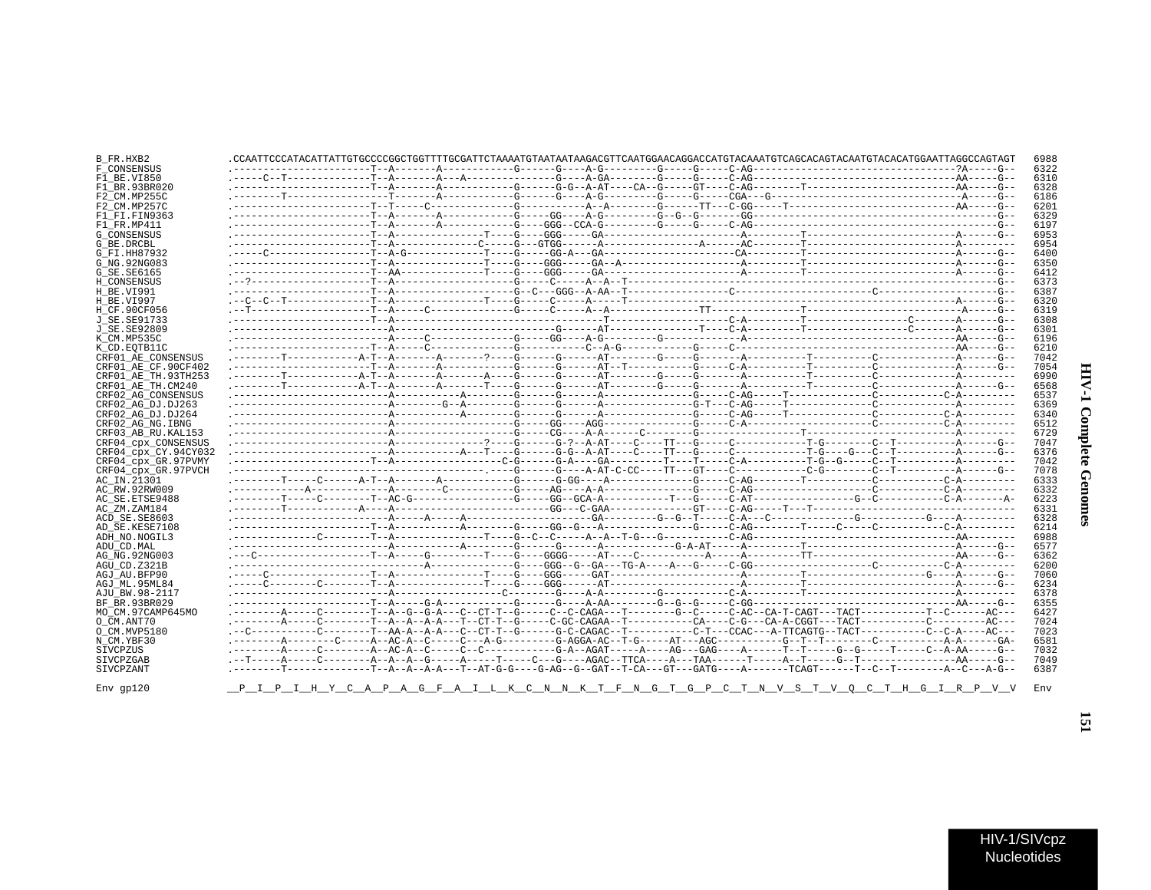| Γ                                 |  |
|-----------------------------------|--|
| :<br>$\frac{1}{2}$<br>J<br>؛<br>ĭ |  |
| $\frac{1}{2}$                     |  |

 $\blacksquare$ 

|                      |  | .CCAATTCCCATACATTATTGTGCCCCGGCTGGTTTTGCGATTCTAAAATGTAATAATAAGACGTTCAATGGAACAGGACCATGTACAATGTCAGCACAGTACAATGTACACATGGAATTAGGCCAGTAGT |  |  |  |  |  |
|----------------------|--|-------------------------------------------------------------------------------------------------------------------------------------|--|--|--|--|--|
|                      |  |                                                                                                                                     |  |  |  |  |  |
|                      |  |                                                                                                                                     |  |  |  |  |  |
|                      |  |                                                                                                                                     |  |  |  |  |  |
|                      |  |                                                                                                                                     |  |  |  |  |  |
|                      |  |                                                                                                                                     |  |  |  |  |  |
|                      |  |                                                                                                                                     |  |  |  |  |  |
|                      |  |                                                                                                                                     |  |  |  |  |  |
|                      |  |                                                                                                                                     |  |  |  |  |  |
|                      |  |                                                                                                                                     |  |  |  |  |  |
|                      |  |                                                                                                                                     |  |  |  |  |  |
|                      |  |                                                                                                                                     |  |  |  |  |  |
|                      |  |                                                                                                                                     |  |  |  |  |  |
|                      |  |                                                                                                                                     |  |  |  |  |  |
|                      |  |                                                                                                                                     |  |  |  |  |  |
|                      |  |                                                                                                                                     |  |  |  |  |  |
|                      |  |                                                                                                                                     |  |  |  |  |  |
|                      |  |                                                                                                                                     |  |  |  |  |  |
|                      |  |                                                                                                                                     |  |  |  |  |  |
|                      |  |                                                                                                                                     |  |  |  |  |  |
|                      |  |                                                                                                                                     |  |  |  |  |  |
|                      |  |                                                                                                                                     |  |  |  |  |  |
| CRF01 AE CF.90CF402  |  |                                                                                                                                     |  |  |  |  |  |
| CRF01 AE TH.93TH253  |  |                                                                                                                                     |  |  |  |  |  |
|                      |  |                                                                                                                                     |  |  |  |  |  |
|                      |  |                                                                                                                                     |  |  |  |  |  |
|                      |  |                                                                                                                                     |  |  |  |  |  |
|                      |  |                                                                                                                                     |  |  |  |  |  |
|                      |  |                                                                                                                                     |  |  |  |  |  |
|                      |  |                                                                                                                                     |  |  |  |  |  |
|                      |  |                                                                                                                                     |  |  |  |  |  |
| CRF04 cpx CONSENSUS  |  |                                                                                                                                     |  |  |  |  |  |
| CRF04 cpx CY.94CY032 |  |                                                                                                                                     |  |  |  |  |  |
|                      |  |                                                                                                                                     |  |  |  |  |  |
|                      |  |                                                                                                                                     |  |  |  |  |  |
|                      |  |                                                                                                                                     |  |  |  |  |  |
|                      |  |                                                                                                                                     |  |  |  |  |  |
|                      |  |                                                                                                                                     |  |  |  |  |  |
|                      |  |                                                                                                                                     |  |  |  |  |  |
|                      |  |                                                                                                                                     |  |  |  |  |  |
|                      |  |                                                                                                                                     |  |  |  |  |  |
|                      |  |                                                                                                                                     |  |  |  |  |  |
|                      |  |                                                                                                                                     |  |  |  |  |  |
|                      |  |                                                                                                                                     |  |  |  |  |  |
|                      |  |                                                                                                                                     |  |  |  |  |  |
|                      |  |                                                                                                                                     |  |  |  |  |  |
|                      |  |                                                                                                                                     |  |  |  |  |  |
|                      |  |                                                                                                                                     |  |  |  |  |  |
|                      |  |                                                                                                                                     |  |  |  |  |  |
|                      |  |                                                                                                                                     |  |  |  |  |  |
|                      |  |                                                                                                                                     |  |  |  |  |  |
|                      |  |                                                                                                                                     |  |  |  |  |  |
|                      |  |                                                                                                                                     |  |  |  |  |  |
|                      |  |                                                                                                                                     |  |  |  |  |  |
|                      |  |                                                                                                                                     |  |  |  |  |  |
|                      |  |                                                                                                                                     |  |  |  |  |  |
|                      |  |                                                                                                                                     |  |  |  |  |  |
|                      |  | .-------T------------T--A-A--A--A---T--AT-G-G----G-AG--G--TGAT--T-CA---GT---GATG----A-------TCAGT------T--C--T---------A--C---A-G-- |  |  |  |  |  |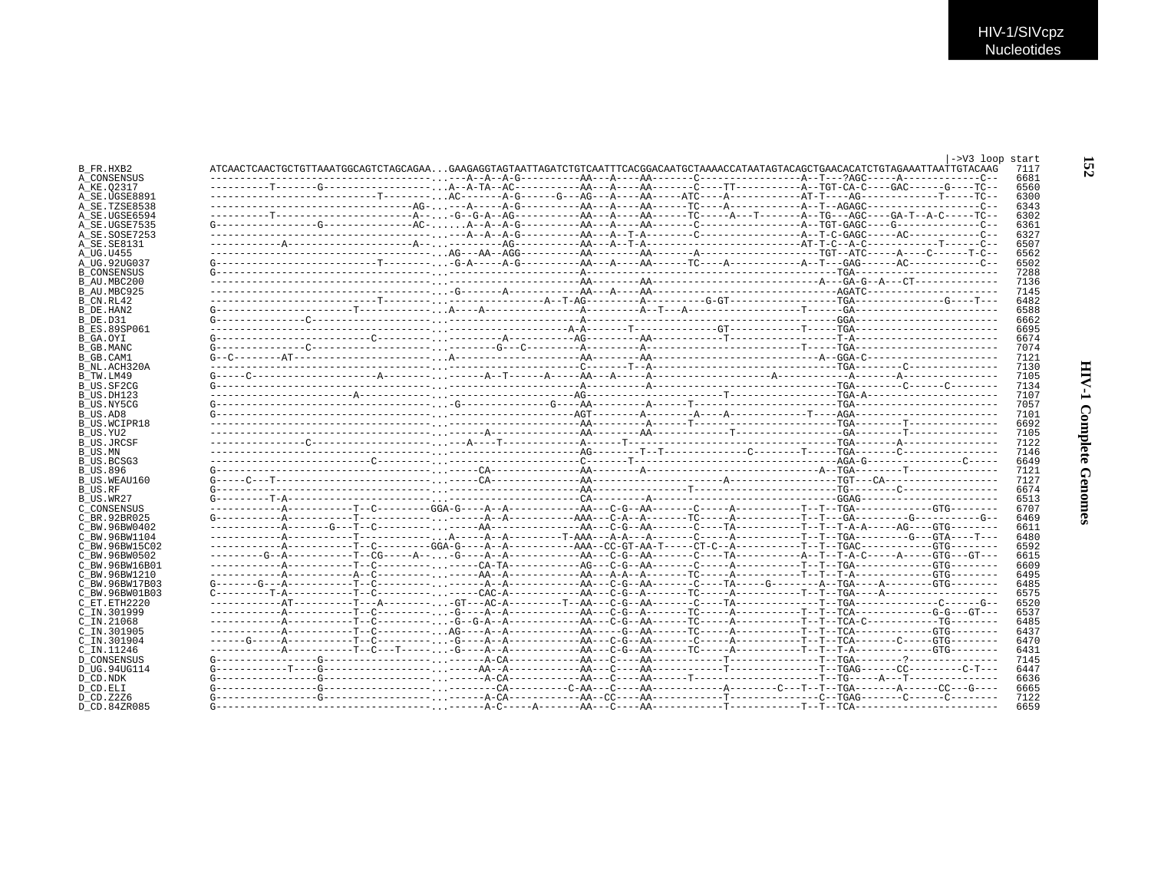|                                 |                                                                                                                       |  |  | ->V3 loop start<br>7117 |
|---------------------------------|-----------------------------------------------------------------------------------------------------------------------|--|--|-------------------------|
| B FR.HXB2                       |                                                                                                                       |  |  | 6681                    |
| A CONSENSUS                     |                                                                                                                       |  |  |                         |
| A KE.02317                      |                                                                                                                       |  |  | 6560                    |
| A SE.UGSE8891                   |                                                                                                                       |  |  | 6300                    |
| A SE.TZSE8538                   |                                                                                                                       |  |  | 6343                    |
| A SE.UGSE6594                   |                                                                                                                       |  |  | 6302                    |
| A SE.UGSE7535                   |                                                                                                                       |  |  | 6361                    |
| A SE.SOSE7253                   |                                                                                                                       |  |  | 6327                    |
| A SE. SE8131                    |                                                                                                                       |  |  | 6507                    |
| A_UG.U455                       |                                                                                                                       |  |  | 6562                    |
| A UG.92UG037                    |                                                                                                                       |  |  | 6502                    |
| <b>B</b> CONSENSUS              |                                                                                                                       |  |  | 7288                    |
| B AU.MBC200                     |                                                                                                                       |  |  | 7136                    |
| B AU.MBC925                     |                                                                                                                       |  |  | 7145                    |
| B CN.RL42                       |                                                                                                                       |  |  | 6482                    |
| B_DE.HAN2                       |                                                                                                                       |  |  | 6588                    |
| B DE.D31                        |                                                                                                                       |  |  | 6662                    |
| <b>B ES.89SP061</b>             |                                                                                                                       |  |  | 6695                    |
| B_GA.OYI                        |                                                                                                                       |  |  | 6674                    |
| B GB.MANC                       |                                                                                                                       |  |  | 7074                    |
| B GB.CAM1                       |                                                                                                                       |  |  | 7121                    |
| B NL.ACH320A                    |                                                                                                                       |  |  | 7130                    |
| B TW.LM49                       |                                                                                                                       |  |  | 7105                    |
| B US.SF2CG                      |                                                                                                                       |  |  | 7134                    |
| B US.DH123                      |                                                                                                                       |  |  | 7107                    |
| B US.NY5CG                      |                                                                                                                       |  |  | 7057                    |
| B US.AD8                        |                                                                                                                       |  |  | 7101                    |
| B US.WCIPR18                    |                                                                                                                       |  |  | 6692                    |
| B US.YU2                        |                                                                                                                       |  |  | 7105                    |
| <b>B US.JRCSF</b>               |                                                                                                                       |  |  | 7122                    |
| B US.MN                         |                                                                                                                       |  |  | 7146                    |
| B US.BCSG3                      |                                                                                                                       |  |  | 6649                    |
| B US.896                        |                                                                                                                       |  |  | 7121                    |
| B US.WEAU160                    |                                                                                                                       |  |  | 7127                    |
| B US.RF                         |                                                                                                                       |  |  | 6674                    |
| B US.WR27                       |                                                                                                                       |  |  | 6513                    |
| C CONSENSUS                     |                                                                                                                       |  |  | 6707                    |
| C BR. 92BR025                   |                                                                                                                       |  |  | 6469                    |
| C BW 96BW0402                   |                                                                                                                       |  |  | 6611                    |
| C BW.96BW1104                   |                                                                                                                       |  |  | 6480                    |
| C BW.96BW15C02                  |                                                                                                                       |  |  | 6592                    |
| C BW.96BW0502                   | --------G-A----------T-CG----A---G----A--A---------AA---C-G--AA-------CA-----TA---------A--T-A-C----A-----GTG---GT--- |  |  | 6615                    |
|                                 |                                                                                                                       |  |  | 6609                    |
| C BW.96BW16B01<br>C BW.96BW1210 |                                                                                                                       |  |  | 6495                    |
| C BW.96BW17B03                  |                                                                                                                       |  |  | 6485                    |
| C BW.96BW01B03                  |                                                                                                                       |  |  | 6575                    |
| C ET. ETH2220                   |                                                                                                                       |  |  | 6520                    |
|                                 |                                                                                                                       |  |  | 6537                    |
| C IN.301999                     |                                                                                                                       |  |  |                         |
| C IN.21068                      |                                                                                                                       |  |  | 6485<br>6437            |
| C IN.301905                     |                                                                                                                       |  |  |                         |
| C IN.301904                     |                                                                                                                       |  |  | 6470                    |
| $C$ IN.11246                    |                                                                                                                       |  |  | 6431                    |
| <b>D CONSENSUS</b>              |                                                                                                                       |  |  | 7145                    |
| D UG.94UG114                    |                                                                                                                       |  |  | 6447                    |
| D CD.NDK                        |                                                                                                                       |  |  | 6636                    |
| D CD.ELI                        |                                                                                                                       |  |  | 6665                    |
| D CD.Z2Z6                       |                                                                                                                       |  |  | 7122                    |
| D CD.84ZR085                    |                                                                                                                       |  |  | 6659                    |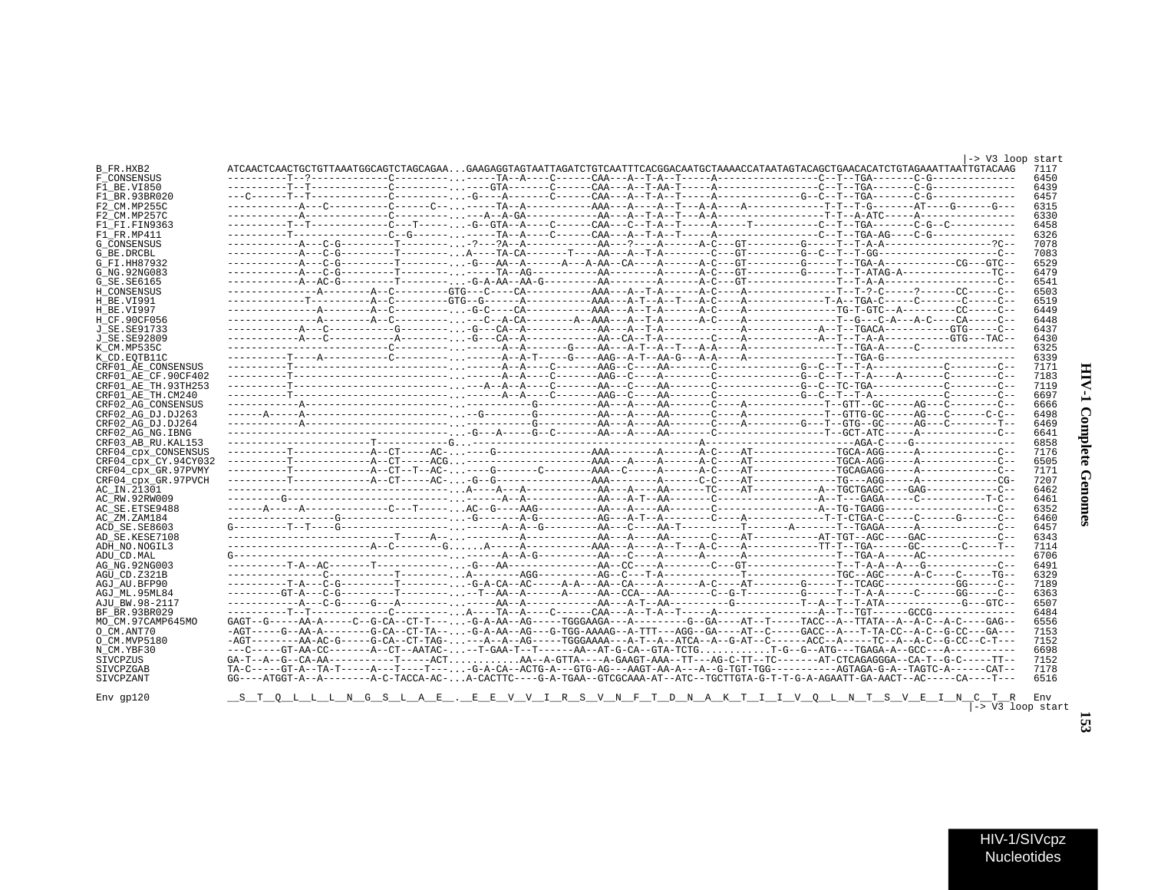| ì<br>ļ<br>ì<br>i      |  |
|-----------------------|--|
| -<br>-<br>-<br>-<br>ì |  |

 $\blacksquare$ 

| <b>G CONSENSUS</b>   |                                                                                                                                    |  |  | 7078             |
|----------------------|------------------------------------------------------------------------------------------------------------------------------------|--|--|------------------|
| G BE.DRCBL           |                                                                                                                                    |  |  | 7083             |
| G FI.HH87932         |                                                                                                                                    |  |  | 6529             |
| G NG. 92NG083        |                                                                                                                                    |  |  | 6479             |
| G SE. SE6165         |                                                                                                                                    |  |  | 6541             |
| H CONSENSUS          |                                                                                                                                    |  |  | 6503             |
|                      |                                                                                                                                    |  |  |                  |
| H BE.VI991           |                                                                                                                                    |  |  | 6519             |
| H BE.VI997           |                                                                                                                                    |  |  | 6449             |
| H CF.90CF056         |                                                                                                                                    |  |  | 6448             |
| J SE. SE91733        |                                                                                                                                    |  |  | 6437             |
| J SE. SE92809        |                                                                                                                                    |  |  | 6430             |
| K CM.MP535C          |                                                                                                                                    |  |  | 6325             |
| K CD.EOTB11C         |                                                                                                                                    |  |  | 6339             |
| CRF01 AE CONSENSUS   |                                                                                                                                    |  |  | 7171             |
| CRF01 AE CF.90CF402  |                                                                                                                                    |  |  | 7183             |
| CRF01 AE TH.93TH253  |                                                                                                                                    |  |  | 7119             |
|                      |                                                                                                                                    |  |  | 6697             |
| CRF01 AE TH.CM240    |                                                                                                                                    |  |  |                  |
| CRF02 AG CONSENSUS   |                                                                                                                                    |  |  | 6666             |
| CRF02 AG DJ.DJ263    |                                                                                                                                    |  |  | 6498             |
| CRF02 AG DJ.DJ264    |                                                                                                                                    |  |  | 6469             |
| CRF02 AG NG. IBNG    |                                                                                                                                    |  |  | 6641             |
| CRF03 AB RU. KAL153  |                                                                                                                                    |  |  | 6858             |
| CRF04 cpx CONSENSUS  |                                                                                                                                    |  |  | 7176             |
| CRF04 cpx CY.94CY032 |                                                                                                                                    |  |  | 6505             |
| CRF04 cpx GR.97PVMY  |                                                                                                                                    |  |  | 7171             |
| CRF04 CDX GR.97PVCH  |                                                                                                                                    |  |  | 7207             |
| AC IN.21301          |                                                                                                                                    |  |  | 6462             |
| AC RW.92RW009        |                                                                                                                                    |  |  | 6461             |
|                      |                                                                                                                                    |  |  |                  |
| AC SE. ETSE9488      |                                                                                                                                    |  |  | 6352             |
| AC ZM.ZAM184         |                                                                                                                                    |  |  | 6460             |
| ACD SE.SE8603        |                                                                                                                                    |  |  | 6457             |
| AD SE.KESE7108       |                                                                                                                                    |  |  | 6343             |
| ADH NO.NOGIL3        |                                                                                                                                    |  |  | 7114             |
| ADU CD.MAL           |                                                                                                                                    |  |  | 6706             |
| AG NG. 92NG003       |                                                                                                                                    |  |  | 6491             |
| AGU CD.Z321B         |                                                                                                                                    |  |  | 6329             |
| AGJ AU.BFP90         |                                                                                                                                    |  |  | 7189             |
| AGJ ML.95ML84        | --------GT-A---C-G---------T---------T--AA--A------A----AA--CCA---AA-------C--G-T-------G----T--T-A-A-----C-----GG-----C--         |  |  | 6363             |
| AJU BW.98-2117       |                                                                                                                                    |  |  | 6507             |
| BF BR.93BR029        |                                                                                                                                    |  |  | 6484             |
|                      |                                                                                                                                    |  |  |                  |
| MO CM.97CAMP645MO    |                                                                                                                                    |  |  | 6556             |
| O CM.ANT70           | -AGT-----G--AA-A--------G-CA--CT-TA---G-A-AA--AG---G-TGG-AAAAG--A-TTT---AGG--GA----AT--C-----GACC--A---T-TA-CC--A-C--G-CC---GA---- |  |  | 7153             |
| O CM.MVP5180         | -AGT-------AA-AC-G-----G-CA--CT-TAG----A--AG-----TGGGAAAA---A-T--A--ATCA--A--G-AT--C------ACC--A-----TC--A--A-C--G-CC--C-T---      |  |  | 7152             |
| N CM.YBF30           |                                                                                                                                    |  |  | 6698             |
| SIVCPZUS             | GA-T--A--G--CA-AA------------T-----ACTAA--A-GTTA----A-GAAGT-AAA--TT---AG-C-TT--TC-------AT-CTCAGAGGGA--CA-T--G-C------TT--         |  |  | 7152             |
| SIVCPZGAB            |                                                                                                                                    |  |  | 7178             |
| SIVCPZANT            | GG----ATGGT-A--A--------AC-TACCA-AC-A-CACTTC---G-A-TGAA--GTCGCAAA-AT--ATC--TGCTTGTA-G-T-T-G-A-AGAATT-GA-AACT--AC-----CA----T---    |  |  | 6516             |
|                      |                                                                                                                                    |  |  |                  |
| $Env$ qp $120$       | STOLLLNGSLAE . EEVVIRSVNFTDNAKTIIVOLNTSVEINCTR                                                                                     |  |  | Env              |
|                      |                                                                                                                                    |  |  | -> V3 loop start |
|                      |                                                                                                                                    |  |  |                  |
|                      |                                                                                                                                    |  |  |                  |
|                      |                                                                                                                                    |  |  |                  |
|                      |                                                                                                                                    |  |  |                  |
|                      |                                                                                                                                    |  |  |                  |

F1\_FR.MP411 ----------T----------------C--G------...-----TA--A----C------CAA---A--T-A--T-----A-----------------C--T--TGA-AG----C-G-------------- 6326

F\_CONSENSUS ----------T--?-------------C---------...-----TA--A----C------CAA---A--T-A--T-----A-----------------C--T--TGA-------C-G-------------- 6450 F1\_BE.VI850 ----------T--T-------------C---------...----GTA-------C------CAA---A--T-AA-T-----A-----------------C--T--TGA-------C-G-------------- 6439 F1\_BR.93BR020 ---C------T--T-------------C---------...-G----A-------C------CAA---A--T-A--T-----A--------------G--C--T--TGA-------C-G-------------- 6457 F2\_CM.MP255C ------------A---C----------C------C--...-----TA--A-----------AAA---A----A--T---A-A----A-------------T-T--T-G-------AT----G------G--- 6315 F2\_CM.MP257C ------------A--------------C---------...---A--A-GA------------AA---A--T-A--T---A-A------------------T-T--A-ATC-----A---------------- 6330 F1\_FI.FIN9363 ----------T--T-------------C---T-----...-G--GTA--A----C------CAA---C--T-A--T-----A-----T-----------C--T--TGA-------C-G--C----------- 6458

|-> V3 loop start<br>ATTGTACAAG 7117 B\_FR.HXB2 ATCAACTCAACTGCTGTTAAATGGCAGTCTAGCAGAA...GAAGAGGTAGTAATTAGATCTGTCAATTTCACGGACAATGCTAAAACCATAATAGTACAGCTGAACACATCTGTAGAAATTAATTGTACAAG 7117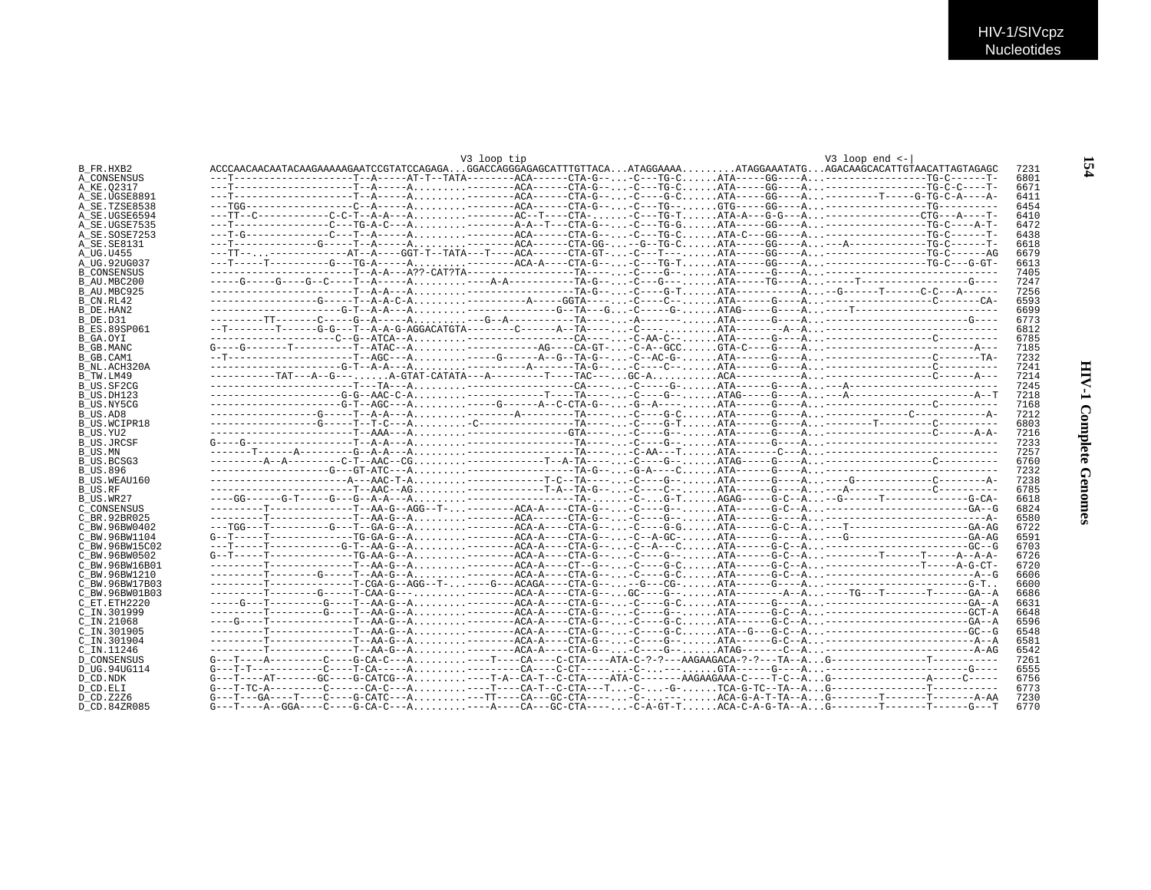|                     |  | V3 loop tip |  | $V3$ loop end $\leq$ -                                                                                                     |
|---------------------|--|-------------|--|----------------------------------------------------------------------------------------------------------------------------|
| B FR.HXB2           |  |             |  | ACCCAACAACAATACAAGAAAAAGAATCCGTATCCAGAGAGGACCAGGGAGAGCATTTGTTACAATAGGAAAAATAGGAAATATGAGACAAGCACATTGTAACATTAGTAGAGC<br>7231 |
| A CONSENSUS         |  |             |  | 6801                                                                                                                       |
| A KE.02317          |  |             |  | 6671                                                                                                                       |
| A SE.UGSE8891       |  |             |  | 6411                                                                                                                       |
| A SE.TZSE8538       |  |             |  | 6454                                                                                                                       |
| A SE.UGSE6594       |  |             |  | 6410                                                                                                                       |
| A SE.UGSE7535       |  |             |  | 6472                                                                                                                       |
| A SE.SOSE7253       |  |             |  | ---T-G-------------C---T--A-----A--------ACA------CTA-G---C---TG-CATA-C---GG----A------------------TG-C------T-<br>6438    |
| A_SE.SE8131         |  |             |  | 6618                                                                                                                       |
| A UG.U455           |  |             |  | 6679                                                                                                                       |
| A UG.92UG037        |  |             |  | 6613                                                                                                                       |
| <b>B CONSENSUS</b>  |  |             |  | 7405                                                                                                                       |
| B AU.MBC200         |  |             |  | 7247                                                                                                                       |
| B AU.MBC925         |  |             |  | 7256                                                                                                                       |
|                     |  |             |  | 6593                                                                                                                       |
| B CN.RL42           |  |             |  | 6699                                                                                                                       |
| B DE.HAN2           |  |             |  |                                                                                                                            |
| B DE.D31            |  |             |  | 6773                                                                                                                       |
| <b>B ES.89SP061</b> |  |             |  | 6812                                                                                                                       |
| B GA.OYI            |  |             |  | 6785                                                                                                                       |
| <b>B_GB.MANC</b>    |  |             |  | 7185                                                                                                                       |
| B GB.CAM1           |  |             |  | 7232                                                                                                                       |
| B NL.ACH320A        |  |             |  | 7241                                                                                                                       |
| B TW.LM49           |  |             |  | 7214                                                                                                                       |
| B US.SF2CG          |  |             |  | 7245                                                                                                                       |
| B US.DH123          |  |             |  | 7218                                                                                                                       |
| B US.NY5CG          |  |             |  | 7168                                                                                                                       |
| B US.AD8            |  |             |  | 7212                                                                                                                       |
| <b>B US.WCIPR18</b> |  |             |  | 6803                                                                                                                       |
| B US.YU2            |  |             |  | 7216                                                                                                                       |
| <b>B US.JRCSF</b>   |  |             |  | 7233                                                                                                                       |
| B_US.MN             |  |             |  | 7257                                                                                                                       |
| B US.BCSG3          |  |             |  | 6760                                                                                                                       |
| <b>B US.896</b>     |  |             |  | 7232                                                                                                                       |
| B_US.WEAU160        |  |             |  | 7238                                                                                                                       |
| B US.RF             |  |             |  | 6785                                                                                                                       |
| B US.WR27           |  |             |  | 6618                                                                                                                       |
| C CONSENSUS         |  |             |  | --------T-------------T-AA-G--AGG--T--------ACA-A----CTA-G---C----G--ATA-----G-C--A----------------------GA--G<br>6824     |
| C BR. 92BR025       |  |             |  | 6580                                                                                                                       |
| C BW.96BW0402       |  |             |  | ---TGG---T----------G---T--GA-G--A--------ACA-A----CTA-G---C----G-GATA------G-C--A---T---------------------GA-AG<br>6722   |
| C BW.96BW1104       |  |             |  | 6591                                                                                                                       |
| C BW.96BW15C02      |  |             |  | ---T-----T------------G-T--AA-G--A-------ACA-A----CTA-G---C--A---CATA-----G-C--A----------------------GC--G<br>6703        |
| C BW.96BW0502       |  |             |  | 6726                                                                                                                       |
| C BW. 96BW16B01     |  |             |  | ---------T--------------T--AA-G--A-------ACA-A----CT--G---C----G-CATA------G-C--A-----------------T----A-G-CT-<br>6720     |
| C BW.96BW1210       |  |             |  | 6606                                                                                                                       |
| C BW.96BW17B03      |  |             |  | 6600                                                                                                                       |
| C BW.96BW01B03      |  |             |  | 6686                                                                                                                       |
| C ET. ETH2220       |  |             |  | 6631                                                                                                                       |
| C IN.301999         |  |             |  | ---------T--------G----T--AA-G--A--------ACA-A----CTA-G---C----G--ATA------G-C--A--------------------GCT-A<br>6648         |
| C IN.21068          |  |             |  | ---G----T--------------T--AA-G--A-------ACA-A----CTA-G---C----G-CATA-----G-C--A----------------------GA--A<br>6596         |
| C IN.301905         |  |             |  | --------T------------T--AA-G--A-------ACA-A----CTA-G---C----G-CATA--G---G-C--A-----------------------GC--G<br>6548         |
| C IN.301904         |  |             |  |                                                                                                                            |
|                     |  |             |  | 6581                                                                                                                       |
| C IN.11246          |  |             |  | 6542                                                                                                                       |
| <b>D CONSENSUS</b>  |  |             |  | 7261                                                                                                                       |
| D UG.94UG114        |  |             |  | 6555                                                                                                                       |
| D CD.NDK            |  |             |  | 6756                                                                                                                       |
| D CD.ELI            |  |             |  | $G---T-TC-A------C---CA-C---A. ----T---CA-T--C-A---T. -C-. -G- -TCA-G-TC--TA-A. G------------------------$<br>6773         |
| D CD. Z2Z6          |  |             |  | $G---T---GA---T---G---G-CATC---A.$ ---TT---CA---GC-CTA-----C----ACA-G-A-T-TA--AG--------T------T------A-AA<br>7230         |
| D CD.84ZR085        |  |             |  | 6770                                                                                                                       |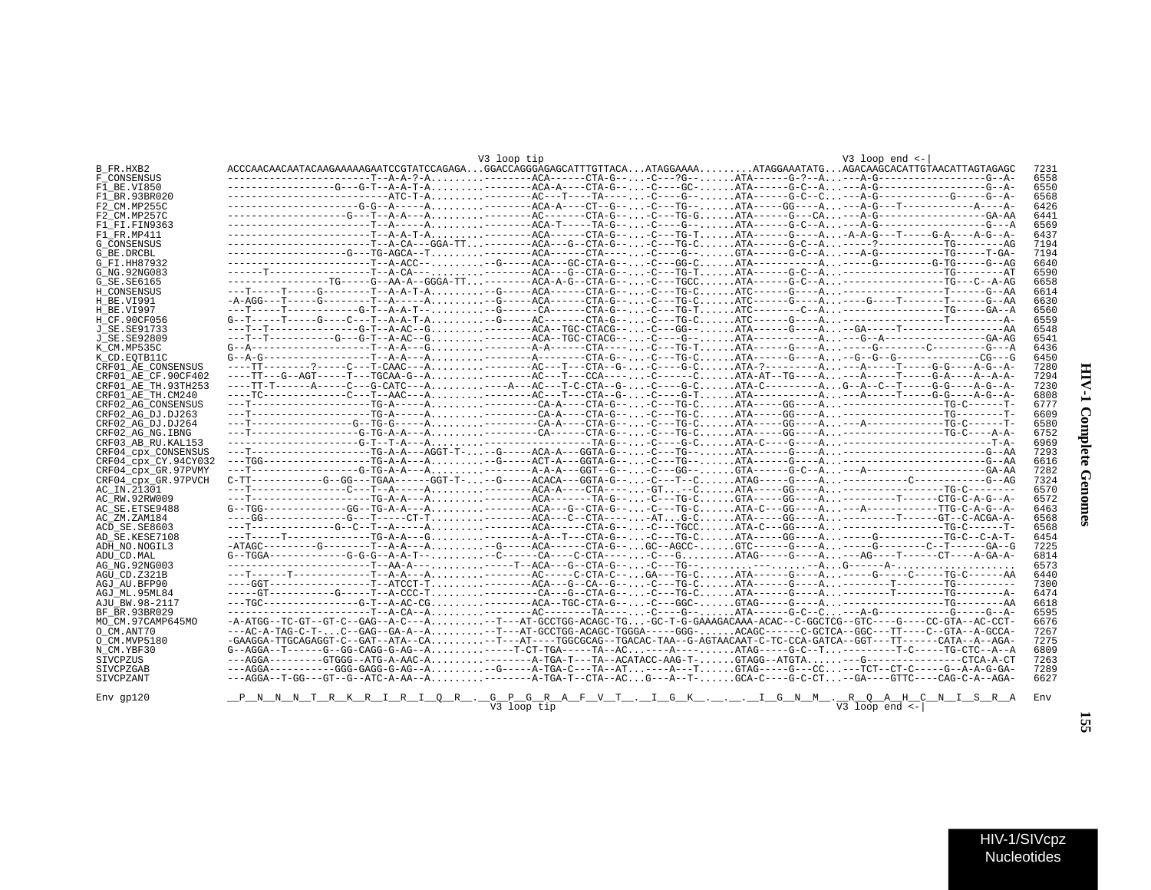| V-1 Complete Genomes |
|----------------------|
|                      |
|                      |
|                      |

|                      |                                                                                                                            | V3 loop tip |  | $V3$ loop end $\leftarrow$ |     |
|----------------------|----------------------------------------------------------------------------------------------------------------------------|-------------|--|----------------------------|-----|
| B FR.HXB2            | ACCCAACAACAATACAAGAAAAAGAATCCGTATCCAGAGAGGACCAGGGAGAGCATTTGTTACAATAGGAAAAATAGGAAATATGAGACAAGCACATTGTAACATTAGTAGAGC         |             |  |                            |     |
| F_CONSENSUS          |                                                                                                                            |             |  |                            |     |
| F1 BE.VI850          | ----------------G--G-T--A-A-T-A-------ACA-A----CTA-G---C----GC-ATA-----G-C--A---A-G----------------G--A-                   |             |  |                            |     |
| F1 BR.93BR020        |                                                                                                                            |             |  |                            |     |
| F2 CM.MP255C         |                                                                                                                            |             |  |                            |     |
| F2 CM.MP257C         | -----------------G---T--A-A---A--------AC------CTA-G---C---TG-GATA-----G--CA---A-G----------------GA-AA                    |             |  |                            |     |
| F1 FI.FIN9363        |                                                                                                                            |             |  |                            |     |
| F1 FR.MP411          |                                                                                                                            |             |  |                            |     |
| G CONSENSUS          | ------------------------T--A-CA---GGA-TT--------ACA---G--CTA-G---C---TG-CATA-----G-C--A-----?-------------TG---------AG    |             |  |                            |     |
| G BE.DRCBL           | -----------------G---TG-AGCA--T--------ACA------CTA-----C----G--GTA-----G-C--A---A-G-----------TG-----T-GA-                |             |  |                            |     |
| G FI.HH87932         | -----------------------T--A-ACC---G-----ACA---GC-CTA-G---C---GG-CATA----------A-----G-------G-TG-----G--AG                 |             |  |                            |     |
| G NG.92NG083         | ------T----------------T--A-CA----------ACA--G--CTA-G---C---TG-TATA-----G-C--A----------------TG--------AT                 |             |  |                            |     |
| G SE.SE6165          | ----------------TG----G--AA-A--GGGA-TT--------ACA-A-G--CTA-G---C---TGCCATA-----G-C--A-----------------TG---C--A-AG         |             |  |                            |     |
| H CONSENSUS          | ---T-----T-----G--------T--A-A-T-A--G----ACA------CTA-G---C---TG-CATC------G----A-------------------T-----G--AA            |             |  |                            |     |
| H BE.VI991           | -A-AGG---T-----G--------T--A-----A--G-----ACA------CTA-G---C---TG-CATC-----G----A----G----T-------T-----G--AA              |             |  |                            |     |
| H BE.VI997           |                                                                                                                            |             |  |                            |     |
| H CF.90CF056         |                                                                                                                            |             |  |                            |     |
| J SE.SE91733         |                                                                                                                            |             |  |                            |     |
| J_SE.SE92809         |                                                                                                                            |             |  |                            |     |
| K CM.MP535C          |                                                                                                                            |             |  |                            |     |
| K CD.EOTB11C         |                                                                                                                            |             |  |                            |     |
| CRF01 AE CONSENSUS   | ----TT--------?----C---T-CAAC---A--------AC---T---CTA--G--C----G-CATA-?----------A---A-----T-----G-G----A-G--A-            |             |  |                            |     |
| CRF01 AE CF.90CF402  |                                                                                                                            |             |  |                            |     |
| CRF01 AE TH.93TH253  | ----TT-T------A----C--G-CATC---A----A---AC---T-C-CTA--G--C----G-CATA-C----------AG--A--C--T-----G-G----A-G--A-             |             |  |                            |     |
| CRF01 AE TH.CM240    | ----TC-------------C---T--AAC---A--------AC---T---CTA--G--C----G-TATA------------A---A-----T-----G-G----A-G--A-            |             |  |                            |     |
| CRF02 AG CONSENSUS   |                                                                                                                            |             |  |                            |     |
| CRF02 AG DJ.DJ263    |                                                                                                                            |             |  |                            |     |
|                      |                                                                                                                            |             |  |                            |     |
| CRF02 AG DJ.DJ264    |                                                                                                                            |             |  |                            |     |
| CRF02 AG NG.IBNG     |                                                                                                                            |             |  |                            |     |
| CRF03 AB RU.KAL153   |                                                                                                                            |             |  |                            |     |
| CRF04 cpx CONSENSUS  |                                                                                                                            |             |  |                            |     |
| CRF04 cpx CY.94CY032 |                                                                                                                            |             |  |                            |     |
| CRF04 cpx GR.97PVMY  |                                                                                                                            |             |  |                            |     |
| CRF04 cpx GR.97PVCH  | $C-TT----------G--GG---TGAA-----GGT-T---G----ACACA---GGTA-G-----C---T--CATAG----G----A-----------------.$                  |             |  |                            |     |
| AC IN.21301          |                                                                                                                            |             |  |                            |     |
| AC RW.92RW009        |                                                                                                                            |             |  |                            |     |
| AC SE.ETSE9488       | G--TGG-------------GG--TG-A-A---A-------ACA---G--CTA-G---C---TG-CATA-C---GG----A---A------------TTG-C-A-G--A-              |             |  |                            |     |
| AC ZM.ZAM184         | ----GG-------------G---T-----CT-T--------ACA---C--CTA-----ATG-CATA-----GG----A---------T-----GT--C-ACGA-A-                 |             |  |                            |     |
| ACD SE.SE8603        | ---T-------------G--C--T--A-----A---------ACA------CTA-G---C---TGCCATA-C---GG----A-----------------TG-C------T-            |             |  |                            |     |
| AD SE.KESE7108       |                                                                                                                            |             |  |                            |     |
| ADH NO.NOGIL3        | -ATAGC---------G--------T--A-A---A-G----ACA------CTA-G--GC--AGCC-GTC-----G----A-----G--------C-T------GA--G                |             |  |                            |     |
| ADU CD.MAL           | $G$ --TGGA------------G-G-G--A-A-T-- --C-----CA----C-CTA---- -C---G ATAG----G-----A ---AG----T------CT----A-GA-A-          |             |  |                            |     |
| AG NG.92NG003        |                                                                                                                            |             |  |                            |     |
| AGU CD.Z321B         |                                                                                                                            |             |  |                            |     |
| AGJ AU BFP90         |                                                                                                                            |             |  |                            |     |
| AGJ ML.95ML84        | -----GT-----------G-----T--A-CCC-T---------CA---G--CTA-G---C---TG-CATA------G----A---------T--------TG--------A-           |             |  |                            |     |
| AJU BW.98-2117       | ---TGC--------------G-T--A-AC-CG-------ACA--TGC-CTA-G---C---GGC-GTAG----G----A----------------TG--------AA                 |             |  |                            |     |
| BF BR.93BR029        |                                                                                                                            |             |  |                            |     |
| MO CM.97CAMP645MO    | -A-ATGG--TC-GT--GT-C--GAG--A-C---A--T---AT-GCCTGG-ACAGC-TG-GC-T-G-GAAAGACAAA-ACAC--C-GGCTCG--GTC----G----CC-GTA--AC-CCT-   |             |  |                            |     |
| O CM.ANT70           | ---AC-A-TAG-C-T-C--GAG--GA-A--A--T---AT-GCCTGG-ACAGC-TGGGA-----GGG-ACAGC------C-GCTCA--GGC---TT----C--GTA--A-GCCA-         |             |  |                            |     |
| O CM.MVP5180         | -GAAGGA-TTGCAGAGGT-C--GAT--ATA--CA--T---AT----TGGCGCAG--TGACAC-TAA--G-AGTAACAAT-C-TC-CCA-GATCA--GGT---TT-----CATA--A--AGA- |             |  |                            |     |
| N CM.YBF30           | G--AGGA--T------G--GG-CAGG-G-AG--A-----T-CT-TGA-----TA--AC----A----ATAG-----G-C--T--------T-C-----TG-CTC--A--A             |             |  |                            |     |
| SIVCPZUS             |                                                                                                                            |             |  |                            |     |
| SIVCPZGAB            |                                                                                                                            |             |  |                            |     |
|                      | ---AGGA--T-GG---GT--G--ATC-A-AA--A-------A-TGA-T--CTA--ACG---A--T-GCA-C----G-C-CT--GA----GTTC----CAG-C-A--AGA-             |             |  |                            |     |
| SIVCPZANT            |                                                                                                                            |             |  |                            |     |
| Env gp120            | <u>_P_N_N_N_T_R_K_R_I_R_I_Q_R_._G_P_G_R_A_F_V_T_._I_G_K_.__.I_G_N_M_._R_Q_A_H_C_N_I_S_R_A</u>                              | V3 loop tip |  | $V3$ loop end $\leftarrow$ | Env |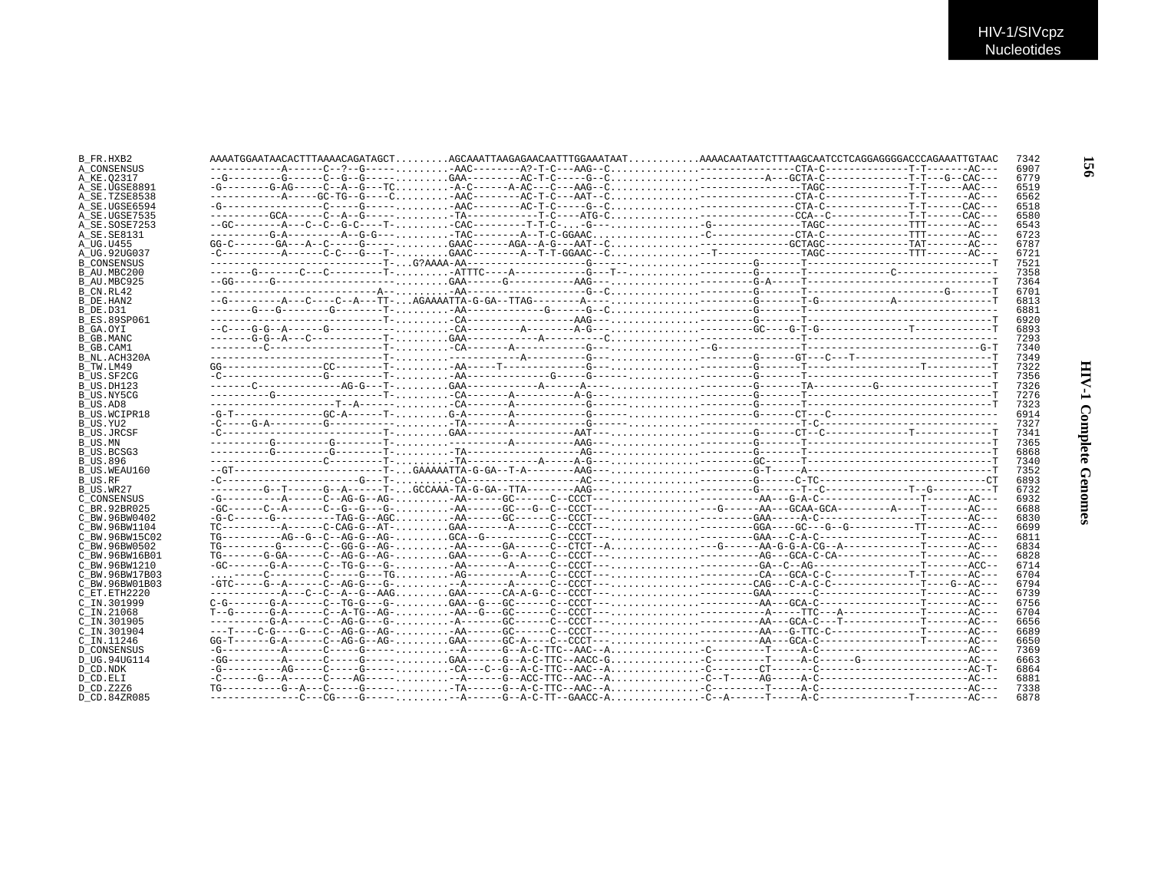| B FR.HXB2           |                                                                                                                   | 7342 |
|---------------------|-------------------------------------------------------------------------------------------------------------------|------|
| A CONSENSUS         |                                                                                                                   | 6907 |
| A KE.02317          |                                                                                                                   | 6779 |
| A SE.UGSE8891       |                                                                                                                   | 6519 |
| A SE.TZSE8538       |                                                                                                                   | 6562 |
| A SE.UGSE6594       |                                                                                                                   | 6518 |
| A SE.UGSE7535       |                                                                                                                   | 6580 |
| A SE.SOSE7253       |                                                                                                                   | 6543 |
| A SE. SE8131        |                                                                                                                   | 6723 |
| A UG.U455           | $GG - C = - - - - G + - - A - C = - - - - G - - - - \ldots$                                                       | 6787 |
| A UG.92UG037        | -C-----------A------C-C---G---T-GAAC--------A--T-T-GGAAC--C--T------------------TAGC--------------TTT-------AC--- | 6721 |
| <b>B CONSENSUS</b>  |                                                                                                                   | 7521 |
| B AU.MBC200         |                                                                                                                   | 7358 |
| B AU.MBC925         |                                                                                                                   | 7364 |
| B CN.RL42           |                                                                                                                   | 6701 |
| B DE.HAN2           |                                                                                                                   | 6813 |
| B DE.D31            |                                                                                                                   | 6881 |
| <b>B ES.89SP061</b> |                                                                                                                   | 6920 |
| B GA.OYI            |                                                                                                                   | 6893 |
| B GB.MANC           |                                                                                                                   | 7293 |
| B GB.CAM1           |                                                                                                                   | 7340 |
| B NL.ACH320A        |                                                                                                                   | 7349 |
| B TW.LM49           |                                                                                                                   | 7322 |
| B US.SF2CG          |                                                                                                                   | 7356 |
| B US.DH123          |                                                                                                                   | 7326 |
| B US.NY5CG          |                                                                                                                   | 7276 |
| B US.AD8            |                                                                                                                   | 7323 |
| B US.WCIPR18        |                                                                                                                   | 6914 |
| B US.YU2            |                                                                                                                   | 7327 |
| <b>B US.JRCSF</b>   |                                                                                                                   | 7341 |
| B US.MN             |                                                                                                                   | 7365 |
| B US.BCSG3          |                                                                                                                   | 6868 |
| <b>B US.896</b>     |                                                                                                                   | 7340 |
| B US.WEAU160        |                                                                                                                   | 7352 |
| B US.RF             |                                                                                                                   | 6893 |
| B US.WR27           |                                                                                                                   | 6732 |
| C CONSENSUS         |                                                                                                                   | 6932 |
| C BR. 92BR025       |                                                                                                                   | 6688 |
| C BW.96BW0402       |                                                                                                                   | 6830 |
| C BW.96BW1104       | $TC------A---C-CAG-G--AT-GAA------A---C-CCT------GGA---GGA---G---G---G---G------T---TT---A C---A$                 | 6699 |
| C BW.96BW15C02      |                                                                                                                   | 6811 |
| C BW.96BW0502       |                                                                                                                   | 6834 |
| C BW.96BW16B01      |                                                                                                                   | 6828 |
| C BW. 96BW1210      |                                                                                                                   | 6714 |
| C BW.96BW17B03      |                                                                                                                   | 6704 |
| C BW.96BW01B03      |                                                                                                                   | 6794 |
| C ET. ETH2220       |                                                                                                                   | 6739 |
| C IN.301999         |                                                                                                                   | 6756 |
| $C$ IN. 21068       |                                                                                                                   | 6704 |
| C IN.301905         |                                                                                                                   | 6656 |
| C IN.301904         |                                                                                                                   | 6689 |
| C IN.11246          |                                                                                                                   | 6650 |
| <b>D CONSENSUS</b>  |                                                                                                                   | 7369 |
| D UG.94UG114        |                                                                                                                   | 6663 |
| D CD.NDK            |                                                                                                                   | 6864 |
| D CD.ELI            |                                                                                                                   | 6881 |
| D CD.Z2Z6           |                                                                                                                   | 7338 |
| D CD.84ZR085        |                                                                                                                   | 6878 |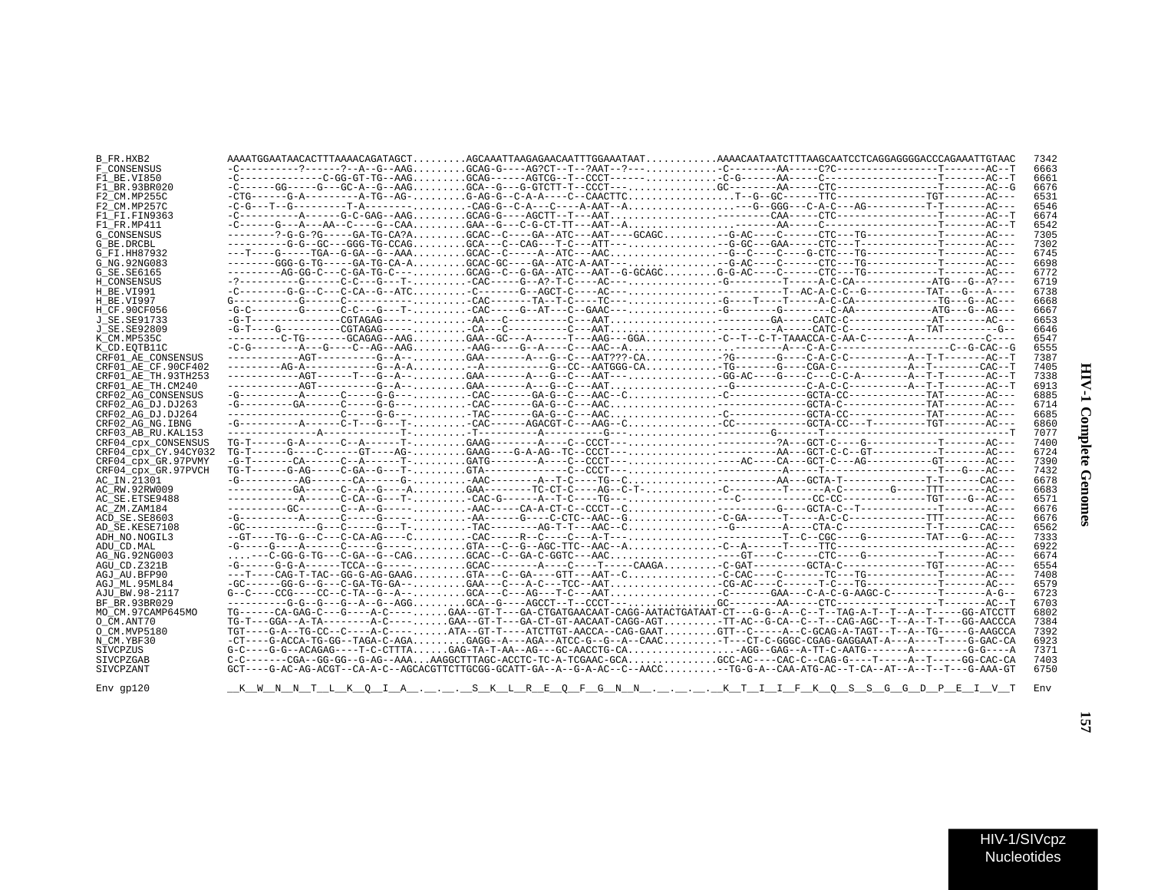| B FR.HXB2                 |                                                                                                                                         |  | 7342 |
|---------------------------|-----------------------------------------------------------------------------------------------------------------------------------------|--|------|
| F CONSENSUS               |                                                                                                                                         |  | 6663 |
| F1 BE.VI850               |                                                                                                                                         |  | 6661 |
| F1 BR.93BR020             |                                                                                                                                         |  | 6676 |
| F2 CM.MP255C              |                                                                                                                                         |  | 6531 |
| F2 CM.MP257C              |                                                                                                                                         |  | 6546 |
| F1 FI.FIN9363             |                                                                                                                                         |  | 6674 |
| F1 FR.MP411               |                                                                                                                                         |  | 6542 |
| <b>G CONSENSUS</b>        | --------?-G-G-?G-----GA-TG-CA?AGCAC--C---GA--ATC---AAT----GCAGC-G-AC----CT------CTC---TG--------------T-------AC---                     |  | 7305 |
| G BE.DRCBL                | ---------G-G--GC---GGG-TG-CCAGGCA---C--CAG---T-C---ATT-----G-GC---GAA-----CTC---T------------T-------AC---                              |  | 7302 |
| G FI.HH87932              |                                                                                                                                         |  | 6745 |
| G NG. 92NG083             | --------GGG-G-TG-----GA-TG-CA-AGCAC-GC----GA--ATC-A-AAT----G-AC----C------CTC---TG-----------T------AC---                               |  | 6698 |
| G SE. SE6165              | ---------AG-GG-C---C-GA-TG-C--- GCAG--C--G-GA--ATC---AAT--G-GCAGC G-G-AC----C------CTC---TG--------------T-------AC---                  |  | 6772 |
|                           | -?---------G-----C-C---G---T-CAC----G--A?-T-C----AC---G---------T-----A-C-CA-------------ATG---G--A?---                                 |  | 6719 |
| H CONSENSUS<br>H BE.VI991 | -C--------G-G--C---C-CA--G--ATC-C-------G--AGCT-C----AC--------------T--AC-A-C-C--G----------TAT---G---A----                            |  | 6738 |
| <b>H BE VT997</b>         |                                                                                                                                         |  | 6668 |
|                           |                                                                                                                                         |  |      |
| H CF.90CF056              |                                                                                                                                         |  | 6667 |
| J SE. SE91733             |                                                                                                                                         |  | 6653 |
| J SE. SE92809             |                                                                                                                                         |  | 6646 |
| K CM.MP535C               |                                                                                                                                         |  | 6547 |
| K CD.EOTB11C              | ------------AGT---------G--A--GAA-------A--G--C---AAT???-CA?G------G---C-A-C-C-------------A-T-T-------AC--T                            |  | 6555 |
| CRF01 AE CONSENSUS        |                                                                                                                                         |  | 7387 |
| CRF01 AE CF.90CF402       |                                                                                                                                         |  | 7405 |
| CRF01 AE TH.93TH253       | -----------AGT------T---G--A--GAA-------A---G--C---AAT---GG-AC----G---C---C---C-A--------A--T-T------AC--T                              |  | 7338 |
| CRF01 AE TH.CM240         |                                                                                                                                         |  | 6913 |
| CRF02 AG CONSENSUS        |                                                                                                                                         |  | 6885 |
| CRF02 AG DJ.DJ263         | -G---------GA-----C-----G-G--- - CAC-------GA-G--C---AAC - - GCTA-C-----------TAT--------AC---                                          |  | 6714 |
| CRF02 AG DJ.DJ264         |                                                                                                                                         |  | 6685 |
| CRF02 AG NG. IBNG         | -G-----------A-----C-T---G---T--CAC------AGACGT-C---AAG--CCCC---------GCTA-CC---T---------TGT-------AC---                               |  | 6860 |
| CRF03 AB RU. KAL153       |                                                                                                                                         |  | 7077 |
| CRF04 CPX CONSENSUS       |                                                                                                                                         |  | 7400 |
| CRF04 cpx CY.94CY032      | $TG-T----G---G---G---GT---AG---AG---$                                                                                                   |  | 6724 |
| CRF04 CDX GR.97PVMY       |                                                                                                                                         |  | 7390 |
| CRF04 CDX GR.97PVCH       |                                                                                                                                         |  | 7432 |
| AC_IN.21301               |                                                                                                                                         |  | 6678 |
| AC RW.92RW009             | ----------GA------C--A--G----AGAA--------TC-CT-C----AG--C-T--C---------T------A-C------G-----TTT-------AC---                            |  | 6683 |
| AC SE. ETSE9488           |                                                                                                                                         |  | 6571 |
| AC ZM.ZAM184              |                                                                                                                                         |  | 6676 |
| ACD SE.SE8603             |                                                                                                                                         |  | 6676 |
| AD SE.KESE7108            | -GC-----------G---C----G---T--TAC-------AG-T-T---AAC--C-G--------A----CTA-C-------------T-T------CAC---                                 |  | 6562 |
| ADH NO. NOGIL3            | --GT----TG--G--C--C-CA-AG----C-CAC-----R--C----A-T-------------T--C--CGC----G---------TAT---G---AC---                                   |  | 7333 |
| ADU CD.MAL                |                                                                                                                                         |  | 6922 |
| AG NG.92NG003             |                                                                                                                                         |  | 6674 |
| AGU CD.Z321B              | -G------G-G-A------TCCA--G----- GCAC--------A----C----T-----CAAGA. C-GAT---------GCTA-C--------------TGT-------AC---                    |  | 6554 |
| AGJ AU.BFP90              | ---T----CAG-T-TAC--GG-G-AG-GAAGGTA---C--GA----GTT---AAT--CC-CAC----C------TC---TG------------T------AC---                               |  | 7408 |
| AGJ ML.95ML84             |                                                                                                                                         |  | 6579 |
| AJU BW.98-2117            |                                                                                                                                         |  | 6723 |
| BF BR.93BR029             | ---------G-G--G--A--G-AGGGCA--G---AGCCT--T--CCCT---GC---------AA-----CTC----------------T-------ACC--T                                  |  | 6703 |
| MO CM.97CAMP645MO         | TG-----CA-GAG-C---G----A-C----GAA--GT-T---GA-CTGATGAACAAT-CAGG-AATACTGATAAT-CT---G-G--A--C--T--TAG-A-T--T--A--T-----GG-ATCCTT           |  | 6802 |
| O CM.ANT70                | TG-T---GGA--A-TA--------A-C----GAA--GT-T---GA-CT-GT-AACAAT-CAGG-AGT-TT-AC--G-CA--C--T--CAG-AGC--T--A--T-T---GG-AACCCA                   |  | 7384 |
| O CM.MVP5180              | TGT----G-A--TG-CC--C----A-C----ATA--GT-T----ATCTTGT-AACCA--CAG-GAATGTT--C-----A--C-GCAG-A-TAGT--T--A--TG-----G-AAGCCA                   |  | 7392 |
| N CM.YBF30                | -CT----G-ACCA-TG-GG--TAGA-C-AGAGAGG--A---AGA--ATCC-G--G--A--CAACT---CT-C-GGGC-CGAG-GAGGAAT-A---A----T----G-GAC-CA                       |  | 6923 |
| SIVCPZUS                  | $G-C---G-G--ACAGAG---T-C-CTTTAGAG-TA-T-AA--AG---GC-AACCTG-CAAGG--GAG---A-TT-C-AATG---A---A---G-G---A$                                   |  | 7371 |
| SIVCPZGAB                 | C-C-------CGA--GG-GG--G-AG--AAAAAGGCTTTAGC-ACCTC-TC-A-TCGAAC-GCAGCC-AC----CAC-C--CAG-G----T-----A--T-----GG-CAC-CA                      |  | 7403 |
| SIVCPZANT                 | GCT----G-AC-AG-ACGT--CA-A-C--AGCACGTTCTTGCGG-GCATT-GA--A--G-A-AC--C--AACC-TG-G-A--CAA-ATG-AC--T-CA--AT--A--T--T---G-AAA-GT              |  | 6750 |
|                           |                                                                                                                                         |  |      |
| $Env$ $qp120$             | <u>__K__W__N__N__T__L__K__Q__T__A__,___,__S__K__L__R___R___F_G__N__N__,__,__,__,___K__T__I__F__K_T__G__S__S__G__G__D__P___E__I_V__T</u> |  | Env  |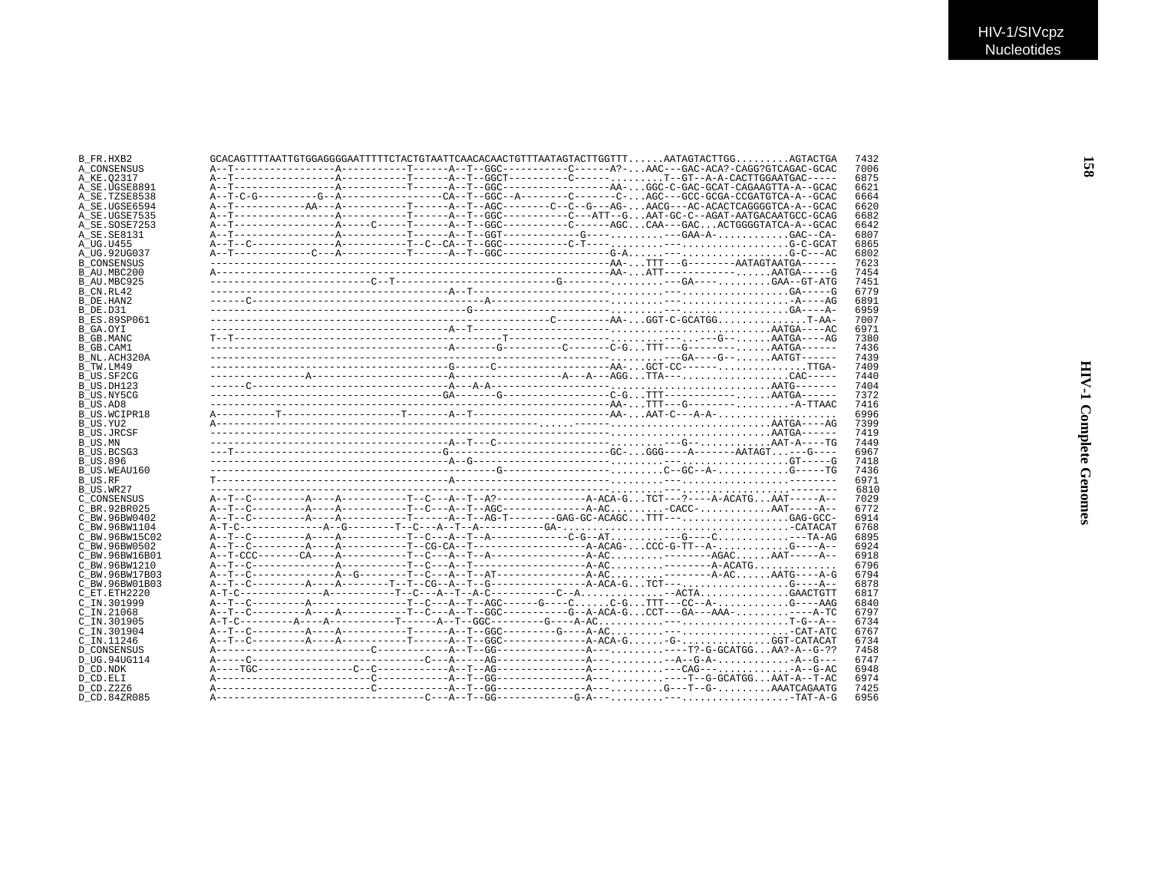| B_FR.HXB2           |  |  | $GCACAGTTTTTATTGTGGAGGGGAATTTTTCTACTGTTATTTCAATACACACTGTTTTAATAGTACTTGGTTTAATAGTACTTGGABTACTGA$ |  |  | 7432 |
|---------------------|--|--|-------------------------------------------------------------------------------------------------|--|--|------|
| A CONSENSUS         |  |  |                                                                                                 |  |  | 7006 |
| A KE.02317          |  |  |                                                                                                 |  |  | 6875 |
| A SE.UGSE8891       |  |  |                                                                                                 |  |  | 6621 |
| A SE.TZSE8538       |  |  |                                                                                                 |  |  | 6664 |
| A SE.UGSE6594       |  |  | A--T-----------AA---A----------T-----A--T--AGC-------C--C--G---AG-AACG---ACACTCAGGGGTCA-A--GCAC |  |  | 6620 |
| A SE.UGSE7535       |  |  |                                                                                                 |  |  | 6682 |
|                     |  |  |                                                                                                 |  |  |      |
| A SE.SOSE7253       |  |  |                                                                                                 |  |  | 6642 |
| A SE.SE8131         |  |  |                                                                                                 |  |  | 6807 |
| A UG.U455           |  |  |                                                                                                 |  |  | 6865 |
| A UG.92UG037        |  |  |                                                                                                 |  |  | 6802 |
| <b>B CONSENSUS</b>  |  |  |                                                                                                 |  |  | 7623 |
| B AU.MBC200         |  |  |                                                                                                 |  |  | 7454 |
| B AU.MBC925         |  |  |                                                                                                 |  |  | 7451 |
|                     |  |  |                                                                                                 |  |  | 6779 |
| B CN.RL42           |  |  |                                                                                                 |  |  |      |
| B DE.HAN2           |  |  |                                                                                                 |  |  | 6891 |
| B DE.D31            |  |  |                                                                                                 |  |  | 6959 |
| <b>B ES.89SP061</b> |  |  |                                                                                                 |  |  | 7007 |
| B GA.OYI            |  |  |                                                                                                 |  |  | 6971 |
| B GB.MANC           |  |  |                                                                                                 |  |  | 7380 |
| B GB.CAM1           |  |  |                                                                                                 |  |  | 7436 |
| B NL.ACH320A        |  |  |                                                                                                 |  |  | 7439 |
|                     |  |  |                                                                                                 |  |  |      |
| B TW.LM49           |  |  |                                                                                                 |  |  | 7409 |
| B US.SF2CG          |  |  |                                                                                                 |  |  | 7440 |
| B US.DH123          |  |  |                                                                                                 |  |  | 7404 |
| B US.NY5CG          |  |  |                                                                                                 |  |  | 7372 |
| B US.AD8            |  |  |                                                                                                 |  |  | 7416 |
| B US.WCIPR18        |  |  |                                                                                                 |  |  | 6996 |
| B_US.YU2            |  |  |                                                                                                 |  |  | 7399 |
|                     |  |  |                                                                                                 |  |  |      |
| <b>B US.JRCSF</b>   |  |  |                                                                                                 |  |  | 7419 |
| B US.MN             |  |  |                                                                                                 |  |  | 7449 |
| B US.BCSG3          |  |  |                                                                                                 |  |  | 6967 |
| <b>B US.896</b>     |  |  |                                                                                                 |  |  | 7418 |
| B US.WEAU160        |  |  |                                                                                                 |  |  | 7436 |
| B US.RF             |  |  |                                                                                                 |  |  | 6971 |
| B US.WR27           |  |  |                                                                                                 |  |  | 6810 |
|                     |  |  |                                                                                                 |  |  | 7029 |
| C CONSENSUS         |  |  |                                                                                                 |  |  |      |
| C BR. 92BR025       |  |  |                                                                                                 |  |  | 6772 |
| C BW.96BW0402       |  |  |                                                                                                 |  |  | 6914 |
| C BW.96BW1104       |  |  |                                                                                                 |  |  | 6768 |
| C BW.96BW15C02      |  |  |                                                                                                 |  |  | 6895 |
| C BW.96BW0502       |  |  |                                                                                                 |  |  | 6924 |
| C BW.96BW16B01      |  |  |                                                                                                 |  |  | 6918 |
| C BW.96BW1210       |  |  |                                                                                                 |  |  | 6796 |
|                     |  |  |                                                                                                 |  |  | 6794 |
| C BW.96BW17B03      |  |  |                                                                                                 |  |  |      |
| C BW.96BW01B03      |  |  |                                                                                                 |  |  | 6878 |
| C ET. ETH2220       |  |  |                                                                                                 |  |  | 6817 |
| C IN.301999         |  |  | A--T--C----------A-----------------T--C---A--T--AGC------G-----CC-GTTT---CC--A-G----AAG         |  |  | 6840 |
| $C$ IN. 21068       |  |  |                                                                                                 |  |  | 6797 |
| C IN.301905         |  |  |                                                                                                 |  |  | 6734 |
| C IN.301904         |  |  |                                                                                                 |  |  | 6767 |
|                     |  |  |                                                                                                 |  |  | 6734 |
| C IN.11246          |  |  |                                                                                                 |  |  |      |
| <b>D CONSENSUS</b>  |  |  |                                                                                                 |  |  | 7458 |
| D UG.94UG114        |  |  |                                                                                                 |  |  | 6747 |
| D CD.NDK            |  |  |                                                                                                 |  |  | 6948 |
| D CD.ELI            |  |  |                                                                                                 |  |  | 6974 |
| D CD.Z2Z6           |  |  |                                                                                                 |  |  | 7425 |
|                     |  |  |                                                                                                 |  |  | 6956 |
| D CD.84ZR085        |  |  |                                                                                                 |  |  |      |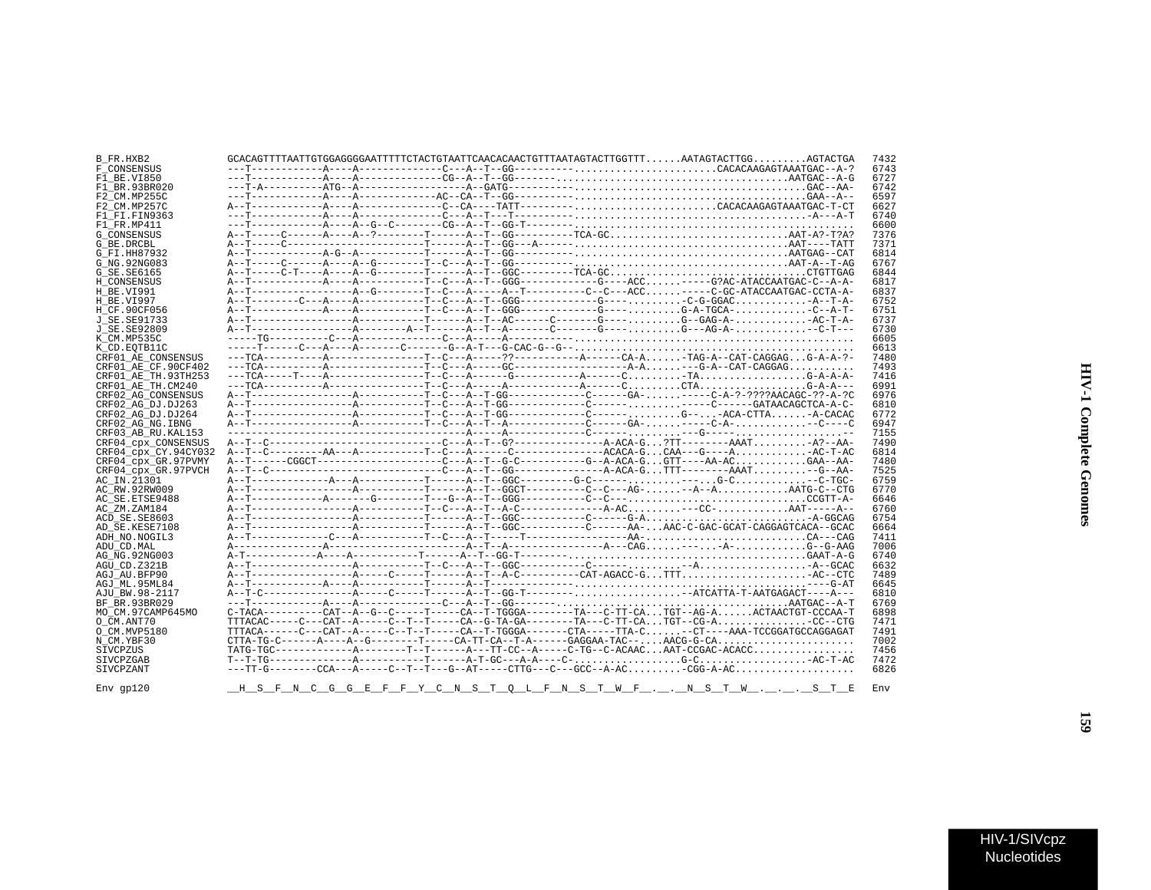| B FR.HXB2            |  |  |  |  |  | $GCACAGTTTTAATTGTGGAGGGGAATTTTTCTACTGATGATATCAACACAGTTTTTAATAGTACTTGGTTTAATAGTACTTGGAGTACTGA$                  | 7432 |
|----------------------|--|--|--|--|--|----------------------------------------------------------------------------------------------------------------|------|
| F CONSENSUS          |  |  |  |  |  |                                                                                                                | 6743 |
|                      |  |  |  |  |  |                                                                                                                |      |
| F1 BE.VI850          |  |  |  |  |  |                                                                                                                | 6727 |
| F1 BR.93BR020        |  |  |  |  |  |                                                                                                                | 6742 |
| F2 CM.MP255C         |  |  |  |  |  |                                                                                                                | 6597 |
| F2 CM.MP257C         |  |  |  |  |  |                                                                                                                | 6627 |
| F1 FI.FIN9363        |  |  |  |  |  |                                                                                                                | 6740 |
|                      |  |  |  |  |  |                                                                                                                |      |
| F1 FR.MP411          |  |  |  |  |  |                                                                                                                | 6600 |
| <b>G CONSENSUS</b>   |  |  |  |  |  |                                                                                                                | 7376 |
| G BE.DRCBL           |  |  |  |  |  |                                                                                                                | 7371 |
| G FI.HH87932         |  |  |  |  |  |                                                                                                                | 6814 |
| G NG. 92NG083        |  |  |  |  |  |                                                                                                                | 6767 |
|                      |  |  |  |  |  |                                                                                                                | 6844 |
| G SE.SE6165          |  |  |  |  |  | A--T-----C-T----A-----A--G--------T------A--T--GGC---------TCA-GCCTGTTGAG                                      |      |
| H CONSENSUS          |  |  |  |  |  |                                                                                                                | 6817 |
| H BE.VI991           |  |  |  |  |  |                                                                                                                | 6837 |
| H BE.VI997           |  |  |  |  |  |                                                                                                                | 6752 |
| H CF.90CF056         |  |  |  |  |  |                                                                                                                | 6751 |
|                      |  |  |  |  |  |                                                                                                                |      |
| J SE. SE91733        |  |  |  |  |  |                                                                                                                | 6737 |
| J SE. SE92809        |  |  |  |  |  |                                                                                                                | 6730 |
| K CM.MP535C          |  |  |  |  |  |                                                                                                                | 6605 |
| K CD.EOTB11C         |  |  |  |  |  |                                                                                                                | 6613 |
| CRF01 AE CONSENSUS   |  |  |  |  |  |                                                                                                                | 7480 |
|                      |  |  |  |  |  |                                                                                                                |      |
| CRF01 AE CF.90CF402  |  |  |  |  |  |                                                                                                                | 7493 |
| CRF01 AE TH.93TH253  |  |  |  |  |  |                                                                                                                | 7416 |
| CRF01 AE TH.CM240    |  |  |  |  |  |                                                                                                                | 6991 |
| CRF02 AG CONSENSUS   |  |  |  |  |  |                                                                                                                | 6976 |
|                      |  |  |  |  |  |                                                                                                                | 6810 |
| CRF02 AG DJ.DJ263    |  |  |  |  |  |                                                                                                                |      |
| CRF02 AG DJ.DJ264    |  |  |  |  |  |                                                                                                                | 6772 |
| CRF02 AG NG. IBNG    |  |  |  |  |  |                                                                                                                | 6947 |
| CRF03 AB RU. KAL153  |  |  |  |  |  |                                                                                                                | 7155 |
| CRF04 CDX CONSENSUS  |  |  |  |  |  | A--T--C-----------------------------C---A--T--G?------------------A-ACA-G?TT---------AAATA?--AA-               | 7490 |
|                      |  |  |  |  |  |                                                                                                                |      |
| CRF04 CDX CY.94CY032 |  |  |  |  |  |                                                                                                                | 6814 |
| CRF04 CDX GR.97PVMY  |  |  |  |  |  |                                                                                                                | 7480 |
| CRF04 CDX GR.97PVCH  |  |  |  |  |  |                                                                                                                | 7525 |
| AC IN.21301          |  |  |  |  |  |                                                                                                                | 6759 |
| AC RW.92RW009        |  |  |  |  |  |                                                                                                                | 6770 |
|                      |  |  |  |  |  |                                                                                                                | 6646 |
| AC SE. ETSE9488      |  |  |  |  |  |                                                                                                                |      |
| AC ZM.ZAM184         |  |  |  |  |  |                                                                                                                | 6760 |
| ACD SE.SE8603        |  |  |  |  |  |                                                                                                                | 6754 |
| AD SE.KESE7108       |  |  |  |  |  |                                                                                                                | 6664 |
| ADH NO.NOGIL3        |  |  |  |  |  |                                                                                                                | 7411 |
|                      |  |  |  |  |  |                                                                                                                | 7006 |
| ADU CD.MAL           |  |  |  |  |  |                                                                                                                |      |
| AG NG. 92NG003       |  |  |  |  |  |                                                                                                                | 6740 |
| AGU CD.Z321B         |  |  |  |  |  |                                                                                                                | 6632 |
| AGJ AU.BFP90         |  |  |  |  |  |                                                                                                                | 7489 |
| AGJ ML.95ML84        |  |  |  |  |  |                                                                                                                | 6645 |
|                      |  |  |  |  |  |                                                                                                                | 6810 |
| AJU BW.98-2117       |  |  |  |  |  |                                                                                                                |      |
| BF BR.93BR029        |  |  |  |  |  |                                                                                                                | 6769 |
| MO CM.97CAMP645MO    |  |  |  |  |  | C-TACA---------CAT--A--G--C-----T----CA--T-TGGGA-------TA---C-TT-CATGT--AG-AACTAACTGT-CCCAA-T                  | 6898 |
| O CM.ANT70           |  |  |  |  |  | $TTTACAC---C---CAT---AT---C---T---T---CA--G-TA-GA---T---TA---C-TT-CATGT---C-G-A$                               | 7471 |
| O CM.MVP5180         |  |  |  |  |  | TTTACA------C---CAT--A-----C--T--T----CA--T-TGGGA-------CTA-----TTA-C-CT----AAA-TCCGGATGCCAGGAGAT              | 7491 |
|                      |  |  |  |  |  |                                                                                                                |      |
| N CM.YBF30           |  |  |  |  |  | $\texttt{CTTA-TG-C---A---A---A--G----T---CA-TT-CA--T-A----GAGGAA-TAC---\texttt{AAGG-TAC---}\texttt{AAGG-G-CA}$ | 7002 |
| SIVCPZUS             |  |  |  |  |  | TATG-TGC-------------A--------T--T------A---TT-CC--A-----C-TG--C-ACAACAAT-CCGAC-ACACC                          | 7456 |
| SIVCPZGAB            |  |  |  |  |  |                                                                                                                | 7472 |
| SIVCPZANT            |  |  |  |  |  |                                                                                                                | 6826 |
|                      |  |  |  |  |  |                                                                                                                |      |
|                      |  |  |  |  |  |                                                                                                                | Env  |
| $Env$ qp $120$       |  |  |  |  |  | H S F N C G G E F F Y C N S T O L F N S T W F N S T W S T E                                                    |      |

Nucleotides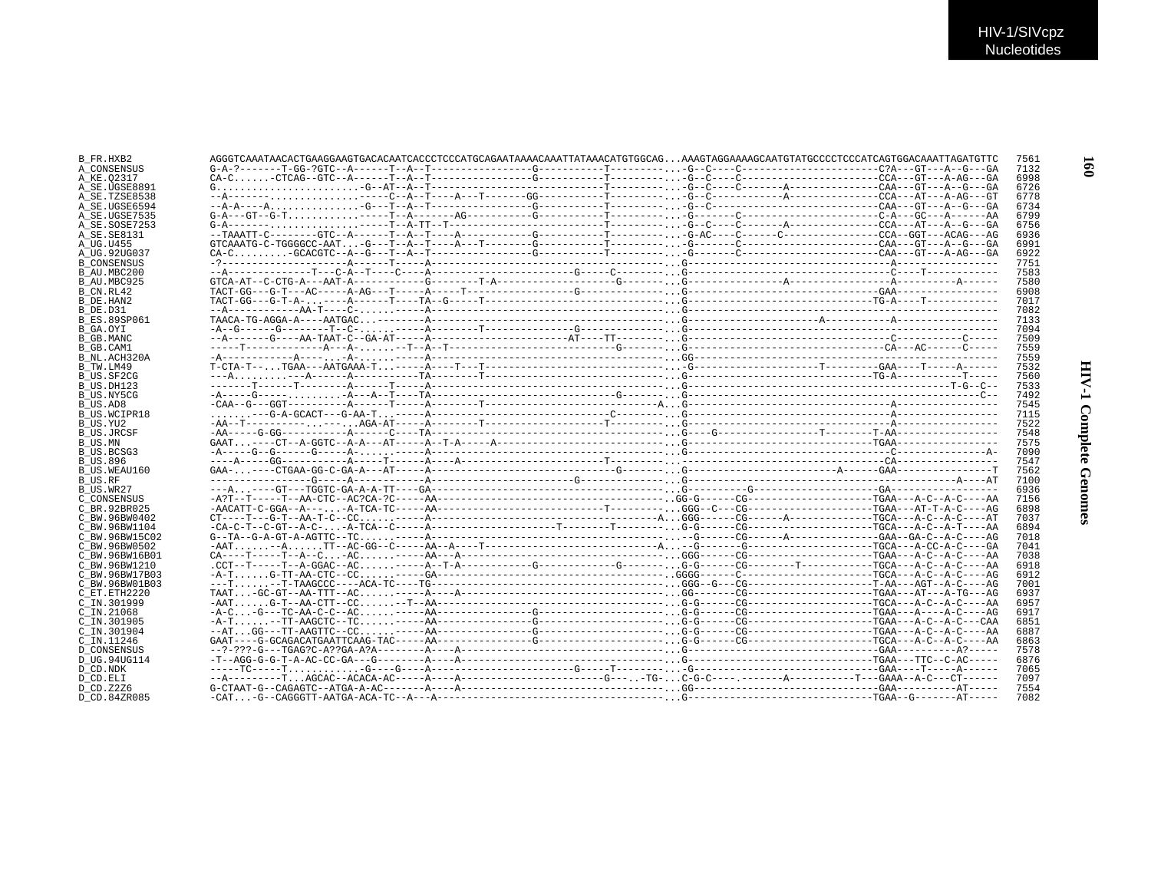| B FR.HXB2           | AGGGTCAAATAACACAAAGAAAGTAAAGAAATAACACCTCCCATGCAAATAAAACAAATTATAACATGTGCAAAAGGAAAAGCAATGTATGCCCTCCCATCAGTGGAAAATTAGGTC                                                                                                                                                  | 7561 |
|---------------------|------------------------------------------------------------------------------------------------------------------------------------------------------------------------------------------------------------------------------------------------------------------------|------|
| A CONSENSUS         |                                                                                                                                                                                                                                                                        | 7132 |
| A KE.02317          |                                                                                                                                                                                                                                                                        | 6998 |
| A SE.UGSE8891       |                                                                                                                                                                                                                                                                        | 6726 |
| A SE.TZSE8538       |                                                                                                                                                                                                                                                                        | 6778 |
| A SE.UGSE6594       |                                                                                                                                                                                                                                                                        | 6734 |
| A SE.UGSE7535       |                                                                                                                                                                                                                                                                        | 6799 |
|                     |                                                                                                                                                                                                                                                                        | 6756 |
| A SE.SOSE7253       |                                                                                                                                                                                                                                                                        |      |
| A SE.SE8131         |                                                                                                                                                                                                                                                                        | 6936 |
| A UG.U455           |                                                                                                                                                                                                                                                                        | 6991 |
| A UG.92UG037        |                                                                                                                                                                                                                                                                        | 6922 |
| <b>B CONSENSUS</b>  |                                                                                                                                                                                                                                                                        | 7751 |
| B AU.MBC200         |                                                                                                                                                                                                                                                                        | 7583 |
| B AU.MBC925         |                                                                                                                                                                                                                                                                        | 7580 |
| B CN.RL42           |                                                                                                                                                                                                                                                                        | 6908 |
| B DE.HAN2           |                                                                                                                                                                                                                                                                        | 7017 |
| B DE.D31            |                                                                                                                                                                                                                                                                        | 7082 |
| <b>B ES.89SP061</b> |                                                                                                                                                                                                                                                                        | 7133 |
| B GA.OYI            |                                                                                                                                                                                                                                                                        | 7094 |
| B GB.MANC           |                                                                                                                                                                                                                                                                        | 7509 |
| B GB.CAM1           |                                                                                                                                                                                                                                                                        | 7559 |
| B NL.ACH320A        |                                                                                                                                                                                                                                                                        | 7559 |
| B TW.LM49           |                                                                                                                                                                                                                                                                        | 7532 |
| B US.SF2CG          |                                                                                                                                                                                                                                                                        | 7560 |
| B US.DH123          |                                                                                                                                                                                                                                                                        | 7533 |
| B US.NY5CG          |                                                                                                                                                                                                                                                                        | 7492 |
|                     |                                                                                                                                                                                                                                                                        | 7545 |
| B US.AD8            |                                                                                                                                                                                                                                                                        | 7115 |
| B US.WCIPR18        |                                                                                                                                                                                                                                                                        | 7522 |
| B US.YU2            |                                                                                                                                                                                                                                                                        |      |
| B US.JRCSF          |                                                                                                                                                                                                                                                                        | 7548 |
| B US.MN             |                                                                                                                                                                                                                                                                        | 7575 |
| B US.BCSG3          |                                                                                                                                                                                                                                                                        | 7090 |
| B US.896            |                                                                                                                                                                                                                                                                        | 7547 |
| B US.WEAU160        |                                                                                                                                                                                                                                                                        | 7562 |
| B US.RF             |                                                                                                                                                                                                                                                                        | 7100 |
| B US.WR27           |                                                                                                                                                                                                                                                                        | 6936 |
| C CONSENSUS         |                                                                                                                                                                                                                                                                        | 7156 |
| C BR.92BR025        |                                                                                                                                                                                                                                                                        | 6898 |
| C BW.96BW0402       |                                                                                                                                                                                                                                                                        | 7037 |
| C BW.96BW1104       |                                                                                                                                                                                                                                                                        | 6894 |
| C BW.96BW15C02      |                                                                                                                                                                                                                                                                        | 7018 |
| C BW.96BW0502       | $-AAT$ $-A$ $TT-AC-GG--C---AA--A---T------------------A$ $-G---G---G---G---G---T$                                                                                                                                                                                      | 7041 |
| C BW.96BW16B01      |                                                                                                                                                                                                                                                                        | 7038 |
| C BW.96BW1210       |                                                                                                                                                                                                                                                                        | 6918 |
| C BW.96BW17B03      |                                                                                                                                                                                                                                                                        | 6912 |
| C BW.96BW01B03      |                                                                                                                                                                                                                                                                        | 7001 |
| C ET. ETH2220       |                                                                                                                                                                                                                                                                        | 6937 |
| C IN.301999         |                                                                                                                                                                                                                                                                        | 6957 |
| $C$ IN. 21068       |                                                                                                                                                                                                                                                                        | 6917 |
|                     |                                                                                                                                                                                                                                                                        | 6851 |
| C IN.301905         |                                                                                                                                                                                                                                                                        |      |
| C IN.301904         |                                                                                                                                                                                                                                                                        | 6887 |
| C IN.11246          |                                                                                                                                                                                                                                                                        | 6863 |
| D CONSENSUS         |                                                                                                                                                                                                                                                                        | 7578 |
| D UG.94UG114        |                                                                                                                                                                                                                                                                        | 6876 |
| D CD.NDK            |                                                                                                                                                                                                                                                                        | 7065 |
| D CD.ELI            |                                                                                                                                                                                                                                                                        | 7097 |
| D CD.Z2Z6           | $G-CTAAT-G-CTAATGZ-ATGZ-2-CTGZ-2-CTGZ-2-CTGZ-2-CTGZ-2-CTGZ-2-CTGZ-2-CTGZ-2-CTGZ-2-CTGZ-2-CTGZ-2-CTGZ-2-CTGZ-2-CTGZ-2-CTGZ-2-CTGZ-2-CTGZ-2-CTGZ-2-CTGZ-2-CTGZ-2-CTGZ-2-CTGZ-2-CTGZ-2-CTGZ-2-CTGZ-2-CTGZ-2-CTGZ-2-CTGZ-2-CTGZ-2-CTGZ-2-CTGZ-2-CTGZ-2-CTGZ-2-CTGZ-2-CTGZ$ | 7554 |
| D CD.84ZR085        |                                                                                                                                                                                                                                                                        | 7082 |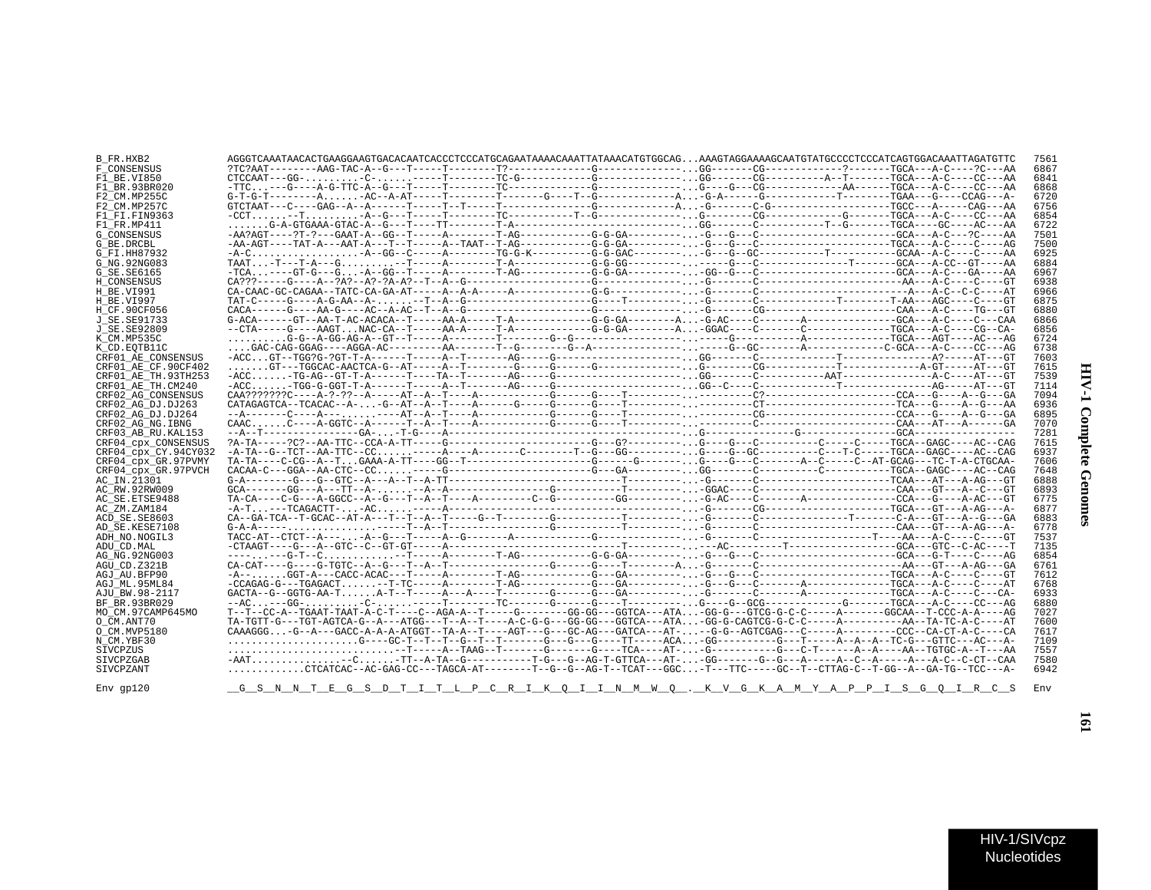| ì<br>Ì<br>i |  |
|-------------|--|
| Ξ<br>i<br>ì |  |

 $\blacksquare$ 

| B FR.HXB2            | AGGGTCAAATAACACTGAAGGAAGTGACACAATCACCCTCCCATGCAGAATAAAACAAATTATAAACATGTGGCAGAAAGTAGGAAAAGCAATGTATGCCCCTCCCATCAGTGGACAAATTAGATGTC     |  |  | 7561 |
|----------------------|--------------------------------------------------------------------------------------------------------------------------------------|--|--|------|
| F CONSENSUS          |                                                                                                                                      |  |  | 6867 |
| F1 BE.VI850          | $CTCCAAT = -GG - \ldots \ldots - C - \ldots \ldots - C - \lambda$                                                                    |  |  | 6841 |
| F1 BR.93BR020        |                                                                                                                                      |  |  | 6868 |
| F2 CM.MP255C         | $G-T-G-T------A$ AC--A-AT-----T--------G----T------G-------A-G-A-----G-------T------T-GAA---G----CCAG---A-                           |  |  | 6720 |
| F2_CM.MP257C         | $GTCTAAT---G---GAG---A---A---T---T---T---T---T---T---T---A---G---A---A.-G-----C-(G---A---A---A---TGCC---A---CAGC---A---CAG--A---A$   |  |  | 6756 |
| F1 FI.FIN9363        |                                                                                                                                      |  |  | 6854 |
| F1 FR.MP411          |                                                                                                                                      |  |  | 6722 |
| G CONSENSUS          |                                                                                                                                      |  |  | 7501 |
| G BE.DRCBL           |                                                                                                                                      |  |  | 7500 |
| G FI.HH87932         |                                                                                                                                      |  |  | 6925 |
|                      |                                                                                                                                      |  |  |      |
| G NG.92NG083         |                                                                                                                                      |  |  | 6884 |
| G SE.SE6165          |                                                                                                                                      |  |  | 6967 |
| H CONSENSUS          |                                                                                                                                      |  |  | 6938 |
| H BE.VI991           |                                                                                                                                      |  |  | 6966 |
| H BE.VI997           |                                                                                                                                      |  |  | 6875 |
| H CF.90CF056         | $CACA---G---AA-G---AC--A-AC--T--A-(G---C---G---C---G---C---C.$                                                                       |  |  | 6880 |
| J SE.SE91733         |                                                                                                                                      |  |  | 6866 |
| J SE.SE92809         |                                                                                                                                      |  |  | 6856 |
| K CM.MP535C          |                                                                                                                                      |  |  | 6724 |
| K CD.EOTB11C         |                                                                                                                                      |  |  | 6738 |
| CRF01 AE CONSENSUS   |                                                                                                                                      |  |  | 7603 |
| CRF01 AE CF.90CF402  |                                                                                                                                      |  |  | 7615 |
| CRF01 AE TH.93TH253  |                                                                                                                                      |  |  | 7539 |
| CRF01 AE TH.CM240    |                                                                                                                                      |  |  | 7114 |
| CRF02 AG CONSENSUS   |                                                                                                                                      |  |  | 7094 |
| CRF02 AG DJ.DJ263    |                                                                                                                                      |  |  | 6936 |
| CRF02 AG DJ.DJ264    |                                                                                                                                      |  |  | 6895 |
| CRF02 AG NG.IBNG     | $CAC, \ldots, C---A-GGTC-A-----T-A--T---A---A---A---C---C---T---T---C---C---C---C---C---C---C---C---C-A---CAA---ATC---A-T---GAA$     |  |  | 7070 |
| CRF03 AB RU.KAL153   |                                                                                                                                      |  |  | 7281 |
| CRF04 cpx CONSENSUS  |                                                                                                                                      |  |  | 7615 |
|                      |                                                                                                                                      |  |  | 6937 |
| CRF04 cpx CY.94CY032 |                                                                                                                                      |  |  |      |
| CRF04 cpx GR.97PVMY  |                                                                                                                                      |  |  | 7606 |
| CRF04 cpx GR.97PVCH  |                                                                                                                                      |  |  | 7648 |
| AC IN.21301          |                                                                                                                                      |  |  | 6888 |
| AC RW.92RW009        |                                                                                                                                      |  |  | 6893 |
| AC SE.ETSE9488       |                                                                                                                                      |  |  | 6775 |
| AC ZM.ZAM184         |                                                                                                                                      |  |  | 6877 |
| ACD SE.SE8603        |                                                                                                                                      |  |  | 6883 |
| AD SE.KESE7108       |                                                                                                                                      |  |  | 6778 |
| ADH NO.NOGIL3        |                                                                                                                                      |  |  | 7537 |
| ADU CD.MAL           |                                                                                                                                      |  |  | 7135 |
| AG NG.92NG003        |                                                                                                                                      |  |  | 6854 |
| AGU CD.Z321B         |                                                                                                                                      |  |  | 6761 |
| AGJ AU BFP90         |                                                                                                                                      |  |  | 7612 |
| AGJ ML.95ML84        |                                                                                                                                      |  |  | 6768 |
| AJU BW.98-2117       |                                                                                                                                      |  |  | 6933 |
| BF BR.93BR029        |                                                                                                                                      |  |  | 6880 |
| MO CM.97CAMP645MO    | T--T--CC-A--TGAAT-TAAT-A-C-T----C--AGA-A--T-----G------GG-GG---GGTCA---ATA-GG-G---GTCG-G-C-C-----A------GGCAA--T-CCC-A-A----AG       |  |  | 7027 |
| O CM.ANT70           | TA-TGTT-G---TGT-AGTCA-G--A---ATGG---T--A--T----A-C-G-G---GG-GG---GGTCA---ATA-GG-G-CAGTCG-G-C-C-----A-------------AA--TA-TC-A-C----AT |  |  | 7600 |
| O CM.MVP5180         | CAAAGGG-G--A---GACC-A-A-ATGGT--TA-A--T----AGT---G---GC-AG---GATCA---AT---G-G--AGTCGAG---C-----A--------CCC--CA-CT-A-C----CA          |  |  | 7617 |
| N CM.YBF30           |                                                                                                                                      |  |  | 7109 |
| SIVCPZUS             |                                                                                                                                      |  |  | 7557 |
|                      | -AAT-C-TT--A-TA--G----------T-G---G--AG-T-GTTCA---AT--GG-------G--G---A-----A--C--A-----A--C--C-CT--CAA                              |  |  |      |
| SIVCPZGAB            | CTCATCAC--AC-GAG-CC---TAGCA-AT-------T--G--G--AG-T--TCAT---GGC-T---TTC----GC--T--CTTAG-C--T-GG--A--GA-TG--TGC---A-                   |  |  | 7580 |
| SIVCPZANT            |                                                                                                                                      |  |  | 6942 |
|                      |                                                                                                                                      |  |  |      |

 $\text{Env} \text{ gpl20} \qquad \qquad \underline{\text{G\_S\_N\_N\_T\_E\_G\_S\_D\_T\_I\_T\_L\_P\_C\_R\_I\_K\_Q\_I\_N\_M\_W\_Q\_...K\_V\_G\_K\_A\_M\_Y\_A\_P\_P\_I\_S\_G\_Q\_I\_R\_C\_S\_B}}{\text{Env}}$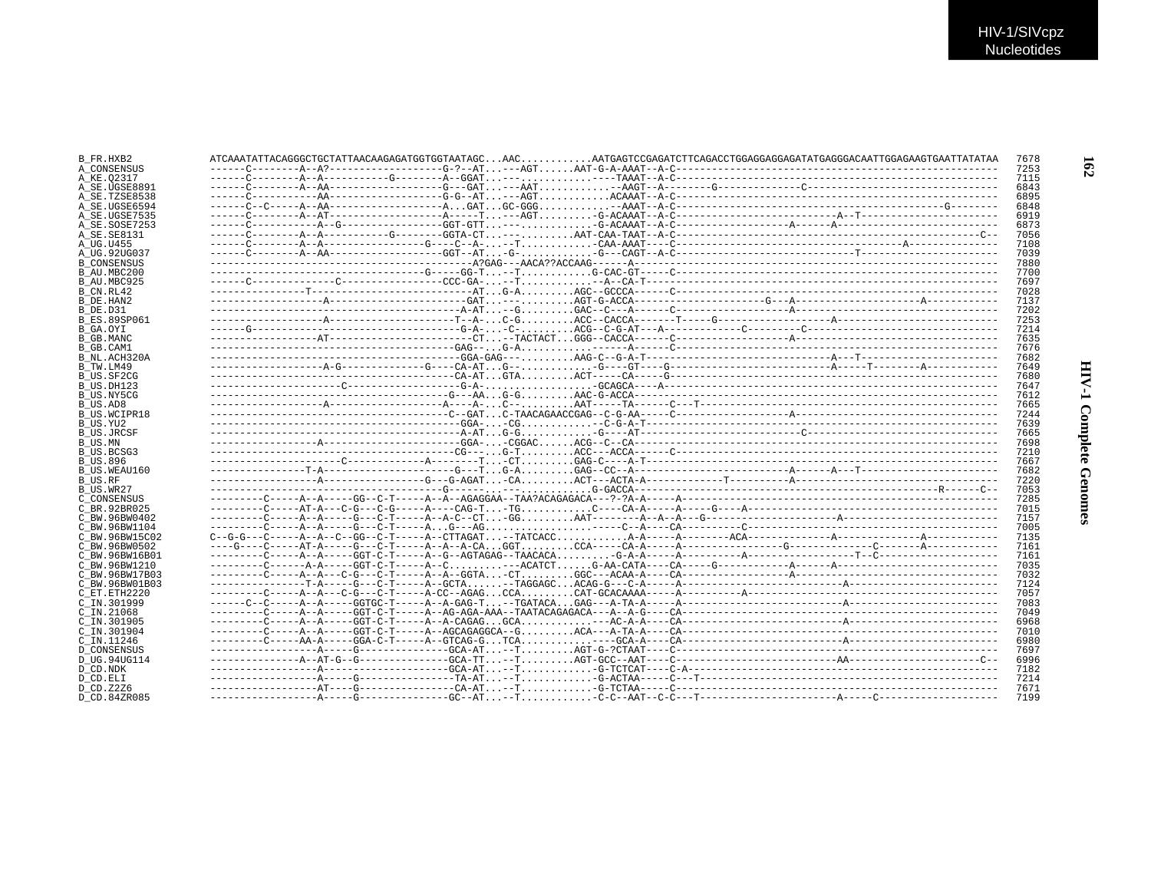| B FR.HXB2           | 7678 |
|---------------------|------|
| A CONSENSUS         | 7253 |
| A KE.02317          | 7115 |
| A_SE.UGSE8891       | 6843 |
| A SE.TZSE8538       | 6895 |
| A SE.UGSE6594       | 6848 |
| A SE.UGSE7535       | 6919 |
| A SE.SOSE7253       | 6873 |
| A_SE.SE8131         | 7056 |
| A UG.U455           | 7108 |
| A UG.92UG037        | 7039 |
| <b>B CONSENSUS</b>  | 7880 |
| B AU.MBC200         | 7700 |
| B AU.MBC925         | 7697 |
| B CN.RL42           | 7028 |
| B DE.HAN2           | 7137 |
| B DE.D31            | 7202 |
| <b>B ES.89SP061</b> | 7253 |
| B GA.OYI            | 7214 |
| B GB.MANC           | 7635 |
| B GB.CAM1           | 7676 |
| B NL.ACH320A        | 7682 |
| B TW.LM49           | 7649 |
| B US.SF2CG          | 7680 |
| B US.DH123          | 7647 |
| B US.NY5CG          | 7612 |
| B US.AD8            | 7665 |
| B US.WCIPR18        | 7244 |
| B US.YU2            | 7639 |
| <b>B US.JRCSF</b>   | 7665 |
| B US.MN             | 7698 |
| B US.BCSG3          | 7210 |
| B US.896            | 7667 |
| B_US.WEAU160        | 7682 |
| B US.RF             | 7220 |
| B US.WR27           | 7053 |
| C CONSENSUS         | 7285 |
| C BR. 92BR025       | 7015 |
| C BW.96BW0402       | 7157 |
| C BW.96BW1104       | 7005 |
| C BW.96BW15C02      | 7135 |
| C BW.96BW0502       | 7161 |
| C BW.96BW16B01      | 7161 |
| C BW.96BW1210       | 7035 |
| C BW.96BW17B03      | 7032 |
| C BW.96BW01B03      | 7124 |
| C ET.ETH2220        | 7057 |
| C IN.301999         | 7083 |
| $C$ IN. 21068       | 7049 |
| C IN.301905         | 6968 |
| C IN.301904         | 7010 |
| C IN.11246          | 6980 |
| <b>D CONSENSUS</b>  | 7697 |
| D UG.94UG114        | 6996 |
| D CD.NDK            | 7182 |
| D CD.ELI            | 7214 |
| D CD. Z2Z6          | 7671 |
| D CD.84ZR085        | 7199 |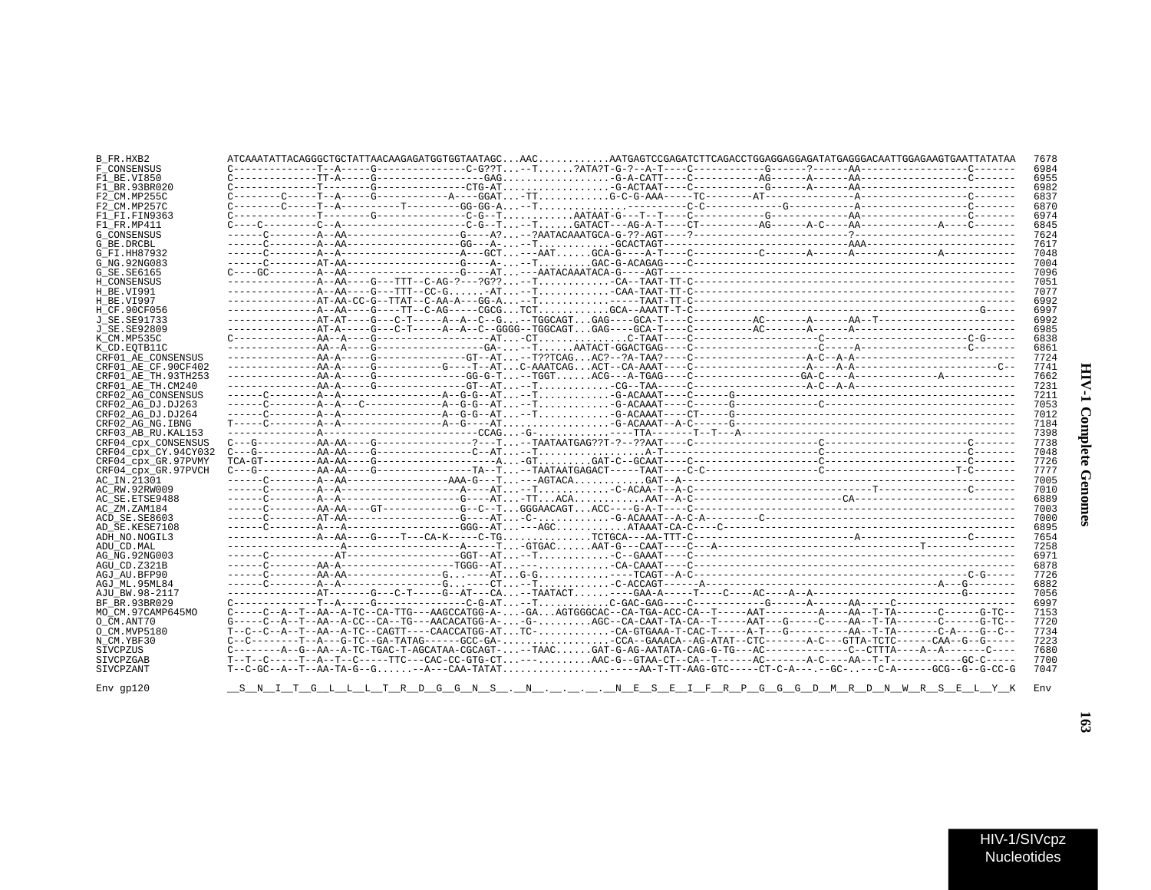| B FR.HXB2            |  | ATCAAATATTACAGGGCTGCTATTAACAAGAGATGGTGGTAATAGCAACAATGAGTCCGAGATCTTCAGACCTGGAGGAGGAGATATGAGGGACAATTGGAGAAGTGAATTATATAA                                                                                                                                                                                                                                                             |
|----------------------|--|-----------------------------------------------------------------------------------------------------------------------------------------------------------------------------------------------------------------------------------------------------------------------------------------------------------------------------------------------------------------------------------|
| F CONSENSUS          |  |                                                                                                                                                                                                                                                                                                                                                                                   |
| F1 BE.VI850          |  |                                                                                                                                                                                                                                                                                                                                                                                   |
| F1 BR.93BR020        |  |                                                                                                                                                                                                                                                                                                                                                                                   |
| F2 CM.MP255C         |  |                                                                                                                                                                                                                                                                                                                                                                                   |
|                      |  |                                                                                                                                                                                                                                                                                                                                                                                   |
| F2 CM.MP257C         |  |                                                                                                                                                                                                                                                                                                                                                                                   |
| F1 FI.FIN9363        |  |                                                                                                                                                                                                                                                                                                                                                                                   |
| F1 FR.MP411          |  |                                                                                                                                                                                                                                                                                                                                                                                   |
| <b>G CONSENSUS</b>   |  |                                                                                                                                                                                                                                                                                                                                                                                   |
| G_BE.DRCBL           |  |                                                                                                                                                                                                                                                                                                                                                                                   |
| G FI.HH87932         |  |                                                                                                                                                                                                                                                                                                                                                                                   |
| G NG. 92NG083        |  |                                                                                                                                                                                                                                                                                                                                                                                   |
| G SE. SE6165         |  |                                                                                                                                                                                                                                                                                                                                                                                   |
| H CONSENSUS          |  |                                                                                                                                                                                                                                                                                                                                                                                   |
| H BE.VI991           |  |                                                                                                                                                                                                                                                                                                                                                                                   |
|                      |  |                                                                                                                                                                                                                                                                                                                                                                                   |
| H BE.VI997           |  |                                                                                                                                                                                                                                                                                                                                                                                   |
| H CF.90CF056         |  | $\hskip-10.5cm \ldots\hskip-10.5cm \ldots\hskip-10.5cm \ldots\hskip-10.5cm \ldots\hskip-10.5cm \ldots\hskip-10.5cm \ldots\hskip-10.5cm \ldots\hskip-10.5cm \ldots\hskip-10.5cm \ldots\hskip-10.5cm \ldots\hskip-10.5cm \ldots\hskip-10.5cm \ldots\hskip-10.5cm \ldots\hskip-10.5cm \ldots\hskip-10.5cm \ldots\hskip-10.5cm \ldots\hskip-10.5cm \ldots\hskip-10.5cm \ldots\hskip-$ |
| J SE.SE91733         |  |                                                                                                                                                                                                                                                                                                                                                                                   |
| J SE. SE92809        |  |                                                                                                                                                                                                                                                                                                                                                                                   |
| K CM.MP535C          |  |                                                                                                                                                                                                                                                                                                                                                                                   |
| K CD.EOTB11C         |  |                                                                                                                                                                                                                                                                                                                                                                                   |
| CRF01 AE CONSENSUS   |  |                                                                                                                                                                                                                                                                                                                                                                                   |
| CRF01 AE CF.90CF402  |  |                                                                                                                                                                                                                                                                                                                                                                                   |
| CRF01 AE TH.93TH253  |  |                                                                                                                                                                                                                                                                                                                                                                                   |
|                      |  |                                                                                                                                                                                                                                                                                                                                                                                   |
| CRF01 AE TH.CM240    |  |                                                                                                                                                                                                                                                                                                                                                                                   |
| CRF02 AG CONSENSUS   |  |                                                                                                                                                                                                                                                                                                                                                                                   |
| CRF02 AG DJ.DJ263    |  |                                                                                                                                                                                                                                                                                                                                                                                   |
| CRF02 AG DJ.DJ264    |  |                                                                                                                                                                                                                                                                                                                                                                                   |
| CRF02 AG NG. IBNG    |  |                                                                                                                                                                                                                                                                                                                                                                                   |
| CRF03 AB RU. KAL153  |  |                                                                                                                                                                                                                                                                                                                                                                                   |
| CRF04 cpx CONSENSUS  |  |                                                                                                                                                                                                                                                                                                                                                                                   |
| CRF04 CDX CY.94CY032 |  |                                                                                                                                                                                                                                                                                                                                                                                   |
| CRF04 cpx GR.97PVMY  |  | $TCA-GT------AA-AA---G-----------\ldots. \nonumber$                                                                                                                                                                                                                                                                                                                               |
| CRF04 cpx GR.97PVCH  |  | $C---G------AA-AA---G---------TA---TA---T--TAATTAATGAGACT---TAAT---C-C---------------C---------C---------------T-C------T-C------T-1.$                                                                                                                                                                                                                                            |
|                      |  |                                                                                                                                                                                                                                                                                                                                                                                   |
| AC IN.21301          |  |                                                                                                                                                                                                                                                                                                                                                                                   |
| AC RW.92RW009        |  |                                                                                                                                                                                                                                                                                                                                                                                   |
| AC SE.ETSE9488       |  |                                                                                                                                                                                                                                                                                                                                                                                   |
| AC ZM.ZAM184         |  |                                                                                                                                                                                                                                                                                                                                                                                   |
| ACD SE.SE8603        |  |                                                                                                                                                                                                                                                                                                                                                                                   |
| AD SE.KESE7108       |  |                                                                                                                                                                                                                                                                                                                                                                                   |
| ADH NO.NOGIL3        |  |                                                                                                                                                                                                                                                                                                                                                                                   |
| ADU CD.MAL           |  |                                                                                                                                                                                                                                                                                                                                                                                   |
| AG NG. 92NG003       |  |                                                                                                                                                                                                                                                                                                                                                                                   |
|                      |  |                                                                                                                                                                                                                                                                                                                                                                                   |
| AGU CD.Z321B         |  |                                                                                                                                                                                                                                                                                                                                                                                   |
| AGJ AU.BFP90         |  |                                                                                                                                                                                                                                                                                                                                                                                   |
| AGJ ML.95ML84        |  |                                                                                                                                                                                                                                                                                                                                                                                   |
| AJU BW.98-2117       |  |                                                                                                                                                                                                                                                                                                                                                                                   |
| BF BR.93BR029        |  |                                                                                                                                                                                                                                                                                                                                                                                   |
| MO CM.97CAMP645MO    |  |                                                                                                                                                                                                                                                                                                                                                                                   |
| O CM.ANT70           |  | G----C--A--T--AA--A-CC--CA--TG---AACACATGG-A--G-AGC--CA-CAAT-TA-CA--T-----AAT---G-----C----AA--T-TA-------C-----G-TC--                                                                                                                                                                                                                                                            |
| O CM.MVP5180         |  | $T-CC-C-A--T-AA--AC-CAGTT---CAGCTT---CACCATGG-ATTC---CA-GTGAAA-T-CAC-T---A-T---G---A-A---T-AA--T-TA---C-A---C-A---G--C---A$                                                                                                                                                                                                                                                       |
| N CM.YBF30           |  |                                                                                                                                                                                                                                                                                                                                                                                   |
|                      |  | $C------A--G--AA--A-TC-TGAC-T-AGCATAA-CGCAGT---TAACGAT-G-AG-AATATA-CAG-G-TG---AC------C--CTTTA---A---A---C---C--ATTAA-$                                                                                                                                                                                                                                                           |
| SIVCPZUS             |  |                                                                                                                                                                                                                                                                                                                                                                                   |
| SIVCPZGAB            |  |                                                                                                                                                                                                                                                                                                                                                                                   |
| SIVCPZANT            |  |                                                                                                                                                                                                                                                                                                                                                                                   |
|                      |  |                                                                                                                                                                                                                                                                                                                                                                                   |
| $Env$ qp $120$       |  | <u>S N I T G L L L T R D G G N S . N N E S E I F R P G G G D M R D N W R S E L Y K</u>                                                                                                                                                                                                                                                                                            |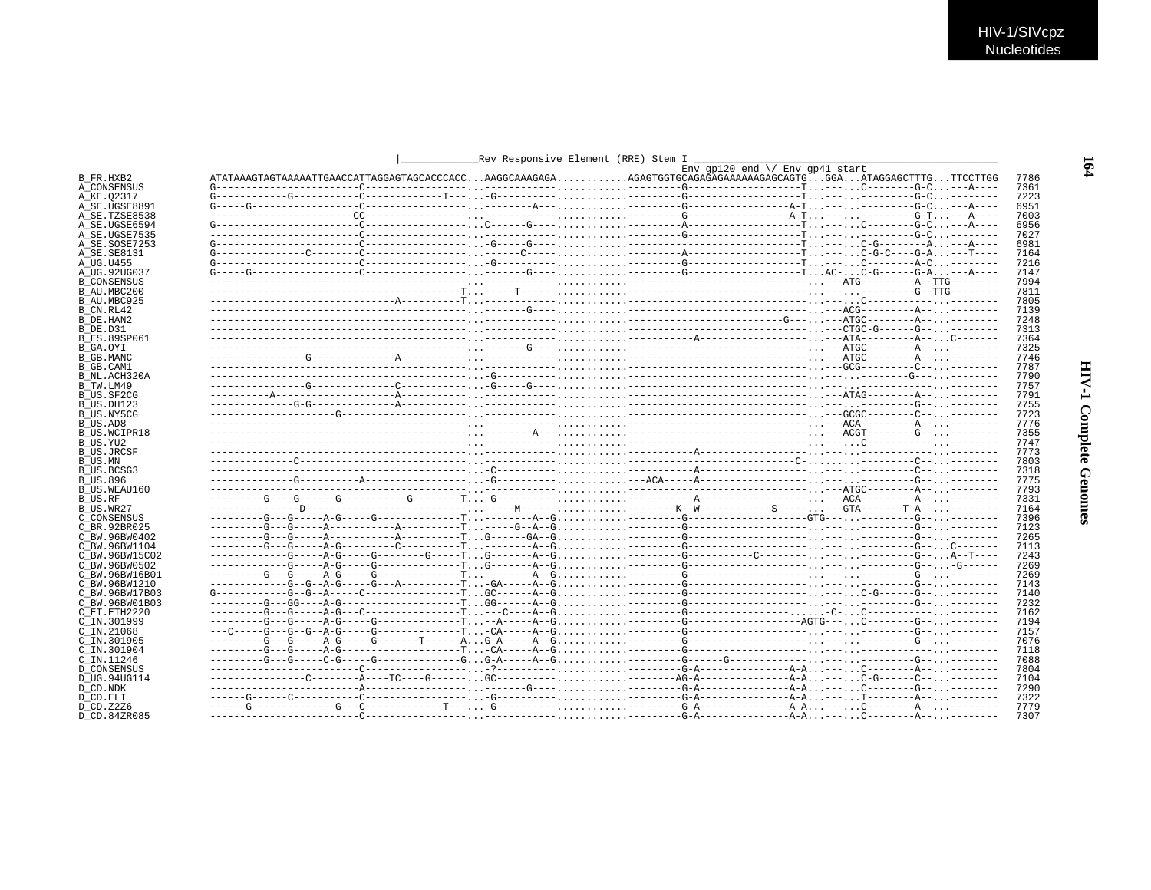|                     | _Rev Responsive Element (RRE) Stem I _ |                                          |      |
|---------------------|----------------------------------------|------------------------------------------|------|
|                     |                                        | Env $qp120$ end $\sqrt{}$ Env gp41 start |      |
| B FR.HXB2           |                                        |                                          | 7786 |
| A_CONSENSUS         |                                        |                                          | 7361 |
| A KE.02317          |                                        |                                          | 7223 |
| A SE.UGSE8891       |                                        |                                          | 6951 |
| A SE.TZSE8538       |                                        |                                          | 7003 |
| A SE.UGSE6594       |                                        |                                          | 6956 |
| A SE.UGSE7535       |                                        |                                          | 7027 |
| A SE.SOSE7253       |                                        |                                          | 6981 |
| A SE.SE8131         |                                        |                                          | 7164 |
| A_UG.U455           |                                        |                                          | 7216 |
| A UG.92UG037        |                                        |                                          | 7147 |
| <b>B CONSENSUS</b>  |                                        |                                          | 7994 |
| B AU.MBC200         |                                        |                                          | 7811 |
| B AU.MBC925         |                                        |                                          | 7805 |
| B CN.RL42           |                                        |                                          | 7139 |
| B DE.HAN2           |                                        |                                          | 7248 |
| B DE.D31            |                                        |                                          | 7313 |
| <b>B ES.89SP061</b> |                                        |                                          | 7364 |
| B_GA.OYI            |                                        |                                          | 7325 |
| B GB.MANC           |                                        |                                          | 7746 |
| B GB.CAM1           |                                        |                                          | 7787 |
| B NL.ACH320A        |                                        |                                          | 7790 |
| B TW.LM49           |                                        |                                          | 7757 |
| B US.SF2CG          |                                        |                                          | 7791 |
| B US.DH123          |                                        |                                          | 7755 |
| B US.NY5CG          |                                        |                                          | 7723 |
| B_US.AD8            |                                        |                                          | 7776 |
| B US.WCIPR18        |                                        |                                          | 7355 |
| B US.YU2            |                                        |                                          | 7747 |
| <b>B US.JRCSF</b>   |                                        |                                          | 7773 |
| B US.MN             |                                        |                                          | 7803 |
| B US.BCSG3          |                                        |                                          | 7318 |
| <b>B_US.896</b>     |                                        |                                          | 7775 |
| B US.WEAU160        |                                        |                                          | 7793 |
| B_US.RF             |                                        |                                          | 7331 |
| B US.WR27           |                                        |                                          | 7164 |
| C CONSENSUS         |                                        |                                          | 7396 |
| C BR.92BR025        |                                        |                                          | 7123 |
| C BW.96BW0402       |                                        |                                          | 7265 |
| C BW.96BW1104       |                                        |                                          | 7113 |
| C BW.96BW15C02      |                                        |                                          | 7243 |
| C BW.96BW0502       |                                        |                                          | 7269 |
| C BW.96BW16B01      |                                        |                                          | 7269 |
| C BW.96BW1210       |                                        |                                          | 7143 |
| C BW.96BW17B03      |                                        |                                          | 7140 |
| C BW.96BW01B03      |                                        |                                          | 7232 |
| C ET. ETH2220       |                                        |                                          | 7162 |
| C IN.301999         |                                        |                                          | 7194 |
| $C$ IN. 21068       |                                        |                                          | 7157 |
| C IN.301905         |                                        |                                          | 7076 |
| $C$ IN.301904       |                                        |                                          | 7118 |
| C IN.11246          |                                        |                                          | 7088 |
| <b>D CONSENSUS</b>  |                                        |                                          | 7804 |
| D UG.94UG114        |                                        |                                          | 7104 |
| D CD.NDK            |                                        |                                          | 7290 |
| D CD.ELI            |                                        |                                          | 7322 |
| D CD.Z2Z6           |                                        |                                          | 7779 |
| D CD.84ZR085        |                                        |                                          | 7307 |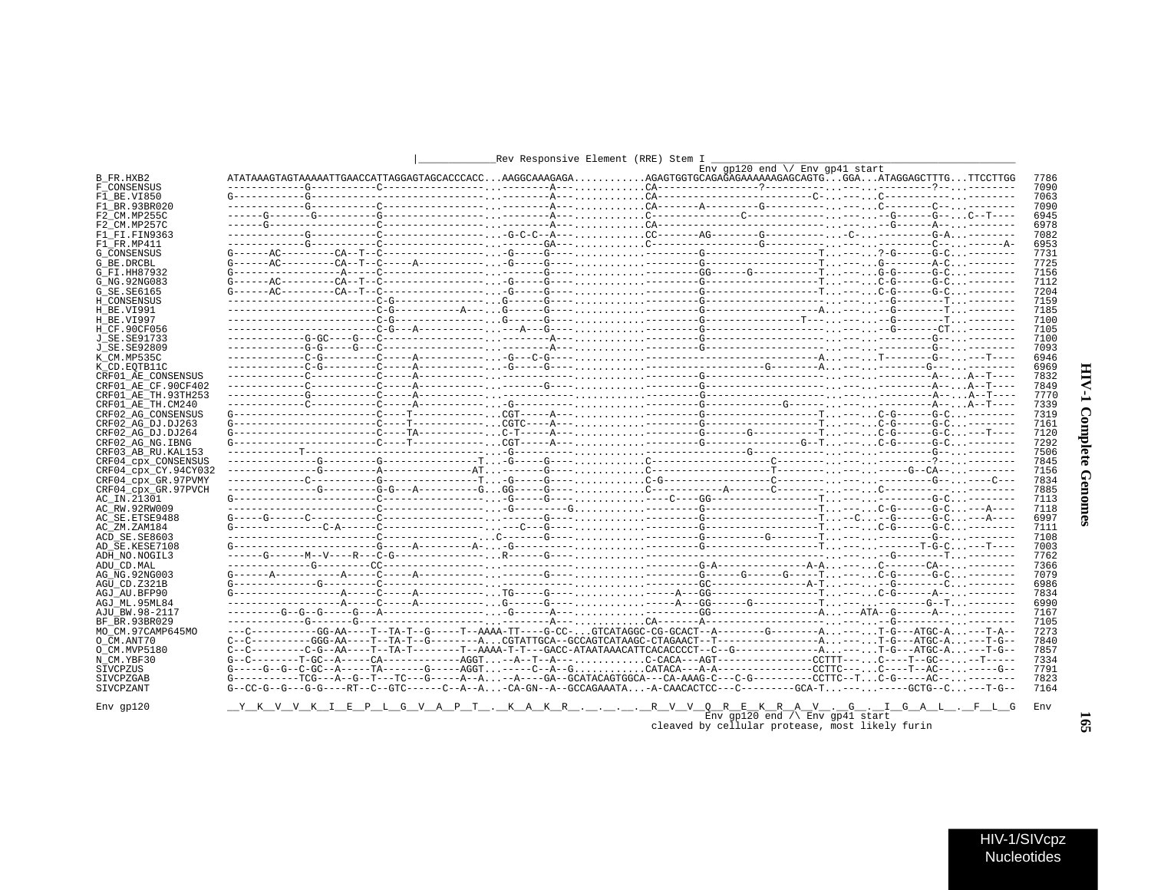|                      |  |  | $_{\rm{ENV}}$ api20 end \/ $_{\rm{ENV}}$ apil start                                                                                              |              |
|----------------------|--|--|--------------------------------------------------------------------------------------------------------------------------------------------------|--------------|
| B FR.HXB2            |  |  |                                                                                                                                                  | 7786         |
| F CONSENSUS          |  |  |                                                                                                                                                  | 7090         |
| F1 BE.VI850          |  |  |                                                                                                                                                  | 7063<br>7090 |
| F1 BR.93BR020        |  |  |                                                                                                                                                  | 6945         |
| F2 CM.MP255C         |  |  |                                                                                                                                                  |              |
| F2 CM.MP257C         |  |  |                                                                                                                                                  | 6978         |
| F1 FI.FIN9363        |  |  |                                                                                                                                                  | 7082         |
| F1 FR.MP411          |  |  |                                                                                                                                                  | 6953         |
| <b>G CONSENSUS</b>   |  |  |                                                                                                                                                  | 7731         |
| G BE.DRCBL           |  |  |                                                                                                                                                  | 7725         |
| G FI.HH87932         |  |  |                                                                                                                                                  | 7156         |
| G NG. 92NG083        |  |  |                                                                                                                                                  | 7112         |
| G SE.SE6165          |  |  |                                                                                                                                                  | 7204         |
| H CONSENSUS          |  |  |                                                                                                                                                  | 7159         |
| H BE.VI991           |  |  |                                                                                                                                                  | 7185         |
| H BE.VI997           |  |  |                                                                                                                                                  | 7100         |
| H CF.90CF056         |  |  |                                                                                                                                                  | 7105         |
| J SE.SE91733         |  |  |                                                                                                                                                  | 7100         |
| J SE. SE92809        |  |  |                                                                                                                                                  | 7093         |
| K CM.MP535C          |  |  |                                                                                                                                                  | 6946         |
| K CD.EOTB11C         |  |  |                                                                                                                                                  | 6969         |
| CRF01 AE CONSENSUS   |  |  |                                                                                                                                                  | 7832         |
| CRF01 AE CF.90CF402  |  |  |                                                                                                                                                  | 7849         |
| CRF01 AE TH.93TH253  |  |  |                                                                                                                                                  | 7770         |
| CRF01 AE TH.CM240    |  |  |                                                                                                                                                  | 7339         |
| CRF02 AG CONSENSUS   |  |  |                                                                                                                                                  | 7319         |
| CRF02 AG DJ.DJ263    |  |  |                                                                                                                                                  | 7161         |
| CRF02 AG DJ.DJ264    |  |  |                                                                                                                                                  | 7120         |
| CRF02 AG NG. IBNG    |  |  |                                                                                                                                                  | 7292         |
| CRF03 AB RU. KAL153  |  |  |                                                                                                                                                  | 7506         |
| CRF04_cpx_CONSENSUS  |  |  |                                                                                                                                                  | 7845         |
| CRF04 cpx CY.94CY032 |  |  |                                                                                                                                                  | 7156         |
| CRF04_cpx_GR.97PVMY  |  |  |                                                                                                                                                  | 7834         |
| CRF04 cpx GR.97PVCH  |  |  |                                                                                                                                                  | 7885         |
| AC IN.21301          |  |  |                                                                                                                                                  | 7113         |
| AC RW.92RW009        |  |  |                                                                                                                                                  | 7118         |
| AC SE. ETSE9488      |  |  |                                                                                                                                                  | 6997         |
| AC ZM.ZAM184         |  |  |                                                                                                                                                  | 7111         |
| ACD SE.SE8603        |  |  |                                                                                                                                                  | 7108         |
| AD SE.KESE7108       |  |  |                                                                                                                                                  | 7003         |
| ADH NO.NOGIL3        |  |  |                                                                                                                                                  | 7762         |
| ADU CD.MAL           |  |  |                                                                                                                                                  | 7366         |
| AG NG.92NG003        |  |  |                                                                                                                                                  | 7079         |
| AGU CD.Z321B         |  |  |                                                                                                                                                  | 6986         |
|                      |  |  |                                                                                                                                                  | 7834         |
| AGJ AU.BFP90         |  |  |                                                                                                                                                  |              |
| AGJ ML.95ML84        |  |  |                                                                                                                                                  | 6990         |
| AJU BW.98-2117       |  |  |                                                                                                                                                  | 7167         |
| BF BR.93BR029        |  |  |                                                                                                                                                  | 7105         |
| MO CM.97CAMP645MO    |  |  | --C----------GG-AA----T--TA-T--G-----T--AAAA-TT----G-CC-GTCATAGGC-CG-GCACT--A-------G----------A---T-G---ATGC-A---T-A--                          | 7273         |
| O CM.ANT70           |  |  |                                                                                                                                                  | 7840         |
| O CM.MVP5180         |  |  | $C-C-2------C-G--AA---T---TA-T------T--AAAA-A-T-T---GACC-ATAATAAACATOACACCCCT--C-G---------A. ---. T-G---ATGC-A. --T-G---ATGC-A. --T-G---ATCCA.$ | 7857         |
| N CM.YBF30           |  |  |                                                                                                                                                  | 7334         |
| SIVCPZUS             |  |  | $G^{---G-G-GG-GC-R---TA---TA---TG---AGGT. ----C-A-G. -A-A-----------CCTTC--- C---T--AC---. . ----G---G--$                                        | 7791         |
| SIVCPZGAB            |  |  | G----------TCG---A--G--T---TC---G-----A--A--A----GA--GCATACAGTGGCA---CA-AAAG-C---C-G---------CCTTC--TC-G-----AC----------                        | 7823         |
| SIVCPZANT            |  |  | G--CC-G--G---G-G----RT--C--GTC------C--A--A-CA-GN--A--GCCAGAAATA-A-CAACACTCC---C---------GCA-T-------GCTG--C---T-G--                             | 7164         |
|                      |  |  |                                                                                                                                                  |              |
| $Env$ qp $120$       |  |  | <u>__Y__K__V__V__K__T___B__P__L_G__V__A__P__T__. __K__A__K__R___.____R__V__V__Q__R__E_K__R__A__V__._G______G__A__L__G_</u>                       | Env          |

## Rev Responsive Element (RRE) Stem I

\_R\_\_V\_\_V\_\_Q\_\_\_R\_\_\_E\_\_K\_\_\_R\_\_A\_\_\_V\_\_\_.\_\_G\_\_\_\_\_\_\_\_\_G\_\_\_A\_\_L\_\_\_.\_\_F\_\_L\_\_G<br>Env gp120 end /\\_Env gp41 start cleaved by cellular protease, most likely furin

 $\overline{\phantom{a}}$ 

## $I-\Lambda IH$ **Complete Genomes**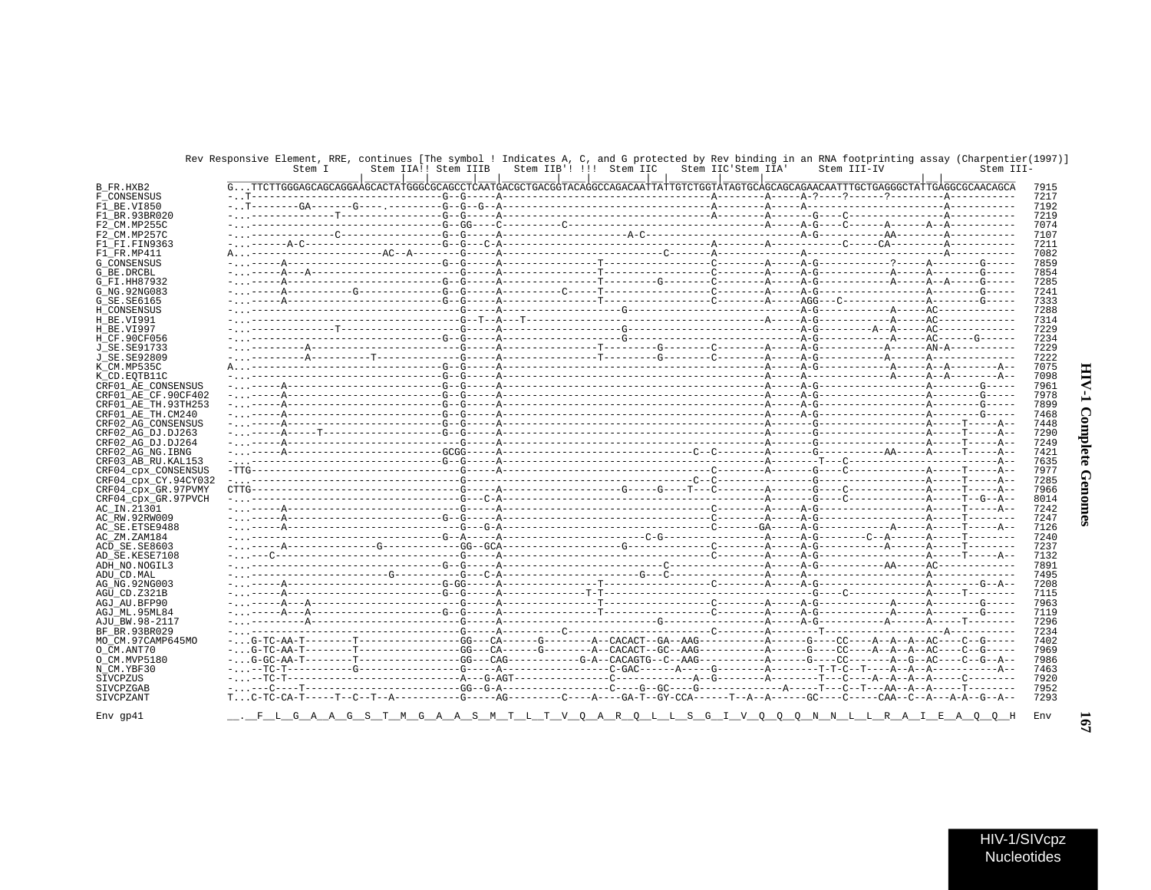|                              | Stem I | Stem IIA!! Stem IIIB                                                                                                                        | Stem IIB'! !!! Stem IIC | Stem IIC'Stem IIA' | Stem III-IV | Stem III- |
|------------------------------|--------|---------------------------------------------------------------------------------------------------------------------------------------------|-------------------------|--------------------|-------------|-----------|
|                              |        | GTTCTTGGGAGCAGCAGGAAGCACTATGGGCGCAGCCTCAATGACGCTGACGGTACAGGCCAGACAATTATTGTCTGGTATAGTGCAGCAGCAACAATTTGCTGAGGGCTATTGAGGCCCAACAGCA             |                         |                    |             |           |
| F CONSENSUS                  |        |                                                                                                                                             |                         |                    |             |           |
| F1 BE.VI850                  |        |                                                                                                                                             |                         |                    |             |           |
| F1 BR.93BR020                |        |                                                                                                                                             |                         |                    |             |           |
| F2 CM.MP255C                 |        |                                                                                                                                             |                         |                    |             |           |
| F2 CM.MP257C                 |        |                                                                                                                                             |                         |                    |             |           |
| F1 FI.FIN9363                |        |                                                                                                                                             |                         |                    |             |           |
| F1 FR.MP411                  |        |                                                                                                                                             |                         |                    |             |           |
| <b>G CONSENSUS</b>           |        |                                                                                                                                             |                         |                    |             |           |
| G_BE.DRCBL                   |        |                                                                                                                                             |                         |                    |             |           |
| G FI.HH87932                 |        |                                                                                                                                             |                         |                    |             |           |
| G NG. 92NG083                |        |                                                                                                                                             |                         |                    |             |           |
| G_SE.SE6165                  |        |                                                                                                                                             |                         |                    |             |           |
| H CONSENSUS                  |        |                                                                                                                                             |                         |                    |             |           |
|                              |        |                                                                                                                                             |                         |                    |             |           |
|                              |        |                                                                                                                                             |                         |                    |             |           |
| H CF.90CF056                 |        |                                                                                                                                             |                         |                    |             |           |
| J SE. SE91733                |        |                                                                                                                                             |                         |                    |             |           |
| J SE. SE92809                |        |                                                                                                                                             |                         |                    |             |           |
| K CM.MP535C                  |        |                                                                                                                                             |                         |                    |             |           |
| K CD. EOTB11C                |        |                                                                                                                                             |                         |                    |             |           |
| CRF01 AE CONSENSUS           |        |                                                                                                                                             |                         |                    |             |           |
| CRF01 AE CF.90CF402          |        |                                                                                                                                             |                         |                    |             |           |
| CRF01 AE TH.93TH253          |        |                                                                                                                                             |                         |                    |             |           |
| CRF01 AE TH.CM240            |        |                                                                                                                                             |                         |                    |             |           |
| CRF02 AG CONSENSUS           |        |                                                                                                                                             |                         |                    |             |           |
| CRF02 AG DJ.DJ263            |        |                                                                                                                                             |                         |                    |             |           |
| CRF02 AG DJ.DJ264            |        |                                                                                                                                             |                         |                    |             |           |
| CRF02 AG NG. IBNG            |        |                                                                                                                                             |                         |                    |             |           |
| CRF03 AB RU. KAL153          |        |                                                                                                                                             |                         |                    |             |           |
| CRF04 CDX CONSENSUS          |        |                                                                                                                                             |                         |                    |             |           |
| CRF04 cpx CY.94CY032         |        |                                                                                                                                             |                         |                    |             |           |
| CRF04 cpx GR.97PVMY          |        |                                                                                                                                             |                         |                    |             |           |
| CRF04_cpx_GR.97PVCH          |        |                                                                                                                                             |                         |                    |             |           |
| AC IN.21301                  |        |                                                                                                                                             |                         |                    |             |           |
| AC_RW.92RW009                |        |                                                                                                                                             |                         |                    |             |           |
| AC SE. ETSE9488              |        |                                                                                                                                             |                         |                    |             |           |
| AC_ZM.ZAM184                 |        |                                                                                                                                             |                         |                    |             |           |
| ACD SE.SE8603                |        |                                                                                                                                             |                         |                    |             |           |
| AD SE.KESE7108               |        |                                                                                                                                             |                         |                    |             |           |
| ADH NO. NOGIL3<br>ADU CD.MAL |        |                                                                                                                                             |                         |                    |             |           |
|                              |        |                                                                                                                                             |                         |                    |             |           |
| AG NG. 92NG003               |        |                                                                                                                                             |                         |                    |             |           |
| AGU CD.Z321B                 |        |                                                                                                                                             |                         |                    |             |           |
| AGJ AU.BFP90                 |        |                                                                                                                                             |                         |                    |             |           |
| AGJ ML.95ML84                |        |                                                                                                                                             |                         |                    |             |           |
| AJU BW.98-2117               |        |                                                                                                                                             |                         |                    |             |           |
| BF BR.93BR029                |        |                                                                                                                                             |                         |                    |             |           |
| MO CM.97CAMP645MO            |        |                                                                                                                                             |                         |                    |             |           |
|                              |        |                                                                                                                                             |                         |                    |             |           |
| O CM. MVP5180                |        |                                                                                                                                             |                         |                    |             |           |
|                              |        |                                                                                                                                             |                         |                    |             |           |
|                              |        |                                                                                                                                             |                         |                    |             |           |
|                              |        |                                                                                                                                             |                         |                    |             |           |
|                              |        | $T_{\dots}$ , C-TC-CA-T------T--C--T--A---------G-----AG-------C----A----GA-T--GY-CCA------T--A--A-----GC----CAA--C--A---A-A--G--A--G--A--- |                         |                    |             |           |
|                              |        |                                                                                                                                             |                         |                    |             |           |
|                              |        |                                                                                                                                             |                         |                    |             |           |

## Rev Responsive Element, RRE, continues [The symbol ! Indicates A, C, and G protected by Rev binding in an RNA footprinting assay (Charpentier(1997)]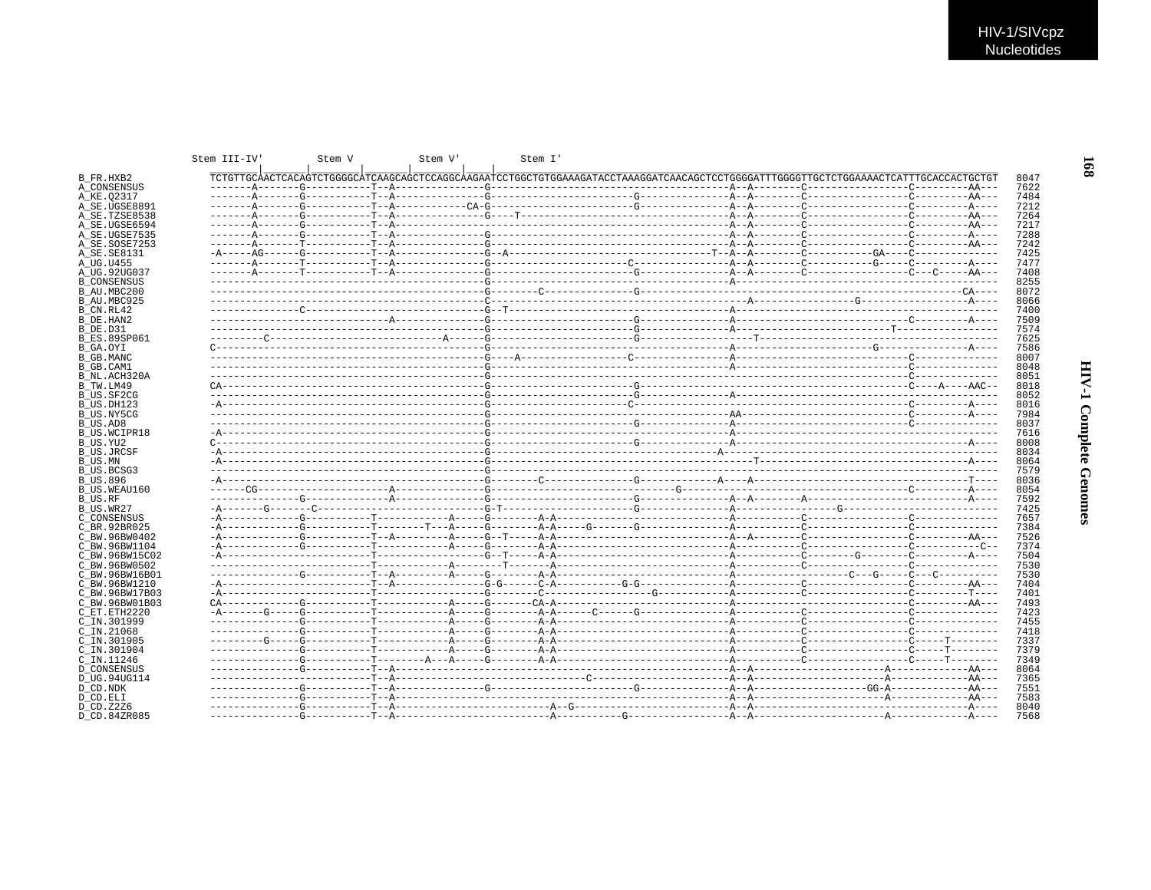|                           | Stem III-IV | Stem V | Stem V | Stem I' |  |                                                                                                                                      |              |
|---------------------------|-------------|--------|--------|---------|--|--------------------------------------------------------------------------------------------------------------------------------------|--------------|
| B FR.HXB2                 |             |        |        |         |  | TCTGTTGCÀACTCACAGTCTGGGGCÀTCAAGCAGCTCCAGGCÀAGAATCCTGGCTGTGGAAAGATACCTAAAGGATCAACAGCTCCTGGGGATTTGGGGTTGCTCTGGAAAACTCATTTGCACCACTGCTGT | 8047         |
| A CONSENSUS               |             |        |        |         |  |                                                                                                                                      | 7622         |
| A KE.02317                |             |        |        |         |  |                                                                                                                                      | 7484         |
| A SE UGSE8891             |             |        |        |         |  |                                                                                                                                      | 7212         |
| A SE.TZSE8538             |             |        |        |         |  |                                                                                                                                      | 7264         |
| A SE.UGSE6594             |             |        |        |         |  |                                                                                                                                      | 7217         |
| A SE.UGSE7535             |             |        |        |         |  |                                                                                                                                      | 7288         |
| A SE.SOSE7253             |             |        |        |         |  |                                                                                                                                      | 7242         |
| A SE. SE8131              |             |        |        |         |  |                                                                                                                                      | 7425         |
| A UG.U455                 |             |        |        |         |  |                                                                                                                                      | 7477         |
| A UG.92UG037              |             |        |        |         |  |                                                                                                                                      | 7408         |
| <b>B_CONSENSUS</b>        |             |        |        |         |  |                                                                                                                                      | 8255         |
| B AU.MBC200               |             |        |        |         |  |                                                                                                                                      | 8072         |
| B AU.MBC925               |             |        |        |         |  |                                                                                                                                      | 8066         |
| B CN.RL42                 |             |        |        |         |  |                                                                                                                                      | 7400         |
| B DE.HAN2                 |             |        |        |         |  |                                                                                                                                      | 7509         |
| B DE.D31                  |             |        |        |         |  |                                                                                                                                      | 7574         |
| <b>B ES.89SP061</b>       |             |        |        |         |  |                                                                                                                                      | 7625         |
| B GA.OYI                  |             |        |        |         |  |                                                                                                                                      | 7586<br>8007 |
| B GB.MANC<br>B GB.CAM1    |             |        |        |         |  |                                                                                                                                      | 8048         |
| B NL.ACH320A              |             |        |        |         |  |                                                                                                                                      | 8051         |
| B TW.LM49                 |             |        |        |         |  |                                                                                                                                      | 8018         |
| B US.SF2CG                |             |        |        |         |  |                                                                                                                                      | 8052         |
| B US.DH123                |             |        |        |         |  |                                                                                                                                      | 8016         |
| B US.NY5CG                |             |        |        |         |  |                                                                                                                                      | 7984         |
| B US.AD8                  |             |        |        |         |  |                                                                                                                                      | 8037         |
| <b>B US.WCIPR18</b>       |             |        |        |         |  |                                                                                                                                      | 7616         |
| B US.YU2                  |             |        |        |         |  |                                                                                                                                      | 8008         |
| <b>B US.JRCSF</b>         |             |        |        |         |  |                                                                                                                                      | 8034         |
| B US.MN                   |             |        |        |         |  |                                                                                                                                      | 8064         |
| B US.BCSG3                |             |        |        |         |  |                                                                                                                                      | 7579         |
| <b>B US.896</b>           |             |        |        |         |  |                                                                                                                                      | 8036         |
| B US.WEAU160              |             |        |        |         |  |                                                                                                                                      | 8054         |
| B US.RF                   |             |        |        |         |  |                                                                                                                                      | 7592         |
| B US.WR27                 |             |        |        |         |  |                                                                                                                                      | 7425         |
| C CONSENSUS               |             |        |        |         |  |                                                                                                                                      | 7657         |
| C BR. 92BR025             |             |        |        |         |  |                                                                                                                                      | 7384         |
| C BW.96BW0402             |             |        |        |         |  |                                                                                                                                      | 7526         |
| C BW.96BW1104             |             |        |        |         |  |                                                                                                                                      | 7374         |
| C BW.96BW15C02            |             |        |        |         |  |                                                                                                                                      | 7504         |
| C BW.96BW0502             |             |        |        |         |  |                                                                                                                                      | 7530         |
| C BW.96BW16B01            |             |        |        |         |  |                                                                                                                                      | 7530         |
| C BW.96BW1210             |             |        |        |         |  |                                                                                                                                      | 7404         |
| C BW.96BW17B03            |             |        |        |         |  |                                                                                                                                      | 7401         |
| C BW.96BW01B03            |             |        |        |         |  |                                                                                                                                      | 7493         |
| C ET.ETH2220              |             |        |        |         |  |                                                                                                                                      | 7423         |
| C IN.301999               |             |        |        |         |  |                                                                                                                                      | 7455         |
| $C$ IN. 21068             |             |        |        |         |  |                                                                                                                                      | 7418         |
| C_IN.301905               |             |        |        |         |  |                                                                                                                                      | 7337         |
| C IN.301904               |             |        |        |         |  |                                                                                                                                      | 7379         |
| C IN.11246                |             |        |        |         |  |                                                                                                                                      | 7349         |
| D CONSENSUS               |             |        |        |         |  |                                                                                                                                      | 8064         |
| D UG.94UG114              |             |        |        |         |  |                                                                                                                                      | 7365         |
| D CD.NDK                  |             |        |        |         |  |                                                                                                                                      | 7551         |
| D CD.ELI                  |             |        |        |         |  |                                                                                                                                      | 7583<br>8040 |
| D CD.Z2Z6<br>D CD.84ZR085 |             |        |        |         |  |                                                                                                                                      | 7568         |
|                           |             |        |        |         |  |                                                                                                                                      |              |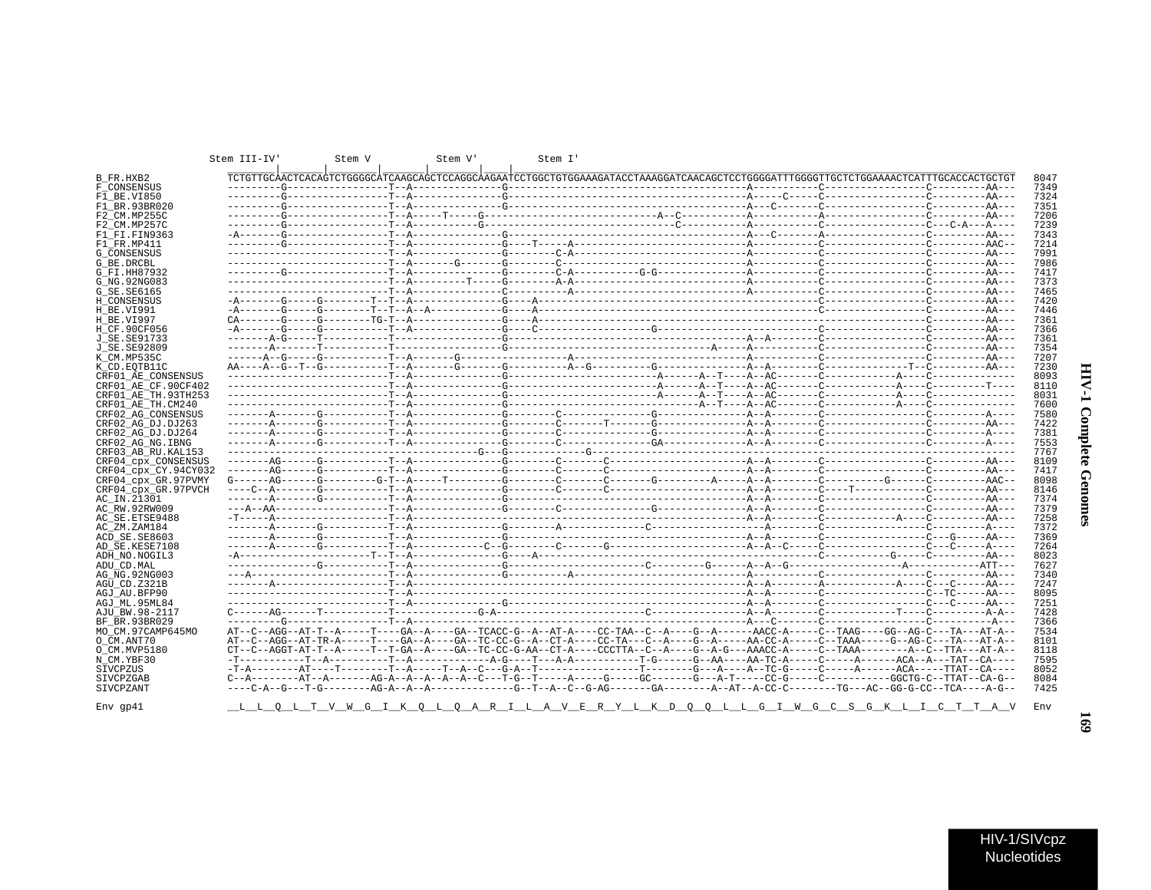| B FR.HXB2            |  | TCTGTTGCAACTCACAGTCTGGGGCATCAAGCAGCTCCAGGCAAGAATCCTGGCTGTGGAAAGATACCTAAAGGATCAACAGCTCCTGGGGATTTGGGGTTGCTCTGGAAAACTCATTTGCACCACTGCTGT |  | 8047 |
|----------------------|--|--------------------------------------------------------------------------------------------------------------------------------------|--|------|
| F CONSENSUS          |  |                                                                                                                                      |  | 7349 |
| F1 BE.VI850          |  |                                                                                                                                      |  | 7324 |
| F1 BR.93BR020        |  |                                                                                                                                      |  | 7351 |
| F2 CM.MP255C         |  |                                                                                                                                      |  | 7206 |
|                      |  |                                                                                                                                      |  | 7239 |
| F2 CM.MP257C         |  |                                                                                                                                      |  | 7343 |
| F1 FI.FIN9363        |  |                                                                                                                                      |  | 7214 |
| F1 FR.MP411          |  |                                                                                                                                      |  | 7991 |
| G CONSENSUS          |  |                                                                                                                                      |  |      |
| G BE.DRCBL           |  |                                                                                                                                      |  | 7986 |
| G FI.HH87932         |  |                                                                                                                                      |  | 7417 |
| G NG. 92NG083        |  |                                                                                                                                      |  | 7373 |
| G_SE.SE6165          |  |                                                                                                                                      |  | 7465 |
| H CONSENSUS          |  |                                                                                                                                      |  | 7420 |
| H BE.VI991           |  |                                                                                                                                      |  | 7446 |
| H BE.VI997           |  |                                                                                                                                      |  | 7361 |
| H CF.90CF056         |  |                                                                                                                                      |  | 7366 |
| J SE. SE91733        |  |                                                                                                                                      |  | 7361 |
| J SE. SE92809        |  |                                                                                                                                      |  | 7354 |
| K CM.MP535C          |  |                                                                                                                                      |  | 7207 |
| K CD.EOTB11C         |  |                                                                                                                                      |  | 7230 |
| CRF01 AE CONSENSUS   |  |                                                                                                                                      |  | 8093 |
| CRF01 AE CF.90CF402  |  |                                                                                                                                      |  | 8110 |
| CRF01 AE TH.93TH253  |  |                                                                                                                                      |  | 8031 |
| CRF01 AE TH.CM240    |  |                                                                                                                                      |  | 7600 |
| CRF02 AG CONSENSUS   |  |                                                                                                                                      |  | 7580 |
| CRF02 AG DJ.DJ263    |  |                                                                                                                                      |  | 7422 |
| CRF02 AG DJ.DJ264    |  |                                                                                                                                      |  | 7381 |
| CRF02 AG NG. IBNG    |  |                                                                                                                                      |  | 7553 |
| CRF03 AB RU. KAL153  |  |                                                                                                                                      |  | 7767 |
| CRF04 CDX CONSENSUS  |  |                                                                                                                                      |  | 8109 |
| CRF04 cpx CY.94CY032 |  |                                                                                                                                      |  | 7417 |
| CRF04_cpx_GR.97PVMY  |  |                                                                                                                                      |  | 8098 |
| CRF04 cpx GR.97PVCH  |  |                                                                                                                                      |  | 8146 |
| AC_IN.21301          |  |                                                                                                                                      |  | 7374 |
| AC RW.92RW009        |  |                                                                                                                                      |  | 7379 |
| AC SE. ETSE9488      |  |                                                                                                                                      |  | 7258 |
| AC ZM.ZAM184         |  |                                                                                                                                      |  | 7372 |
| ACD SE.SE8603        |  |                                                                                                                                      |  | 7369 |
| AD SE.KESE7108       |  |                                                                                                                                      |  | 7264 |
| ADH NO.NOGIL3        |  |                                                                                                                                      |  | 8023 |
| ADU CD. MAL          |  |                                                                                                                                      |  | 7627 |
| AG NG. 92NG003       |  |                                                                                                                                      |  | 7340 |
| AGU CD.Z321B         |  |                                                                                                                                      |  | 7247 |
| AGJ AU.BFP90         |  |                                                                                                                                      |  | 8095 |
| AGJ ML.95ML84        |  |                                                                                                                                      |  | 7251 |
| AJU_BW.98-2117       |  |                                                                                                                                      |  | 7428 |
| BF BR.93BR029        |  |                                                                                                                                      |  | 7366 |
| MO CM.97CAMP645MO    |  | AT--C--AGG--AT-T--A-----T----GA--A----GA--TCACC-G--A--AT-A----CC-TAA--C--A----G--A------AACC-A-----C--TAAG----GG--AG-C---TA---AT-A-- |  | 7534 |
| O CM.ANT70           |  | AT--C--AGG--AT-TR-A-----T----GA--A----GA--TC-CC-G--A--CT-A---CC-TA---G--A----G--A-----AA-CC-A----C--TAAA-----G--AG-C---TA---AT-A--   |  | 8101 |
| O CM.MVP5180         |  |                                                                                                                                      |  | 8118 |
| N CM.YBF30           |  |                                                                                                                                      |  | 7595 |
| SIVCPZUS             |  |                                                                                                                                      |  | 8052 |
| SIVCPZGAB            |  | C--A--------AT--A-------AG-A--A--A--A--C---T-G--T-----A----G-----GC------G---A-T-----CC-G-----C--------GGCTG-C--TTAT--CA-G--         |  | 8084 |
| SIVCPZANT            |  |                                                                                                                                      |  | 7425 |
|                      |  |                                                                                                                                      |  |      |
| Env gp41             |  | <u>LLOLTVWGIKOLOARILAVERYLKDOOLLGIWGCSGKLICTTAV</u>                                                                                  |  | Env  |
|                      |  |                                                                                                                                      |  |      |

Stem  $III-IV$ 

Stem V Stem V' Stem I'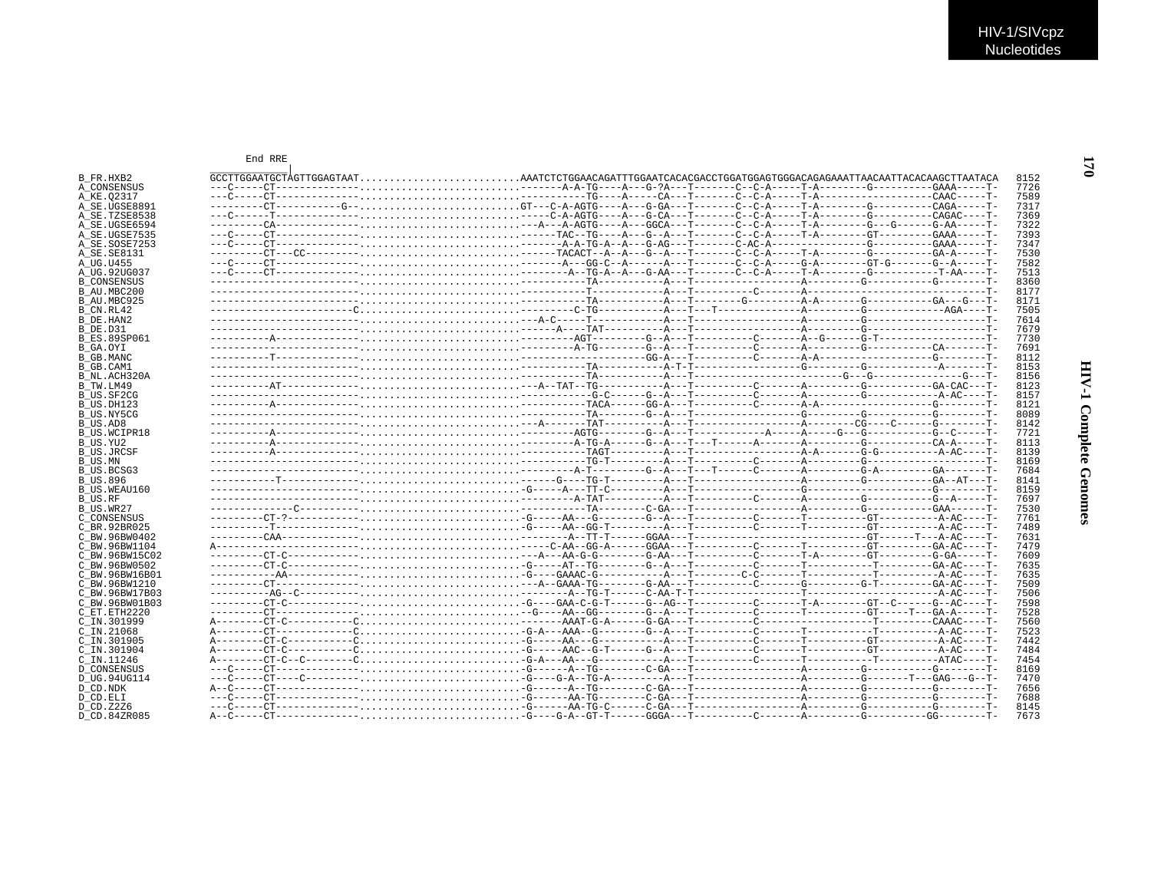| B FR.HXB2           | $GCTTGGAATGCTAGTTGGAGTAATAATCTCTGGAACAGATTTGGAATCTCACACGACCGACTGGGATGGGACAGGGACAGGAAATTAACAATTACACAAGCTTAATACACAAGCTTAATACAA$ |  |  |  | 8152 |
|---------------------|-------------------------------------------------------------------------------------------------------------------------------|--|--|--|------|
|                     |                                                                                                                               |  |  |  | 7726 |
| A CONSENSUS         |                                                                                                                               |  |  |  | 7589 |
| A KE.02317          |                                                                                                                               |  |  |  |      |
| A SE.UGSE8891       |                                                                                                                               |  |  |  | 7317 |
| A SE.TZSE8538       |                                                                                                                               |  |  |  | 7369 |
| A SE.UGSE6594       |                                                                                                                               |  |  |  | 7322 |
| A SE.UGSE7535       |                                                                                                                               |  |  |  | 7393 |
| A SE.SOSE7253       |                                                                                                                               |  |  |  | 7347 |
| A_SE.SE8131         |                                                                                                                               |  |  |  | 7530 |
| A UG.U455           |                                                                                                                               |  |  |  | 7582 |
| A UG.92UG037        |                                                                                                                               |  |  |  | 7513 |
| <b>B CONSENSUS</b>  |                                                                                                                               |  |  |  | 8360 |
| B AU.MBC200         |                                                                                                                               |  |  |  | 8177 |
|                     |                                                                                                                               |  |  |  | 8171 |
| B AU.MBC925         |                                                                                                                               |  |  |  |      |
| B CN.RL42           |                                                                                                                               |  |  |  | 7505 |
| B DE.HAN2           |                                                                                                                               |  |  |  | 7614 |
| B DE.D31            |                                                                                                                               |  |  |  | 7679 |
| <b>B ES.89SP061</b> |                                                                                                                               |  |  |  | 7730 |
| B GA.OYI            |                                                                                                                               |  |  |  | 7691 |
| <b>B_GB.MANC</b>    |                                                                                                                               |  |  |  | 8112 |
| B GB.CAM1           |                                                                                                                               |  |  |  | 8153 |
| B NL.ACH320A        |                                                                                                                               |  |  |  | 8156 |
| B TW.LM49           |                                                                                                                               |  |  |  | 8123 |
| B US.SF2CG          |                                                                                                                               |  |  |  | 8157 |
|                     |                                                                                                                               |  |  |  | 8121 |
| B US.DH123          |                                                                                                                               |  |  |  |      |
| B US.NY5CG          |                                                                                                                               |  |  |  | 8089 |
| B US.AD8            |                                                                                                                               |  |  |  | 8142 |
| B US.WCIPR18        |                                                                                                                               |  |  |  | 7721 |
| B US.YU2            |                                                                                                                               |  |  |  | 8113 |
| <b>B US.JRCSF</b>   |                                                                                                                               |  |  |  | 8139 |
| B US.MN             |                                                                                                                               |  |  |  | 8169 |
| B US.BCSG3          |                                                                                                                               |  |  |  | 7684 |
| <b>B US.896</b>     |                                                                                                                               |  |  |  | 8141 |
| B US.WEAU160        |                                                                                                                               |  |  |  | 8159 |
| <b>B_US.RF</b>      |                                                                                                                               |  |  |  | 7697 |
| B US.WR27           |                                                                                                                               |  |  |  | 7530 |
|                     |                                                                                                                               |  |  |  | 7761 |
| C CONSENSUS         |                                                                                                                               |  |  |  |      |
| C BR.92BR025        |                                                                                                                               |  |  |  | 7489 |
| C BW.96BW0402       |                                                                                                                               |  |  |  | 7631 |
| C BW.96BW1104       |                                                                                                                               |  |  |  | 7479 |
| C BW.96BW15C02      |                                                                                                                               |  |  |  | 7609 |
| C BW.96BW0502       |                                                                                                                               |  |  |  | 7635 |
| C BW.96BW16B01      |                                                                                                                               |  |  |  | 7635 |
| C BW.96BW1210       |                                                                                                                               |  |  |  | 7509 |
| C BW.96BW17B03      |                                                                                                                               |  |  |  | 7506 |
| C BW.96BW01B03      |                                                                                                                               |  |  |  | 7598 |
| C ET. ETH2220       |                                                                                                                               |  |  |  | 7528 |
|                     |                                                                                                                               |  |  |  |      |
| $C$ IN.301999       |                                                                                                                               |  |  |  | 7560 |
| C_IN.21068          |                                                                                                                               |  |  |  | 7523 |
| C IN.301905         |                                                                                                                               |  |  |  | 7442 |
| C IN.301904         |                                                                                                                               |  |  |  | 7484 |
| C IN.11246          |                                                                                                                               |  |  |  | 7454 |
| <b>D CONSENSUS</b>  |                                                                                                                               |  |  |  | 8169 |
| D UG.94UG114        |                                                                                                                               |  |  |  | 7470 |
| D CD.NDK            |                                                                                                                               |  |  |  | 7656 |
|                     |                                                                                                                               |  |  |  | 7688 |
| D CD.ELI            |                                                                                                                               |  |  |  |      |
| D CD.Z2Z6           |                                                                                                                               |  |  |  | 8145 |
| D CD.84ZR085        |                                                                                                                               |  |  |  | 7673 |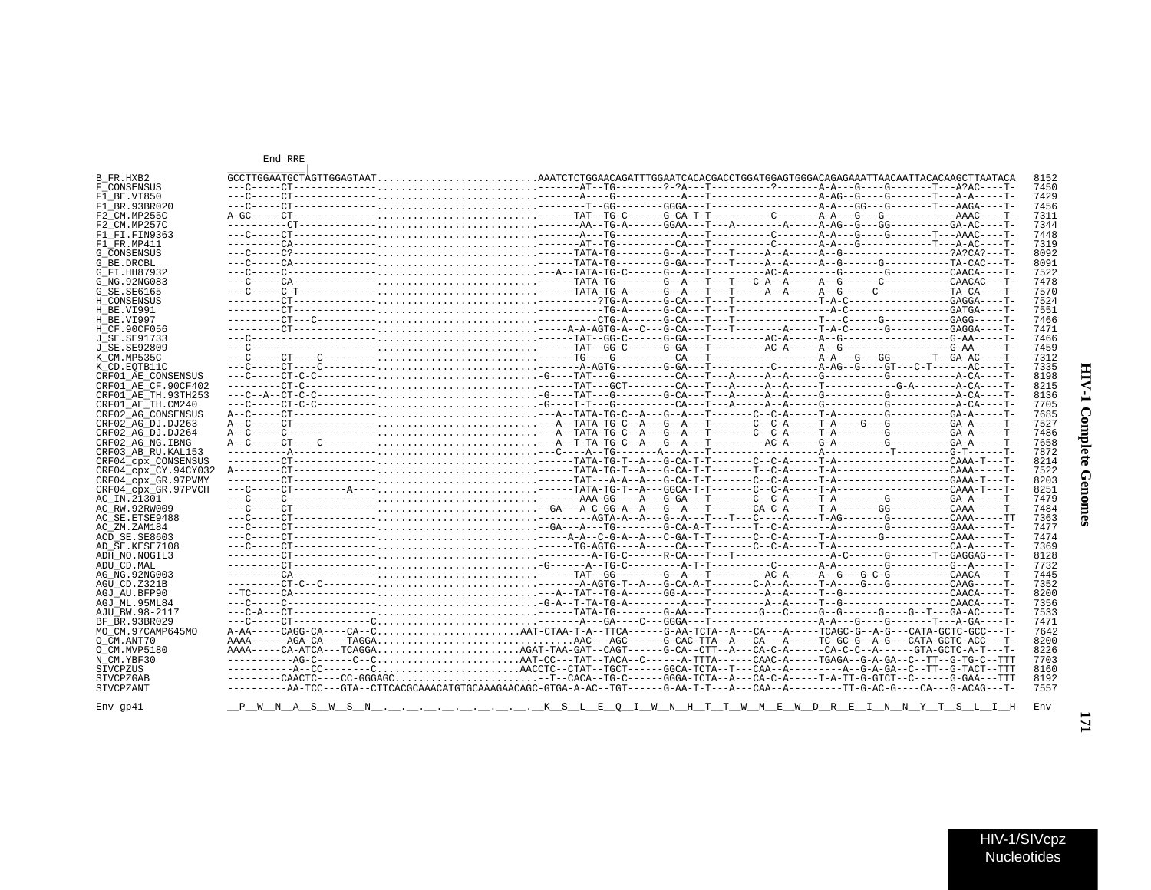| I      |  |
|--------|--|
| ∶<br>ĭ |  |
| i      |  |

| HIV-1/SIVcpz |  |
|--------------|--|
| Nucleotides  |  |

End RRE

| B FR.HXB2            | $GCTTGGAATGCTAGTTGGAGTAATAAATCTCTGGAACAGATTTGGAATCCACGACCGACCGACGGGCTGGGATGGGACAGGGACAGGAAATTAACAATTACACAAGCTTAATACA$        |  |  |  | 8152 |
|----------------------|------------------------------------------------------------------------------------------------------------------------------|--|--|--|------|
| <b>F CONSENSUS</b>   |                                                                                                                              |  |  |  | 7450 |
| F1 BE.VI850          |                                                                                                                              |  |  |  | 7429 |
| F1 BR.93BR020        |                                                                                                                              |  |  |  | 7456 |
| F2 CM.MP255C         |                                                                                                                              |  |  |  | 7311 |
| F2 CM.MP257C         |                                                                                                                              |  |  |  | 7344 |
| F1 FT FTN9363        |                                                                                                                              |  |  |  | 7448 |
| F1 FR.MP411          |                                                                                                                              |  |  |  | 7319 |
| <b>G CONSENSUS</b>   |                                                                                                                              |  |  |  | 8092 |
| G BE.DRCBL           |                                                                                                                              |  |  |  | 8091 |
| G FI.HH87932         |                                                                                                                              |  |  |  | 7522 |
| G NG. 92NG083        |                                                                                                                              |  |  |  | 7478 |
|                      |                                                                                                                              |  |  |  | 7570 |
| G_SE.SE6165          |                                                                                                                              |  |  |  |      |
| H CONSENSUS          |                                                                                                                              |  |  |  | 7524 |
| H BE.VI991           |                                                                                                                              |  |  |  | 7551 |
| H BE.VI997           |                                                                                                                              |  |  |  | 7466 |
| H CF.90CF056         |                                                                                                                              |  |  |  | 7471 |
| J SE.SE91733         |                                                                                                                              |  |  |  | 7466 |
| J SE.SE92809         |                                                                                                                              |  |  |  | 7459 |
| K CM.MP535C          |                                                                                                                              |  |  |  | 7312 |
| K CD. EOTB11C        |                                                                                                                              |  |  |  | 7335 |
| CRF01 AE CONSENSUS   |                                                                                                                              |  |  |  | 8198 |
| CRF01 AE CF.90CF402  |                                                                                                                              |  |  |  | 8215 |
| CRF01 AE TH.93TH253  |                                                                                                                              |  |  |  | 8136 |
| CRF01 AE TH.CM240    |                                                                                                                              |  |  |  | 7705 |
|                      |                                                                                                                              |  |  |  | 7685 |
| CRF02 AG CONSENSUS   |                                                                                                                              |  |  |  | 7527 |
| CRF02 AG DJ.DJ263    |                                                                                                                              |  |  |  |      |
| CRF02 AG DJ.DJ264    |                                                                                                                              |  |  |  | 7486 |
| CRF02 AG NG. IBNG    |                                                                                                                              |  |  |  | 7658 |
| CRF03 AB RU. KAL153  |                                                                                                                              |  |  |  | 7872 |
| CRF04 cpx CONSENSUS  |                                                                                                                              |  |  |  | 8214 |
| CRF04 CDX CY.94CY032 |                                                                                                                              |  |  |  | 7522 |
| CRF04 cpx GR.97PVMY  |                                                                                                                              |  |  |  | 8203 |
| CRF04 CDX GR.97PVCH  |                                                                                                                              |  |  |  | 8251 |
| AC IN.21301          |                                                                                                                              |  |  |  | 7479 |
| AC RW.92RW009        |                                                                                                                              |  |  |  | 7484 |
| AC SE.ETSE9488       |                                                                                                                              |  |  |  | 7363 |
| AC ZM.ZAM184         |                                                                                                                              |  |  |  | 7477 |
| ACD SE.SE8603        |                                                                                                                              |  |  |  | 7474 |
| AD SE.KESE7108       |                                                                                                                              |  |  |  | 7369 |
| ADH NO.NOGIL3        |                                                                                                                              |  |  |  | 8128 |
| ADU CD.MAL           |                                                                                                                              |  |  |  | 7732 |
|                      |                                                                                                                              |  |  |  |      |
| AG NG. 92NG003       |                                                                                                                              |  |  |  | 7445 |
| AGU CD. Z321B        |                                                                                                                              |  |  |  | 7352 |
| AGJ AU.BFP90         |                                                                                                                              |  |  |  | 8200 |
| AGJ ML.95ML84        |                                                                                                                              |  |  |  | 7356 |
| AJU BW.98-2117       |                                                                                                                              |  |  |  | 7533 |
| BF BR. 93BR029       |                                                                                                                              |  |  |  | 7471 |
| MO CM.97CAMP645MO    |                                                                                                                              |  |  |  | 7642 |
| O CM.ANT70           |                                                                                                                              |  |  |  | 8200 |
| O CM.MVP5180         |                                                                                                                              |  |  |  | 8226 |
| N CM.YBF30           |                                                                                                                              |  |  |  | 7703 |
| SIVCPZUS             |                                                                                                                              |  |  |  | 8160 |
| <b>STVCPZGAB</b>     | --------CAACTC----CC-GGGAGC-T--CACA--TG-C------GGGA-TCTA--A---CA-C-A-----T-A-TT-G-GTCT--C------G-GAA---TTT                   |  |  |  | 8192 |
|                      |                                                                                                                              |  |  |  | 7557 |
| SIVCPZANT            | ---------AA-TCC---GTA--CTTCACGCAAACATGTGCAAAGAACAGC-GTGA-A-AC--TGT-----G-AA-T-T---A---CAA--A--------TT-G-AC-G----G-ACAG---T- |  |  |  |      |
|                      |                                                                                                                              |  |  |  |      |
| $Env$ qp41           | <u> PWNASWSNKSLEQINNHTINMEWDREINNYTSLIH</u>                                                                                  |  |  |  | Env  |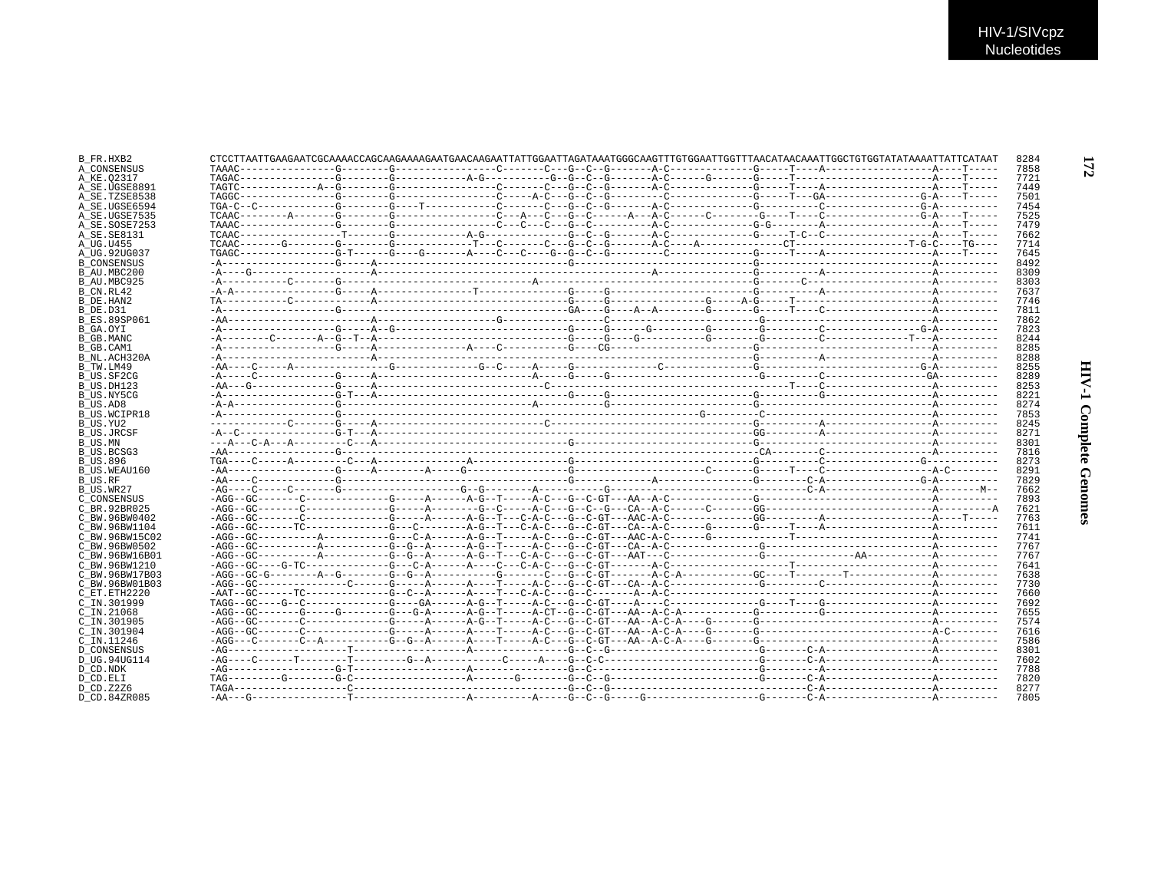| B FR.HXB2           |  |  |  |  |
|---------------------|--|--|--|--|
| A CONSENSUS         |  |  |  |  |
| A KE.02317          |  |  |  |  |
| A SE.UGSE8891       |  |  |  |  |
| A SE.TZSE8538       |  |  |  |  |
| A SE.UGSE6594       |  |  |  |  |
| A SE.UGSE7535       |  |  |  |  |
| A SE.SOSE7253       |  |  |  |  |
| A SE. SE8131        |  |  |  |  |
| A UG.U455           |  |  |  |  |
| A UG.92UG037        |  |  |  |  |
|                     |  |  |  |  |
| <b>B CONSENSUS</b>  |  |  |  |  |
| B AU.MBC200         |  |  |  |  |
| B AU.MBC925         |  |  |  |  |
| B CN.RL42           |  |  |  |  |
| B DE.HAN2           |  |  |  |  |
| B DE.D31            |  |  |  |  |
| <b>B ES.89SP061</b> |  |  |  |  |
| B GA.OYI            |  |  |  |  |
| B GB.MANC           |  |  |  |  |
|                     |  |  |  |  |
| B GB.CAM1           |  |  |  |  |
| B NL.ACH320A        |  |  |  |  |
| B TW.LM49           |  |  |  |  |
| B US.SF2CG          |  |  |  |  |
| B US.DH123          |  |  |  |  |
| B US.NY5CG          |  |  |  |  |
| B US.AD8            |  |  |  |  |
| B US.WCIPR18        |  |  |  |  |
| B US.YU2            |  |  |  |  |
| <b>B US.JRCSF</b>   |  |  |  |  |
|                     |  |  |  |  |
| B US.MN             |  |  |  |  |
| B US.BCSG3          |  |  |  |  |
| B US.896            |  |  |  |  |
| B US.WEAU160        |  |  |  |  |
| B US.RF             |  |  |  |  |
| B US.WR27           |  |  |  |  |
| C CONSENSUS         |  |  |  |  |
| C BR. 92BR025       |  |  |  |  |
| C BW.96BW0402       |  |  |  |  |
| C BW. 96BW1104      |  |  |  |  |
|                     |  |  |  |  |
| C BW.96BW15C02      |  |  |  |  |
| C BW.96BW0502       |  |  |  |  |
| C BW.96BW16B01      |  |  |  |  |
| C BW.96BW1210       |  |  |  |  |
| C BW.96BW17B03      |  |  |  |  |
| C BW.96BW01B03      |  |  |  |  |
| C ET. ETH2220       |  |  |  |  |
| C IN.301999         |  |  |  |  |
| $C$ IN. 21068       |  |  |  |  |
|                     |  |  |  |  |
| C IN.301905         |  |  |  |  |
| C IN.301904         |  |  |  |  |
| C IN.11246          |  |  |  |  |
| D CONSENSUS         |  |  |  |  |
| D UG.94UG114        |  |  |  |  |
| D CD.NDK            |  |  |  |  |
| D CD.ELI            |  |  |  |  |
| D CD. Z2Z6          |  |  |  |  |
| D CD.84ZR085        |  |  |  |  |
|                     |  |  |  |  |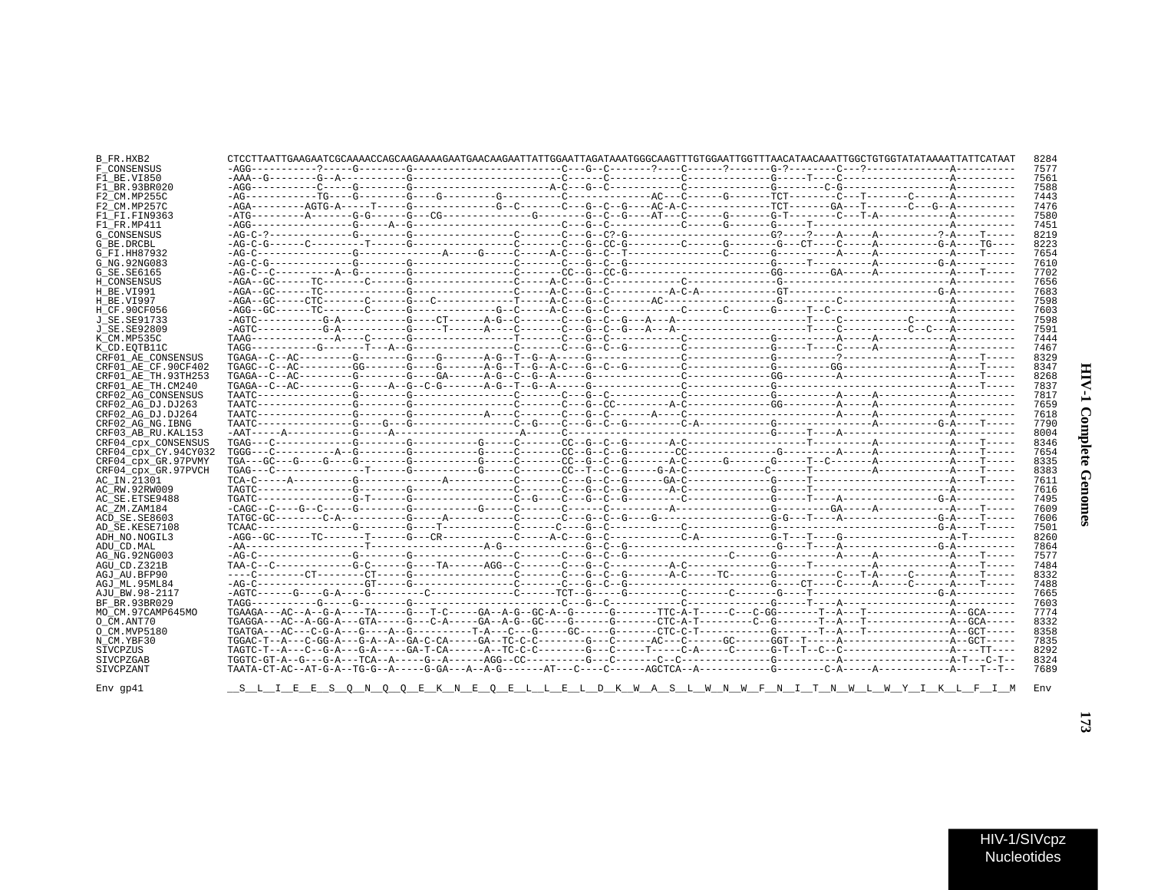| :<br>ì<br>î      |  |
|------------------|--|
| ž<br>ì<br>i<br>1 |  |

| B FR.HXB2            |                                                       |  |  |  |  |  |  |  |
|----------------------|-------------------------------------------------------|--|--|--|--|--|--|--|
| F CONSENSUS          |                                                       |  |  |  |  |  |  |  |
| F1 BE.VI850          |                                                       |  |  |  |  |  |  |  |
| F1 BR.93BR020        |                                                       |  |  |  |  |  |  |  |
| F2 CM.MP255C         |                                                       |  |  |  |  |  |  |  |
| F2 CM.MP257C         |                                                       |  |  |  |  |  |  |  |
| F1 FI.FIN9363        |                                                       |  |  |  |  |  |  |  |
| F1 FR.MP411          |                                                       |  |  |  |  |  |  |  |
| <b>G CONSENSUS</b>   |                                                       |  |  |  |  |  |  |  |
| G BE.DRCBL           |                                                       |  |  |  |  |  |  |  |
|                      |                                                       |  |  |  |  |  |  |  |
| G FI.HH87932         |                                                       |  |  |  |  |  |  |  |
| G NG. 92NG083        |                                                       |  |  |  |  |  |  |  |
| G SE. SE6165         |                                                       |  |  |  |  |  |  |  |
| H CONSENSUS          |                                                       |  |  |  |  |  |  |  |
| H BE.VI991           |                                                       |  |  |  |  |  |  |  |
| H BE.VI997           |                                                       |  |  |  |  |  |  |  |
| H CF.90CF056         |                                                       |  |  |  |  |  |  |  |
| J SE.SE91733         |                                                       |  |  |  |  |  |  |  |
| J SE.SE92809         |                                                       |  |  |  |  |  |  |  |
| K CM.MP535C          |                                                       |  |  |  |  |  |  |  |
| K CD. EOTB11C        |                                                       |  |  |  |  |  |  |  |
| CRF01 AE CONSENSUS   |                                                       |  |  |  |  |  |  |  |
| CRF01 AE CF.90CF402  |                                                       |  |  |  |  |  |  |  |
| CRF01 AE TH. 93TH253 |                                                       |  |  |  |  |  |  |  |
| CRF01 AE TH.CM240    |                                                       |  |  |  |  |  |  |  |
| CRF02 AG CONSENSUS   |                                                       |  |  |  |  |  |  |  |
| CRF02 AG DJ.DJ263    |                                                       |  |  |  |  |  |  |  |
| CRF02 AG DJ.DJ264    |                                                       |  |  |  |  |  |  |  |
| CRF02 AG NG. IBNG    |                                                       |  |  |  |  |  |  |  |
|                      |                                                       |  |  |  |  |  |  |  |
| CRF03 AB RU. KAL153  |                                                       |  |  |  |  |  |  |  |
| CRF04 cpx CONSENSUS  |                                                       |  |  |  |  |  |  |  |
| CRF04 CDX CY.94CY032 |                                                       |  |  |  |  |  |  |  |
| CRF04 cpx GR.97PVMY  |                                                       |  |  |  |  |  |  |  |
| CRF04 cpx GR.97PVCH  |                                                       |  |  |  |  |  |  |  |
| AC IN.21301          |                                                       |  |  |  |  |  |  |  |
| AC RW.92RW009        |                                                       |  |  |  |  |  |  |  |
| AC SE.ETSE9488       |                                                       |  |  |  |  |  |  |  |
| AC ZM.ZAM184         |                                                       |  |  |  |  |  |  |  |
| ACD SE.SE8603        |                                                       |  |  |  |  |  |  |  |
| AD SE.KESE7108       |                                                       |  |  |  |  |  |  |  |
| ADH NO.NOGIL3        |                                                       |  |  |  |  |  |  |  |
| ADU CD.MAL           |                                                       |  |  |  |  |  |  |  |
| AG NG. 92NG003       |                                                       |  |  |  |  |  |  |  |
| AGU CD.Z321B         |                                                       |  |  |  |  |  |  |  |
| AGJ AU.BFP90         |                                                       |  |  |  |  |  |  |  |
| AGJ ML.95ML84        |                                                       |  |  |  |  |  |  |  |
|                      |                                                       |  |  |  |  |  |  |  |
| AJU BW.98-2117       |                                                       |  |  |  |  |  |  |  |
| BF BR. 93BR029       |                                                       |  |  |  |  |  |  |  |
| MO CM.97CAMP645MO    |                                                       |  |  |  |  |  |  |  |
| O CM.ANT70           |                                                       |  |  |  |  |  |  |  |
| O CM. MVP5180        |                                                       |  |  |  |  |  |  |  |
| N CM.YBF30           |                                                       |  |  |  |  |  |  |  |
| SIVCPZUS             |                                                       |  |  |  |  |  |  |  |
| SIVCPZGAB            |                                                       |  |  |  |  |  |  |  |
| SIVCPZANT            |                                                       |  |  |  |  |  |  |  |
|                      |                                                       |  |  |  |  |  |  |  |
| $Env$ gp41           | <u>SLIEESON OOEKNEOELLELDKWASLWNWFNIT</u> NWLWYIKLFIM |  |  |  |  |  |  |  |
|                      |                                                       |  |  |  |  |  |  |  |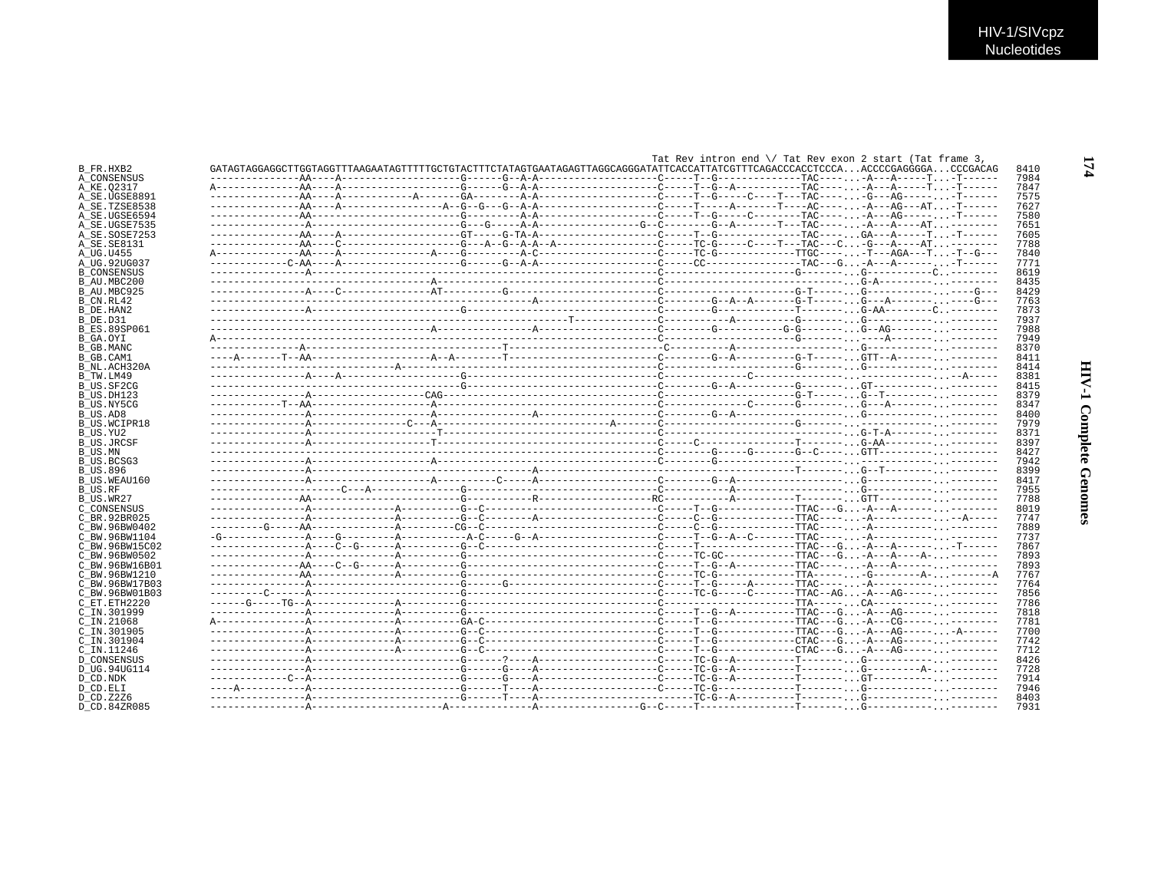|                     |  |  |                                                                                                                                | Tat Rev intron end $\setminus$ Tat Rev exon 2 start (Tat frame 3, |  |      |  |
|---------------------|--|--|--------------------------------------------------------------------------------------------------------------------------------|-------------------------------------------------------------------|--|------|--|
| B FR.HXB2           |  |  | GATAGTAGGAGGCTTGGTAGGTTTAAGAATAGTTTTTGCTGTACTTTCTATAGTGAATAGAGTTAGGCAGGGATATTCACCATTATCGTTTCAGACCCACCTCCCAACCCCGAGGGGACCCGACAG |                                                                   |  | 8410 |  |
| A CONSENSUS         |  |  |                                                                                                                                |                                                                   |  | 7984 |  |
| A KE.02317          |  |  |                                                                                                                                |                                                                   |  | 7847 |  |
| A SE.UGSE8891       |  |  |                                                                                                                                |                                                                   |  | 7575 |  |
| A SE.TZSE8538       |  |  |                                                                                                                                |                                                                   |  | 7627 |  |
| A SE.UGSE6594       |  |  |                                                                                                                                |                                                                   |  | 7580 |  |
| A SE.UGSE7535       |  |  |                                                                                                                                |                                                                   |  | 7651 |  |
| A SE.SOSE7253       |  |  |                                                                                                                                |                                                                   |  | 7605 |  |
| A SE.SE8131         |  |  |                                                                                                                                |                                                                   |  | 7788 |  |
| A UG.U455           |  |  |                                                                                                                                |                                                                   |  | 7840 |  |
| A UG.92UG037        |  |  |                                                                                                                                |                                                                   |  | 7771 |  |
| <b>B CONSENSUS</b>  |  |  |                                                                                                                                |                                                                   |  | 8619 |  |
| B AU.MBC200         |  |  |                                                                                                                                |                                                                   |  | 8435 |  |
| B AU.MBC925         |  |  |                                                                                                                                |                                                                   |  | 8429 |  |
| B CN.RL42           |  |  |                                                                                                                                |                                                                   |  | 7763 |  |
|                     |  |  |                                                                                                                                |                                                                   |  | 7873 |  |
| B_DE.HAN2           |  |  |                                                                                                                                |                                                                   |  |      |  |
| B DE.D31            |  |  |                                                                                                                                |                                                                   |  | 7937 |  |
| <b>B ES.89SP061</b> |  |  |                                                                                                                                |                                                                   |  | 7988 |  |
| B GA.OYI            |  |  |                                                                                                                                |                                                                   |  | 7949 |  |
| <b>B_GB.MANC</b>    |  |  |                                                                                                                                |                                                                   |  | 8370 |  |
| B GB.CAM1           |  |  |                                                                                                                                |                                                                   |  | 8411 |  |
| B NL.ACH320A        |  |  |                                                                                                                                |                                                                   |  | 8414 |  |
| B TW.LM49           |  |  |                                                                                                                                |                                                                   |  | 8381 |  |
| B US.SF2CG          |  |  |                                                                                                                                |                                                                   |  | 8415 |  |
| B US.DH123          |  |  |                                                                                                                                |                                                                   |  | 8379 |  |
| B US.NY5CG          |  |  |                                                                                                                                |                                                                   |  | 8347 |  |
| B US.AD8            |  |  |                                                                                                                                |                                                                   |  | 8400 |  |
| B US.WCIPR18        |  |  |                                                                                                                                |                                                                   |  | 7979 |  |
| B US.YU2            |  |  |                                                                                                                                |                                                                   |  | 8371 |  |
| B US.JRCSF          |  |  |                                                                                                                                |                                                                   |  | 8397 |  |
| <b>B_US.MN</b>      |  |  |                                                                                                                                |                                                                   |  | 8427 |  |
| B US.BCSG3          |  |  |                                                                                                                                |                                                                   |  | 7942 |  |
| B US.896            |  |  |                                                                                                                                |                                                                   |  | 8399 |  |
| B US.WEAU160        |  |  |                                                                                                                                |                                                                   |  | 8417 |  |
| B US.RF             |  |  |                                                                                                                                |                                                                   |  | 7955 |  |
| B US.WR27           |  |  |                                                                                                                                |                                                                   |  | 7788 |  |
| C CONSENSUS         |  |  |                                                                                                                                |                                                                   |  | 8019 |  |
| C BR.92BR025        |  |  |                                                                                                                                |                                                                   |  | 7747 |  |
| C BW.96BW0402       |  |  |                                                                                                                                |                                                                   |  | 7889 |  |
| C BW.96BW1104       |  |  |                                                                                                                                |                                                                   |  | 7737 |  |
| C BW.96BW15C02      |  |  |                                                                                                                                |                                                                   |  | 7867 |  |
| C BW.96BW0502       |  |  |                                                                                                                                |                                                                   |  | 7893 |  |
| C BW.96BW16B01      |  |  |                                                                                                                                |                                                                   |  | 7893 |  |
| C BW.96BW1210       |  |  |                                                                                                                                |                                                                   |  | 7767 |  |
|                     |  |  |                                                                                                                                |                                                                   |  | 7764 |  |
| C BW.96BW17B03      |  |  |                                                                                                                                |                                                                   |  | 7856 |  |
| C BW.96BW01B03      |  |  |                                                                                                                                |                                                                   |  |      |  |
| C ET.ETH2220        |  |  |                                                                                                                                |                                                                   |  | 7786 |  |
| C IN.301999         |  |  |                                                                                                                                |                                                                   |  | 7818 |  |
| $C$ IN. 21068       |  |  |                                                                                                                                |                                                                   |  | 7781 |  |
| C IN.301905         |  |  |                                                                                                                                |                                                                   |  | 7700 |  |
| C IN.301904         |  |  |                                                                                                                                |                                                                   |  | 7742 |  |
| C IN.11246          |  |  |                                                                                                                                |                                                                   |  | 7712 |  |
| <b>D CONSENSUS</b>  |  |  |                                                                                                                                |                                                                   |  | 8426 |  |
| D UG.94UG114        |  |  |                                                                                                                                |                                                                   |  | 7728 |  |
| D CD.NDK            |  |  |                                                                                                                                |                                                                   |  | 7914 |  |
| D CD.ELI            |  |  |                                                                                                                                |                                                                   |  | 7946 |  |
| D CD.Z2Z6           |  |  |                                                                                                                                |                                                                   |  | 8403 |  |
| D CD.84ZR085        |  |  |                                                                                                                                |                                                                   |  | 7931 |  |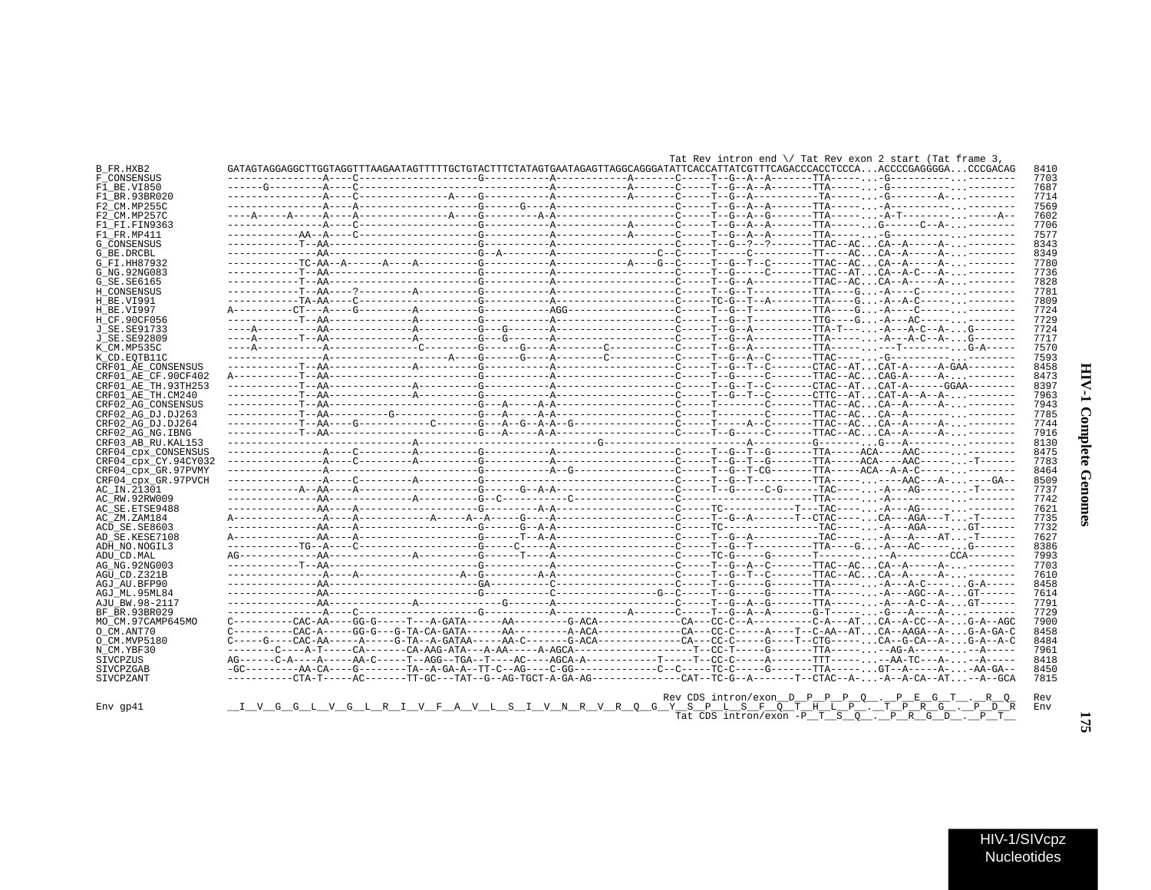| J<br>١<br>š |  |
|-------------|--|
| ļ<br>ì      |  |

 $\blacksquare$ 

| HIV-1/SIVcpz |  |
|--------------|--|
| Nucleotides  |  |

|                                    |                                                                                                                                |  |  |  |  | Tat Rev intron end $\setminus$ Tat Rev exon 2 start (Tat frame 3, |              |
|------------------------------------|--------------------------------------------------------------------------------------------------------------------------------|--|--|--|--|-------------------------------------------------------------------|--------------|
| B FR.HXB2                          | GATAGTAGGAGGCTTGGTAGGTTTAAGAATAGTTTTTGCTGTACTTTCTATAGTGAATAGAGTTAGGCAGGGATATTCACCATTATCGTTTCAGACCCACCTCCCAACCCCGAGGGGACCCGACAG |  |  |  |  |                                                                   | 8410         |
| F CONSENSUS                        |                                                                                                                                |  |  |  |  |                                                                   | 7703         |
| F1 BE.VI850                        |                                                                                                                                |  |  |  |  |                                                                   | 7687         |
| F1 BR.93BR020                      |                                                                                                                                |  |  |  |  |                                                                   | 7714         |
| F2 CM.MP255C                       |                                                                                                                                |  |  |  |  |                                                                   | 7569<br>7602 |
| F2 CM.MP257C                       |                                                                                                                                |  |  |  |  |                                                                   | 7706         |
| F1 FI.FIN9363<br>F1 FR.MP411       |                                                                                                                                |  |  |  |  |                                                                   | 7577         |
| <b>G CONSENSUS</b>                 |                                                                                                                                |  |  |  |  |                                                                   | 8343         |
| G BE.DRCBL                         |                                                                                                                                |  |  |  |  |                                                                   | 8349         |
| G FI.HH87932                       |                                                                                                                                |  |  |  |  |                                                                   | 7780         |
| G NG.92NG083                       |                                                                                                                                |  |  |  |  |                                                                   | 7736         |
| G SE.SE6165                        |                                                                                                                                |  |  |  |  |                                                                   | 7828         |
| H CONSENSUS                        |                                                                                                                                |  |  |  |  |                                                                   | 7781         |
| H BE.VI991                         |                                                                                                                                |  |  |  |  |                                                                   | 7809         |
| H BE.VI997                         |                                                                                                                                |  |  |  |  |                                                                   | 7724         |
| H CF.90CF056                       |                                                                                                                                |  |  |  |  |                                                                   | 7729         |
| J SE.SE91733                       |                                                                                                                                |  |  |  |  |                                                                   | 7724         |
| J SE.SE92809                       |                                                                                                                                |  |  |  |  |                                                                   | 7717         |
| K CM.MP535C                        |                                                                                                                                |  |  |  |  |                                                                   | 7570         |
| K CD.EOTB11C<br>CRF01 AE CONSENSUS |                                                                                                                                |  |  |  |  |                                                                   | 7593<br>8458 |
| CRF01 AE CF.90CF402                |                                                                                                                                |  |  |  |  |                                                                   | 8473         |
| CRF01 AE TH.93TH253                |                                                                                                                                |  |  |  |  |                                                                   | 8397         |
| CRF01 AE TH.CM240                  |                                                                                                                                |  |  |  |  |                                                                   | 7963         |
| CRF02 AG CONSENSUS                 |                                                                                                                                |  |  |  |  |                                                                   | 7943         |
| CRF02 AG DJ.DJ263                  |                                                                                                                                |  |  |  |  |                                                                   | 7785         |
| CRF02 AG DJ.DJ264                  |                                                                                                                                |  |  |  |  |                                                                   | 7744         |
| CRF02 AG NG. IBNG                  |                                                                                                                                |  |  |  |  |                                                                   | 7916         |
| CRF03 AB RU. KAL153                |                                                                                                                                |  |  |  |  |                                                                   | 8130         |
| CRF04 cpx CONSENSUS                |                                                                                                                                |  |  |  |  |                                                                   | 8475         |
| CRF04 cpx CY.94CY032               |                                                                                                                                |  |  |  |  |                                                                   | 7783         |
| CRF04 cpx GR.97PVMY                |                                                                                                                                |  |  |  |  |                                                                   | 8464         |
| CRF04_cpx_GR.97PVCH                |                                                                                                                                |  |  |  |  |                                                                   | 8509         |
| AC IN.21301                        |                                                                                                                                |  |  |  |  |                                                                   | 7737         |
| AC RW.92RW009                      |                                                                                                                                |  |  |  |  |                                                                   | 7742         |
| AC SE.ETSE9488                     |                                                                                                                                |  |  |  |  |                                                                   | 7621<br>7735 |
| AC ZM.ZAM184<br>ACD SE.SE8603      |                                                                                                                                |  |  |  |  |                                                                   | 7732         |
| AD SE.KESE7108                     |                                                                                                                                |  |  |  |  |                                                                   | 7627         |
| ADH NO. NOGIL3                     |                                                                                                                                |  |  |  |  |                                                                   | 8386         |
| ADU CD.MAL                         |                                                                                                                                |  |  |  |  |                                                                   | 7993         |
| AG NG. 92NG003                     |                                                                                                                                |  |  |  |  |                                                                   | 7703         |
| AGU CD.Z321B                       |                                                                                                                                |  |  |  |  |                                                                   | 7610         |
| AGJ AU.BFP90                       |                                                                                                                                |  |  |  |  |                                                                   | 8458         |
| AGJ ML.95ML84                      |                                                                                                                                |  |  |  |  |                                                                   | 7614         |
| AJU BW.98-2117                     |                                                                                                                                |  |  |  |  |                                                                   | 7791         |
| BF BR.93BR029                      |                                                                                                                                |  |  |  |  |                                                                   | 7729         |
| MO CM.97CAMP645MO                  |                                                                                                                                |  |  |  |  |                                                                   | 7900         |
| O CM.ANT70                         |                                                                                                                                |  |  |  |  |                                                                   | 8458         |
| O CM.MVP5180                       | $C---G---CAC-AA---A---A---G-TA-A-GATAA----AA-C-----G-ACA------C-A---CC---C---G---G---T--CTG----.$                              |  |  |  |  |                                                                   | 8484         |
| N CM.YBF30                         |                                                                                                                                |  |  |  |  |                                                                   | 7961         |
| SIVCPZUS                           |                                                                                                                                |  |  |  |  |                                                                   | 8418         |
| SIVCPZGAB<br>SIVCPZANT             |                                                                                                                                |  |  |  |  |                                                                   | 8450<br>7815 |
|                                    |                                                                                                                                |  |  |  |  |                                                                   |              |
|                                    |                                                                                                                                |  |  |  |  | Rev CDS intron/exon_D_P_P_P_Q_._P_E_G_T_._R_Q                     | Rev          |
| $Env$ qp $41$                      | <u>_I_V_G_G_L_V_G_L_R_I_V_F_A_V_L_S_I_V_N_R_V_R_Q_G_Y_S_P_L_S_F_Q_T_H_L_P_._T_P_R_G_._P_D_R</u>                                |  |  |  |  |                                                                   | Env          |
|                                    |                                                                                                                                |  |  |  |  | Tat CDS intron/exon $-P_T_S_0$ . $P_R G_D$ . $P_T T$              |              |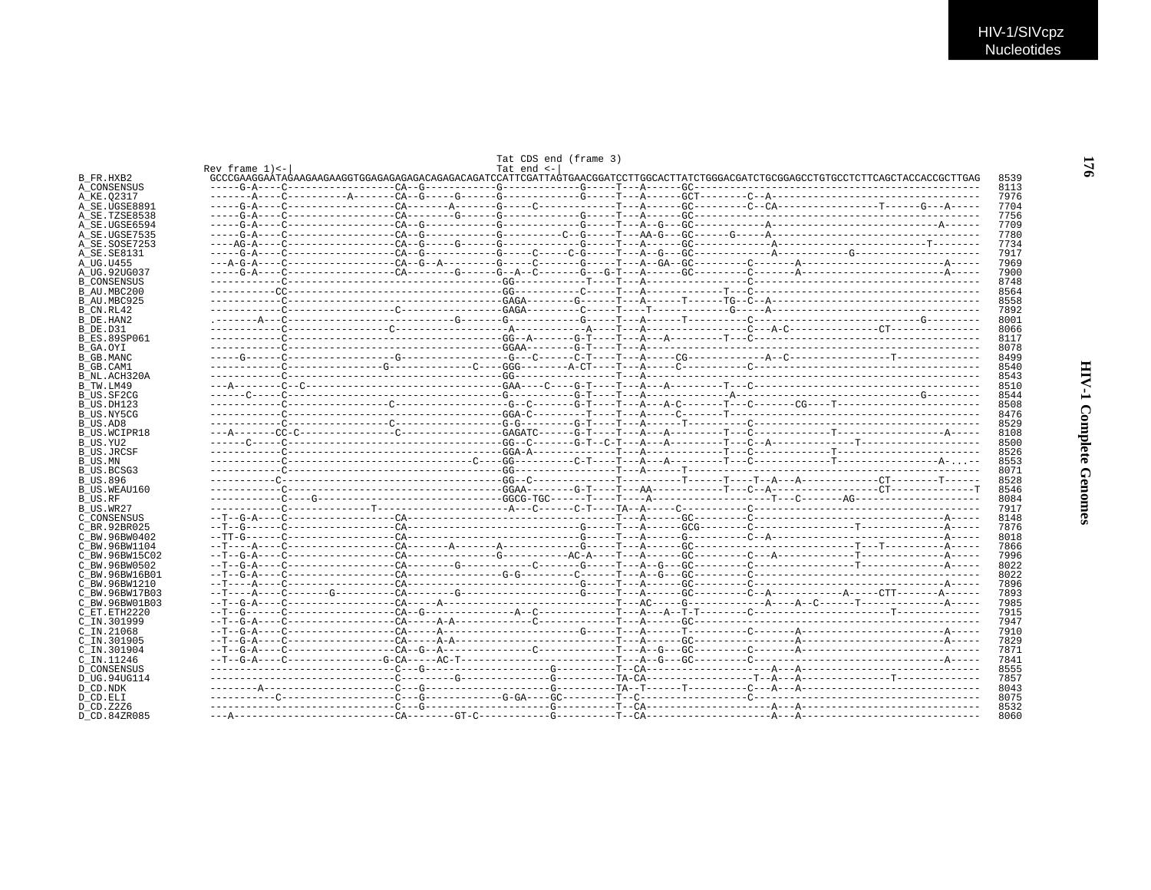|                                    |                    | Tat CDS end (frame 3) |  |  |  |              |
|------------------------------------|--------------------|-----------------------|--|--|--|--------------|
| B FR.HXB2                          | Rev frame $1$ ) <- | Tat end $\leftarrow$  |  |  |  | 8539         |
| A CONSENSUS                        |                    |                       |  |  |  | 8113         |
| A KE.02317                         |                    |                       |  |  |  | 7976         |
| A SE.UGSE8891                      |                    |                       |  |  |  | 7704         |
| A SE.TZSE8538                      |                    |                       |  |  |  | 7756         |
| A_SE.UGSE6594                      |                    |                       |  |  |  | 7709         |
| A SE.UGSE7535                      |                    |                       |  |  |  | 7780         |
| A SE.SOSE7253                      |                    |                       |  |  |  | 7734         |
| A SE.SE8131                        |                    |                       |  |  |  | 7917         |
| A UG.U455                          |                    |                       |  |  |  | 7969         |
| A_UG.92UG037                       |                    |                       |  |  |  | 7900         |
| <b>B CONSENSUS</b><br>B AU.MBC200  |                    |                       |  |  |  | 8748<br>8564 |
| B AU.MBC925                        |                    |                       |  |  |  | 8558         |
| B CN.RL42                          |                    |                       |  |  |  | 7892         |
| B DE HAN2                          |                    |                       |  |  |  | 8001         |
| B DE.D31                           |                    |                       |  |  |  | 8066         |
| B ES.89SP061                       |                    |                       |  |  |  | 8117         |
| B GA.OYI                           |                    |                       |  |  |  | 8078         |
| B GB.MANC                          |                    |                       |  |  |  | 8499         |
| B GB.CAM1                          |                    |                       |  |  |  | 8540         |
| B NL.ACH320A                       |                    |                       |  |  |  | 8543         |
| B TW.LM49                          |                    |                       |  |  |  | 8510         |
| B US.SF2CG                         |                    |                       |  |  |  | 8544         |
| B US.DH123<br>B US.NY5CG           |                    |                       |  |  |  | 8508<br>8476 |
| B US.AD8                           |                    |                       |  |  |  | 8529         |
| B US.WCIPR18                       |                    |                       |  |  |  | 8108         |
| B US.YU2                           |                    |                       |  |  |  | 8500         |
| <b>B US.JRCSF</b>                  |                    |                       |  |  |  | 8526         |
| B US.MN                            |                    |                       |  |  |  | 8553         |
| B_US.BCSG3                         |                    |                       |  |  |  | 8071         |
| B US.896                           |                    |                       |  |  |  | 8528         |
| B US.WEAU160                       |                    |                       |  |  |  | 8546         |
| B_US.RF                            |                    |                       |  |  |  | 8084         |
| B US.WR27                          |                    |                       |  |  |  | 7917         |
| C CONSENSUS                        |                    |                       |  |  |  | 8148         |
| C BR.92BR025<br>C BW.96BW0402      |                    |                       |  |  |  | 7876<br>8018 |
| C BW.96BW1104                      |                    |                       |  |  |  | 7866         |
| C BW.96BW15C02                     |                    |                       |  |  |  | 7996         |
| C BW.96BW0502                      |                    |                       |  |  |  | 8022         |
| C BW.96BW16B01                     |                    |                       |  |  |  | 8022         |
| C BW.96BW1210                      |                    |                       |  |  |  | 7896         |
| C BW.96BW17B03                     |                    |                       |  |  |  | 7893         |
| C BW.96BW01B03                     |                    |                       |  |  |  | 7985         |
| C ET.ETH2220                       |                    |                       |  |  |  | 7915         |
| C IN.301999                        |                    |                       |  |  |  | 7947         |
| $C$ IN. $21068$                    |                    |                       |  |  |  | 7910         |
| C IN.301905                        |                    |                       |  |  |  | 7829         |
| C IN.301904                        |                    |                       |  |  |  | 7871         |
| C IN.11246                         |                    |                       |  |  |  | 7841<br>8555 |
| <b>D_CONSENSUS</b><br>D UG.94UG114 |                    |                       |  |  |  | 7857         |
| D CD.NDK                           |                    |                       |  |  |  | 8043         |
| D CD.ELI                           |                    |                       |  |  |  | 8075         |
| D CD.Z2Z6                          |                    |                       |  |  |  | 8532         |
| D CD.84ZR085                       |                    |                       |  |  |  | 8060         |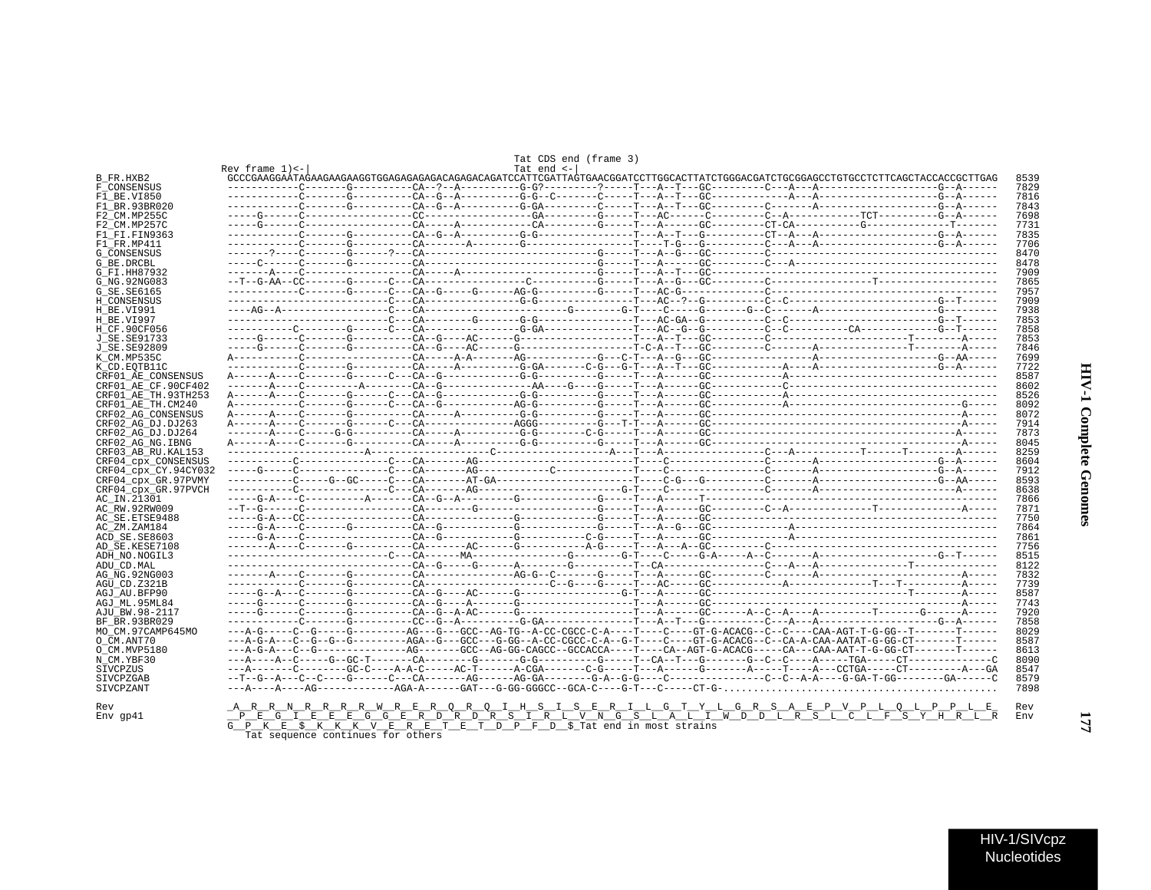|  |  |  |  | Tat CDS end (frame 3) |  |
|--|--|--|--|-----------------------|--|
|--|--|--|--|-----------------------|--|

|                      | Rev frame $1$ ) <- |                                                                                                                                | Tat end $\leftarrow$ |  |  |  |
|----------------------|--------------------|--------------------------------------------------------------------------------------------------------------------------------|----------------------|--|--|--|
| B FR.HXB2            |                    |                                                                                                                                |                      |  |  |  |
| F CONSENSUS          |                    |                                                                                                                                |                      |  |  |  |
| F1 BE.VI850          |                    |                                                                                                                                |                      |  |  |  |
| F1 BR.93BR020        |                    |                                                                                                                                |                      |  |  |  |
| F2 CM.MP255C         |                    |                                                                                                                                |                      |  |  |  |
| F2 CM.MP257C         |                    |                                                                                                                                |                      |  |  |  |
| F1 FI.FIN9363        |                    |                                                                                                                                |                      |  |  |  |
| F1 FR.MP411          |                    |                                                                                                                                |                      |  |  |  |
| G CONSENSUS          |                    |                                                                                                                                |                      |  |  |  |
| G BE.DRCBL           |                    |                                                                                                                                |                      |  |  |  |
| G FI.HH87932         |                    |                                                                                                                                |                      |  |  |  |
| G NG.92NG083         |                    |                                                                                                                                |                      |  |  |  |
|                      |                    |                                                                                                                                |                      |  |  |  |
| G SE.SE6165          |                    |                                                                                                                                |                      |  |  |  |
| H CONSENSUS          |                    |                                                                                                                                |                      |  |  |  |
| H BE.VI991           |                    |                                                                                                                                |                      |  |  |  |
| H BE.VI997           |                    |                                                                                                                                |                      |  |  |  |
| H CF.90CF056         |                    |                                                                                                                                |                      |  |  |  |
| J SE.SE91733         |                    |                                                                                                                                |                      |  |  |  |
| J SE.SE92809         |                    |                                                                                                                                |                      |  |  |  |
| K_CM.MP535C          |                    |                                                                                                                                |                      |  |  |  |
| K CD.EOTB11C         |                    |                                                                                                                                |                      |  |  |  |
| CRF01 AE CONSENSUS   |                    |                                                                                                                                |                      |  |  |  |
| CRF01 AE CF.90CF402  |                    |                                                                                                                                |                      |  |  |  |
| CRF01 AE TH.93TH253  |                    |                                                                                                                                |                      |  |  |  |
| CRF01 AE TH.CM240    |                    |                                                                                                                                |                      |  |  |  |
|                      |                    |                                                                                                                                |                      |  |  |  |
| CRF02_AG_CONSENSUS   |                    |                                                                                                                                |                      |  |  |  |
| CRF02 AG DJ.DJ263    |                    |                                                                                                                                |                      |  |  |  |
| CRF02 AG DJ.DJ264    |                    |                                                                                                                                |                      |  |  |  |
| CRF02 AG NG.IBNG     |                    |                                                                                                                                |                      |  |  |  |
| CRF03_AB_RU.KAL153   |                    |                                                                                                                                |                      |  |  |  |
| CRF04 cpx CONSENSUS  |                    |                                                                                                                                |                      |  |  |  |
| CRF04 cpx CY.94CY032 |                    |                                                                                                                                |                      |  |  |  |
| CRF04 cpx GR.97PVMY  |                    |                                                                                                                                |                      |  |  |  |
| CRF04 cpx GR.97PVCH  |                    |                                                                                                                                |                      |  |  |  |
| AC IN.21301          |                    |                                                                                                                                |                      |  |  |  |
| AC RW.92RW009        |                    |                                                                                                                                |                      |  |  |  |
| AC SE.ETSE9488       |                    |                                                                                                                                |                      |  |  |  |
| AC ZM.ZAM184         |                    |                                                                                                                                |                      |  |  |  |
| ACD SE.SE8603        |                    |                                                                                                                                |                      |  |  |  |
| AD SE.KESE7108       |                    |                                                                                                                                |                      |  |  |  |
|                      |                    |                                                                                                                                |                      |  |  |  |
| ADH NO.NOGIL3        |                    |                                                                                                                                |                      |  |  |  |
| ADU CD.MAL           |                    |                                                                                                                                |                      |  |  |  |
| AG NG.92NG003        |                    |                                                                                                                                |                      |  |  |  |
| AGU CD.Z321B         |                    |                                                                                                                                |                      |  |  |  |
| AGJ AU.BFP90         |                    |                                                                                                                                |                      |  |  |  |
| AGJ ML.95ML84        |                    |                                                                                                                                |                      |  |  |  |
| AJU_BW.98-2117       |                    |                                                                                                                                |                      |  |  |  |
| BF BR.93BR029        |                    |                                                                                                                                |                      |  |  |  |
| МО СМ.97САМР645МО    |                    |                                                                                                                                |                      |  |  |  |
| O CM.ANT70           |                    | ---A-G-A---C--G--G--G--------AGA--G---GCC---G-GG--A-CC-CGCC-C-A--G-T----CT--G-ACACG--C--CA-A-CAA-AATAT-G-GG-CT-------T------   |                      |  |  |  |
| O_CM.MVP5180         |                    | ---A-G-A---C--G--------------AG------GCC--AG-GG-CAGCC--GCCACCA----T----CA--AGT-G-ACACG-----CA--ACA-AAT-T-G-GG-CT-------T------ |                      |  |  |  |
| N CM.YBF30           |                    |                                                                                                                                |                      |  |  |  |
|                      |                    |                                                                                                                                |                      |  |  |  |
| SIVCPZUS             |                    |                                                                                                                                |                      |  |  |  |
| SIVCPZGAB            |                    |                                                                                                                                |                      |  |  |  |
| SIVCPZANT            |                    |                                                                                                                                |                      |  |  |  |
|                      |                    |                                                                                                                                |                      |  |  |  |
|                      |                    |                                                                                                                                |                      |  |  |  |
|                      |                    | <u>ARRN RRRRW REROROIHSISERILGTYLGRSAEPVPLOLPPLE</u><br><u>PEGIEEEGGGERDRDRSIRLWNGSLALIWDDLRSLCLFSYHRL</u>                     |                      |  |  |  |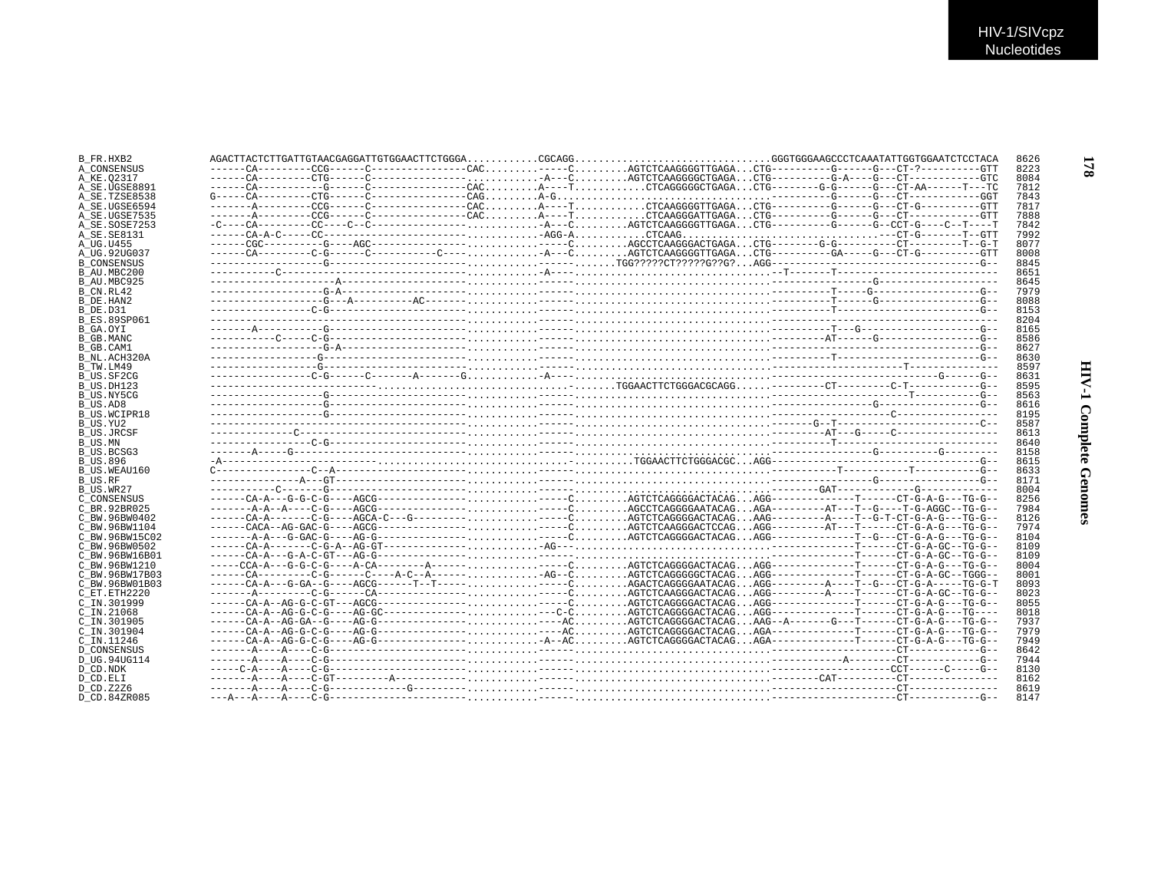| B FR.HXB2           |                                                                                                               |  |  |  | 8626 |
|---------------------|---------------------------------------------------------------------------------------------------------------|--|--|--|------|
| A CONSENSUS         |                                                                                                               |  |  |  | 8223 |
| A KE.02317          |                                                                                                               |  |  |  | 8084 |
| A SE.UGSE8891       |                                                                                                               |  |  |  | 7812 |
| A SE.TZSE8538       |                                                                                                               |  |  |  | 7843 |
| A SE.UGSE6594       |                                                                                                               |  |  |  | 7817 |
| A SE.UGSE7535       |                                                                                                               |  |  |  | 7888 |
| A_SE.SOSE7253       |                                                                                                               |  |  |  | 7842 |
| A SE.SE8131         |                                                                                                               |  |  |  | 7992 |
| A UG.U455           |                                                                                                               |  |  |  | 8077 |
| A UG.92UG037        |                                                                                                               |  |  |  | 8008 |
| <b>B CONSENSUS</b>  |                                                                                                               |  |  |  | 8845 |
| B AU.MBC200         |                                                                                                               |  |  |  | 8651 |
| B AU.MBC925         |                                                                                                               |  |  |  | 8645 |
| B CN.RL42           |                                                                                                               |  |  |  | 7979 |
| B DE.HAN2           |                                                                                                               |  |  |  | 8088 |
| B DE.D31            |                                                                                                               |  |  |  | 8153 |
| <b>B ES.89SP061</b> |                                                                                                               |  |  |  | 8204 |
| B GA.OYI            |                                                                                                               |  |  |  | 8165 |
| B GB.MANC           |                                                                                                               |  |  |  | 8586 |
| B GB.CAM1           |                                                                                                               |  |  |  | 8627 |
| B NL.ACH320A        |                                                                                                               |  |  |  | 8630 |
| B TW.LM49           |                                                                                                               |  |  |  | 8597 |
| B US.SF2CG          |                                                                                                               |  |  |  | 8631 |
|                     |                                                                                                               |  |  |  | 8595 |
| B_US.DH123          |                                                                                                               |  |  |  |      |
| B US.NY5CG          |                                                                                                               |  |  |  | 8563 |
| B US.AD8            |                                                                                                               |  |  |  | 8616 |
| B US.WCIPR18        |                                                                                                               |  |  |  | 8195 |
| B_US.YU2            |                                                                                                               |  |  |  | 8587 |
| <b>B US.JRCSF</b>   |                                                                                                               |  |  |  | 8613 |
| B US.MN             |                                                                                                               |  |  |  | 8640 |
| B US.BCSG3          |                                                                                                               |  |  |  | 8158 |
| <b>B US.896</b>     |                                                                                                               |  |  |  | 8615 |
| B US.WEAU160        |                                                                                                               |  |  |  | 8633 |
| B US.RF             |                                                                                                               |  |  |  | 8171 |
| B_US.WR27           |                                                                                                               |  |  |  | 8004 |
| C CONSENSUS         |                                                                                                               |  |  |  | 8256 |
| C BR. 92BR025       |                                                                                                               |  |  |  | 7984 |
| C BW.96BW0402       |                                                                                                               |  |  |  | 8126 |
| C BW.96BW1104       |                                                                                                               |  |  |  | 7974 |
| C BW.96BW15C02      |                                                                                                               |  |  |  | 8104 |
| C BW.96BW0502       |                                                                                                               |  |  |  | 8109 |
| C BW.96BW16B01      |                                                                                                               |  |  |  | 8109 |
| C BW.96BW1210       |                                                                                                               |  |  |  | 8004 |
| C BW.96BW17B03      | ------CA---------C-G------C----A-C--A------ AG--C AGTCTCAGGGGCCTACAG AGG--------------T-----CT-G-A-GC--TGGG-- |  |  |  | 8001 |
| C BW.96BW01B03      |                                                                                                               |  |  |  | 8093 |
| C ET.ETH2220        |                                                                                                               |  |  |  | 8023 |
| C IN.301999         |                                                                                                               |  |  |  | 8055 |
| $C$ IN. 21068       |                                                                                                               |  |  |  | 8018 |
| C_IN.301905         |                                                                                                               |  |  |  | 7937 |
| C IN.301904         |                                                                                                               |  |  |  | 7979 |
| C IN.11246          |                                                                                                               |  |  |  | 7949 |
| <b>D CONSENSUS</b>  |                                                                                                               |  |  |  | 8642 |
| D UG.94UG114        |                                                                                                               |  |  |  | 7944 |
| D CD.NDK            |                                                                                                               |  |  |  | 8130 |
|                     |                                                                                                               |  |  |  | 8162 |
| D CD.ELI            |                                                                                                               |  |  |  | 8619 |
| D CD. Z2Z6          |                                                                                                               |  |  |  |      |
| D CD 84ZR085        |                                                                                                               |  |  |  | 8147 |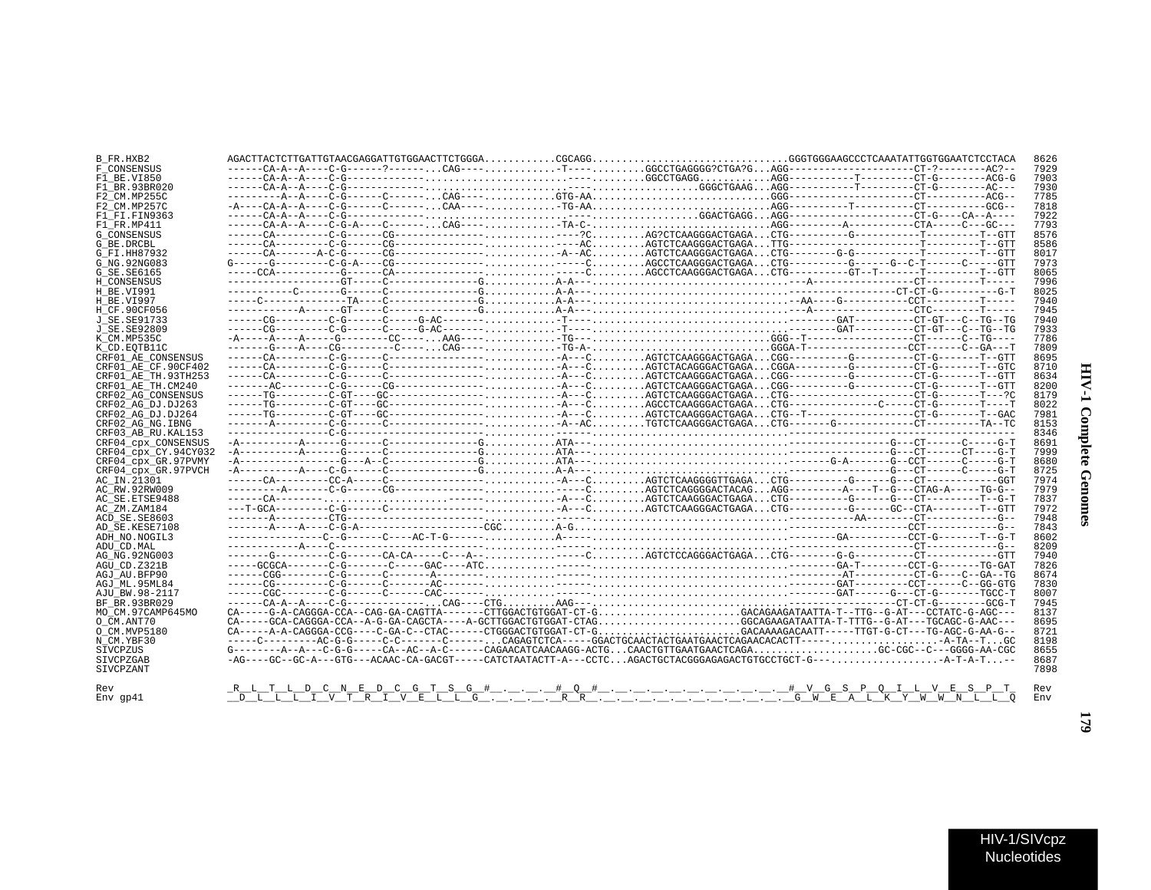| Í<br>;<br>;<br>ĭ<br>ć |  |
|-----------------------|--|
| f.<br>i               |  |

| B FR.HXB2            |  |  |                                                                                                                        |  |  | 8626 |
|----------------------|--|--|------------------------------------------------------------------------------------------------------------------------|--|--|------|
| F CONSENSUS          |  |  | ------CA-A--A----C-G------?------CAG-----T----GGCCTGAGGGG?CTGA?GAGG-----------------CT-?-------AC?--                   |  |  | 7929 |
| F1 BE.VI850          |  |  |                                                                                                                        |  |  | 7903 |
| F1 BR.93BR020        |  |  |                                                                                                                        |  |  | 7930 |
| F2 CM.MP255C         |  |  |                                                                                                                        |  |  | 7785 |
| F2 CM.MP257C         |  |  |                                                                                                                        |  |  | 7818 |
| F1 FI.FIN9363        |  |  |                                                                                                                        |  |  | 7922 |
| F1 FR.MP411          |  |  |                                                                                                                        |  |  | 7793 |
| G CONSENSUS          |  |  |                                                                                                                        |  |  | 8576 |
| G BE.DRCBL           |  |  |                                                                                                                        |  |  | 8586 |
| G FI.HH87932         |  |  |                                                                                                                        |  |  | 8017 |
| G NG.92NG083         |  |  |                                                                                                                        |  |  | 7973 |
| G SE.SE6165          |  |  |                                                                                                                        |  |  | 8065 |
| H CONSENSUS          |  |  |                                                                                                                        |  |  | 7996 |
| H BE.VI991           |  |  |                                                                                                                        |  |  | 8025 |
| H BE.VI997           |  |  |                                                                                                                        |  |  | 7940 |
| H CF.90CF056         |  |  |                                                                                                                        |  |  | 7945 |
| J SE.SE91733         |  |  |                                                                                                                        |  |  | 7940 |
| J SE.SE92809         |  |  |                                                                                                                        |  |  | 7933 |
| K CM.MP535C          |  |  |                                                                                                                        |  |  | 7786 |
| K CD.EOTB11C         |  |  |                                                                                                                        |  |  | 7809 |
| CRF01 AE CONSENSUS   |  |  |                                                                                                                        |  |  | 8695 |
| CRF01 AE CF.90CF402  |  |  |                                                                                                                        |  |  | 8710 |
| CRF01 AE TH.93TH253  |  |  |                                                                                                                        |  |  | 8634 |
| CRF01 AE TH.CM240    |  |  |                                                                                                                        |  |  | 8200 |
| CRF02 AG CONSENSUS   |  |  |                                                                                                                        |  |  | 8179 |
| CRF02 AG DJ.DJ263    |  |  |                                                                                                                        |  |  | 8022 |
| CRF02 AG DJ.DJ264    |  |  |                                                                                                                        |  |  | 7981 |
| CRF02 AG NG.IBNG     |  |  |                                                                                                                        |  |  | 8153 |
| CRF03 AB RU. KAL153  |  |  |                                                                                                                        |  |  | 8346 |
| CRF04 cpx CONSENSUS  |  |  |                                                                                                                        |  |  | 8691 |
| CRF04 cpx CY.94CY032 |  |  |                                                                                                                        |  |  | 7999 |
| CRF04 cpx GR.97PVMY  |  |  |                                                                                                                        |  |  | 8680 |
| CRF04 CDX GR.97PVCH  |  |  |                                                                                                                        |  |  | 8725 |
| AC IN.21301          |  |  |                                                                                                                        |  |  | 7974 |
| AC RW.92RW009        |  |  |                                                                                                                        |  |  | 7979 |
| AC SE.ETSE9488       |  |  |                                                                                                                        |  |  | 7837 |
| AC ZM.ZAM184         |  |  |                                                                                                                        |  |  | 7972 |
| ACD SE.SE8603        |  |  |                                                                                                                        |  |  | 7948 |
| AD SE.KESE7108       |  |  |                                                                                                                        |  |  | 7843 |
| ADH NO.NOGIL3        |  |  |                                                                                                                        |  |  | 8602 |
| ADU CD.MAL           |  |  |                                                                                                                        |  |  | 8209 |
| AG NG.92NG003        |  |  |                                                                                                                        |  |  | 7940 |
| AGU CD.Z321B         |  |  |                                                                                                                        |  |  | 7826 |
| AGJ AU.BFP90         |  |  |                                                                                                                        |  |  | 8674 |
| AGJ ML.95ML84        |  |  |                                                                                                                        |  |  | 7830 |
| AJU BW.98-2117       |  |  |                                                                                                                        |  |  | 8007 |
| BF BR.93BR029        |  |  |                                                                                                                        |  |  | 7945 |
| MO CM.97CAMP645MO    |  |  | CA-----G-A-CAGGGA-CCA--CAG-GA-CAGTTA-------CTTGGACTGTGGAT-CT-GGACAGAAGATAATTA-T--TTG--G-AT---CCTATC-G-AGC---           |  |  | 8137 |
| O CM.ANT70           |  |  | CA----GCA-CAGGGA-CCA--A-G-GA-CAGCTA----A-GCTTGGACTGTGGAT-CTAGGGCAGAAGATAATTA-T-TTTG--G-AT---TGCAGC-G-AAC---            |  |  | 8695 |
| O CM.MVP5180         |  |  | CA-----A-A-CAGGGA-CCG----C-GA-C--CTAC------CTGGGACTGTGGAT-CT-GGACAAAGACAATT-----TTGT-G-CT---TG-AGC-G-AA-G--            |  |  | 8721 |
| N CM.YBF30           |  |  | -----C----------AC-G-G-----C-C--------C------CAGAGTCTCA-----GGACTGCAACTAATGAACTAACAACACACTT-----A-TA--TGC              |  |  | 8198 |
| SIVCPZUS             |  |  | $G------A---A---C-G-G-----CA---AC---A-C-----CAGAACATCAAGATCAACAGG-ACTG.CAACTGTTGAATGAACTCAGA GCC-CGC--C---GGGG-AA-CGC$ |  |  | 8655 |
| SIVCPZGAB            |  |  | -AG----GC--GC-A---GTG---ACAAC-CA-GACGT-----CATCTAATACTT-A---CCTCAGACTGCTACGGGAGAGACTGTGCCTGCT-G---A-T-A-T-             |  |  | 8687 |
| SIVCPZANT            |  |  |                                                                                                                        |  |  | 7898 |
|                      |  |  |                                                                                                                        |  |  |      |
| Rev                  |  |  |                                                                                                                        |  |  | Rev  |
| Env qp41             |  |  |                                                                                                                        |  |  | Env  |

Nucleotides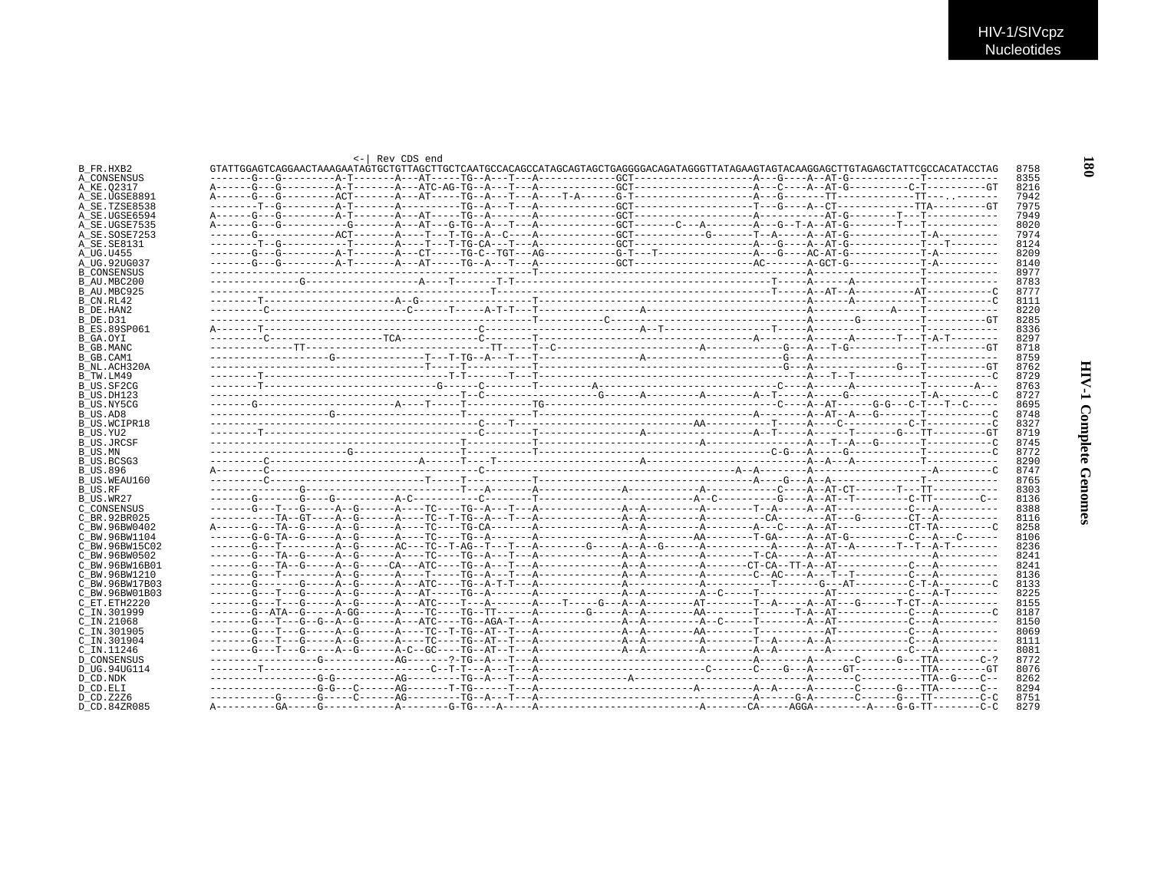| $\leftarrow$ Rev CDS end |  |  |
|--------------------------|--|--|

| B FR.HXB2           |  | GTATTGGAGTCAGGAACTAAAGAATAGTGCTGTTAGCTTGCTCAATGCCACAGCCATAGCAGTAGCTGAGGGACAGATAGGGTTATAGAAGTACTACAAGGAGCTTGTAGAGCTATTCGCCACATACCTAG |  | 8758 |
|---------------------|--|-------------------------------------------------------------------------------------------------------------------------------------|--|------|
| A_CONSENSUS         |  |                                                                                                                                     |  | 8355 |
| A KE.02317          |  |                                                                                                                                     |  | 8216 |
| A SE.UGSE8891       |  |                                                                                                                                     |  | 7942 |
| A SE.TZSE8538       |  |                                                                                                                                     |  | 7975 |
| A SE.UGSE6594       |  |                                                                                                                                     |  | 7949 |
| A SE.UGSE7535       |  |                                                                                                                                     |  | 8020 |
| A SE.SOSE7253       |  |                                                                                                                                     |  | 7974 |
| A_SE.SE8131         |  |                                                                                                                                     |  | 8124 |
| A UG.U455           |  |                                                                                                                                     |  | 8209 |
| A UG.92UG037        |  |                                                                                                                                     |  | 8140 |
| <b>B CONSENSUS</b>  |  |                                                                                                                                     |  | 8977 |
| B AU.MBC200         |  |                                                                                                                                     |  | 8783 |
| B AU.MBC925         |  |                                                                                                                                     |  | 8777 |
| B CN.RL42           |  |                                                                                                                                     |  | 8111 |
| B DE.HAN2           |  |                                                                                                                                     |  | 8220 |
| B DE.D31            |  |                                                                                                                                     |  | 8285 |
| <b>B ES.89SP061</b> |  |                                                                                                                                     |  | 8336 |
| B GA.OYI            |  |                                                                                                                                     |  | 8297 |
| B GB.MANC           |  |                                                                                                                                     |  | 8718 |
| B GB.CAM1           |  |                                                                                                                                     |  | 8759 |
| B NL.ACH320A        |  |                                                                                                                                     |  | 8762 |
| B TW.LM49           |  |                                                                                                                                     |  | 8729 |
| B US.SF2CG          |  |                                                                                                                                     |  | 8763 |
| B US.DH123          |  |                                                                                                                                     |  | 8727 |
| B US.NY5CG          |  |                                                                                                                                     |  | 8695 |
| B US.AD8            |  |                                                                                                                                     |  | 8748 |
| B US.WCIPR18        |  |                                                                                                                                     |  | 8327 |
| B US.YU2            |  |                                                                                                                                     |  | 8719 |
| <b>B_US.JRCSF</b>   |  |                                                                                                                                     |  | 8745 |
| B US.MN             |  |                                                                                                                                     |  | 8772 |
| <b>B_US.BCSG3</b>   |  |                                                                                                                                     |  | 8290 |
| <b>B_US.896</b>     |  |                                                                                                                                     |  | 8747 |
| B US.WEAU160        |  |                                                                                                                                     |  | 8765 |
| B US.RF             |  |                                                                                                                                     |  | 8303 |
| B US.WR27           |  |                                                                                                                                     |  | 8136 |
| C CONSENSUS         |  |                                                                                                                                     |  | 8388 |
| C BR.92BR025        |  |                                                                                                                                     |  | 8116 |
| C BW.96BW0402       |  |                                                                                                                                     |  | 8258 |
| C BW.96BW1104       |  |                                                                                                                                     |  | 8106 |
| C BW.96BW15C02      |  |                                                                                                                                     |  | 8236 |
| C BW.96BW0502       |  |                                                                                                                                     |  | 8241 |
| C BW.96BW16B01      |  |                                                                                                                                     |  | 8241 |
| C BW.96BW1210       |  |                                                                                                                                     |  | 8136 |
| C BW.96BW17B03      |  |                                                                                                                                     |  | 8133 |
| C BW.96BW01B03      |  |                                                                                                                                     |  | 8225 |
| C ET.ETH2220        |  |                                                                                                                                     |  | 8155 |
| C IN.301999         |  |                                                                                                                                     |  | 8187 |
| $C$ IN. 21068       |  |                                                                                                                                     |  | 8150 |
| C IN.301905         |  |                                                                                                                                     |  | 8069 |
| C_IN.301904         |  |                                                                                                                                     |  | 8111 |
| C IN.11246          |  |                                                                                                                                     |  | 8081 |
| <b>D CONSENSUS</b>  |  |                                                                                                                                     |  | 8772 |
| D UG.94UG114        |  |                                                                                                                                     |  | 8076 |
| D CD.NDK            |  |                                                                                                                                     |  | 8262 |
| D CD.ELI            |  |                                                                                                                                     |  | 8294 |
| D CD.Z2Z6           |  |                                                                                                                                     |  | 8751 |
| D CD.84ZR085        |  |                                                                                                                                     |  | 8279 |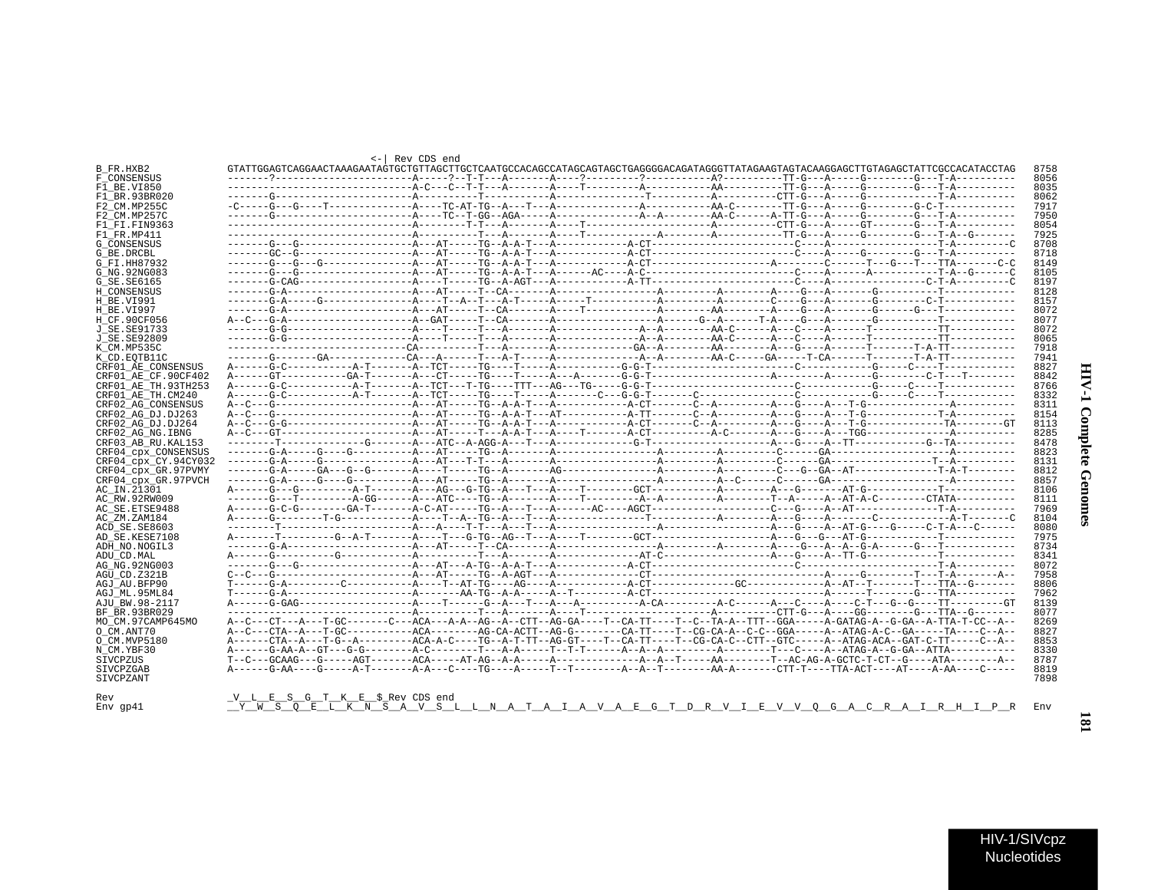| :      |
|--------|
| ì      |
| ١      |
|        |
| .<br>م |
|        |
| i      |
|        |
| í      |
|        |
|        |

| B FR.HXB2<br>F CONSENSUS | GTATTGGAGTCAGGAACTAAAGAATAGTGCTGTTAGCTTGCTCAATGCCACAGCCATAGCAGTAGCTGAGGGGACAGATAGGGTTATAGAAGTAGTACAAGGAGCTTGTAGAGCTATTCGCCACATACCTAG |  |  |  |
|--------------------------|--------------------------------------------------------------------------------------------------------------------------------------|--|--|--|
| F1 BE.VI850              |                                                                                                                                      |  |  |  |
| F1 BR.93BR020            |                                                                                                                                      |  |  |  |
| F2 CM.MP255C             |                                                                                                                                      |  |  |  |
| F2 CM.MP257C             |                                                                                                                                      |  |  |  |
| F1 FI.FIN9363            |                                                                                                                                      |  |  |  |
| F1 FR.MP411              |                                                                                                                                      |  |  |  |
| <b>G CONSENSUS</b>       |                                                                                                                                      |  |  |  |
| G BE.DRCBL               |                                                                                                                                      |  |  |  |
| G FI.HH87932             |                                                                                                                                      |  |  |  |
| G NG. 92NG083            |                                                                                                                                      |  |  |  |
| G SE. SE6165             |                                                                                                                                      |  |  |  |
| H CONSENSUS              |                                                                                                                                      |  |  |  |
| H BE.VI991               |                                                                                                                                      |  |  |  |
| H BE.VI997               |                                                                                                                                      |  |  |  |
| H CF.90CF056             |                                                                                                                                      |  |  |  |
| J SE. SE91733            |                                                                                                                                      |  |  |  |
| J SE. SE92809            |                                                                                                                                      |  |  |  |
| K CM.MP535C              |                                                                                                                                      |  |  |  |
| K CD.EOTB11C             |                                                                                                                                      |  |  |  |
| CRF01 AE CONSENSUS       |                                                                                                                                      |  |  |  |
| CRF01 AE CF.90CF402      |                                                                                                                                      |  |  |  |
| CRF01_AE_TH.93TH253      |                                                                                                                                      |  |  |  |
| CRF01 AE TH.CM240        |                                                                                                                                      |  |  |  |
| CRF02 AG CONSENSUS       |                                                                                                                                      |  |  |  |
| CRF02 AG DJ.DJ263        |                                                                                                                                      |  |  |  |
| CRF02 AG DJ.DJ264        |                                                                                                                                      |  |  |  |
| CRF02 AG NG. IBNG        |                                                                                                                                      |  |  |  |
| CRF03 AB RU. KAL153      |                                                                                                                                      |  |  |  |
| CRF04 CDX CONSENSUS      |                                                                                                                                      |  |  |  |
| CRF04 cpx CY.94CY032     |                                                                                                                                      |  |  |  |
| CRF04 cpx GR.97PVMY      |                                                                                                                                      |  |  |  |
| CRF04 cpx GR.97PVCH      |                                                                                                                                      |  |  |  |
| AC IN.21301              |                                                                                                                                      |  |  |  |
| AC RW.92RW009            |                                                                                                                                      |  |  |  |
| AC SE. ETSE9488          |                                                                                                                                      |  |  |  |
| AC ZM.ZAM184             |                                                                                                                                      |  |  |  |
| ACD SE.SE8603            |                                                                                                                                      |  |  |  |
| AD SE.KESE7108           |                                                                                                                                      |  |  |  |
| ADH NO. NOGIL3           |                                                                                                                                      |  |  |  |
| ADU CD.MAL               |                                                                                                                                      |  |  |  |
| AG NG. 92NG003           |                                                                                                                                      |  |  |  |
| AGU CD.Z321B             |                                                                                                                                      |  |  |  |
| AGJ AU.BFP90             |                                                                                                                                      |  |  |  |
| AGJ ML.95ML84            |                                                                                                                                      |  |  |  |
| AJU BW.98-2117           |                                                                                                                                      |  |  |  |
| BF BR.93BR029            |                                                                                                                                      |  |  |  |
| MO_CM.97CAMP645MO        | A--C---CT---A---T-GC-------C---ACA---A-A--AG--A--CTT--AG-GA----T--CA-TT----T--C--TA-A--TTT--GGA-----A-GATAG-A--G-GA--A-TTA-T-CC--A-- |  |  |  |
| O CM.ANT70               | A--C---CTA--A---T-GC-----------ACA--------AG-CA-ACTT--AG-G--------CA-TT----T--CG-CA-A--C-C--GGA-----ATAG-A-C--GA-----TA---C-A--      |  |  |  |
| O CM.MVP5180             |                                                                                                                                      |  |  |  |
| N CM.YBF30               |                                                                                                                                      |  |  |  |
| SIVCPZUS                 |                                                                                                                                      |  |  |  |
| SIVCPZGAB                |                                                                                                                                      |  |  |  |
|                          |                                                                                                                                      |  |  |  |
| SIVCPZANT                |                                                                                                                                      |  |  |  |
|                          |                                                                                                                                      |  |  |  |
|                          | VLESGTKE\$RevCDS end                                                                                                                 |  |  |  |

HIV-1/SIVcpz **Nucleotides**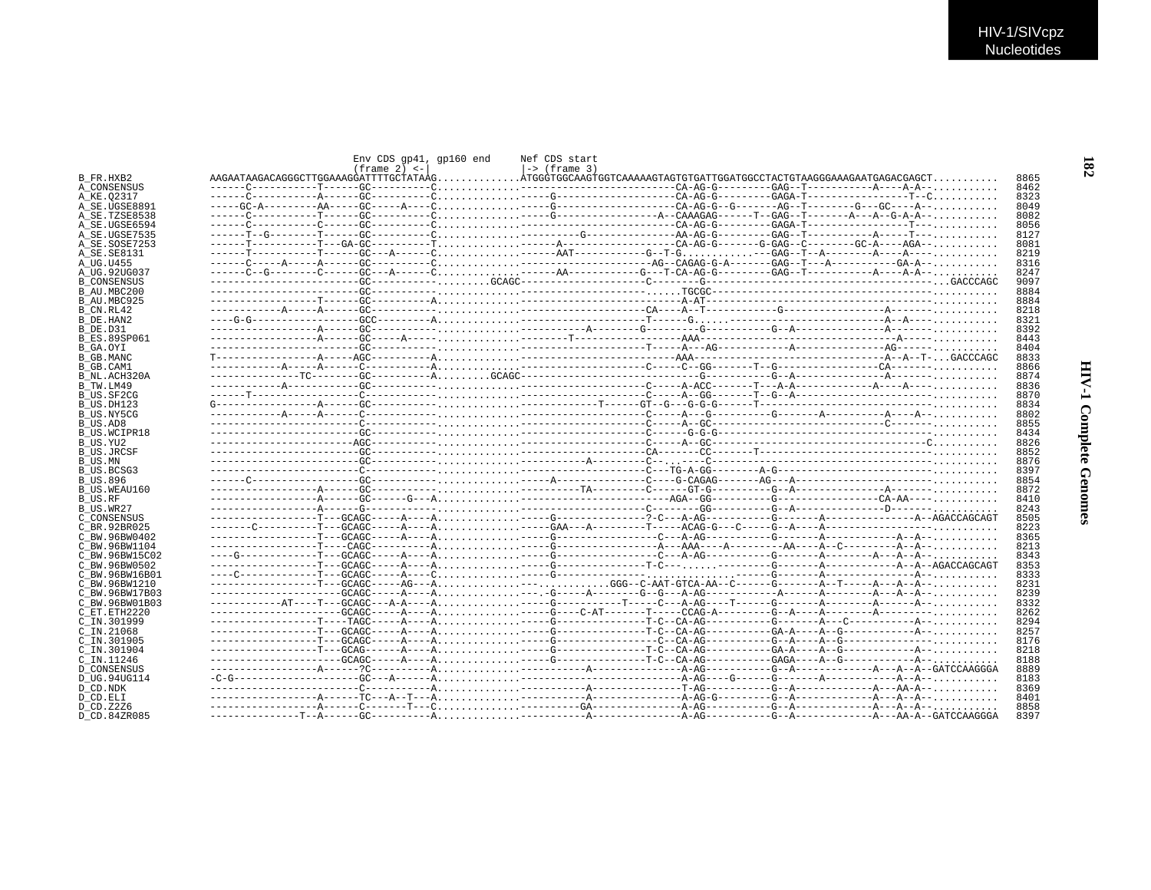|                                 | Env CDS gp41, gp160 end<br>$(f$ rame 2) $\leq$ - | Nef CDS start<br>$ ->$ (frame 3) |  |              |
|---------------------------------|--------------------------------------------------|----------------------------------|--|--------------|
| B FR.HXB2                       |                                                  |                                  |  | 8865         |
| A CONSENSUS                     |                                                  |                                  |  | 8462         |
| A KE.02317                      |                                                  |                                  |  | 8323         |
| A SE.UGSE8891                   |                                                  |                                  |  | 8049         |
| A SE.TZSE8538                   |                                                  |                                  |  | 8082         |
| A SE.UGSE6594                   |                                                  |                                  |  | 8056         |
| A SE.UGSE7535<br>A SE.SOSE7253  |                                                  |                                  |  | 8127<br>8081 |
| A SE.SE8131                     |                                                  |                                  |  | 8219         |
| A UG.U455                       |                                                  |                                  |  | 8316         |
| A UG.92UG037                    |                                                  |                                  |  | 8247         |
| <b>B CONSENSUS</b>              |                                                  |                                  |  | 9097         |
| B AU MBC200                     |                                                  |                                  |  | 8884         |
| B AU.MBC925                     |                                                  |                                  |  | 8884         |
| B CN.RL42                       |                                                  |                                  |  | 8218         |
| B DE.HAN2                       |                                                  |                                  |  | 8321         |
| B DE.D31                        |                                                  |                                  |  | 8392         |
| B ES.89SP061                    |                                                  |                                  |  | 8443         |
| B GA.OYI                        |                                                  |                                  |  | 8404         |
| B GB.MANC                       |                                                  |                                  |  | 8833         |
| B GB.CAM1                       |                                                  |                                  |  | 8866         |
| B NL.ACH320A                    |                                                  |                                  |  | 8874         |
| B TW.LM49                       |                                                  |                                  |  | 8836         |
| B US.SF2CG                      |                                                  |                                  |  | 8870         |
| B US.DH123                      |                                                  |                                  |  | 8834         |
| B US.NY5CG                      |                                                  |                                  |  | 8802         |
| B US.AD8                        |                                                  |                                  |  | 8855         |
| B US.WCIPR18                    |                                                  |                                  |  | 8434         |
| B US.YU2                        |                                                  |                                  |  | 8826         |
| B US.JRCSF                      |                                                  |                                  |  | 8852         |
| B US.MN                         |                                                  |                                  |  | 8876         |
| B US.BCSG3                      |                                                  |                                  |  | 8397         |
| <b>B_US.896</b>                 |                                                  |                                  |  | 8854         |
| B US.WEAU160                    |                                                  |                                  |  | 8872         |
| B US.RF                         |                                                  |                                  |  | 8410         |
| B US.WR27                       |                                                  |                                  |  | 8243         |
| C CONSENSUS                     |                                                  |                                  |  | 8505         |
| C BR.92BR025                    |                                                  |                                  |  | 8223         |
| C BW.96BW0402                   |                                                  |                                  |  | 8365         |
| C BW.96BW1104                   |                                                  |                                  |  | 8213         |
| C BW.96BW15C02                  |                                                  |                                  |  | 8343         |
| C BW.96BW0502                   |                                                  |                                  |  | 8353         |
| C BW.96BW16B01<br>C BW.96BW1210 |                                                  |                                  |  | 8333<br>8231 |
| C BW.96BW17B03                  |                                                  |                                  |  | 8239         |
| C BW.96BW01B03                  |                                                  |                                  |  | 8332         |
| C ET.ETH2220                    |                                                  |                                  |  | 8262         |
| C IN.301999                     |                                                  |                                  |  | 8294         |
| $C$ IN. 21068                   |                                                  |                                  |  | 8257         |
| C IN.301905                     |                                                  |                                  |  | 8176         |
| C IN.301904                     |                                                  |                                  |  | 8218         |
| C IN.11246                      |                                                  |                                  |  | 8188         |
| D CONSENSUS                     |                                                  |                                  |  | 8889         |
| D UG.94UG114                    |                                                  |                                  |  | 8183         |
| D CD NDK                        |                                                  |                                  |  | 8369         |
| D CD.ELI                        |                                                  |                                  |  | 8401         |
| D CD.Z2Z6                       |                                                  |                                  |  | 8858         |
| D CD.84ZR085                    |                                                  |                                  |  | 8397         |
|                                 |                                                  |                                  |  |              |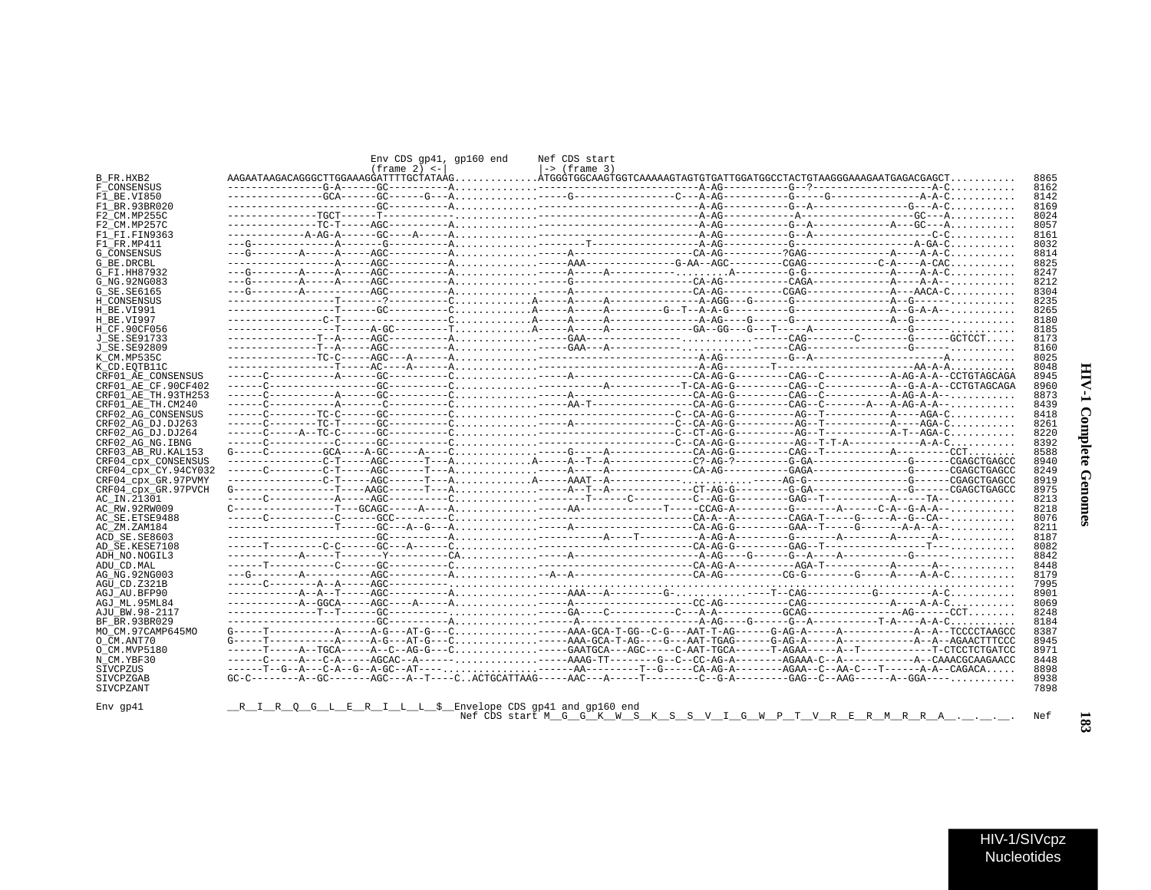|                                 |                                                          | Env CDS qp41, qp160 end | Nef CDS start   |  |                                                                                                                           |              |
|---------------------------------|----------------------------------------------------------|-------------------------|-----------------|--|---------------------------------------------------------------------------------------------------------------------------|--------------|
| B FR.HXB2                       |                                                          | $(f$ rame 2) $\lt -$    | $ ->$ (frame 3) |  |                                                                                                                           | 8865         |
| F CONSENSUS                     |                                                          |                         |                 |  |                                                                                                                           | 8162         |
| F1 BE.VI850                     |                                                          |                         |                 |  |                                                                                                                           | 8142         |
| F1 BR.93BR020                   |                                                          |                         |                 |  |                                                                                                                           | 8169         |
| F2 CM.MP255C<br>F2 CM.MP257C    |                                                          |                         |                 |  |                                                                                                                           | 8024<br>8057 |
| F1 FI.FIN9363                   |                                                          |                         |                 |  |                                                                                                                           | 8161         |
| F1 FR.MP411                     |                                                          |                         |                 |  |                                                                                                                           | 8032         |
| G CONSENSUS                     |                                                          |                         |                 |  |                                                                                                                           | 8814         |
| G BE.DRCBL                      |                                                          |                         |                 |  |                                                                                                                           | 8825         |
| G FI.HH87932                    |                                                          |                         |                 |  |                                                                                                                           | 8247         |
| G NG. 92NG083                   |                                                          |                         |                 |  |                                                                                                                           | 8212         |
| G_SE.SE6165                     |                                                          |                         |                 |  |                                                                                                                           | 8304         |
| H CONSENSUS                     |                                                          |                         |                 |  |                                                                                                                           | 8235         |
| H BE.VI991                      |                                                          |                         |                 |  |                                                                                                                           | 8265         |
| H BE.VI997                      |                                                          |                         |                 |  |                                                                                                                           | 8180         |
| H CF.90CF056                    |                                                          |                         |                 |  |                                                                                                                           | 8185         |
| J SE.SE91733                    |                                                          |                         |                 |  |                                                                                                                           | 8173         |
| J SE. SE92809                   |                                                          |                         |                 |  |                                                                                                                           | 8160         |
| K CM.MP535C                     |                                                          |                         |                 |  |                                                                                                                           | 8025         |
| K CD.EOTB11C                    |                                                          |                         |                 |  |                                                                                                                           | 8048         |
| CRF01 AE CONSENSUS              |                                                          |                         |                 |  |                                                                                                                           | 8945         |
| CRF01 AE CF.90CF402             |                                                          |                         |                 |  |                                                                                                                           | 8960         |
| CRF01 AE TH. 93TH253            |                                                          |                         |                 |  |                                                                                                                           | 8873         |
| CRF01 AE TH.CM240               |                                                          |                         |                 |  |                                                                                                                           | 8439         |
| CRF02 AG CONSENSUS              |                                                          |                         |                 |  |                                                                                                                           | 8418         |
| CRF02 AG DJ.DJ263               |                                                          |                         |                 |  |                                                                                                                           | 8261         |
| CRF02 AG DJ.DJ264               |                                                          |                         |                 |  |                                                                                                                           | 8220         |
| CRF02 AG NG.IBNG                |                                                          |                         |                 |  |                                                                                                                           | 8392         |
| CRF03 AB RU. KAL153             |                                                          |                         |                 |  |                                                                                                                           | 8588         |
| CRF04 CDX CONSENSUS             |                                                          |                         |                 |  |                                                                                                                           | 8940         |
| CRF04_cpx_CY.94CY032            |                                                          |                         |                 |  |                                                                                                                           | 8249         |
| CRF04 cpx GR.97PVMY             |                                                          |                         |                 |  |                                                                                                                           | 8919         |
| CRF04 CDX GR.97PVCH             |                                                          |                         |                 |  |                                                                                                                           | 8975         |
| AC IN.21301                     |                                                          |                         |                 |  |                                                                                                                           | 8213         |
| AC RW.92RW009                   |                                                          |                         |                 |  |                                                                                                                           | 8218         |
| AC SE. ETSE9488                 |                                                          |                         |                 |  |                                                                                                                           | 8076         |
| AC ZM.ZAM184                    |                                                          |                         |                 |  |                                                                                                                           | 8211         |
| ACD SE.SE8603                   |                                                          |                         |                 |  |                                                                                                                           | 8187<br>8082 |
| AD SE.KESE7108<br>ADH NO.NOGIL3 |                                                          |                         |                 |  |                                                                                                                           |              |
| ADU CD.MAL                      |                                                          |                         |                 |  |                                                                                                                           | 8842<br>8448 |
| AG NG. 92NG003                  |                                                          |                         |                 |  |                                                                                                                           | 8179         |
| AGU CD.Z321B                    |                                                          |                         |                 |  |                                                                                                                           | 7995         |
| AGJ AU.BFP90                    |                                                          |                         |                 |  |                                                                                                                           | 8901         |
| AGJ ML.95ML84                   |                                                          |                         |                 |  |                                                                                                                           | 8069         |
| AJU BW.98-2117                  |                                                          |                         |                 |  |                                                                                                                           | 8248         |
| BF BR.93BR029                   |                                                          |                         |                 |  |                                                                                                                           | 8184         |
| MO CM.97CAMP645MO               |                                                          |                         |                 |  | $G---T------A---A---A-G---AT-G---C.$                                                                                      | 8387         |
| O CM.ANT70                      |                                                          |                         |                 |  |                                                                                                                           | 8945         |
| O CM. MVP5180                   |                                                          |                         |                 |  |                                                                                                                           | 8971         |
| N CM.YBF30                      |                                                          |                         |                 |  |                                                                                                                           | 8448         |
| SIVCPZUS                        |                                                          |                         |                 |  |                                                                                                                           | 8898         |
| SIVCPZGAB                       |                                                          |                         |                 |  | $GC-C------A-GC------AGC---A-T---C. ACTGCATTAG----AC---A----T------C--G-A-------GAG---C--AAG---A-AG---A-GGA---A-GGA---C.$ | 8938         |
| SIVCPZANT                       |                                                          |                         |                 |  |                                                                                                                           | 7898         |
|                                 |                                                          |                         |                 |  |                                                                                                                           |              |
| $Env$ qp41                      | R I R Q G L E R I L L \$ Envelope CDS gp41 and gp160 end |                         |                 |  | Nef CDS start M G G K W S K S S V I G W P T V R E R M R R A                                                               | Nef          |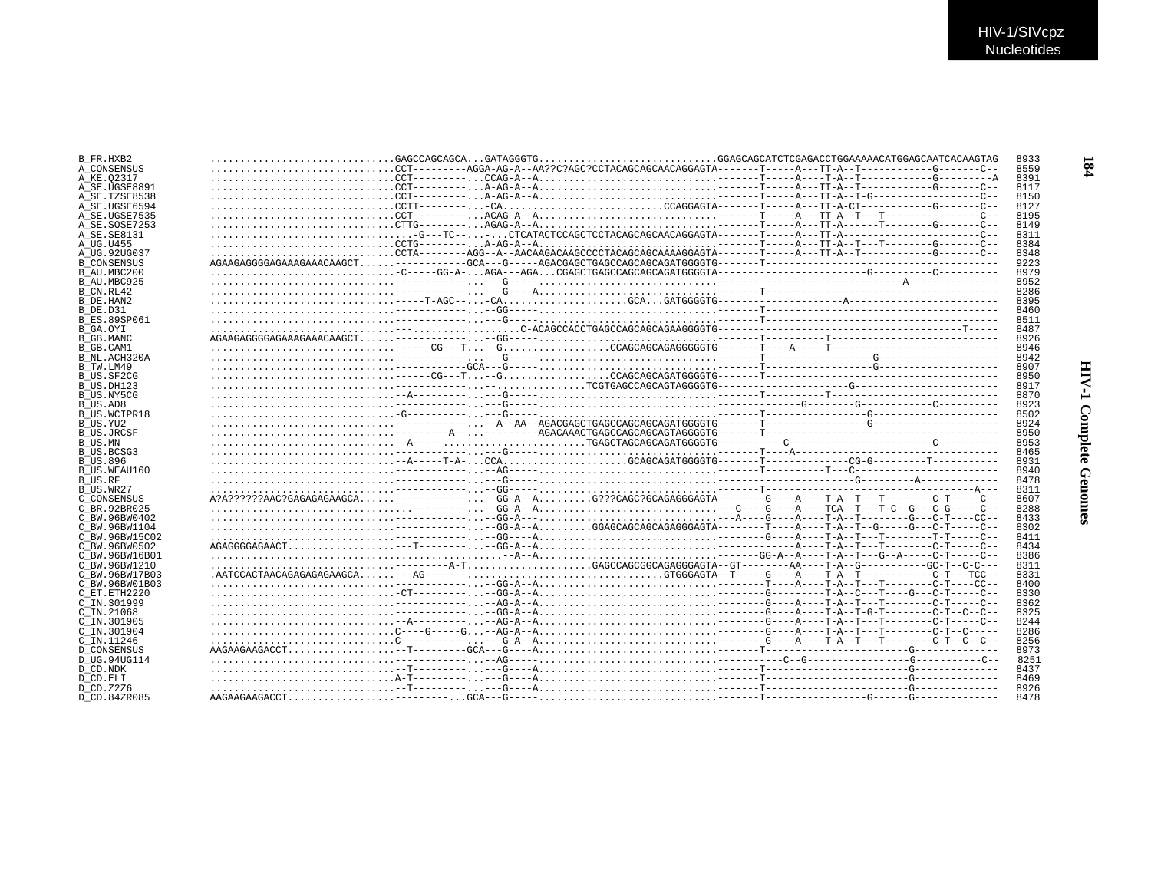| B FR.HXB2                  |  |  | 8933         |
|----------------------------|--|--|--------------|
| A CONSENSUS                |  |  | 8559         |
| A KE.02317                 |  |  | 8391         |
| A SE.UGSE8891              |  |  | 8117         |
| A SE.TZSE8538              |  |  | 8150         |
| A SE.UGSE6594              |  |  | 8127         |
| A SE.UGSE7535              |  |  | 8195         |
| A_SE.SOSE7253              |  |  | 8149         |
| A SE. SE8131               |  |  | 8311         |
| A UG.U455                  |  |  | 8384         |
| A UG.92UG037               |  |  | 8348         |
| <b>B CONSENSUS</b>         |  |  | 9223         |
| B AU.MBC200                |  |  | 8979         |
| B AU.MBC925                |  |  | 8952         |
|                            |  |  | 8286         |
| B_CN.RL42                  |  |  | 8395         |
| B DE.HAN2                  |  |  |              |
| B DE.D31                   |  |  | 8460         |
| <b>B ES.89SP061</b>        |  |  | 8511         |
| B GA.OYI                   |  |  | 8487         |
| B GB.MANC                  |  |  | 8926         |
| B GB.CAM1                  |  |  | 8946         |
| B NL.ACH320A               |  |  | 8942         |
| B TW.LM49                  |  |  | 8907         |
| B US.SF2CG                 |  |  | 8950         |
| B US.DH123                 |  |  | 8917         |
| B US.NY5CG                 |  |  | 8870         |
| B US.AD8                   |  |  | 8923         |
| B US.WCIPR18               |  |  | 8502         |
| B_US.YU2                   |  |  | 8924         |
| <b>B US.JRCSF</b>          |  |  | 8950         |
| B_US.MN                    |  |  | 8953         |
| B US.BCSG3                 |  |  | 8465         |
| <b>B US.896</b>            |  |  | 8931         |
| B US.WEAU160               |  |  | 8940         |
| B US.RF                    |  |  | 8478         |
| B_US.WR27                  |  |  |              |
| C. CONSENSUS               |  |  |              |
| C BR. 92BR025              |  |  | 8311         |
|                            |  |  | 8607         |
|                            |  |  | 8288         |
| C BW.96BW0402              |  |  | 8433         |
| C BW.96BW1104              |  |  | 8302         |
| C BW.96BW15C02             |  |  | 8411         |
| C BW.96BW0502              |  |  | 8434         |
| C BW.96BW16B01             |  |  | 8386         |
| C BW.96BW1210              |  |  | 8311         |
| C BW. 96BW17B03            |  |  | 8331         |
| C BW.96BW01B03             |  |  | 8400         |
| C ET. ETH2220              |  |  | 8330         |
| C IN.301999                |  |  | 8362         |
| C IN.21068                 |  |  | 8325         |
| C IN.301905                |  |  | 8244         |
| C IN.301904                |  |  | 8286         |
| C IN.11246                 |  |  | 8256         |
| <b>D CONSENSUS</b>         |  |  | 8973         |
| D UG.94UG114               |  |  | 8251         |
| D CD.NDK                   |  |  | 8437         |
| D CD.ELI                   |  |  | 8469         |
| D CD. Z2Z6<br>D CD.84ZR085 |  |  | 8926<br>8478 |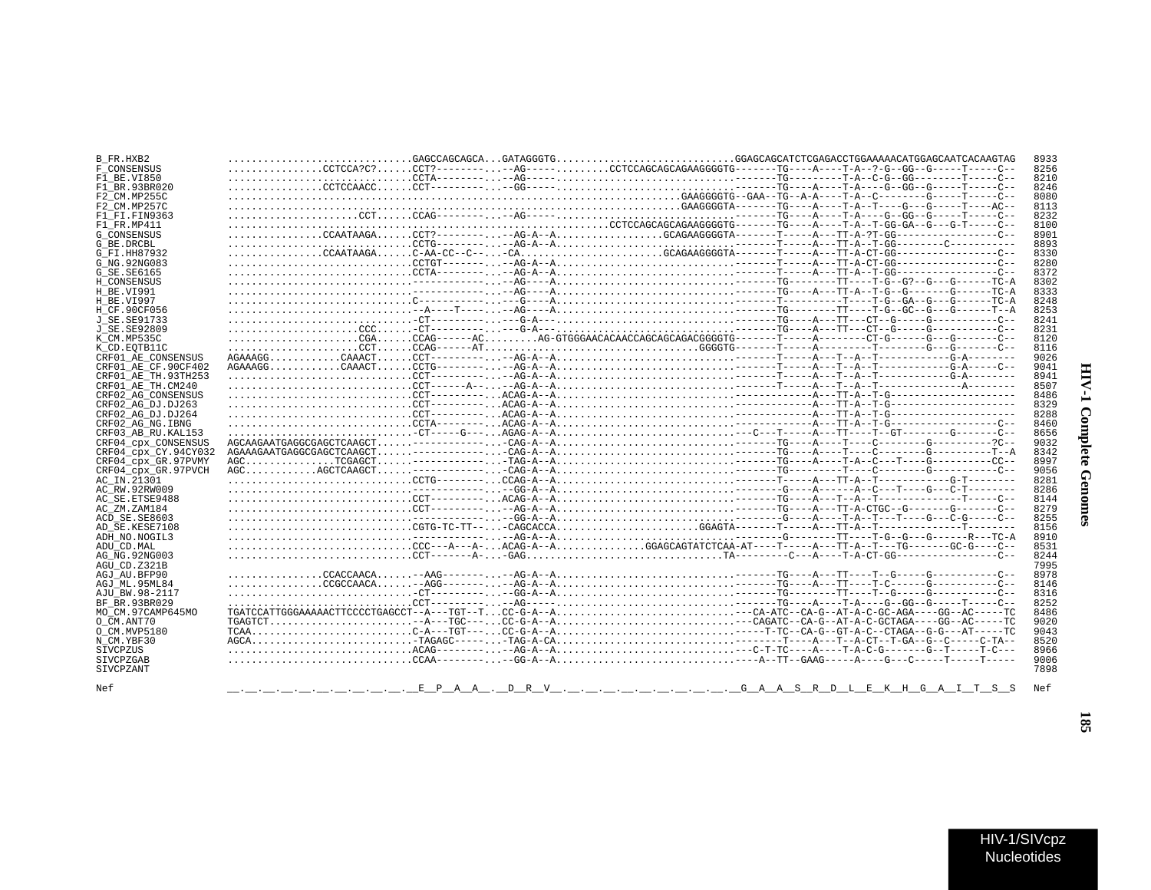## B\_FR.HXB2 8933 F\_CONSENSUS 8256  $F1$  BE.VI850 8210  $\begin{minipage}{0.9\textwidth} \begin{tabular}{@{}c@{}} \multicolumn{2}{c|}{CCTA} \multicolumn{2}{c|}{\textbf{CCT}} \multicolumn{2}{c|}{\textbf{CCT}} \multicolumn{2}{c|}{\textbf{CCT}} \multicolumn{2}{c|}{\textbf{CCT}} \multicolumn{2}{c|}{\textbf{CCT}} \multicolumn{2}{c|}{\textbf{CCT}} \multicolumn{2}{c|}{\textbf{CCT}} \multicolumn{2}{c|}{\textbf{CCT}} \multicolumn{2}{c|}{\textbf{CCT}} \multicolumn{2}{c|}{\textbf{CCT}} \multicolumn{2}{c|}{$ F1 BR.93BR020  $8246$ F2\_CM.MP255C 8080 F2 CM MD257C  $R112$  $F1$  $F1$ .  $F1N9363$ 8232  $F1$  FR.MP411 8100  $G$   $\overline{C}$  ONSENSITS  $8901$  $G$ RE DRCBL 8893 G FT HH87932 8330 G NG. 92NG083 8280  $G$ SE.SE6165 8372 H CONSENSUS 8302  $H$ RE VI991 8333 8248 **H BE VT997** H\_CF.90CF056 8253 J SE. SE91733 8241 J\_SE.SE92809 8231 K CM MP535C 8120  $8116$  $K$  CD.  $K$ OTB<sup>11</sup>C CRF01\_AE\_CONSENSUS 9026 CRF01\_AE\_CF.90CF402 9041  $CRF01<sup>-</sup>ARTH.93TH253$ 8941  $CRF01<sup>-</sup>AETH$ . CM240 8507 CRF02\_AG\_CONSENSUS 8486 CRF02 AG DJ.DJ263  $R329$ CRF02\_AG\_DJ.DJ264 8288 CRF02\_AG\_NG.IBNG 8460 CRF03 AB RU. KAL153  $8656$ CRF04\_cpx\_CONSENSUS 9032 CRF04\_cpx\_CY.94CY032 8342 CRF04 cpx GR.97PVMY 8997 CRF04\_cpx\_GR.97PVCH 9056 AC IN.21301 8281 AC RW. 92RW009  $8286$ AC SE. ETSE9488 8144  $AC_ZM$ .  $ZAM184$ 8279 ACD SE SE8603 8255 AD SE.KESE7108 8156 ADH NO.NOGIL3 8910 ADIL CD MAL. 8531 AG\_NG.92NG003 8244  $AGU$  CD.  $Z321B$ 7995 AGJ AU. BFP90 8978 AGJ ML.95ML84 8146 AJU BW. 98-2117 8316 BF BR 93BR029  $8252$ MOCM.97CAMP645MO 8486  $O$   $CM$ . ANT70 9020 0 CM. MVP5180 9043 N CM. YBF30 8520  $ACAG------ACAG------AG-A---A.$ **STVCPZUS** 8966 SIVCPZGAR 9006 SIVCPZANT 7898 Nef PAA . DRV . . . . . . . . . GAASRDLEKHGAITSS  $N \cap F$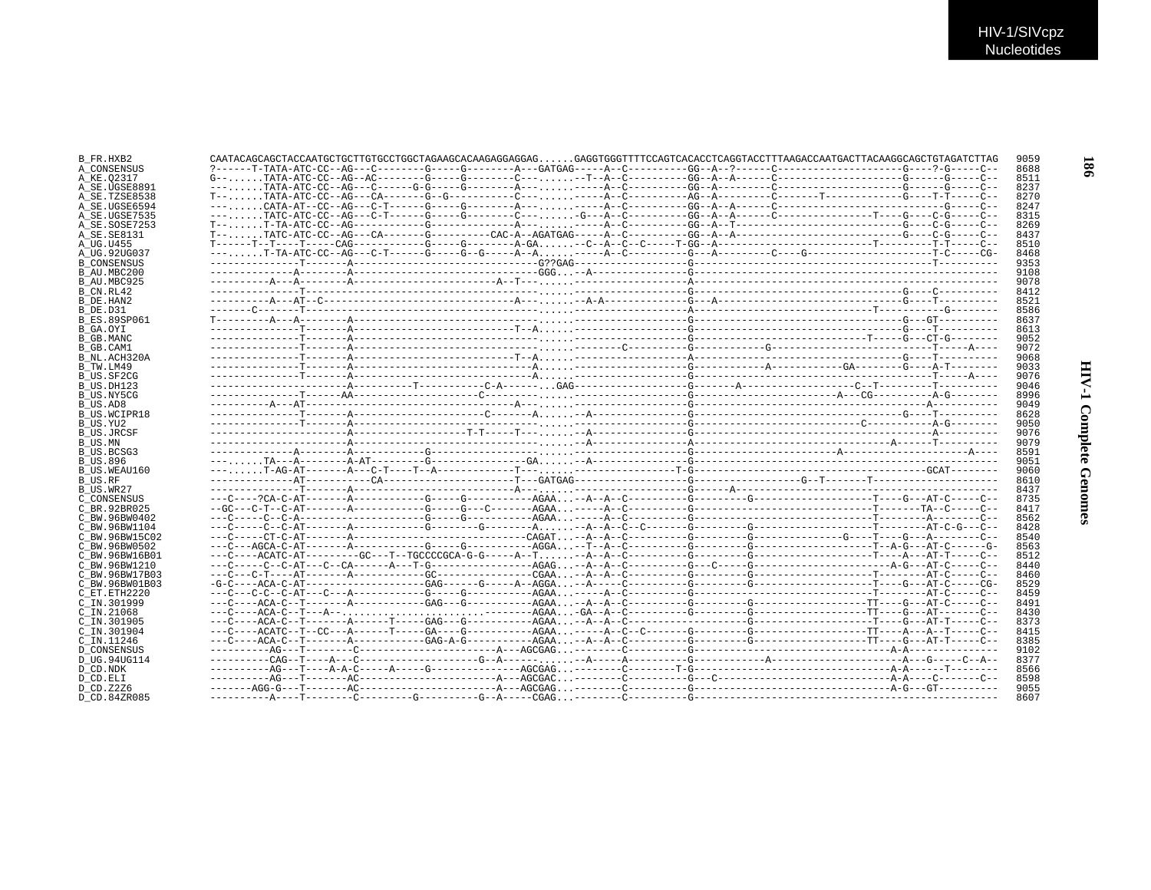| B FR.HXB2           |  |  | CAATACAGCAGCTACCAATGCTGCTTGTGCCTGGCTAGAAGCACAAGAGGAGGAGGAGGTGGGTTTTCCAGTCACACCTCAGGTACCTTTAAGACCAATGACTTACAAGGCAGCTGTAGATCTTAG | 9059 |
|---------------------|--|--|--------------------------------------------------------------------------------------------------------------------------------|------|
| A CONSENSUS         |  |  |                                                                                                                                | 8688 |
| A KE.02317          |  |  |                                                                                                                                | 8511 |
| A SE.UGSE8891       |  |  |                                                                                                                                | 8237 |
| A SE.TZSE8538       |  |  |                                                                                                                                | 8270 |
| A SE.UGSE6594       |  |  |                                                                                                                                | 8247 |
| A SE.UGSE7535       |  |  |                                                                                                                                | 8315 |
| A SE.SOSE7253       |  |  |                                                                                                                                | 8269 |
| A SE. SE8131        |  |  |                                                                                                                                | 8437 |
| A UG.U455           |  |  |                                                                                                                                | 8510 |
| A UG.92UG037        |  |  |                                                                                                                                | 8468 |
| <b>B CONSENSUS</b>  |  |  |                                                                                                                                | 9353 |
| B AU.MBC200         |  |  |                                                                                                                                | 9108 |
| B AU.MBC925         |  |  |                                                                                                                                | 9078 |
| B CN.RL42           |  |  |                                                                                                                                | 8412 |
| B DE.HAN2           |  |  |                                                                                                                                | 8521 |
| B DE.D31            |  |  |                                                                                                                                | 8586 |
| <b>B ES.89SP061</b> |  |  |                                                                                                                                | 8637 |
| B GA.OYI            |  |  |                                                                                                                                | 8613 |
| B GB.MANC           |  |  |                                                                                                                                | 9052 |
| B GB.CAM1           |  |  |                                                                                                                                | 9072 |
| B_NL.ACH320A        |  |  |                                                                                                                                | 9068 |
| B TW.LM49           |  |  |                                                                                                                                | 9033 |
| B US.SF2CG          |  |  |                                                                                                                                | 9076 |
| B US.DH123          |  |  |                                                                                                                                | 9046 |
| B US.NY5CG          |  |  |                                                                                                                                | 8996 |
| B US.AD8            |  |  |                                                                                                                                | 9049 |
| B US.WCIPR18        |  |  |                                                                                                                                | 8628 |
| B_US.YU2            |  |  |                                                                                                                                | 9050 |
| B US.JRCSF          |  |  |                                                                                                                                | 9076 |
| B US.MN             |  |  |                                                                                                                                | 9079 |
| B US.BCSG3          |  |  |                                                                                                                                | 8591 |
| <b>B US.896</b>     |  |  |                                                                                                                                | 9051 |
| B US.WEAU160        |  |  |                                                                                                                                | 9060 |
| B US.RF             |  |  |                                                                                                                                | 8610 |
| B_US.WR27           |  |  |                                                                                                                                | 8437 |
| C CONSENSUS         |  |  |                                                                                                                                | 8735 |
| C BR.92BR025        |  |  |                                                                                                                                | 8417 |
| C BW.96BW0402       |  |  |                                                                                                                                | 8562 |
| C BW.96BW1104       |  |  |                                                                                                                                | 8428 |
| C BW.96BW15C02      |  |  |                                                                                                                                | 8540 |
| C BW.96BW0502       |  |  |                                                                                                                                | 8563 |
| C BW.96BW16B01      |  |  |                                                                                                                                | 8512 |
| C BW.96BW1210       |  |  |                                                                                                                                | 8440 |
| C BW.96BW17B03      |  |  |                                                                                                                                | 8460 |
| C BW.96BW01B03      |  |  |                                                                                                                                | 8529 |
| C ET. ETH2220       |  |  |                                                                                                                                | 8459 |
| C IN.301999         |  |  |                                                                                                                                | 8491 |
| $C$ IN. 21068       |  |  |                                                                                                                                | 8430 |
| C IN.301905         |  |  |                                                                                                                                | 8373 |
| C IN.301904         |  |  |                                                                                                                                | 8415 |
| C IN.11246          |  |  |                                                                                                                                | 8385 |
| D CONSENSUS         |  |  |                                                                                                                                | 9102 |
| D UG.94UG114        |  |  |                                                                                                                                | 8377 |
| D CD.NDK            |  |  |                                                                                                                                | 8566 |
| D CD.ELI            |  |  |                                                                                                                                | 8598 |
| D CD.Z2Z6           |  |  |                                                                                                                                | 9055 |
| D.CD.84ZR085        |  |  |                                                                                                                                | 8607 |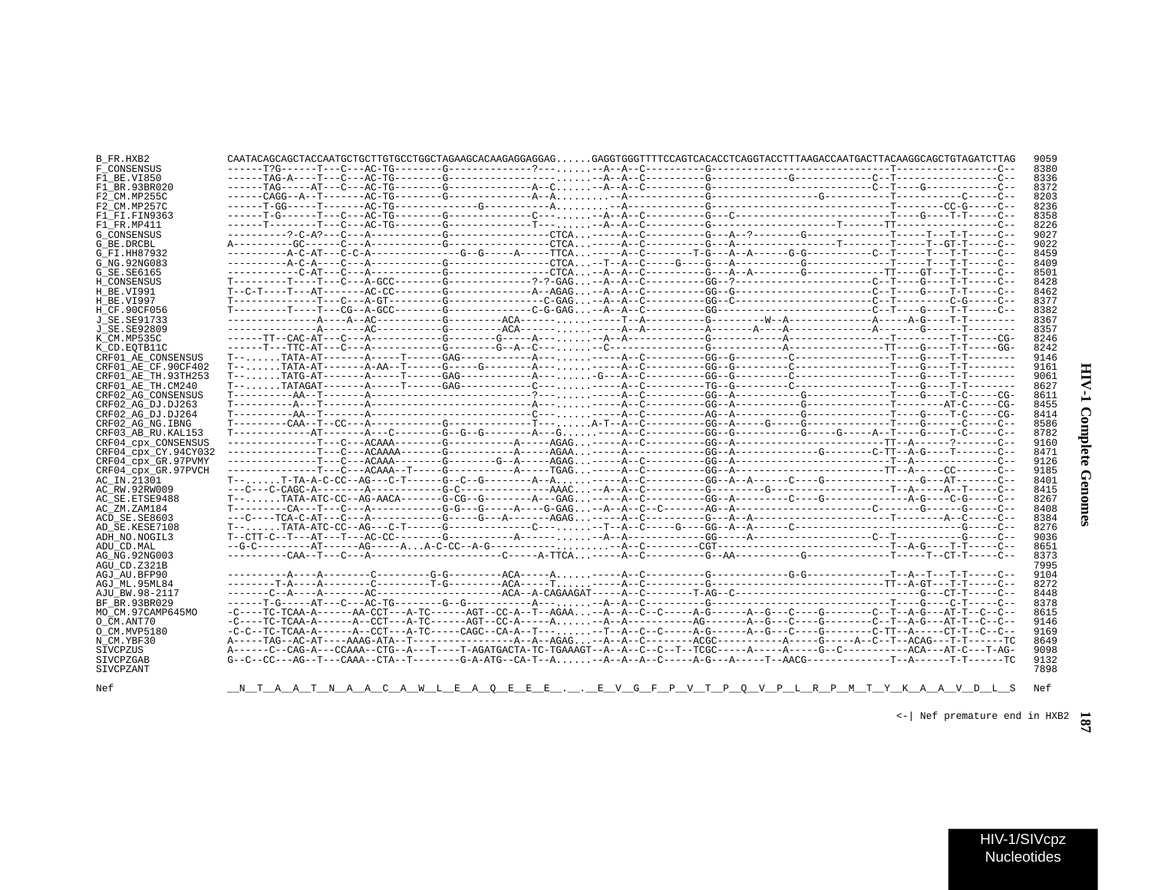| ì<br>٢<br>č |  |
|-------------|--|
| j           |  |

| B FR.HXB2            |  |  | CAATACAGCAGCTACCAATGCTGCTTGTGCCTGGCTAGAAGCACAAGGAGGAGGAGGAGGTGGGTTTTCCAGTCACACCTCAGGTACCTTTAAGACCAATGACTTACAAGGCAGCTGTAGATCTTAG               | 9059 |
|----------------------|--|--|-----------------------------------------------------------------------------------------------------------------------------------------------|------|
| F CONSENSUS          |  |  |                                                                                                                                               | 8380 |
| F1 BE.VI850          |  |  |                                                                                                                                               | 8336 |
| F1 BR.93BR020        |  |  |                                                                                                                                               | 8372 |
| F2 CM.MP255C         |  |  |                                                                                                                                               | 8203 |
| F2 CM.MP257C         |  |  |                                                                                                                                               | 8236 |
| F1 FI.FIN9363        |  |  |                                                                                                                                               | 8358 |
| F1 FR.MP411          |  |  |                                                                                                                                               | 8226 |
| <b>G CONSENSUS</b>   |  |  |                                                                                                                                               | 9027 |
| G BE.DRCBL           |  |  |                                                                                                                                               | 9022 |
|                      |  |  |                                                                                                                                               | 8459 |
| G FI.HH87932         |  |  |                                                                                                                                               |      |
| G NG. 92NG083        |  |  |                                                                                                                                               | 8409 |
| G SE.SE6165          |  |  |                                                                                                                                               | 8501 |
| H CONSENSUS          |  |  |                                                                                                                                               | 8428 |
| H BE.VI991           |  |  |                                                                                                                                               | 8462 |
| H BE.VI997           |  |  |                                                                                                                                               | 8377 |
| H CF.90CF056         |  |  |                                                                                                                                               | 8382 |
| J SE.SE91733         |  |  |                                                                                                                                               | 8367 |
| J SE.SE92809         |  |  |                                                                                                                                               | 8357 |
| K CM.MP535C          |  |  |                                                                                                                                               | 8246 |
| K CD. EOTB11C        |  |  |                                                                                                                                               | 8242 |
| CRF01 AE CONSENSUS   |  |  |                                                                                                                                               | 9146 |
| CRF01 AE CF.90CF402  |  |  |                                                                                                                                               | 9161 |
| CRF01 AE TH.93TH253  |  |  |                                                                                                                                               | 9061 |
| CRF01 AE TH.CM240    |  |  |                                                                                                                                               | 8627 |
| CRF02 AG CONSENSUS   |  |  |                                                                                                                                               | 8611 |
| CRF02 AG DJ.DJ263    |  |  |                                                                                                                                               | 8455 |
| CRF02 AG DJ.DJ264    |  |  |                                                                                                                                               | 8414 |
| CRF02 AG NG. IBNG    |  |  |                                                                                                                                               | 8586 |
| CRF03 AB RU. KAL153  |  |  |                                                                                                                                               | 8782 |
|                      |  |  |                                                                                                                                               |      |
| CRF04 cpx CONSENSUS  |  |  |                                                                                                                                               | 9160 |
| CRF04 cpx CY.94CY032 |  |  |                                                                                                                                               | 8471 |
| CRF04 cpx GR.97PVMY  |  |  |                                                                                                                                               | 9126 |
| CRF04 cpx GR.97PVCH  |  |  |                                                                                                                                               | 9185 |
| AC IN.21301          |  |  |                                                                                                                                               | 8401 |
| AC RW.92RW009        |  |  |                                                                                                                                               | 8415 |
| AC SE.ETSE9488       |  |  |                                                                                                                                               | 8267 |
| AC ZM.ZAM184         |  |  |                                                                                                                                               | 8408 |
| ACD SE.SE8603        |  |  |                                                                                                                                               | 8384 |
| AD SE.KESE7108       |  |  |                                                                                                                                               | 8276 |
| ADH_NO.NOGIL3        |  |  |                                                                                                                                               | 9036 |
| ADU CD.MAL           |  |  |                                                                                                                                               | 8651 |
| AG NG. 92NG003       |  |  |                                                                                                                                               | 8373 |
| AGU CD. Z321B        |  |  |                                                                                                                                               | 7995 |
| AGJ AU.BFP90         |  |  |                                                                                                                                               | 9104 |
| AGJ ML.95ML84        |  |  |                                                                                                                                               | 8272 |
| AJU BW.98-2117       |  |  |                                                                                                                                               | 8448 |
| BF BR. 93BR029       |  |  |                                                                                                                                               | 8378 |
| MO CM.97CAMP645MO    |  |  | -C----TC-TCAA-A------AA-CCT---A-TC------AGT--CC-A--T--AGAA--A--A--C--C-----A-G-----A--G---C------C--T--A-G---AT-T--C--C--                     | 8615 |
|                      |  |  |                                                                                                                                               |      |
| O CM.ANT70           |  |  |                                                                                                                                               | 9146 |
| O CM.MVP5180         |  |  |                                                                                                                                               | 9169 |
| N CM.YBF30           |  |  |                                                                                                                                               | 8649 |
| SIVCPZUS             |  |  |                                                                                                                                               | 9098 |
| SIVCPZGAB            |  |  | $G-C--CC---AG--T---CAAA--CTA--T------G-A-ATG-CA--T--A. -A--A--A--C---A-G---A--T---T--AACG---------T--A---T--A---T--A---T--A---T--C---A---T-.$ | 9132 |
| SIVCPZANT            |  |  |                                                                                                                                               | 7898 |
|                      |  |  |                                                                                                                                               |      |
| Nef                  |  |  | <u>_N_T_A_A_T_N_A_A_C_A_W_L_E_A_Q_E_E_E_.__.E_V_G_F_P_V_T_P_Q_V_P_L_R_P_M_T_Y_K_A_A_V_D_L_S</u>                                               | Nef  |

 $\left\langle -\right|$  Nef premature end in HXB2  $\frac{1}{\sqrt{2}}$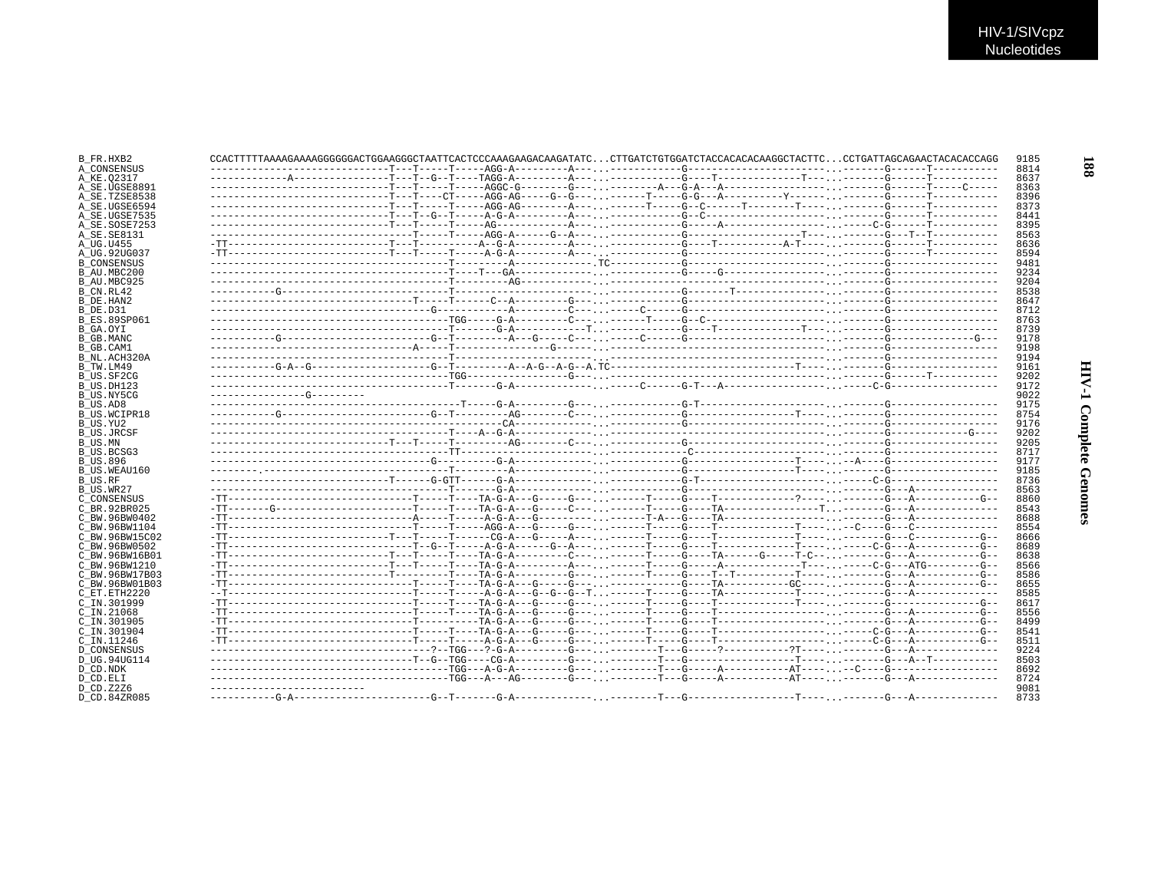| B FR.HXB2           | CCACTTTTTAAAAGAAAAGGGGGGACTGGAAGGGCTAATTCACTCCCAAAGAAGACAAGATATCCTTGATCTGGATCTACCACACACAGAGGCTACTTCCCTGATTAGCAGAACTACACACCAGG |  |  |  |  |
|---------------------|-------------------------------------------------------------------------------------------------------------------------------|--|--|--|--|
| A CONSENSUS         |                                                                                                                               |  |  |  |  |
| A KE.02317          |                                                                                                                               |  |  |  |  |
| A SE.UGSE8891       |                                                                                                                               |  |  |  |  |
| A SE.TZSE8538       |                                                                                                                               |  |  |  |  |
| A SE.UGSE6594       |                                                                                                                               |  |  |  |  |
| A_SE.UGSE7535       |                                                                                                                               |  |  |  |  |
| A SE.SOSE7253       |                                                                                                                               |  |  |  |  |
| A SE.SE8131         |                                                                                                                               |  |  |  |  |
| A UG.U455           |                                                                                                                               |  |  |  |  |
| A_UG.92UG037        |                                                                                                                               |  |  |  |  |
| <b>B CONSENSUS</b>  |                                                                                                                               |  |  |  |  |
| B AU.MBC200         |                                                                                                                               |  |  |  |  |
|                     |                                                                                                                               |  |  |  |  |
| B AU.MBC925         |                                                                                                                               |  |  |  |  |
| B CN.RL42           |                                                                                                                               |  |  |  |  |
| B DE.HAN2           |                                                                                                                               |  |  |  |  |
| B DE.D31            |                                                                                                                               |  |  |  |  |
| B ES.89SP061        |                                                                                                                               |  |  |  |  |
| B GA.OYI            |                                                                                                                               |  |  |  |  |
| B GB.MANC           |                                                                                                                               |  |  |  |  |
| B GB.CAM1           |                                                                                                                               |  |  |  |  |
| B NL.ACH320A        |                                                                                                                               |  |  |  |  |
| B TW.LM49           |                                                                                                                               |  |  |  |  |
| B US.SF2CG          |                                                                                                                               |  |  |  |  |
| B_US.DH123          |                                                                                                                               |  |  |  |  |
| B US.NY5CG          |                                                                                                                               |  |  |  |  |
| B US.AD8            |                                                                                                                               |  |  |  |  |
| <b>B US.WCIPR18</b> |                                                                                                                               |  |  |  |  |
| B US.YU2            |                                                                                                                               |  |  |  |  |
| <b>B US.JRCSF</b>   |                                                                                                                               |  |  |  |  |
| B US.MN             |                                                                                                                               |  |  |  |  |
| B US.BCSG3          |                                                                                                                               |  |  |  |  |
| B US.896            |                                                                                                                               |  |  |  |  |
| B US.WEAU160        |                                                                                                                               |  |  |  |  |
| B US.RF             |                                                                                                                               |  |  |  |  |
| B US.WR27           |                                                                                                                               |  |  |  |  |
| C_CONSENSUS         |                                                                                                                               |  |  |  |  |
| C BR.92BR025        |                                                                                                                               |  |  |  |  |
|                     |                                                                                                                               |  |  |  |  |
| C BW.96BW0402       |                                                                                                                               |  |  |  |  |
| C BW.96BW1104       |                                                                                                                               |  |  |  |  |
| C BW.96BW15C02      |                                                                                                                               |  |  |  |  |
| C BW.96BW0502       |                                                                                                                               |  |  |  |  |
| C BW.96BW16B01      |                                                                                                                               |  |  |  |  |
| C BW.96BW1210       |                                                                                                                               |  |  |  |  |
| C BW.96BW17B03      |                                                                                                                               |  |  |  |  |
| C BW.96BW01B03      | -TT----------------------------T----TA-G-A---G-----G---.----------G----TA----------GC-----------G--A----------G--             |  |  |  |  |
| C ET. ETH2220       |                                                                                                                               |  |  |  |  |
| C IN.301999         |                                                                                                                               |  |  |  |  |
| C IN.21068          |                                                                                                                               |  |  |  |  |
| C IN.301905         |                                                                                                                               |  |  |  |  |
| C IN.301904         |                                                                                                                               |  |  |  |  |
| C IN.11246          |                                                                                                                               |  |  |  |  |
| <b>D CONSENSUS</b>  |                                                                                                                               |  |  |  |  |
| D UG.94UG114        |                                                                                                                               |  |  |  |  |
| D CD.NDK            |                                                                                                                               |  |  |  |  |
| D CD.ELI            |                                                                                                                               |  |  |  |  |
| D CD.Z2Z6           |                                                                                                                               |  |  |  |  |
|                     |                                                                                                                               |  |  |  |  |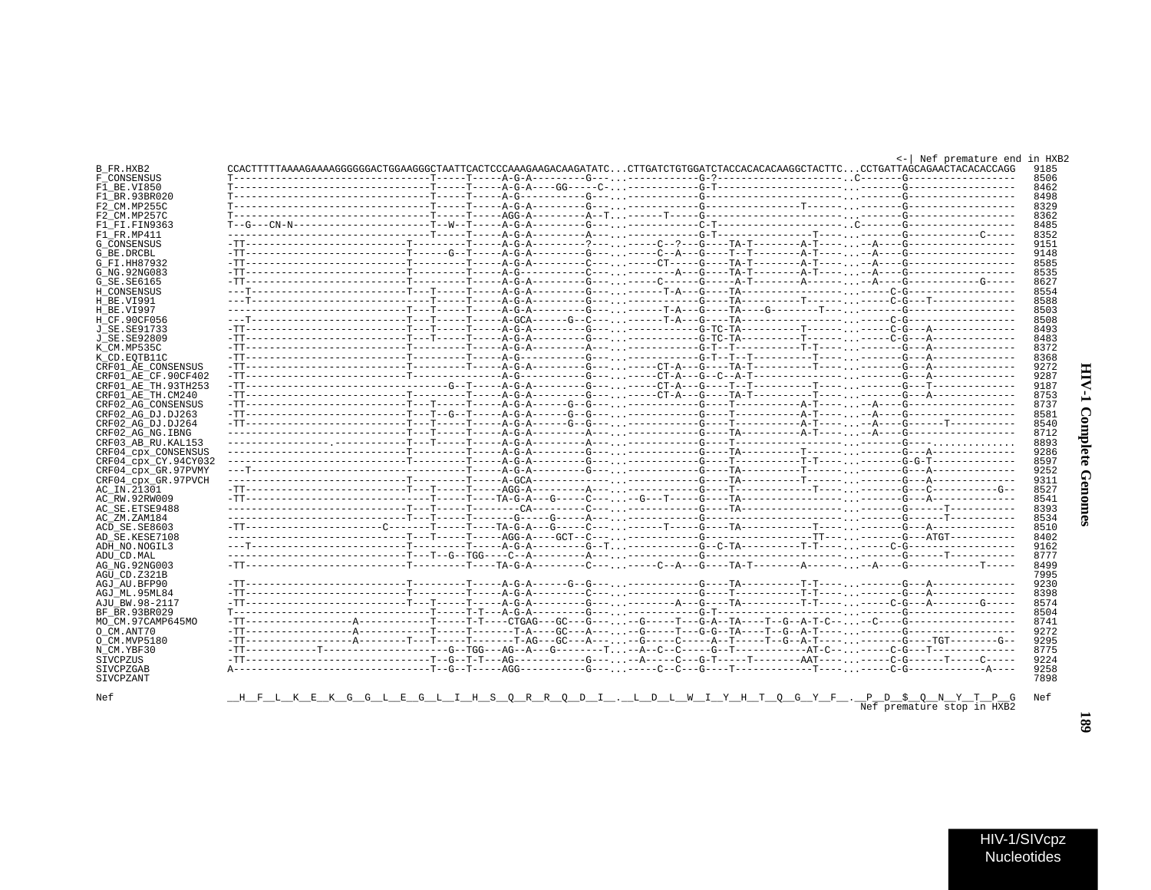| ì<br>ï<br>i |  |
|-------------|--|
| ì<br>ĵ<br>i |  |

189

<- | Nef premature end in HXB2

| B FR.HXB2            | CCACTTTTTAAAAGAAAAGGGGGACTGGAAGGGCTAATTCACTCCCAAAGAAGACAAGATATCCTTGATCTGGATCTACCACACACACACACCTACTTCCCTGATTAGCAGAACTACACACCAGG |  |  |  |  | 9185                       |
|----------------------|-------------------------------------------------------------------------------------------------------------------------------|--|--|--|--|----------------------------|
| F CONSENSUS          |                                                                                                                               |  |  |  |  | 8506                       |
| F1 BE.VI850          |                                                                                                                               |  |  |  |  | 8462                       |
| F1 BR.93BR020        |                                                                                                                               |  |  |  |  | 8498                       |
| F2 CM.MP255C         |                                                                                                                               |  |  |  |  | 8329                       |
| F2 CM.MP257C         |                                                                                                                               |  |  |  |  | 8362                       |
| F1 FI.FIN9363        |                                                                                                                               |  |  |  |  | 8485                       |
| F1 FR.MP411          |                                                                                                                               |  |  |  |  | 8352                       |
| G_CONSENSUS          |                                                                                                                               |  |  |  |  | 9151                       |
| G BE.DRCBL           |                                                                                                                               |  |  |  |  | 9148                       |
| G FI.HH87932         |                                                                                                                               |  |  |  |  | 8585                       |
| G NG. 92NG083        |                                                                                                                               |  |  |  |  | 8535                       |
| G SE. SE6165         |                                                                                                                               |  |  |  |  | 8627                       |
|                      |                                                                                                                               |  |  |  |  |                            |
| H CONSENSUS          |                                                                                                                               |  |  |  |  | 8554                       |
| H BE.VI991           |                                                                                                                               |  |  |  |  | 8588                       |
| H_BE.VI997           |                                                                                                                               |  |  |  |  | 8503                       |
| H CF.90CF056         |                                                                                                                               |  |  |  |  | 8508                       |
| J SE.SE91733         |                                                                                                                               |  |  |  |  | 8493                       |
| J SE.SE92809         |                                                                                                                               |  |  |  |  | 8483                       |
| K CM.MP535C          |                                                                                                                               |  |  |  |  | 8372                       |
| K CD. EOTB11C        |                                                                                                                               |  |  |  |  | 8368                       |
| CRF01 AE CONSENSUS   |                                                                                                                               |  |  |  |  | 9272                       |
| CRF01 AE CF.90CF402  |                                                                                                                               |  |  |  |  | 9287                       |
| CRF01 AE TH.93TH253  |                                                                                                                               |  |  |  |  | 9187                       |
| CRF01 AE TH.CM240    |                                                                                                                               |  |  |  |  | 8753                       |
| CRF02 AG CONSENSUS   |                                                                                                                               |  |  |  |  | 8737                       |
| CRF02 AG DJ.DJ263    |                                                                                                                               |  |  |  |  | 8581                       |
| CRF02_AG_DJ.DJ264    |                                                                                                                               |  |  |  |  | 8540                       |
| CRF02 AG NG. IBNG    |                                                                                                                               |  |  |  |  | 8712                       |
| CRF03_AB_RU.KAL153   |                                                                                                                               |  |  |  |  | 8893                       |
|                      |                                                                                                                               |  |  |  |  | 9286                       |
| CRF04_cpx_CONSENSUS  |                                                                                                                               |  |  |  |  | 8597                       |
| CRF04 cpx CY.94CY032 |                                                                                                                               |  |  |  |  |                            |
| CRF04 cpx GR.97PVMY  |                                                                                                                               |  |  |  |  | 9252                       |
| CRF04 cpx GR.97PVCH  |                                                                                                                               |  |  |  |  | 9311                       |
| AC IN.21301          |                                                                                                                               |  |  |  |  | 8527                       |
| AC RW.92RW009        |                                                                                                                               |  |  |  |  | 8541                       |
| AC SE.ETSE9488       |                                                                                                                               |  |  |  |  | 8393                       |
| AC ZM.ZAM184         |                                                                                                                               |  |  |  |  | 8534                       |
| ACD SE.SE8603        |                                                                                                                               |  |  |  |  | 8510                       |
| AD SE.KESE7108       |                                                                                                                               |  |  |  |  | 8402                       |
| ADH NO.NOGIL3        |                                                                                                                               |  |  |  |  | 9162                       |
| ADU_CD.MAL           |                                                                                                                               |  |  |  |  | 8777                       |
| AG NG. 92NG003       |                                                                                                                               |  |  |  |  | 8499                       |
| AGU CD.Z321B         |                                                                                                                               |  |  |  |  | 7995                       |
| AGJ AU.BFP90         |                                                                                                                               |  |  |  |  | 9230                       |
| AGJ ML.95ML84        |                                                                                                                               |  |  |  |  | 8398                       |
| AJU BW.98-2117       |                                                                                                                               |  |  |  |  | 8574                       |
| BF BR.93BR029        |                                                                                                                               |  |  |  |  | 8504                       |
| MO CM.97CAMP645MO    | -TT-----------------A-----------T-----T-T----CTGAG---GC---G---.--G----T---G-A--TA----T--G--A-T-C---C----G-------------------  |  |  |  |  | 8741                       |
| O CM.ANT70           |                                                                                                                               |  |  |  |  | 9272                       |
| O_CM.MVP5180         |                                                                                                                               |  |  |  |  | 9295                       |
|                      |                                                                                                                               |  |  |  |  | 8775                       |
| N CM.YBF30           |                                                                                                                               |  |  |  |  |                            |
| SIVCPZUS             |                                                                                                                               |  |  |  |  | 9224                       |
| SIVCPZGAB            |                                                                                                                               |  |  |  |  | 9258                       |
| SIVCPZANT            |                                                                                                                               |  |  |  |  | 7898                       |
|                      |                                                                                                                               |  |  |  |  |                            |
| Nef                  | <u>_H_F_L_K_B_K_G_G_L_B_G_L_I_H_S_Q_R_R_Q_D_I__,_L_D_L_W_I_Y_H_T_Q_G_Y_F_,_P_D_\$_Q_N_Y_T_P_G</u>                             |  |  |  |  | Nef                        |
|                      |                                                                                                                               |  |  |  |  | Nef premature stop in HXB2 |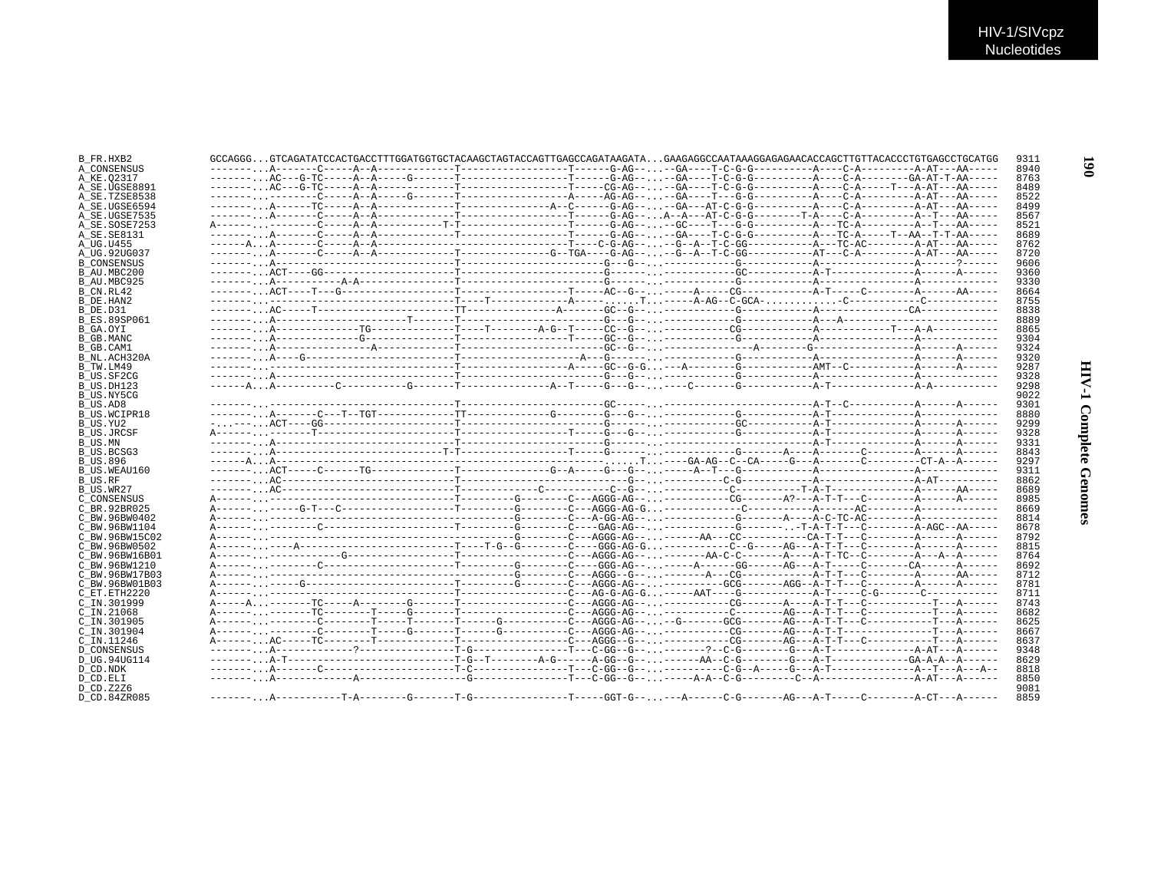| B FR.HXB2           | GCCAGGGGTCAGATATCCACTGACCTTTGGATGGTGCTACAAGCTAGTACCAGTTGAGCCAGATAAGATAGAAGAGGCCAATAAAGGAGAGAACACCAGCTTGTTACACCCTGTGAGCCTGCATGG |  |  |  |  |      |
|---------------------|--------------------------------------------------------------------------------------------------------------------------------|--|--|--|--|------|
| A CONSENSUS         |                                                                                                                                |  |  |  |  | 8940 |
| A KE.02317          |                                                                                                                                |  |  |  |  | 8763 |
| A SE.UGSE8891       |                                                                                                                                |  |  |  |  | 8489 |
| A SE.TZSE8538       |                                                                                                                                |  |  |  |  | 8522 |
| A SE.UGSE6594       |                                                                                                                                |  |  |  |  | 8499 |
| A SE.UGSE7535       |                                                                                                                                |  |  |  |  | 8567 |
| A SE.SOSE7253       |                                                                                                                                |  |  |  |  | 8521 |
| A SE. SE8131        |                                                                                                                                |  |  |  |  | 8689 |
| A UG.U455           |                                                                                                                                |  |  |  |  | 8762 |
| A_UG.92UG037        |                                                                                                                                |  |  |  |  | 8720 |
| <b>B CONSENSUS</b>  |                                                                                                                                |  |  |  |  | 9606 |
| B AU.MBC200         |                                                                                                                                |  |  |  |  | 9360 |
| B AU.MBC925         |                                                                                                                                |  |  |  |  | 9330 |
| B CN.RL42           |                                                                                                                                |  |  |  |  | 8664 |
| B DE.HAN2           |                                                                                                                                |  |  |  |  | 8755 |
| B DE.D31            |                                                                                                                                |  |  |  |  | 8838 |
| <b>B ES.89SP061</b> |                                                                                                                                |  |  |  |  | 8889 |
| B GA.OYI            |                                                                                                                                |  |  |  |  | 8865 |
|                     |                                                                                                                                |  |  |  |  | 9304 |
| B GB.MANC           |                                                                                                                                |  |  |  |  |      |
| B GB.CAM1           |                                                                                                                                |  |  |  |  | 9324 |
| B NL.ACH320A        |                                                                                                                                |  |  |  |  | 9320 |
| B TW.LM49           |                                                                                                                                |  |  |  |  | 9287 |
| B US.SF2CG          |                                                                                                                                |  |  |  |  | 9328 |
| B US.DH123          |                                                                                                                                |  |  |  |  | 9298 |
| B US.NY5CG          |                                                                                                                                |  |  |  |  | 9022 |
| B US.AD8            |                                                                                                                                |  |  |  |  | 9301 |
| <b>B US.WCIPR18</b> |                                                                                                                                |  |  |  |  | 8880 |
| B_US.YU2            |                                                                                                                                |  |  |  |  | 9299 |
| <b>B US.JRCSF</b>   |                                                                                                                                |  |  |  |  | 9328 |
| B_US.MN             |                                                                                                                                |  |  |  |  | 9331 |
| <b>B_US.BCSG3</b>   |                                                                                                                                |  |  |  |  | 8843 |
| <b>B_US.896</b>     |                                                                                                                                |  |  |  |  | 9297 |
| B US.WEAU160        |                                                                                                                                |  |  |  |  | 9311 |
| <b>B_US.RF</b>      |                                                                                                                                |  |  |  |  | 8862 |
| B US.WR27           |                                                                                                                                |  |  |  |  | 8689 |
| C CONSENSUS         |                                                                                                                                |  |  |  |  | 8985 |
| C BR. 92BR025       |                                                                                                                                |  |  |  |  | 8669 |
| C BW.96BW0402       |                                                                                                                                |  |  |  |  | 8814 |
| C BW.96BW1104       |                                                                                                                                |  |  |  |  | 8678 |
| C BW.96BW15C02      |                                                                                                                                |  |  |  |  | 8792 |
| C BW.96BW0502       |                                                                                                                                |  |  |  |  | 8815 |
|                     |                                                                                                                                |  |  |  |  | 8764 |
| C BW.96BW16B01      |                                                                                                                                |  |  |  |  |      |
| C BW.96BW1210       |                                                                                                                                |  |  |  |  | 8692 |
| C BW.96BW17B03      |                                                                                                                                |  |  |  |  | 8712 |
| C BW.96BW01B03      |                                                                                                                                |  |  |  |  | 8781 |
| C ET.ETH2220        |                                                                                                                                |  |  |  |  | 8711 |
| C IN.301999         |                                                                                                                                |  |  |  |  | 8743 |
| $C$ IN. 21068       |                                                                                                                                |  |  |  |  | 8682 |
| $C$ TN. 301905      |                                                                                                                                |  |  |  |  | 8625 |
| C_IN.301904         |                                                                                                                                |  |  |  |  | 8667 |
| $C$ TN. 11246       |                                                                                                                                |  |  |  |  | 8637 |
| <b>D CONSENSUS</b>  |                                                                                                                                |  |  |  |  | 9348 |
| D UG.94UG114        |                                                                                                                                |  |  |  |  | 8629 |
| D_CD.NDK            |                                                                                                                                |  |  |  |  | 8818 |
| D CD.ELI            |                                                                                                                                |  |  |  |  | 8850 |
| D CD. Z2Z6          |                                                                                                                                |  |  |  |  | 9081 |
| D CD.84ZR085        |                                                                                                                                |  |  |  |  | 8859 |
|                     |                                                                                                                                |  |  |  |  |      |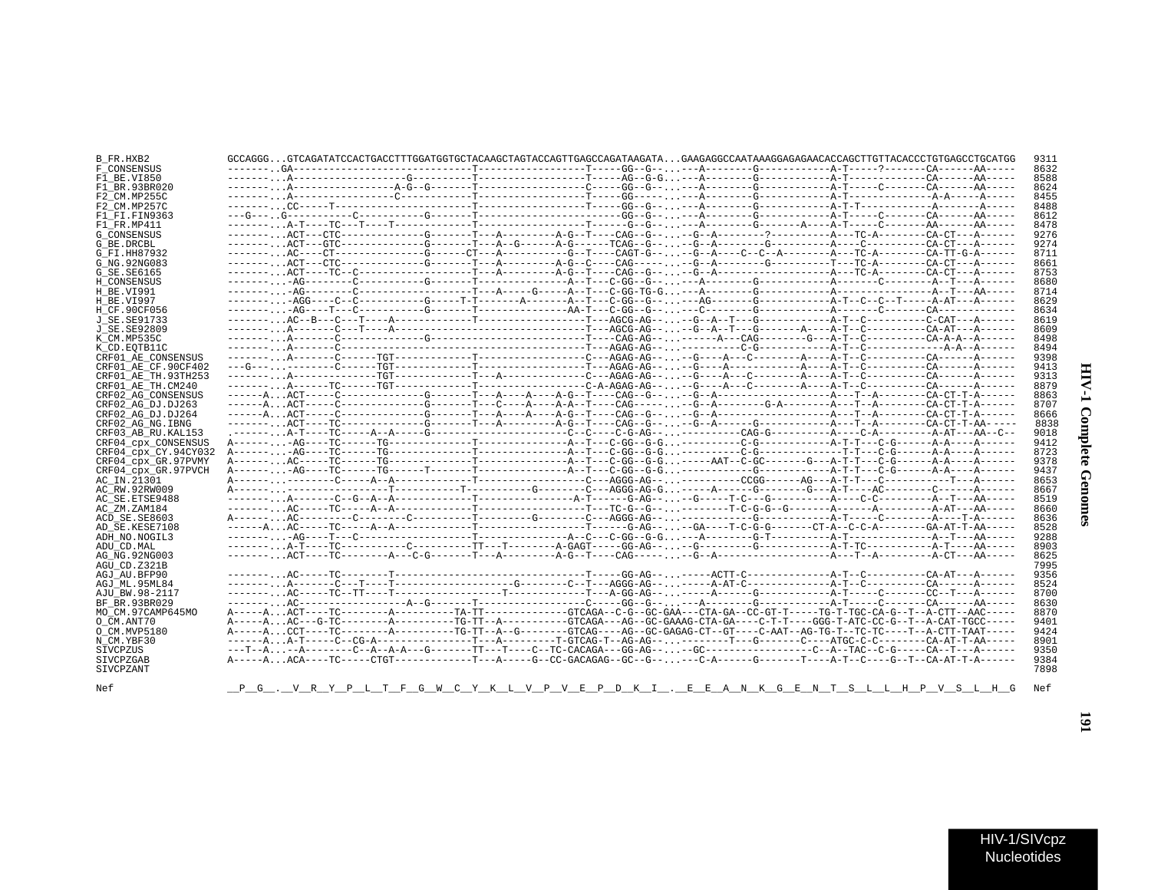| B FR.HXB2            | GCCAGGGGTCAGATATCCACTGACCTTTGGATGGTGCTACAAGCTAGTACCAGTTGAGCCAGATAAGATAGAAGAGGCCAATAAAGGAGAGAACACCAGCTTGTTACACCCTGTGAGCCTGCATGG |  | 9311         |
|----------------------|--------------------------------------------------------------------------------------------------------------------------------|--|--------------|
| F CONSENSUS          |                                                                                                                                |  | 8632         |
| F1 BE.VI850          |                                                                                                                                |  | 8588         |
| F1 BR.93BR020        |                                                                                                                                |  | 8624         |
| F2 CM.MP255C         |                                                                                                                                |  | 8455         |
| F2 CM.MP257C         |                                                                                                                                |  | 8488         |
| F1 FI.FIN9363        |                                                                                                                                |  | 8612         |
| F1 FR.MP411          |                                                                                                                                |  | 8478         |
| <b>G CONSENSUS</b>   |                                                                                                                                |  | 9276         |
| G BE.DRCBL           |                                                                                                                                |  | 9274         |
| G FI.HH87932         | -------AC---CT-------------CG-----CT---A---------CG-T----CAGT-G----G-A----C--A-------A--TC-A-------CA-TT-G-A------             |  | 8711         |
| G NG. 92NG083        |                                                                                                                                |  | 8661         |
| G SE.SE6165          |                                                                                                                                |  | 8753         |
| H CONSENSUS          |                                                                                                                                |  | 8680         |
| H BE.VI991           |                                                                                                                                |  | 8714         |
| H BE.VI997           | --------AGG----C--C----------G------T-T-------A------A--T---C-GG--G-----AG-------G-----------A-T--C--C--T-----A-AT---A------   |  | 8629         |
| H_CF.90CF056         |                                                                                                                                |  | 8634         |
| J SE. SE91733        |                                                                                                                                |  | 8619         |
| J SE.SE92809         |                                                                                                                                |  | 8609         |
| K CM.MP535C          |                                                                                                                                |  | 8498         |
| K CD.EOTB11C         |                                                                                                                                |  | 8494         |
| CRF01 AE CONSENSUS   |                                                                                                                                |  | 9398         |
| CRF01 AE CF.90CF402  |                                                                                                                                |  | 9413         |
| CRF01 AE TH.93TH253  |                                                                                                                                |  | 9313         |
| CRF01 AE TH.CM240    |                                                                                                                                |  | 8879         |
| CRF02 AG CONSENSUS   |                                                                                                                                |  | 8863         |
| CRF02 AG DJ.DJ263    |                                                                                                                                |  | 8707         |
| CRF02 AG DJ.DJ264    |                                                                                                                                |  | 8666         |
| CRF02 AG NG. IBNG    |                                                                                                                                |  | 8838         |
| CRF03 AB RU. KAL153  |                                                                                                                                |  | 9018         |
| CRF04 CPX CONSENSUS  |                                                                                                                                |  | 9412         |
| CRF04 cpx CY.94CY032 |                                                                                                                                |  | 8723         |
| CRF04 cpx GR.97PVMY  |                                                                                                                                |  | 9378         |
| CRF04 cpx GR.97PVCH  |                                                                                                                                |  | 9437         |
| AC IN.21301          |                                                                                                                                |  | 8653         |
| AC RW.92RW009        |                                                                                                                                |  | 8667         |
| AC SE.ETSE9488       |                                                                                                                                |  | 8519         |
| AC ZM.ZAM184         |                                                                                                                                |  | 8660         |
| ACD SE.SE8603        |                                                                                                                                |  | 8636         |
| AD SE.KESE7108       |                                                                                                                                |  | 8528         |
| ADH NO.NOGIL3        |                                                                                                                                |  | 9288         |
| ADU CD.MAL           |                                                                                                                                |  | 8903         |
| AG NG.92NG003        |                                                                                                                                |  | 8625         |
| AGU CD.Z321B         |                                                                                                                                |  | 7995         |
| AGJ AU.BFP90         |                                                                                                                                |  | 9356         |
| AGJ ML.95ML84        |                                                                                                                                |  | 8524         |
| AJU BW.98-2117       |                                                                                                                                |  | 8700<br>8630 |
| BF BR.93BR029        |                                                                                                                                |  | 8870         |
| MO CM.97CAMP645MO    | A-----AAC---G-TC--------A---------TG-TT--A--------GTCAGA---AG--GC-GAAAG-CTA-GA----C-T-T----GGG-T-ATC-CC-G--T--A-CAT-TGCC-----  |  |              |
| O CM.ANT70           |                                                                                                                                |  | 9401<br>9424 |
| O CM.MVP5180         | A-----ACCT----TC--------A--------TC-TT--A--G------GTCAG----AG--GC-GAGAG-CT--GT---C-AAT--AG-TG-T--TC-T--T--A-CTT-TAAT-----      |  |              |
| N CM.YBF30           | ------AA-T-----C--CG-A------------------T---A--------T-GTCAG-T--AG-AG----------T---G--------C-------CA-AT-T-AA-----            |  | 8901<br>9350 |
| SIVCPZUS             |                                                                                                                                |  |              |
| SIVCPZGAB            | A-----AACA----TC-----CTGT-------------T---A----G--CC-GACAGAG--GC--G-----C-A------G------T----A-T-C----G--T--CA-AT-T-A------    |  | 9384         |
| SIVCPZANT            |                                                                                                                                |  | 7898         |
|                      |                                                                                                                                |  |              |
| Nef                  | <u>__P_G___V__R__Y__P_L_T__F_G__W__C__Y__K__L__V__B__P_D_K__I__.__E__E__A__N__K_G__E_N_T__S__L_L_H__P__V__S__L_H_G</u>         |  | Nef          |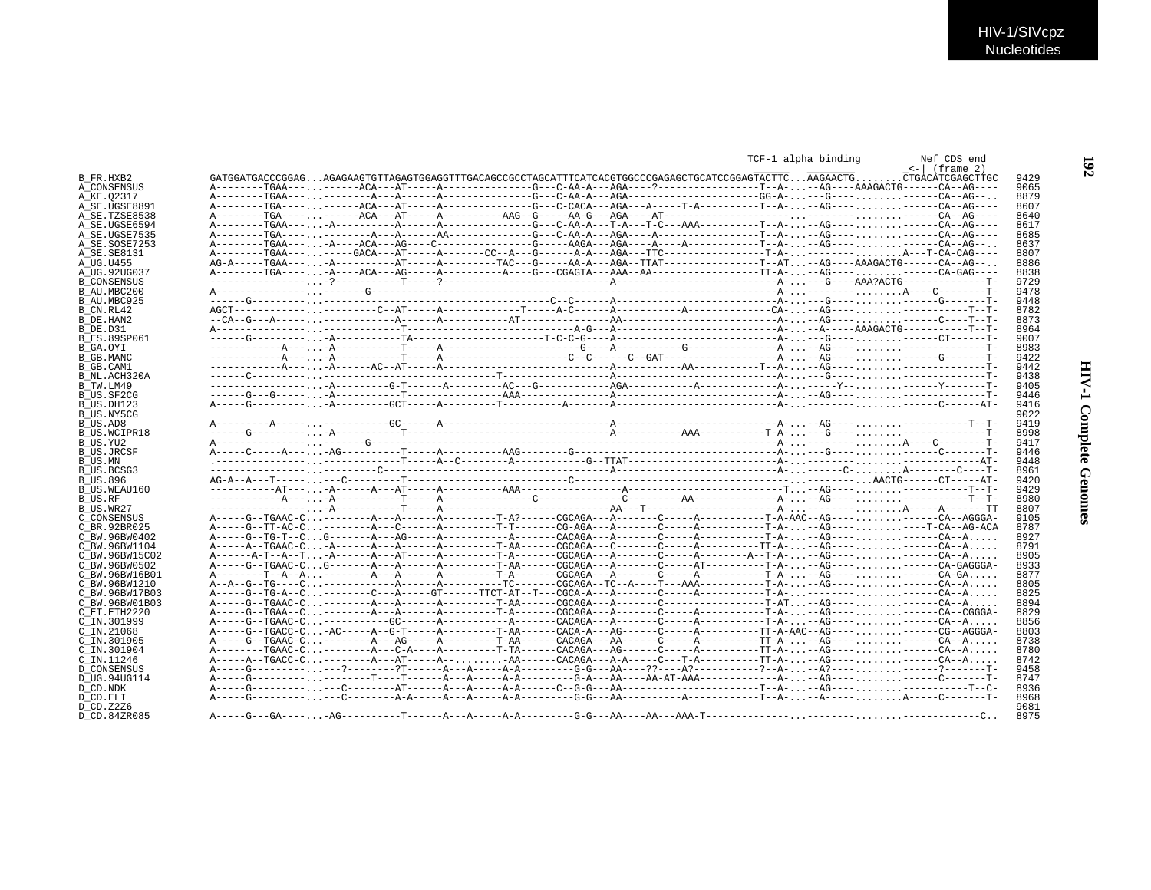|                          |  |  |  | TCF-1 alpha binding | Nef CDS end                                                                                                                                               |
|--------------------------|--|--|--|---------------------|-----------------------------------------------------------------------------------------------------------------------------------------------------------|
| B FR.HXB2                |  |  |  |                     | $\leftarrow$   (frame 2)<br>GATGGATGACCCGGAGAGAGAAGTGTTAGAGTGGAGGTTTGACAGCCCCCTAGCATTTCATCACGTGGCCCGAGAGCTGCATCCGGAGTACTTCAGAACTGCTGACATCGAGCTTGC<br>9429 |
| A CONSENSUS              |  |  |  |                     | 9065                                                                                                                                                      |
| A KE.02317               |  |  |  |                     | 8879                                                                                                                                                      |
| A SE.UGSE8891            |  |  |  |                     | 8607                                                                                                                                                      |
| A SE.TZSE8538            |  |  |  |                     | 8640                                                                                                                                                      |
| A SE.UGSE6594            |  |  |  |                     | 8617                                                                                                                                                      |
| A SE.UGSE7535            |  |  |  |                     | 8685                                                                                                                                                      |
| A SE.SOSE7253            |  |  |  |                     | 8637                                                                                                                                                      |
| A_SE.SE8131              |  |  |  |                     | 8807                                                                                                                                                      |
| A UG.U455                |  |  |  |                     | 8886                                                                                                                                                      |
| A UG.92UG037             |  |  |  |                     | 8838                                                                                                                                                      |
| <b>B CONSENSUS</b>       |  |  |  |                     | 9729                                                                                                                                                      |
| B AU.MBC200              |  |  |  |                     | 9478                                                                                                                                                      |
| B AU.MBC925              |  |  |  |                     | 9448                                                                                                                                                      |
| B_CN.RL42                |  |  |  |                     | 8782                                                                                                                                                      |
| B DE.HAN2                |  |  |  |                     | 8873                                                                                                                                                      |
|                          |  |  |  |                     | 8964                                                                                                                                                      |
| B DE.D31                 |  |  |  |                     |                                                                                                                                                           |
| <b>B ES.89SP061</b>      |  |  |  |                     | 9007                                                                                                                                                      |
| B GA.OYI                 |  |  |  |                     | 8983                                                                                                                                                      |
| B GB.MANC                |  |  |  |                     | 9422                                                                                                                                                      |
| B GB.CAM1                |  |  |  |                     | 9442                                                                                                                                                      |
| B NL.ACH320A             |  |  |  |                     | 9438                                                                                                                                                      |
| B TW.LM49                |  |  |  |                     | 9405                                                                                                                                                      |
| B US.SF2CG               |  |  |  |                     | 9446                                                                                                                                                      |
| B US.DH123               |  |  |  |                     | 9416                                                                                                                                                      |
| B US.NY5CG               |  |  |  |                     | 9022                                                                                                                                                      |
| B_US.AD8                 |  |  |  |                     | 9419                                                                                                                                                      |
| <b>B US.WCIPR18</b>      |  |  |  |                     | 8998                                                                                                                                                      |
| B US.YU2                 |  |  |  |                     | 9417                                                                                                                                                      |
| <b>B US.JRCSF</b>        |  |  |  |                     | 9446                                                                                                                                                      |
| B US.MN                  |  |  |  |                     | 9448                                                                                                                                                      |
| B US.BCSG3               |  |  |  |                     | 8961                                                                                                                                                      |
| <b>B US.896</b>          |  |  |  |                     | 9420                                                                                                                                                      |
| B US.WEAU160             |  |  |  |                     | 9429                                                                                                                                                      |
| B US.RF                  |  |  |  |                     | 8980                                                                                                                                                      |
|                          |  |  |  |                     | 8807                                                                                                                                                      |
| B_US.WR27<br>C CONSENSUS |  |  |  |                     | 9105                                                                                                                                                      |
|                          |  |  |  |                     | 8787                                                                                                                                                      |
| C BR. 92BR025            |  |  |  |                     |                                                                                                                                                           |
| C BW.96BW0402            |  |  |  |                     | 8927                                                                                                                                                      |
| C BW.96BW1104            |  |  |  |                     | 8791                                                                                                                                                      |
| C BW.96BW15C02           |  |  |  |                     | 8905                                                                                                                                                      |
| C BW.96BW0502            |  |  |  |                     | A-----G--TGAAC-CG-------A------A--------T-AA------CGCAGA---A-------C-----AT---------T-A--AG----------CA-GAGGGA-<br>8933                                   |
| C BW.96BW16B01           |  |  |  |                     | 8877                                                                                                                                                      |
| C BW.96BW1210            |  |  |  |                     | 8805                                                                                                                                                      |
| C BW.96BW17B03           |  |  |  |                     | 8825                                                                                                                                                      |
| C BW.96BW01B03           |  |  |  |                     | 8894                                                                                                                                                      |
| C ET.ETH2220             |  |  |  |                     | 8829                                                                                                                                                      |
| C IN.301999              |  |  |  |                     | 8856                                                                                                                                                      |
| C_IN.21068               |  |  |  |                     | 8803                                                                                                                                                      |
| C IN.301905              |  |  |  |                     | 8738                                                                                                                                                      |
| C IN.301904              |  |  |  |                     | A--------TGAAC-C--------A---C-A----A--------TTA-----CACAGA---AG------C-----A---------TT-A--AG----------CA--A<br>8780                                      |
| C IN.11246               |  |  |  |                     | 8742                                                                                                                                                      |
| <b>D CONSENSUS</b>       |  |  |  |                     | 9458                                                                                                                                                      |
|                          |  |  |  |                     | 8747                                                                                                                                                      |
| D UG.94UG114             |  |  |  |                     |                                                                                                                                                           |
| D CD.NDK                 |  |  |  |                     | 8936                                                                                                                                                      |
| D CD.ELI                 |  |  |  |                     | 8968                                                                                                                                                      |
| D CD. Z2Z6               |  |  |  |                     | 9081                                                                                                                                                      |
| D CD.84ZR085             |  |  |  |                     | 8975                                                                                                                                                      |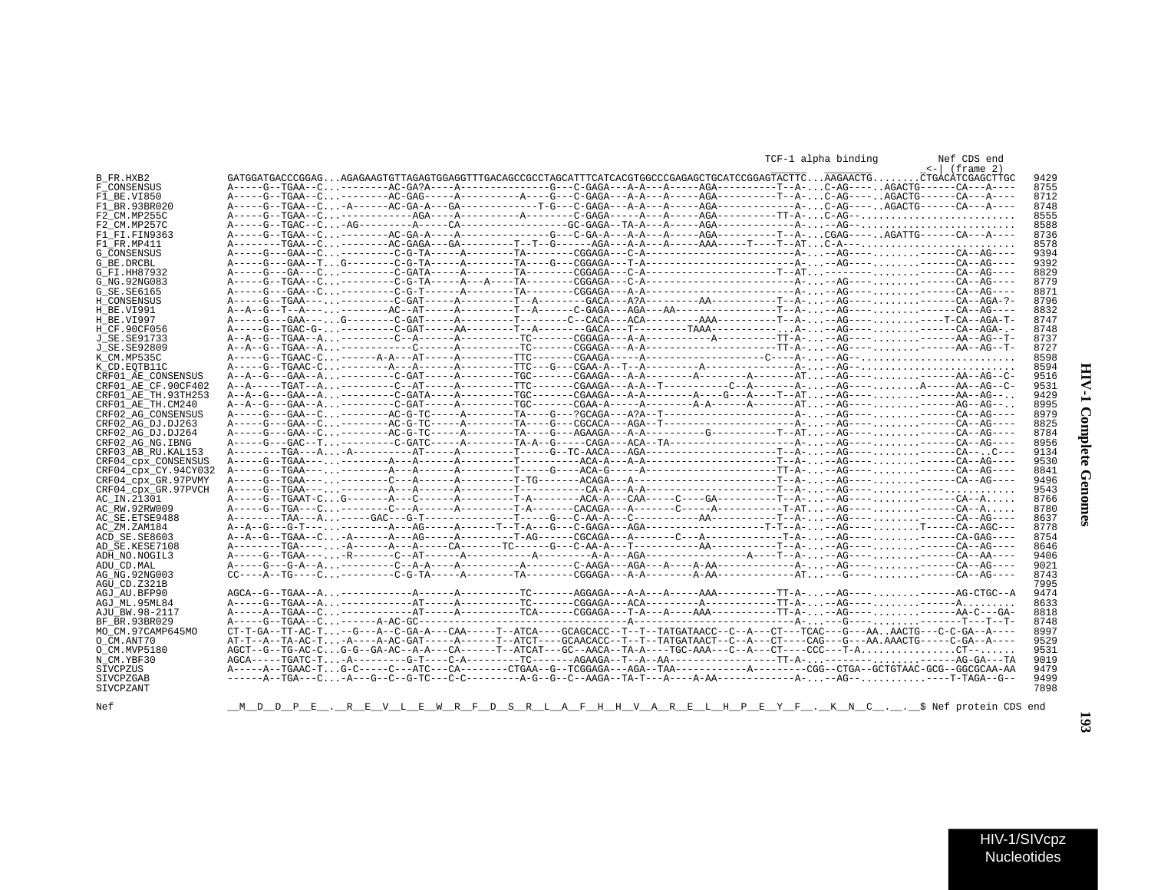| ì<br>i<br>١<br>ë |  |
|------------------|--|
| ļ<br>ì           |  |

 $\blacksquare$ 

|                      |                                                                                                                                  |  |  | TCF-1 alpha binding | Nef CDS end<br>$\leftarrow$ (frame 2) |
|----------------------|----------------------------------------------------------------------------------------------------------------------------------|--|--|---------------------|---------------------------------------|
| B FR.HXB2            | GATGGATGACCCGGAGAGAGAAGTGTTAGAGTGGAGGTTTGACAGCCGCCTAGCATTTCATCACGTGGCCCGAGAGCTGCATCCGGAGTACTTCAAGAACTGCTGACATCGAGCTTGC           |  |  |                     |                                       |
| F CONSENSUS          |                                                                                                                                  |  |  |                     |                                       |
| F1 BE.VI850          |                                                                                                                                  |  |  |                     |                                       |
| F1 BR.93BR020        |                                                                                                                                  |  |  |                     |                                       |
| F2 CM.MP255C         |                                                                                                                                  |  |  |                     |                                       |
| F2 CM.MP257C         | $A---G---GAP---C - AG---A---A---CA---A---C---GC-GAGA---A---A-A---AG2---AG2---A-----A-G2---A.$                                    |  |  |                     |                                       |
| F1 FI.FIN9363        |                                                                                                                                  |  |  |                     |                                       |
| F1 FR.MP411          |                                                                                                                                  |  |  |                     |                                       |
| G CONSENSUS          |                                                                                                                                  |  |  |                     |                                       |
| G BE.DRCBL           |                                                                                                                                  |  |  |                     |                                       |
| G FI.HH87932         |                                                                                                                                  |  |  |                     |                                       |
| G NG. 92NG083        |                                                                                                                                  |  |  |                     |                                       |
| G SE.SE6165          |                                                                                                                                  |  |  |                     |                                       |
| H CONSENSUS          |                                                                                                                                  |  |  |                     |                                       |
|                      |                                                                                                                                  |  |  |                     |                                       |
| H BE.VI991           |                                                                                                                                  |  |  |                     |                                       |
| H BE.VI997           |                                                                                                                                  |  |  |                     |                                       |
| H CF.90CF056         |                                                                                                                                  |  |  |                     |                                       |
| J SE.SE91733         |                                                                                                                                  |  |  |                     |                                       |
| J SE.SE92809         |                                                                                                                                  |  |  |                     |                                       |
| K CM.MP535C          |                                                                                                                                  |  |  |                     |                                       |
| K CD.EOTB11C         |                                                                                                                                  |  |  |                     |                                       |
| CRF01 AE CONSENSUS   | A--A--G---GAA--A---------C-GAT-----A---------TGC-------CGAAGA---A-A---------A--------AT--AG----------AA--AG--C-                  |  |  |                     |                                       |
| CRF01 AE CF.90CF402  |                                                                                                                                  |  |  |                     |                                       |
| CRF01 AE TH.93TH253  |                                                                                                                                  |  |  |                     |                                       |
| CRF01 AE TH.CM240    | A--A--G---GAA--A---------C-GAT-----A---------TGC-------CGAA-A------A-A------A-A-------AT--AG-----------AG--AG--A.                |  |  |                     |                                       |
| CRF02 AG CONSENSUS   |                                                                                                                                  |  |  |                     |                                       |
| CRF02 AG DJ.DJ263    |                                                                                                                                  |  |  |                     |                                       |
| CRF02 AG DJ.DJ264    |                                                                                                                                  |  |  |                     |                                       |
| CRF02 AG NG.IBNG     |                                                                                                                                  |  |  |                     |                                       |
| CRF03 AB RU. KAL153  |                                                                                                                                  |  |  |                     |                                       |
|                      |                                                                                                                                  |  |  |                     |                                       |
| CRF04 cpx CONSENSUS  |                                                                                                                                  |  |  |                     |                                       |
| CRF04_cpx_CY.94CY032 |                                                                                                                                  |  |  |                     |                                       |
| CRF04 cpx GR.97PVMY  |                                                                                                                                  |  |  |                     |                                       |
| CRF04 cpx GR.97PVCH  |                                                                                                                                  |  |  |                     |                                       |
| AC IN.21301          |                                                                                                                                  |  |  |                     |                                       |
| AC RW.92RW009        |                                                                                                                                  |  |  |                     |                                       |
| AC SE.ETSE9488       |                                                                                                                                  |  |  |                     |                                       |
| AC ZM.ZAM184         |                                                                                                                                  |  |  |                     |                                       |
| ACD SE.SE8603        |                                                                                                                                  |  |  |                     |                                       |
| AD SE.KESE7108       |                                                                                                                                  |  |  |                     |                                       |
| ADH NO.NOGIL3        |                                                                                                                                  |  |  |                     |                                       |
| ADU CD.MAL           |                                                                                                                                  |  |  |                     |                                       |
| AG NG.92NG003        | $CC---A--TG---C------C-G-TA---A------TA------CGGAGA---A-A------A-AA------A-AA------AT---G---T------CA--AG---A-A---A-A---A-.$     |  |  |                     |                                       |
|                      |                                                                                                                                  |  |  |                     |                                       |
| AGU CD.Z321B         |                                                                                                                                  |  |  |                     |                                       |
| AGJ AU.BFP90         |                                                                                                                                  |  |  |                     |                                       |
| AGJ ML.95ML84        |                                                                                                                                  |  |  |                     |                                       |
| AJU BW.98-2117       |                                                                                                                                  |  |  |                     |                                       |
| BF BR.93BR029        |                                                                                                                                  |  |  |                     |                                       |
| MO CM.97CAMP645MO    |                                                                                                                                  |  |  |                     |                                       |
| O CM.ANT70           | AT-T--A--TA-AC-T-A----A-AC-GAT-----A------T--ATCT----GCAACACC--T--T--TATGATAACT--C--A---CT---CAG---G---AA.AAACTG-----C-GA--A---- |  |  |                     |                                       |
| O CM.MVP5180         |                                                                                                                                  |  |  |                     |                                       |
| N CM.YBF30           |                                                                                                                                  |  |  |                     |                                       |
| SIVCPZUS             |                                                                                                                                  |  |  |                     |                                       |
| SIVCPZGAB            |                                                                                                                                  |  |  |                     |                                       |
|                      |                                                                                                                                  |  |  |                     |                                       |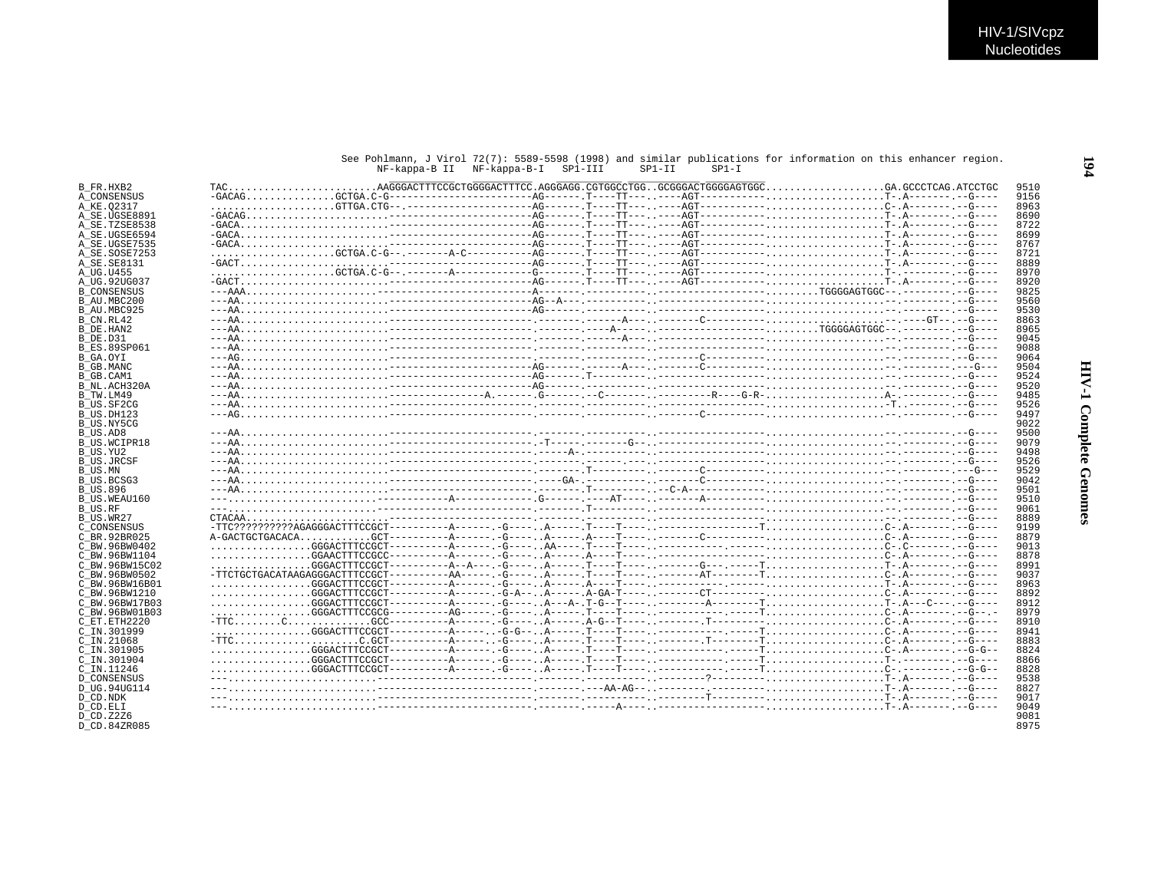## See Pohlmann, J Virol 72(7): 5589-5598 (1998) and similar publications for information on this enhancer region.<br>NF-kappa-B II NF-kappa-B-I SP1-III SP1-II SP1-I

| B FR.HXB2                 |  |  |  |  | 9510 |
|---------------------------|--|--|--|--|------|
| A CONSENSUS               |  |  |  |  | 9156 |
| A KE.02317                |  |  |  |  | 8963 |
| A SE.UGSE8891             |  |  |  |  | 8690 |
| A SE.TZSE8538             |  |  |  |  | 8722 |
| A SE.UGSE6594             |  |  |  |  | 8699 |
| A SE.UGSE7535             |  |  |  |  | 8767 |
| A SE.SOSE7253             |  |  |  |  | 8721 |
| A SE. SE8131              |  |  |  |  | 8889 |
| A UG.U455                 |  |  |  |  | 8970 |
| A UG.92UG037              |  |  |  |  | 8920 |
| <b>B CONSENSUS</b>        |  |  |  |  | 9825 |
| B AU.MBC200               |  |  |  |  | 9560 |
| B AU.MBC925               |  |  |  |  | 9530 |
| B CN.RL42                 |  |  |  |  | 8863 |
| B DE.HAN2                 |  |  |  |  | 8965 |
| B DE.D31                  |  |  |  |  | 9045 |
| <b>B ES.89SP061</b>       |  |  |  |  | 9088 |
| B GA.OYI                  |  |  |  |  | 9064 |
| B GB.MANC                 |  |  |  |  | 9504 |
|                           |  |  |  |  | 9524 |
| B GB.CAM1<br>B NL.ACH320A |  |  |  |  | 9520 |
|                           |  |  |  |  | 9485 |
| B TW.LM49<br>B US.SF2CG   |  |  |  |  | 9526 |
| B US.DH123                |  |  |  |  | 9497 |
| B US.NY5CG                |  |  |  |  | 9022 |
|                           |  |  |  |  | 9500 |
| B US.AD8                  |  |  |  |  | 9079 |
| <b>B US.WCIPR18</b>       |  |  |  |  |      |
| B US.YU2                  |  |  |  |  | 9498 |
| <b>B US.JRCSF</b>         |  |  |  |  | 9526 |
| B US.MN                   |  |  |  |  | 9529 |
| B US.BCSG3                |  |  |  |  | 9042 |
| <b>B US.896</b>           |  |  |  |  | 9501 |
| B US.WEAU160              |  |  |  |  | 9510 |
| B US.RF                   |  |  |  |  | 9061 |
| B US.WR27                 |  |  |  |  | 8889 |
| C CONSENSUS               |  |  |  |  | 9199 |
| C BR. 92BR025             |  |  |  |  | 8879 |
| C BW.96BW0402             |  |  |  |  | 9013 |
| C BW.96BW1104             |  |  |  |  | 8878 |
| C BW.96BW15C02            |  |  |  |  | 8991 |
| C BW.96BW0502             |  |  |  |  | 9037 |
| C BW.96BW16B01            |  |  |  |  | 8963 |
| C BW.96BW1210             |  |  |  |  | 8892 |
| C BW. 96BW17B03           |  |  |  |  | 8912 |
| C BW.96BW01B03            |  |  |  |  | 8979 |
| C ET.ETH2220              |  |  |  |  | 8910 |
| C IN.301999               |  |  |  |  | 8941 |
| C IN.21068                |  |  |  |  | 8883 |
| C IN.301905               |  |  |  |  | 8824 |
| C IN.301904               |  |  |  |  | 8866 |
| C IN.11246                |  |  |  |  | 8828 |
| <b>D CONSENSUS</b>        |  |  |  |  | 9538 |
| D UG.94UG114              |  |  |  |  | 8827 |
| D CD.NDK                  |  |  |  |  | 9017 |
| D CD.ELI                  |  |  |  |  | 9049 |
| D CD. Z2Z6                |  |  |  |  | 9081 |
| D CD.84ZR085              |  |  |  |  | 8975 |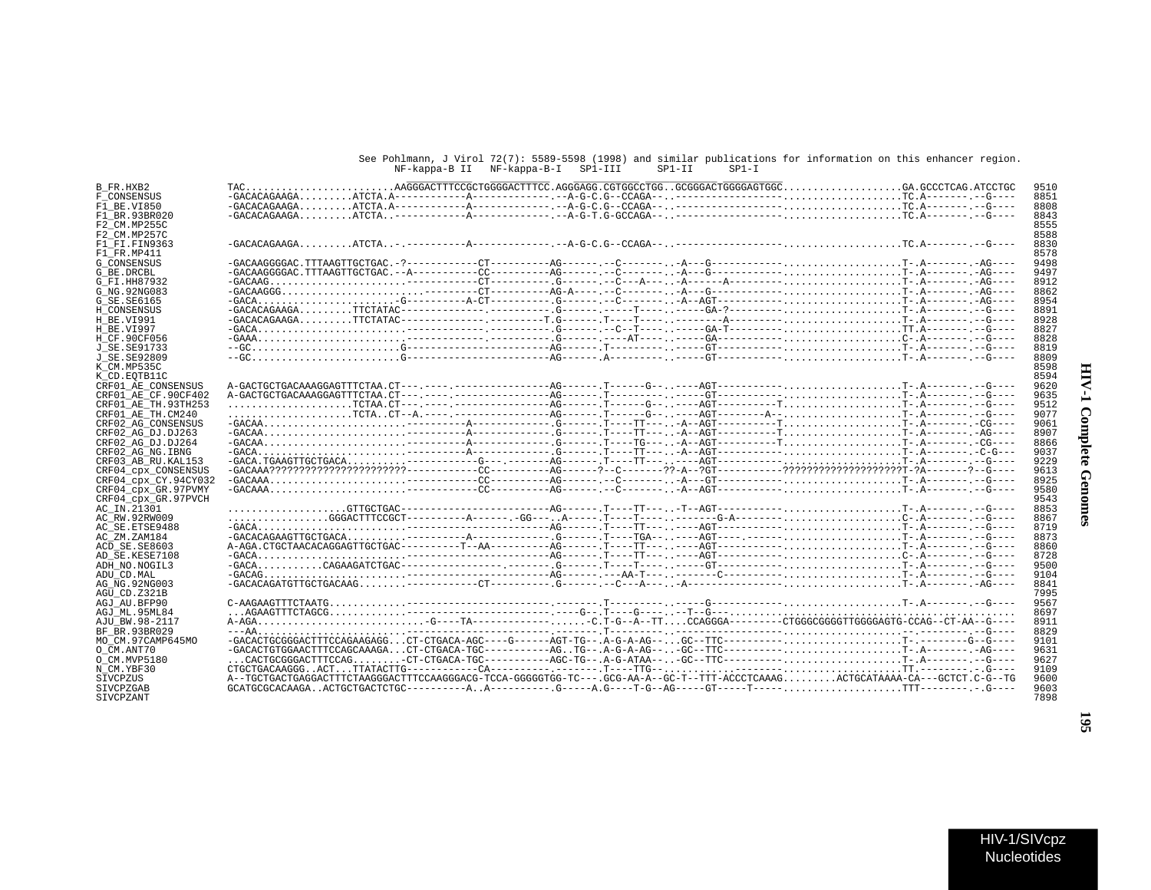## See Pohlmann, J Virol 72(7): 5589-5598 (1998) and similar publications for information on this enhancer region. NF-kappa-B II NF-kappa-B-I SP1-III SP1-II SP1-I

| 9510<br>B FR.HXB2<br>8851<br>F CONSENSUS<br>8808<br>F1 BE.VI850<br>8843<br>F1 BR.93BR020<br>8555<br>F2 CM.MP255C<br>8588<br>F2 CM.MP257C<br>8830<br>F1 FI.FIN9363<br>8578<br>F1 FR.MP411<br>$-GACAAGGGGAC. TTTAAGTTGCTGAC. -?-----------CT------AG------. -C-------. -A---G--------T-.A------AG----A$<br>9498<br>9497<br>$-GACAAG$<br>8912<br>G FI.HH87932<br>$-GACAAGGG$<br>8862<br>G NG. 92NG083<br>8954<br>G SE.SE6165<br>8891<br>H CONSENSUS<br>8928<br>H BE.VI991<br>8827<br>H BE.VI997<br>8828<br>8819<br>8809<br>J SE.SE92809<br>8598<br>K CM.MP535C<br>8594<br>K CD.EOTB11C<br>9620<br>CRF01 AE CONSENSUS<br>9635<br>CRF01 AE CF.90CF402<br>9512<br>CRF01 AE TH.93TH253<br>9077<br>CRF01_AE_TH.CM240<br>9061<br>8907<br>CRF02 AG DJ.DJ263<br>8866<br>CRF02_AG_DJ.DJ264<br>9037<br>CRF02 AG NG. IBNG<br>9229<br>CRF03 AB RU. KAL153<br>9613<br>CRF04 CPX CONSENSUS<br>8925<br>CRF04 cpx CY.94CY032<br>9580<br>CRF04 cpx GR.97PVMY<br>9543<br>8853<br>AC IN.21301<br>8867<br>AC RW.92RW009<br>8719<br>AC SE. ETSE9488<br>8873<br>AC_ZM.ZAM184<br>8860<br>ACD SE.SE8603<br>8728<br>AD SE.KESE7108<br>9500<br>ADH NO. NOGIL3<br>9104<br>ADU CD.MAL<br>8841<br>7995<br>AGU CD.Z321B<br>9567<br>AGJ AU.BFP90<br>8697<br>AGJ ML.95ML84<br>8911<br>AJU BW.98-2117<br>8829<br>BF BR.93BR029<br>-GACACTGCGGGACTTTCCAGAAGAGGCT-CTGACA-AGC----G-----AGT-TG--.A-G-A-AG--GC--TTC----------T-.------G--G---<br>MO CM.97CAMP645MO<br>9101<br>$-$ GACACTGTGGAACTTTCCAGCAAAGACT-CTGACA-TGC----------AGTG--.A-G-A-AG---GC--TTC-----------T-.A---------AG----<br>9631<br>O CM.ANT70<br>9627<br>9109<br>A--TGCTGACTGAGGACTTTCTAAGGGACTTTCCAAGGGACG-TCCA-GGGGGTGG-TC---.GCG-AA-A--GC-T--TTT-ACCCTCAAAGACTGCATAAAA-CA---GCTCT.C-G--TG<br>9600<br>SIVCPZUS<br>9603<br>SIVCPZGAB |                     |  |  |  |  |      |
|-----------------------------------------------------------------------------------------------------------------------------------------------------------------------------------------------------------------------------------------------------------------------------------------------------------------------------------------------------------------------------------------------------------------------------------------------------------------------------------------------------------------------------------------------------------------------------------------------------------------------------------------------------------------------------------------------------------------------------------------------------------------------------------------------------------------------------------------------------------------------------------------------------------------------------------------------------------------------------------------------------------------------------------------------------------------------------------------------------------------------------------------------------------------------------------------------------------------------------------------------------------------------------------------------------------------------------------------------------------------------------------------------------------------------------------------------------------------------------------------------------------------------------------------------------------------------------------------------------------------------------------------------------------------------------------------------------------------------------------------------------------------|---------------------|--|--|--|--|------|
|                                                                                                                                                                                                                                                                                                                                                                                                                                                                                                                                                                                                                                                                                                                                                                                                                                                                                                                                                                                                                                                                                                                                                                                                                                                                                                                                                                                                                                                                                                                                                                                                                                                                                                                                                                 |                     |  |  |  |  |      |
|                                                                                                                                                                                                                                                                                                                                                                                                                                                                                                                                                                                                                                                                                                                                                                                                                                                                                                                                                                                                                                                                                                                                                                                                                                                                                                                                                                                                                                                                                                                                                                                                                                                                                                                                                                 |                     |  |  |  |  |      |
|                                                                                                                                                                                                                                                                                                                                                                                                                                                                                                                                                                                                                                                                                                                                                                                                                                                                                                                                                                                                                                                                                                                                                                                                                                                                                                                                                                                                                                                                                                                                                                                                                                                                                                                                                                 |                     |  |  |  |  |      |
|                                                                                                                                                                                                                                                                                                                                                                                                                                                                                                                                                                                                                                                                                                                                                                                                                                                                                                                                                                                                                                                                                                                                                                                                                                                                                                                                                                                                                                                                                                                                                                                                                                                                                                                                                                 |                     |  |  |  |  |      |
|                                                                                                                                                                                                                                                                                                                                                                                                                                                                                                                                                                                                                                                                                                                                                                                                                                                                                                                                                                                                                                                                                                                                                                                                                                                                                                                                                                                                                                                                                                                                                                                                                                                                                                                                                                 |                     |  |  |  |  |      |
|                                                                                                                                                                                                                                                                                                                                                                                                                                                                                                                                                                                                                                                                                                                                                                                                                                                                                                                                                                                                                                                                                                                                                                                                                                                                                                                                                                                                                                                                                                                                                                                                                                                                                                                                                                 |                     |  |  |  |  |      |
|                                                                                                                                                                                                                                                                                                                                                                                                                                                                                                                                                                                                                                                                                                                                                                                                                                                                                                                                                                                                                                                                                                                                                                                                                                                                                                                                                                                                                                                                                                                                                                                                                                                                                                                                                                 |                     |  |  |  |  |      |
|                                                                                                                                                                                                                                                                                                                                                                                                                                                                                                                                                                                                                                                                                                                                                                                                                                                                                                                                                                                                                                                                                                                                                                                                                                                                                                                                                                                                                                                                                                                                                                                                                                                                                                                                                                 |                     |  |  |  |  |      |
|                                                                                                                                                                                                                                                                                                                                                                                                                                                                                                                                                                                                                                                                                                                                                                                                                                                                                                                                                                                                                                                                                                                                                                                                                                                                                                                                                                                                                                                                                                                                                                                                                                                                                                                                                                 |                     |  |  |  |  |      |
|                                                                                                                                                                                                                                                                                                                                                                                                                                                                                                                                                                                                                                                                                                                                                                                                                                                                                                                                                                                                                                                                                                                                                                                                                                                                                                                                                                                                                                                                                                                                                                                                                                                                                                                                                                 | <b>G CONSENSUS</b>  |  |  |  |  |      |
|                                                                                                                                                                                                                                                                                                                                                                                                                                                                                                                                                                                                                                                                                                                                                                                                                                                                                                                                                                                                                                                                                                                                                                                                                                                                                                                                                                                                                                                                                                                                                                                                                                                                                                                                                                 | G BE.DRCBL          |  |  |  |  |      |
|                                                                                                                                                                                                                                                                                                                                                                                                                                                                                                                                                                                                                                                                                                                                                                                                                                                                                                                                                                                                                                                                                                                                                                                                                                                                                                                                                                                                                                                                                                                                                                                                                                                                                                                                                                 |                     |  |  |  |  |      |
|                                                                                                                                                                                                                                                                                                                                                                                                                                                                                                                                                                                                                                                                                                                                                                                                                                                                                                                                                                                                                                                                                                                                                                                                                                                                                                                                                                                                                                                                                                                                                                                                                                                                                                                                                                 |                     |  |  |  |  |      |
|                                                                                                                                                                                                                                                                                                                                                                                                                                                                                                                                                                                                                                                                                                                                                                                                                                                                                                                                                                                                                                                                                                                                                                                                                                                                                                                                                                                                                                                                                                                                                                                                                                                                                                                                                                 |                     |  |  |  |  |      |
|                                                                                                                                                                                                                                                                                                                                                                                                                                                                                                                                                                                                                                                                                                                                                                                                                                                                                                                                                                                                                                                                                                                                                                                                                                                                                                                                                                                                                                                                                                                                                                                                                                                                                                                                                                 |                     |  |  |  |  |      |
|                                                                                                                                                                                                                                                                                                                                                                                                                                                                                                                                                                                                                                                                                                                                                                                                                                                                                                                                                                                                                                                                                                                                                                                                                                                                                                                                                                                                                                                                                                                                                                                                                                                                                                                                                                 |                     |  |  |  |  |      |
|                                                                                                                                                                                                                                                                                                                                                                                                                                                                                                                                                                                                                                                                                                                                                                                                                                                                                                                                                                                                                                                                                                                                                                                                                                                                                                                                                                                                                                                                                                                                                                                                                                                                                                                                                                 |                     |  |  |  |  |      |
|                                                                                                                                                                                                                                                                                                                                                                                                                                                                                                                                                                                                                                                                                                                                                                                                                                                                                                                                                                                                                                                                                                                                                                                                                                                                                                                                                                                                                                                                                                                                                                                                                                                                                                                                                                 |                     |  |  |  |  |      |
|                                                                                                                                                                                                                                                                                                                                                                                                                                                                                                                                                                                                                                                                                                                                                                                                                                                                                                                                                                                                                                                                                                                                                                                                                                                                                                                                                                                                                                                                                                                                                                                                                                                                                                                                                                 | H CF.90CF056        |  |  |  |  |      |
|                                                                                                                                                                                                                                                                                                                                                                                                                                                                                                                                                                                                                                                                                                                                                                                                                                                                                                                                                                                                                                                                                                                                                                                                                                                                                                                                                                                                                                                                                                                                                                                                                                                                                                                                                                 | J SE. SE91733       |  |  |  |  |      |
|                                                                                                                                                                                                                                                                                                                                                                                                                                                                                                                                                                                                                                                                                                                                                                                                                                                                                                                                                                                                                                                                                                                                                                                                                                                                                                                                                                                                                                                                                                                                                                                                                                                                                                                                                                 |                     |  |  |  |  |      |
|                                                                                                                                                                                                                                                                                                                                                                                                                                                                                                                                                                                                                                                                                                                                                                                                                                                                                                                                                                                                                                                                                                                                                                                                                                                                                                                                                                                                                                                                                                                                                                                                                                                                                                                                                                 |                     |  |  |  |  |      |
|                                                                                                                                                                                                                                                                                                                                                                                                                                                                                                                                                                                                                                                                                                                                                                                                                                                                                                                                                                                                                                                                                                                                                                                                                                                                                                                                                                                                                                                                                                                                                                                                                                                                                                                                                                 |                     |  |  |  |  |      |
|                                                                                                                                                                                                                                                                                                                                                                                                                                                                                                                                                                                                                                                                                                                                                                                                                                                                                                                                                                                                                                                                                                                                                                                                                                                                                                                                                                                                                                                                                                                                                                                                                                                                                                                                                                 |                     |  |  |  |  |      |
|                                                                                                                                                                                                                                                                                                                                                                                                                                                                                                                                                                                                                                                                                                                                                                                                                                                                                                                                                                                                                                                                                                                                                                                                                                                                                                                                                                                                                                                                                                                                                                                                                                                                                                                                                                 |                     |  |  |  |  |      |
|                                                                                                                                                                                                                                                                                                                                                                                                                                                                                                                                                                                                                                                                                                                                                                                                                                                                                                                                                                                                                                                                                                                                                                                                                                                                                                                                                                                                                                                                                                                                                                                                                                                                                                                                                                 |                     |  |  |  |  |      |
|                                                                                                                                                                                                                                                                                                                                                                                                                                                                                                                                                                                                                                                                                                                                                                                                                                                                                                                                                                                                                                                                                                                                                                                                                                                                                                                                                                                                                                                                                                                                                                                                                                                                                                                                                                 |                     |  |  |  |  |      |
|                                                                                                                                                                                                                                                                                                                                                                                                                                                                                                                                                                                                                                                                                                                                                                                                                                                                                                                                                                                                                                                                                                                                                                                                                                                                                                                                                                                                                                                                                                                                                                                                                                                                                                                                                                 |                     |  |  |  |  |      |
|                                                                                                                                                                                                                                                                                                                                                                                                                                                                                                                                                                                                                                                                                                                                                                                                                                                                                                                                                                                                                                                                                                                                                                                                                                                                                                                                                                                                                                                                                                                                                                                                                                                                                                                                                                 | CRF02 AG CONSENSUS  |  |  |  |  |      |
|                                                                                                                                                                                                                                                                                                                                                                                                                                                                                                                                                                                                                                                                                                                                                                                                                                                                                                                                                                                                                                                                                                                                                                                                                                                                                                                                                                                                                                                                                                                                                                                                                                                                                                                                                                 |                     |  |  |  |  |      |
|                                                                                                                                                                                                                                                                                                                                                                                                                                                                                                                                                                                                                                                                                                                                                                                                                                                                                                                                                                                                                                                                                                                                                                                                                                                                                                                                                                                                                                                                                                                                                                                                                                                                                                                                                                 |                     |  |  |  |  |      |
|                                                                                                                                                                                                                                                                                                                                                                                                                                                                                                                                                                                                                                                                                                                                                                                                                                                                                                                                                                                                                                                                                                                                                                                                                                                                                                                                                                                                                                                                                                                                                                                                                                                                                                                                                                 |                     |  |  |  |  |      |
|                                                                                                                                                                                                                                                                                                                                                                                                                                                                                                                                                                                                                                                                                                                                                                                                                                                                                                                                                                                                                                                                                                                                                                                                                                                                                                                                                                                                                                                                                                                                                                                                                                                                                                                                                                 |                     |  |  |  |  |      |
|                                                                                                                                                                                                                                                                                                                                                                                                                                                                                                                                                                                                                                                                                                                                                                                                                                                                                                                                                                                                                                                                                                                                                                                                                                                                                                                                                                                                                                                                                                                                                                                                                                                                                                                                                                 |                     |  |  |  |  |      |
|                                                                                                                                                                                                                                                                                                                                                                                                                                                                                                                                                                                                                                                                                                                                                                                                                                                                                                                                                                                                                                                                                                                                                                                                                                                                                                                                                                                                                                                                                                                                                                                                                                                                                                                                                                 |                     |  |  |  |  |      |
|                                                                                                                                                                                                                                                                                                                                                                                                                                                                                                                                                                                                                                                                                                                                                                                                                                                                                                                                                                                                                                                                                                                                                                                                                                                                                                                                                                                                                                                                                                                                                                                                                                                                                                                                                                 |                     |  |  |  |  |      |
|                                                                                                                                                                                                                                                                                                                                                                                                                                                                                                                                                                                                                                                                                                                                                                                                                                                                                                                                                                                                                                                                                                                                                                                                                                                                                                                                                                                                                                                                                                                                                                                                                                                                                                                                                                 |                     |  |  |  |  |      |
|                                                                                                                                                                                                                                                                                                                                                                                                                                                                                                                                                                                                                                                                                                                                                                                                                                                                                                                                                                                                                                                                                                                                                                                                                                                                                                                                                                                                                                                                                                                                                                                                                                                                                                                                                                 | CRF04 cpx GR.97PVCH |  |  |  |  |      |
|                                                                                                                                                                                                                                                                                                                                                                                                                                                                                                                                                                                                                                                                                                                                                                                                                                                                                                                                                                                                                                                                                                                                                                                                                                                                                                                                                                                                                                                                                                                                                                                                                                                                                                                                                                 |                     |  |  |  |  |      |
|                                                                                                                                                                                                                                                                                                                                                                                                                                                                                                                                                                                                                                                                                                                                                                                                                                                                                                                                                                                                                                                                                                                                                                                                                                                                                                                                                                                                                                                                                                                                                                                                                                                                                                                                                                 |                     |  |  |  |  |      |
|                                                                                                                                                                                                                                                                                                                                                                                                                                                                                                                                                                                                                                                                                                                                                                                                                                                                                                                                                                                                                                                                                                                                                                                                                                                                                                                                                                                                                                                                                                                                                                                                                                                                                                                                                                 |                     |  |  |  |  |      |
|                                                                                                                                                                                                                                                                                                                                                                                                                                                                                                                                                                                                                                                                                                                                                                                                                                                                                                                                                                                                                                                                                                                                                                                                                                                                                                                                                                                                                                                                                                                                                                                                                                                                                                                                                                 |                     |  |  |  |  |      |
|                                                                                                                                                                                                                                                                                                                                                                                                                                                                                                                                                                                                                                                                                                                                                                                                                                                                                                                                                                                                                                                                                                                                                                                                                                                                                                                                                                                                                                                                                                                                                                                                                                                                                                                                                                 |                     |  |  |  |  |      |
|                                                                                                                                                                                                                                                                                                                                                                                                                                                                                                                                                                                                                                                                                                                                                                                                                                                                                                                                                                                                                                                                                                                                                                                                                                                                                                                                                                                                                                                                                                                                                                                                                                                                                                                                                                 |                     |  |  |  |  |      |
|                                                                                                                                                                                                                                                                                                                                                                                                                                                                                                                                                                                                                                                                                                                                                                                                                                                                                                                                                                                                                                                                                                                                                                                                                                                                                                                                                                                                                                                                                                                                                                                                                                                                                                                                                                 |                     |  |  |  |  |      |
|                                                                                                                                                                                                                                                                                                                                                                                                                                                                                                                                                                                                                                                                                                                                                                                                                                                                                                                                                                                                                                                                                                                                                                                                                                                                                                                                                                                                                                                                                                                                                                                                                                                                                                                                                                 |                     |  |  |  |  |      |
|                                                                                                                                                                                                                                                                                                                                                                                                                                                                                                                                                                                                                                                                                                                                                                                                                                                                                                                                                                                                                                                                                                                                                                                                                                                                                                                                                                                                                                                                                                                                                                                                                                                                                                                                                                 |                     |  |  |  |  |      |
|                                                                                                                                                                                                                                                                                                                                                                                                                                                                                                                                                                                                                                                                                                                                                                                                                                                                                                                                                                                                                                                                                                                                                                                                                                                                                                                                                                                                                                                                                                                                                                                                                                                                                                                                                                 | AG NG. 92NG003      |  |  |  |  |      |
|                                                                                                                                                                                                                                                                                                                                                                                                                                                                                                                                                                                                                                                                                                                                                                                                                                                                                                                                                                                                                                                                                                                                                                                                                                                                                                                                                                                                                                                                                                                                                                                                                                                                                                                                                                 |                     |  |  |  |  |      |
|                                                                                                                                                                                                                                                                                                                                                                                                                                                                                                                                                                                                                                                                                                                                                                                                                                                                                                                                                                                                                                                                                                                                                                                                                                                                                                                                                                                                                                                                                                                                                                                                                                                                                                                                                                 |                     |  |  |  |  |      |
|                                                                                                                                                                                                                                                                                                                                                                                                                                                                                                                                                                                                                                                                                                                                                                                                                                                                                                                                                                                                                                                                                                                                                                                                                                                                                                                                                                                                                                                                                                                                                                                                                                                                                                                                                                 |                     |  |  |  |  |      |
|                                                                                                                                                                                                                                                                                                                                                                                                                                                                                                                                                                                                                                                                                                                                                                                                                                                                                                                                                                                                                                                                                                                                                                                                                                                                                                                                                                                                                                                                                                                                                                                                                                                                                                                                                                 |                     |  |  |  |  |      |
|                                                                                                                                                                                                                                                                                                                                                                                                                                                                                                                                                                                                                                                                                                                                                                                                                                                                                                                                                                                                                                                                                                                                                                                                                                                                                                                                                                                                                                                                                                                                                                                                                                                                                                                                                                 |                     |  |  |  |  |      |
|                                                                                                                                                                                                                                                                                                                                                                                                                                                                                                                                                                                                                                                                                                                                                                                                                                                                                                                                                                                                                                                                                                                                                                                                                                                                                                                                                                                                                                                                                                                                                                                                                                                                                                                                                                 |                     |  |  |  |  |      |
|                                                                                                                                                                                                                                                                                                                                                                                                                                                                                                                                                                                                                                                                                                                                                                                                                                                                                                                                                                                                                                                                                                                                                                                                                                                                                                                                                                                                                                                                                                                                                                                                                                                                                                                                                                 |                     |  |  |  |  |      |
|                                                                                                                                                                                                                                                                                                                                                                                                                                                                                                                                                                                                                                                                                                                                                                                                                                                                                                                                                                                                                                                                                                                                                                                                                                                                                                                                                                                                                                                                                                                                                                                                                                                                                                                                                                 |                     |  |  |  |  |      |
|                                                                                                                                                                                                                                                                                                                                                                                                                                                                                                                                                                                                                                                                                                                                                                                                                                                                                                                                                                                                                                                                                                                                                                                                                                                                                                                                                                                                                                                                                                                                                                                                                                                                                                                                                                 | O CM.MVP5180        |  |  |  |  |      |
|                                                                                                                                                                                                                                                                                                                                                                                                                                                                                                                                                                                                                                                                                                                                                                                                                                                                                                                                                                                                                                                                                                                                                                                                                                                                                                                                                                                                                                                                                                                                                                                                                                                                                                                                                                 | N CM.YBF30          |  |  |  |  |      |
|                                                                                                                                                                                                                                                                                                                                                                                                                                                                                                                                                                                                                                                                                                                                                                                                                                                                                                                                                                                                                                                                                                                                                                                                                                                                                                                                                                                                                                                                                                                                                                                                                                                                                                                                                                 |                     |  |  |  |  |      |
|                                                                                                                                                                                                                                                                                                                                                                                                                                                                                                                                                                                                                                                                                                                                                                                                                                                                                                                                                                                                                                                                                                                                                                                                                                                                                                                                                                                                                                                                                                                                                                                                                                                                                                                                                                 |                     |  |  |  |  |      |
|                                                                                                                                                                                                                                                                                                                                                                                                                                                                                                                                                                                                                                                                                                                                                                                                                                                                                                                                                                                                                                                                                                                                                                                                                                                                                                                                                                                                                                                                                                                                                                                                                                                                                                                                                                 | SIVCPZANT           |  |  |  |  | 7898 |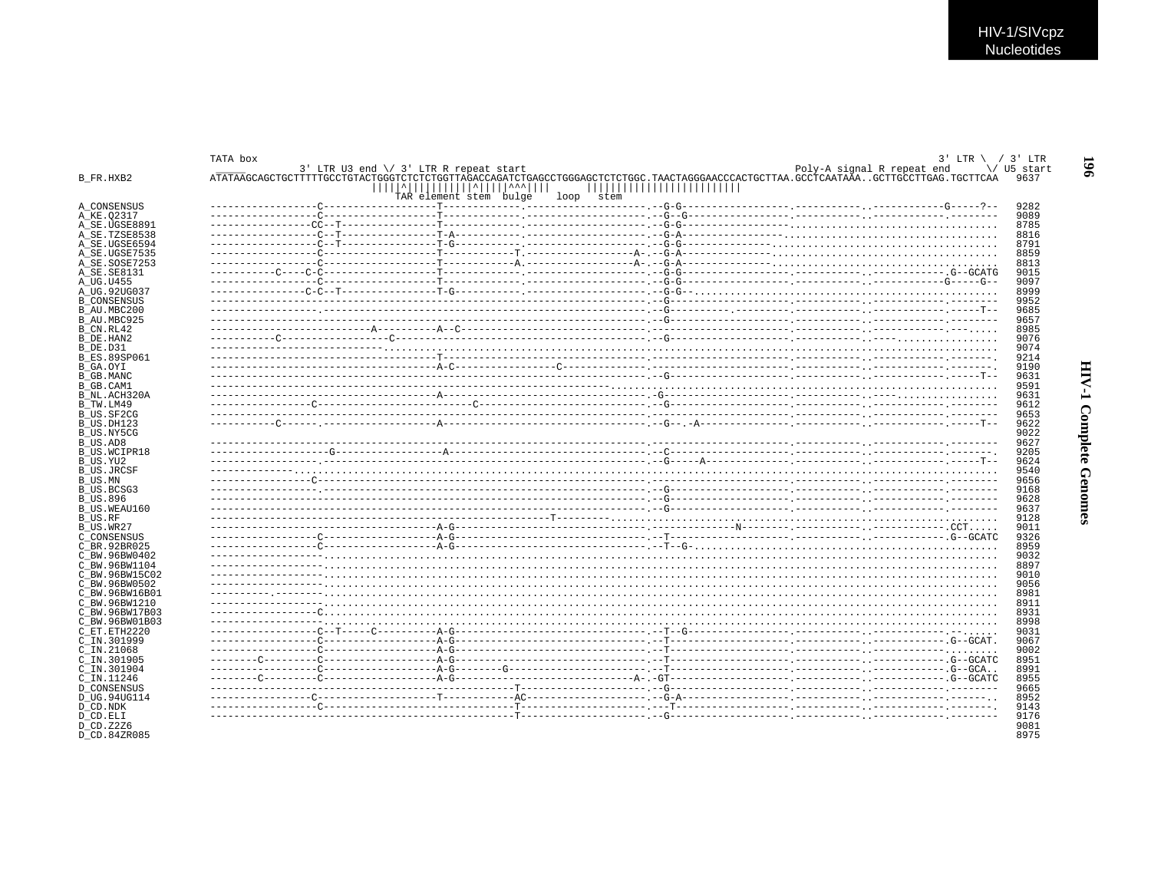| ATATAAGCAGCTGCTTTTTGCCTGTACTGGGTCTCTCTGGTTAGACCAGATCTGAGCCTGGGAGCTCTCTGGC.TAACTAGGGAACCCACTGCTTAA.GCCTCAATAAAGCTTGCTTGAG.TGCTTCAA<br>     ^           ^     ^^^    <br>,,,,,,,,,,,,,,,,,,,,,,,,,<br>TAR element stem bulge<br>loop stem<br>■ 1999年10月18日 - 1999年10月18日 - 1999年10月18日 - 1999年10月18日 - 1999年10月18日 - 1999年10月18日 - 1999年10月18日 - 1999年10月18日 | TATA box | $3'$ LTR U3 end $\setminus$ 3' LTR R repeat start | $3'$ LTR \ / 3' LTR<br>Poly-A signal R repeat end<br>\/ U5 start |
|------------------------------------------------------------------------------------------------------------------------------------------------------------------------------------------------------------------------------------------------------------------------------------------------------------------------------------------------------------|----------|---------------------------------------------------|------------------------------------------------------------------|
|                                                                                                                                                                                                                                                                                                                                                            |          |                                                   |                                                                  |
|                                                                                                                                                                                                                                                                                                                                                            |          |                                                   |                                                                  |
|                                                                                                                                                                                                                                                                                                                                                            |          |                                                   |                                                                  |
|                                                                                                                                                                                                                                                                                                                                                            |          |                                                   |                                                                  |
|                                                                                                                                                                                                                                                                                                                                                            |          |                                                   |                                                                  |
|                                                                                                                                                                                                                                                                                                                                                            |          |                                                   |                                                                  |
|                                                                                                                                                                                                                                                                                                                                                            |          |                                                   |                                                                  |
|                                                                                                                                                                                                                                                                                                                                                            |          |                                                   |                                                                  |
|                                                                                                                                                                                                                                                                                                                                                            |          |                                                   |                                                                  |
|                                                                                                                                                                                                                                                                                                                                                            |          |                                                   |                                                                  |
|                                                                                                                                                                                                                                                                                                                                                            |          |                                                   |                                                                  |
|                                                                                                                                                                                                                                                                                                                                                            |          |                                                   |                                                                  |
|                                                                                                                                                                                                                                                                                                                                                            |          |                                                   |                                                                  |
|                                                                                                                                                                                                                                                                                                                                                            |          |                                                   |                                                                  |
|                                                                                                                                                                                                                                                                                                                                                            |          |                                                   |                                                                  |
|                                                                                                                                                                                                                                                                                                                                                            |          |                                                   |                                                                  |
|                                                                                                                                                                                                                                                                                                                                                            |          |                                                   |                                                                  |
|                                                                                                                                                                                                                                                                                                                                                            |          |                                                   |                                                                  |
|                                                                                                                                                                                                                                                                                                                                                            |          |                                                   |                                                                  |
|                                                                                                                                                                                                                                                                                                                                                            |          |                                                   |                                                                  |
|                                                                                                                                                                                                                                                                                                                                                            |          |                                                   |                                                                  |
|                                                                                                                                                                                                                                                                                                                                                            |          |                                                   |                                                                  |
|                                                                                                                                                                                                                                                                                                                                                            |          |                                                   |                                                                  |
|                                                                                                                                                                                                                                                                                                                                                            |          |                                                   |                                                                  |
|                                                                                                                                                                                                                                                                                                                                                            |          |                                                   |                                                                  |
|                                                                                                                                                                                                                                                                                                                                                            |          |                                                   |                                                                  |
|                                                                                                                                                                                                                                                                                                                                                            |          |                                                   |                                                                  |
|                                                                                                                                                                                                                                                                                                                                                            |          |                                                   |                                                                  |
|                                                                                                                                                                                                                                                                                                                                                            |          |                                                   |                                                                  |
|                                                                                                                                                                                                                                                                                                                                                            |          |                                                   |                                                                  |
|                                                                                                                                                                                                                                                                                                                                                            |          |                                                   |                                                                  |
|                                                                                                                                                                                                                                                                                                                                                            |          |                                                   |                                                                  |
|                                                                                                                                                                                                                                                                                                                                                            |          |                                                   |                                                                  |
|                                                                                                                                                                                                                                                                                                                                                            |          |                                                   |                                                                  |
|                                                                                                                                                                                                                                                                                                                                                            |          |                                                   |                                                                  |
|                                                                                                                                                                                                                                                                                                                                                            |          |                                                   |                                                                  |
|                                                                                                                                                                                                                                                                                                                                                            |          |                                                   |                                                                  |
|                                                                                                                                                                                                                                                                                                                                                            |          |                                                   |                                                                  |
|                                                                                                                                                                                                                                                                                                                                                            |          |                                                   |                                                                  |
|                                                                                                                                                                                                                                                                                                                                                            |          |                                                   |                                                                  |
|                                                                                                                                                                                                                                                                                                                                                            |          |                                                   |                                                                  |
|                                                                                                                                                                                                                                                                                                                                                            |          |                                                   |                                                                  |
|                                                                                                                                                                                                                                                                                                                                                            |          |                                                   |                                                                  |
|                                                                                                                                                                                                                                                                                                                                                            |          |                                                   |                                                                  |
|                                                                                                                                                                                                                                                                                                                                                            |          |                                                   |                                                                  |
|                                                                                                                                                                                                                                                                                                                                                            |          |                                                   |                                                                  |
|                                                                                                                                                                                                                                                                                                                                                            |          |                                                   |                                                                  |
|                                                                                                                                                                                                                                                                                                                                                            |          |                                                   |                                                                  |
|                                                                                                                                                                                                                                                                                                                                                            |          |                                                   |                                                                  |
|                                                                                                                                                                                                                                                                                                                                                            |          |                                                   |                                                                  |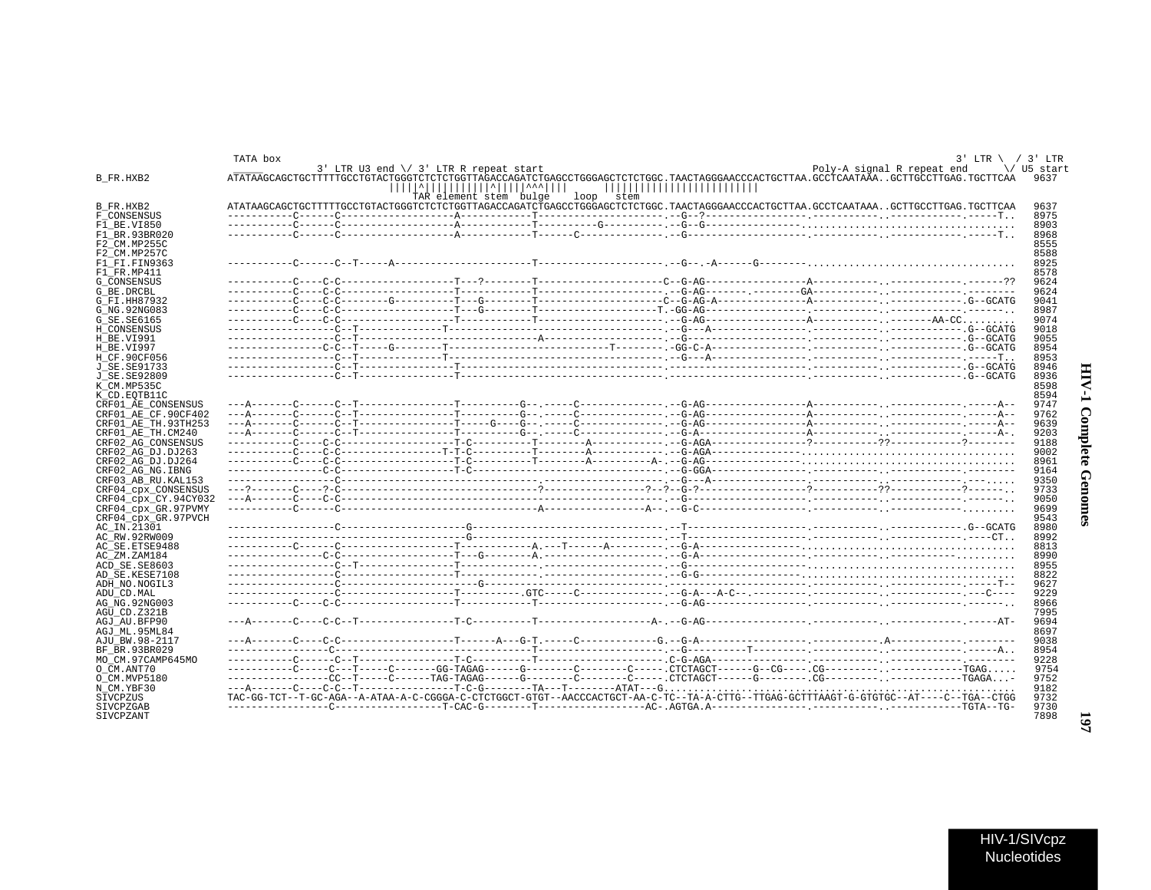## TATA box  $3'$  LTR \ / 3' LTR 3' LTR U3 end  $\setminus$  3' LTR R repeat start Poly-A signal R repeat end \/ U5 start B FR.HXB2 ATATAAGCAGCTGCTTTTTGCCTGTACTGGGTCTCTCTGGTTAGACCAGATCTGAGCCTGGGAGCTCTCTGGC.TAACTAGGGAACCCACTGCTTAA.GCCTCAATAAA..GCTTGCCTTGAG.TGCTTCAA 9637 TAR element stem bulge loop stem B FR.HXB2 ATATAAGCAGCTGCTTTTTGCCTGTACTGGGTCTCTCTGGTTAGACCAGATCTGAGCCTGGGAGCTCTCTGGC.TAACTAGGGAACCCACTGCTTAA.GCCTCAATAAA..GCTTGCCTTGAG.TGCTTCAA 9637 F CONSENSUS 8975  $F1$  BE.VI850 8903  $F1$ RR. 93BR020 8968 F2\_CM.MP255C 8555  $F2$ <sub>\_CM</sub>.MP257C 8588 F1 FI.FIN9363 8925  $F1$ <sup> $F$ </sup> $R$ . MP411 8578 G CONSENSUS 9624 G BE DROBI. 9624 G\_FI.HH87932 9041 G\_NG.92NG083 8987 G SE. SE6165 9074 H\_CONSENSUS 9018 9055  $H$ RE VT991 8954 H RE VI997 H\_CF.90CF056 8953 J\_SE.SE91733 8946  $J$ SE.SE92809 8936  $K$ <sup>- $CM$ </sup>. MP535C 8598 8594 K\_CD.EQTB11C CRF01\_AE\_CONSENSUS 9747 CRF01\_AE\_CF.90CF402  $-- A -$ 9762 CRF01\_AE\_TH.93TH253 9639 CRF01 AE TH. CM240  $9203$ CRF02\_AG\_CONSENSUS 9188 CRF02\_AG\_DJ.DJ263 9002 CRF02 AG DJ.DJ264 8961 CRF02\_AG\_NG.IBNG 9164 CRF03\_AB\_RU.KAL153 9350 CRF04\_cpx\_CONSENSUS 9733  $CRF04$ <sub>cpx</sub><sup>-</sup>CY.94CY032 9050 CRF04\_cpx\_GR.97PVMY 9699 CRF04\_cpx\_GR.97PVCH 9543  $AC_IN.21301$ 8980 AC RW. 92RW009 8992 AC SE ETSE9488 8813 AC ZM.ZAM184 8990 ------.---G--------ACD SE. SE8603 8955 AD SE.KESE7108 8822 ADH NO. NOGIL3 9627 ADU CD. MAL 9229 AG NG. 92NG003  $8966$  $AGU$ \_CD. Z321B 7995 AGJ\_AU.BFP90 9694 AGJ ML.95ML84 8697 AJU BW.98-2117 9038 BF\_BR.93BR029 8954 MO CM.97CAMP645MO 9228  $O$ <sub>CM</sub>. ANT70 9754 O CM. MVP5180 9752 N CM.YBF30 9182 SIVCPZUS TAC-GG-TCT--T-GC-AGA--A-ATAA-A-C-CGGGA-C-CTCTGGCT-GTGT--AACCCACTGCT-AA-C-TC--TA-A-CTTG--TTGAG-GCTTTAAGT-G-GTGTGC--AT----C--TGA--CTGG 9732 **STVCPZGAB** 9730 **STVCPZANT** 7898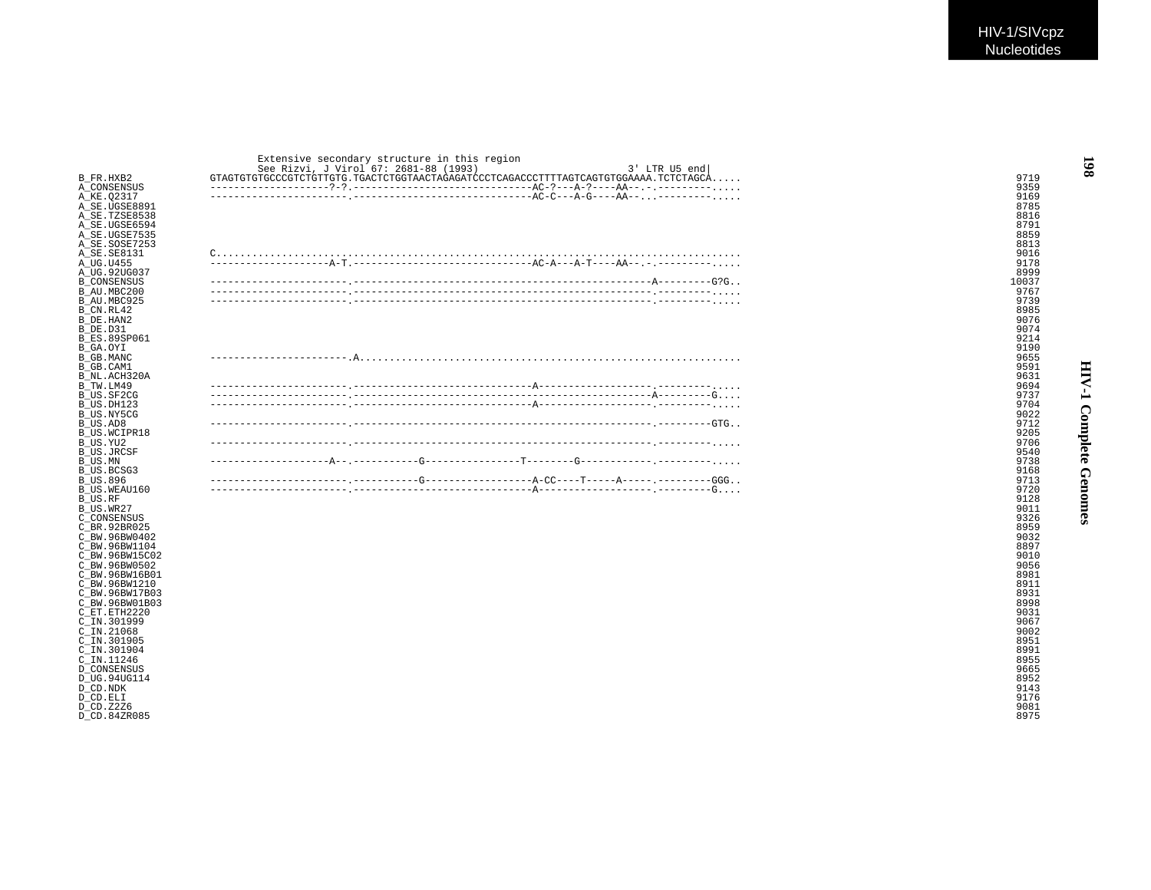|                    | Extensive secondary structure in this region           |       |
|--------------------|--------------------------------------------------------|-------|
|                    | See Rizvi, J Virol 67: 2681-88 (1993)<br>3' LTR U5 end |       |
| B FR.HXB2          |                                                        | 9719  |
| A CONSENSUS        |                                                        | 9359  |
| A KE.02317         |                                                        | 9169  |
| A SE.UGSE8891      |                                                        | 8785  |
| A SE.TZSE8538      |                                                        | 8816  |
| A SE.UGSE6594      |                                                        | 8791  |
| A SE.UGSE7535      |                                                        | 8859  |
| A SE.SOSE7253      |                                                        | 8813  |
| A SE.SE8131        |                                                        | 9016  |
| A UG.U455          |                                                        | 9178  |
| A UG.92UG037       |                                                        | 8999  |
| <b>B CONSENSUS</b> |                                                        | 10037 |
| B AU.MBC200        |                                                        | 9767  |
| B AU.MBC925        |                                                        | 9739  |
| B CN.RL42          |                                                        | 8985  |
| B DE.HAN2          |                                                        | 9076  |
| B DE.D31           |                                                        | 9074  |
| B ES.89SP061       |                                                        | 9214  |
| B GA.OYI           |                                                        | 9190  |
| B GB.MANC          |                                                        | 9655  |
| B GB.CAM1          |                                                        | 9591  |
| B NL.ACH320A       |                                                        | 9631  |
| B TW.LM49          |                                                        | 9694  |
| B US.SF2CG         |                                                        | 9737  |
| B US.DH123         |                                                        | 9704  |
| B US.NY5CG         |                                                        | 9022  |
| B US.AD8           |                                                        | 9712  |
| B US.WCIPR18       |                                                        | 9205  |
| B US.YU2           |                                                        | 9706  |
| B US.JRCSF         |                                                        | 9540  |
| B US.MN            |                                                        | 9738  |
| B US.BCSG3         |                                                        | 9168  |
| B US.896           |                                                        | 9713  |
| B US.WEAU160       |                                                        | 9720  |
| B US.RF            |                                                        | 9128  |
| B US.WR27          |                                                        | 9011  |
| C CONSENSUS        |                                                        | 9326  |

D\_CD.84ZR085 8975

C\_BR.92BR025 8959 C\_BW.96BW0402 9032 C\_BW.96BW1104 8897 C\_BW.96BW15C02 9010 C\_BW.96BW0502 9056 C\_BW.96BW16B01 8981 C\_BW.96BW1210 8911 8911 8911 8911 8911 892 892 892 893 893 8941 895 8941 895 8941 895 895 895 896 897 897 897 8 C\_BW.96BW17B03 8931 C\_BW.96BW01B03 8998 C\_ET.ETH2220 9031 C\_IN.301999 9067 C\_IN.21068 9002 C\_IN.301905 8951 C\_IN.301904 8991 C\_IN  $.11246$  8955 D\_CONSENSUS 9665 D\_UG.94UG114 8952 D\_CD.NDK 9143 D\_CD.ELI 9176 D\_CD.Z2Z6 9081

**HIV-1 Complete Genomes**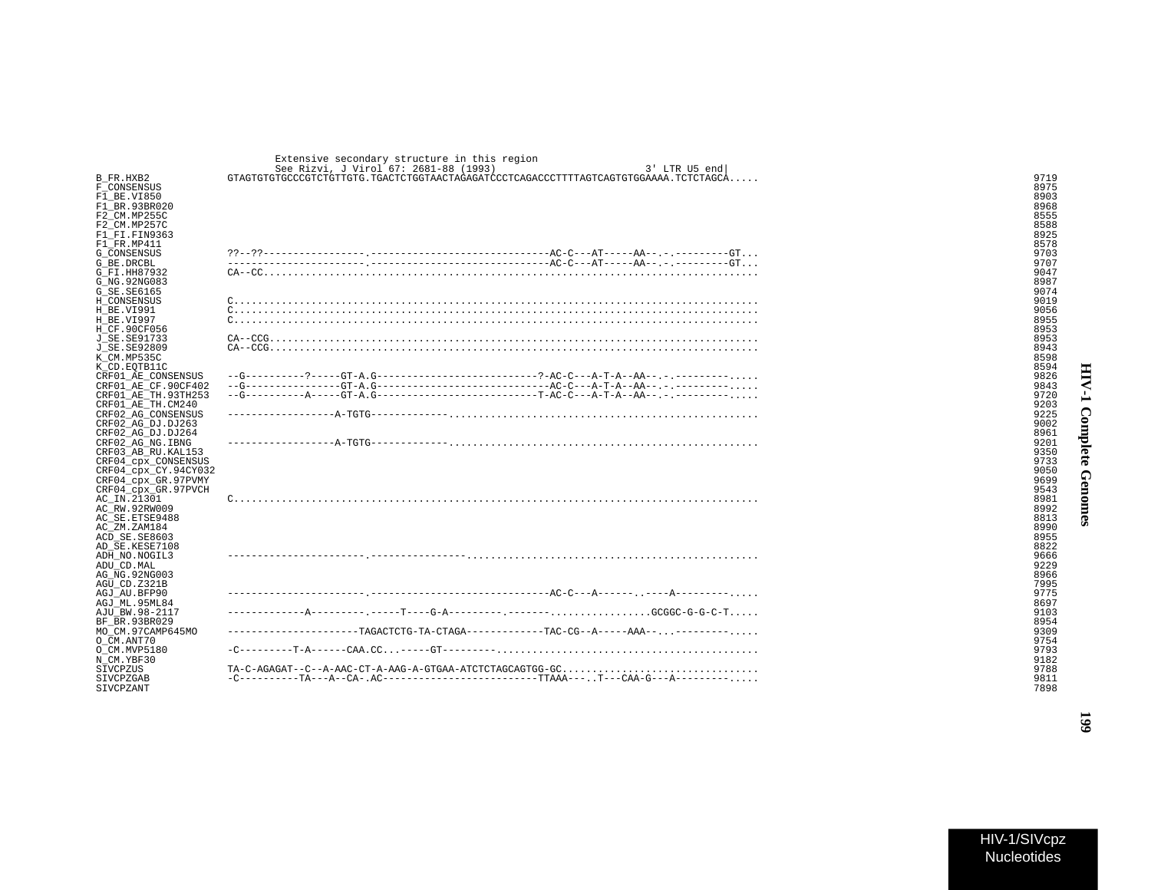|                      | Extensive secondary structure in this region                                                 |      |
|----------------------|----------------------------------------------------------------------------------------------|------|
|                      | See Rizvi, J Virol 67: 2681-88 (1993)<br>3' LTR U5 end                                       |      |
| B FR.HXB2            | $GTAGTGTGTGCCGTCTGTTGTG$ . $TGACTCTGGTAACTAGAGATCCCTCAGACCCTTTTAGTCGGTTGGGAAA$ . $TCTCTAGCA$ | 9719 |
| F CONSENSUS          |                                                                                              | 8975 |
| F1 BE.VI850          |                                                                                              | 8903 |
| F1 BR.93BR020        |                                                                                              | 8968 |
| F2 CM.MP255C         |                                                                                              | 8555 |
| F2 CM.MP257C         |                                                                                              | 8588 |
| F1 FI.FIN9363        |                                                                                              | 8925 |
| F1 FR.MP411          |                                                                                              | 8578 |
| G CONSENSUS          |                                                                                              | 9703 |
|                      |                                                                                              |      |
| G BE.DRCBL           |                                                                                              | 9707 |
| G FI.HH87932         |                                                                                              | 9047 |
| G NG.92NG083         |                                                                                              | 8987 |
| G SE.SE6165          |                                                                                              | 9074 |
| H CONSENSUS          |                                                                                              | 9019 |
| H BE.VI991           |                                                                                              | 9056 |
| H BE.VI997           |                                                                                              | 8955 |
| H CF.90CF056         |                                                                                              | 8953 |
| J SE.SE91733         |                                                                                              | 8953 |
| J SE.SE92809         |                                                                                              | 8943 |
| K CM.MP535C          |                                                                                              | 8598 |
| K CD.EOTB11C         |                                                                                              | 8594 |
| CRF01 AE CONSENSUS   | $-G-------2---GT-A. G-------------------------------------AC-C---A-T-A--AA------------$      | 9826 |
| CRF01_AE_CF.90CF402  |                                                                                              | 9843 |
| CRF01_AE_TH.93TH253  |                                                                                              | 9720 |
| CRF01 AE TH.CM240    |                                                                                              | 9203 |
| CRF02 AG CONSENSUS   |                                                                                              | 9225 |
| CRF02 AG DJ.DJ263    |                                                                                              | 9002 |
| CRF02 AG DJ.DJ264    |                                                                                              |      |
|                      |                                                                                              | 8961 |
| CRF02_AG_NG.IBNG     |                                                                                              | 9201 |
| CRF03 AB RU. KAL153  |                                                                                              | 9350 |
| CRF04_cpx_CONSENSUS  |                                                                                              | 9733 |
| CRF04_cpx_CY.94CY032 |                                                                                              | 9050 |
| CRF04 cpx GR.97PVMY  |                                                                                              | 9699 |
| CRF04 cpx GR.97PVCH  |                                                                                              | 9543 |
| AC IN.21301          |                                                                                              | 8981 |
| AC RW.92RW009        |                                                                                              | 8992 |
| AC SE.ETSE9488       |                                                                                              | 8813 |
| AC ZM.ZAM184         |                                                                                              | 8990 |
| ACD SE.SE8603        |                                                                                              | 8955 |
| AD SE.KESE7108       |                                                                                              | 8822 |
| ADH NO.NOGIL3        |                                                                                              | 9666 |
| ADU CD.MAL           |                                                                                              | 9229 |
| AG NG.92NG003        |                                                                                              | 8966 |
| AGU CD.Z321B         |                                                                                              | 7995 |
| AGJ AU.BFP90         |                                                                                              | 9775 |
| AGJ ML.95ML84        |                                                                                              | 8697 |
| AJU BW.98-2117       |                                                                                              | 9103 |
| BF BR.93BR029        |                                                                                              | 8954 |
| MO CM.97CAMP645MO    |                                                                                              | 9309 |
| O CM.ANT70           |                                                                                              | 9754 |
| O CM.MVP5180         |                                                                                              | 9793 |
| N CM.YBF30           |                                                                                              | 9182 |
|                      |                                                                                              |      |
| SIVCPZUS             | TA-C-AGAGAT--C--A-AAC-CT-A-AAG-A-GTGAA-ATCTCTAGCAGTGG-GC                                     | 9788 |
| SIVCPZGAB            |                                                                                              | 9811 |
| SIVCPZANT            |                                                                                              | 7898 |

 $\ddot{\phantom{0}}$